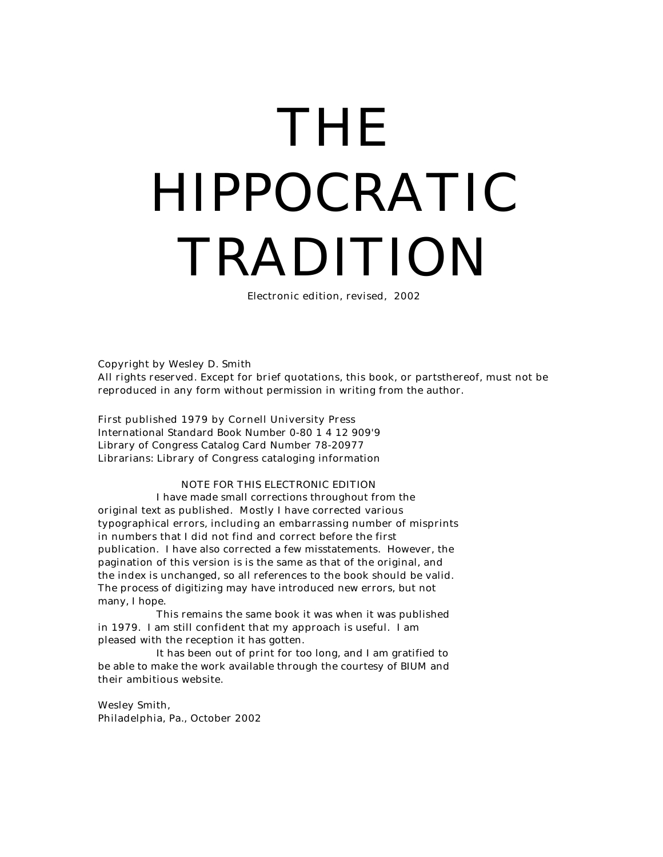# THE HIPPOCRATIC TRADITION

Electronic edition, revised, 2002

Copyright by Wesley D. Smith All rights reserved. Except for brief quotations, this book, or partsthereof, must not be reproduced in any form without permission in writing from the author.

First published 1979 by Cornell University Press International Standard Book Number 0-80 1 4 12 909'9 Library of Congress Catalog Card Number 78-20977 Librarians: Library of Congress cataloging information

#### NOTE FOR THIS ELECTRONIC EDITION

I have made small corrections throughout from the original text as published. Mostly I have corrected various typographical errors, including an embarrassing number of misprints in numbers that I did not find and correct before the first publication. I have also corrected a few misstatements. However, the pagination of this version is is the same as that of the original, and the index is unchanged, so all references to the book should be valid. The process of digitizing may have introduced new errors, but not many, I hope.

This remains the same book it was when it was published in 1979. I am still confident that my approach is useful. I am pleased with the reception it has gotten.

It has been out of print for too long, and I am gratified to be able to make the work available through the courtesy of BIUM and their ambitious website.

Wesley Smith, Philadelphia, Pa., October 2002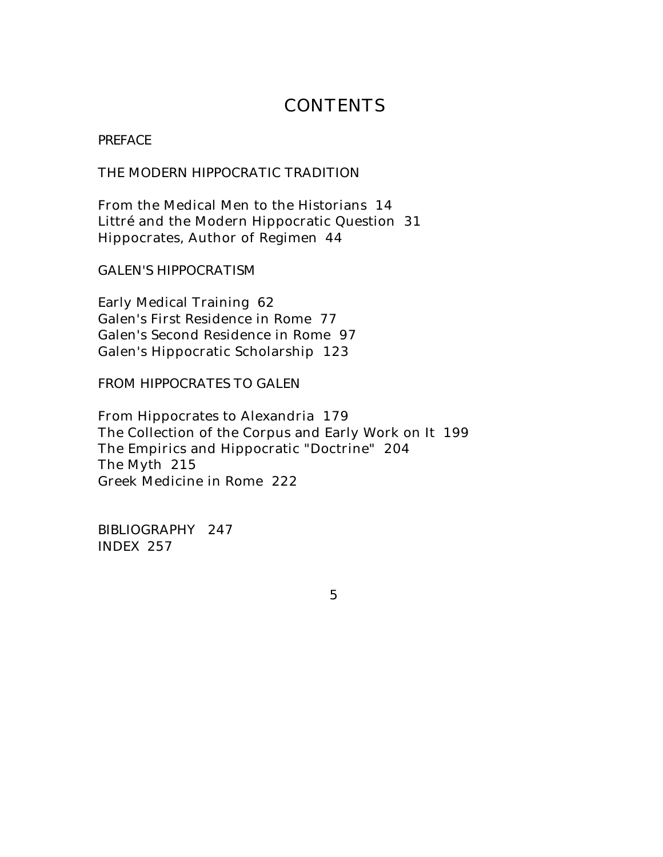### **CONTENTS**

### PREFACE

### THE MODERN HIPPOCRATIC TRADITION

From the Medical Men to the Historians 14 Littré and the Modern Hippocratic Question 31 Hippocrates, Author of *Regimen* 44

GALEN'S HIPPOCRATISM

Early Medical Training 62 Galen's First Residence in Rome 77 Galen's Second Residence in Rome 97 Galen's Hippocratic Scholarship 123

FROM HIPPOCRATES TO GALEN

From Hippocrates to Alexandria 179 The Collection of the Corpus and Early Work on It 199 The Empirics and Hippocratic "Doctrine" 204 The Myth 215 Greek Medicine in Rome 222

BIBLIOGRAPHY 247 INDEX 257

5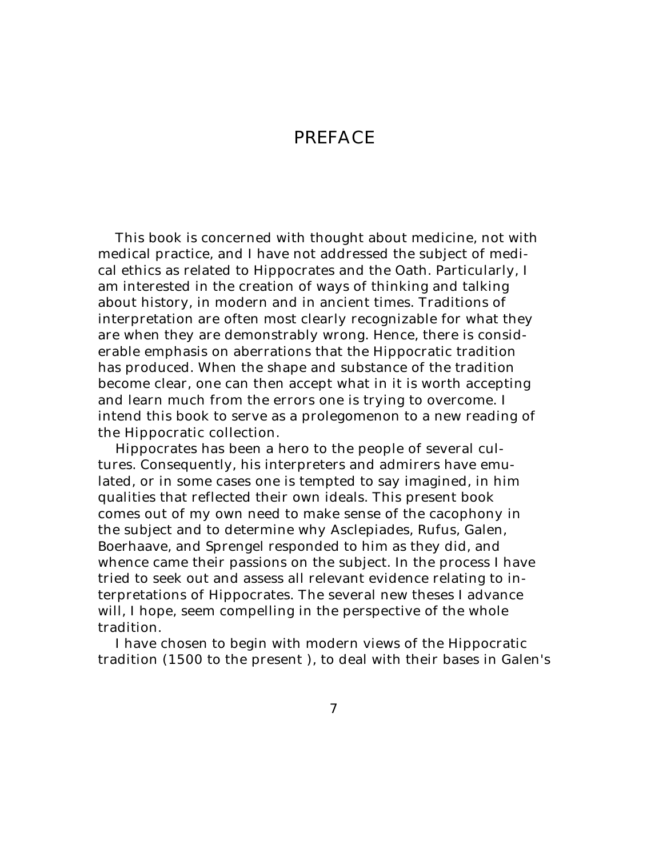### PREFACE

 This book is concerned with thought about medicine, not with medical practice, and I have not addressed the subject of medical ethics as related to Hippocrates and the Oath. Particularly, I am interested in the creation of ways of thinking and talking about history, in modern and in ancient times. Traditions of interpretation are often most clearly recognizable for what they are when they are demonstrably wrong. Hence, there is considerable emphasis on aberrations that the Hippocratic tradition has produced. When the shape and substance of the tradition become clear, one can then accept what in it is worth accepting and learn much from the errors one is trying to overcome. I intend this book to serve as a prolegomenon to a new reading of the Hippocratic collection.

 Hippocrates has been a hero to the people of several cultures. Consequently, his interpreters and admirers have emulated, or in some cases one is tempted to say imagined, in him qualities that reflected their own ideals. This present book comes out of my own need to make sense of the cacophony in the subject and to determine why Asclepiades, Rufus, Galen, Boerhaave, and Sprengel responded to him as they did, and whence came their passions on the subject. In the process I have tried to seek out and assess all relevant evidence relating to interpretations of Hippocrates. The several new theses I advance will, I hope, seem compelling in the perspective of the whole tradition.

 I have chosen to begin with modern views of the Hippocratic tradition (1500 to the present ), to deal with their bases in Galen's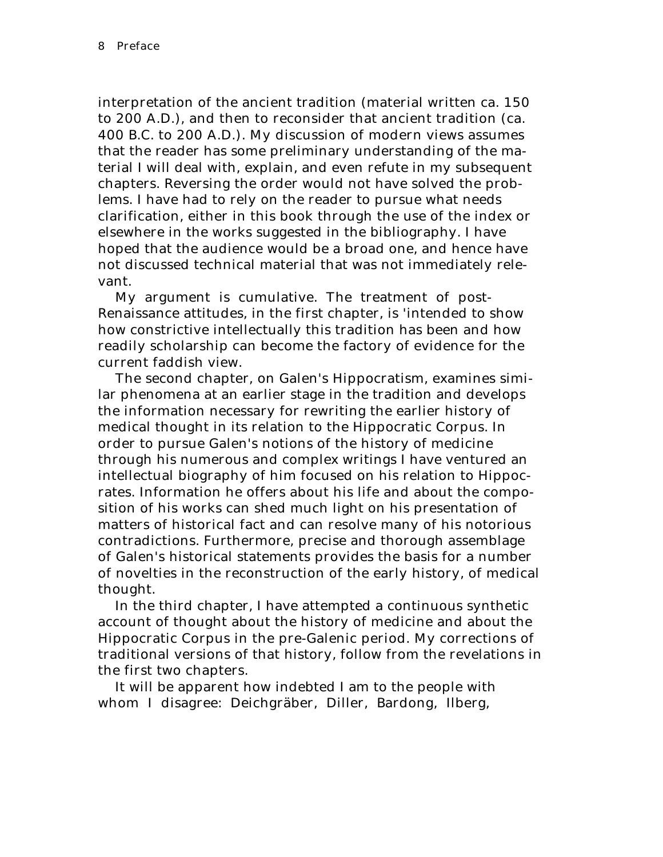interpretation of the ancient tradition (material written ca. 150 to 200 A.D.), and then to reconsider that ancient tradition (ca. 400 B.C. to 200 A.D.). My discussion of modern views assumes that the reader has some preliminary understanding of the material I will deal with, explain, and even refute in my subsequent chapters. Reversing the order would not have solved the problems. I have had to rely on the reader to pursue what needs clarification, either in this book through the use of the index or elsewhere in the works suggested in the bibliography. I have hoped that the audience would be a broad one, and hence have not discussed technical material that was not immediately relevant.

 My argument is cumulative. The treatment of post-Renaissance attitudes, in the first chapter, is 'intended to show how constrictive intellectually this tradition has been and how readily scholarship can become the factory of evidence for the current faddish view.

 The second chapter, on Galen's Hippocratism, examines similar phenomena at an earlier stage in the tradition and develops the information necessary for rewriting the earlier history of medical thought in its relation to the Hippocratic Corpus. In order to pursue Galen's notions of the history of medicine through his numerous and complex writings I have ventured an intellectual biography of him focused on his relation to Hippocrates. Information he offers about his life and about the composition of his works can shed much light on his presentation of matters of historical fact and can resolve many of his notorious contradictions. Furthermore, precise and thorough assemblage of Galen's historical statements provides the basis for a number of novelties in the reconstruction of the early history, of medical thought.

 In the third chapter, I have attempted a continuous synthetic account of thought about the history of medicine and about the Hippocratic Corpus in the pre-Galenic period. My corrections of traditional versions of that history, follow from the revelations in the first two chapters.

 It will be apparent how indebted I am to the people with whom I disagree: Deichgräber, Diller, Bardong, Ilberg,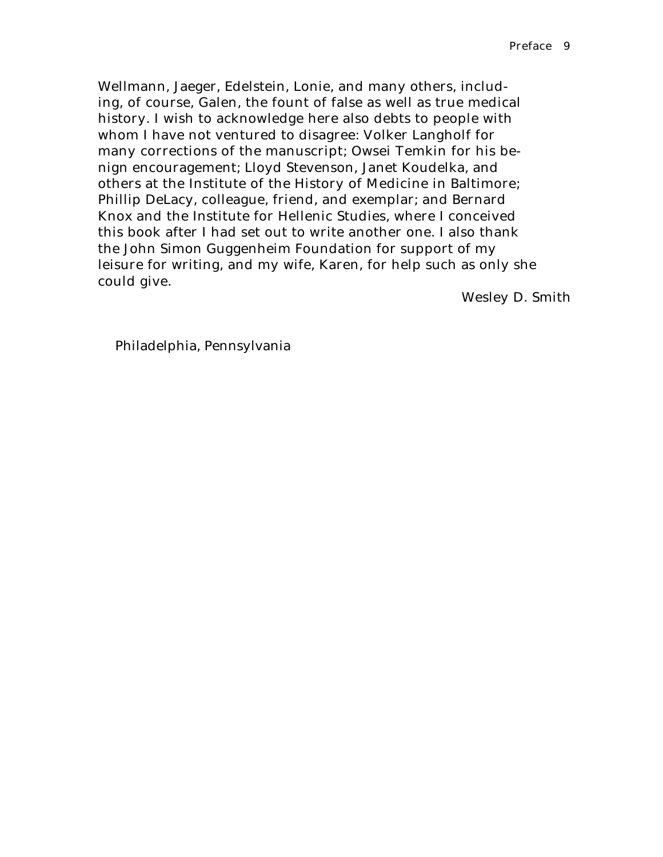Wellmann, Jaeger, Edelstein, Lonie, and many others, including, of course, Galen, the fount of false as well as true medical history. I wish to acknowledge here also debts to people with whom I have not ventured to disagree: Volker Langholf for many corrections of the manuscript; Owsei Temkin for his benign encouragement; Lloyd Stevenson, Janet Koudelka, and others at the Institute of the History of Medicine in Baltimore; Phillip DeLacy, colleague, friend, and exemplar; and Bernard Knox and the Institute for Hellenic Studies, where I conceived this book after I had set out to write another one. I also thank the John Simon Guggenheim Foundation for support of my leisure for writing, and my wife, Karen, for help such as only she could give.

Wesley D. Smith

*Philadelphia, Pennsylvania*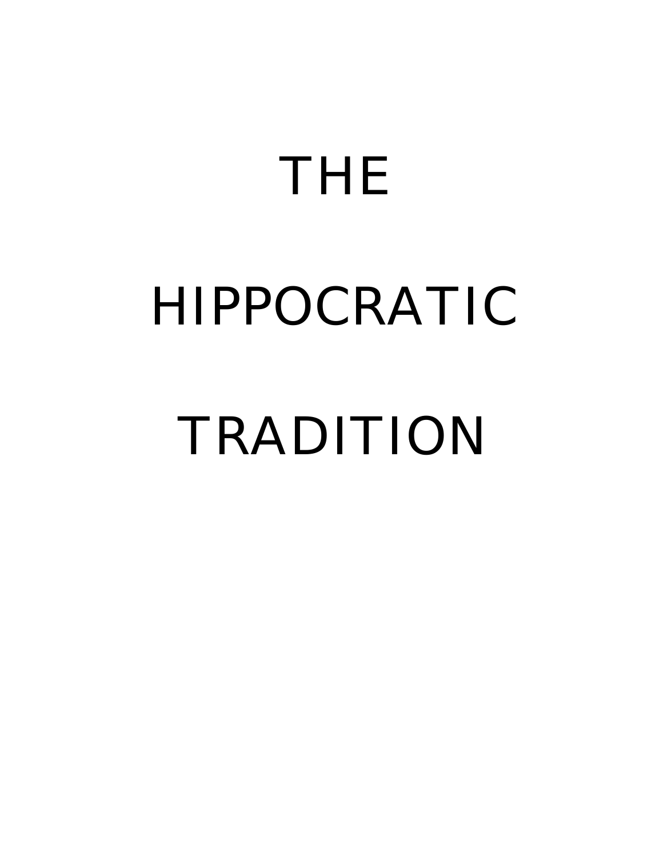## THE

## HIPPOCRATIC

TRADITION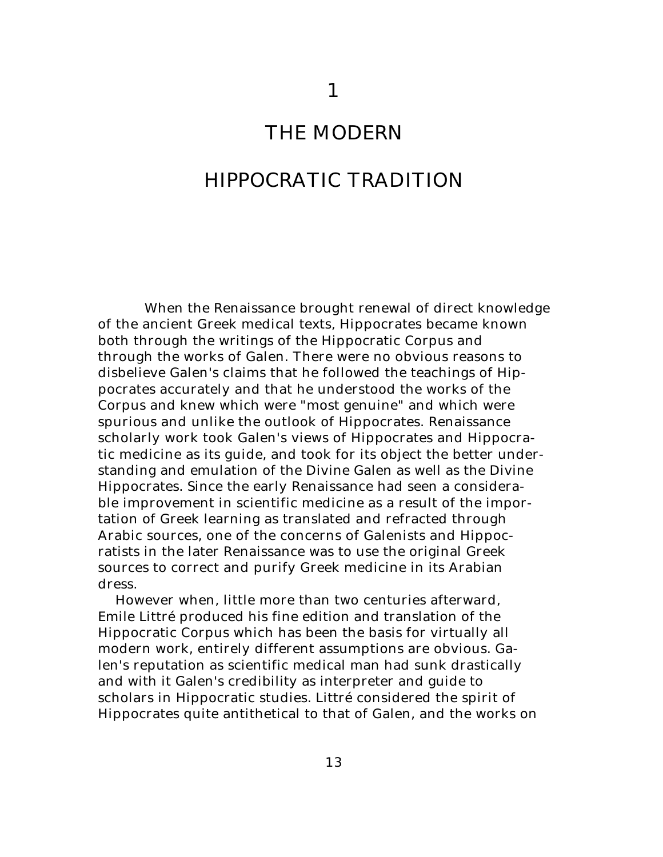### THE MODERN

## HIPPOCRATIC TRADITION

 When the Renaissance brought renewal of direct knowledge of the ancient Greek medical texts, Hippocrates became known both through the writings of the Hippocratic Corpus and through the works of Galen. There were no obvious reasons to disbelieve Galen's claims that he followed the teachings of Hippocrates accurately and that he understood the works of the Corpus and knew which were "most genuine" and which were spurious and unlike the outlook of Hippocrates. Renaissance scholarly work took Galen's views of Hippocrates and Hippocratic medicine as its guide, and took for its object the better understanding and emulation of the Divine Galen as well as the Divine Hippocrates. Since the early Renaissance had seen a considerable improvement in scientific medicine as a result of the importation of Greek learning as translated and refracted through Arabic sources, one of the concerns of Galenists and Hippocratists in the later Renaissance was to use the original Greek sources to correct and purify Greek medicine in its Arabian dress.

 However when, little more than two centuries afterward, Emile Littré produced his fine edition and translation of the Hippocratic Corpus which has been the basis for virtually all modern work, entirely different assumptions are obvious. Galen's reputation as scientific medical man had sunk drastically and with it Galen's credibility as interpreter and guide to scholars in Hippocratic studies. Littré considered the spirit of Hippocrates quite antithetical to that of Galen, and the works on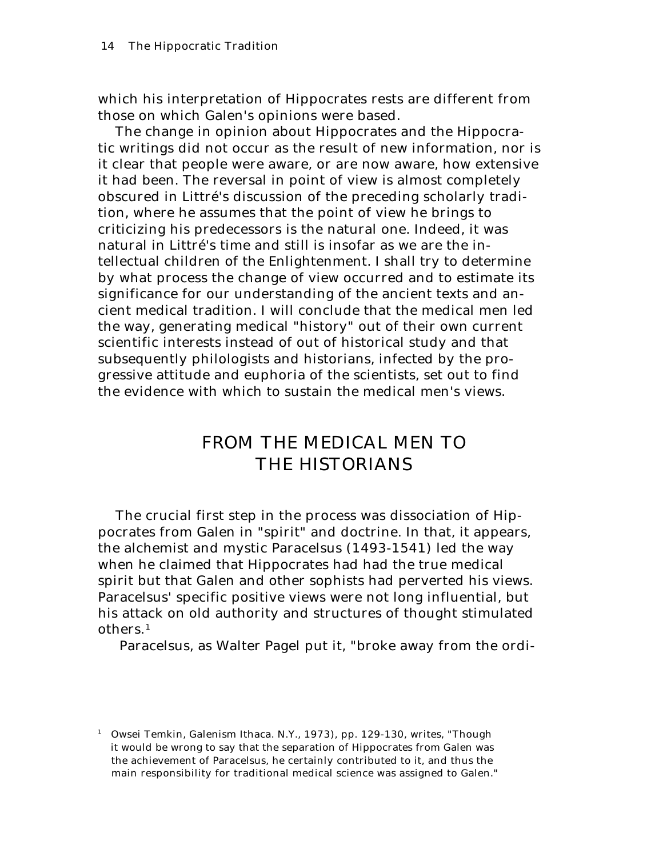which his interpretation of Hippocrates rests are different from those on which Galen's opinions were based.

 The change in opinion about Hippocrates and the Hippocratic writings did not occur as the result of new information, nor is it clear that people were aware, or are now aware, how extensive it had been. The reversal in point of view is almost completely obscured in Littré's discussion of the preceding scholarly tradition, where he assumes that the point of view he brings to criticizing his predecessors is the natural one. Indeed, it was natural in Littré's time and still is insofar as we are the intellectual children of the Enlightenment. I shall try to determine by what process the change of view occurred and to estimate its significance for our understanding of the ancient texts and ancient medical tradition. I will conclude that the medical men led the way, generating medical "history" out of their own current scientific interests instead of out of historical study and that subsequently philologists and historians, infected by the progressive attitude and euphoria of the scientists, set out to find the evidence with which to sustain the medical men's views.

## FROM THE MEDICAL MEN TO THE HISTORIANS

 The crucial first step in the process was dissociation of Hippocrates from Galen in "spirit" and doctrine. In that, it appears, the alchemist and mystic Paracelsus (1493-1541) led the way when he claimed that Hippocrates had had the true medical spirit but that Galen and other sophists had perverted his views. Paracelsus' specific positive views were not long influential, but his attack on old authority and structures of thought stimulated others.<sup>1</sup>

Paracelsus, as Walter Pagel put it, "broke away from the ordi-

<sup>&</sup>lt;sup>1</sup> Owsei Temkin, Galenism Ithaca. N.Y., 1973), pp. 129-130, writes, "Though it would be wrong to say that the separation of Hippocrates from Galen was the achievement of Paracelsus, he certainly contributed to it, and thus the main responsibility for traditional medical science was assigned to Galen."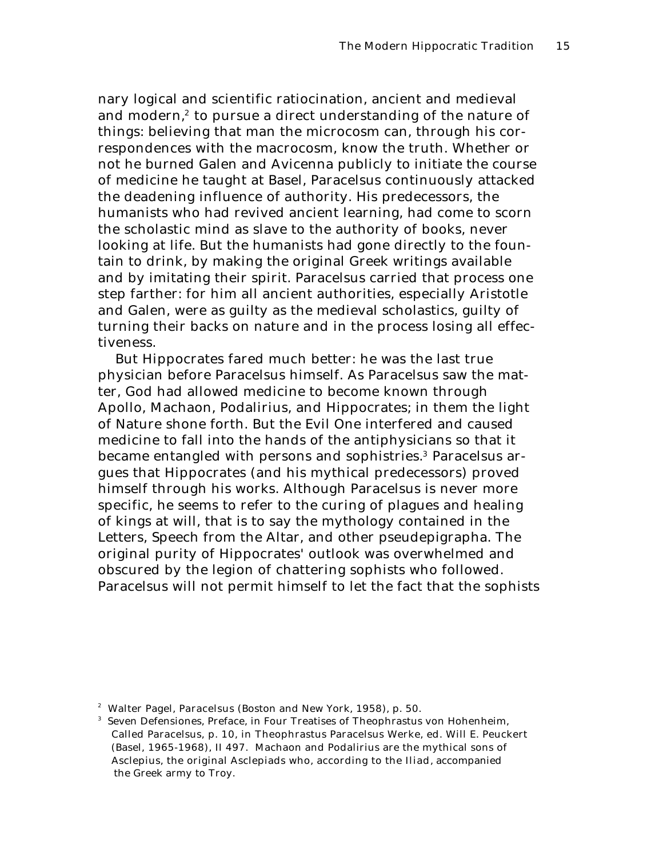nary logical and scientific ratiocination, ancient and medieval and modern, $^2$  to pursue a direct understanding of the nature of things: believing that man the microcosm can, through his correspondences with the macrocosm, know the truth. Whether or not he burned Galen and Avicenna publicly to initiate the course of medicine he taught at Basel, Paracelsus continuously attacked the deadening influence of authority. His predecessors, the humanists who had revived ancient learning, had come to scorn the scholastic mind as slave to the authority of books, never looking at life. But the humanists had gone directly to the fountain to drink, by making the original Greek writings available and by imitating their spirit. Paracelsus carried that process one step farther: for him all ancient authorities, especially Aristotle and Galen, were as guilty as the medieval scholastics, guilty of turning their backs on nature and in the process losing all effectiveness.

 But Hippocrates fared much better: he was the last true physician before Paracelsus himself. As Paracelsus saw the matter, God had allowed medicine to become known through Apollo, Machaon, Podalirius, and Hippocrates; in them the light of Nature shone forth. But the Evil One interfered and caused medicine to fall into the hands of the antiphysicians so that it became entangled with persons and sophistries.<sup>3</sup> Paracelsus argues that Hippocrates (and his mythical predecessors) proved himself through his works. Although Paracelsus is never more specific, he seems to refer to the curing of plagues and healing of kings at will, that is to say the mythology contained in the Letters, Speech from the Altar, and other pseudepigrapha. The original purity of Hippocrates' outlook was overwhelmed and obscured by the legion of chattering sophists who followed. Paracelsus will not permit himself to let the fact that the sophists

<sup>2</sup> Walter Pagel, *Paracelsus* (Boston and New York, 1958), p. 50.

 $3$  Seven Defensiones, Preface, in Four Treatises of Theophrastus von Hohenheim, Called Paracelsus, p. 10, in Theophrastus Paracelsus Werke, ed. Will E. Peuckert (Basel, 1965-1968), II 497. Machaon and Podalirius are the mythical sons of Asclepius, the original Asclepiads who, according to the *Iliad*, accompanied the Greek army to Troy.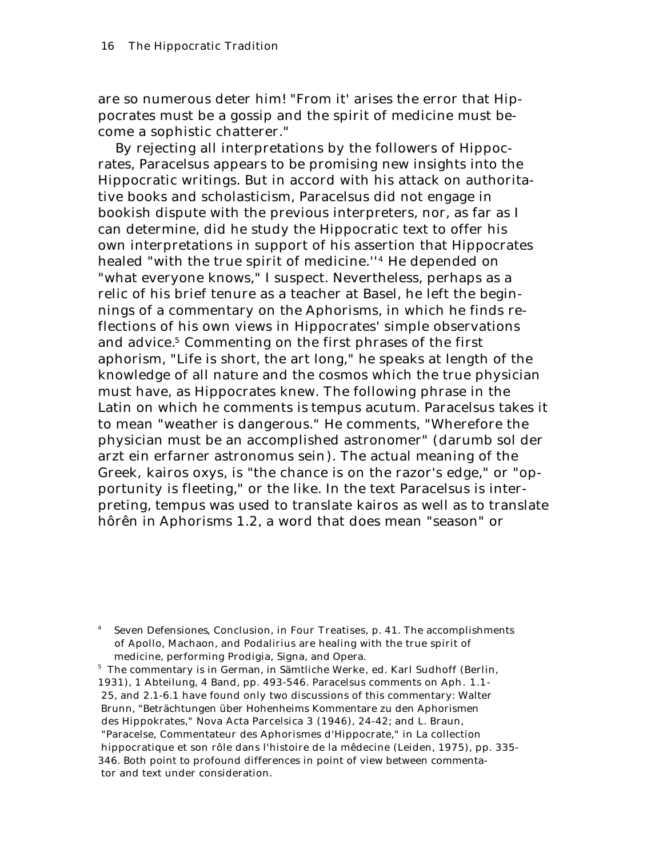are so numerous deter him! "From it' arises the error that Hippocrates must be a gossip and the spirit of medicine must become a sophistic chatterer."

 By rejecting all interpretations by the followers of Hippocrates, Paracelsus appears to be promising new insights into the Hippocratic writings. But in accord with his attack on authoritative books and scholasticism, Paracelsus did not engage in bookish dispute with the previous interpreters, nor, as far as I can determine, did he study the Hippocratic text to offer his own interpretations in support of his assertion that Hippocrates healed "with the true spirit of medicine.''<sup>4</sup> He depended on "what everyone knows," I suspect. Nevertheless, perhaps as a relic of his brief tenure as a teacher at Basel, he left the beginnings of a commentary on the *Aphorisms*, in which he finds reflections of his own views in Hippocrates' simple observations and advice.<sup>5</sup> Commenting on the first phrases of the first aphorism, "Life is short, the art long," he speaks at length of the knowledge of all nature and the cosmos which the true physician must have, as Hippocrates knew. The following phrase in the Latin on which he comments is *tempus acutum*. Paracelsus takes it to mean "weather is dangerous." He comments, "Wherefore the physician must be an accomplished astronomer" (*darumb sol der arzt ein erfarner astronomus sein*). The actual meaning of the Greek, *kairos oxys*, is "the chance is on the razor's edge," or "opportunity is fleeting," or the like. In the text Paracelsus is interpreting, *tempus* was used to translate *kairos* as well as to translate hôrên in *Aphorisms* 1.2, a word that does mean "season" or

4 *Seven Defensiones*, Conclusion, in *Four Treatises,* p. 41. The accomplishments of Apollo, Machaon, and Podalirius are healing with the true spirit of medicine, performing *Prodigia, Signa*, and *Opera*.

5 The commentary is in German, in *Sämtliche Werke*, ed. Karl Sudhoff (Berlin, 1931), 1 Abteilung, 4 Band, pp. 493-546. Paracelsus comments on *Aph*. 1.1- 25, and 2.1-6.1 have found only two discussions of this commentary: Walter Brunn, "Beträchtungen über Hohenheims Kommentare zu den Aphorismen des Hippokrates," *Nova Acta Parcelsica* 3 (1946), 24-42; and L. Braun, "Paracelse, Commentateur des Aphorismes d'Hippocrate," in La collection hippocratique et son rôle dans l'histoire de la mêdecine (Leiden, 1975), pp. 335- 346. Both point to profound differences in point of view between commenta tor and text under consideration.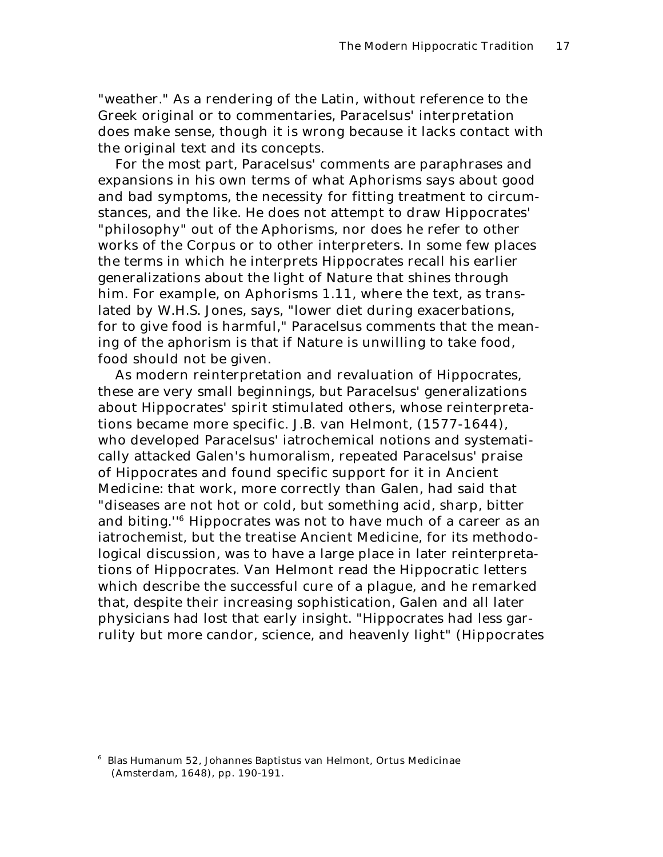"weather." As a rendering of the Latin, without reference to the Greek original or to commentaries, Paracelsus' interpretation does make sense, though it is wrong because it lacks contact with the original text and its concepts.

 For the most part, Paracelsus' comments are paraphrases and expansions in his own terms of what *Aphorisms* says about good and bad symptoms, the necessity for fitting treatment to circumstances, and the like. He does not attempt to draw Hippocrates' "philosophy" out of the *Aphorisms*, nor does he refer to other works of the Corpus or to other interpreters. In some few places the terms in which he interprets Hippocrates recall his earlier generalizations about the light of Nature that shines through him. For example, on *Aphorisms* 1.11, where the text, as translated by W.H.S. Jones, says, "lower diet during exacerbations, for to give food is harmful," Paracelsus comments that the meaning of the aphorism is that if Nature is unwilling to take food, food should not be given.

 As modern reinterpretation and revaluation of Hippocrates, these are very small beginnings, but Paracelsus' generalizations about Hippocrates' spirit stimulated others, whose reinterpretations became more specific. J.B. van Helmont, (1577-1644), who developed Paracelsus' iatrochemical notions and systematically attacked Galen's humoralism, repeated Paracelsus' praise of Hippocrates and found specific support for it in Ancient Medicine: that work, more correctly than Galen, had said that "diseases are not hot or cold, but something acid, sharp, bitter and biting.''<sup>6</sup> Hippocrates was not to have much of a career as an iatrochemist, but the treatise *Ancient Medicine*, for its methodological discussion, was to have a large place in later reinterpretations of Hippocrates. Van HeImont read the Hippocratic letters which describe the successful cure of a plague, and he remarked that, despite their increasing sophistication, Galen and all later physicians had lost that early insight. "Hippocrates had less garrulity but more candor, science, and heavenly light" (*Hippocrates*

6 *Blas Humanum* 52, Johannes Baptistus van Helmont, *Ortus Medicinae* (Amsterdam, 1648), pp. 190-191.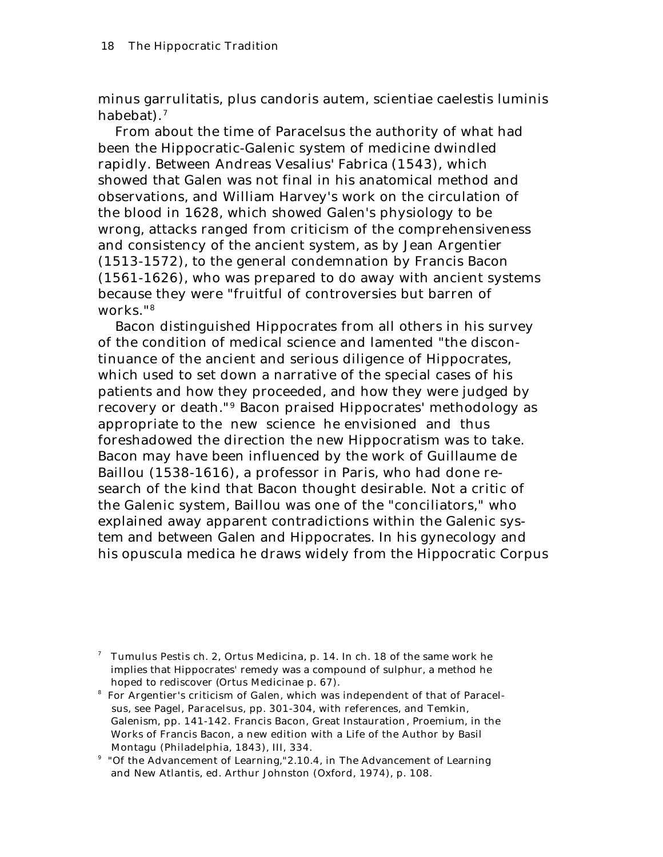### *minus garrulitatis, plus candoris autem, scientiae caelestis luminis habebat*).<sup>7</sup>

 From about the time of Paracelsus the authority of what had been the Hippocratic-Galenic system of medicine dwindled rapidly. Between Andreas Vesalius' *Fabrica* (1543), which showed that Galen was not final in his anatomical method and observations, and William Harvey's work on the circulation of the blood in 1628, which showed Galen's physiology to be wrong, attacks ranged from criticism of the comprehensiveness and consistency of the ancient system, as by Jean Argentier (1513-1572), to the general condemnation by Francis Bacon (1561-1626), who was prepared to do away with ancient systems because they were "fruitful of controversies but barren of works."<sup>8</sup>

 Bacon distinguished Hippocrates from all others in his survey of the condition of medical science and lamented "the discontinuance of the ancient and serious diligence of Hippocrates, which used to set down a narrative of the special cases of his patients and how they proceeded, and how they were judged by recovery or death."<sup>9</sup> Bacon praised Hippocrates' methodology as appropriate to the new science he envisioned and thus foreshadowed the direction the new Hippocratism was to take. Bacon may have been influenced by the work of Guillaume de Baillou (1538-1616), a professor in Paris, who had done research of the kind that Bacon thought desirable. Not a critic of the Galenic system, Baillou was one of the "conciliators," who explained away apparent contradictions within the Galenic system and between Galen and Hippocrates. In his gynecology and his *opuscula medica* he draws widely from the Hippocratic Corpus

<sup>7</sup> *Tumulus Pestis* ch. 2, *Ortus Medicina*, p. 14. In ch. 18 of the same work he implies that Hippocrates' remedy was a compound of sulphur, a method he hoped to rediscover (*Ortus Medicinae* p. 67).

<sup>8</sup> For Argentier's criticism of Galen, which was independent of that of Paracel sus, see Pagel, *Paracelsus*, pp. 301-304, with references, and Temkin, *Galenism*, pp. 141-142. Francis Bacon, *Great Instauration*, Proemium, in the *Works of Francis Bacon*, a new edition with a Life of the Author by Basil Montagu (Philadelphia, 1843), III, 334.

<sup>9</sup> "Of the Advancement of Learning,"2.10.4, in *The Advancement of Learning and New Atlantis*, ed. Arthur Johnston (Oxford, 1974), p. 108.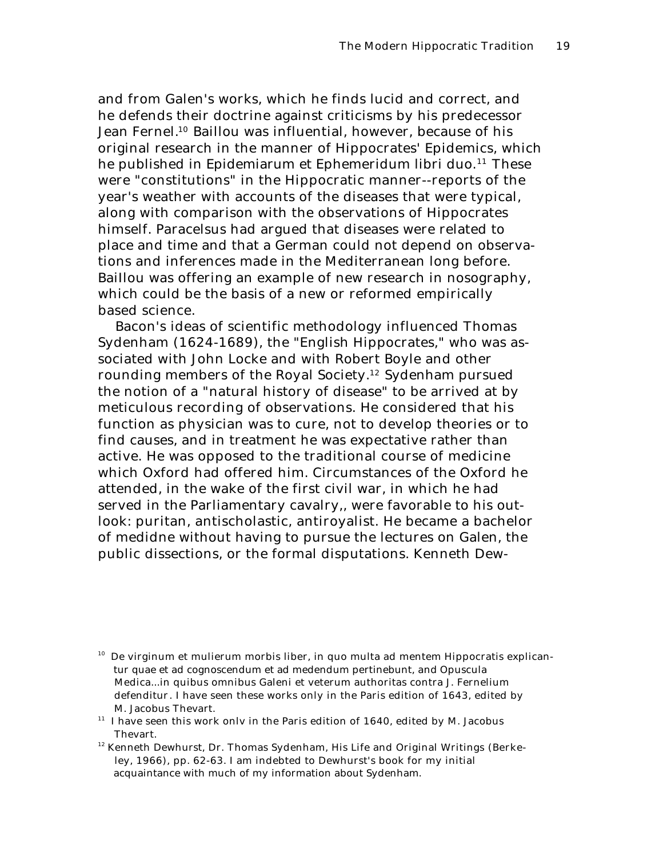and from Galen's works, which he finds lucid and correct, and he defends their doctrine against criticisms by his predecessor Jean Fernel.<sup>10</sup> Baillou was influential, however, because of his original research in the manner of Hippocrates' Epidemics, which he published in *Epidemiarum et Ephemeridum libri duo*. <sup>11</sup> These were "constitutions" in the Hippocratic manner--reports of the year's weather with accounts of the diseases that were typical, along with comparison with the observations of Hippocrates himself. Paracelsus had argued that diseases were related to place and time and that a German could not depend on observations and inferences made in the Mediterranean long before. BaiIlou was offering an example of new research in nosography, which could be the basis of a new or reformed empirically based science.

 Bacon's ideas of scientific methodology influenced Thomas Sydenham (1624-1689), the "English Hippocrates," who was associated with John Locke and with Robert Boyle and other rounding members of the Royal Society.12 Sydenham pursued the notion of a "natural history of disease" to be arrived at by meticulous recording of observations. He considered that his function as physician was to cure, not to develop theories or to find causes, and in treatment he was expectative rather than active. He was opposed to the traditional course of medicine which Oxford had offered him. Circumstances of the Oxford he attended, in the wake of the first civil war, in which he had served in the Parliamentary cavalry,, were favorable to his outlook: puritan, antischolastic, antiroyalist. He became a bachelor of medidne without having to pursue the lectures on Galen, the public dissections, or the formal disputations. Kenneth Dew-

<sup>10</sup> *De virginum et mulierum morbis liber, in quo multa ad mentem Hippocratis explican tur quae et ad cognoscendum et ad medendum pertinebunt*, and *Opuscula Medica...in quibus omnibus Galeni et veterum authoritas contra J. Fernelium defenditur*. I have seen these works only in the Paris edition of 1643, edited by M. Jacobus Thevart.

 $11$  I have seen this work only in the Paris edition of 1640, edited by M. Jacobus Thevart.

<sup>12</sup> Kenneth Dewhurst, *Dr. Thomas Sydenham, His Life and Original Writings* (Berke ley, 1966), pp. 62-63. I am indebted to Dewhurst's book for my initial acquaintance with much of my information about Sydenham.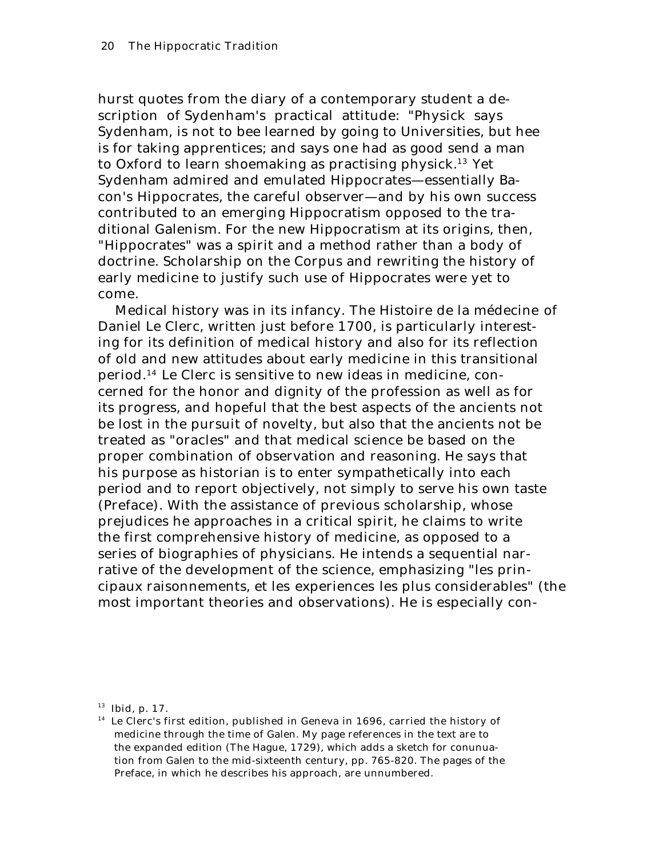hurst quotes from the diary of a contemporary student a description of Sydenham's practical attitude: "Physick says Sydenham, is not to bee learned by going to Universities, but hee is for taking apprentices; and says one had as good send a man to Oxford to learn shoemaking as practising physick.13 Yet Sydenham admired and emulated Hippocrates—essentially Bacon's Hippocrates, the careful observer—and by his own success contributed to an emerging Hippocratism opposed to the traditional Galenism. For the new Hippocratism at its origins, then, "Hippocrates" was a spirit and a method rather than a body of doctrine. Scholarship on the Corpus and rewriting the history of early medicine to justify such use of Hippocrates were yet to come.

 Medical history was in its infancy. The *Histoire de la médecine* of Daniel Le Clerc, written just before 1700, is particularly interesting for its definition of medical history and also for its reflection of old and new attitudes about early medicine in this transitional period.14 Le Clerc is sensitive to new ideas in medicine, concerned for the honor and dignity of the profession as well as for its progress, and hopeful that the best aspects of the ancients not be lost in the pursuit of novelty, but also that the ancients not be treated as "oracles" and that medical science be based on the proper combination of observation and reasoning. He says that his purpose as historian is to enter sympathetically into each period and to report objectively, not simply to serve his own taste (Preface). With the assistance of previous scholarship, whose prejudices he approaches in a critical spirit, he claims to write the first comprehensive history of medicine, as opposed to a series of biographies of physicians. He intends a sequential narrative of the development of the science, emphasizing "les principaux *raisonnements*, et les *experiences* les plus considerables" (the most important theories and observations). He is especially con-

<sup>13</sup> Ibid, p. 17.

 $14$  Le Clerc's first edition, published in Geneva in 1696, carried the history of medicine through the time of Galen. My page references in the text are to the expanded edition (The Hague, 1729), which adds a sketch for conunua tion from Galen to the mid-sixteenth century, pp. 765-820. The pages of the Preface, in which he describes his approach, are unnumbered.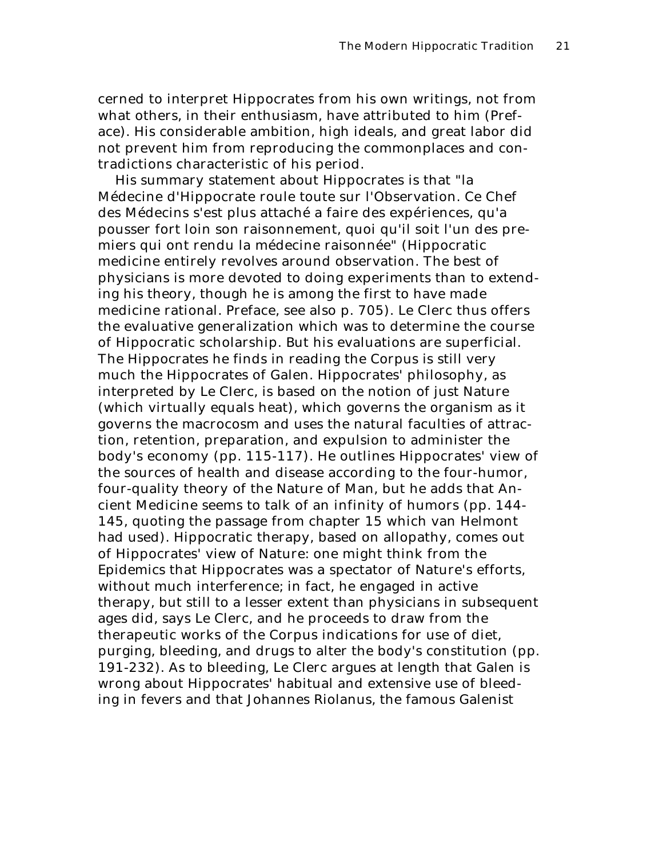cerned to interpret Hippocrates from his own writings, not from what others, in their enthusiasm, have attributed to him (Preface). His considerable ambition, high ideals, and great labor did not prevent him from reproducing the commonplaces and contradictions characteristic of his period.

 His summary statement about Hippocrates is that "la Médecine d'Hippocrate roule toute sur l'Observation. Ce Chef des Médecins s'est plus attaché a faire des expériences, qu'a pousser fort loin son raisonnement, quoi qu'il soit l'un des premiers qui ont rendu la médecine raisonnée" (Hippocratic medicine entirely revolves around observation. The best of physicians is more devoted to doing experiments than to extending his theory, though he is among the first to have made medicine rational. Preface, see also p. 705). Le Clerc thus offers the evaluative generalization which was to determine the course of Hippocratic scholarship. But his evaluations are superficial. The Hippocrates he finds in reading the Corpus is still very much the Hippocrates of Galen. Hippocrates' philosophy, as interpreted by Le CIerc, is based on the notion of just Nature (which virtually equals heat), which governs the organism as it governs the macrocosm and uses the natural faculties of attraction, retention, preparation, and expulsion to administer the body's economy (pp. 115-117). He outlines Hippocrates' view of the sources of health and disease according to the four-humor, four-quality theory of the *Nature of Man*, but he adds that Ancient Medicine seems to talk of an infinity of humors (pp. 144- 145, quoting the passage from chapter 15 which van Helmont had used). Hippocratic therapy, based on allopathy, comes out of Hippocrates' view of Nature: one might think from the *Epidemics* that Hippocrates was a spectator of Nature's efforts, without much interference; in fact, he engaged in active therapy, but still to a lesser extent than physicians in subsequent ages did, says Le Clerc, and he proceeds to draw from the therapeutic works of the Corpus indications for use of diet, purging, bleeding, and drugs to alter the body's constitution (pp. 191-232). As to bleeding, Le Clerc argues at length that Galen is wrong about Hippocrates' habitual and extensive use of bleeding in fevers and that Johannes Riolanus, the famous Galenist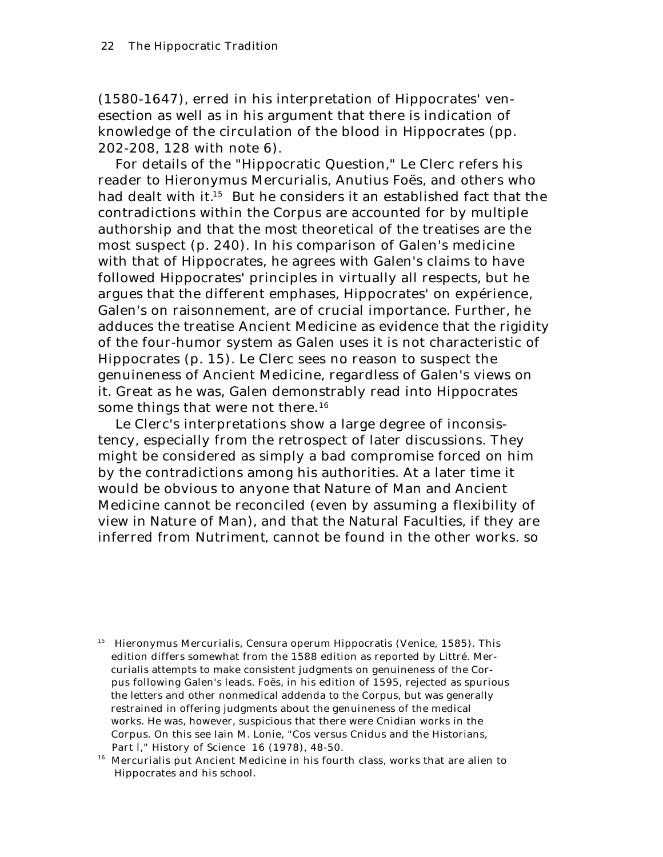(1580-1647), erred in his interpretation of Hippocrates' venesection as well as in his argument that there is indication of knowledge of the circulation of the blood in Hippocrates (pp. 202-208, 128 with note 6).

 For details of the "Hippocratic Question," Le Clerc refers his reader to Hieronymus Mercurialis, Anutius Foës, and others who had dealt with it.<sup>15</sup> But he considers it an established fact that the contradictions within the Corpus are accounted for by multiple authorship and that the most theoretical of the treatises are the most suspect (p. 240). In his comparison of Galen's medicine with that of Hippocrates, he agrees with Galen's claims to have followed Hippocrates' principles in virtually all respects, but he argues that the different emphases, Hippocrates' on *expérience*, Galen's on *raisonnement*, are of crucial importance. Further, he adduces the treatise *Ancient Medicine* as evidence that the rigidity of the four-humor system as Galen uses it is not characteristic of Hippocrates (p. 15). Le Clerc sees no reason to suspect the genuineness of *Ancient Medicine*, regardless of Galen's views on it. Great as he was, Galen demonstrably read into Hippocrates some things that were not there.<sup>16</sup>

 Le Clerc's interpretations show a large degree of inconsistency, especially from the retrospect of later discussions. They might be considered as simply a bad compromise forced on him by the contradictions among his authorities. At a later time it would be obvious to anyone that *Nature of Man* and *Ancient Medicine* cannot be reconciled (even by assuming a flexibility of view in *Nature of Man*), and that the Natural Faculties, if they are inferred from *Nutriment*, cannot be found in the other works. so

<sup>15</sup> Hieronymus Mercurialis, *Censura operum Hippocratis* (Venice, 1585). This edition differs somewhat from the 1588 edition as reported by Littré. Mer curialis attempts to make consistent judgments on genuineness of the Cor pus following Galen's leads. Foës, in his edition of 1595, rejected as spurious the letters and other nonmedical addenda to the Corpus, but was generalIy restrained in offering judgments about the genuineness of the medical works. He was, however, suspicious that there were Cnidian works in the Corpus. On this see Iain M. Lonie, "Cos versus Cnidus and the Historians, Part l," *History of Science* 16 (1978), 48-50.

<sup>&</sup>lt;sup>16</sup> Mercurialis put *Ancient Medicine* in his fourth class, works that are alien to Hippocrates and his school.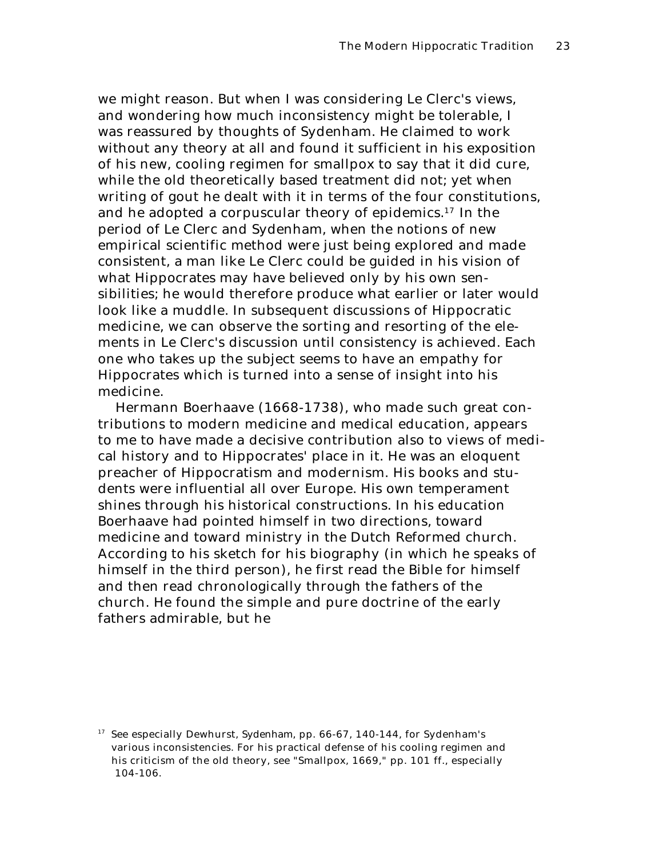*we* might reason. But when I was considering Le Clerc's views, and wondering how much inconsistency might be tolerable, I was reassured by thoughts of Sydenham. He claimed to work without any theory at all and found it sufficient in his exposition of his new, cooling regimen for smallpox to say that it did cure, while the old theoretically based treatment did not; yet when writing of gout he dealt with it in terms of the four constitutions, and he adopted a corpuscular theory of epidemics.<sup>17</sup> In the period of Le Clerc and Sydenham, when the notions of new empirical scientific method were just being explored and made consistent, a man like Le Clerc could be guided in his vision of what Hippocrates may have believed only by his own sensibilities; he would therefore produce what earlier or later would look like a muddle. In subsequent discussions of Hippocratic medicine, we can observe the sorting and resorting of the elements in Le Clerc's discussion until consistency is achieved. Each one who takes up the subject seems to have an empathy for Hippocrates which is turned into a sense of insight into his medicine.

 Hermann Boerhaave (1668-1738), who made such great contributions to modern medicine and medical education, appears to me to have made a decisive contribution also to views of medical history and to Hippocrates' place in it. He was an eloquent preacher of Hippocratism and modernism. His books and students were influential all over Europe. His own temperament shines through his historical constructions. In his education Boerhaave had pointed himself in two directions, toward medicine and toward ministry in the Dutch Reformed church. According to his sketch for his biography (in which he speaks of himself in the third person), he first read the Bible for himself and then read chronologically through the fathers of the church. He found the simple and pure doctrine of the early fathers admirable, but he

<sup>17</sup> See especially Dewhurst, *Sydenham*, pp. 66-67, 140-144, for Sydenham's various inconsistencies. For his practical defense of his cooling regimen and his criticism of the old theory, see "Smallpox, 1669," pp. 101 ff., especially 104-106.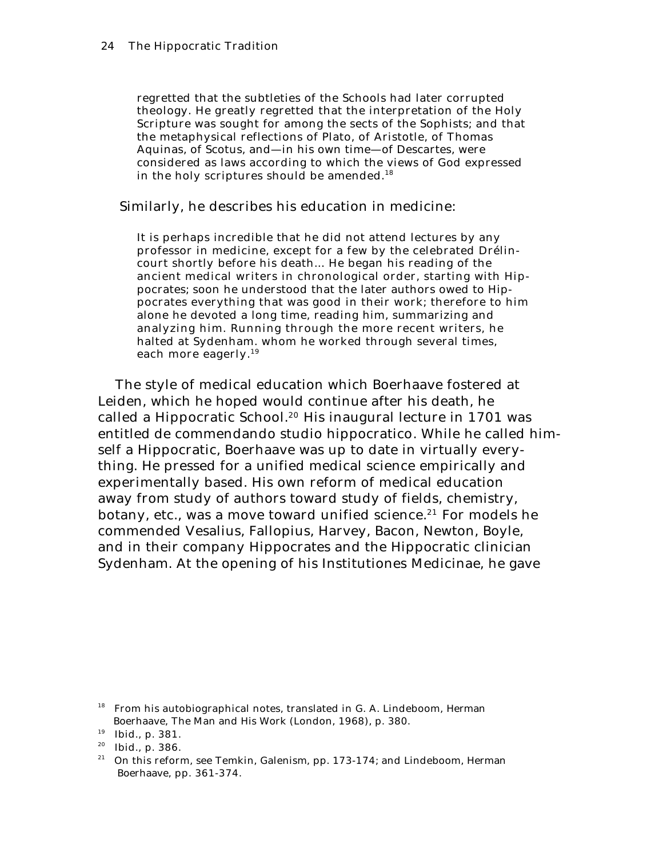regretted that the subtleties of the Schools had later corrupted theology. He greatly regretted that the interpretation of the Holy Scripture was sought for among the sects of the Sophists; and that the metaphysical reflections of Plato, of Aristotle, of Thomas Aquinas, of Scotus, and—in his own time—of Descartes, were considered as laws according to which the views of God expressed in the holy scriptures should be amended.<sup>18</sup>

#### Similarly, he describes his education in medicine:

It is perhaps incredible that he did not attend lectures by any professor in medicine, except for a few by the celebrated Drélincourt shortly before his death... He began his reading of the ancient medical writers in chronological order, starting with Hippocrates; soon he understood that the later authors owed to Hippocrates everything that was good in their work; therefore to him alone he devoted a long time, reading him, summarizing and analyzing him. Running through the more recent writers, he halted at Sydenham. whom he worked through several times, each more eagerly.<sup>19</sup>

 The style of medical education which Boerhaave fostered at Leiden, which he hoped would continue after his death, he called a Hippocratic School.<sup>20</sup> His inaugural lecture in 1701 was entitled *de commendando studio hippocratico*. While he called himself a Hippocratic, Boerhaave was up to date in virtually everything. He pressed for a unified medical science empirically and experimentally based. His own reform of medical education away from study of authors toward study of fields, chemistry, botany, etc., was a move toward unified science.<sup>21</sup> For models he commended Vesalius, Fallopius, Harvey, Bacon, Newton, Boyle, and in their company Hippocrates and the Hippocratic clinician Sydenham. At the opening of his *Institutiones Medicinae*, he gave

<sup>18</sup> From his autobiographical notes, translated in G. A. Lindeboom, *Herman Boerhaave*, *The Man and His Work* (London, 1968), p. 380.

<sup>19</sup> Ibid., p. 381.

<sup>20</sup> Ibid., p. 386.

<sup>21</sup> On this reform, see Temkin, *Galenism*, pp. 173-174; and Lindeboom, *Herman Boerhaave*, pp. 361-374.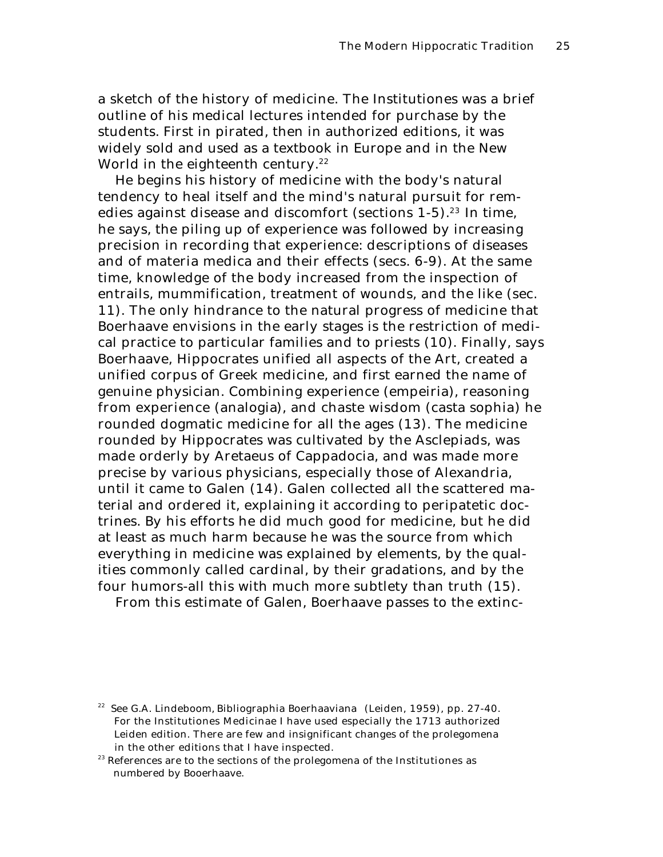a sketch of the history of medicine. The *Institutiones* was a brief outline of his medical lectures intended for purchase by the students. First in pirated, then in authorized editions, it was widely sold and used as a textbook in Europe and in the New World in the eighteenth century.<sup>22</sup>

 He begins his history of medicine with the body's natural tendency to heal itself and the mind's natural pursuit for remedies against disease and discomfort (sections  $1-5$ ).<sup>23</sup> In time, he says, the piling up of experience was followed by increasing precision in recording that experience: descriptions of diseases and of materia medica and their effects (secs. 6-9). At the same time, knowledge of the body increased from the inspection of entrails, mummification, treatment of wounds, and the like (sec. 11). The only hindrance to the natural progress of medicine that Boerhaave envisions in the early stages is the restriction of medical practice to particular families and to priests (10). Finally, says Boerhaave, Hippocrates unified all aspects of the Art, created a unified corpus of Greek medicine, and first earned the name of genuine physician. Combining experience (*empeiria*), reasoning from experience (*analogia*), and chaste wisdom (*casta sophia*) he rounded dogmatic medicine for all the ages (13). The medicine rounded by Hippocrates was cultivated by the Asclepiads, was made orderly by Aretaeus of Cappadocia, and was made more precise by various physicians, especially those of Alexandria, until it came to Galen (14). Galen collected all the scattered material and ordered it, explaining it according to peripatetic doctrines. By his efforts he did much good for medicine, but he did at least as much harm because he was the source from which everything in medicine was explained by elements, by the qualities commonly called cardinal, by their gradations, and by the four humors-all this with much more subtlety than truth (15).

From this estimate of Galen, Boerhaave passes to the extinc-

<sup>22</sup> See G.A. Lindeboom, *Bibliographia Boerhaaviana* (Leiden, 1959), pp. 27-40. For the *Institutiones Medicinae* I have used especially the 1713 authorized Leiden edition. There are few and insignificant changes of the prolegomena in the other editions that I have inspected.

<sup>23</sup> References are to the sections of the prolegomena of the *Institutiones* as numbered by Booerhaave.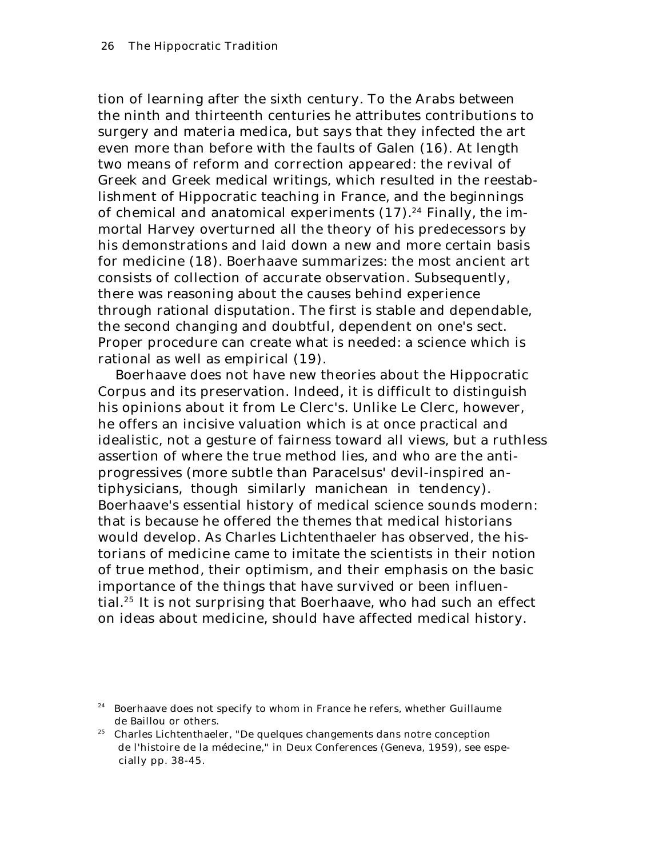tion of learning after the sixth century. To the Arabs between the ninth and thirteenth centuries he attributes contributions to surgery and materia medica, but says that they infected the art even more than before with the faults of Galen (16). At length two means of reform and correction appeared: the revival of Greek and Greek medical writings, which resulted in the reestablishment of Hippocratic teaching in France, and the beginnings of chemical and anatomical experiments  $(17).<sup>24</sup>$  Finally, the immortal Harvey overturned all the theory of his predecessors by his demonstrations and laid down a new and more certain basis for medicine (18). Boerhaave summarizes: the most ancient art consists of collection of accurate observation. Subsequently, there was reasoning about the causes behind experience through rational disputation. The first is stable and dependable, the second changing and doubtful, dependent on one's sect. Proper procedure can create what is needed: a science which is rational as well as empirical (19).

 Boerhaave does not have new theories about the Hippocratic Corpus and its preservation. Indeed, it is difficult to distinguish his opinions about it from Le Clerc's. Unlike Le Clerc, however, he offers an incisive valuation which is at once practical and idealistic, not a gesture of fairness toward all views, but a ruthless assertion of where the true method lies, and who are the antiprogressives (more subtle than Paracelsus' devil-inspired antiphysicians, though similarly manichean in tendency). Boerhaave's essential history of medical science sounds modern: that is because he offered the themes that medical historians would develop. As Charles Lichtenthaeler has observed, the historians of medicine came to imitate the scientists in their notion of true method, their optimism, and their emphasis on the basic importance of the things that have survived or been influential.<sup>25</sup> It is not surprising that Boerhaave, who had such an effect on ideas about medicine, should have affected medical history.

 $24$  Boerhaave does not specify to whom in France he refers, whether Guillaume de Baillou or others.

<sup>&</sup>lt;sup>25</sup> Charles Lichtenthaeler, "De quelques changements dans notre conception de l'histoire de la médecine," in *Deux Conferences* (Geneva, 1959), see espe cially pp. 38-45.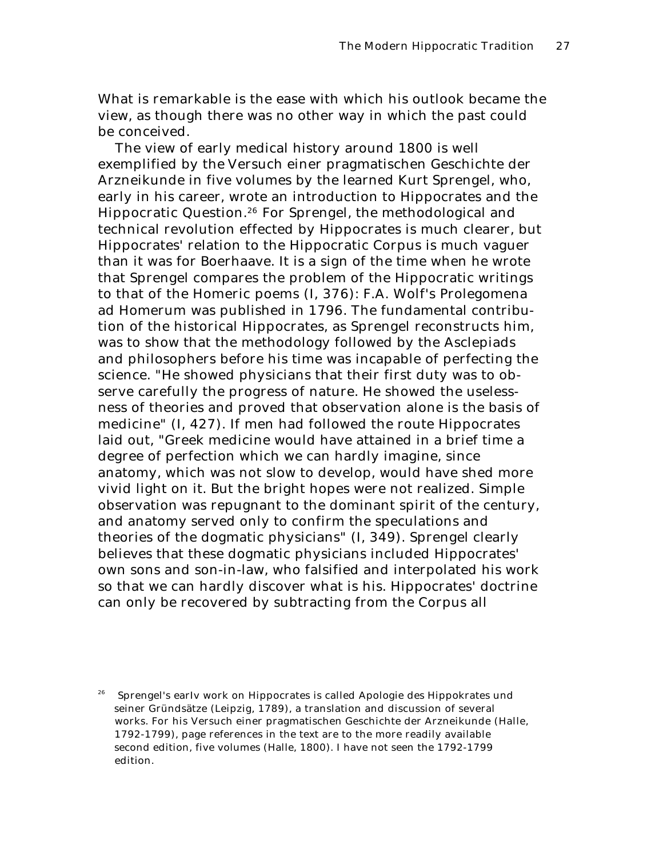What is remarkable is the ease with which his outlook became *the* view, as though there was no other way in which the past could be conceived.

 The view of early medical history around 1800 is well exemplified by the *Versuch einer pragmatischen Geschichte der Arzneikunde* in five volumes by the learned Kurt Sprengel, who, early in his career, wrote an introduction to Hippocrates and the Hippocratic Question.<sup>26</sup> For Sprengel, the methodological and technical revolution effected by Hippocrates is much clearer, but Hippocrates' relation to the Hippocratic Corpus is much vaguer than it was for Boerhaave. It is a sign of the time when he wrote that Sprengel compares the problem of the Hippocratic writings to that of the Homeric poems (I, 376): F.A. Wolf's *Prolegomena ad Homerum* was published in 1796. The fundamental contribution of the historical Hippocrates, as Sprengel reconstructs him, was to show that the methodology followed by the Asclepiads and philosophers before his time was incapable of perfecting the science. "He showed physicians that their first duty was to observe carefully the progress of nature. He showed the uselessness of theories and proved that observation alone is the basis of medicine" (I, 427). If men had followed the route Hippocrates laid out, "Greek medicine would have attained in a brief time a degree of perfection which we can hardly imagine, since anatomy, which was not slow to develop, would have shed more vivid light on it. But the bright hopes were not realized. Simple observation was repugnant to the dominant spirit of the century, and anatomy served only to confirm the speculations and theories of the dogmatic physicians" (I, 349). Sprengel clearly believes that these dogmatic physicians included Hippocrates' own sons and son-in-law, who falsified and interpolated his work so that we can hardly discover what is his. Hippocrates' doctrine can only be recovered by subtracting from the Corpus all

<sup>26</sup> Sprengel's earIv work on Hippocrates is called *Apologie des Hippokrates und seiner Gründsätze* (Leipzig, 1789), a translation and discussion of several works. For his *Versuch einer pragmatischen Geschichte der Arzneikunde* (Halle, 1792-1799), page references in the text are to the more readily available second edition, five volumes (Halle, 1800). I have not seen the 1792-1799 edition.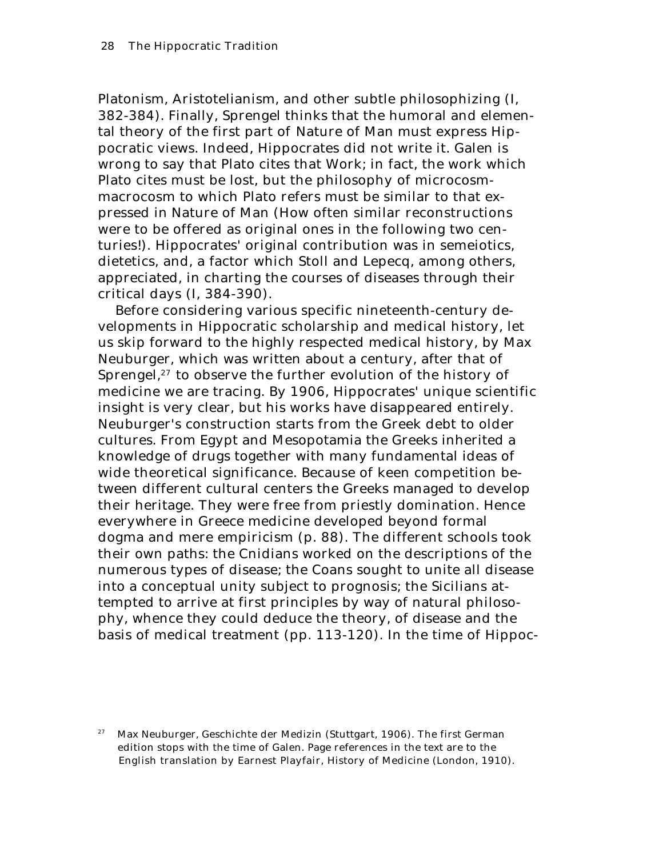Platonism, Aristotelianism, and other subtle philosophizing (I, 382-384). Finally, Sprengel thinks that the humoral and elemental theory of the first part of *Nature of Man* must express Hippocratic views. Indeed, Hippocrates did not write it. Galen is wrong to say that Plato cites that Work; in fact, the work which Plato cites must be lost, but the philosophy of microcosmmacrocosm to which Plato refers must be similar to that expressed in *Nature of Man* (How often similar reconstructions were to be offered as original ones in the following two centuries!). Hippocrates' original contribution was in semeiotics, dietetics, and, a factor which Stoll and Lepecq, among others, appreciated, in charting the courses of diseases through their critical days (I, 384-390).

 Before considering various specific nineteenth-century developments in Hippocratic scholarship and medical history, let us skip forward to the highly respected medical history, by Max Neuburger, which was written about a century, after that of Sprengel, $27$  to observe the further evolution of the history of medicine we are tracing. By 1906, Hippocrates' unique scientific insight is very clear, but his works have disappeared entirely. Neuburger's construction starts from the Greek debt to older cultures. From Egypt and Mesopotamia the Greeks inherited a knowledge of drugs together with many fundamental ideas of wide theoretical significance. Because of keen competition between different cultural centers the Greeks managed to develop their heritage. They were free from priestly domination. Hence everywhere in Greece medicine developed beyond formal dogma and mere empiricism (p. 88). The different schools took their own paths: the Cnidians worked on the descriptions of the numerous types of disease; the Coans sought to unite all disease into a conceptual unity subject to prognosis; the Sicilians attempted to arrive at first principles by way of natural philosophy, whence they could deduce the theory, of disease and the basis of medical treatment (pp. 113-120). In the time of Hippoc-

<sup>27</sup> Max Neuburger, *Geschichte der Medizin* (Stuttgart, 1906). The first German edition stops with the time of Galen. Page references in the text are to the English translation by Earnest Playfair, *History of Medicine* (London, 1910).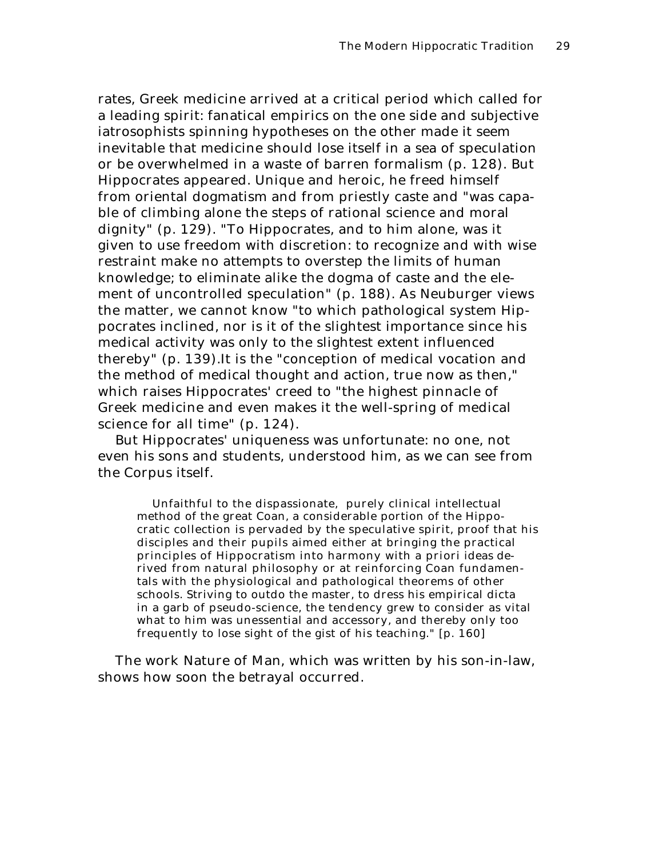rates, Greek medicine arrived at a critical period which called for a leading spirit: fanatical empirics on the one side and subjective iatrosophists spinning hypotheses on the other made it seem inevitable that medicine should lose itself in a sea of speculation or be overwhelmed in a waste of barren formalism (p. 128). But Hippocrates appeared. Unique and heroic, he freed himself from oriental dogmatism and from priestly caste and "was capable of climbing alone the steps of rational science and moral dignity" (p. 129). "To Hippocrates, and to him alone, was it given to use freedom with discretion: to recognize and with wise restraint make no attempts to overstep the limits of human knowledge; to eliminate alike the dogma of caste and the element of uncontrolled speculation" (p. 188). As Neuburger views the matter, we cannot know "to which pathological system Hippocrates inclined, nor is it of the slightest importance since his medical activity was only to the slightest extent influenced thereby" (p. 139).It is the "conception of medical vocation and the method of medical thought and action, true now as then," which raises Hippocrates' creed to "the highest pinnacle of Greek medicine and even makes it the well-spring of medical science for all time" (p. 124).

 But Hippocrates' uniqueness was unfortunate: no one, not even his sons and students, understood him, as we can see from the Corpus itself.

 Unfaithful to the dispassionate, purely clinical intellectual method of the great Coan, a considerable portion of the Hippocratic collection is pervaded by the speculative spirit, proof that his disciples and their pupils aimed either at bringing the practical principles of Hippocratism into harmony with *a priori* ideas derived from natural philosophy or at reinforcing Coan fundamentals with the physiological and pathological theorems of other schools. Striving to outdo the master, to dress his empirical dicta in a garb of pseudo-science, the tendency grew to consider as vital what to him was unessential and accessory, and thereby only too frequently to lose sight of the gist of his teaching." [p. 160]

 The work *Nature of Man*, which was written by his son-in-law, shows how soon the betrayal occurred.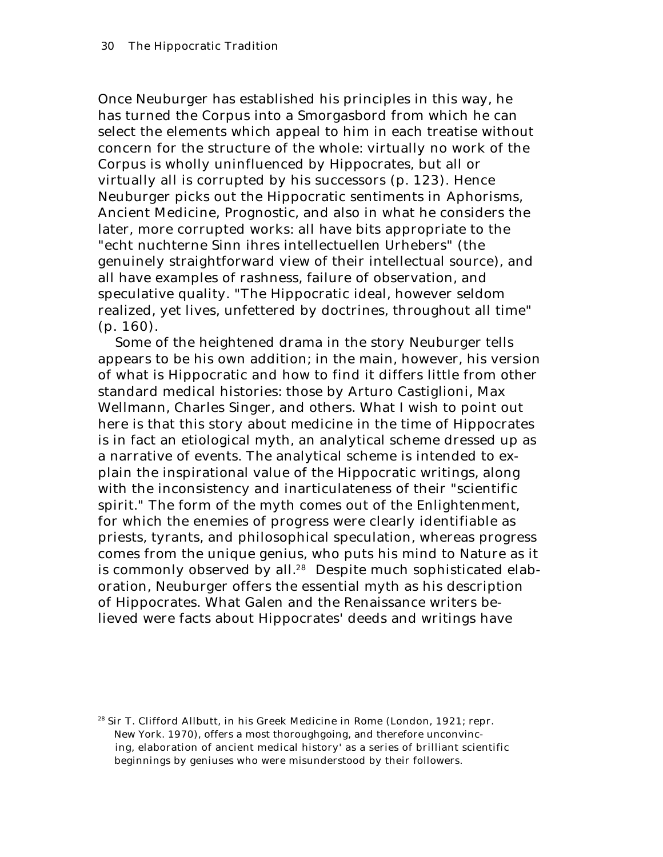Once Neuburger has established his principles in this way, he has turned the Corpus into a Smorgasbord from which he can select the elements which appeal to him in each treatise without concern for the structure of the whole: virtually no work of the Corpus is wholly uninfluenced by Hippocrates, but all or virtually all is corrupted by his successors (p. 123). Hence Neuburger picks out the Hippocratic sentiments in *Aphorisms*, *Ancient Medicine*, *Prognostic*, and also in what he considers the later, more corrupted works: all have bits appropriate to the "echt nuchterne Sinn ihres intellectuellen Urhebers" (the genuinely straightforward view of their intellectual source), and all have examples of rashness, failure of observation, and speculative quality. "The Hippocratic ideal, however seldom realized, yet lives, unfettered by doctrines, throughout all time" (p. 160).

 Some of the heightened drama in the story Neuburger tells appears to be his own addition; in the main, however, his version of what is Hippocratic and how to find it differs little from other standard medical histories: those by Arturo Castiglioni, Max Wellmann, Charles Singer, and others. What I wish to point out here is that this story about medicine in the time of Hippocrates is in fact an etiological myth, an analytical scheme dressed up as a narrative of events. The analytical scheme is intended to explain the inspirational value of the Hippocratic writings, along with the inconsistency and inarticulateness of their "scientific spirit." The form of the myth comes out of the Enlightenment, for which the enemies of progress were clearly identifiable as priests, tyrants, and philosophical speculation, whereas progress comes from the unique genius, who puts his mind to Nature as it is commonly observed by all.<sup>28</sup> Despite much sophisticated elaboration, Neuburger offers the essential myth as his description of Hippocrates. What Galen and the Renaissance writers believed were facts about Hippocrates' deeds and writings have

 $28$  Sir T. Clifford Allbutt, in his Greek Medicine in Rome (London, 1921; repr. New York. 1970), offers a most thoroughgoing, and therefore unconvinc ing, elaboration of ancient medical history' as a series of brilliant scientific beginnings by geniuses who were misunderstood by their followers.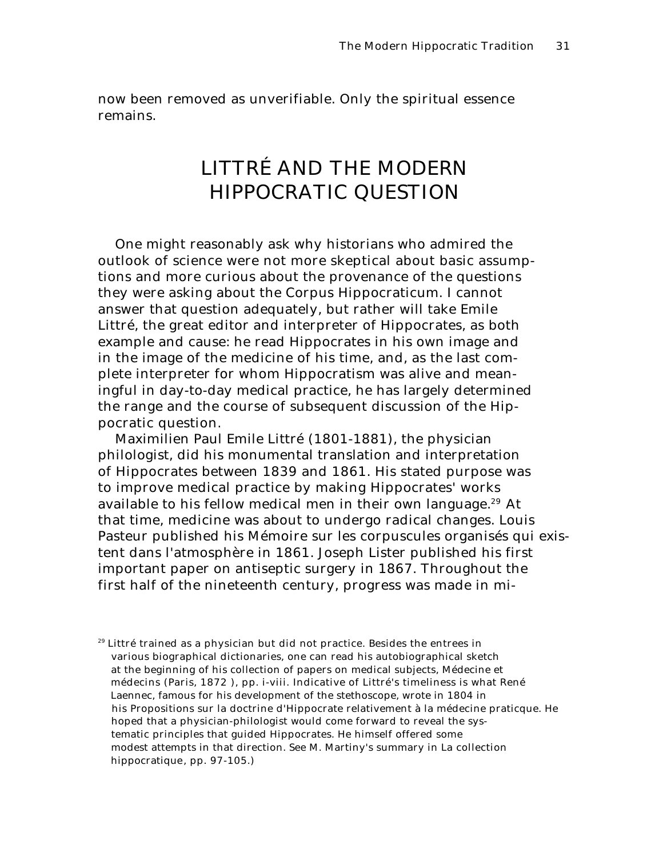now been removed as unverifiable. Only the spiritual essence remains.

## LITTRÉ AND THE MODERN HIPPOCRATIC QUESTION

 One might reasonably ask why historians who admired the outlook of science were not more skeptical about basic assumptions and more curious about the provenance of the questions they were asking about the Corpus Hippocraticum. I cannot answer that question adequately, but rather will take Emile Littré, the great editor and interpreter of Hippocrates, as both example and cause: he read Hippocrates in his own image and in the image of the medicine of his time, and, as the last complete interpreter for whom Hippocratism was alive and meaningful in day-to-day medical practice, he has largely determined the range and the course of subsequent discussion of the Hippocratic question.

 Maximilien Paul Emile Littré (1801-1881), the physician philologist, did his monumental translation and interpretation of Hippocrates between 1839 and 1861. His stated purpose was to improve medical practice by making Hippocrates' works available to his fellow medical men in their own language.<sup>29</sup> At that time, medicine was about to undergo radical changes. Louis Pasteur published his Mémoire sur les corpuscules organisés qui existent dans l'atmosphère in 1861. Joseph Lister published his first important paper on antiseptic surgery in 1867. Throughout the first half of the nineteenth century, progress was made in mi-

 $29$  Littré trained as a physician but did not practice. Besides the entrees in various biographical dictionaries, one can read his autobiographical sketch at the beginning of his collection of papers on medical subjects, *Médecine et* médecins (Paris, 1872 ), pp. i-viii. Indicative of Littré's timeliness is what René Laennec, famous for his development of the stethoscope, wrote in 1804 in his *Propositions sur la doctrine d'Hippocrate relativement à la médecine praticque*. He hoped that a physician-philologist would come forward to reveal the sys tematic principles that guided Hippocrates. He himself offered some modest attempts in that direction. See M. Martiny's summary in *La collection hippocratique*, pp. 97-105.)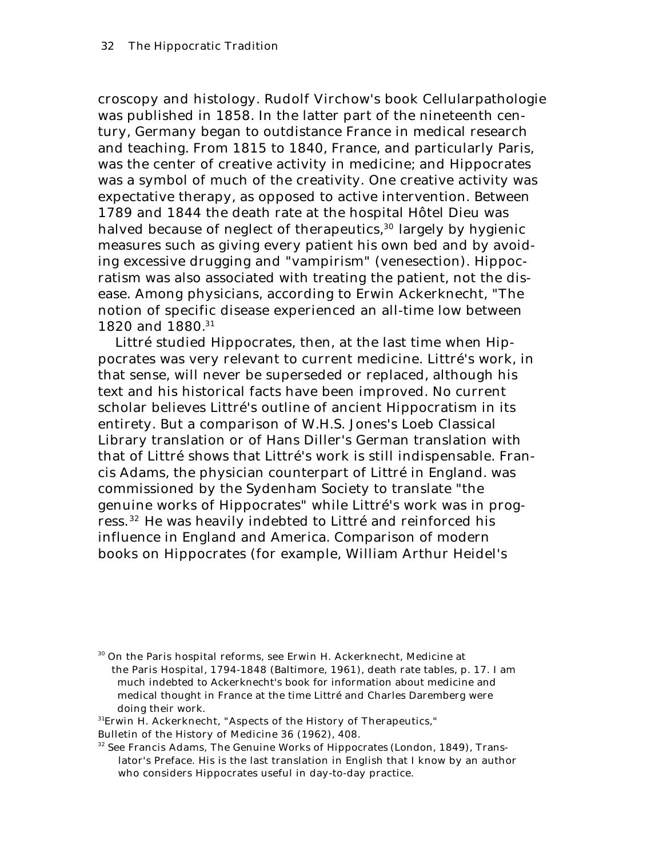croscopy and histology. Rudolf Virchow's book *Cellularpathologie* was published in 1858. In the latter part of the nineteenth century, Germany began to outdistance France in medical research and teaching. From 1815 to 1840, France, and particularly Paris, was the center of creative activity in medicine; and Hippocrates was a symbol of much of the creativity. One creative activity was expectative therapy, as opposed to active intervention. Between 1789 and 1844 the death rate at the hospital Hôtel Dieu was halved because of neglect of therapeutics,<sup>30</sup> largely by hygienic measures such as giving every patient his own bed and by avoiding excessive drugging and "vampirism" (venesection). Hippocratism was also associated with treating the patient, not the disease. Among physicians, according to Erwin Ackerknecht, "The notion of specific disease experienced an all-time low between 1820 and 1880.<sup>31</sup>

 Littré studied Hippocrates, then, at the last time when Hippocrates was very relevant to current medicine. Littré's work, in that sense, will never be superseded or replaced, although his text and his historical facts have been improved. No current scholar believes Littré's outline of ancient Hippocratism in its entirety. But a comparison of W.H.S. Jones's Loeb Classical Library translation or of Hans Diller's German translation with that of Littré shows that Littré's work is still indispensable. Francis Adams, the physician counterpart of Littré in England. was commissioned by the Sydenham Society to translate "the genuine works of Hippocrates" while Littré's work was in progress.32 He was heavily indebted to Littré and reinforced his influence in England and America. Comparison of modern books on Hippocrates (for example, William Arthur Heidel's

- <sup>31</sup>Erwin H. Ackerknecht, "Aspects of the History of Therapeutics," *Bulletin of the History of Medicine* 36 (1962), 408.
- <sup>32</sup> See Francis Adams, *The Genuine Works of Hippocrates* (London, 1849), Trans lator's Preface. His is the last translation in English that I know by an author who considers Hippocrates useful in day-to-day practice.

<sup>30</sup> On the Paris hospital reforms, see Erwin H. Ackerknecht, *Medicine at the Paris Hospital*, 1794-1848 (Baltimore, 1961), death rate tables, p. 17. I am much indebted to Ackerknecht's book for information about medicine and medical thought in France at the time Littré and Charles Daremberg were doing their work.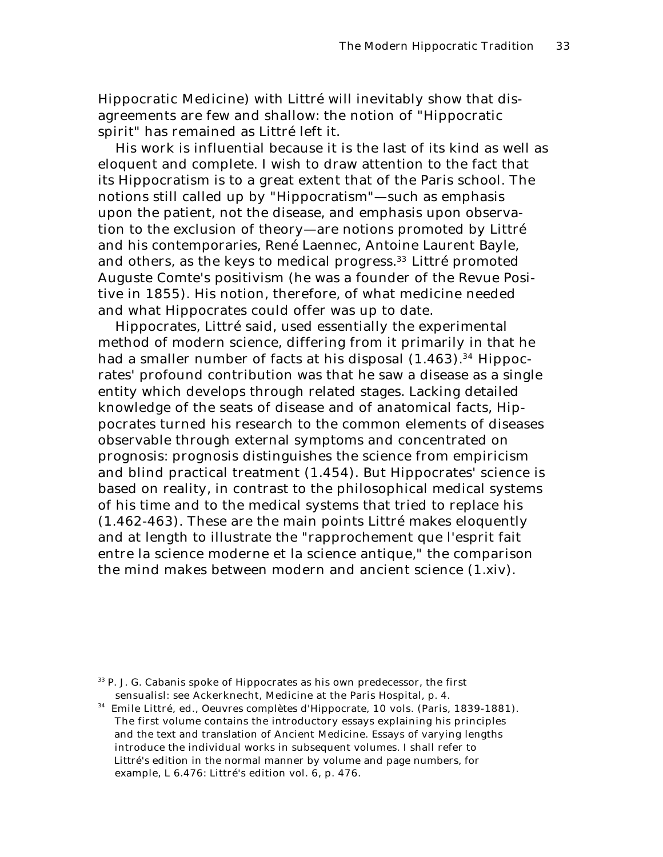*Hippocratic Medicine*) with Littré will inevitably show that disagreements are few and shallow: the notion of "Hippocratic spirit" has remained as Littré left it.

 His work is influential because it is the last of its kind as well as eloquent and complete. I wish to draw attention to the fact that its Hippocratism is to a great extent that of the Paris school. The notions still called up by "Hippocratism"—such as emphasis upon the patient, not the disease, and emphasis upon observation to the exclusion of theory—are notions promoted by Littré and his contemporaries, René Laennec, Antoine Laurent Bayle, and others, as the keys to medical progress.<sup>33</sup> Littré promoted Auguste Comte's positivism (he was a founder of the Revue Positive in 1855). His notion, therefore, of what medicine needed and what Hippocrates could offer was up to date.

 Hippocrates, Littré said, used essentially the experimental method of modern science, differing from it primarily in that he had a smaller number of facts at his disposal  $(1.463).<sup>34</sup>$  Hippocrates' profound contribution was that he saw a disease as a single entity which develops through related stages. Lacking detailed knowledge of the seats of disease and of anatomical facts, Hippocrates turned his research to the common elements of diseases observable through external symptoms and concentrated on prognosis: prognosis distinguishes the science from empiricism and blind practical treatment (1.454). But Hippocrates' science is based on reality, in contrast to the philosophical medical systems of his time and to the medical systems that tried to replace his (1.462-463). These are the main points Littré makes eloquently and at length to illustrate the "rapprochement que l'esprit fait entre la science moderne et la science antique," the comparison the mind makes between modern and ancient science (1.xiv).

 $33$  P. J. G. Cabanis spoke of Hippocrates as his own predecessor, the first sensualisl: see Ackerknecht, *Medicine at the Paris Hospital*, p. 4.

<sup>34</sup> Emile Littré, ed., *Oeuvres complètes d'Hippocrate*, 10 vols. (Paris, 1839-1881). The first volume contains the introductory essays explaining his principles and the text and translation of *Ancient Medicine*. Essays of varying lengths introduce the individual works in subsequent volumes. I shall refer to Littré's edition in the normal manner by volume and page numbers, for example, L 6.476: Littré's edition vol. 6, p. 476.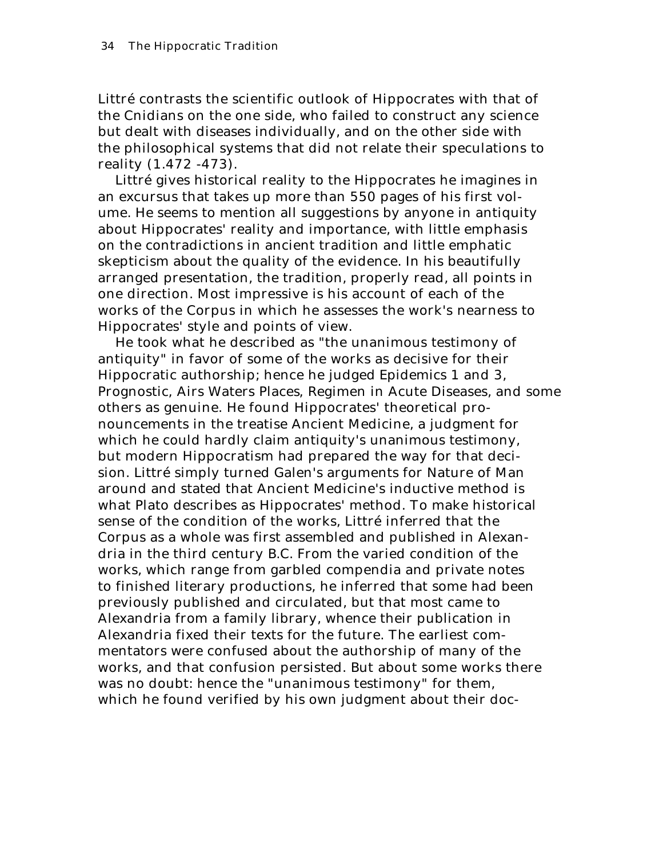Littré contrasts the scientific outlook of Hippocrates with that of the Cnidians on the one side, who failed to construct any science but dealt with diseases individually, and on the other side with the philosophical systems that did not relate their speculations to reality (1.472 -473).

 Littré gives historical reality to the Hippocrates he imagines in an excursus that takes up more than 550 pages of his first volume. He seems to mention all suggestions by anyone in antiquity about Hippocrates' reality and importance, with little emphasis on the contradictions in ancient tradition and little emphatic skepticism about the quality of the evidence. In his beautifully arranged presentation, the tradition, properly read, all points in one direction. Most impressive is his account of each of the works of the Corpus in which he assesses the work's nearness to Hippocrates' style and points of view.

 He took what he described as "the unanimous testimony of antiquity" in favor of some of the works as decisive for their Hippocratic authorship; hence he judged *Epidemics* 1 and 3, *Prognostic*, *Airs Waters Places*, *Regimen in Acute Diseases*, and some others as genuine. He found Hippocrates' theoretical pronouncements in the treatise *Ancient Medicine*, a judgment for which he could hardly claim antiquity's unanimous testimony, but modern Hippocratism had prepared the way for that decision. Littré simply turned Galen's arguments for *Nature of Man* around and stated that *Ancient Medicine*'s inductive method is what Plato describes as Hippocrates' method. To make historical sense of the condition of the works, Littré inferred that the Corpus as a whole was first assembled and published in Alexandria in the third century B.C. From the varied condition of the works, which range from garbled compendia and private notes to finished literary productions, he inferred that some had been previously published and circulated, but that most came to Alexandria from a family library, whence their publication in Alexandria fixed their texts for the future. The earliest commentators were confused about the authorship of many of the works, and that confusion persisted. But about some works there was no doubt: hence the "unanimous testimony" for them, which he found verified by his own judgment about their doc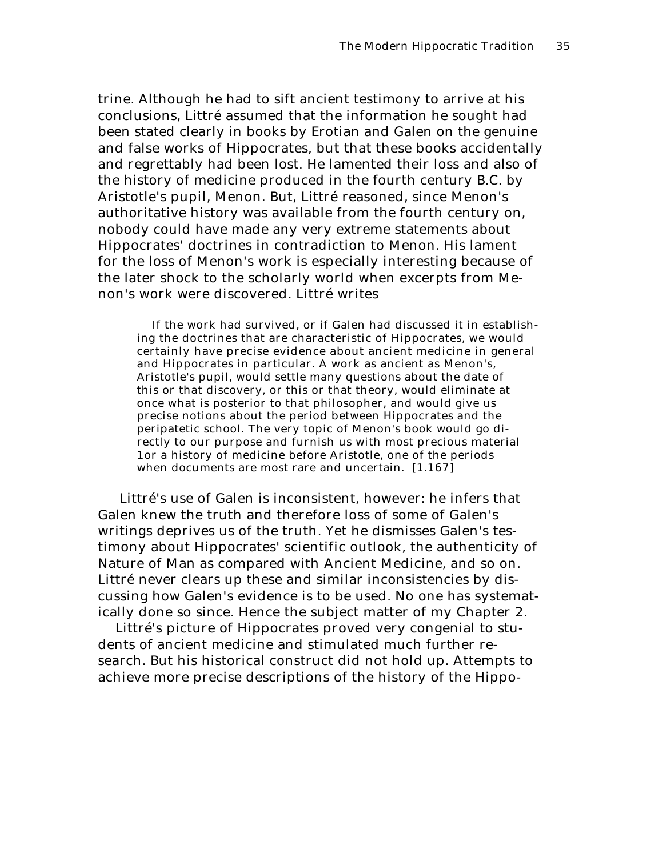trine. Although he had to sift ancient testimony to arrive at his conclusions, Littré assumed that the information he sought had been stated clearly in books by Erotian and Galen on the genuine and false works of Hippocrates, but that these books accidentally and regrettably had been lost. He lamented their loss and also of the history of medicine produced in the fourth century B.C. by Aristotle's pupil, Menon. But, Littré reasoned, since Menon's authoritative history was available from the fourth century on, nobody could have made any very extreme statements about Hippocrates' doctrines in contradiction to Menon. His lament for the loss of Menon's work is especially interesting because of the later shock to the scholarly world when excerpts from Menon's work were discovered. Littré writes

 If the work had survived, or if Galen had discussed it in establishing the doctrines that are characteristic of Hippocrates, we would certainly have precise evidence about ancient medicine in general and Hippocrates in particular. A work as ancient as Menon's, Aristotle's pupil, would settle many questions about the date of this or that discovery, or this or that theory, would eliminate at once what is posterior to that philosopher, and would give us precise notions about the period between Hippocrates and the peripatetic school. The very topic of Menon's book would go directly to our purpose and furnish us with most precious material 1or a history of medicine before Aristotle, one of the periods when documents are most rare and uncertain. [1.167]

 Littré's use of Galen is inconsistent, however: he infers that Galen knew the truth and therefore loss of some of Galen's writings deprives us of the truth. Yet he dismisses Galen's testimony about Hippocrates' scientific outlook, the authenticity of *Nature of Man* as compared with *Ancient Medicine*, and so on. Littré never clears up these and similar inconsistencies by discussing how Galen's evidence is to be used. No one has systematically done so since. Hence the subject matter of my Chapter 2.

 Littré's picture of Hippocrates proved very congenial to students of ancient medicine and stimulated much further research. But his historical construct did not hold up. Attempts to achieve more precise descriptions of the history of the Hippo-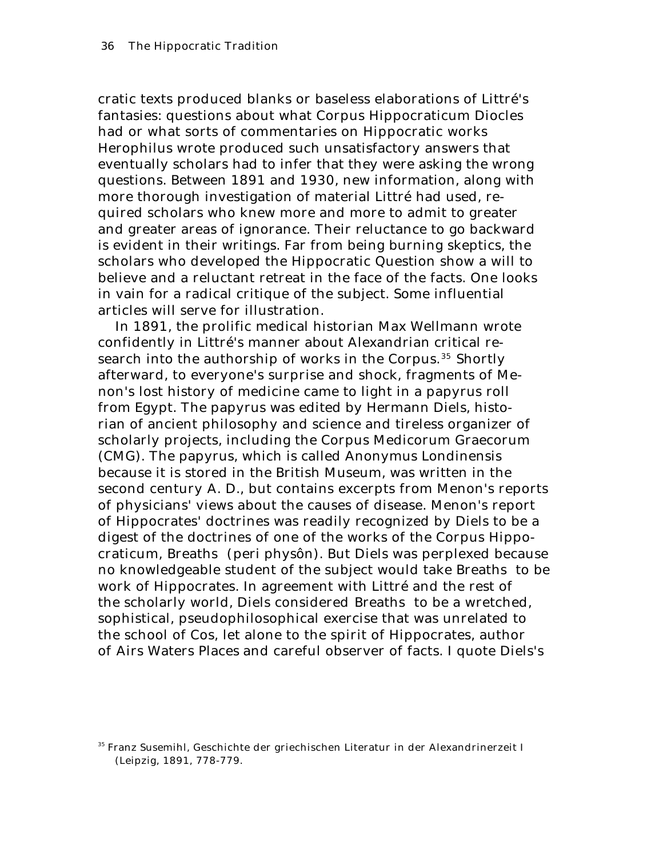cratic texts produced blanks or baseless elaborations of Littré's fantasies: questions about what Corpus Hippocraticum Diocles had or what sorts of commentaries on Hippocratic works Herophilus wrote produced such unsatisfactory answers that eventually scholars had to infer that they were asking the wrong questions. Between 1891 and 1930, new information, along with more thorough investigation of material Littré had used, required scholars who knew more and more to admit to greater and greater areas of ignorance. Their reluctance to go backward is evident in their writings. Far from being burning skeptics, the scholars who developed the Hippocratic Question show a will to believe and a reluctant retreat in the face of the facts. One looks in vain for a radical critique of the subject. Some influential articles will serve for illustration.

 In 1891, the prolific medical historian Max Wellmann wrote confidently in Littré's manner about Alexandrian critical research into the authorship of works in the Corpus.<sup>35</sup> Shortly afterward, to everyone's surprise and shock, fragments of Menon's lost history of medicine came to light in a papyrus roll from Egypt. The papyrus was edited by Hermann Diels, historian of ancient philosophy and science and tireless organizer of scholarly projects, including the Corpus Medicorum Graecorum (CMG). The papyrus, which is called Anonymus Londinensis because it is stored in the British Museum, was written in the second century A. D., but contains excerpts from Menon's reports of physicians' views about the causes of disease. Menon's report of Hippocrates' doctrines was readily recognized by Diels to be a digest of the doctrines of one of the works of the Corpus Hippocraticum, *Breaths* (*peri physôn*). But Diels was perplexed because no knowledgeable student of the subject would take *Breaths* to be work of Hippocrates. In agreement with Littré and the rest of the scholarly world, Diels considered *Breaths* to be a wretched, sophistical, pseudophilosophical exercise that was unrelated to the school of Cos, let alone to the spirit of Hippocrates, author of *Airs Waters Places* and careful observer of facts. I quote Diels's

<sup>35</sup> Franz Susemihl, *Geschichte der griechischen Literatur in der Alexandrinerzeit* I (Leipzig, 1891, 778-779.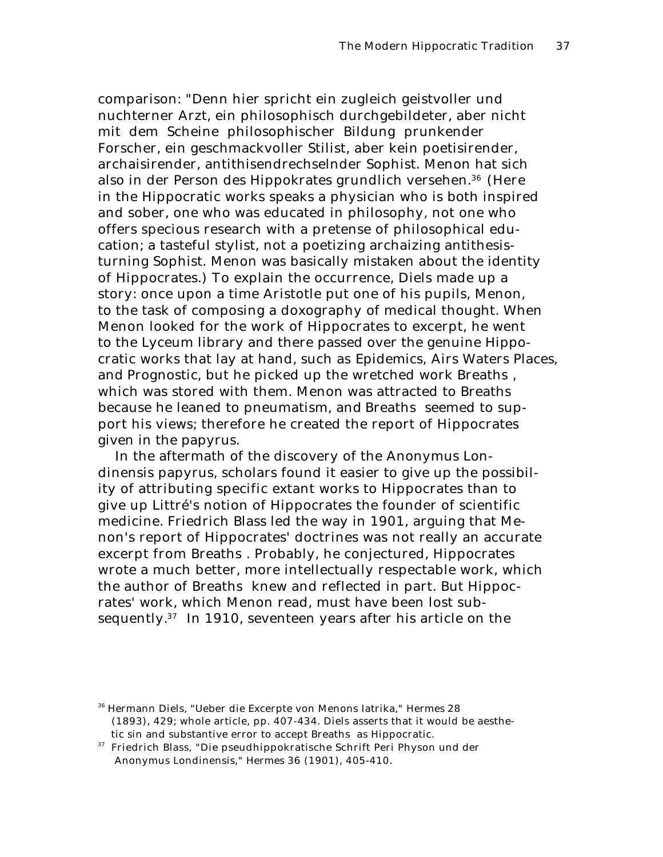comparison: "Denn hier spricht ein zugleich geistvoller und nuchterner Arzt, ein philosophisch durchgebildeter, aber nicht mit dem Scheine philosophischer Bildung prunkender Forscher, ein geschmackvoller Stilist, aber kein poetisirender, archaisirender, antithisendrechselnder Sophist. Menon hat sich also in der Person des Hippokrates grundlich versehen.<sup>36</sup> (Here in the Hippocratic works speaks a physician who is both inspired and sober, one who was educated in philosophy, not one who offers specious research with a pretense of philosophical education; a tasteful stylist, not a poetizing archaizing antithesisturning Sophist. Menon was basically mistaken about the identity of Hippocrates.) To explain the occurrence, Diels made up a story: once upon a time Aristotle put one of his pupils, Menon, to the task of composing a doxography of medical thought. When Menon looked for the work of Hippocrates to excerpt, he went to the Lyceum library and there passed over the genuine Hippocratic works that lay at hand, such as *Epidemics*, *Airs Waters Places*, and *Prognostic*, but he picked up the wretched work *Breaths* , which was stored with them. Menon was attracted to *Breaths* because he leaned to pneumatism, and *Breaths* seemed to support his views; therefore he created the report of Hippocrates given in the papyrus.

 In the aftermath of the discovery of the Anonymus Londinensis papyrus, scholars found it easier to give up the possibility of attributing specific extant works to Hippocrates than to give up Littré's notion of Hippocrates the founder of scientific medicine. Friedrich Blass led the way in 1901, arguing that Menon's report of Hippocrates' doctrines was not really an accurate excerpt from *Breaths* . Probably, he conjectured, Hippocrates wrote a much better, more intellectually respectable work, which the author of *Breaths* knew and reflected in part. But Hippocrates' work, which Menon read, must have been lost subsequently.<sup>37</sup> In 1910, seventeen years after his article on the

<sup>36</sup> Hermann Diels, "Ueber die Excerpte von Menons Iatrika," *Hermes* 28 (1893), 429; whole article, pp. 407-434. Diels asserts that it would be aesthe tic sin and substantive error to accept *Breaths* as Hippocratic.

<sup>37</sup> Friedrich Blass, "Die pseudhippokratische Schrift *Peri Physon* und der Anonymus Londinensis," *Hermes* 36 (1901), 405-410.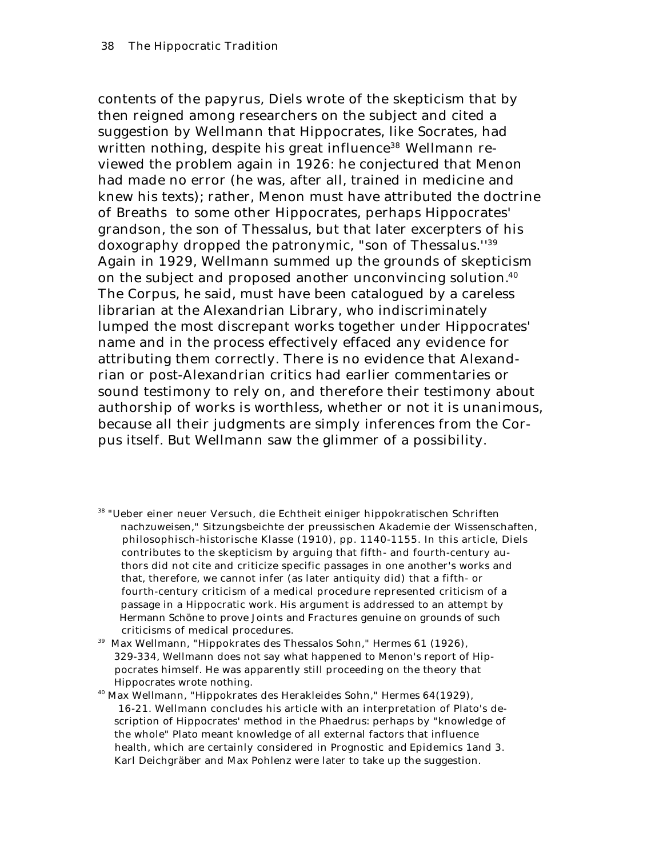contents of the papyrus, Diels wrote of the skepticism that by then reigned among researchers on the subject and cited a suggestion by Wellmann that Hippocrates, like Socrates, had written nothing, despite his great influence<sup>38</sup> Wellmann reviewed the problem again in 1926: he conjectured that Menon had made no error (he was, after all, trained in medicine and knew his texts); rather, Menon must have attributed the doctrine of *Breaths* to some other Hippocrates, perhaps Hippocrates' grandson, the son of Thessalus, but that later excerpters of his doxography dropped the patronymic, "son of Thessalus.''<sup>39</sup> Again in 1929, Wellmann summed up the grounds of skepticism on the subject and proposed another unconvincing solution.<sup>40</sup> The Corpus, he said, must have been catalogued by a careless librarian at the Alexandrian Library, who indiscriminately lumped the most discrepant works together under Hippocrates' name and in the process effectively effaced any evidence for attributing them correctly. There is no evidence that Alexandrian or post-Alexandrian critics had earlier commentaries or sound testimony to rely on, and therefore their testimony about authorship of works is worthless, whether or not it is unanimous, because all their judgments are simply inferences from the Corpus itself. But Wellmann saw the glimmer of a possibility.

- <sup>38</sup> "Ueber einer neuer Versuch, die Echtheit einiger hippokratischen Schriften nachzuweisen," *Sitzungsbeichte der preussischen Akademie der Wissenschaften*, philosophisch-historische Klasse (1910), pp. 1140-1155. In this article, Diels contributes to the skepticism by arguing that fifth- and fourth-century au thors did not cite and criticize specific passages in one another's works and that, therefore, we cannot infer (as later antiquity did) that a fifth- or fourth-century criticism of a medical procedure represented criticism of a passage in a Hippocratic work. His argument is addressed to an attempt by Hermann Schöne to prove *Joints* and *Fractures* genuine on grounds of such criticisms of medical procedures.
- <sup>39</sup> Max Wellmann, "Hippokrates des Thessalos Sohn," *Hermes* 61 (1926), 329-334, Wellmann does not say what happened to Menon's report of Hip pocrates himself. He was apparently still proceeding on the theory that Hippocrates wrote nothing.
- <sup>40</sup> Max Wellmann, "Hippokrates des Herakleides Sohn," *Hermes* 64(1929), 16-21. Wellmann concludes his article with an interpretation of Plato's de scription of Hippocrates' method in the Phaedrus: perhaps by "knowledge of the whole" Plato meant knowledge of all external factors that influence health, which are certainly considered in *Prognostic* and *Epidemics* 1and 3. Karl Deichgräber and Max Pohlenz were later to take up the suggestion.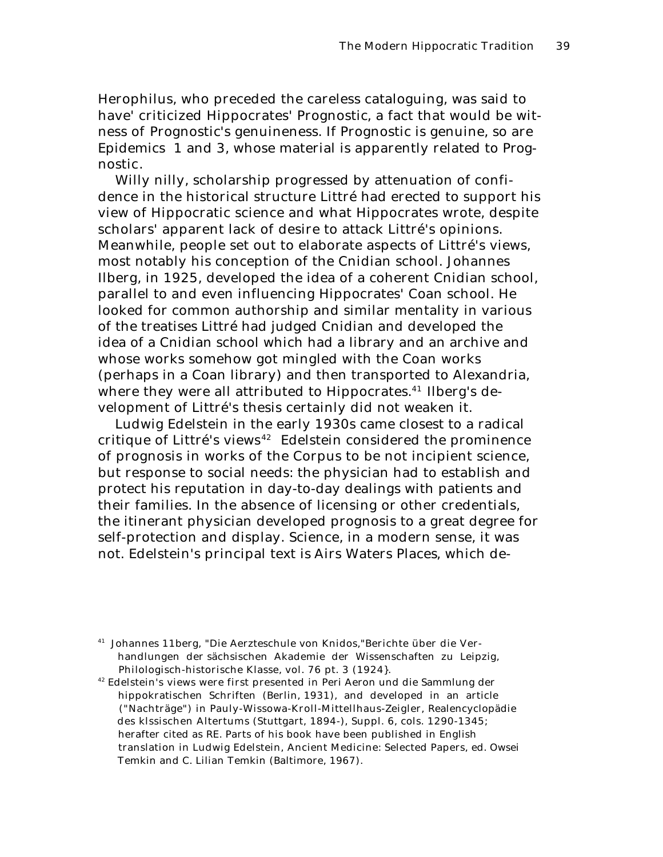Herophilus, who preceded the careless cataloguing, was said to have' criticized Hippocrates' *Prognostic*, a fact that would be witness of *Prognostic*'s genuineness. If *Prognostic* is genuine, so are *Epidemics* 1 and 3, whose material is apparently related to *Prognostic*.

 Willy nilly, scholarship progressed by attenuation of confidence in the historical structure Littré had erected to support his view of Hippocratic science and what Hippocrates wrote, despite scholars' apparent lack of desire to attack Littré's opinions. Meanwhile, people set out to elaborate aspects of Littré's views, most notably his conception of the Cnidian school. Johannes Ilberg, in 1925, developed the idea of a coherent Cnidian school, parallel to and even influencing Hippocrates' Coan school. He looked for common authorship and similar mentality in various of the treatises Littré had judged Cnidian and developed the idea of a Cnidian school which had a library and an archive and whose works somehow got mingled with the Coan works (perhaps in a Coan library) and then transported to Alexandria, where they were all attributed to Hippocrates.<sup>41</sup> Ilberg's development of Littré's thesis certainly did not weaken it.

 Ludwig Edelstein in the early 1930s came closest to a radical critique of Littré's views<sup>42</sup> Edelstein considered the prominence of prognosis in works of the Corpus to be not incipient science, but response to social needs: the physician had to establish and protect his reputation in day-to-day dealings with patients and their families. In the absence of licensing or other credentials, the itinerant physician developed prognosis to a great degree for self-protection and display. Science, in a modern sense, it was not. Edelstein's principal text is *Airs Waters Places*, which de-

<sup>41</sup> Johannes 11berg, "Die Aerzteschule von Knidos,"*Berichte über die Ver handlungen der sächsischen Akademie der Wissenschaften zu Leipzig,* Philologisch-historische Klasse, vol. 76 pt. 3 (1924}.

<sup>42</sup> Edelstein's views were first presented in *Peri Aeron und die Sammlung der hippokratischen Schriften* (Berlin, 1931), and developed in an article ("Nachträge") in Pauly-Wissowa-Kroll-Mittellhaus-Zeigler, *Realencyclopädie des klssischen Altertums* (Stuttgart, 1894-), Suppl. 6, cols. 1290-1345; herafter cited as *RE*. Parts of his book have been published in English translation in Ludwig Edelstein, *Ancient Medicine: Selected Papers,* ed. Owsei Temkin and C. Lilian Temkin (Baltimore, 1967).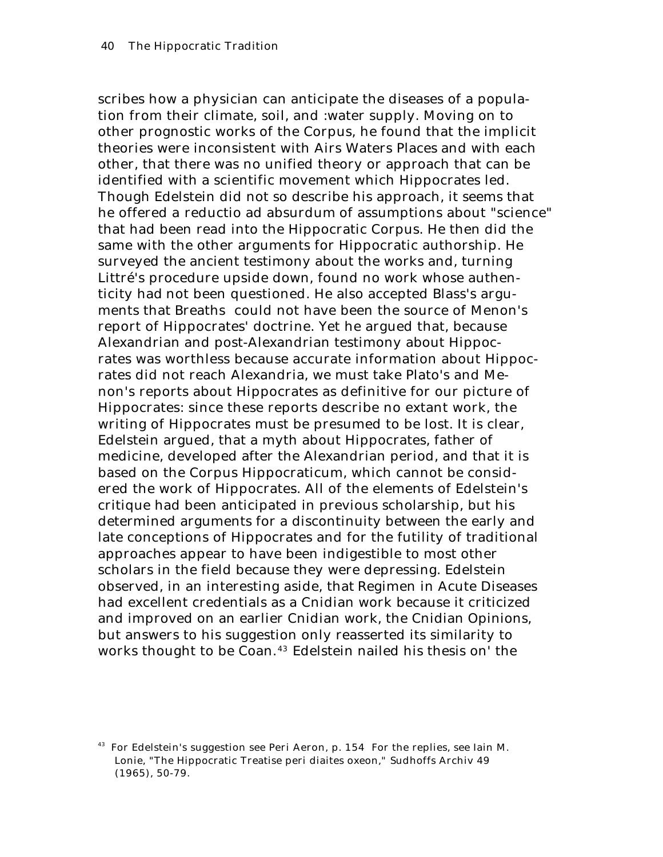scribes how a physician can anticipate the diseases of a population from their climate, soil, and :water supply. Moving on to other prognostic works of the Corpus, he found that the implicit theories were inconsistent with *Airs Waters Places* and with each other, that there was no unified theory or approach that can be identified with a scientific movement which Hippocrates led. Though Edelstein did not so describe his approach, it seems that he offered a *reductio ad absurdum* of assumptions about "science" that had been read into the Hippocratic Corpus. He then did the same with the other arguments for Hippocratic authorship. He surveyed the ancient testimony about the works and, turning Littré's procedure upside down, found no work whose authenticity had *not* been questioned. He also accepted Blass's arguments that *Breaths* could not have been the source of Menon's report of Hippocrates' doctrine. Yet he argued that, because Alexandrian and post-Alexandrian testimony about Hippocrates was worthless because accurate information about Hippocrates did not reach Alexandria, we must take Plato's and Menon's reports about Hippocrates as definitive for our picture of Hippocrates: since these reports describe no extant work, the writing of Hippocrates must be presumed to be lost. It is clear, Edelstein argued, that a myth about Hippocrates, father of medicine, developed after the Alexandrian period, and that it is based on the Corpus Hippocraticum, which cannot be considered the work of Hippocrates. All of the elements of Edelstein's critique had been anticipated in previous scholarship, but his determined arguments for a discontinuity between the early and late conceptions of Hippocrates and for the futility of traditional approaches appear to have been indigestible to most other scholars in the field because they were depressing. Edelstein observed, in an interesting aside, that *Regimen in Acute Diseases* had excellent credentials as a Cnidian work because it criticized and improved on an earlier Cnidian work, the *Cnidian Opinions*, but answers to his suggestion only reasserted its similarity to works thought to be Coan.<sup>43</sup> Edelstein nailed his thesis on' the

<sup>43</sup> For Edelstein's suggestion see *Peri Aeron*, p. 154 For the replies, see Iain M. Lonie, "The Hippocratic Treatise *peri diaites oxeon*," *Sudhoffs Archiv* 49 (1965), 50-79.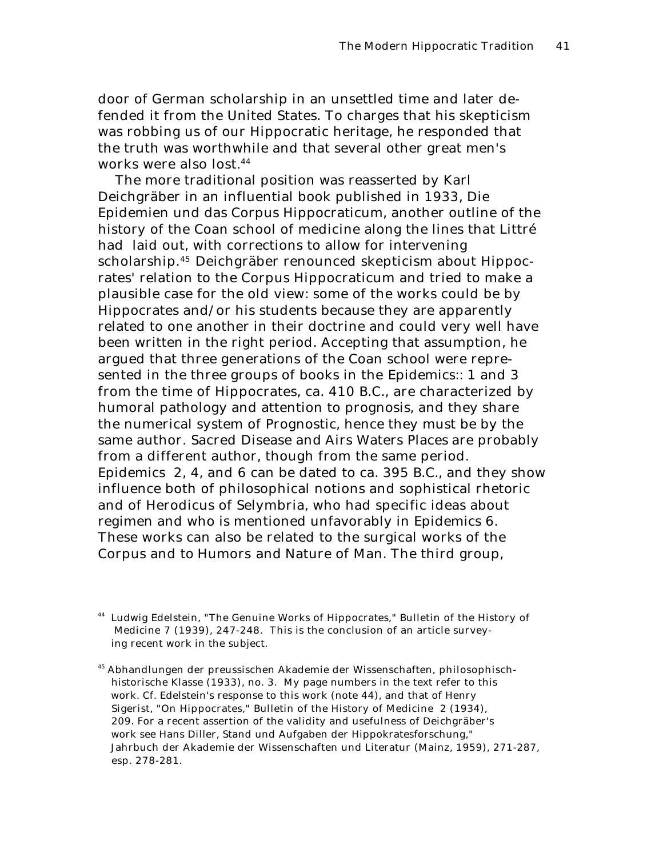door of German scholarship in an unsettled time and later defended it from the United States. To charges that his skepticism was robbing us of our Hippocratic heritage, he responded that the truth was worthwhile and that several other great men's works were also lost.<sup>44</sup>

 The more traditional position was reasserted by Karl Deichgräber in an influential book published in 1933, *Die Epidemien und das Corpus Hippocraticum,* another outline of the history of the Coan school of medicine along the lines that Littré had laid out, with corrections to allow for intervening scholarship.45 Deichgräber renounced skepticism about Hippocrates' relation to the Corpus Hippocraticum and tried to make a plausible case for the old view: some of the works could be by Hippocrates and/or his students because they are apparently related to one another in their doctrine and could very well have been written in the right period. Accepting that assumption, he argued that three generations of the Coan school were represented in the three groups of books in the *Epidemics*:: 1 and 3 from the time of Hippocrates, ca. 410 B.C., are characterized by humoral pathology and attention to prognosis, and they share the numerical system of *Prognostic*, hence they must be by the same author. *Sacred Disease* and *Airs Waters Places* are probably from a different author, though from the same period. *Epidemics* 2, 4, and 6 can be dated to ca. 395 B.C., and they show influence both of philosophical notions and sophistical rhetoric and of Herodicus of Selymbria, who had specific ideas about regimen and who is mentioned unfavorably in *Epidemics* 6. These works can also be related to the surgical works of the Corpus and to *Humors* and *Nature of Man*. The third group,

<sup>44</sup> Ludwig Edelstein, "The Genuine Works of Hippocrates," *Bulletin of the History of Medicine* 7 (1939), 247-248. This is the conclusion of an article survey ing recent work in the subject.

<sup>45</sup> *Abhandlungen der preussischen Akademie der Wissenschaften*, philosophisch historische Klasse (1933), no. 3. My page numbers in the text refer to this work. Cf. Edelstein's response to this work (note 44), and that of Henry Sigerist, "On Hippocrates," *Bulletin of the History of Medicine* 2 (1934), 209. For a recent assertion of the validity and usefulness of Deichgräber's work see Hans Diller, Stand und Aufgaben der Hippokratesforschung," *Jahrbuch der Akademie der Wissenschaften und Literatur* (Mainz, 1959), 271-287, esp. 278-281.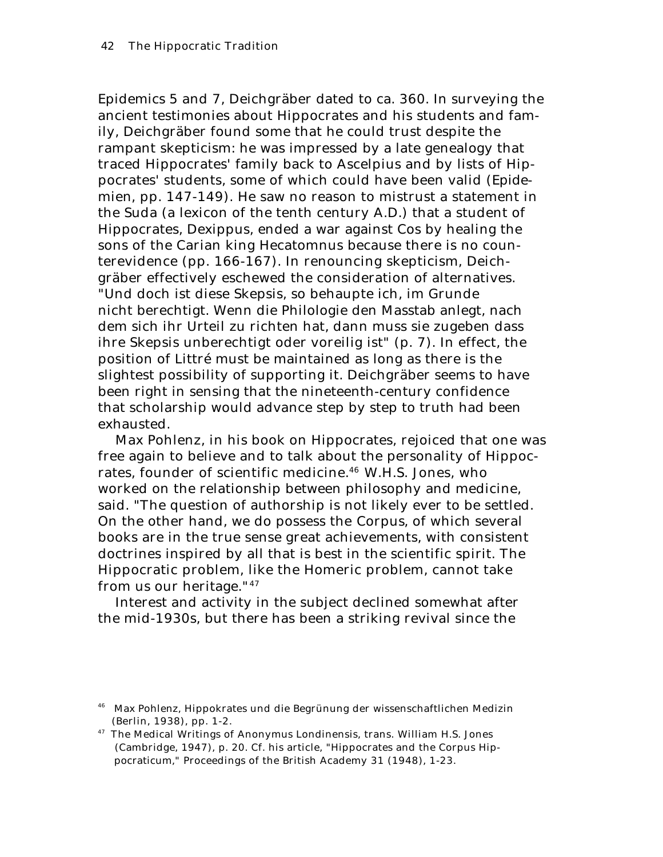*Epidemics* 5 and 7, Deichgräber dated to ca. 360. In surveying the ancient testimonies about Hippocrates and his students and family, Deichgräber found some that he could trust despite the rampant skepticism: he was impressed by a late genealogy that traced Hippocrates' family back to Ascelpius and by lists of Hippocrates' students, some of which could have been valid (*Epidemien*, pp. 147-149). He saw no reason to mistrust a statement in the Suda (a lexicon of the tenth century A.D.) that a student of Hippocrates, Dexippus, ended a war against Cos by healing the sons of the Carian king Hecatomnus because there is no counterevidence (pp. 166-167). In renouncing skepticism, Deichgräber effectively eschewed the consideration of alternatives. "Und doch ist diese Skepsis, so behaupte ich, im Grunde nicht berechtigt. Wenn die Philologie den Masstab anlegt, nach dem sich ihr Urteil zu richten hat, dann muss sie zugeben dass ihre Skepsis unberechtigt oder voreilig ist" (p. 7). In effect, the position of Littré must be maintained as long as there is the slightest possibility of supporting it. Deichgräber seems to have been right in sensing that the nineteenth-century confidence that scholarship would advance step by step to truth had been exhausted.

 Max Pohlenz, in his book on Hippocrates, rejoiced that one was free again to believe and to talk about the personality of Hippocrates, founder of scientific medicine.<sup>46</sup> W.H.S. Jones, who worked on the relationship between philosophy and medicine, said. "The question of authorship is not likely ever to be settled. On the other hand, we do possess the *Corpus*, of which several books are in the true sense great achievements, with consistent doctrines inspired by all that is best in the scientific spirit. The Hippocratic problem, like the Homeric problem, cannot take from us our heritage."<sup>47</sup>

 Interest and activity in the subject declined somewhat after the mid-1930s, but there has been a striking revival since the

<sup>46</sup> Max Pohlenz, *Hippokrates und die Begrünung der wissenschaftlichen Medizin* (Berlin, 1938), pp. 1-2.

<sup>47</sup> *The Medical Writings of Anonymus Londinensis*, trans. William H.S. Jones (Cambridge, 1947), p. 20. Cf. his article, "Hippocrates and the Corpus Hip pocraticum," *Proceedings of the British Academy* 31 (1948), 1-23.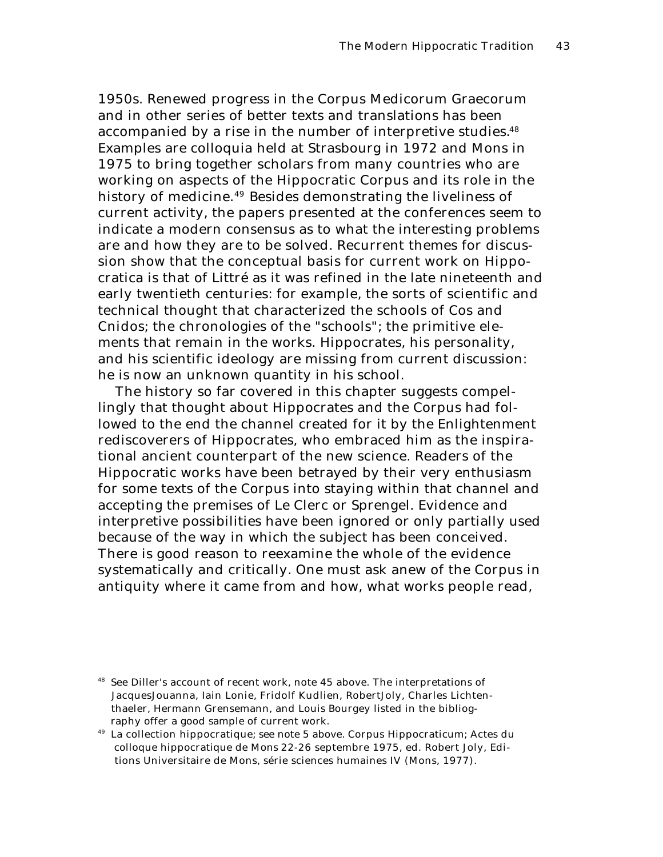1950s. Renewed progress in the Corpus Medicorum Graecorum and in other series of better texts and translations has been accompanied by a rise in the number of interpretive studies.<sup>48</sup> Examples are colloquia held at Strasbourg in 1972 and Mons in 1975 to bring together scholars from many countries who are working on aspects of the Hippocratic Corpus and its role in the history of medicine.<sup>49</sup> Besides demonstrating the liveliness of current activity, the papers presented at the conferences seem to indicate a modern consensus as to what the interesting problems are and how they are to be solved. Recurrent themes for discussion show that the conceptual basis for current work on Hippocratica is that of Littré as it was refined in the late nineteenth and early twentieth centuries: for example, the sorts of scientific and technical thought that characterized the schools of Cos and Cnidos; the chronologies of the "schools"; the primitive elements that remain in the works. Hippocrates, his personality, and his scientific ideology are missing from current discussion: he is now an unknown quantity in his school.

 The history so far covered in this chapter suggests compellingly that thought about Hippocrates and the Corpus had followed to the end the channel created for it by the Enlightenment rediscoverers of Hippocrates, who embraced him as the inspirational ancient counterpart of the new science. Readers of the Hippocratic works have been betrayed by their very enthusiasm for some texts of the Corpus into staying within that channel and accepting the premises of Le Clerc or Sprengel. Evidence and interpretive possibilities have been ignored or only partially used because of the way in which the subject has been conceived. There is good reason to reexamine the whole of the evidence systematically and critically. One must ask anew of the Corpus in antiquity where it came from and how, what works people read,

<sup>48</sup> See Diller's account of recent work, note 45 above. The interpretations of JacquesJouanna, Iain Lonie, Fridolf Kudlien, RobertJoly, Charles Lichten thaeler, Hermann Grensemann, and Louis Bourgey listed in the bibliog raphy offer a good sample of current work.

<sup>49</sup> *La collection hippocratique*; see note 5 above. *Corpus Hippocraticum; Actes du colloque hippocratique de Mons* 22-26 septembre 1975, ed. Robert Joly, Edi tions Universitaire de Mons, série sciences humaines IV (Mons, 1977).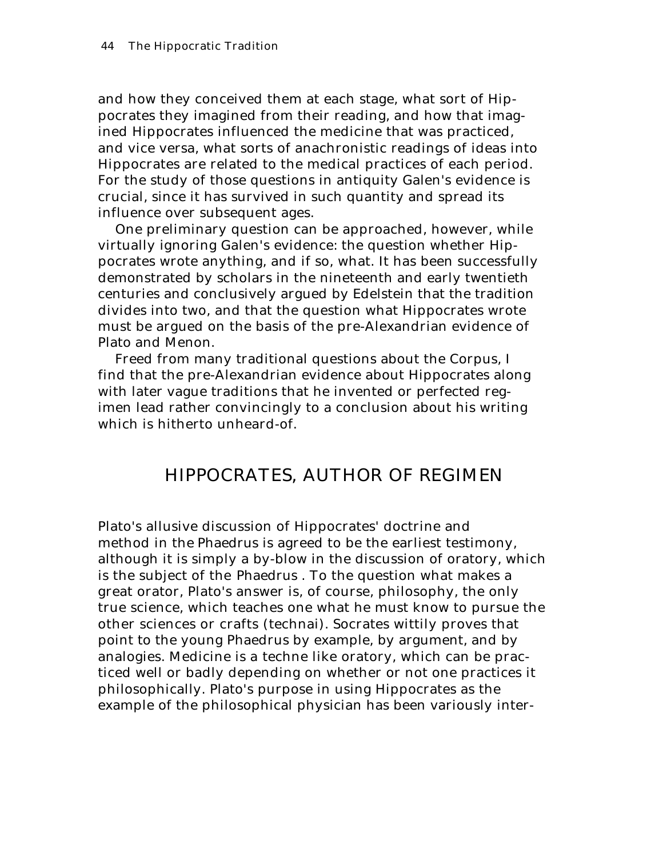and how they conceived them at each stage, what sort of Hippocrates they imagined from their reading, and how that imagined Hippocrates influenced the medicine that was practiced, and vice versa, what sorts of anachronistic readings of ideas into Hippocrates are related to the medical practices of each period. For the study of those questions in antiquity Galen's evidence is crucial, since it has survived in such quantity and spread its influence over subsequent ages.

 One preliminary question can be approached, however, while virtually ignoring Galen's evidence: the question whether Hippocrates wrote anything, and if so, what. It has been successfully demonstrated by scholars in the nineteenth and early twentieth centuries and conclusively argued by Edelstein that the tradition divides into two, and that the question what Hippocrates wrote must be argued on the basis of the pre-Alexandrian evidence of Plato and Menon.

 Freed from many traditional questions about the Corpus, I find that the pre-Alexandrian evidence about Hippocrates along with later vague traditions that he invented or perfected regimen lead rather convincingly to a conclusion about his writing which is hitherto unheard-of.

# HIPPOCRATES, AUTHOR OF REGIMEN

Plato's allusive discussion of Hippocrates' doctrine and method in the *Phaedrus* is agreed to be the earliest testimony, although it is simply a by-blow in the discussion of oratory, which is the subject of the *Phaedrus* . To the question what makes a great orator, Plato's answer is, of course, philosophy, the only true science, which teaches one what he must know to pursue the other sciences or crafts (*technai*). Socrates wittily proves that point to the young Phaedrus by example, by argument, and by analogies. Medicine is a *techne* like oratory, which can be practiced well or badly depending on whether or not one practices it philosophically. Plato's purpose in using Hippocrates as the example of the philosophical physician has been variously inter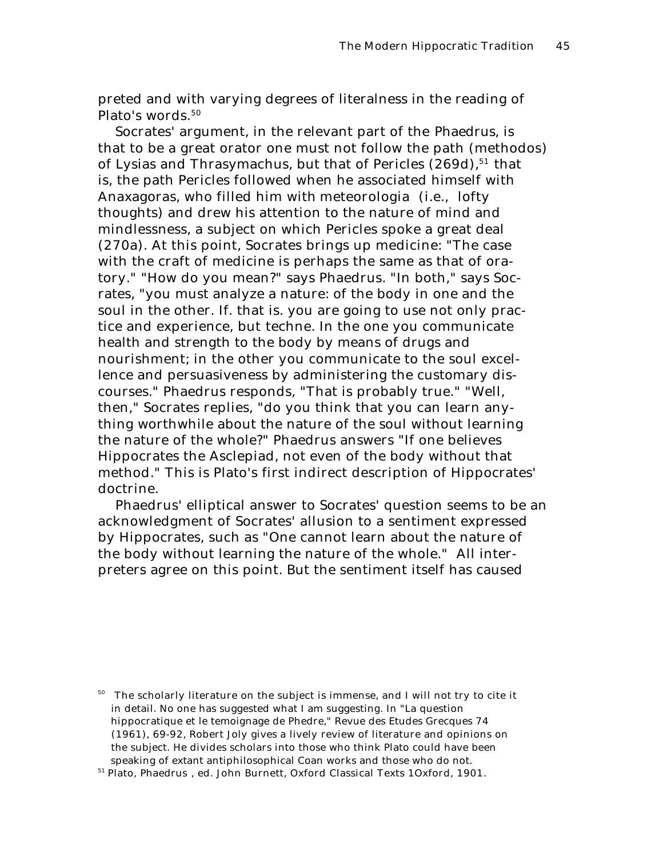preted and with varying degrees of literalness in the reading of Plato's words.<sup>50</sup>

 Socrates' argument, in the relevant part of the *Phaedrus*, is that to be a great orator one must not follow the path (*methodos*) of Lysias and Thrasymachus, but that of Pericles  $(269d)$ ,<sup>51</sup> that is, the path Pericles followed when he associated himself with Anaxagoras, who filled him with *meteorologia* (i.e., lofty thoughts) and drew his attention to the nature of mind and mindlessness, a subject on which Pericles spoke a great deal (270a). At this point, Socrates brings up medicine: "The case with the craft of medicine is perhaps the same as that of oratory." "How do you mean?" says Phaedrus. "In both," says Socrates, "you must analyze a nature: of the body in one and the soul in the other. If. that is. you are going to use not only practice and experience, but *techne*. In the one you communicate health and strength to the body by means of drugs and nourishment; in the other you communicate to the soul excellence and persuasiveness by administering the customary discourses." Phaedrus responds, "That is probably true." "Well, then," Socrates replies, "do you think that you can learn anything worthwhile about the nature of the soul without learning the nature of the whole?" Phaedrus answers "If one believes Hippocrates the Asclepiad, not even of the body without that method." This is Plato's first indirect description of Hippocrates' doctrine.

 Phaedrus' elliptical answer to Socrates' question seems to be an acknowledgment of Socrates' allusion to a sentiment expressed by Hippocrates, such as "One cannot learn about the nature of the body without learning the nature of the whole." All interpreters agree on this point. But the sentiment itself has caused

 $50$  The scholarly literature on the subject is immense, and I will not try to cite it in detail. No one has suggested what I am suggesting. In "La question hippocratique et le temoignage de Phedre," R*evue des Etudes Grecques* 74 (1961), 69-92, Robert Joly gives a lively review of literature and opinions on the subject. He divides scholars into those who think Plato could have been speaking of extant antiphilosophical Coan works and those who do not.

<sup>51</sup> Plato, *Phaedrus* , ed. John Burnett, Oxford Classical Texts 1Oxford, 1901.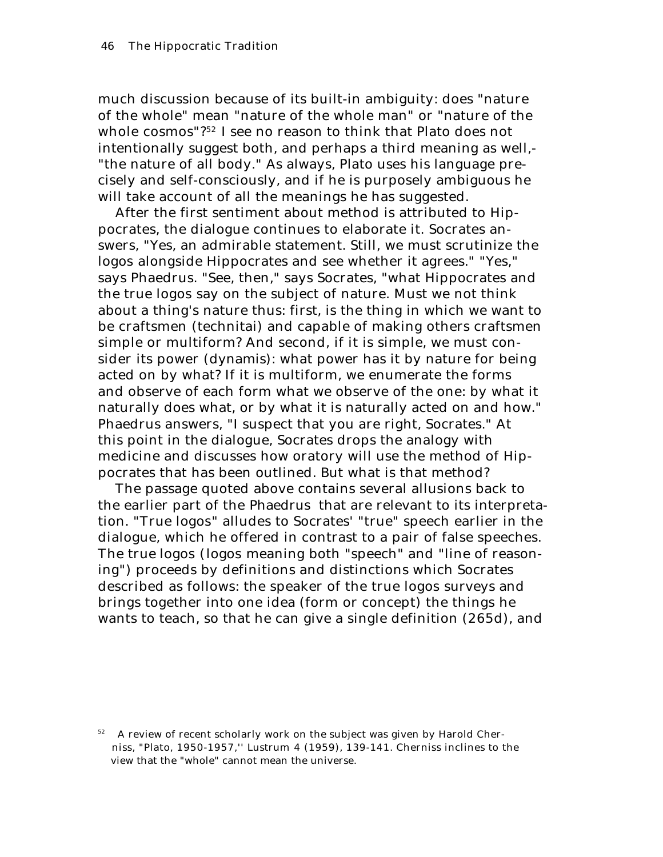much discussion because of its built-in ambiguity: does "nature of the whole" mean "nature of the whole man" or "nature of the whole cosmos"?52 I see no reason to think that Plato does not intentionally suggest both, and perhaps a third meaning as well,- "the nature of all body." As always, Plato uses his language precisely and self-consciously, and if he is purposely ambiguous he will take account of all the meanings he has suggested.

 After the first sentiment about method is attributed to Hippocrates, the dialogue continues to elaborate it. Socrates answers, "Yes, an admirable statement. Still, we must scrutinize the *logos* alongside Hippocrates and see whether it agrees." "Yes," says Phaedrus. "See, then," says Socrates, "what Hippocrates and the true *logos* say on the subject of nature. Must we not think about a thing's nature thus: first, is the thing in which we want to be craftsmen (*technitai*) and capable of making others craftsmen simple or multiform? And second, if it is simple, we must consider its power (*dynamis*): what power has it by nature for being acted on by what? If it is multiform, we enumerate the forms and observe of each form what we observe of the one: by what it naturally does what, or by what it is naturally acted on and how." Phaedrus answers, "I suspect that you are right, Socrates." At this point in the dialogue, Socrates drops the analogy with medicine and discusses how oratory will use the method of Hippocrates that has been outlined. But what is that method?

 The passage quoted above contains several allusions back to the earlier part of the *Phaedrus* that are relevant to its interpretation. "True *logos*" alludes to Socrates' "true" speech earlier in the dialogue, which he offered in contrast to a pair of false speeches. The true *logos* (*logos* meaning both "speech" and "line of reasoning") proceeds by definitions and distinctions which Socrates described as follows: the speaker of the true *logos* surveys and brings together into one *idea* (form or concept) the things he wants to teach, so that he can give a single definition (265d), and

 $52$  A review of recent scholarly work on the subject was given by Harold Cher niss, "Plato, 1950-1957,'' *Lustrum* 4 (1959), 139-141. Cherniss inclines to the view that the "whole" cannot mean the universe.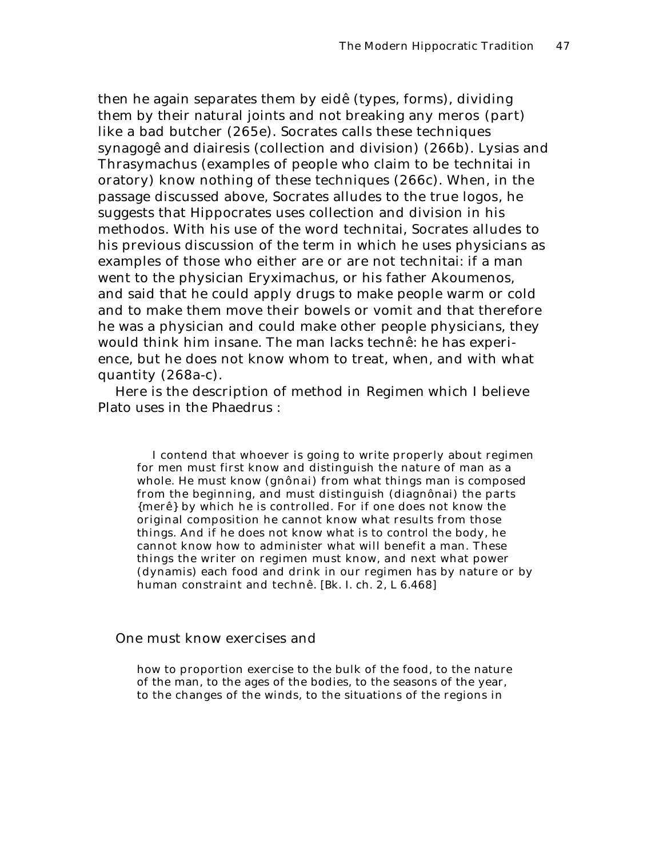then he again separates them by *eidê* (types, forms), dividing them by their natural joints and not breaking any *meros* (part) like a bad butcher (265e). Socrates calls these techniques *synagogê* and *diairesis* (collection and division) (266b). Lysias and Thrasymachus (examples of people who claim to be *technitai* in oratory) know nothing of these techniques (266c). When, in the passage discussed above, Socrates alludes to the true *logos*, he suggests that Hippocrates uses collection and division in his *methodos*. With his use of the word *technitai*, Socrates alludes to his previous discussion of the term in which he uses physicians as examples of those who either are or are not *technitai*: if a man went to the physician Eryximachus, or his father Akoumenos, and said that he could apply drugs to make people warm or cold and to make them move their bowels or vomit and that therefore he was a physician and could make other people physicians, they would think him insane. The man lacks *technê*: he has experience, but he does not know whom to treat, when, and with what quantity (268a-c).

 Here is the description of method in *Regimen* which I believe Plato uses in the *Phaedrus* :

 I contend that whoever is going to write properly about regimen for men must first know and distinguish the nature of man as a whole. He must know (*gnônai*) from what things man is composed from the beginning, and must distinguish (diagnônai) the parts {*merê*} by which he is controlled. For if one does not know the original composition he cannot know what results from those things. And if he does not know what is to control the body, he cannot know how to administer what will benefit a man. These things the writer on regimen must know, and next what power (*dynamis*) each food and drink in our regimen has by nature or by human constraint and *technê*. [Bk. I. ch. 2, L 6.468]

#### One must know exercises and

how to proportion exercise to the bulk of the food, to the nature of the man, to the ages of the bodies, to the seasons of the year, to the changes of the winds, to the situations of the regions in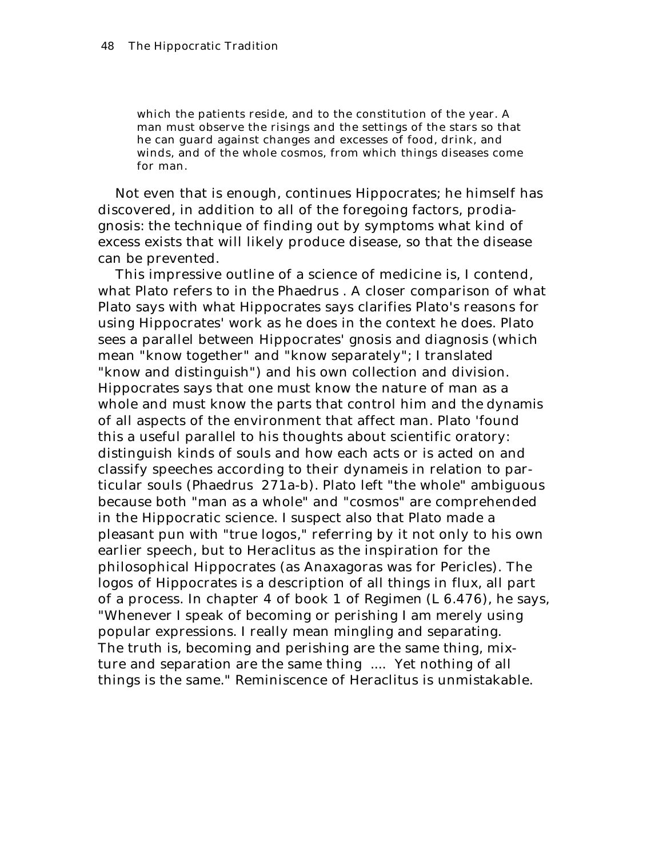which the patients reside, and to the constitution of the year. A man must observe the risings and the settings of the stars so that he can guard against changes and excesses of food, drink, and winds, and of the whole cosmos, from which things diseases come for man.

 Not even that is enough, continues Hippocrates; he himself has discovered, in addition to all of the foregoing factors, *prodiagnosis*: the technique of finding out by symptoms what kind of excess exists that will likely produce disease, so that the disease can be prevented.

 This impressive outline of a science of medicine is, I contend, what Plato refers to in the *Phaedrus* . A closer comparison of what Plato says with what Hippocrates says clarifies Plato's reasons for using Hippocrates' work as he does in the context he does. Plato sees a parallel between Hippocrates' *gnosis* and *diagnosis* (which mean "know together" and "know separately"; I translated "know and distinguish") and his own collection and division. Hippocrates says that one must know the nature of man as a whole and must know the parts that control him and the *dynamis* of all aspects of the environment that affect man. Plato 'found this a useful parallel to his thoughts about scientific oratory: distinguish kinds of souls and how each acts or is acted on and classify speeches according to their *dynameis* in relation to particular souls (*Phaedrus* 271a-b). Plato left "the whole" ambiguous because both "man as a whole" and "cosmos" are comprehended in the Hippocratic science. I suspect also that Plato made a pleasant pun with "true *logos*," referring by it not only to his own earlier speech, but to Heraclitus as the inspiration for the philosophical Hippocrates (as Anaxagoras was for Pericles). The *logos* of Hippocrates is a description of all things in flux, all part of a process. In chapter 4 of book 1 of *Regimen* (L 6.476), he says, "Whenever I speak of becoming or perishing I am merely using popular expressions. I really mean mingling and separating. The truth is, becoming and perishing are the same thing, mixture and separation are the same thing .... Yet nothing of all things is the same." Reminiscence of Heraclitus is unmistakable.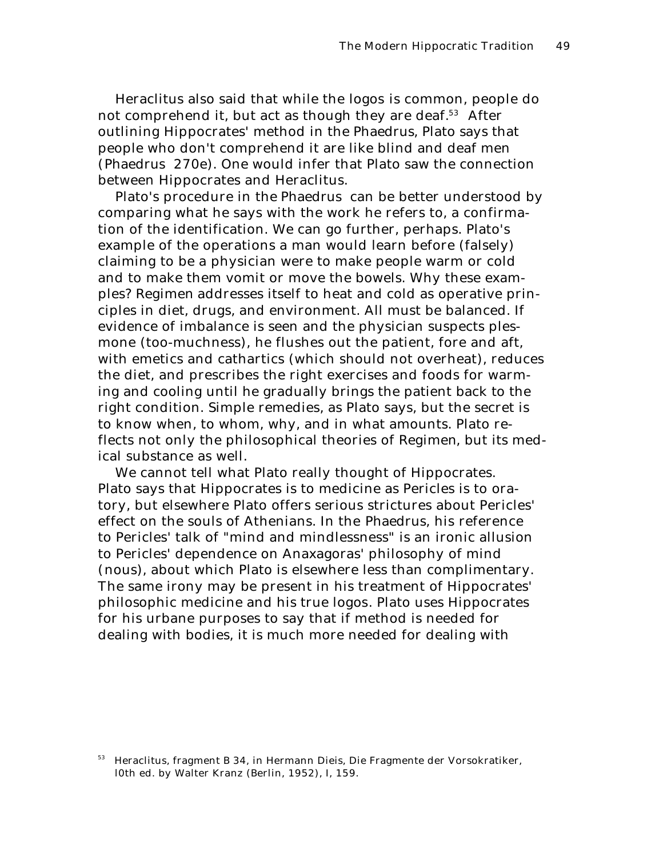Heraclitus also said that while the *logos* is common, people do not comprehend it, but act as though they are deaf.<sup>53</sup> After outlining Hippocrates' method in the *Phaedrus*, Plato says that people who don't comprehend it are like blind and deaf men (*Phaedrus* 270e). One would infer that Plato saw the connection between Hippocrates and Heraclitus.

 Plato's procedure in the *Phaedrus* can be better understood by comparing what he says with the work he refers to, a confirmation of the identification. We can go further, perhaps. Plato's example of the operations a man would learn before (falsely) claiming to be a physician were to make people warm or cold and to make them vomit or move the bowels. Why these examples? *Regimen* addresses itself to heat and cold as operative principles in diet, drugs, and environment. All must be balanced. If evidence of imbalance is seen and the physician suspects *plesmone* (too-muchness), he flushes out the patient, fore and aft, with emetics and cathartics (which should not overheat), reduces the diet, and prescribes the right exercises and foods for warming and cooling until he gradually brings the patient back to the right condition. Simple remedies, as Plato says, but the secret is to know when, to whom, why, and in what amounts. Plato reflects not only the philosophical theories of *Regimen*, but its medical substance as well.

 We cannot tell what Plato really thought of Hippocrates. Plato says that Hippocrates is to medicine as Pericles is to oratory, but elsewhere Plato offers serious strictures about Pericles' effect on the souls of Athenians. In the *Phaedrus*, his reference to Pericles' talk of "mind and mindlessness" is an ironic allusion to Pericles' dependence on Anaxagoras' philosophy of mind (*nous*), about which Plato is elsewhere less than complimentary. The same irony may be present in his treatment of Hippocrates' philosophic medicine and his true *logos*. Plato uses Hippocrates for his urbane purposes to say that if method is needed for dealing with bodies, it is much more needed for dealing with

<sup>53</sup> Heraclitus, fragment B 34, in Hermann Dieis, *Die Fragmente der Vorsokratiker*, l0th ed. by Walter Kranz (Berlin, 1952), I, 159.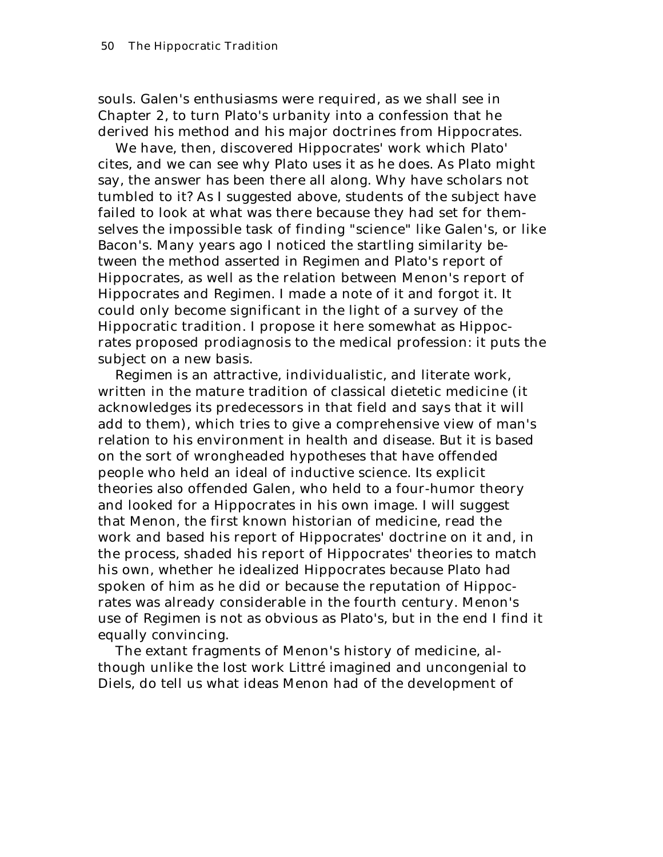souls. Galen's enthusiasms were required, as we shall see in Chapter 2, to turn Plato's urbanity into a confession that he derived his method and his major doctrines from Hippocrates.

 We have, then, discovered Hippocrates' work which Plato' cites, and we can see why Plato uses it as he does. As Plato might say, the answer has been there all along. Why have scholars not tumbled to it? As I suggested above, students of the subject have failed to look at what was there because they had set for themselves the impossible task of finding "science" like Galen's, or like Bacon's. Many years ago I noticed the startling similarity between the method asserted in *Regimen* and Plato's report of Hippocrates, as well as the relation between Menon's report of Hippocrates and *Regimen*. I made a note of it and forgot it. It could only become significant in the light of a survey of the Hippocratic tradition. I propose it here somewhat as Hippocrates proposed *prodiagnosis* to the medical profession: it puts the subject on a new basis.

 *Regimen* is an attractive, individualistic, and literate work, written in the mature tradition of classical dietetic medicine (it acknowledges its predecessors in that field and says that it will add to them), which tries to give a comprehensive view of man's relation to his environment in health and disease. But it is based on the sort of wrongheaded hypotheses that have offended people who held an ideal of inductive science. Its explicit theories also offended Galen, who held to a four-humor theory and looked for a Hippocrates in his own image. I will suggest that Menon, the first known historian of medicine, read the work and based his report of Hippocrates' doctrine on it and, in the process, shaded his report of Hippocrates' theories to match his own, whether he idealized Hippocrates because Plato had spoken of him as he did or because the reputation of Hippocrates was already considerable in the fourth century. Menon's use of *Regimen* is not as obvious as Plato's, but in the end I find it equally convincing.

 The extant fragments of Menon's history of medicine, although unlike the lost work Littré imagined and uncongenial to Diels, do tell us what ideas Menon had of the development of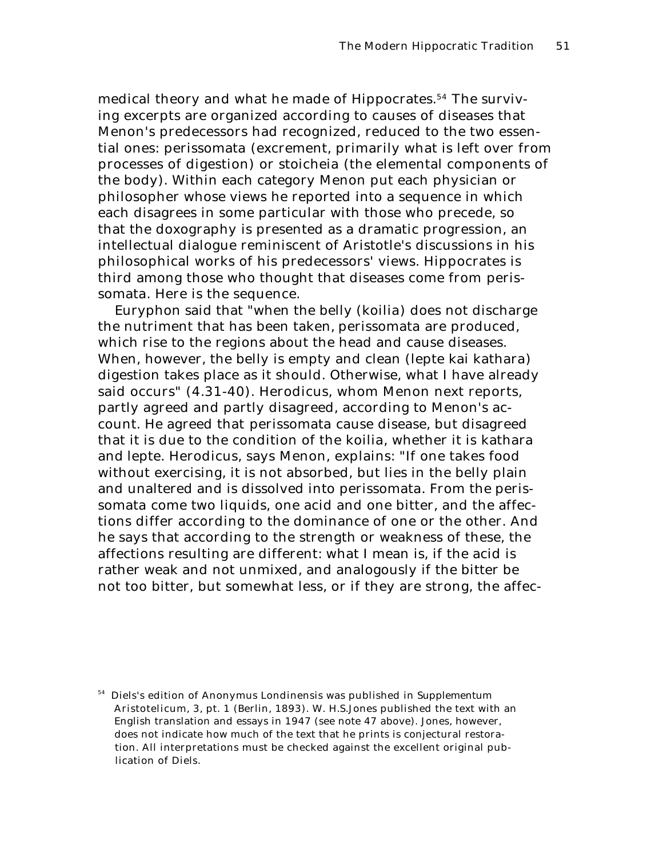medical theory and what he made of Hippocrates.<sup>54</sup> The surviving excerpts are organized according to causes of diseases that Menon's predecessors had recognized, reduced to the two essential ones: *perissomata* (excrement, primarily what is left over from processes of digestion) or *stoicheia* (the elemental components of the body). Within each category Menon put each physician or philosopher whose views he reported into a sequence in which each disagrees in some particular with those who precede, so that the doxography is presented as a dramatic progression, an intellectual dialogue reminiscent of Aristotle's discussions in his philosophical works of his predecessors' views. Hippocrates is third among those who thought that diseases come from *perissomata*. Here is the sequence.

 Euryphon said that "when the belly (*koilia*) does not discharge the nutriment that has been taken, *perissomata* are produced, which rise to the regions about the head and cause diseases. When, however, the belly is empty and clean (*lepte kai kathara*) digestion takes place as it should. Otherwise, what I have already said occurs" (4.31-40). Herodicus, whom Menon next reports, partly agreed and partly disagreed, according to Menon's account. He agreed that *perissomata* cause disease, but disagreed that it is due to the condition of the *koilia*, whether it is *kathara* and *lepte*. Herodicus, says Menon, explains: "If one takes food without exercising, it is not absorbed, but lies in the belly plain and unaltered and is dissolved into *perissomata*. From the *perissomata* come two liquids, one acid and one bitter, and the affections differ according to the dominance of one or the other. And he says that according to the strength or weakness of these, the affections resulting are different: what I mean is, if the acid is rather weak and not unmixed, and analogously if the bitter be not too bitter, but somewhat less, or if they are strong, the affec-

<sup>54</sup> Diels's edition of Anonymus Londinensis was published in *Supplementum Aristotelicum*, 3, pt. 1 (Berlin, 1893). W. H.S.Jones published the text with an English translation and essays in 1947 (see note 47 above). Jones, however, does not indicate how much of the text that he prints is conjectural restora tion. All interpretations must be checked against the excellent original pub lication of Diels.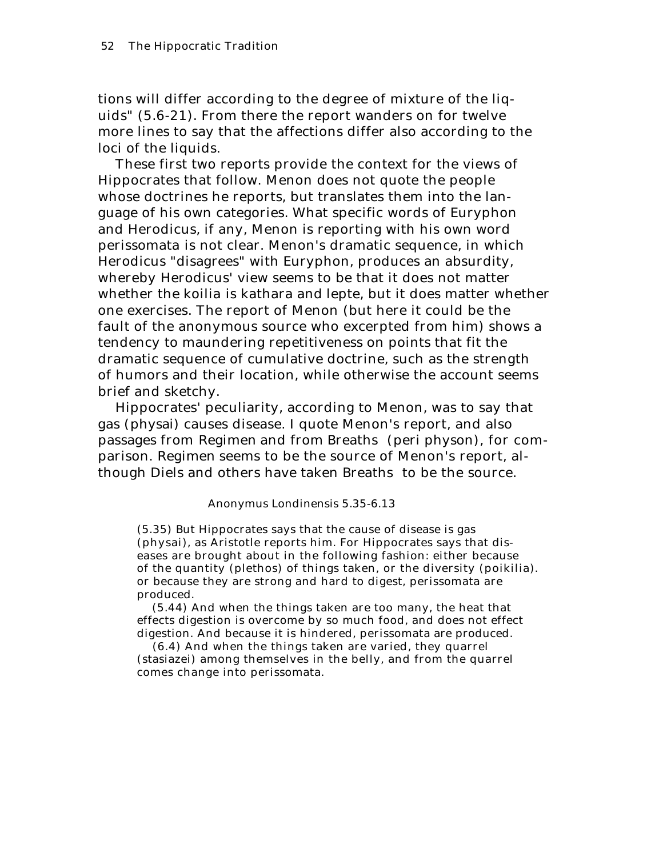tions will differ according to the degree of mixture of the liquids" (5.6-21). From there the report wanders on for twelve more lines to say that the affections differ also according to the loci of the liquids.

 These first two reports provide the context for the views of Hippocrates that follow. Menon does not quote the people whose doctrines he reports, but translates them into the language of his own categories. What specific words of Euryphon and Herodicus, if any, Menon is reporting with his own word *perissomata* is not clear. Menon's dramatic sequence, in which Herodicus "disagrees" with Euryphon, produces an absurdity, whereby Herodicus' view seems to be that it does not matter whether the *koilia* is *kathara* and *lepte*, but it does matter whether one exercises. The report of Menon (but here it could be the fault of the anonymous source who excerpted from him) shows a tendency to maundering repetitiveness on points that fit the dramatic sequence of cumulative doctrine, such as the strength of humors and their location, while otherwise the account seems brief and sketchy.

 Hippocrates' peculiarity, according to Menon, was to say that gas (*physai*) causes disease. I quote Menon's report, and also passages from *Regimen* and from *Breaths* (*peri physon*), for comparison. *Regimen* seems to be the source of Menon's report, although Diels and others have taken *Breaths* to be the source.

#### Anonymus Londinensis 5.35-6.13

(5.35) But Hippocrates says that the cause of disease is gas (*physai*), as Aristotle reports him. For Hippocrates says that diseases are brought about in the following fashion: either because of the quantity (*plethos*) of things taken, or the diversity (*poikilia*). or because they are strong and hard to digest, *perissomata* are produced.

 (5.44) And when the things taken are too many, the heat that effects digestion is overcome by so much food, and does not effect digestion. And because it is hindered, *perissomata* are produced.

 (6.4) And when the things taken are varied, they quarrel (*stasiazei*) among themselves in the belly, and from the quarrel comes change into *perissomata*.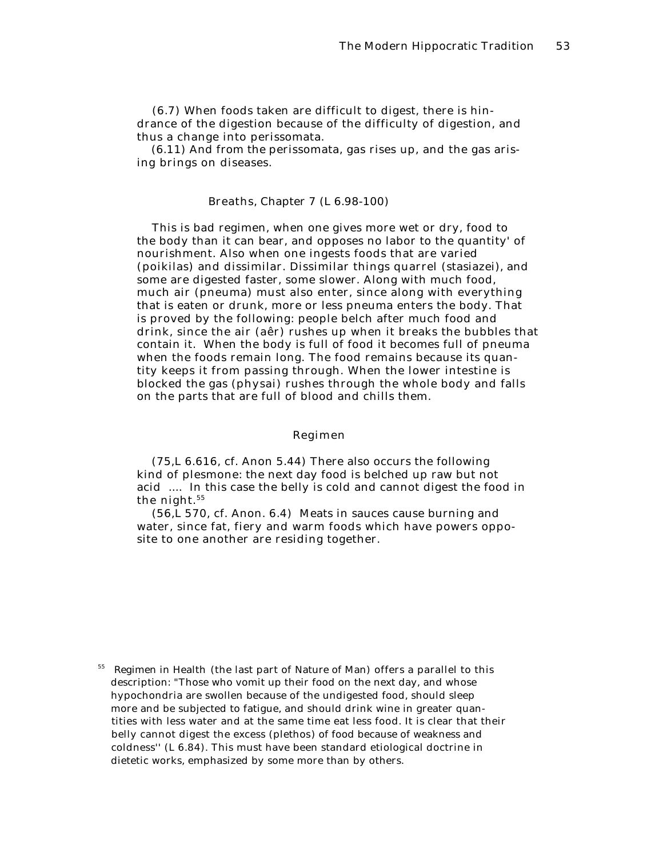(6.7) When foods taken are difficult to digest, there is hindrance of the digestion because of the difficulty of digestion, and thus a change into *perissomata*.

 (6.11) And from the *perissomata*, gas rises up, and the gas arising brings on diseases.

#### *Breaths*, Chapter 7 (L 6.98-100)

 This is bad regimen, when one gives more wet or dry, food to the body than it can bear, and opposes no labor to the quantity' of nourishment. Also when one ingests foods that are varied (*poikilas*) and dissimilar. Dissimilar things quarrel (*stasiazei*), and some are digested faster, some slower. Along with much food, much air (*pneuma*) must also enter, since along with everything that is eaten or drunk, more or less pneuma enters the body. That is proved by the following: people belch after much food and drink, since the air (*aêr*) rushes up when it breaks the bubbles that contain it. When the body is full of food it becomes full of *pneuma* when the foods remain long. The food remains because its quantity keeps it from passing through. When the lower intestine is blocked the gas (*physai*) rushes through the whole body and falls on the parts that are full of blood and chills them.

#### *Regimen*

 (75,L 6.616, cf. Anon 5.44) There also occurs the following kind of *plesmone*: the next day food is belched up raw but not acid .... In this case the belly is cold and cannot digest the food in the night.<sup>55</sup>

 (56,L 570, cf. Anon. 6.4) Meats in sauces cause burning and water, since fat, fiery and warm foods which have powers opposite to one another are residing together.

55 *Regimen in Health* (the last part of *Nature of Man*) offers a parallel to this description: "Those who vomit up their food on the next day, and whose hypochondria are swollen because of the undigested food, should sleep more and be subjected to fatigue, and should drink wine in greater quan tities with less water and at the same time eat less food. It is clear that their belly cannot digest the excess (*plethos*) of food because of weakness and coldness'' (L 6.84). This must have been standard etiological doctrine in dietetic works, emphasized by some more than by others.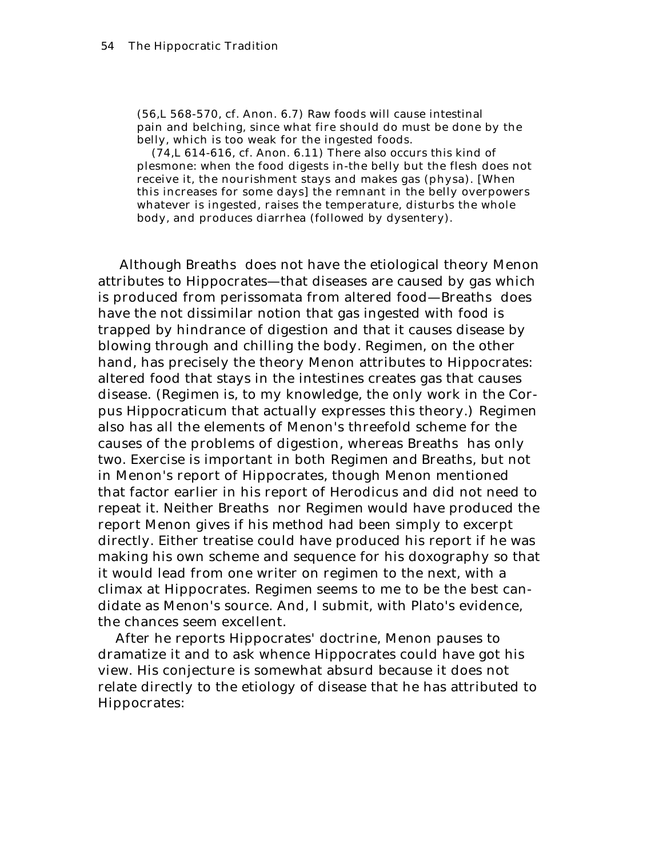(56,L 568-570, cf. Anon. 6.7) Raw foods will cause intestinal pain and belching, since what fire should do must be done by the belly, which is too weak for the ingested foods.

 (74,L 614-616, cf. Anon. 6.11) There also occurs this kind of *plesmone*: when the food digests in-the belly but the flesh does not receive it, the nourishment stays and makes gas (*physa*). [When this increases for some days] the remnant in the belly overpowers whatever is ingested, raises the temperature, disturbs the whole body, and produces diarrhea (followed by dysentery).

 Although *Breaths* does not have the etiological theory Menon attributes to Hippocrates—that diseases are caused by gas which is produced from perissomata from altered food—*Breaths* does have the not dissimilar notion that gas ingested with food is trapped by hindrance of digestion and that it causes disease by blowing through and chilling the body. *Regimen*, on the other hand, has precisely the theory Menon attributes to Hippocrates: altered food that stays in the intestines creates gas that causes disease. (*Regimen* is, to my knowledge, the only work in the Corpus Hippocraticum that actually expresses this theory.) *Regimen* also has all the elements of Menon's threefold scheme for the causes of the problems of digestion, whereas *Breaths* has only two. Exercise is important in both *Regimen* and *Breaths*, but not in Menon's report of Hippocrates, though Menon mentioned that factor earlier in his report of Herodicus and did not need to repeat it. Neither *Breaths* nor *Regimen* would have produced the report Menon gives if his method had been simply to excerpt directly. Either treatise could have produced his report if he was making his own scheme and sequence for his doxography so that it would lead from one writer on regimen to the next, with a climax at Hippocrates. *Regimen* seems to me to be the best candidate as Menon's source. And, I submit, with Plato's evidence, the chances seem excellent.

 After he reports Hippocrates' doctrine, Menon pauses to dramatize it and to ask whence Hippocrates could have got his view. His conjecture is somewhat absurd because it does not relate directly to the etiology of disease that he has attributed to Hippocrates: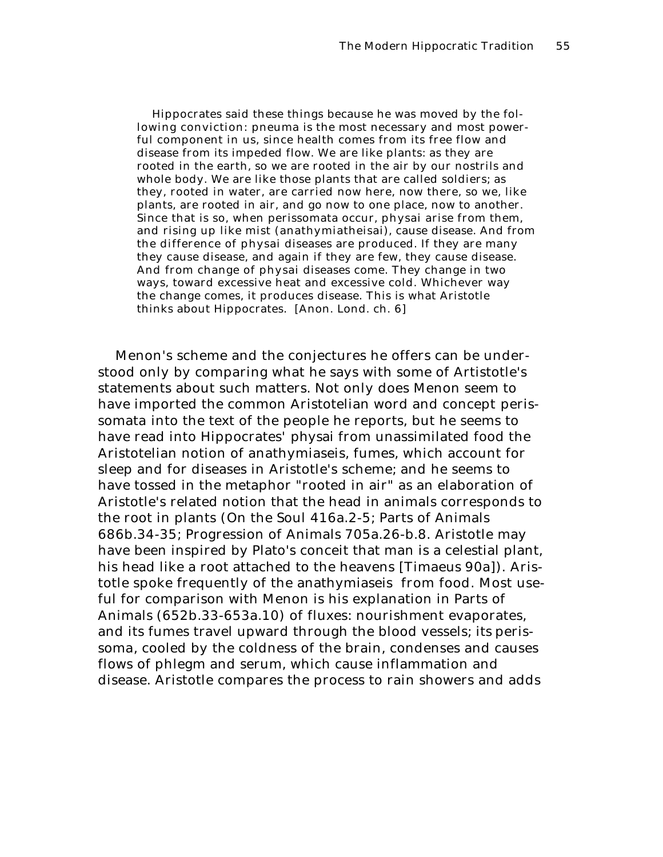Hippocrates said these things because he was moved by the following conviction: *pneuma* is the most necessary and most powerful component in us, since health comes from its free flow and disease from its impeded flow. We are like plants: as they are rooted in the earth, so we are rooted in the air by our nostrils and whole body. We are like those plants that are called soldiers; as they, rooted in water, are carried now here, now there, so we, like plants, are rooted in air, and go now to one place, now to another. Since that is so, when *perissomata* occur, *physai* arise from them, and rising up like mist (*anathymiatheisai*), cause disease. And from the difference of *physai* diseases are produced. If they are many they cause disease, and again if they are few, they cause disease. And from change of *physai* diseases come. They change in two ways, toward excessive heat and excessive cold. Whichever way the change comes, it produces disease. This is what Aristotle thinks about Hippocrates. [Anon. Lond. ch. 6]

 Menon's scheme and the conjectures he offers can be understood only by comparing what he says with some of Artistotle's statements about such matters. Not only does Menon seem to have imported the common Aristotelian word and concept *perissomata* into the text of the people he reports, but he seems to have read into Hippocrates' *physai* from unassimilated food the Aristotelian notion of anathymiaseis, fumes, which account for sleep and for diseases in Aristotle's scheme; and he seems to have tossed in the metaphor "rooted in air" as an elaboration of Aristotle's related notion that the head in animals corresponds to the root in plants (*On the Soul* 416a.2-5; *Parts of Animals* 686b.34-35; *Progression of Animals* 705a.26-b.8. Aristotle may have been inspired by Plato's conceit that man is a celestial plant, his head like a root attached to the heavens [*Timaeus* 90a]). Aristotle spoke frequently of the *anathymiaseis* from food. Most useful for comparison with Menon is his explanation in *Parts of Animals* (652b.33-653a.10) of fluxes: nourishment evaporates, and its fumes travel upward through the blood vessels; its *perissoma*, cooled by the coldness of the brain, condenses and causes flows of phlegm and serum, which cause inflammation and disease. Aristotle compares the process to rain showers and adds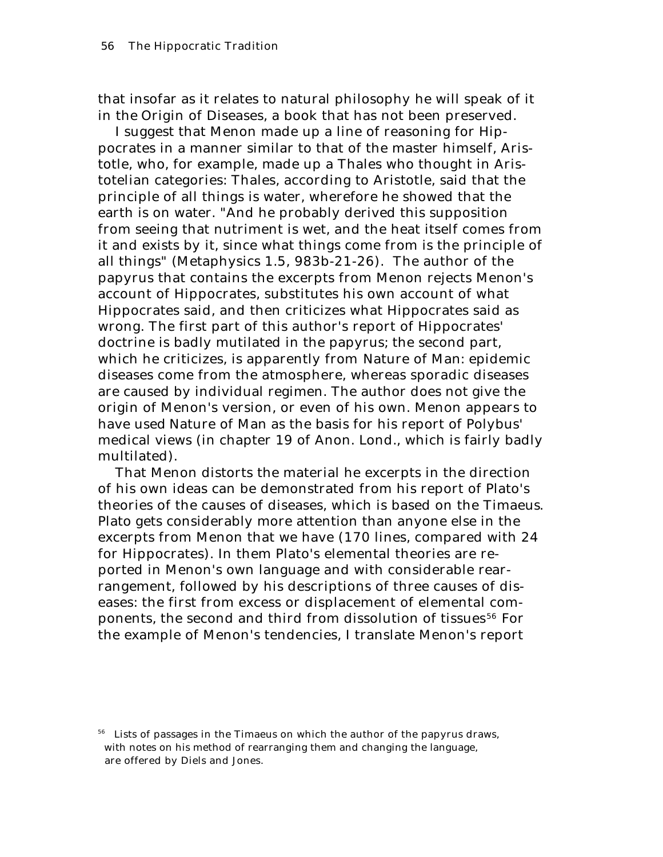that insofar as it relates to natural philosophy he will speak of it in the *Origin of Diseases*, a book that has not been preserved.

 I suggest that Menon made up a line of reasoning for Hippocrates in a manner similar to that of the master himself, Aristotle, who, for example, made up a Thales who thought in Aristotelian categories: Thales, according to Aristotle, said that the principle of all things is water, wherefore he showed that the earth is on water. "And he probably derived this supposition from seeing that nutriment is wet, and the heat itself comes from it and exists by it, since what things come from is the principle of all things" (*Metaphysics* 1.5, 983b-21-26). The author of the papyrus that contains the excerpts from Menon rejects Menon's account of Hippocrates, substitutes his own account of what Hippocrates said, and then criticizes what Hippocrates said as wrong. The first part of this author's report of Hippocrates' doctrine is badly mutilated in the papyrus; the second part, which he criticizes, is apparently from *Nature of Man*: epidemic diseases come from the atmosphere, whereas sporadic diseases are caused by individual regimen. The author does not give the origin of Menon's version, or even of his own. Menon appears to have used *Nature of Man* as the basis for his report of Polybus' medical views (in chapter 19 of Anon. Lond., which is fairly badly multilated).

 That Menon distorts the material he excerpts in the direction of his own ideas can be demonstrated from his report of Plato's theories of the causes of diseases, which is based on the *Timaeus*. Plato gets considerably more attention than anyone else in the excerpts from Menon that we have (170 lines, compared with 24 for Hippocrates). In them Plato's elemental theories are reported in Menon's own language and with considerable rearrangement, followed by his descriptions of three causes of diseases: the first from excess or displacement of elemental components, the second and third from dissolution of tissues<sup>56</sup> For the example of Menon's tendencies, I translate Menon's report

 $56$  Lists of passages in the Timaeus on which the author of the papyrus draws, with notes on his method of rearranging them and changing the language, are offered by Diels and Jones.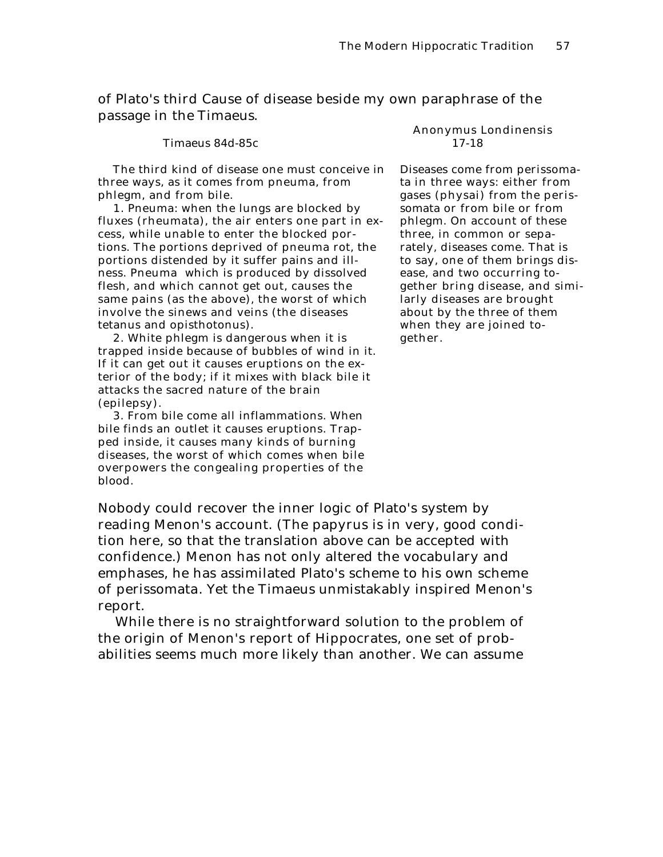of Plato's third Cause of disease beside my own paraphrase of the passage in the *Timaeus*.

*Timaeus* 84d-85c 17-18

 The third kind of disease one must conceive in Diseases come from *perissoma*three ways, as it comes from *pneuma*, from *ta* in three ways: either from phlegm, and from bile. gases (*physai*) from the *peris*-

 1. Pneuma: when the lungs are blocked by *somata* or from bile or from fluxes (*rheumata*), the air enters one part in ex- phlegm. On account of these cess, while unable to enter the blocked por- three, in common or sepations. The portions deprived of *pneuma* rot, the rately, diseases come. That is portions distended by it suffer pains and ill- to say, one of them brings disness. *Pneuma* which is produced by dissolved ease, and two occurring toflesh, and which cannot get out, causes the gether bring disease, and simisame pains (as the above), the worst of which larly diseases are brought involve the sinews and veins (the diseases about by the three of them tetanus and opisthotonus). when they are joined to-

2. White phlegm is dangerous when it is gether. trapped inside because of bubbles of wind in it. If it can get out it causes eruptions on the exterior of the body; if it mixes with black bile it attacks the sacred nature of the brain (epilepsy).

 3. From bile come all inflammations. When bile finds an outlet it causes eruptions. Trapped inside, it causes many kinds of burning diseases, the worst of which comes when bile overpowers the congealing properties of the blood.

Nobody could recover the inner logic of Plato's system by reading Menon's account. (The papyrus is in very, good condition here, so that the translation above can be accepted with confidence.) Menon has not only altered the vocabulary and emphases, he has assimilated Plato's scheme to his own scheme of *perissomata*. Yet the *Timaeus* unmistakably inspired Menon's report.

 While there is no straightforward solution to the problem of the origin of Menon's report of Hippocrates, one set of probabilities seems much more likely than another. We can assume

# *Anonymus Londinensis*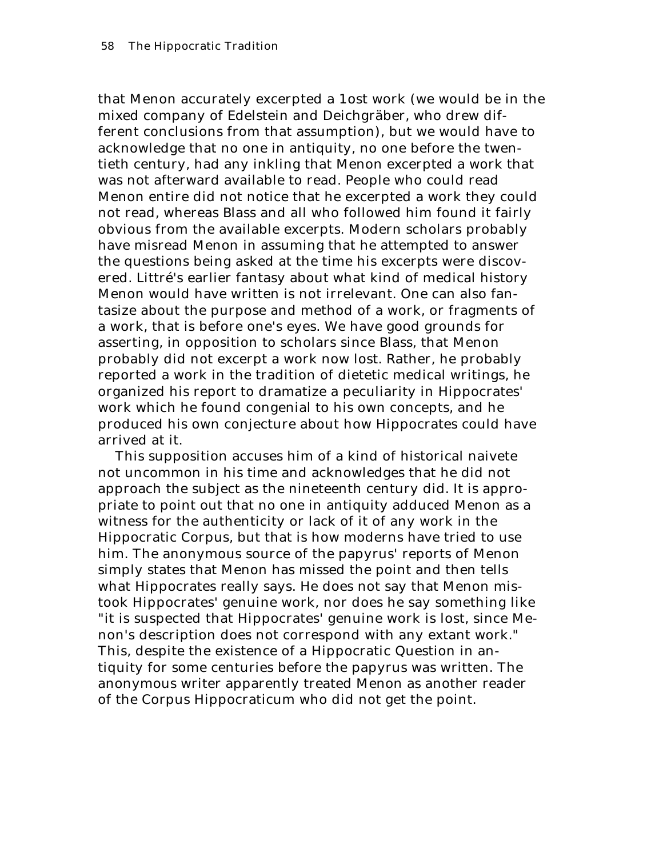that Menon accurately excerpted a 1ost work (we would be in the mixed company of Edelstein and Deichgräber, who drew different conclusions from that assumption), but we would have to acknowledge that no one in antiquity, no one before the twentieth century, had any inkling that Menon excerpted a work that was not afterward available to read. People who could read Menon entire did not notice that he excerpted a work they could not read, whereas Blass and all who followed him found it fairly obvious from the available excerpts. Modern scholars probably have misread Menon in assuming that he attempted to answer the questions being asked at the time his excerpts were discovered. Littré's earlier fantasy about what kind of medical history Menon would have written is not irrelevant. One can also fantasize about the purpose and method of a work, or fragments of a work, that is before one's eyes. We have good grounds for asserting, in opposition to scholars since Blass, that Menon probably did not excerpt a work now lost. Rather, he probably reported a work in the tradition of dietetic medical writings, he organized his report to dramatize a peculiarity in Hippocrates' work which he found congenial to his own concepts, and he produced his own conjecture about how Hippocrates could have arrived at it.

 This supposition accuses him of a kind of historical naivete not uncommon in his time and acknowledges that he did not approach the subject as the nineteenth century did. It is appropriate to point out that no one in antiquity adduced Menon as a witness for the authenticity or lack of it of any work in the Hippocratic Corpus, but that is how moderns have tried to use him. The anonymous source of the papyrus' reports of Menon simply states that Menon has missed the point and then tells what Hippocrates really says. He does not say that Menon mistook Hippocrates' genuine work, nor does he say something like "it is suspected that Hippocrates' genuine work is lost, since Menon's description does not correspond with any extant work." This, despite the existence of a Hippocratic Question in antiquity for some centuries before the papyrus was written. The anonymous writer apparently treated Menon as another reader of the Corpus Hippocraticum who did not get the point.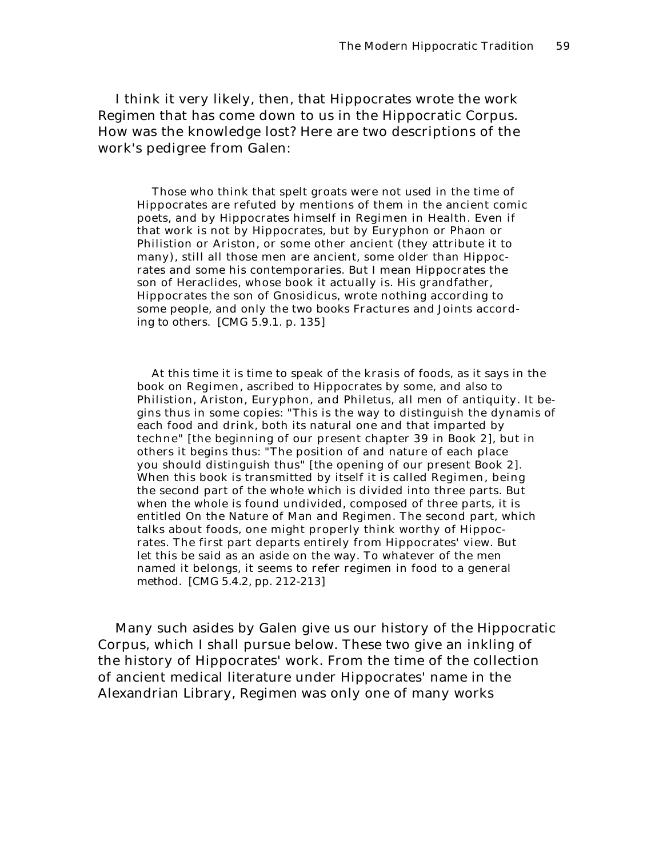I think it very likely, then, that Hippocrates wrote the work *Regimen* that has come down to us in the Hippocratic Corpus. How was the knowledge lost? Here are two descriptions of the work's pedigree from Galen:

 Those who think that spelt groats were not used in the time of Hippocrates are refuted by mentions of them in the ancient comic poets, and by Hippocrates himself in *Regimen in Health*. Even if that work is not by Hippocrates, but by Euryphon or Phaon or Philistion or Ariston, or some other ancient (they attribute it to many), still all those men are ancient, some older than Hippocrates and some his contemporaries. But I mean Hippocrates the son of Heraclides, whose book it actually is. His grandfather, Hippocrates the son of Gnosidicus, wrote nothing according to some people, and only the two books *Fractures* and *Joints* according to others. [CMG 5.9.1. p. 135]

 At this time it is time to speak of the *krasis* of foods, as it says in the book on *Regimen*, ascribed to Hippocrates by some, and also to Philistion, Ariston, Euryphon, and Philetus, all men of antiquity. It begins thus in some copies: "This is the way to distinguish the *dynamis* of each food and drink, both its natural one and that imparted by *techne*" [the beginning of our present chapter 39 in Book 2], but in others it begins thus: "The position of and nature of each place you should distinguish thus" [the opening of our present Book 2]. When this book is transmitted by itself it is called *Regimen*, being the second part of the who!e which is divided into three parts. But when the whole is found undivided, composed of three parts, it is entitled *On the Nature of Man and Regimen*. The second part, which talks about foods, one might properly think worthy of Hippocrates. The first part departs entirely from Hippocrates' view. But let this be said as an aside on the way. To whatever of the men named it belongs, it seems to refer regimen in food to a general method. [CMG 5.4.2, pp. 212-213]

 Many such asides by Galen give us our history of the Hippocratic Corpus, which I shall pursue below. These two give an inkling of the history of Hippocrates' work. From the time of the collection of ancient medical literature under Hippocrates' name in the Alexandrian Library, *Regimen* was only one of many works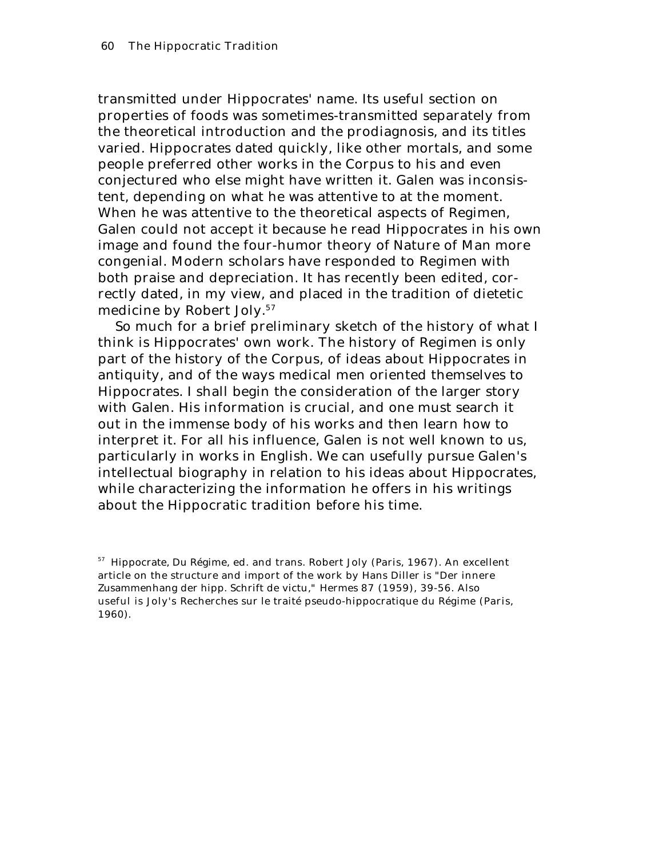transmitted under Hippocrates' name. Its useful section on properties of foods was sometimes-transmitted separately from the theoretical introduction and the *prodiagnosis*, and its titles varied. Hippocrates dated quickly, like other mortals, and some people preferred other works in the Corpus to his and even conjectured who else might have written it. Galen was inconsistent, depending on what he was attentive to at the moment. When he was attentive to the theoretical aspects of *Regimen*, Galen could not accept it because he read Hippocrates in his own image and found the four-humor theory of *Nature of Man* more congenial. Modern scholars have responded to *Regimen* with both praise and depreciation. It has recently been edited, correctly dated, in my view, and placed in the tradition of dietetic medicine by Robert Joly.<sup>57</sup>

 So much for a brief preliminary sketch of the history of what I think is Hippocrates' own work. The history of *Regimen* is only part of the history of the Corpus, of ideas about Hippocrates in antiquity, and of the ways medical men oriented themselves to Hippocrates. I shall begin the consideration of the larger story with Galen. His information is crucial, and one must search it out in the immense body of his works and then learn how to interpret it. For all his influence, Galen is not well known to us, particularly in works in English. We can usefully pursue Galen's intellectual biography in relation to his ideas about Hippocrates, while characterizing the information he offers in his writings about the Hippocratic tradition before his time.

<sup>57</sup> *Hippocrate, Du Régime*, ed. and trans. Robert Joly (Paris, 1967). An excellent article on the structure and import of the work by Hans Diller is "Der innere Zusammenhang der hipp. Schrift *de victu*," *Hermes* 87 (1959), 39-56. Also useful is Joly's *Recherches sur le traité pseudo-hippocratique du Régime* (Paris, 1960).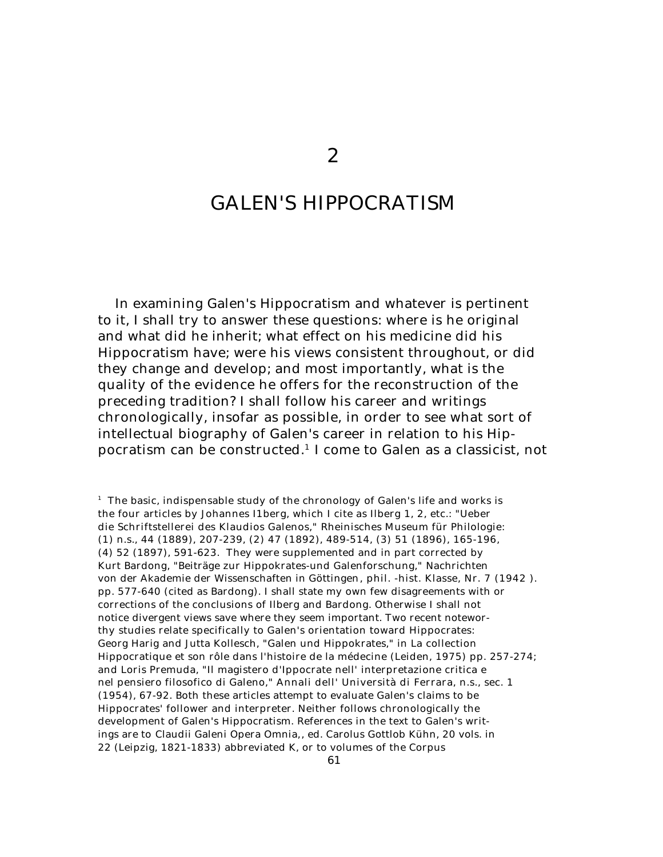2

# GALEN'S HIPPOCRATISM

 In examining Galen's Hippocratism and whatever is pertinent to it, I shall try to answer these questions: where is he original and what did he inherit; what effect on his medicine did his Hippocratism have; were his views consistent throughout, or did they change and develop; and most importantly, what is the quality of the evidence he offers for the reconstruction of the preceding tradition? I shall follow his career and writings chronologically, insofar as possible, in order to see what sort of intellectual biography of Galen's career in relation to his Hippocratism can be constructed.<sup>1</sup> I come to Galen as a classicist, not

 $1$  The basic, indispensable study of the chronology of Galen's life and works is the four articles by Johannes I1berg, which I cite as Ilberg 1, 2, etc.: "Ueber die Schriftstellerei des Klaudios Galenos," *Rheinisches Museum für Philologie*: (1) n.s., 44 (1889), 207-239, (2) 47 (1892), 489-514, (3) 51 (1896), 165-196, (4) 52 (1897), 591-623. They were supplemented and in part corrected by Kurt Bardong, "Beiträge zur Hippokrates-und Galenforschung," *Nachrichten von der Akademie der Wissenschaften in Göttingen*, phil. -hist. Klasse, Nr. 7 (1942 ). pp. 577-640 (cited as Bardong). I shall state my own few disagreements with or corrections of the conclusions of Ilberg and Bardong. Otherwise I shall not notice divergent views save where they seem important. Two recent noteworthy studies relate specifically to Galen's orientation toward Hippocrates: Georg Harig and Jutta Kollesch, "Galen und Hippokrates," in *La collection Hippocratique et son rôle dans l'histoire de la médecine* (Leiden, 1975) pp. 257-274; and Loris Premuda, "Il magistero d'Ippocrate nell' interpretazione critica e nel pensiero filosofico di Galeno," *Annali dell' Università di Ferrara*, n.s., sec. 1 (1954), 67-92. Both these articles attempt to evaluate Galen's claims to be Hippocrates' follower and interpreter. Neither follows chronologically the development of Galen's Hippocratism. References in the text to Galen's writings are to *Claudii Galeni Opera Omnia,*, ed. Carolus Gottlob Kühn, 20 vols. in 22 (Leipzig, 1821-1833) abbreviated K, or to volumes of the Corpus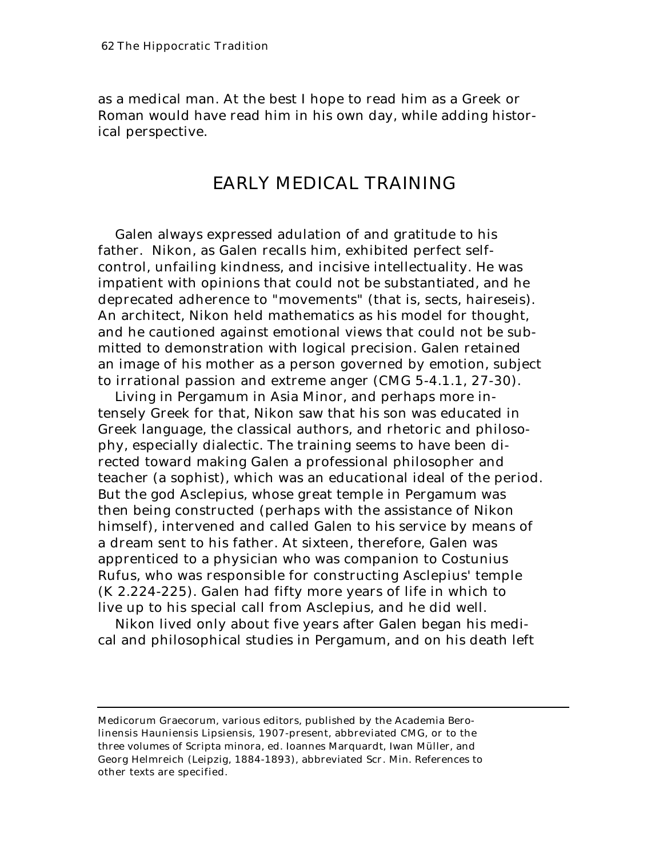as a medical man. At the best I hope to read him as a Greek or Roman would have read him in his own day, while adding historical perspective.

## EARLY MEDICAL TRAINING

 Galen always expressed adulation of and gratitude to his father. Nikon, as Galen recalls him, exhibited perfect selfcontrol, unfailing kindness, and incisive intellectuality. He was impatient with opinions that could not be substantiated, and he deprecated adherence to "movements" (that is, sects, *haireseis*). An architect, Nikon held mathematics as his model for thought, and he cautioned against emotional views that could not be submitted to demonstration with logical precision. Galen retained an image of his mother as a person governed by emotion, subject to irrational passion and extreme anger (CMG 5-4.1.1, 27-30).

 Living in Pergamum in Asia Minor, and perhaps more intensely Greek for that, Nikon saw that his son was educated in Greek language, the classical authors, and rhetoric and philosophy, especially dialectic. The training seems to have been directed toward making Galen a professional philosopher and teacher (a sophist), which was an educational ideal of the period. But the god Asclepius, whose great temple in Pergamum was then being constructed (perhaps with the assistance of Nikon himself), intervened and called Galen to his service by means of a dream sent to his father. At sixteen, therefore, Galen was apprenticed to a physician who was companion to Costunius Rufus, who was responsible for constructing Asclepius' temple (K 2.224-225). Galen had fifty more years of life in which to live up to his special call from Asclepius, and he did well.

 Nikon lived only about five years after Galen began his medical and philosophical studies in Pergamum, and on his death left

 $\overline{a}$ 

Medicorum Graecorum, various editors, published by the Academia Berolinensis Hauniensis Lipsiensis, 1907-present, abbreviated CMG, or to the three volumes of *Scripta minora*, ed. Ioannes Marquardt, Iwan Müller, and Georg Helmreich (Leipzig, 1884-1893), abbreviated *Scr*. *Min*. References to other texts are specified.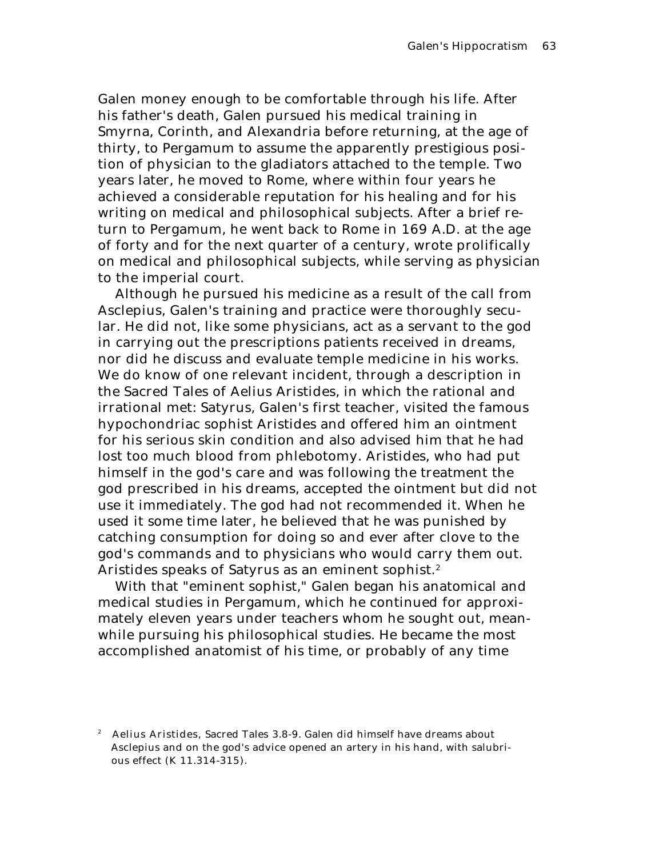Galen money enough to be comfortable through his life. After his father's death, Galen pursued his medical training in Smyrna, Corinth, and Alexandria before returning, at the age of thirty, to Pergamum to assume the apparently prestigious position of physician to the gladiators attached to the temple. Two years later, he moved to Rome, where within four years he achieved a considerable reputation for his healing and for his writing on medical and philosophical subjects. After a brief return to Pergamum, he went back to Rome in 169 A.D. at the age of forty and for the next quarter of a century, wrote prolifically on medical and philosophical subjects, while serving as physician to the imperial court.

 Although he pursued his medicine as a result of the call from Asclepius, Galen's training and practice were thoroughly secular. He did not, like some physicians, act as a servant to the god in carrying out the prescriptions patients received in dreams, nor did he discuss and evaluate temple medicine in his works. We do know of one relevant incident, through a description in the *Sacred Tales* of Aelius Aristides, in which the rational and irrational met: Satyrus, Galen's first teacher, visited the famous hypochondriac sophist Aristides and offered him an ointment for his serious skin condition and also advised him that he had lost too much blood from phlebotomy. Aristides, who had put himself in the god's care and was following the treatment the god prescribed in his dreams, accepted the ointment but did not use it immediately. The god had not recommended it. When he used it some time later, he believed that he was punished by catching consumption for doing so and ever after clove to the god's commands and to physicians who would carry them out. Aristides speaks of Satyrus as an eminent sophist.<sup>2</sup>

 With that "eminent sophist," Galen began his anatomical and medical studies in Pergamum, which he continued for approximately eleven years under teachers whom he sought out, meanwhile pursuing his philosophical studies. He became the most accomplished anatomist of his time, or probably of any time

<sup>2</sup> Aelius Aristides, *Sacred Tales* 3.8-9. Galen did himself have dreams about Asclepius and on the god's advice opened an artery in his hand, with salubri ous effect (K 11.314-315).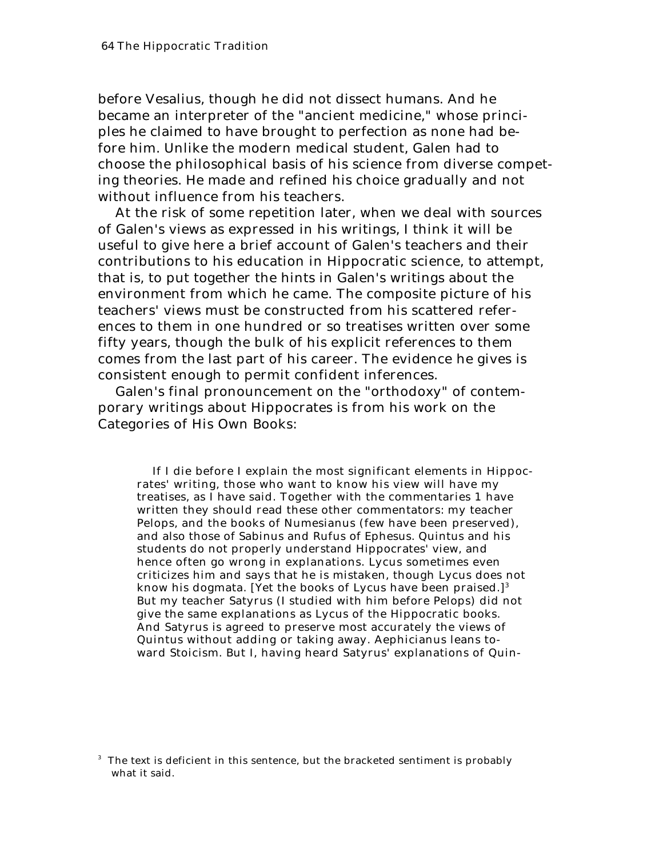before Vesalius, though he did not dissect humans. And he became an interpreter of the "ancient medicine," whose principles he claimed to have brought to perfection as none had before him. Unlike the modern medical student, Galen had to choose the philosophical basis of his science from diverse competing theories. He made and refined his choice gradually and not without influence from his teachers.

 At the risk of some repetition later, when we deal with sources of Galen's views as expressed in his writings, I think it will be useful to give here a brief account of Galen's teachers and their contributions to his education in Hippocratic science, to attempt, that is, to put together the hints in Galen's writings about the environment from which he came. The composite picture of his teachers' views must be constructed from his scattered references to them in one hundred or so treatises written over some fifty years, though the bulk of his explicit references to them comes from the last part of his career. The evidence he gives is consistent enough to permit confident inferences.

 Galen's final pronouncement on the "orthodoxy" of contemporary writings about Hippocrates is from his work on the *Categories of His Own Books*:

 If I die before I explain the most significant elements in Hippocrates' writing, those who want to know his view will have my treatises, as I have said. Together with the commentaries 1 have written they should read these other commentators: my teacher Pelops, and the books of Numesianus (few have been preserved), and also those of Sabinus and Rufus of Ephesus. Quintus and his students do not properly understand Hippocrates' view, and hence often go wrong in explanations. Lycus sometimes even criticizes him and says that he is mistaken, though Lycus does not know his dogmata. [Yet the books of Lycus have been praised.] $3$ But my teacher Satyrus (I studied with him before Pelops) did not give the same explanations as Lycus of the Hippocratic books. And Satyrus is agreed to preserve most accurately the views of Quintus without adding or taking away. Aephicianus leans toward Stoicism. But I, having heard Satyrus' explanations of Quin-

 $3$  The text is deficient in this sentence, but the bracketed sentiment is probably what it said.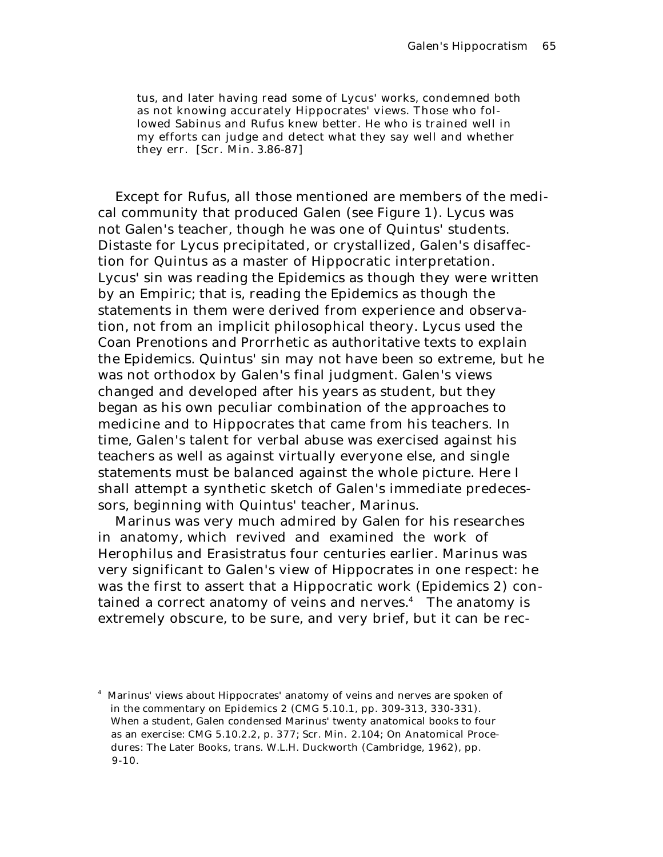tus, and later having read some of Lycus' works, condemned both as not knowing accurately Hippocrates' views. Those who followed Sabinus and Rufus knew better. He who is trained well in my efforts can judge and detect what they say well and whether they err. [*Scr. Min*. 3.86-87]

 Except for Rufus, all those mentioned are members of the medical community that produced Galen (see Figure 1). Lycus was not Galen's teacher, though he was one of Quintus' students. Distaste for Lycus precipitated, or crystallized, Galen's disaffection for Quintus as a master of Hippocratic interpretation. Lycus' sin was reading the *Epidemics* as though they were written by an Empiric; that is, reading the *Epidemics* as though the statements in them were derived from experience and observation, not from an implicit philosophical theory. Lycus used the *Coan Prenotions* and *Prorrhetic* as authoritative texts to explain the *Epidemics*. Quintus' sin may not have been so extreme, but he was not orthodox by Galen's final judgment. Galen's views changed and developed after his years as student, but they began as his own peculiar combination of the approaches to medicine and to Hippocrates that came from his teachers. In time, Galen's talent for verbal abuse was exercised against his teachers as well as against virtually everyone else, and single statements must be balanced against the whole picture. Here I shall attempt a synthetic sketch of Galen's immediate predecessors, beginning with Quintus' teacher, Marinus.

 Marinus was very much admired by Galen for his researches in anatomy, which revived and examined the work of Herophilus and Erasistratus four centuries earlier. Marinus was very significant to Galen's view of Hippocrates in one respect: he was the first to assert that a Hippocratic work (*Epidemics* 2) contained a correct anatomy of veins and nerves. $4$  The anatomy is extremely obscure, to be sure, and very brief, but it can be rec-

<sup>4</sup> Marinus' views about Hippocrates' anatomy of veins and nerves are spoken of in the commentary on *Epidemics* 2 (CMG 5.10.1, pp. 309-313, 330-331). When a student, Galen condensed Marinus' twenty anatomical books to four as an exercise: CMG 5.10.2.2, p. 377; *Scr. Min.* 2.104; *On Anatomical Proce dures*: *The Later Books*, trans. W.L.H. Duckworth (Cambridge, 1962), pp. 9-10.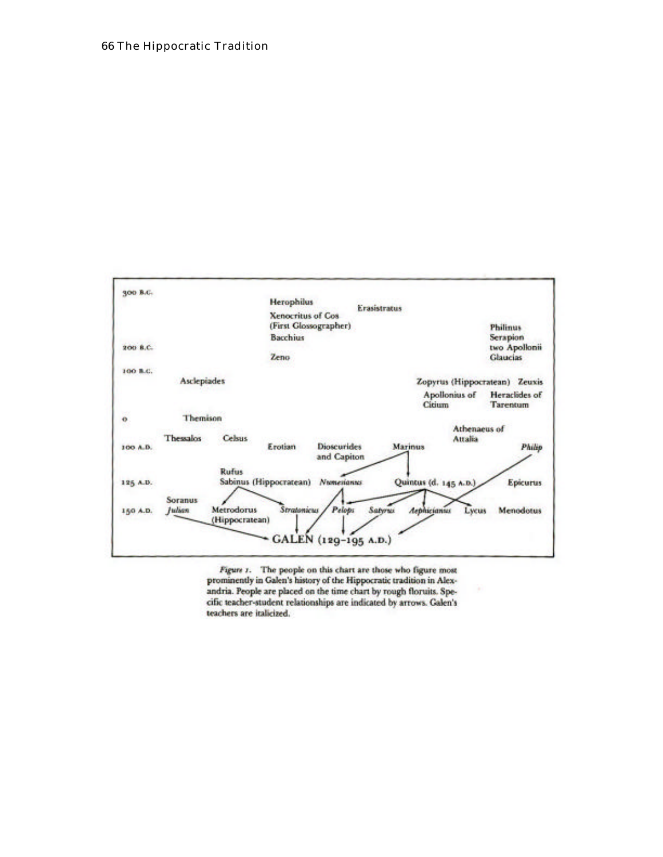

Figure 1. The people on this chart are those who figure most prominently in Galen's history of the Hippocratic tradition in Alexandria. People are placed on the time chart by rough floruits. Specific teacher-student relationships are indicated by arrows. Galen's teachers are italicized.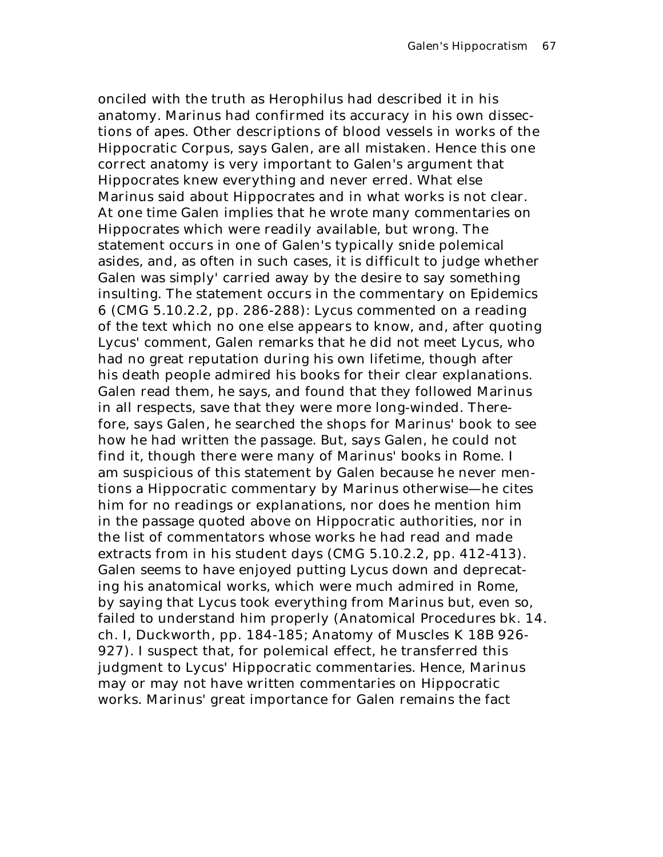onciled with the truth as Herophilus had described it in his anatomy. Marinus had confirmed its accuracy in his own dissections of apes. Other descriptions of blood vessels in works of the Hippocratic Corpus, says Galen, are all mistaken. Hence this one correct anatomy is very important to Galen's argument that Hippocrates knew everything and never erred. What else Marinus said about Hippocrates and in what works is not clear. At one time Galen implies that he wrote many commentaries on Hippocrates which were readily available, but wrong. The statement occurs in one of Galen's typically snide polemical asides, and, as often in such cases, it is difficult to judge whether Galen was simply' carried away by the desire to say something insulting. The statement occurs in the commentary on *Epidemics* 6 (CMG 5.10.2.2, pp. 286-288): Lycus commented on a reading of the text which no one else appears to know, and, after quoting Lycus' comment, Galen remarks that he did not meet Lycus, who had no great reputation during his own lifetime, though after his death people admired his books for their clear explanations. Galen read them, he says, and found that they followed Marinus in all respects, save that they were more long-winded. Therefore, says Galen, he searched the shops for Marinus' book to see how he had written the passage. But, says Galen, he could not find it, though there were many of Marinus' books in Rome. I am suspicious of this statement by Galen because he never mentions a Hippocratic commentary by Marinus otherwise—he cites him for no readings or explanations, nor does he mention him in the passage quoted above on Hippocratic authorities, nor in the list of commentators whose works he had read and made extracts from in his student days (CMG 5.10.2.2, pp. 412-413). Galen seems to have enjoyed putting Lycus down and deprecating his anatomical works, which were much admired in Rome, by saying that Lycus took everything from Marinus but, even so, failed to understand him properly (*Anatomical Procedures* bk. 14. ch. I, Duckworth, pp. 184-185; *Anatomy of Muscles* K 18B 926- 927). I suspect that, for polemical effect, he transferred this judgment to Lycus' Hippocratic commentaries. Hence, Marinus may or may not have written commentaries on Hippocratic works. Marinus' great importance for Galen remains the fact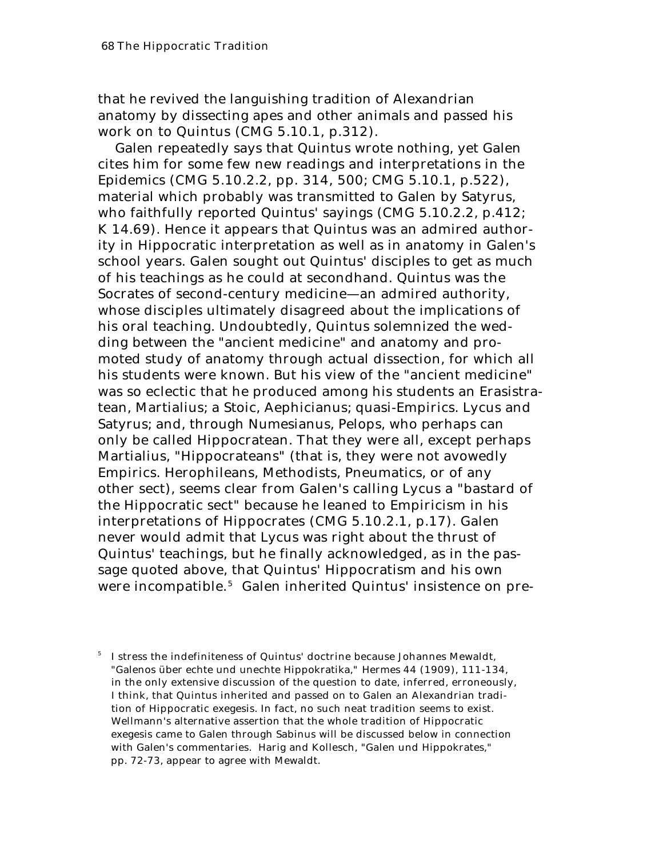that he revived the languishing tradition of Alexandrian anatomy by dissecting apes and other animals and passed his work on to Quintus (CMG 5.10.1, p.312).

 Galen repeatedly says that Quintus wrote nothing, yet Galen cites him for some few new readings and interpretations in the *Epidemics* (CMG 5.10.2.2, pp. 314, 500; CMG 5.10.1, p.522), material which probably was transmitted to Galen by Satyrus, who faithfully reported Quintus' sayings (CMG 5.10.2.2, p.412; K 14.69). Hence it appears that Quintus was an admired authority in Hippocratic interpretation as well as in anatomy in Galen's school years. Galen sought out Quintus' disciples to get as much of his teachings as he could at secondhand. Quintus was the Socrates of second-century medicine—an admired authority, whose disciples ultimately disagreed about the implications of his oral teaching. Undoubtedly, Quintus solemnized the wedding between the "ancient medicine" and anatomy and promoted study of anatomy through actual dissection, for which all his students were known. But his view of the "ancient medicine" was so eclectic that he produced among his students an Erasistratean, Martialius; a Stoic, Aephicianus; quasi-Empirics. Lycus and Satyrus; and, through Numesianus, Pelops, who perhaps can only be called Hippocratean. That they were all, except perhaps Martialius, "Hippocrateans" (that is, they were not avowedly Empirics. Herophileans, Methodists, Pneumatics, or of any other sect), seems clear from Galen's calling Lycus a "bastard of the Hippocratic sect" because he leaned to Empiricism in his interpretations of Hippocrates (CMG 5.10.2.1, p.17). Galen never would admit that Lycus was right about the thrust of Quintus' teachings, but he finally acknowledged, as in the passage quoted above, that Quintus' Hippocratism and his own were incompatible.<sup>5</sup> Galen inherited Quintus' insistence on pre-

<sup>5</sup> I stress the indefiniteness of Quintus' doctrine because Johannes Mewaldt, "Galenos über echte und unechte Hippokratika," *Hermes* 44 (1909), 111-134, in the only extensive discussion of the question to date, inferred, erroneously, I think, that Quintus inherited and passed on to Galen an Alexandrian tradi tion of Hippocratic exegesis. In fact, no such neat tradition seems to exist. Wellmann's alternative assertion that the whole tradition of Hippocratic exegesis came to Galen through Sabinus will be discussed below in connection with Galen's commentaries. Harig and Kollesch, "Galen und Hippokrates," pp. 72-73, appear to agree with Mewaldt.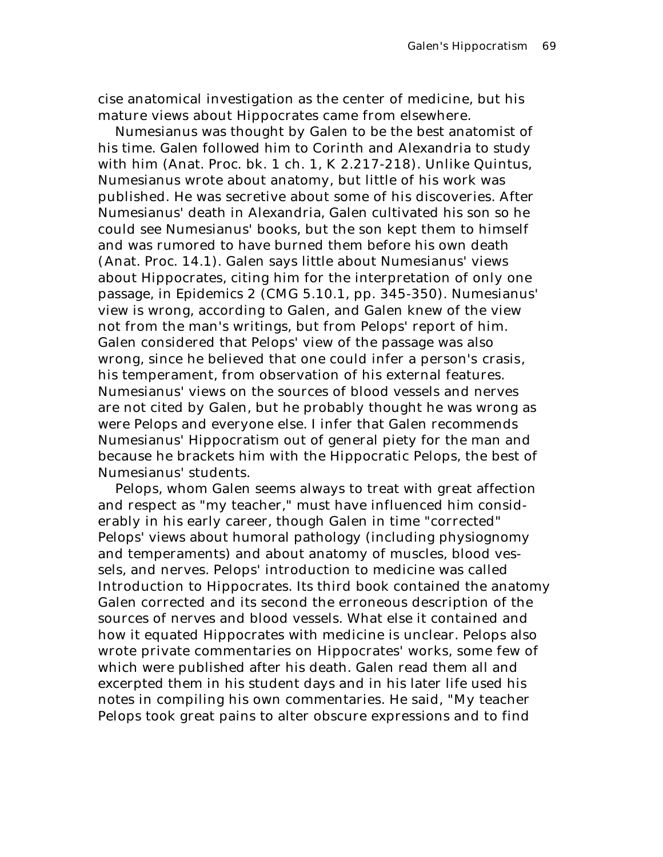cise anatomical investigation as the center of medicine, but his mature views about Hippocrates came from elsewhere.

 Numesianus was thought by Galen to be the best anatomist of his time. Galen followed him to Corinth and Alexandria to study with him (*Anat. Proc*. bk. 1 ch. 1, K 2.217-218). Unlike Quintus, Numesianus wrote about anatomy, but little of his work was published. He was secretive about some of his discoveries. After Numesianus' death in Alexandria, Galen cultivated his son so he could see Numesianus' books, but the son kept them to himself and was rumored to have burned them before his own death (*Anat. Proc*. 14.1). Galen says little about Numesianus' views about Hippocrates, citing him for the interpretation of only one passage, in *Epidemics* 2 (CMG 5.10.1, pp. 345-350). Numesianus' view is wrong, according to Galen, and Galen knew of the view not from the man's writings, but from Pelops' report of him. Galen considered that Pelops' view of the passage was also wrong, since he believed that one could infer a person's *crasis*, his temperament, from observation of his external features. Numesianus' views on the sources of blood vessels and nerves are not cited by Galen, but he probably thought he was wrong as were Pelops and everyone else. I infer that Galen recommends Numesianus' Hippocratism out of general piety for the man and because he brackets him with the Hippocratic Pelops, the best of Numesianus' students.

 Pelops, whom Galen seems always to treat with great affection and respect as "my teacher," must have influenced him considerably in his early career, though Galen in time "corrected" Pelops' views about humoral pathology (including physiognomy and temperaments) and about anatomy of muscles, blood vessels, and nerves. Pelops' introduction to medicine was called *Introduction to Hippocrates*. Its third book contained the anatomy Galen corrected and its second the erroneous description of the sources of nerves and blood vessels. What else it contained and how it equated Hippocrates with medicine is unclear. Pelops also wrote private commentaries on Hippocrates' works, some few of which were published after his death. Galen read them all and excerpted them in his student days and in his later life used his notes in compiling his own commentaries. He said, "My teacher Pelops took great pains to alter obscure expressions and to find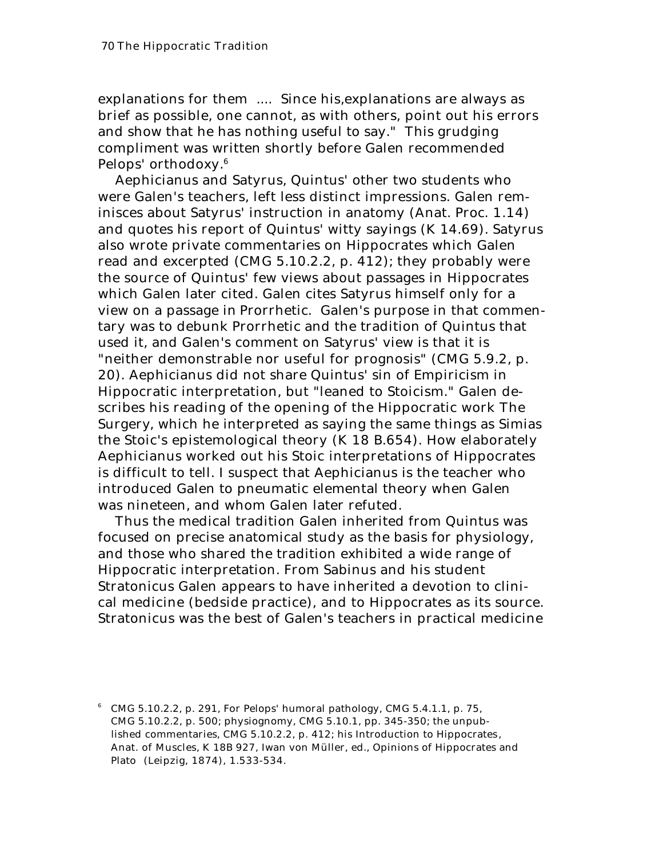explanations for them .... Since his,explanations are always as brief as possible, one cannot, as with others, point out his errors and show that he has nothing useful to say." This grudging compliment was written shortly before Galen recommended Pelops' orthodoxy.<sup>6</sup>

 Aephicianus and Satyrus, Quintus' other two students who were Galen's teachers, left less distinct impressions. Galen reminisces about Satyrus' instruction in anatomy (*Anat. Proc*. 1.14) and quotes his report of Quintus' witty sayings (K 14.69). Satyrus also wrote private commentaries on Hippocrates which Galen read and excerpted (CMG 5.10.2.2, p. 412); they probably were the source of Quintus' few views about passages in Hippocrates which Galen later cited. Galen cites Satyrus himself only for a view on a passage in *Prorrhetic*. Galen's purpose in that commentary was to debunk *Prorrhetic* and the tradition of Quintus that used it, and Galen's comment on Satyrus' view is that it is "neither demonstrable nor useful for prognosis" (CMG 5.9.2, p. 20). Aephicianus did not share Quintus' sin of Empiricism in Hippocratic interpretation, but "leaned to Stoicism." Galen describes his reading of the opening of the Hippocratic work *The Surgery*, which he interpreted as saying the same things as Simias the Stoic's epistemological theory (K 18 B.654). How elaborately Aephicianus worked out his Stoic interpretations of Hippocrates is difficult to tell. I suspect that Aephicianus is the teacher who introduced Galen to pneumatic elemental theory when Galen was nineteen, and whom Galen later refuted.

 Thus the medical tradition Galen inherited from Quintus was focused on precise anatomical study as the basis for physiology, and those who shared the tradition exhibited a wide range of Hippocratic interpretation. From Sabinus and his student Stratonicus Galen appears to have inherited a devotion to clinical medicine (bedside practice), and to Hippocrates as its source. Stratonicus was the best of Galen's teachers in practical medicine

 $6 \text{ CMG } 5.10.2.2, \text{ p. } 291, \text{ For Pelops' humoral pathology, CMG } 5.4.1.1, \text{ p. } 75,$  CMG 5.10.2.2, p. 500; physiognomy, CMG 5.10.1, pp. 345-350; the unpub lished commentaries, CMG 5.10.2.2, p. 412; his *Introduction to Hippocrates*, *Anat. of Muscles*, K 18B 927, Iwan von Müller, ed., *Opinions of Hippocrates and Plato* (Leipzig, 1874), 1.533-534.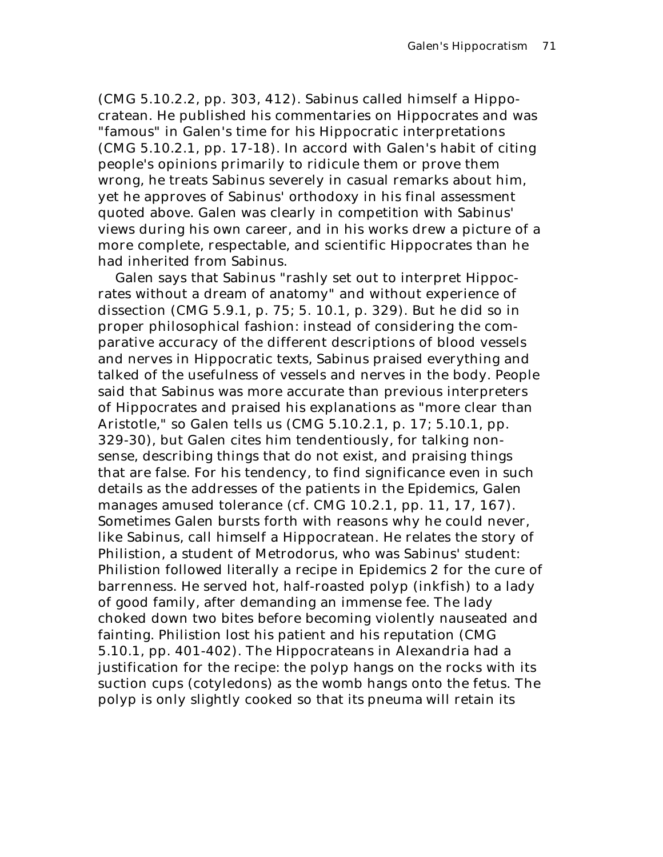(CMG 5.10.2.2, pp. 303, 412). Sabinus called himself a Hippocratean. He published his commentaries on Hippocrates and was "famous" in Galen's time for his Hippocratic interpretations (CMG 5.10.2.1, pp. 17-18). In accord with Galen's habit of citing people's opinions primarily to ridicule them or prove them wrong, he treats Sabinus severely in casual remarks about him, yet he approves of Sabinus' orthodoxy in his final assessment quoted above. Galen was clearly in competition with Sabinus' views during his own career, and in his works drew a picture of a more complete, respectable, and scientific Hippocrates than he had inherited from Sabinus.

 Galen says that Sabinus "rashly set out to interpret Hippocrates without a dream of anatomy" and without experience of dissection (CMG 5.9.1, p. 75; 5. 10.1, p. 329). But he did so in proper philosophical fashion: instead of considering the comparative accuracy of the different descriptions of blood vessels and nerves in Hippocratic texts, Sabinus praised everything and talked of the usefulness of vessels and nerves in the body. People said that Sabinus was more accurate than previous interpreters of Hippocrates and praised his explanations as "more clear than Aristotle," so Galen tells us (CMG 5.10.2.1, p. 17; 5.10.1, pp. 329-30), but Galen cites him tendentiously, for talking nonsense, describing things that do not exist, and praising things that are false. For his tendency, to find significance even in such details as the addresses of the patients in the *Epidemics*, Galen manages amused tolerance (cf. CMG 10.2.1, pp. 11, 17, 167). Sometimes Galen bursts forth with reasons why he could never, like Sabinus, call himself a Hippocratean. He relates the story of Philistion, a student of Metrodorus, who was Sabinus' student: Philistion followed literally a recipe in *Epidemics* 2 for the cure of barrenness. He served hot, half-roasted polyp (inkfish) to a lady of good family, after demanding an immense fee. The lady choked down two bites before becoming violently nauseated and fainting. Philistion lost his patient and his reputation (CMG 5.10.1, pp. 401-402). The Hippocrateans in Alexandria had a justification for the recipe: the polyp hangs on the rocks with its suction cups (cotyledons) as the womb hangs onto the fetus. The polyp is only slightly cooked so that its *pneuma* will retain its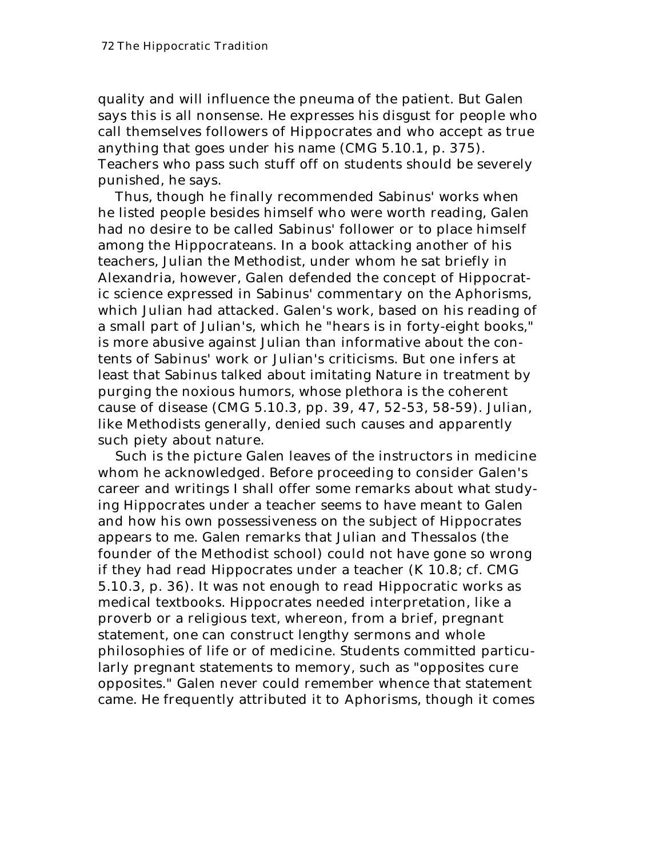quality and will influence the *pneuma* of the patient. But Galen says this is all nonsense. He expresses his disgust for people who call themselves followers of Hippocrates and who accept as true anything that goes under his name (CMG 5.10.1, p. 375). Teachers who pass such stuff off on students should be severely punished, he says.

 Thus, though he finally recommended Sabinus' works when he listed people besides himself who were worth reading, Galen had no desire to be called Sabinus' follower or to place himself among the Hippocrateans. In a book attacking another of his teachers, Julian the Methodist, under whom he sat briefly in Alexandria, however, Galen defended the concept of Hippocratic science expressed in Sabinus' commentary on the *Aphorisms*, which Julian had attacked. Galen's work, based on his reading of a small part of Julian's, which he "hears is in forty-eight books," is more abusive against Julian than informative about the contents of Sabinus' work or Julian's criticisms. But one infers at least that Sabinus talked about imitating Nature in treatment by purging the noxious humors, whose plethora is the coherent cause of disease (CMG 5.10.3, pp. 39, 47, 52-53, 58-59). Julian, like Methodists generally, denied such causes and apparently such piety about nature.

 Such is the picture Galen leaves of the instructors in medicine whom he acknowledged. Before proceeding to consider Galen's career and writings I shall offer some remarks about what studying Hippocrates under a teacher seems to have meant to Galen and how his own possessiveness on the subject of Hippocrates appears to me. Galen remarks that Julian and Thessalos (the founder of the Methodist school) could not have gone so wrong if they had read Hippocrates under a teacher (K 10.8; cf. CMG 5.10.3, p. 36). It was not enough to read Hippocratic works as medical textbooks. Hippocrates needed interpretation, like a proverb or a religious text, whereon, from a brief, pregnant statement, one can construct lengthy sermons and whole philosophies of life or of medicine. Students committed particularly pregnant statements to memory, such as "opposites cure opposites." Galen never could remember whence that statement came. He frequently attributed it to *Aphorisms*, though it comes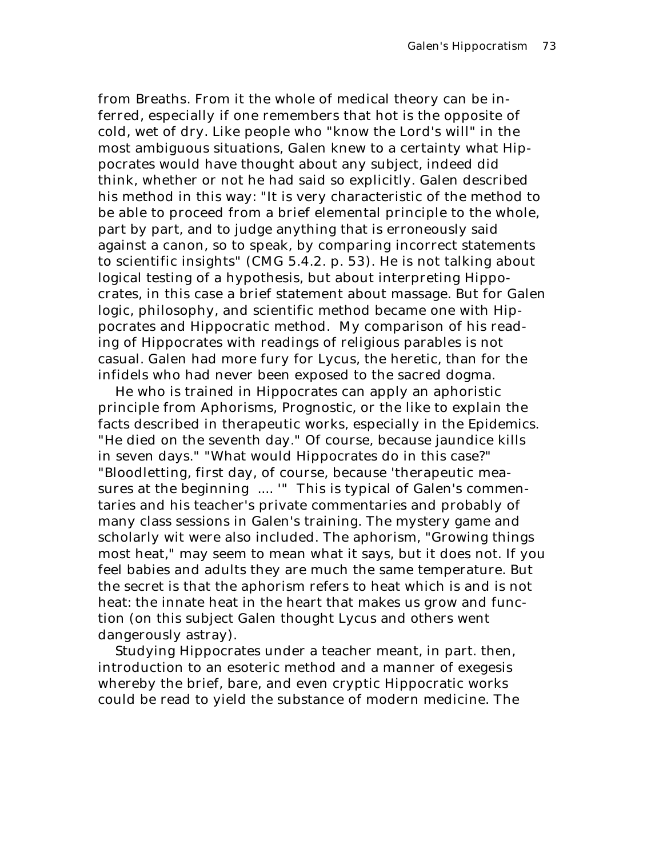from *Breaths*. From it the whole of medical theory can be inferred, especially if one remembers that hot is the opposite of cold, wet of dry. Like people who "know the Lord's will" in the most ambiguous situations, Galen knew to a certainty what Hippocrates would have thought about any subject, indeed did think, whether or not he had said so explicitly. Galen described his method in this way: "It is very characteristic of the method to be able to proceed from a brief elemental principle to the whole, part by part, and to judge anything that is erroneously said against a canon, so to speak, by comparing incorrect statements to scientific insights" (CMG 5.4.2. p. 53). He is not talking about logical testing of a hypothesis, but about interpreting Hippocrates, in this case a brief statement about massage. But for Galen logic, philosophy, and scientific method became one with Hippocrates and Hippocratic method. My comparison of his reading of Hippocrates with readings of religious parables is not casual. Galen had more fury for Lycus, the heretic, than for the infidels who had never been exposed to the sacred dogma.

 He who is trained in Hippocrates can apply an aphoristic principle from *Aphorisms*, *Prognostic*, or the like to explain the facts described in therapeutic works, especially in the *Epidemics*. "He died on the seventh day." Of course, because jaundice kills in seven days." "What would Hippocrates do in this case?" "Bloodletting, first day, of course, because 'therapeutic measures at the beginning .... '" This is typical of Galen's commentaries and his teacher's private commentaries and probably of many class sessions in Galen's training. The mystery game and scholarly wit were also included. The aphorism, "Growing things most heat," may seem to mean what it says, but it does not. If you feel babies and adults they are much the same temperature. But the secret is that the aphorism refers to heat which is and is not heat: the innate heat in the heart that makes us grow and function (on this subject Galen thought Lycus and others went dangerously astray).

 Studying Hippocrates under a teacher meant, in part. then, introduction to an esoteric method and a manner of exegesis whereby the brief, bare, and even cryptic Hippocratic works could be read to yield the substance of modern medicine. The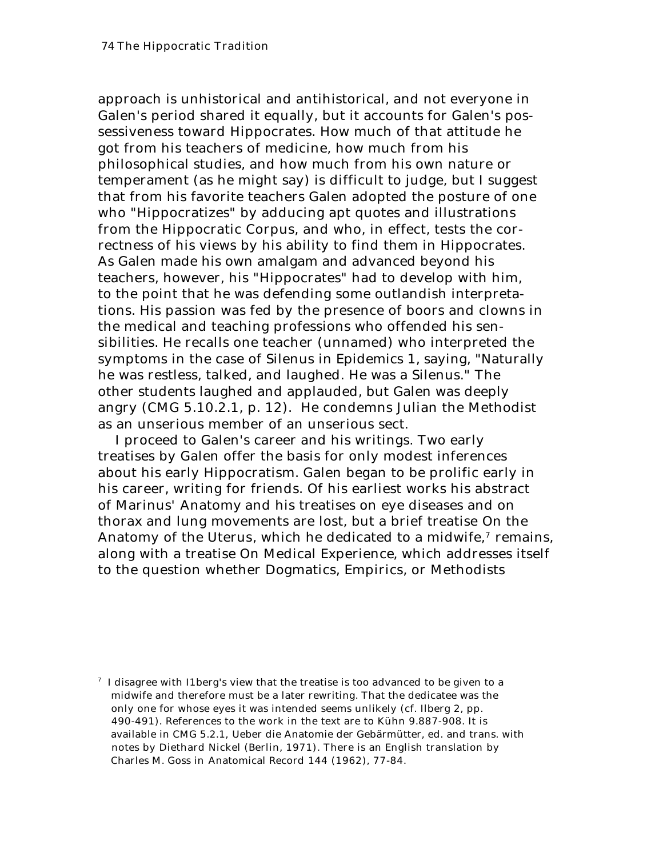approach is unhistorical and antihistorical, and not everyone in Galen's period shared it equally, but it accounts for Galen's possessiveness toward Hippocrates. How much of that attitude he got from his teachers of medicine, how much from his philosophical studies, and how much from his own nature or temperament (as he might say) is difficult to judge, but I suggest that from his favorite teachers Galen adopted the posture of one who "Hippocratizes" by adducing apt quotes and illustrations from the Hippocratic Corpus, and who, in effect, tests the correctness of his views by his ability to find them in Hippocrates. As Galen made his own amalgam and advanced beyond his teachers, however, his "Hippocrates" had to develop with him, to the point that he was defending some outlandish interpretations. His passion was fed by the presence of boors and clowns in the medical and teaching professions who offended his sensibilities. He recalls one teacher (unnamed) who interpreted the symptoms in the case of Silenus in *Epidemics* 1, saying, "Naturally he was restless, talked, and laughed. He was a Silenus." The other students laughed and applauded, but Galen was deeply angry (CMG 5.10.2.1, p. 12). He condemns Julian the Methodist as an unserious member of an unserious sect.

 I proceed to Galen's career and his writings. Two early treatises by Galen offer the basis for only modest inferences about his early Hippocratism. Galen began to be prolific early in his career, writing for friends. Of his earliest works his abstract of Marinus' *Anatomy* and his treatises on eye diseases and on thorax and lung movements are lost, but a brief treatise *On the* Anatomy of the Uterus, which he dedicated to a midwife,<sup>7</sup> remains, along with a treatise *On Medical Experience*, which addresses itself to the question whether Dogmatics, Empirics, or Methodists

 $^7$  I disagree with I1berg's view that the treatise is too advanced to be given to a midwife and therefore must be a later rewriting. That the dedicatee was the only one for whose eyes it was intended seems unlikely (cf. Ilberg 2, pp. 490-491). References to the work in the text are to Kühn 9.887-908. It is available in CMG 5.2.1, *Ueber die Anatomie der Gebärmütter*, ed. and trans. with notes by Diethard Nickel (Berlin, 1971). There is an English translation by Charles M. Goss in *Anatomical Record* 144 (1962), 77-84.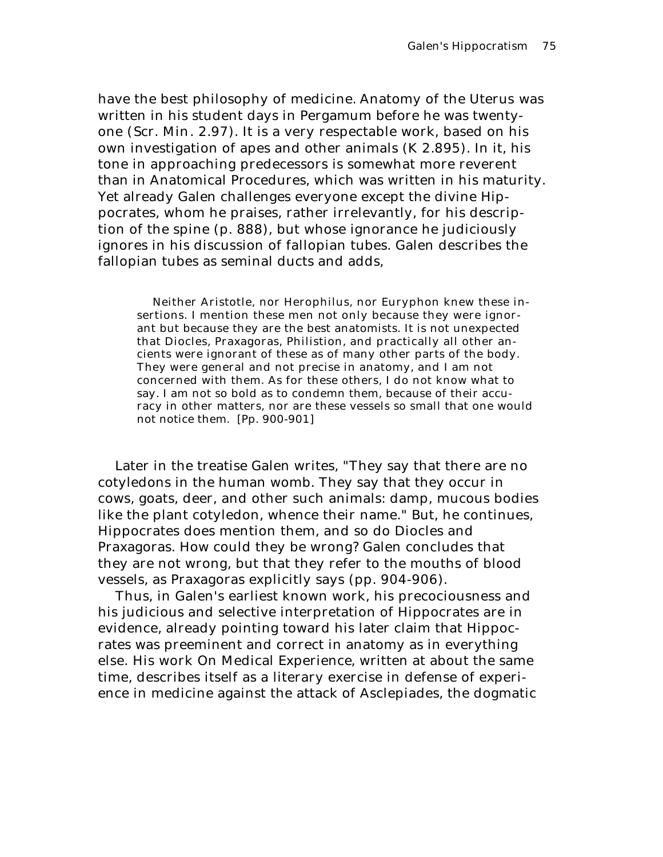have the best philosophy of medicine. *Anatomy of the Uterus* was written in his student days in Pergamum before he was twentyone (*Scr. Min*. 2.97). It is a very respectable work, based on his own investigation of apes and other animals (K 2.895). In it, his tone in approaching predecessors is somewhat more reverent than in *Anatomical Procedures*, which was written in his maturity. Yet already Galen challenges everyone except the divine Hippocrates, whom he praises, rather irrelevantly, for his description of the spine (p. 888), but whose ignorance he judiciously ignores in his discussion of fallopian tubes. Galen describes the fallopian tubes as seminal ducts and adds,

 Neither Aristotle, nor Herophilus, nor Euryphon knew these insertions. I mention these men not only because they were ignorant but because they are the best anatomists. It is not unexpected that Diocles, Praxagoras, Philistion, and practically all other ancients were ignorant of these as of many other parts of the body. They were general and not precise in anatomy, and I am not concerned with them. As for these others, I do not know what to say. I am not so bold as to condemn them, because of their accuracy in other matters, nor are these vessels so small that one would not notice them. [Pp. 900-901]

 Later in the treatise Galen writes, "They say that there are no cotyledons in the human womb. They say that they occur in cows, goats, deer, and other such animals: damp, mucous bodies like the plant cotyledon, whence their name." But, he continues, Hippocrates does mention them, and so do Diocles and Praxagoras. How could they be wrong? Galen concludes that they are not wrong, but that they refer to the mouths of blood vessels, as Praxagoras explicitly says (pp. 904-906).

 Thus, in Galen's earliest known work, his precociousness and his judicious and selective interpretation of Hippocrates are in evidence, already pointing toward his later claim that Hippocrates was preeminent and correct in anatomy as in everything else. His work *On Medical Experience*, written at about the same time, describes itself as a literary exercise in defense of experience in medicine against the attack of Asclepiades, the dogmatic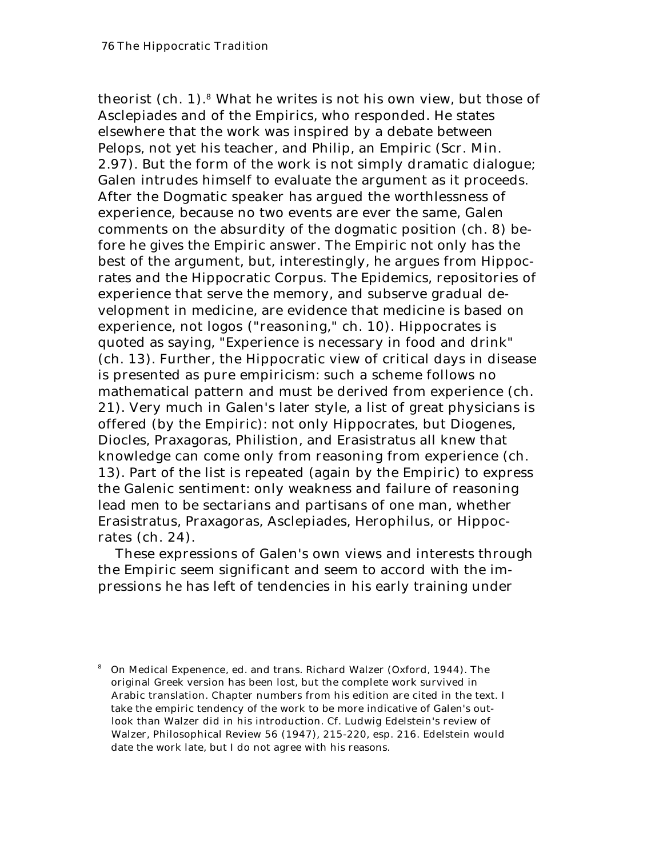theorist (ch. 1).<sup>8</sup> What he writes is not his own view, but those of Asclepiades and of the Empirics, who responded. He states elsewhere that the work was inspired by a debate between Pelops, not yet his teacher, and Philip, an Empiric (*Scr. Min.* 2.97). But the form of the work is not simply dramatic dialogue; Galen intrudes himself to evaluate the argument as it proceeds. After the Dogmatic speaker has argued the worthlessness of experience, because no two events are ever the same, Galen comments on the absurdity of the dogmatic position (ch. 8) before he gives the Empiric answer. The Empiric not only has the best of the argument, but, interestingly, he argues from Hippocrates and the Hippocratic Corpus. The *Epidemics*, repositories of experience that serve the memory, and subserve gradual development in medicine, are evidence that medicine is based on experience, not *logos* ("reasoning," ch. 10). Hippocrates is quoted as saying, "Experience is necessary in food and drink" (ch. 13). Further, the Hippocratic view of critical days in disease is presented as pure empiricism: such a scheme follows no mathematical pattern and must be derived from experience (ch. 21). Very much in Galen's later style, a list of great physicians is offered (by the Empiric): not only Hippocrates, but Diogenes, Diocles, Praxagoras, Philistion, and Erasistratus all knew that knowledge can come only from reasoning from experience (ch. 13). Part of the list is repeated (again by the Empiric) to express the Galenic sentiment: only weakness and failure of reasoning lead men to be sectarians and partisans of one man, whether Erasistratus, Praxagoras, Asclepiades, Herophilus, or Hippocrates (ch. 24).

 These expressions of Galen's own views and interests through the Empiric seem significant and seem to accord with the impressions he has left of tendencies in his early training under

8 *On Medical Expenence*, ed. and trans. Richard Walzer (Oxford, 1944). The original Greek version has been lost, but the complete work survived in Arabic translation. Chapter numbers from his edition are cited in the text. I take the empiric tendency of the work to be more indicative of Galen's out look than Walzer did in his introduction. Cf. Ludwig Edelstein's review of Walzer, *Philosophical Review* 56 (1947), 215-220, esp. 216. Edelstein would date the work late, but I do not agree with his reasons.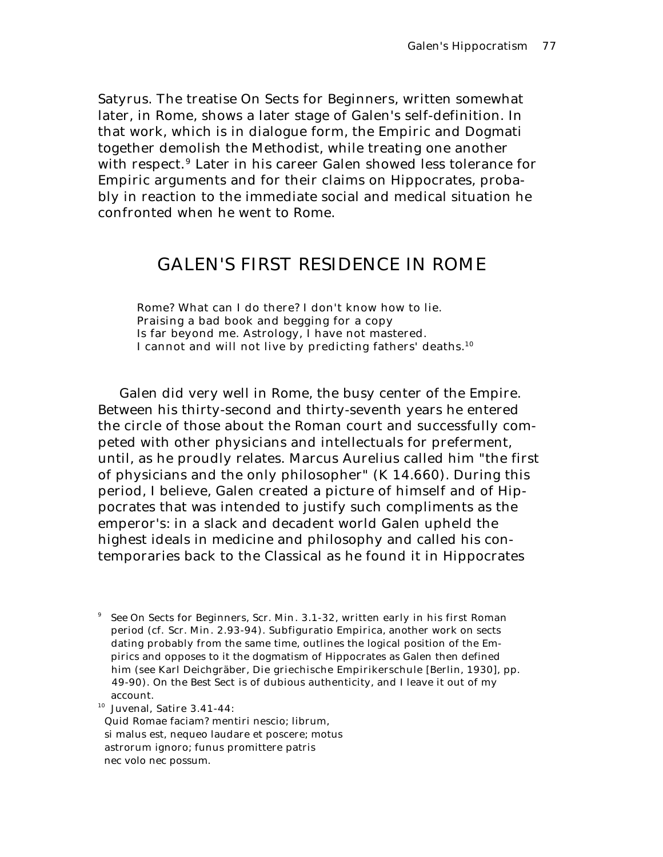Satyrus. The treatise *On Sects for Beginners*, written somewhat later, in Rome, shows a later stage of Galen's self-definition. In that work, which is in dialogue form, the Empiric and Dogmati together demolish the Methodist, while treating one another with respect.<sup>9</sup> Later in his career Galen showed less tolerance for Empiric arguments and for their claims on Hippocrates, probably in reaction to the immediate social and medical situation he confronted when he went to Rome.

### GALEN'S FIRST RESIDENCE IN ROME

Rome? What can I do there? I don't know how to lie. Praising a bad book and begging for a copy Is far beyond me. Astrology, I have not mastered. I cannot and will not live by predicting fathers' deaths.<sup>10</sup>

 Galen did very well in Rome, the busy center of the Empire. Between his thirty-second and thirty-seventh years he entered the circle of those about the Roman court and successfully competed with other physicians and intellectuals for preferment, until, as he proudly relates. Marcus Aurelius called him "the first of physicians and the only philosopher" (K 14.660). During this period, I believe, Galen created a picture of himself and of Hippocrates that was intended to justify such compliments as the emperor's: in a slack and decadent world Galen upheld the highest ideals in medicine and philosophy and called his contemporaries back to the Classical as he found it in Hippocrates

<sup>10</sup> Juvenal, *Satire* 3.41-44:

 Quid Romae faciam? mentiri nescio; librum, si malus est, nequeo laudare et poscere; motus astrorum ignoro; funus promittere patris nec volo nec possum.

<sup>9</sup> See *On Sects for Beginners*, *Scr. Min*. 3.1-32, written early in his first Roman period (cf. *Scr. Min*. 2.93-94). *Subfiguratio Empirica*, another work on sects dating probably from the same time, outlines the logical position of the Em pirics and opposes to it the dogmatism of Hippocrates as Galen then defined him (see Karl Deichgräber, *Die griechische Empirikerschule* [Berlin, 1930], pp. 49-90). *On the Best Sect* is of dubious authenticity, and I leave it out of my account.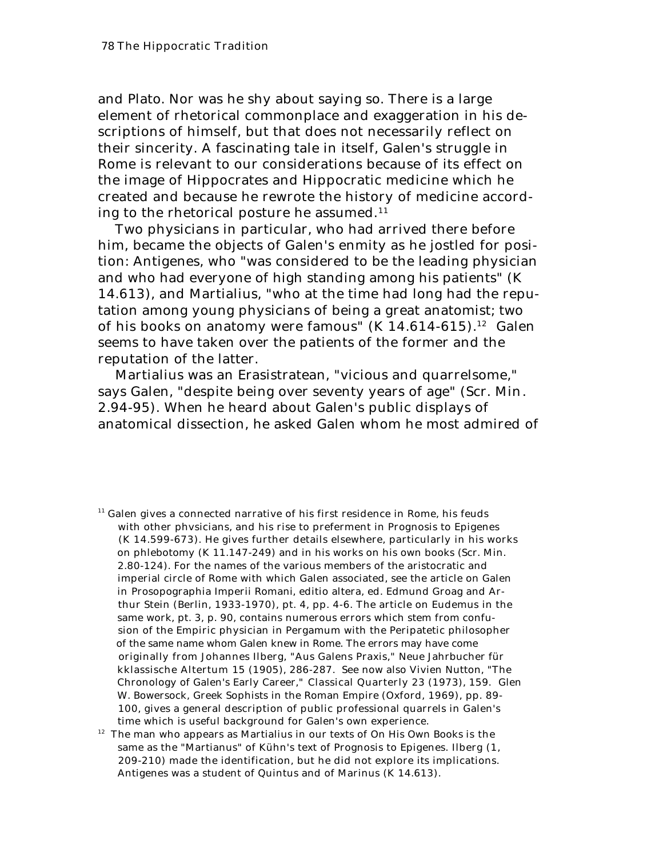and Plato. Nor was he shy about saying so. There is a large element of rhetorical commonplace and exaggeration in his descriptions of himself, but that does not necessarily reflect on their sincerity. A fascinating tale in itself, Galen's struggle in Rome is relevant to our considerations because of its effect on the image of Hippocrates and Hippocratic medicine which he created and because he rewrote the history of medicine according to the rhetorical posture he assumed.<sup>11</sup>

 Two physicians in particular, who had arrived there before him, became the objects of Galen's enmity as he jostled for position: Antigenes, who "was considered to be the leading physician and who had everyone of high standing among his patients" (K 14.613), and Martialius, "who at the time had long had the reputation among young physicians of being a great anatomist; two of his books on anatomy were famous"  $(K 14.614-615).$ <sup>12</sup> Galen seems to have taken over the patients of the former and the reputation of the latter.

 Martialius was an Erasistratean, "vicious and quarrelsome," says Galen, "despite being over seventy years of age" (*Scr. Min*. 2.94-95). When he heard about Galen's public displays of anatomical dissection, he asked Galen whom he most admired of

 $11$  Galen gives a connected narrative of his first residence in Rome, his feuds with other phvsicians, and his rise to preferment in *Prognosis to Epigenes* (K 14.599-673). He gives further details elsewhere, particularly in his works on phlebotomy (K 11.147-249) and in his works on his own books (*Scr. Min.* 2.80-124). For the names of the various members of the aristocratic and imperial circle of Rome with which Galen associated, see the article on Galen in *Prosopographia Imperii Romani*, editio altera, ed. Edmund Groag and Ar thur Stein (Berlin, 1933-1970), pt. 4, pp. 4-6. The article on Eudemus in the same work, pt. 3, p. 90, contains numerous errors which stem from confu sion of the Empiric physician in Pergamum with the Peripatetic philosopher of the same name whom Galen knew in Rome. The errors may have come originally from Johannes Ilberg, "Aus Galens Praxis," *Neue Jahrbucher für* k*klassische Altertum* 15 (1905), 286-287. See now also Vivien Nutton, "The Chronology of Galen's Early Career," *Classical Quarterly 23 (1973), 159.* Glen W. Bowersock, *Greek Sophists in the Roman Empire* (Oxford, 1969), pp. 89- 100, gives a general description of public professional quarrels in Galen's time which is useful background for Galen's own experience.

<sup>12</sup> The man who appears as Martialius in our texts of *On His Own Books* is the same as the "Martianus" of Kühn's text of *Prognosis to Epigenes*. Ilberg (1, 209-210) made the identification, but he did not explore its implications. Antigenes was a student of Quintus and of Marinus (K 14.613).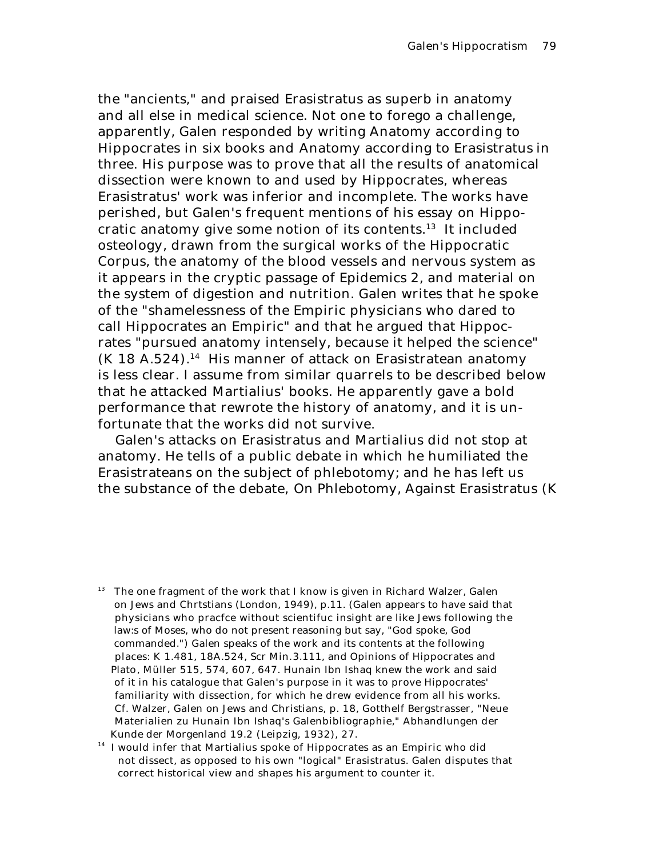the "ancients," and praised Erasistratus as superb in anatomy and all else in medical science. Not one to forego a challenge, apparently, Galen responded by writing *Anatomy according to Hippocrates* in six books and *Anatomy according to Erasistratus* in three. His purpose was to prove that all the results of anatomical dissection were known to and used by Hippocrates, whereas Erasistratus' work was inferior and incomplete. The works have perished, but Galen's frequent mentions of his essay on Hippocratic anatomy give some notion of its contents.13 It included osteology, drawn from the surgical works of the Hippocratic Corpus, the anatomy of the blood vessels and nervous system as it appears in the cryptic passage of *Epidemics* 2, and material on the system of digestion and nutrition. Galen writes that he spoke of the "shamelessness of the Empiric physicians who dared to call Hippocrates an Empiric" and that he argued that Hippocrates "pursued anatomy intensely, because it helped the science"  $(K 18 A.524).$ <sup>14</sup> His manner of attack on Erasistratean anatomy is less clear. I assume from similar quarrels to be described below that he attacked Martialius' books. He apparently gave a bold performance that rewrote the history of anatomy, and it is unfortunate that the works did not survive.

 Galen's attacks on Erasistratus and Martialius did not stop at anatomy. He tells of a public debate in which he humiliated the Erasistrateans on the subject of phlebotomy; and he has left us the substance of the debate, *On Phlebotomy, Against Erasistratus* (K

<sup>13</sup> The one fragment of the work that I know is given in Richard Walzer, *Galen on Jews and Chrtstians* (London, 1949), p.11. (Galen appears to have said that physicians who pracfce without scientifuc insight are like Jews following the law:s of Moses, who do not present reasoning but say, "God spoke, God commanded.") Galen speaks of the work and its contents at the following places: K 1.481, 18A.524, *Scr Min.*3.111, and *Opinions of Hippocrates and Plato*, Müller 515, 574, 607, 647. Hunain Ibn Ishaq knew the work and said of it in his catalogue that Galen's purpose in it was to prove Hippocrates' familiarity with dissection, for which he drew evidence from all his works. Cf. Walzer, *Galen on Jews and Christians*, p. 18, Gotthelf Bergstrasser, "Neue Materialien zu Hunain Ibn Ishaq's Galenbibliographie," *Abhandlungen der Kunde der Morgenland* 19.2 (Leipzig, 1932), 27.

<sup>14</sup> I would infer that Martialius spoke of Hippocrates as an Empiric who did not dissect, as opposed to his own "logical" Erasistratus. Galen disputes that correct historical view and shapes his argument to counter it.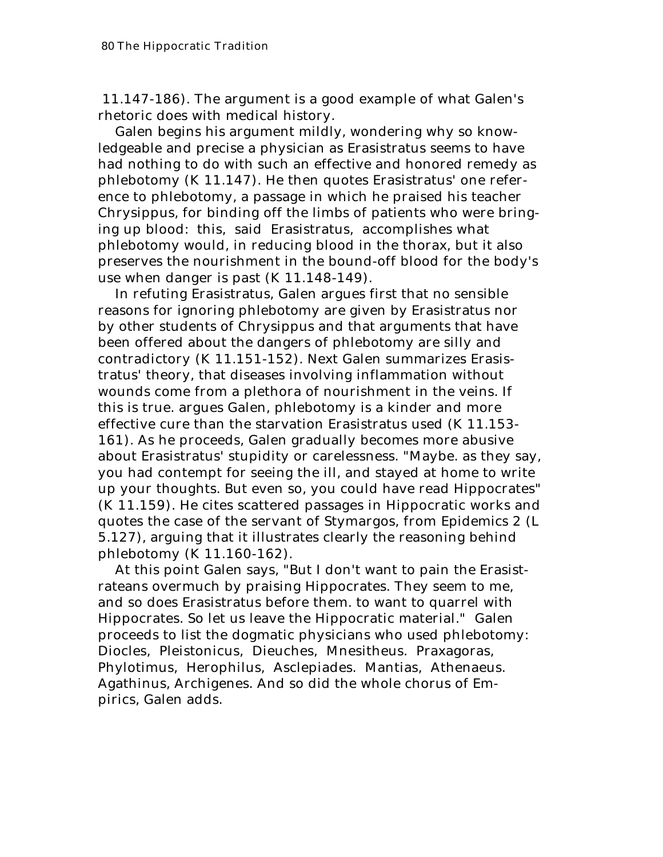11.147-186). The argument is a good example of what Galen's rhetoric does with medical history.

 Galen begins his argument mildly, wondering why so knowledgeable and precise a physician as Erasistratus seems to have had nothing to do with such an effective and honored remedy as phlebotomy (K 11.147). He then quotes Erasistratus' one reference to phlebotomy, a passage in which he praised his teacher Chrysippus, for binding off the limbs of patients who were bringing up blood: this, said Erasistratus, accomplishes what phlebotomy would, in reducing blood in the thorax, but it also preserves the nourishment in the bound-off blood for the body's use when danger is past (K 11.148-149).

 In refuting Erasistratus, Galen argues first that no sensible reasons for ignoring phlebotomy are given by Erasistratus nor by other students of Chrysippus and that arguments that have been offered about the dangers of phlebotomy are silly and contradictory (K 11.151-152). Next Galen summarizes Erasistratus' theory, that diseases involving inflammation without wounds come from a plethora of nourishment in the veins. If this is true. argues Galen, phlebotomy is a kinder and more effective cure than the starvation Erasistratus used (K 11.153- 161). As he proceeds, Galen gradually becomes more abusive about Erasistratus' stupidity or carelessness. "Maybe. as they say, you had contempt for seeing the ill, and stayed at home to write up your thoughts. But even so, you could have read Hippocrates" (K 11.159). He cites scattered passages in Hippocratic works and quotes the case of the servant of Stymargos, from *Epidemics* 2 (L 5.127), arguing that it illustrates clearly the reasoning behind phlebotomy (K 11.160-162).

 At this point Galen says, "But I don't want to pain the Erasistrateans overmuch by praising Hippocrates. They seem to me, and so does Erasistratus before them. to want to quarrel with Hippocrates. So let us leave the Hippocratic material." Galen proceeds to list the dogmatic physicians who used phlebotomy: Diocles, Pleistonicus, Dieuches, Mnesitheus. Praxagoras, Phylotimus, Herophilus, Asclepiades. Mantias, Athenaeus. Agathinus, Archigenes. And so did the whole chorus of Empirics, Galen adds.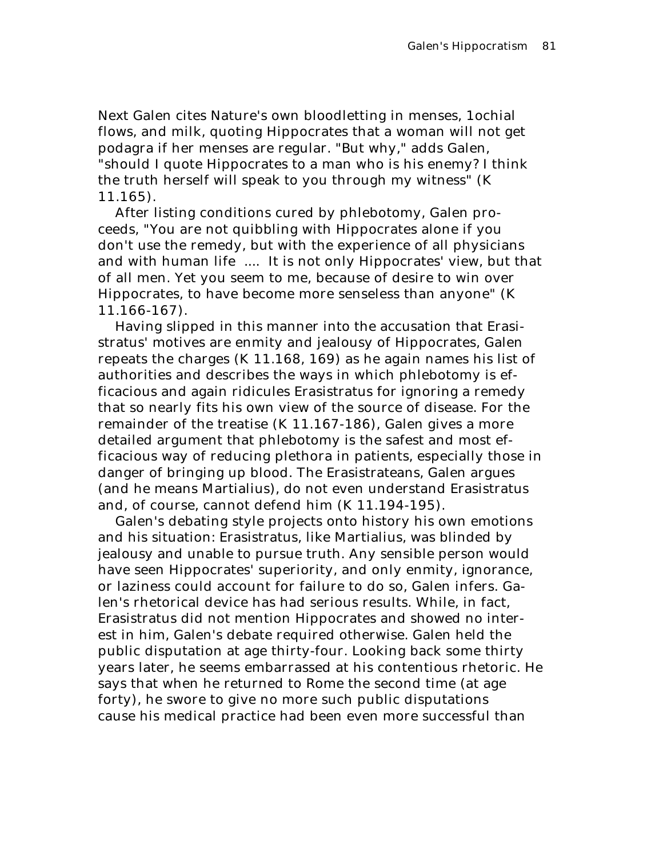Next Galen cites Nature's own bloodletting in menses, 1ochial flows, and milk, quoting Hippocrates that a woman will not get podagra if her menses are regular. "But why," adds Galen, "should I quote Hippocrates to a man who is his enemy? I think the truth herself will speak to you through my witness" (K 11.165).

 After listing conditions cured by phlebotomy, Galen proceeds, "You are not quibbling with Hippocrates alone if you don't use the remedy, but with the experience of all physicians and with human life .... It is not only Hippocrates' view, but that of all men. Yet you seem to me, because of desire to win over Hippocrates, to have become more senseless than anyone" (K 11.166-167).

 Having slipped in this manner into the accusation that Erasistratus' motives are enmity and jealousy of Hippocrates, Galen repeats the charges (K 11.168, 169) as he again names his list of authorities and describes the ways in which phlebotomy is efficacious and again ridicules Erasistratus for ignoring a remedy that so nearly fits his own view of the source of disease. For the remainder of the treatise (K 11.167-186), Galen gives a more detailed argument that phlebotomy is the safest and most efficacious way of reducing plethora in patients, especially those in danger of bringing up blood. The Erasistrateans, Galen argues (and he means Martialius), do not even understand Erasistratus and, of course, cannot defend him (K 11.194-195).

 Galen's debating style projects onto history his own emotions and his situation: Erasistratus, like Martialius, was blinded by jealousy and unable to pursue truth. Any sensible person would have seen Hippocrates' superiority, and only enmity, ignorance, or laziness could account for failure to do so, Galen infers. Galen's rhetorical device has had serious results. While, in fact, Erasistratus did not mention Hippocrates and showed no interest in him, Galen's debate required otherwise. Galen held the public disputation at age thirty-four. Looking back some thirty years later, he seems embarrassed at his contentious rhetoric. He says that when he returned to Rome the second time (at age forty), he swore to give no more such public disputations cause his medical practice had been even more successful than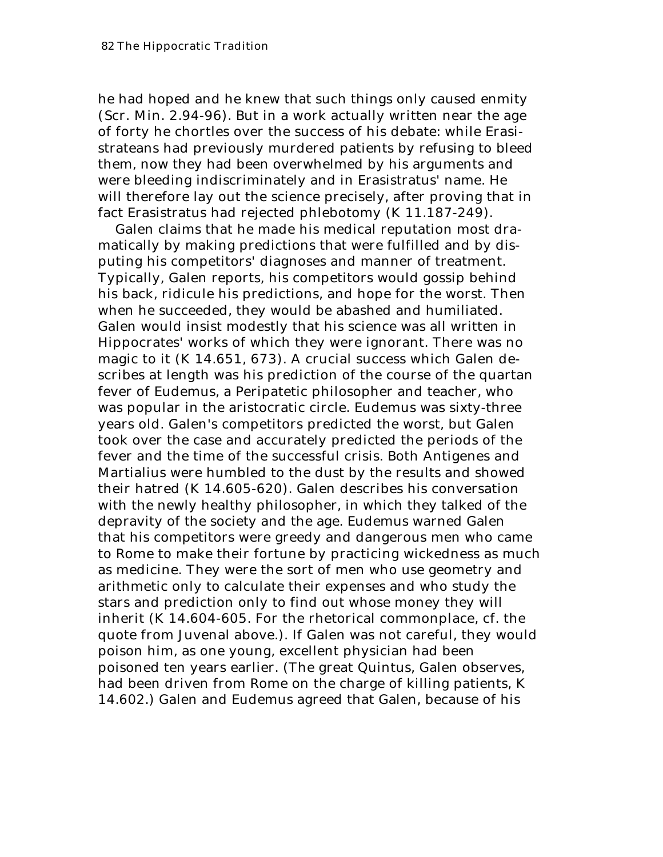he had hoped and he knew that such things only caused enmity (*Scr. Min.* 2.94-96). But in a work actually written near the age of forty he chortles over the success of his debate: while Erasistrateans had previously murdered patients by refusing to bleed them, now they had been overwhelmed by his arguments and were bleeding indiscriminately and in Erasistratus' name. He will therefore lay out the science precisely, after proving that in fact Erasistratus had rejected phlebotomy (K 11.187-249).

 Galen claims that he made his medical reputation most dramatically by making predictions that were fulfilled and by disputing his competitors' diagnoses and manner of treatment. Typically, Galen reports, his competitors would gossip behind his back, ridicule his predictions, and hope for the worst. Then when he succeeded, they would be abashed and humiliated. Galen would insist modestly that his science was all written in Hippocrates' works of which they were ignorant. There was no magic to it (K 14.651, 673). A crucial success which Galen describes at length was his prediction of the course of the quartan fever of Eudemus, a Peripatetic philosopher and teacher, who was popular in the aristocratic circle. Eudemus was sixty-three years old. Galen's competitors predicted the worst, but Galen took over the case and accurately predicted the periods of the fever and the time of the successful crisis. Both Antigenes and Martialius were humbled to the dust by the results and showed their hatred (K 14.605-620). Galen describes his conversation with the newly healthy philosopher, in which they talked of the depravity of the society and the age. Eudemus warned Galen that his competitors were greedy and dangerous men who came to Rome to make their fortune by practicing wickedness as much as medicine. They were the sort of men who use geometry and arithmetic only to calculate their expenses and who study the stars and prediction only to find out whose money they will inherit (K 14.604-605. For the rhetorical commonplace, cf. the quote from Juvenal above.). If Galen was not careful, they would poison him, as one young, excellent physician had been poisoned ten years earlier. (The great Quintus, Galen observes, had been driven from Rome on the charge of killing patients, K 14.602.) Galen and Eudemus agreed that Galen, because of his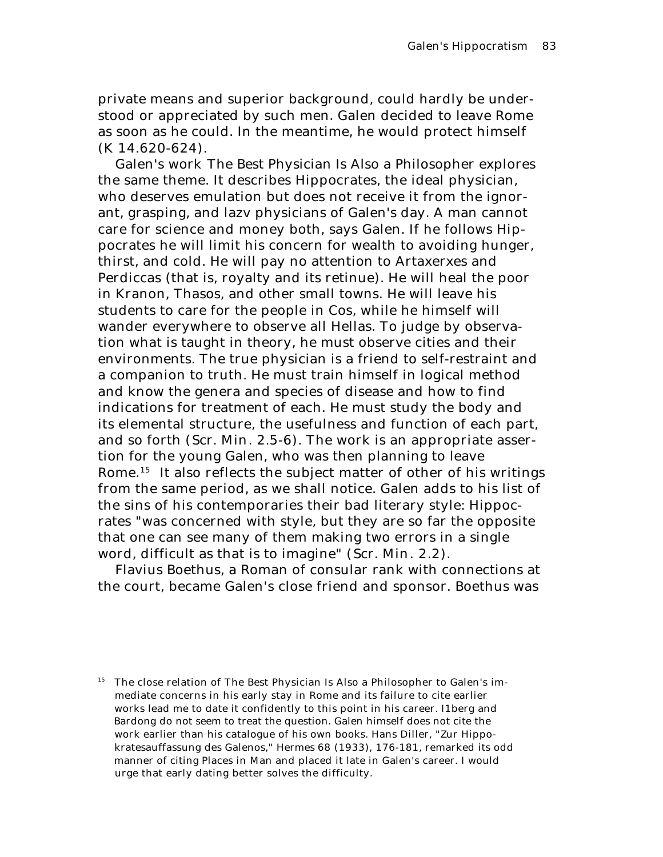private means and superior background, could hardly be understood or appreciated by such men. Galen decided to leave Rome as soon as he could. In the meantime, he would protect himself (K 14.620-624).

 Galen's work *The Best Physician Is Also a Philosopher* explores the same theme. It describes Hippocrates, the ideal physician, who deserves emulation but does not receive it from the ignorant, grasping, and lazv physicians of Galen's day. A man cannot care for science and money both, says Galen. If he follows Hippocrates he will limit his concern for wealth to avoiding hunger, thirst, and cold. He will pay no attention to Artaxerxes and Perdiccas (that is, royalty and its retinue). He will heal the poor in Kranon, Thasos, and other small towns. He will leave his students to care for the people in Cos, while he himself will wander everywhere to observe all Hellas. To judge by observation what is taught in theory, he must observe cities and their environments. The true physician is a friend to self-restraint and a companion to truth. He must train himself in logical method and know the genera and species of disease and how to find indications for treatment of each. He must study the body and its elemental structure, the usefulness and function of each part, and so forth (*Scr. Min*. 2.5-6). The work is an appropriate assertion for the young Galen, who was then planning to leave Rome.<sup>15</sup> It also reflects the subject matter of other of his writings from the same period, as we shall notice. Galen adds to his list of the sins of his contemporaries their bad literary style: Hippocrates "was concerned with style, but they are so far the opposite that one can see many of them making two errors in a single word, difficult as that is to imagine" (*Scr. Min*. 2.2).

 Flavius Boethus, a Roman of consular rank with connections at the court, became Galen's close friend and sponsor. Boethus was

<sup>&</sup>lt;sup>15</sup> The close relation of The Best Physician Is Also a Philosopher to Galen's im mediate concerns in his early stay in Rome and its failure to cite earlier works lead me to date it confidently to this point in his career. I1berg and Bardong do not seem to treat the question. Galen himself does not cite the work earlier than his catalogue of his own books. Hans Diller, "Zur Hippo kratesauffassung des Galenos," *Hermes* 68 (1933), 176-181, remarked its odd manner of citing *Places in Man* and placed it late in Galen's career. I would urge that early dating better solves the difficulty.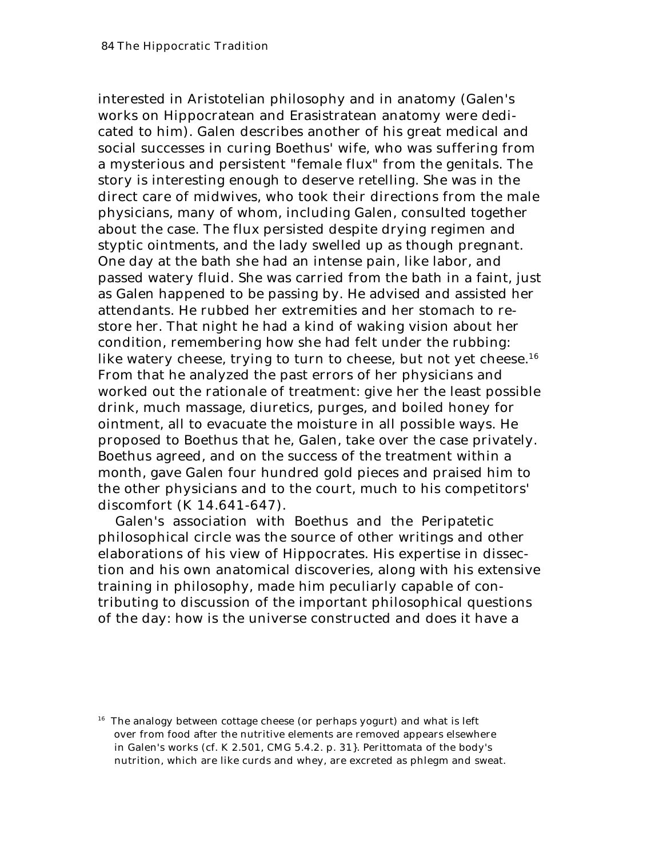interested in Aristotelian philosophy and in anatomy (Galen's works on Hippocratean and Erasistratean anatomy were dedicated to him). Galen describes another of his great medical and social successes in curing Boethus' wife, who was suffering from a mysterious and persistent "female flux" from the genitals. The story is interesting enough to deserve retelling. She was in the direct care of midwives, who took their directions from the male physicians, many of whom, including Galen, consulted together about the case. The flux persisted despite drying regimen and styptic ointments, and the lady swelled up as though pregnant. One day at the bath she had an intense pain, like labor, and passed watery fluid. She was carried from the bath in a faint, just as Galen happened to be passing by. He advised and assisted her attendants. He rubbed her extremities and her stomach to restore her. That night he had a kind of waking vision about her condition, remembering how she had felt under the rubbing: like watery cheese, trying to turn to cheese, but not yet cheese.<sup>16</sup> From that he analyzed the past errors of her physicians and worked out the rationale of treatment: give her the least possible drink, much massage, diuretics, purges, and boiled honey for ointment, all to evacuate the moisture in all possible ways. He proposed to Boethus that he, Galen, take over the case privately. Boethus agreed, and on the success of the treatment within a month, gave Galen four hundred gold pieces and praised him to the other physicians and to the court, much to his competitors' discomfort (K 14.641-647).

 Galen's association with Boethus and the Peripatetic philosophical circle was the source of other writings and other elaborations of his view of Hippocrates. His expertise in dissection and his own anatomical discoveries, along with his extensive training in philosophy, made him peculiarly capable of contributing to discussion of the important philosophical questions of the day: how is the universe constructed and does it have a

 $16$  The analogy between cottage cheese (or perhaps yogurt) and what is left over from food after the nutritive elements are removed appears elsewhere in Galen's works (cf. K 2.501, CMG 5.4.2. p. 31}. *Perittomata* of the body's nutrition, which are like curds and whey, are excreted as phlegm and sweat.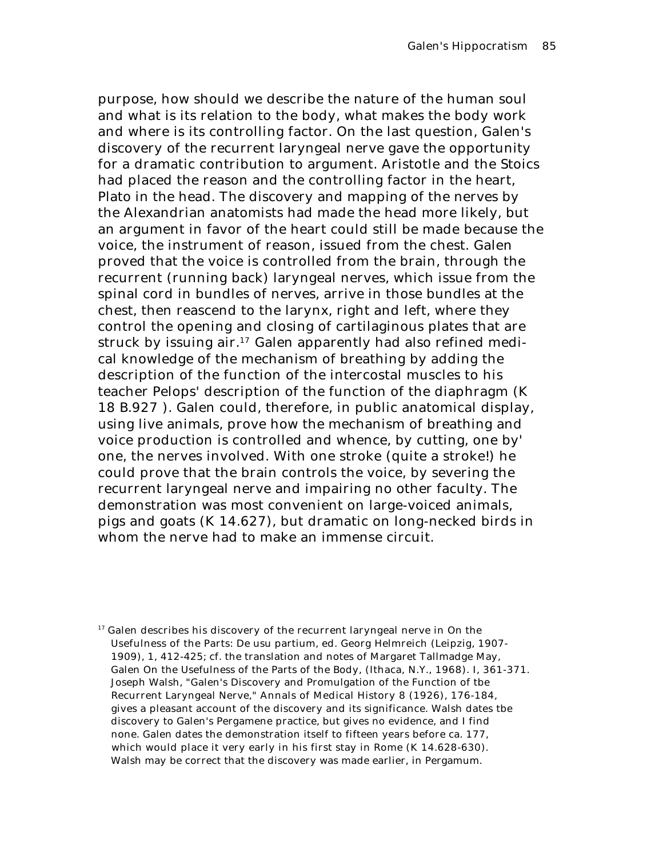purpose, how should we describe the nature of the human soul and what is its relation to the body, what makes the body work and where is its controlling factor. On the last question, Galen's discovery of the recurrent laryngeal nerve gave the opportunity for a dramatic contribution to argument. Aristotle and the Stoics had placed the reason and the controlling factor in the heart, Plato in the head. The discovery and mapping of the nerves by the Alexandrian anatomists had made the head more likely, but an argument in favor of the heart could still be made because the voice, the instrument of reason, issued from the chest. Galen proved that the voice is controlled from the brain, through the recurrent (running back) laryngeal nerves, which issue from the spinal cord in bundles of nerves, arrive in those bundles at the chest, then reascend to the larynx, right and left, where they control the opening and closing of cartilaginous plates that are struck by issuing air.<sup>17</sup> Galen apparently had also refined medical knowledge of the mechanism of breathing by adding the description of the function of the intercostal muscles to his teacher Pelops' description of the function of the diaphragm (K 18 B.927 ). Galen could, therefore, in public anatomical display, using live animals, prove how the mechanism of breathing and voice production is controlled and whence, by cutting, one by' one, the nerves involved. With one stroke (quite a stroke!) he could prove that the brain controls the voice, by severing the recurrent laryngeal nerve and impairing no other faculty. The demonstration was most convenient on large-voiced animals, pigs and goats (K 14.627), but dramatic on long-necked birds in whom the nerve had to make an immense circuit.

<sup>17</sup> Galen describes his discovery of the recurrent laryngeal nerve in *On the Usefulness of the Parts*: *De usu partium*, ed. Georg Helmreich (Leipzig, 1907- 1909), 1, 412-425; cf. the translation and notes of Margaret Tallmadge May, *Galen On the Usefulness of the Parts of the Body*, (Ithaca, N.Y., 1968). I, 361-371. Joseph Walsh, "Galen's Discovery and Promulgation of the Function of tbe Recurrent Laryngeal Nerve," *Annals of Medical History* 8 (1926), 176-184, gives a pleasant account of the discovery and its significance. Walsh dates tbe discovery to Galen's Pergamene practice, but gives no evidence, and I find none. Galen dates the demonstration itself to fifteen years before ca. 177, which would place it very early in his first stay in Rome (K 14.628-630). Walsh may be correct that the discovery was made earlier, in Pergamum.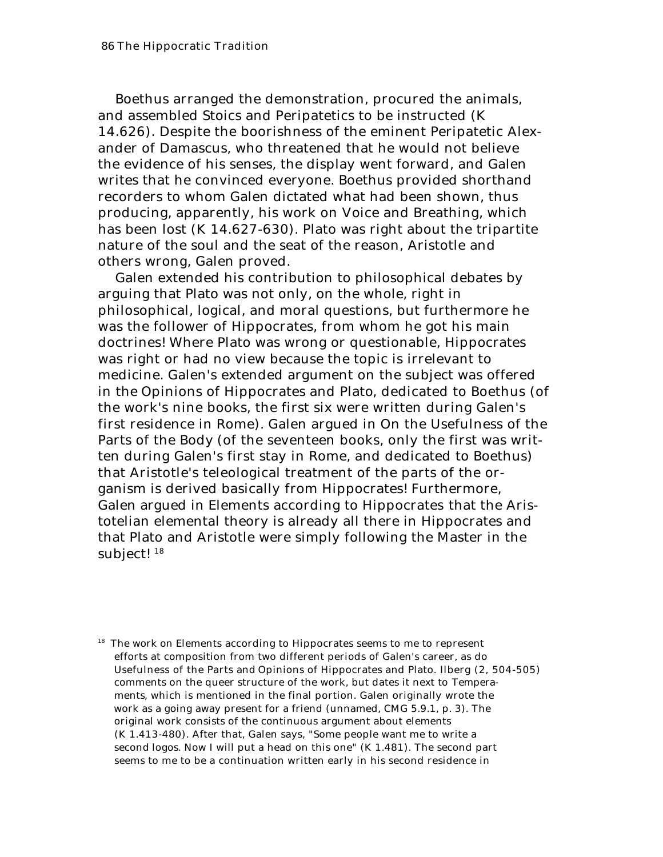Boethus arranged the demonstration, procured the animals, and assembled Stoics and Peripatetics to be instructed (K 14.626). Despite the boorishness of the eminent Peripatetic Alexander of Damascus, who threatened that he would not believe the evidence of his senses, the display went forward, and Galen writes that he convinced everyone. Boethus provided shorthand recorders to whom Galen dictated what had been shown, thus producing, apparently, his work on Voice and Breathing, which has been lost (K 14.627-630). Plato was right about the tripartite nature of the soul and the seat of the reason, Aristotle and others wrong, Galen proved.

 Galen extended his contribution to philosophical debates by arguing that Plato was not only, on the whole, right in philosophical, logical, and moral questions, but furthermore he was the follower of Hippocrates, from whom he got his main doctrines! Where Plato was wrong or questionable, Hippocrates was right or had no view because the topic is irrelevant to medicine. Galen's extended argument on the subject was offered in the *Opinions of Hippocrates and Plato*, dedicated to Boethus (of the work's nine books, the first six were written during Galen's first residence in Rome). Galen argued in *On the Usefulness of the Parts of the Body* (of the seventeen books, only the first was written during Galen's first stay in Rome, and dedicated to Boethus) that Aristotle's teleological treatment of the parts of the organism is derived basically from Hippocrates! Furthermore, Galen argued in *Elements according to Hippocrates* that the Aristotelian elemental theory is already all there in Hippocrates and that Plato and Aristotle were simply following the Master in the subject! <sup>18</sup>

<sup>18</sup> The work on *Elements according to Hippocrates* seems to me to represent efforts at composition from two different periods of Galen's career, as do *Usefulness of the Parts* and *Opinions of Hippocrates and Plato*. Ilberg (2, 504-505) comments on the queer structure of the work, but dates it next to *Tempera ments*, which is mentioned in the final portion. Galen originally wrote the work as a going away present for a friend (unnamed, CMG 5.9.1, p. 3). The original work consists of the continuous argument about elements (K 1.413-480). After that, Galen says, "Some people want me to write a second *logos*. Now I will put a head on this one" (K 1.481). The second part seems to me to be a continuation written early in his second residence in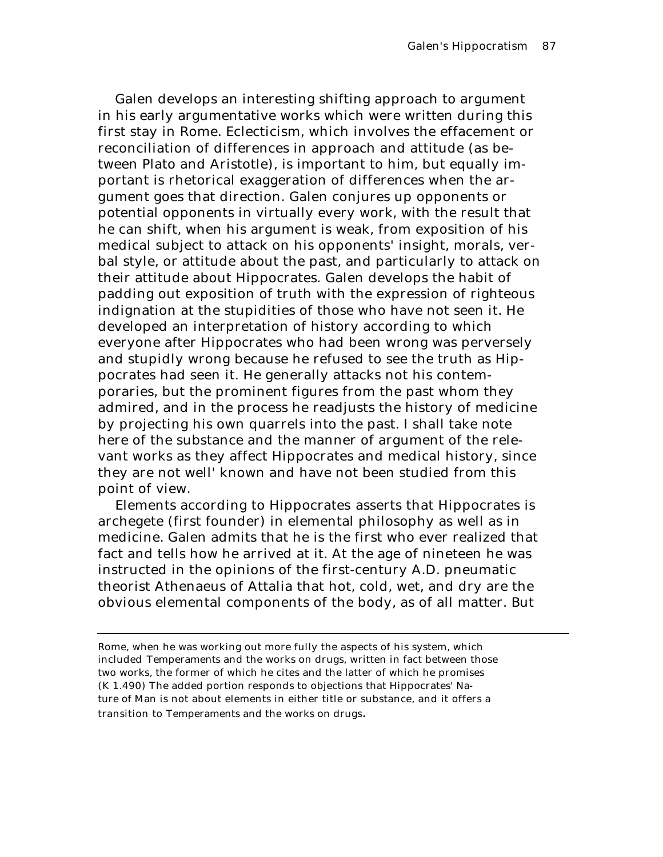Galen develops an interesting shifting approach to argument in his early argumentative works which were written during this first stay in Rome. Eclecticism, which involves the effacement or reconciliation of differences in approach and attitude (as between Plato and Aristotle), is important to him, but equally important is rhetorical exaggeration of differences when the argument goes that direction. Galen conjures up opponents or potential opponents in virtually every work, with the result that he can shift, when his argument is weak, from exposition of his medical subject to attack on his opponents' insight, morals, verbal style, or attitude about the past, and particularly to attack on their attitude about Hippocrates. Galen develops the habit of padding out exposition of truth with the expression of righteous indignation at the stupidities of those who have not seen it. He developed an interpretation of history according to which everyone after Hippocrates who had been wrong was perversely and stupidly wrong because he refused to see the truth as Hippocrates had seen it. He generally attacks not his contemporaries, but the prominent figures from the past whom they admired, and in the process he readjusts the history of medicine by projecting his own quarrels into the past. I shall take note here of the substance and the manner of argument of the relevant works as they affect Hippocrates and medical history, since they are not well' known and have not been studied from this point of view.

 *Elements according to Hippocrates* asserts that Hippocrates is archegete (first founder) in elemental philosophy as well as in medicine. Galen admits that he is the first who ever realized that fact and tells how he arrived at it. At the age of nineteen he was instructed in the opinions of the first-century A.D. pneumatic theorist Athenaeus of Attalia that hot, cold, wet, and dry are the obvious elemental components of the body, as of all matter. But

Rome, when he was working out more fully the aspects of his system, which included *Temperaments* and the works on drugs, written in fact between those two works, the former of which he cites and the latter of which he promises (K 1.490) The added portion responds to objections that Hippocrates' *Nature of Man* is not about elements in either title or substance, and it offers a transition to *Temperaments* and the works on drugs.

 $\overline{a}$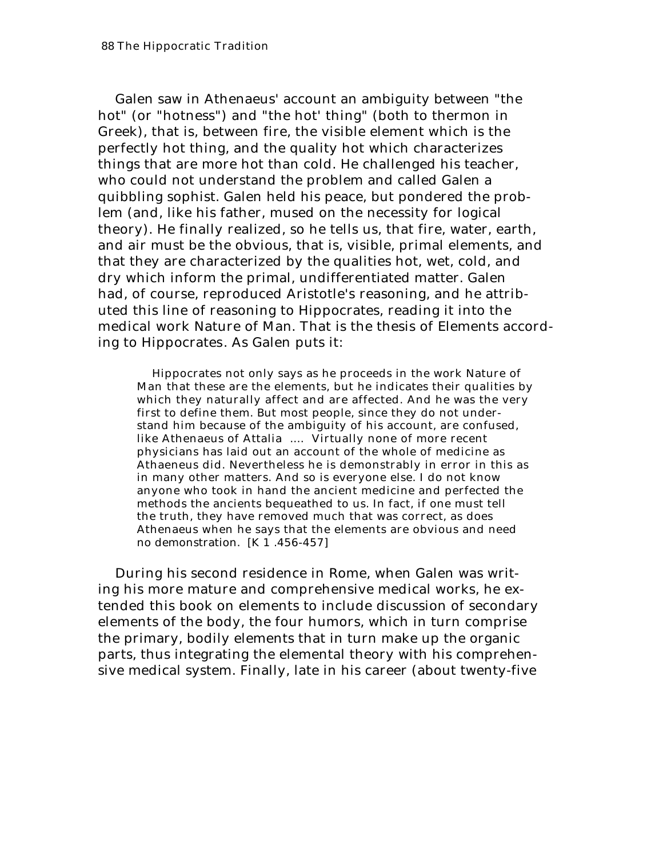Galen saw in Athenaeus' account an ambiguity between "the hot" (or "hotness") and "the hot' thing" (both *to thermon* in Greek), that is, between fire, the visible element which is the perfectly hot thing, and the quality hot which characterizes things that are more hot than cold. He challenged his teacher, who could not understand the problem and called Galen a quibbling sophist. Galen held his peace, but pondered the problem (and, like his father, mused on the necessity for logical theory). He finally realized, so he tells us, that fire, water, earth, and air must be the obvious, that is, visible, primal elements, and that they are characterized by the qualities hot, wet, cold, and dry which inform the primal, undifferentiated matter. Galen had, of course, reproduced Aristotle's reasoning, and he attributed this line of reasoning to Hippocrates, reading it into the medical work *Nature of Man*. That is the thesis of *Elements according to Hippocrates*. As Galen puts it:

 Hippocrates not only says as he proceeds in the work *Nature of Man* that these are the elements, but he indicates their qualities by which they naturally affect and are affected. And he was the very first to define them. But most people, since they do not understand him because of the ambiguity of his account, are confused, like Athenaeus of Attalia .... Virtually none of more recent physicians has laid out an account of the whole of medicine as Athaeneus did. Nevertheless he is demonstrably in error in this as in many other matters. And so is everyone else. I do not know anyone who took in hand the ancient medicine and perfected the methods the ancients bequeathed to us. In fact, if one must tell the truth, they have removed much that was correct, as does Athenaeus when he says that the elements are obvious and need no demonstration. [K 1 .456-457]

 During his second residence in Rome, when Galen was writing his more mature and comprehensive medical works, he extended this book on elements to include discussion of secondary elements of the body, the four humors, which in turn comprise the primary, bodily elements that in turn make up the organic parts, thus integrating the elemental theory with his comprehensive medical system. Finally, late in his career (about twenty-five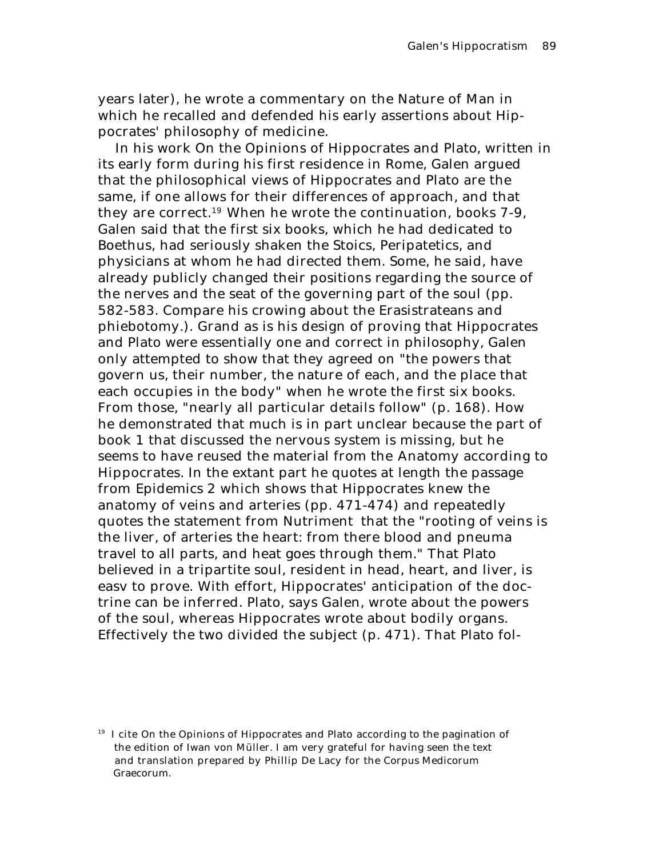years later), he wrote a commentary on the *Nature of Man* in which he recalled and defended his early assertions about Hippocrates' philosophy of medicine.

 In his work On the *Opinions of Hippocrates and Plato*, written in its early form during his first residence in Rome, Galen argued that the philosophical views of Hippocrates and Plato are the same, if one allows for their differences of approach, and that they are correct.19 When he wrote the continuation, books 7-9, Galen said that the first six books, which he had dedicated to Boethus, had seriously shaken the Stoics, Peripatetics, and physicians at whom he had directed them. Some, he said, have already publicly changed their positions regarding the source of the nerves and the seat of the governing part of the soul (pp. 582-583. Compare his crowing about the Erasistrateans and phiebotomy.). Grand as is his design of proving that Hippocrates and Plato were essentially one and correct in philosophy, Galen only attempted to show that they agreed on "the powers that govern us, their number, the nature of each, and the place that each occupies in the body" when he wrote the first six books. From those, "nearly all particular details follow" (p. 168). How he demonstrated that much is in part unclear because the part of book 1 that discussed the nervous system is missing, but he seems to have reused the material from the *Anatomy according to Hippocrates*. In the extant part he quotes at length the passage from *Epidemics* 2 which shows that Hippocrates knew the anatomy of veins and arteries (pp. 471-474) and repeatedly quotes the statement from *Nutriment* that the "rooting of veins is the liver, of arteries the heart: from there blood and pneuma travel to all parts, and heat goes through them." That Plato believed in a tripartite soul, resident in head, heart, and liver, is easv to prove. With effort, Hippocrates' anticipation of the doctrine can be inferred. Plato, says Galen, wrote about the powers of the soul, whereas Hippocrates wrote about bodily organs. Effectively the two divided the subject (p. 471). That Plato fol-

<sup>19</sup> I cite *On the Opinions of Hippocrates and Plato* according to the pagination of the edition of Iwan von Müller. I am very grateful for having seen the text and translation prepared by Phillip De Lacy for the *Corpus Medicorum Graecorum*.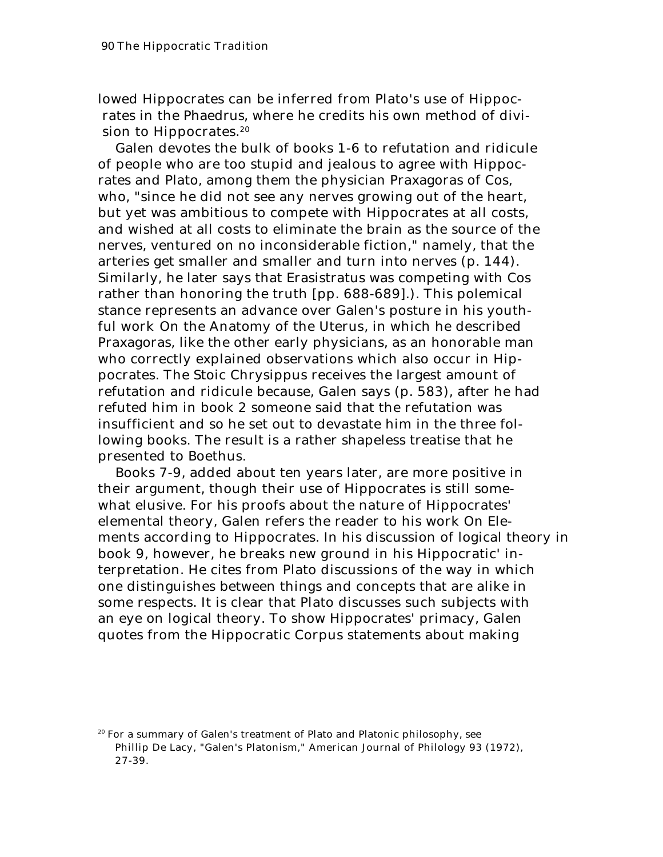lowed Hippocrates can be inferred from Plato's use of Hippoc rates in the *Phaedrus*, where he credits his own method of divi sion to Hippocrates.<sup>20</sup>

 Galen devotes the bulk of books 1-6 to refutation and ridicule of people who are too stupid and jealous to agree with Hippocrates and Plato, among them the physician Praxagoras of Cos, who, "since he did not see any nerves growing out of the heart, but yet was ambitious to compete with Hippocrates at all costs, and wished at all costs to eliminate the brain as the source of the nerves, ventured on no inconsiderable fiction," namely, that the arteries get smaller and smaller and turn into nerves (p. 144). Similarly, he later says that Erasistratus was competing with Cos rather than honoring the truth [pp. 688-689].). This polemical stance represents an advance over Galen's posture in his youthful work *On the Anatomy of the Uterus*, in which he described Praxagoras, like the other early physicians, as an honorable man who correctly explained observations which also occur in Hippocrates. The Stoic Chrysippus receives the largest amount of refutation and ridicule because, Galen says (p. 583), after he had refuted him in book 2 someone said that the refutation was insufficient and so he set out to devastate him in the three following books. The result is a rather shapeless treatise that he presented to Boethus.

 Books 7-9, added about ten years later, are more positive in their argument, though their use of Hippocrates is still somewhat elusive. For his proofs about the nature of Hippocrates' elemental theory, Galen refers the reader to his work *On Elements according to Hippocrates*. In his discussion of logical theory in book 9, however, he breaks new ground in his Hippocratic' interpretation. He cites from Plato discussions of the way in which one distinguishes between things and concepts that are alike in some respects. It is clear that Plato discusses such subjects with an eye on logical theory. To show Hippocrates' primacy, Galen quotes from the Hippocratic Corpus statements about making

<sup>&</sup>lt;sup>20</sup> For a summary of Galen's treatment of Plato and Platonic philosophy, see Phillip De Lacy, "Galen's Platonism," *American Journal of Philology* 93 (1972), 27-39.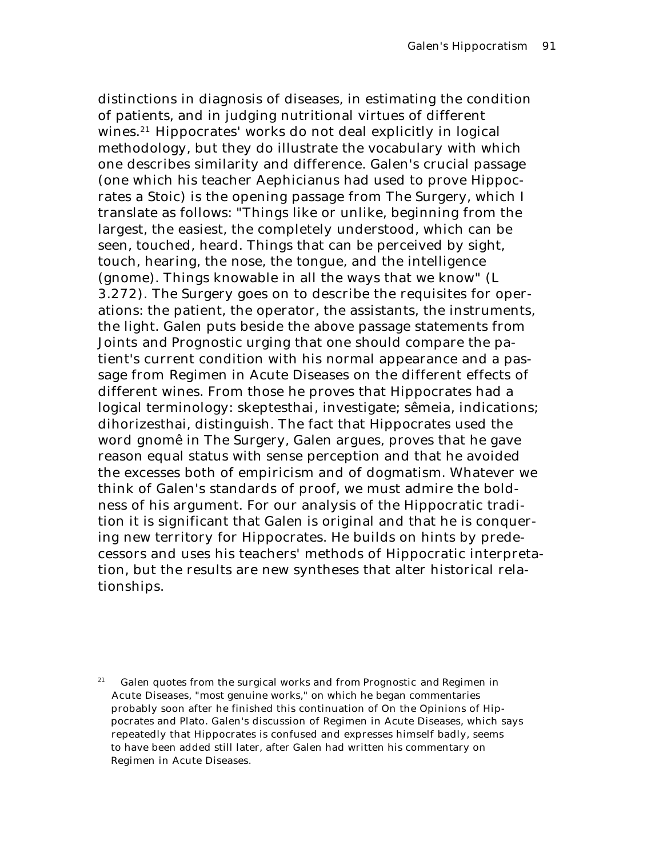distinctions in diagnosis of diseases, in estimating the condition of patients, and in judging nutritional virtues of different wines.<sup>21</sup> Hippocrates' works do not deal explicitly in logical methodology, but they do illustrate the vocabulary with which one describes similarity and difference. Galen's crucial passage (one which his teacher Aephicianus had used to prove Hippocrates a Stoic) is the opening passage from *The Surgery*, which I translate as follows: "Things like or unlike, beginning from the largest, the easiest, the completely understood, which can be seen, touched, heard. Things that can be perceived by sight, touch, hearing, the nose, the tongue, and the intelligence (gnome). Things knowable in all the ways that we know" (L 3.272). *The Surgery* goes on to describe the requisites for operations: the patient, the operator, the assistants, the instruments, the light. Galen puts beside the above passage statements from *Joints* and *Prognostic* urging that one should compare the patient's current condition with his normal appearance and a passage from *Regimen in Acute Diseases* on the different effects of different wines. From those he proves that Hippocrates had a logical terminology: *skeptesthai*, investigate; *sêmeia*, indications; *dihorizesthai*, distinguish. The fact that Hippocrates used the word *gnomê* in *The Surgery*, Galen argues, proves that he gave reason equal status with sense perception and that he avoided the excesses both of empiricism and of dogmatism. Whatever we think of Galen's standards of proof, we must admire the boldness of his argument. For our analysis of the Hippocratic tradition it is significant that Galen is original and that he is conquering new territory for Hippocrates. He builds on hints by predecessors and uses his teachers' methods of Hippocratic interpretation, but the results are new syntheses that alter historical relationships.

<sup>21</sup> Galen quotes from the surgical works and from *Prognostic* and *Regimen in Acute Diseases*, "most genuine works," on which he began commentaries probably soon after he finished this continuation of *On the Opinions of Hip pocrates and Plato*. Galen's discussion of *Regimen in Acute Diseases*, which says repeatedly that Hippocrates is confused and expresses himself badly, seems to have been added still later, after Galen had written his commentary on *Regimen in Acute Diseases*.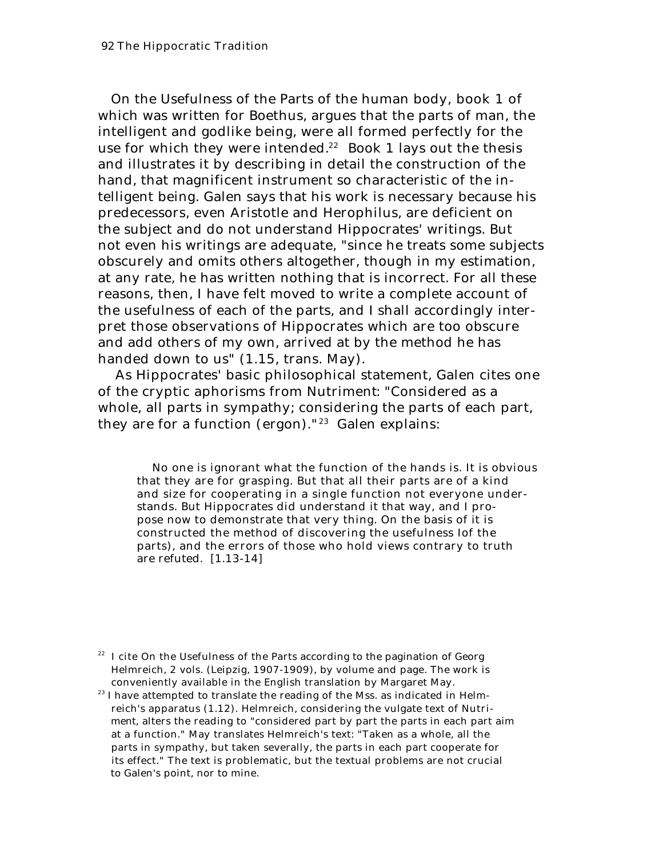*On the Usefulness of the Parts of the human body*, book 1 of which was written for Boethus, argues that the parts of man, the intelligent and godlike being, were all formed perfectly for the use for which they were intended.<sup>22</sup> Book 1 lays out the thesis and illustrates it by describing in detail the construction of the hand, that magnificent instrument so characteristic of the intelligent being. Galen says that his work is necessary because his predecessors, even Aristotle and Herophilus, are deficient on the subject and do not understand Hippocrates' writings. But not even his writings are adequate, "since he treats some subjects obscurely and omits others altogether, though in my estimation, at any rate, he has written nothing that is incorrect. For all these reasons, then, I have felt moved to write a complete account of the usefulness of each of the parts, and I shall accordingly interpret those observations of Hippocrates which are too obscure and add others of my own, arrived at by the method he has handed down to us" (1.15, trans. May).

 As Hippocrates' basic philosophical statement, Galen cites one of the cryptic aphorisms from *Nutriment*: "Considered as a whole, all parts in sympathy; considering the parts of each part, they are for a function (*ergon*)."23 Galen explains:

 No one is ignorant what the function of the hands is. It is obvious that they are for grasping. But that all their parts are of a kind and size for cooperating in a single function not everyone understands. But Hippocrates did understand it that way, and I propose now to demonstrate that very thing. On the basis of it is constructed the method of discovering the usefulness Iof the parts), and the errors of those who hold views contrary to truth are refuted. [1.13-14]

<sup>22</sup> I cite *On the Usefulness of the Parts* according to the pagination of Georg Helmreich, 2 vols. (Leipzig, 1907-1909), by volume and page. The work is conveniently available in the English translation by Margaret May.

 $23$  I have attempted to translate the reading of the Mss. as indicated in Helm reich's apparatus (1.12). Helmreich, considering the vulgate text of *Nutri ment*, alters the reading to "considered part by part the parts in each part aim at a function." May translates Helmreich's text: "Taken as a whole, all the parts in sympathy, but taken severally, the parts in each part cooperate for its effect." The text is problematic, but the textual problems are not crucial to Galen's point, nor to mine.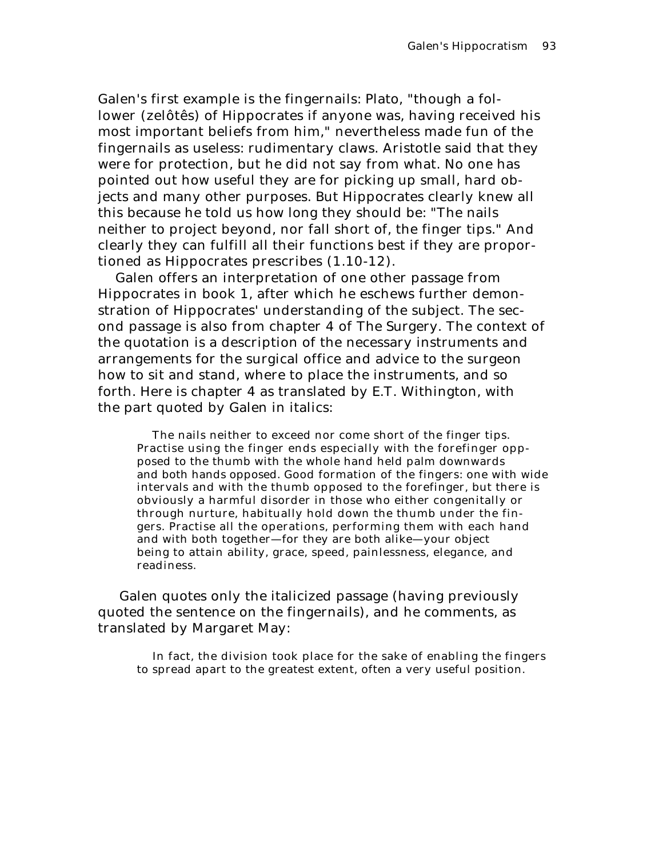Galen's first example is the fingernails: Plato, "though a follower (*zelôtês*) of Hippocrates if anyone was, having received his most important beliefs from him," nevertheless made fun of the fingernails as useless: rudimentary claws. Aristotle said that they were for protection, but he did not say from what. No one has pointed out how useful they are for picking up small, hard objects and many other purposes. But Hippocrates clearly knew all this because he told us how long they should be: "The nails neither to project beyond, nor fall short of, the finger tips." And clearly they can fulfill all their functions best if they are proportioned as Hippocrates prescribes (1.10-12).

 Galen offers an interpretation of one other passage from Hippocrates in book 1, after which he eschews further demonstration of Hippocrates' understanding of the subject. The second passage is also from chapter 4 of *The Surgery*. The context of the quotation is a description of the necessary instruments and arrangements for the surgical office and advice to the surgeon how to sit and stand, where to place the instruments, and so forth. Here is chapter 4 as translated by E.T. Withington, with the part quoted by Galen in italics:

 The nails neither to exceed nor come short of the finger tips. Practise using the finger ends especially with the forefinger oppposed to the thumb with the whole hand held palm downwards and both hands opposed. *Good formation of the fingers: one with wide intervals and with the thumb opposed to the forefinger*, but there is obviously a harmful disorder in those who either congenitally or through nurture, habitually hold down the thumb under the fingers. Practise all the operations, performing them with each hand and with both together—for they are both alike—your object being to attain ability, grace, speed, painlessness, elegance, and readiness.

 Galen quotes only the italicized passage (having previously quoted the sentence on the fingernails), and he comments, as translated by Margaret May:

 In fact, the division took place for the sake of enabling the fingers to spread apart to the greatest extent, often a very useful position.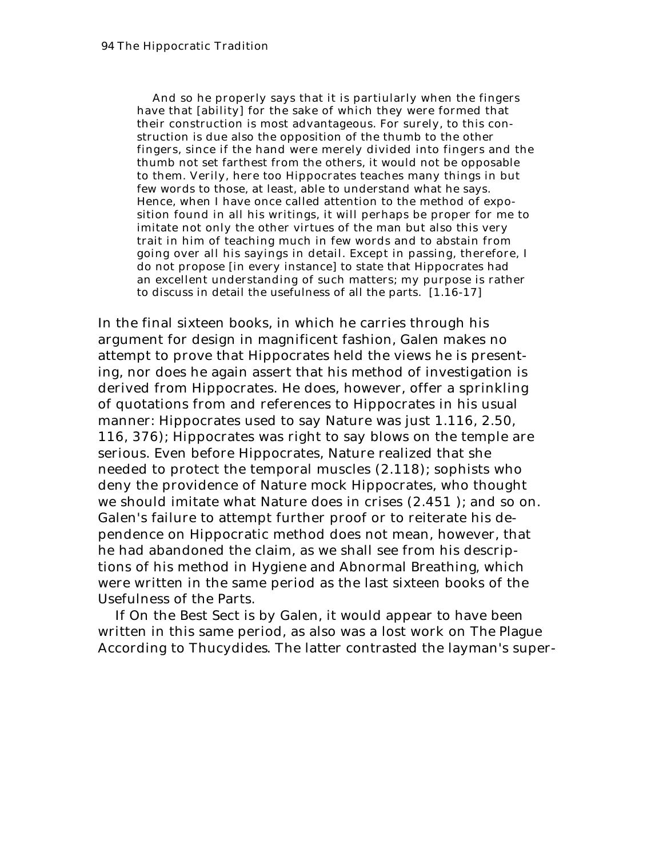And so he properly says that it is partiularly when the fingers have that [ability] for the sake of which they were formed that their construction is most advantageous. For surely, to this construction is due also the opposition of the thumb to the other fingers, since if the hand were merely divided into fingers and the thumb not set farthest from the others, it would not be opposable to them. Verily, here too Hippocrates teaches many things in but few words to those, at least, able to understand what he says. Hence, when I have once called attention to the method of exposition found in all his writings, it will perhaps be proper for me to imitate not only the other virtues of the man but also this very trait in him of teaching much in few words and to abstain from going over all his sayings in detail. Except in passing, therefore, I do not propose [in every instance] to state that Hippocrates had an excellent understanding of such matters; my purpose is rather to discuss in detail the usefulness of all the parts. [1.16-17]

In the final sixteen books, in which he carries through his argument for design in magnificent fashion, Galen makes no attempt to prove that Hippocrates held the views he is presenting, nor does he again assert that his method of investigation is derived from Hippocrates. He does, however, offer a sprinkling of quotations from and references to Hippocrates in his usual manner: Hippocrates used to say Nature was just 1.116, 2.50, 116, 376); Hippocrates was right to say blows on the temple are serious. Even before Hippocrates, Nature realized that she needed to protect the temporal muscles (2.118); sophists who deny the providence of Nature mock Hippocrates, who thought we should imitate what Nature does in crises (2.451 ); and so on. Galen's failure to attempt further proof or to reiterate his dependence on Hippocratic method does not mean, however, that he had abandoned the claim, as we shall see from his descriptions of his method in *Hygiene* and *Abnormal Breathing*, which were written in the same period as the last sixteen books of the *Usefulness of the Parts.*

 If *On the Best Sect* is by Galen, it would appear to have been written in this same period, as also was a lost work on *The Plague According to Thucydides*. The latter contrasted the layman's super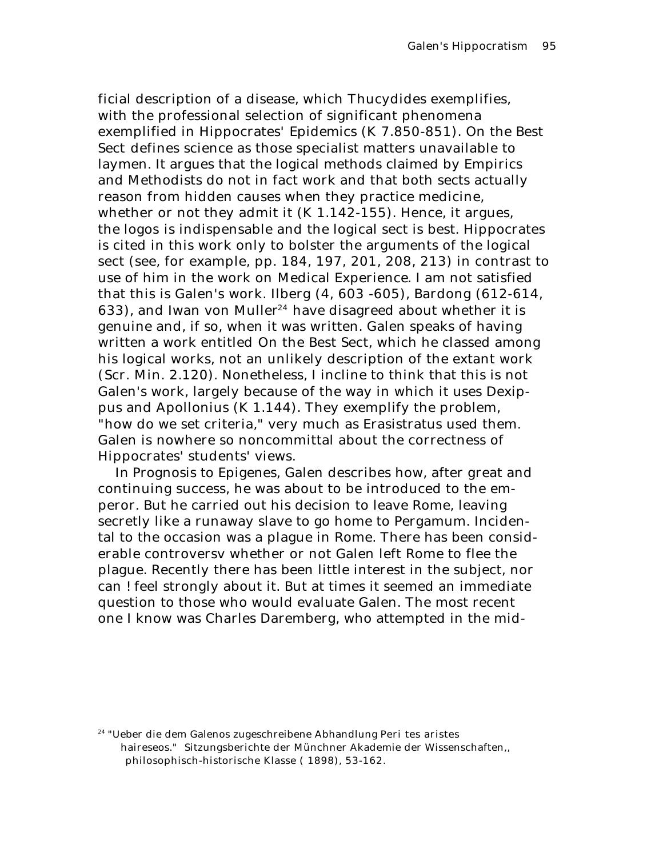ficial description of a disease, which Thucydides exemplifies, with the professional selection of significant phenomena exemplified in Hippocrates' *Epidemics* (K 7.850-851). *On the Best Sect* defines science as those specialist matters unavailable to laymen. It argues that the logical methods claimed by Empirics and Methodists do not in fact work and that both sects actually reason from hidden causes when they practice medicine, whether or not they admit it (K 1.142-155). Hence, it argues, the *logos* is indispensable and the logical sect is best. Hippocrates is cited in this work only to bolster the arguments of the logical sect (see, for example, pp. 184, 197, 201, 208, 213) in contrast to use of him in the work on *Medical Experience*. I am not satisfied that this is Galen's work. Ilberg (4, 603 -605), Bardong (612-614, 633), and Iwan von Muller<sup>24</sup> have disagreed about whether it is genuine and, if so, when it was written. Galen speaks of having written a work entitled *On the Best Sect*, which he classed among his logical works, not an unlikely description of the extant work (*Scr. Min.* 2.120). Nonetheless, I incline to think that this is not Galen's work, largely because of the way in which it uses Dexippus and Apollonius (K 1.144). They exemplify the problem, "how do we set criteria," very much as Erasistratus used them. Galen is nowhere so noncommittal about the correctness of Hippocrates' students' views.

 In *Prognosis to Epigenes*, Galen describes how, after great and continuing success, he was about to be introduced to the emperor. But he carried out his decision to leave Rome, leaving secretly like a runaway slave to go home to Pergamum. Incidental to the occasion was a plague in Rome. There has been considerable controversv whether or not Galen left Rome to flee the plague. Recently there has been little interest in the subject, nor can ! feel strongly about it. But at times it seemed an immediate question to those who would evaluate Galen. The most recent one I know was Charles Daremberg, who attempted in the mid-

<sup>24</sup> "Ueber die dem Galenos zugeschreibene Abhandlung *Peri tes aristes haireseos*." *Sitzungsberichte der Münchner Akademie der Wissenschaften,*, philosophisch-historische Klasse ( 1898), 53-162.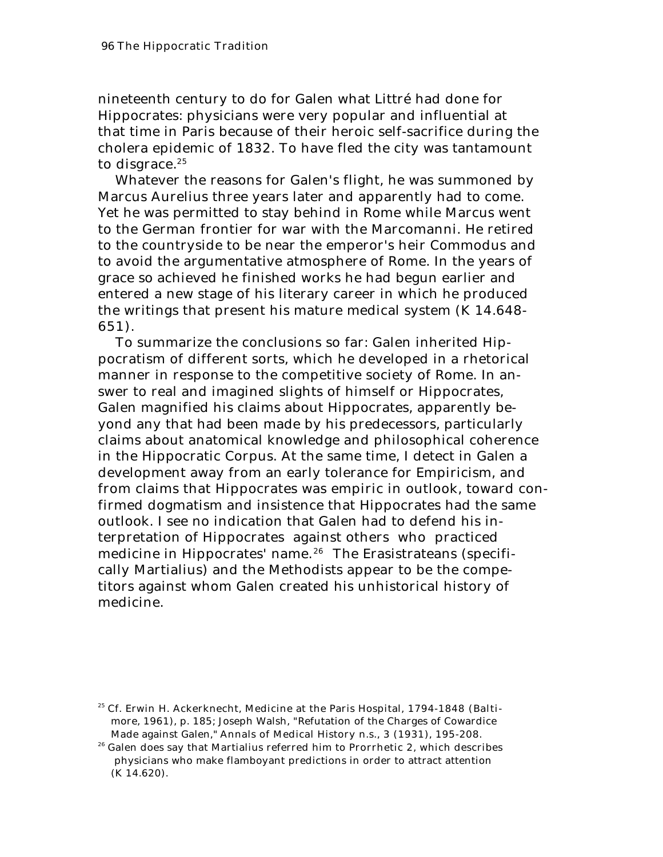nineteenth century to do for Galen what Littré had done for Hippocrates: physicians were very popular and influential at that time in Paris because of their heroic self-sacrifice during the cholera epidemic of 1832. To have fled the city was tantamount to disgrace.<sup>25</sup>

 Whatever the reasons for Galen's flight, he was summoned by Marcus Aurelius three years later and apparently had to come. Yet he was permitted to stay behind in Rome while Marcus went to the German frontier for war with the Marcomanni. He retired to the countryside to be near the emperor's heir Commodus and to avoid the argumentative atmosphere of Rome. In the years of grace so achieved he finished works he had begun earlier and entered a new stage of his literary career in which he produced the writings that present his mature medical system (K 14.648- 651).

 To summarize the conclusions so far: Galen inherited Hippocratism of different sorts, which he developed in a rhetorical manner in response to the competitive society of Rome. In answer to real and imagined slights of himself or Hippocrates, Galen magnified his claims about Hippocrates, apparently beyond any that had been made by his predecessors, particularly claims about anatomical knowledge and philosophical coherence in the Hippocratic Corpus. At the same time, I detect in Galen a development away from an early tolerance for Empiricism, and from claims that Hippocrates was empiric in outlook, toward confirmed dogmatism and insistence that Hippocrates had the same outlook. I see no indication that Galen had to defend his interpretation of Hippocrates against others who practiced medicine in Hippocrates' name. $26$  The Erasistrateans (specifically Martialius) and the Methodists appear to be the competitors against whom Galen created his unhistorical history of medicine.

<sup>25</sup> Cf. Erwin H. Ackerknecht, *Medicine at the Paris Hospital, 1794-1848* (Balti more, 1961), p. 185; Joseph Walsh, "Refutation of the Charges of Cowardice Made against Galen," *Annals of Medical History* n.s., 3 (1931), 195-208.

<sup>26</sup> Galen does say that Martialius referred him to *Prorrhetic* 2, which describes physicians who make flamboyant predictions in order to attract attention (K 14.620).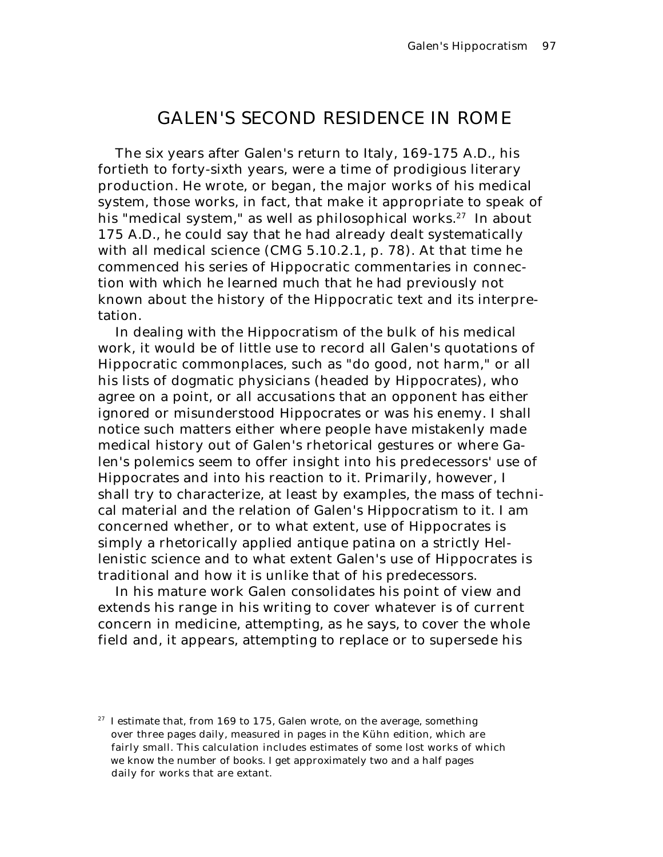## GALEN'S SECOND RESIDENCE IN ROME

 The six years after Galen's return to Italy, 169-175 A.D., his fortieth to forty-sixth years, were a time of prodigious literary production. He wrote, or began, the major works of his medical system, those works, in fact, that make it appropriate to speak of his "medical system," as well as philosophical works.<sup>27</sup> In about 175 A.D., he could say that he had already dealt systematically with all medical science (CMG 5.10.2.1, p. 78). At that time he commenced his series of Hippocratic commentaries in connection with which he learned much that he had previously not known about the history of the Hippocratic text and its interpretation.

 In dealing with the Hippocratism of the bulk of his medical work, it would be of little use to record all Galen's quotations of Hippocratic commonplaces, such as "do good, not harm," or all his lists of dogmatic physicians (headed by Hippocrates), who agree on a point, or all accusations that an opponent has either ignored or misunderstood Hippocrates or was his enemy. I shall notice such matters either where people have mistakenly made medical history out of Galen's rhetorical gestures or where Galen's polemics seem to offer insight into his predecessors' use of Hippocrates and into his reaction to it. Primarily, however, I shall try to characterize, at least by examples, the mass of technical material and the relation of Galen's Hippocratism to it. I am concerned whether, or to what extent, use of Hippocrates is simply a rhetorically applied antique patina on a strictly Hellenistic science and to what extent Galen's use of Hippocrates is traditional and how it is unlike that of his predecessors.

 In his mature work Galen consolidates his point of view and extends his range in his writing to cover whatever is of current concern in medicine, attempting, as he says, to cover the whole field and, it appears, attempting to replace or to supersede his

 $27$  I estimate that, from 169 to 175, Galen wrote, on the average, something over three pages daily, measured in pages in the Kühn edition, which are fairly small. This calculation includes estimates of some lost works of which we know the number of books. I get approximately two and a half pages daily for works that are extant.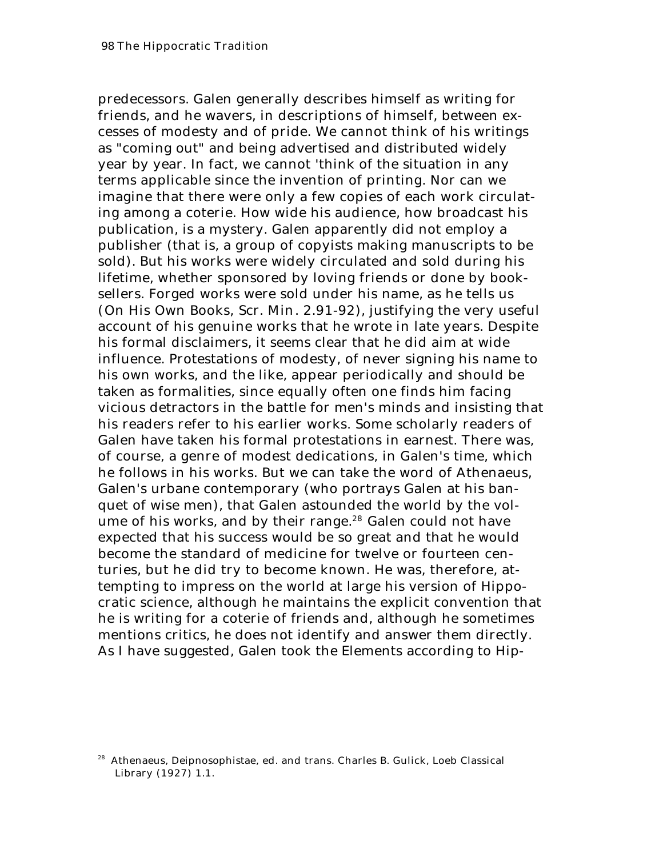predecessors. Galen generally describes himself as writing for friends, and he wavers, in descriptions of himself, between excesses of modesty and of pride. We cannot think of his writings as "coming out" and being advertised and distributed widely year by year. In fact, we cannot 'think of the situation in any terms applicable since the invention of printing. Nor can we imagine that there were only a few copies of each work circulating among a coterie. How wide his audience, how broadcast his publication, is a mystery. Galen apparently did not employ a publisher (that is, a group of copyists making manuscripts to be sold). But his works were widely circulated and sold during his lifetime, whether sponsored by loving friends or done by booksellers. Forged works were sold under his name, as he tells us (*On His Own Books*, *Scr. Min*. 2.91-92), justifying the very useful account of his genuine works that he wrote in late years. Despite his formal disclaimers, it seems clear that he did aim at wide influence. Protestations of modesty, of never signing his name to his own works, and the like, appear periodically and should be taken as formalities, since equally often one finds him facing vicious detractors in the battle for men's minds and insisting that his readers refer to his earlier works. Some scholarly readers of Galen have taken his formal protestations in earnest. There was, of course, a genre of modest dedications, in Galen's time, which he follows in his works. But we can take the word of Athenaeus, Galen's urbane contemporary (who portrays Galen at his banquet of wise men), that Galen astounded the world by the volume of his works, and by their range.<sup>28</sup> Galen could not have expected that his success would be so great and that he would become the standard of medicine for twelve or fourteen centuries, but he did try to become known. He was, therefore, attempting to impress on the world at large his version of Hippocratic science, although he maintains the explicit convention that he is writing for a coterie of friends and, although he sometimes mentions critics, he does not identify and answer them directly. As I have suggested, Galen took the *Elements according to Hip*-

<sup>28</sup> Athenaeus, *Deipnosophistae*, ed. and trans. Charles B. Gulick, Loeb Classical Library (1927) 1.1.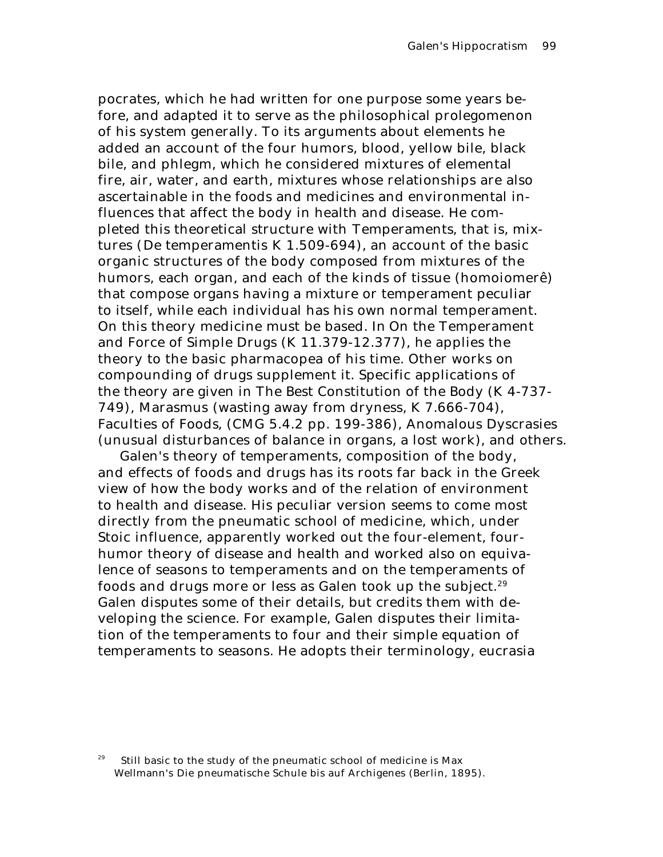*pocrates*, which he had written for one purpose some years before, and adapted it to serve as the philosophical prolegomenon of his system generally. To its arguments about elements he added an account of the four humors, blood, yellow bile, black bile, and phlegm, which he considered mixtures of elemental fire, air, water, and earth, mixtures whose relationships are also ascertainable in the foods and medicines and environmental influences that affect the body in health and disease. He completed this theoretical structure with *Temperaments*, that is, mixtures (*De temperamentis* K 1.509-694), an account of the basic organic structures of the body composed from mixtures of the humors, each organ, and each of the kinds of tissue (*homoiomerê*) that compose organs having a mixture or temperament peculiar to itself, while each individual has his own normal temperament. On this theory medicine must be based. In *On the Temperament and Force of Simple Drugs* (K 11.379-12.377), he applies the theory to the basic pharmacopea of his time. Other works on compounding of drugs supplement it. Specific applications of the theory are given in *The Best Constitution of the Body* (K 4-737- 749), *Marasmus* (wasting away from dryness, K 7.666-704), *Faculties of Foods*, (CMG 5.4.2 pp. 199-386), *Anomalous Dyscrasies* (unusual disturbances of balance in organs, a lost work), and others.

 Galen's theory of temperaments, composition of the body, and effects of foods and drugs has its roots far back in the Greek view of how the body works and of the relation of environment to health and disease. His peculiar version seems to come most directly from the pneumatic school of medicine, which, under Stoic influence, apparently worked out the four-element, fourhumor theory of disease and health and worked also on equivalence of seasons to temperaments and on the temperaments of foods and drugs more or less as Galen took up the subject.<sup>29</sup> Galen disputes some of their details, but credits them with developing the science. For example, Galen disputes their limitation of the temperaments to four and their simple equation of temperaments to seasons. He adopts their terminology, *eucrasia*

<sup>29</sup> Still basic to the study of the pneumatic school of medicine is Max Wellmann's *Die pneumatische Schule bis auf Archigenes* (Berlin, 1895).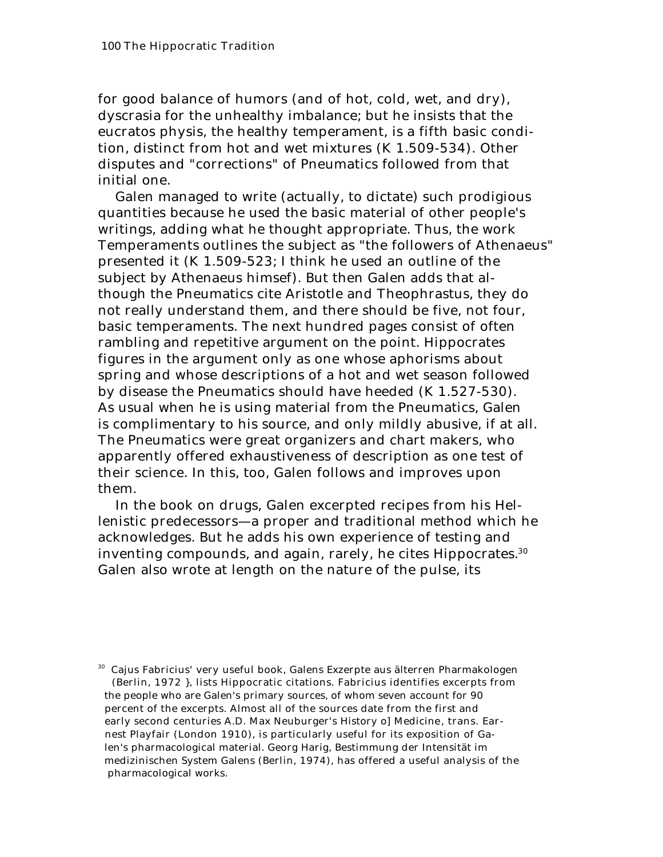for good balance of humors (and of hot, cold, wet, and dry), *dyscrasia* for the unhealthy imbalance; but he insists that the eucratos physis, the healthy temperament, is a fifth basic condition, distinct from hot and wet mixtures (K 1.509-534). Other disputes and "corrections" of Pneumatics followed from that initial one.

 Galen managed to write (actually, to dictate) such prodigious quantities because he used the basic material of other people's writings, adding what he thought appropriate. Thus, the work *Temperaments* outlines the subject as "the followers of Athenaeus" presented it (K 1.509-523; I think he used an outline of the subject by Athenaeus himsef). But then Galen adds that although the Pneumatics cite Aristotle and Theophrastus, they do not really understand them, and there should be five, not four, basic temperaments. The next hundred pages consist of often rambling and repetitive argument on the point. Hippocrates figures in the argument only as one whose aphorisms about spring and whose descriptions of a hot and wet season followed by disease the Pneumatics should have heeded (K 1.527-530). As usual when he is using material from the Pneumatics, Galen is complimentary to his source, and only mildly abusive, if at all. The Pneumatics were great organizers and chart makers, who apparently offered exhaustiveness of description as one test of their science. In this, too, Galen follows and improves upon them.

 In the book on drugs, Galen excerpted recipes from his Hellenistic predecessors—a proper and traditional method which he acknowledges. But he adds his own experience of testing and inventing compounds, and again, rarely, he cites Hippocrates.<sup>30</sup> Galen also wrote at length on the nature of the pulse, its

<sup>30</sup> Cajus Fabricius' very useful book, *Galens Exzerpte aus älterren Pharmakologen* (Berlin, 1972 }, lists Hippocratic citations. Fabricius identifies excerpts from the people who are Galen's primary sources, of whom seven account for 90 percent of the excerpts. Almost all of the sources date from the first and early second centuries A.D. Max Neuburger's *History o] Medicine*, trans. Ear nest Playfair (London 1910), is particularly useful for its exposition of Ga len's pharmacological material. Georg Harig, *Bestimmung der Intensität im medizinischen System Galens* (Berlin, 1974), has offered a useful analysis of the pharmacological works.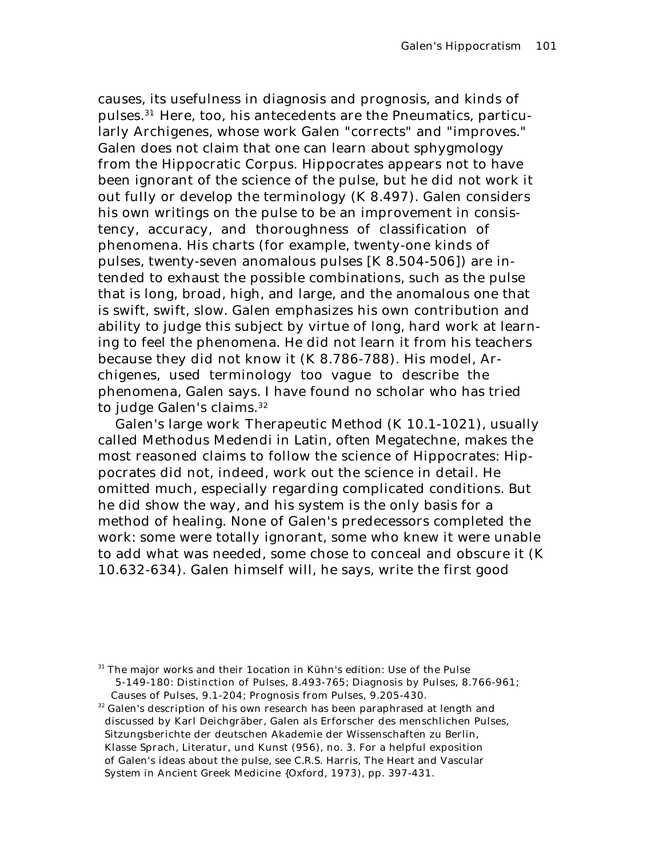causes, its usefulness in diagnosis and prognosis, and kinds of pulses.31 Here, too, his antecedents are the Pneumatics, particularly Archigenes, whose work Galen "corrects" and "improves." Galen does not claim that one can learn about sphygmology from the Hippocratic Corpus. Hippocrates appears not to have been ignorant of the science of the pulse, but he did not work it out fuIIy or develop the terminology (K 8.497). Galen considers his own writings on the pulse to be an improvement in consistency, accuracy, and thoroughness of classification of phenomena. His charts (for example, twenty-one kinds of pulses, twenty-seven anomalous pulses [K 8.504-506]) are intended to exhaust the possible combinations, such as the pulse that is long, broad, high, and large, and the anomalous one that is swift, swift, slow. Galen emphasizes his own contribution and ability to judge this subject by virtue of long, hard work at learning to feel the phenomena. He did not learn it from his teachers because they did not know it (K 8.786-788). His model, Archigenes, used terminology too vague to describe the phenomena, Galen says. I have found no scholar who has tried to judge Galen's claims.<sup>32</sup>

 Galen's large work *Therapeutic Method* (K 10.1-1021), usually called *Methodus Medendi* in Latin, often *Megatechne*, makes the most reasoned claims to follow the science of Hippocrates: Hippocrates did not, indeed, work out the science in detail. He omitted much, especially regarding complicated conditions. But he did show the way, and his system is the only basis for a method of healing. None of Galen's predecessors completed the work: some were totally ignorant, some who knew it were unable to add what was needed, some chose to conceal and obscure it (K 10.632-634). Galen himself will, he says, write the first good

<sup>31</sup> The major works and their 1ocation in Kühn's edition: *Use of the Pulse* 5-149-180: *Distinction of Pulses*, 8.493-765; *Diagnosis by Pulses*, 8.766-961; *Causes of Pulses*, 9.1-204; *Prognosis from Pulses*, 9.205-430.

<sup>32</sup> Galen's description of his own research has been paraphrased at length and discussed by Karl Deichgräber, *Galen als Erforscher des menschlichen Pulses*, Sitzungsberichte der deutschen Akademie der Wissenschaften zu Berlin, Klasse Sprach, Literatur, und Kunst (956), no. 3. For a helpful exposition of Galen's ideas about the pulse, see C.R.S. Harris, *The Heart and Vascular System in Ancient Greek Medicine* {Oxford, 1973), pp. 397-431.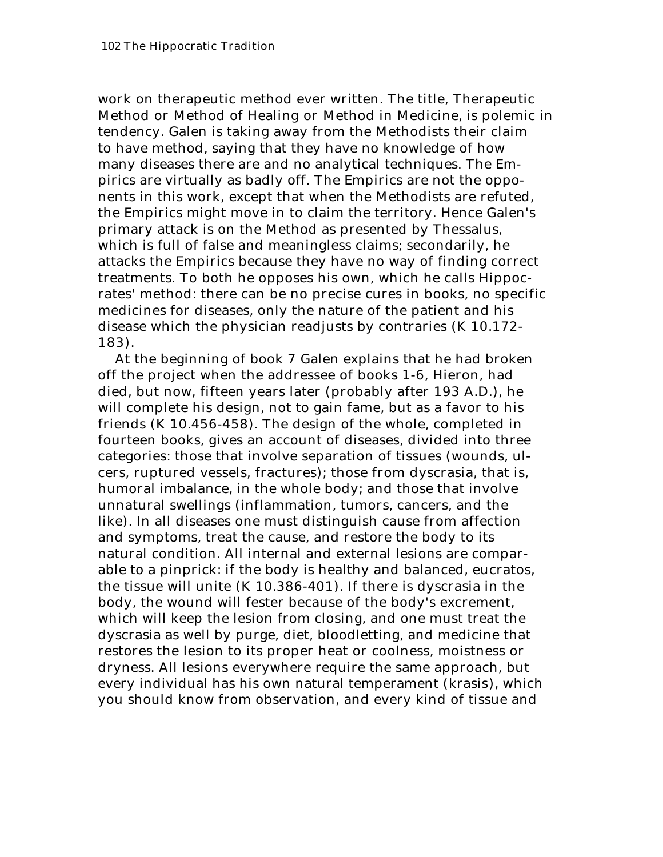work on therapeutic method ever written. The title, *Therapeutic Method* or *Method of Healing* or *Method in Medicine*, is polemic in tendency. Galen is taking away from the Methodists their claim to have method, saying that they have no knowledge of how many diseases there are and no analytical techniques. The Empirics are virtually as badly off. The Empirics are not the opponents in this work, except that when the Methodists are refuted, the Empirics might move in to claim the territory. Hence Galen's primary attack is on the Method as presented by Thessalus, which is full of false and meaningless claims; secondarily, he attacks the Empirics because they have no way of finding correct treatments. To both he opposes his own, which he calls Hippocrates' method: there can be no precise cures in books, no specific medicines for diseases, only the nature of the patient and his disease which the physician readjusts by contraries (K 10.172- 183).

 At the beginning of book 7 Galen explains that he had broken off the project when the addressee of books 1-6, Hieron, had died, but now, fifteen years later (probably after 193 A.D.), he will complete his design, not to gain fame, but as a favor to his friends (K 10.456-458). The design of the whole, completed in fourteen books, gives an account of diseases, divided into three categories: those that involve separation of tissues (wounds, ulcers, ruptured vessels, fractures); those from dyscrasia, that is, humoral imbalance, in the whole body; and those that involve unnatural swellings (inflammation, tumors, cancers, and the like). In all diseases one must distinguish cause from affection and symptoms, treat the cause, and restore the body to its natural condition. All internal and external lesions are comparable to a pinprick: if the body is healthy and balanced, *eucratos*, the tissue will unite (K 10.386-401). If there is *dyscrasia* in the body, the wound will fester because of the body's excrement, which will keep the lesion from closing, and one must treat the *dyscrasia* as well by purge, diet, bloodletting, and medicine that restores the lesion to its proper heat or coolness, moistness or dryness. All lesions everywhere require the same approach, but every individual has his own natural temperament (*krasis*), which you should know from observation, and every kind of tissue and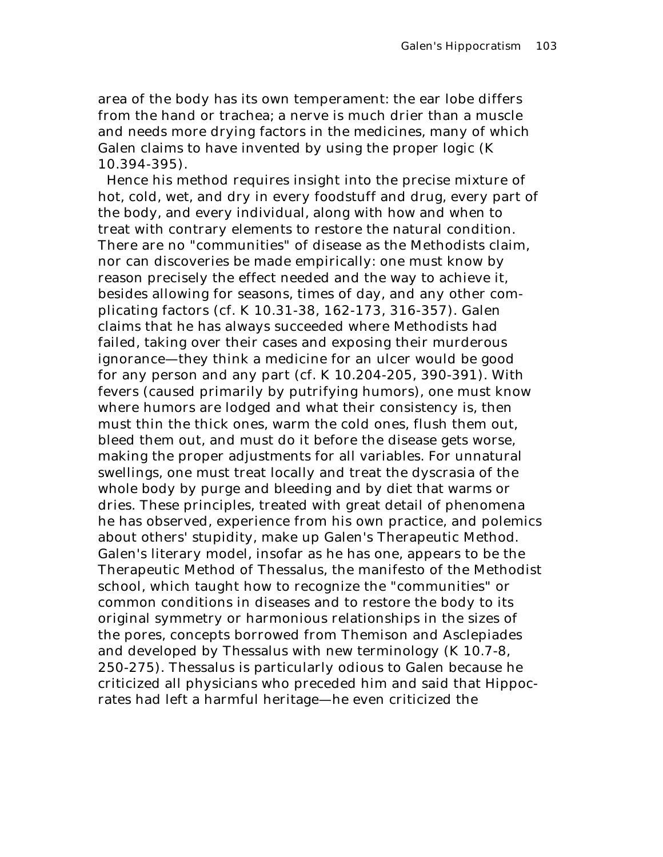area of the body has its own temperament: the ear lobe differs from the hand or trachea; a nerve is much drier than a muscle and needs more drying factors in the medicines, many of which Galen claims to have invented by using the proper logic (K 10.394-395).

 Hence his method requires insight into the precise mixture of hot, cold, wet, and dry in every foodstuff and drug, every part of the body, and every individual, along with how and when to treat with contrary elements to restore the natural condition. There are no "communities" of disease as the Methodists claim, nor can discoveries be made empirically: one must know by reason precisely the effect needed and the way to achieve it, besides allowing for seasons, times of day, and any other complicating factors (cf. K 10.31-38, 162-173, 316-357). Galen claims that he has always succeeded where Methodists had failed, taking over their cases and exposing their murderous ignorance—they think a medicine for an ulcer would be good for any person and any part (cf. K 10.204-205, 390-391). With fevers (caused primarily by putrifying humors), one must know where humors are lodged and what their consistency is, then must thin the thick ones, warm the cold ones, flush them out, bleed them out, and must do it before the disease gets worse, making the proper adjustments for all variables. For unnatural swellings, one must treat locally and treat the *dyscrasia* of the whole body by purge and bleeding and by diet that warms or dries. These principles, treated with great detail of phenomena he has observed, experience from his own practice, and polemics about others' stupidity, make up Galen's *Therapeutic Method*. Galen's literary model, insofar as he has one, appears to be the *Therapeutic Method* of Thessalus, the manifesto of the Methodist school, which taught how to recognize the "communities" or common conditions in diseases and to restore the body to its original symmetry or harmonious relationships in the sizes of the pores, concepts borrowed from Themison and Asclepiades and developed by Thessalus with new terminology (K 10.7-8, 250-275). Thessalus is particularly odious to Galen because he criticized all physicians who preceded him and said that Hippocrates had left a harmful heritage—he even criticized the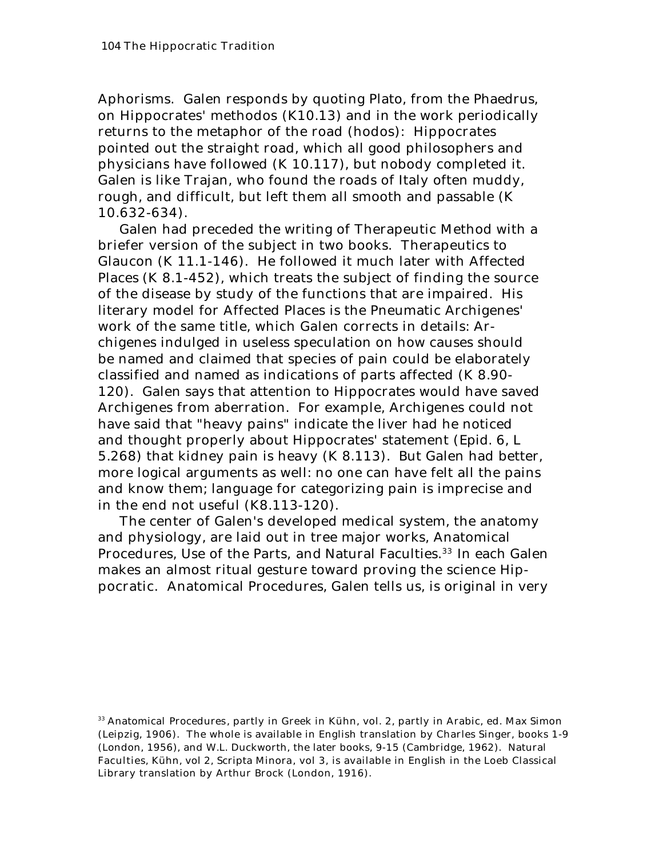*Aphorisms.* Galen responds by quoting Plato, from the *Phaedrus*, on Hippocrates' *methodos* (K10.13) and in the work periodically returns to the metaphor of the road (*hodos*): Hippocrates pointed out the straight road, which all good philosophers and physicians have followed (K 10.117), but nobody completed it. Galen is like Trajan, who found the roads of Italy often muddy, rough, and difficult, but left them all smooth and passable (K 10.632-634).

 Galen had preceded the writing of *Therapeutic Method* with a briefer version of the subject in two books. *Therapeutics to Glaucon* (K 11.1-146). He followed it much later with *Affected Places* (K 8.1-452), which treats the subject of finding the source of the disease by study of the functions that are impaired. His literary model for *Affected Places* is the Pneumatic Archigenes' work of the same title, which Galen corrects in details: Archigenes indulged in useless speculation on how causes should be named and claimed that species of pain could be elaborately classified and named as indications of parts affected (K 8.90- 120). Galen says that attention to Hippocrates would have saved Archigenes from aberration. For example, Archigenes could not have said that "heavy pains" indicate the liver had he noticed and thought properly about Hippocrates' statement (*Epid.* 6, L 5.268) that kidney pain is heavy (K 8.113). But Galen had better, more logical arguments as well: no one can have felt all the pains and know them; language for categorizing pain is imprecise and in the end not useful (K8.113-120).

 The center of Galen's developed medical system, the anatomy and physiology, are laid out in tree major works, *Anatomical Procedures, Use of the Parts,* and *Natural Faculties*. <sup>33</sup> In each Galen makes an almost ritual gesture toward proving the science Hippocratic. *Anatomical Procedures*, Galen tells us, is original in very

<sup>33</sup> *Anatomical Procedures*, partly in Greek in Kühn, vol. 2, partly in Arabic, ed. Max Simon (Leipzig, 1906). The whole is available in English translation by Charles Singer, books 1-9 (London, 1956), and W.L. Duckworth, the later books, 9-15 (Cambridge, 1962). *Natural Faculties*, Kühn, vol 2, *Scripta Minora*, vol 3, is available in English in the Loeb Classical Library translation by Arthur Brock (London, 1916).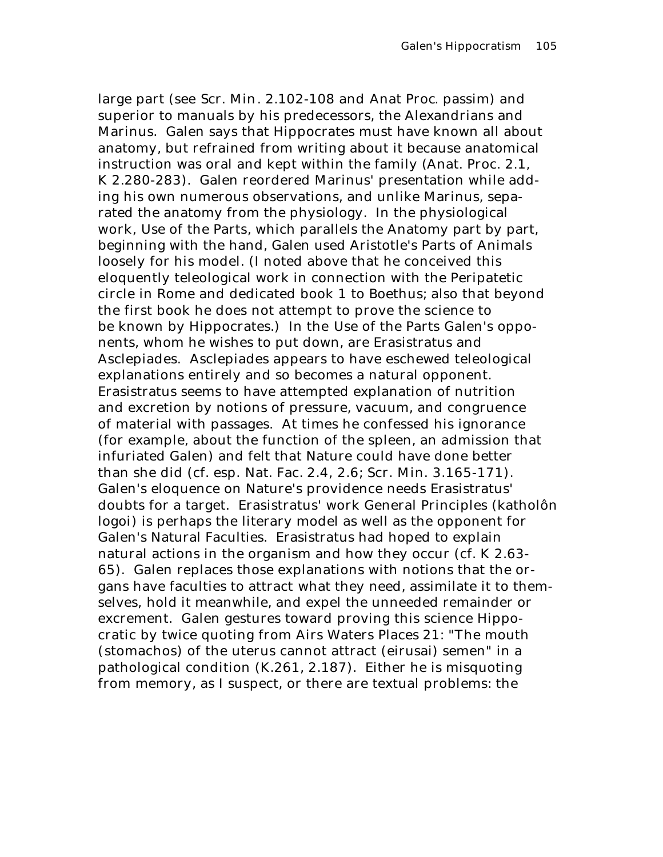large part (see *Scr. Min*. 2.102-108 and *Anat Proc*. passim) and superior to manuals by his predecessors, the Alexandrians and Marinus. Galen says that Hippocrates must have known all about anatomy, but refrained from writing about it because anatomical instruction was oral and kept within the family (*Anat. Proc.* 2.1, K 2.280-283). Galen reordered Marinus' presentation while adding his own numerous observations, and unlike Marinus, separated the anatomy from the physiology. In the physiological work, *Use of the Parts*, which parallels the Anatomy part by part, beginning with the hand, Galen used Aristotle's *Parts of Animals* loosely for his model. (I noted above that he conceived this eloquently teleological work in connection with the Peripatetic circle in Rome and dedicated book 1 to Boethus; also that beyond the first book he does not attempt to prove the science to be known by Hippocrates.) In the *Use of the Parts* Galen's opponents, whom he wishes to put down, are Erasistratus and Asclepiades. Asclepiades appears to have eschewed teleological explanations entirely and so becomes a natural opponent. Erasistratus seems to have attempted explanation of nutrition and excretion by notions of pressure, vacuum, and congruence of material with passages. At times he confessed his ignorance (for example, about the function of the spleen, an admission that infuriated Galen) and felt that Nature could have done better than she did (cf. esp. *Nat. Fac.* 2.4, 2.6; *Scr. Min.* 3.165-171). Galen's eloquence on Nature's providence needs Erasistratus' doubts for a target. Erasistratus' work *General Principles (katholôn logoi*) is perhaps the literary model as well as the opponent for Galen's *Natural Faculties*. Erasistratus had hoped to explain natural actions in the organism and how they occur (cf. K 2.63- 65). Galen replaces those explanations with notions that the organs have faculties to *attract* what they need, *assimilate* it to themselves, *hold* it meanwhile, and *expel* the unneeded remainder or excrement. Galen gestures toward proving this science Hippocratic by twice quoting from *Airs Waters Places* 21: "The mouth (*stomachos*) of the uterus cannot attract (*eirusai*) semen" in a pathological condition (K.261, 2.187). Either he is misquoting from memory, as I suspect, or there are textual problems: the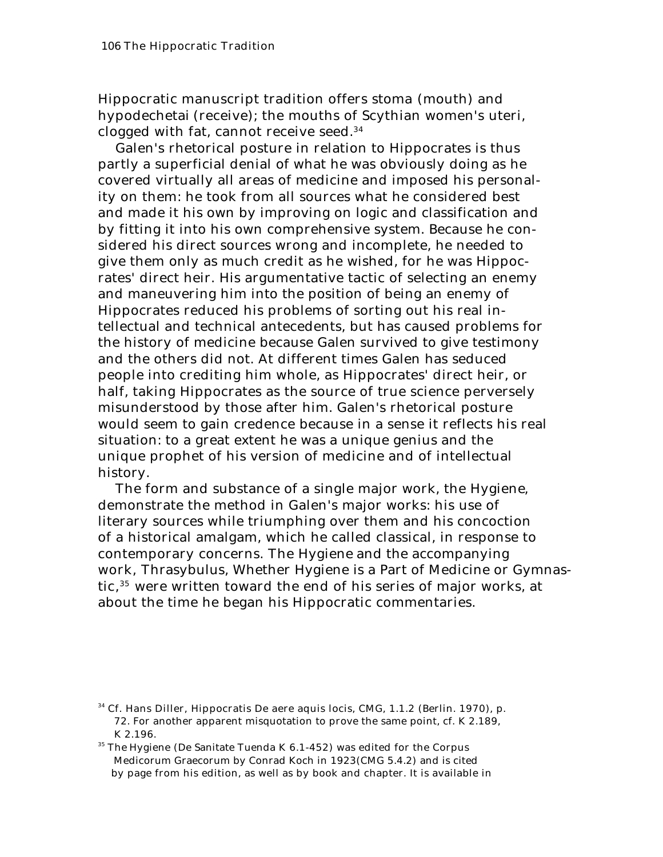Hippocratic manuscript tradition offers *stoma* (mouth) and *hypodechetai* (receive); the mouths of Scythian women's uteri, clogged with fat, cannot receive seed.<sup>34</sup>

 Galen's rhetorical posture in relation to Hippocrates is thus partly a superficial denial of what he was obviously doing as he covered virtually all areas of medicine and imposed his personality on them: he took from all sources what he considered best and made it his own by improving on logic and classification and by fitting it into his own comprehensive system. Because he considered his direct sources wrong and incomplete, he needed to give them only as much credit as he wished, for he was Hippocrates' direct heir. His argumentative tactic of selecting an enemy and maneuvering him into the position of being an enemy of Hippocrates reduced his problems of sorting out his real intellectual and technical antecedents, but has caused problems for the history of medicine because Galen survived to give testimony and the others did not. At different times Galen has seduced people into crediting him whole, as Hippocrates' direct heir, or half, taking Hippocrates as the source of true science perversely misunderstood by those after him. Galen's rhetorical posture would seem to gain credence because in a sense it reflects his real situation: to a great extent he was a unique genius and the unique prophet of his version of medicine and of intellectual history.

 The form and substance of a single major work, the *Hygiene*, demonstrate the method in Galen's major works: his use of literary sources while triumphing over them and his concoction of a historical amalgam, which he called classical, in response to contemporary concerns. The *Hygiene* and the accompanying work, *Thrasybulus, Whether Hygiene is a Part of Medicine or Gymnastic*, <sup>35</sup> were written toward the end of his series of major works, at about the time he began his Hippocratic commentaries.

<sup>34</sup> Cf. Hans Diller, *Hippocratis De aere aquis locis*, CMG, 1.1.2 (Berlin. 1970), p. 72. For another apparent misquotation to prove the same point, cf. K 2.189, K 2.196.

<sup>35</sup> The *Hygiene* (*De Sanitate Tuenda* K 6.1-452) was edited for the Corpus Medicorum Graecorum by Conrad Koch in 1923(CMG 5.4.2) and is cited by page from his edition, as well as by book and chapter. It is available in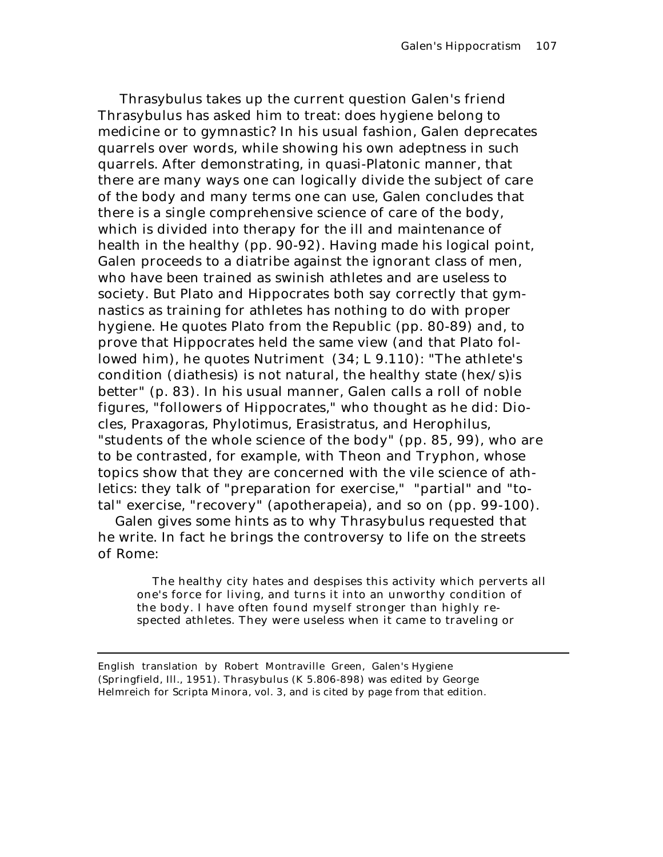*Thrasybulus* takes up the current question Galen's friend Thrasybulus has asked him to treat: does hygiene belong to medicine or to gymnastic? In his usual fashion, Galen deprecates quarrels over words, while showing his own adeptness in such quarrels. After demonstrating, in quasi-Platonic manner, that there are many ways one can logically divide the subject of care of the body and many terms one can use, Galen concludes that there is a single comprehensive science of care of the body, which is divided into therapy for the ill and maintenance of health in the healthy (pp. 90-92). Having made his logical point, Galen proceeds to a diatribe against the ignorant class of men, who have been trained as swinish athletes and are useless to society. But Plato and Hippocrates both say correctly that gymnastics as training for athletes has nothing to do with proper hygiene. He quotes Plato from the Republic (pp. 80-89) and, to prove that Hippocrates held the same view (and that Plato followed him), he quotes *Nutriment* (34; L 9.110): "The athlete's condition (*diathesis*) is not natural, the healthy state (hex/s)is better" (p. 83). In his usual manner, Galen calls a roll of noble figures, "followers of Hippocrates," who thought as he did: Diocles, Praxagoras, Phylotimus, Erasistratus, and Herophilus, "students of the whole science of the body" (pp. 85, 99), who are to be contrasted, for example, with Theon and Tryphon, whose topics show that they are concerned with the vile science of athletics: they talk of "preparation for exercise," "partial" and "total" exercise, "recovery" (*apotherapeia*), and so on (pp. 99-100).

 Galen gives some hints as to why Thrasybulus requested that he write. In fact he brings the controversy to life on the streets of Rome:

 The healthy city hates and despises this activity which perverts all one's force for living, and turns it into an unworthy condition of the body. I have often found myself stronger than highly respected athletes. They were useless when it came to traveling or

English translation by Robert Montraville Green, *Galen's Hygiene* (Springfield, Ill., 1951). Thrasybulus (K 5.806-898) was edited by George Helmreich for *Scripta Minora*, vol. 3, and is cited by page from that edition.

 $\overline{a}$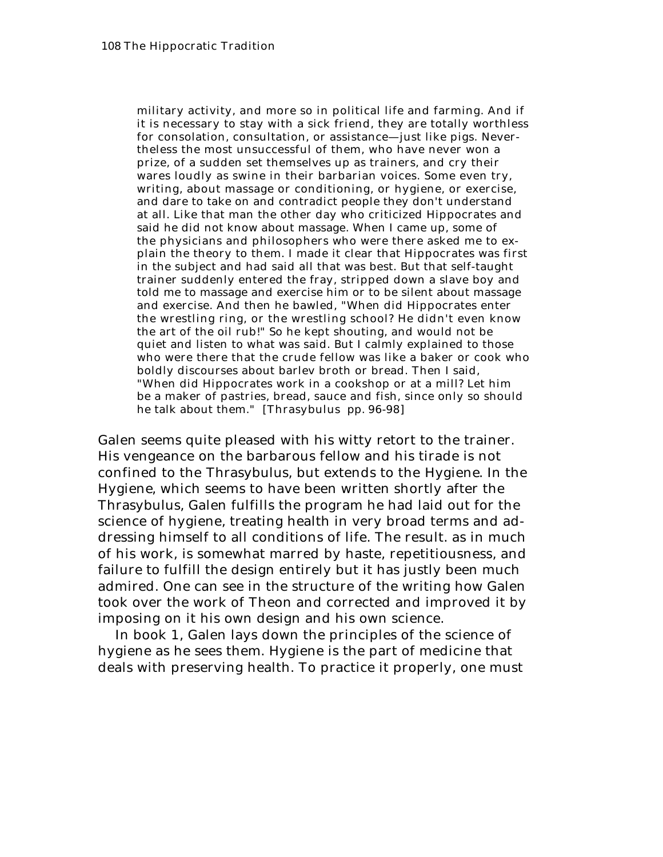military activity, and more so in political life and farming. And if it is necessary to stay with a sick friend, they are totally worthless for consolation, consultation, or assistance—just like pigs. Nevertheless the most unsuccessful of them, who have never won a prize, of a sudden set themselves up as trainers, and cry their wares loudly as swine in their barbarian voices. Some even try, writing, about massage or conditioning, or hygiene, or exercise, and dare to take on and contradict people they don't understand at all. Like that man the other day who criticized Hippocrates and said he did not know about massage. When I came up, some of the physicians and philosophers who were there asked me to explain the theory to them. I made it clear that Hippocrates was first in the subject and had said all that was best. But that self-taught trainer suddenly entered the fray, stripped down a slave boy and told me to massage and exercise him or to be silent about massage and exercise. And then he bawled, "When did Hippocrates enter the wrestling ring, or the wrestling school? He didn't even know the art of the oil rub!" So he kept shouting, and would not be quiet and listen to what was said. But I calmly explained to those who were there that the crude fellow was like a baker or cook who boldly discourses about barlev broth or bread. Then I said, "When did Hippocrates work in a cookshop or at a mill? Let him be a maker of pastries, bread, sauce and fish, since only so should he talk about them." *[Thrasybulus* pp. 96-98]

Galen seems quite pleased with his witty retort to the trainer. His vengeance on the barbarous fellow and his tirade is not confined to the *Thrasybulus*, but extends to the *Hygiene*. In the *Hygiene*, which seems to have been written shortly after the *Thrasybulus*, Galen fulfills the program he had laid out for the science of hygiene, treating health in very broad terms and addressing himself to all conditions of life. The result. as in much of his work, is somewhat marred by haste, repetitiousness, and failure to fulfill the design entirely but it has justly been much admired. One can see in the structure of the writing how Galen took over the work of Theon and corrected and improved it by imposing on it his own design and his own science.

 In book 1, Galen lays down the principles of the science of hygiene as he sees them. Hygiene is the part of medicine that deals with preserving health. To practice it properly, one must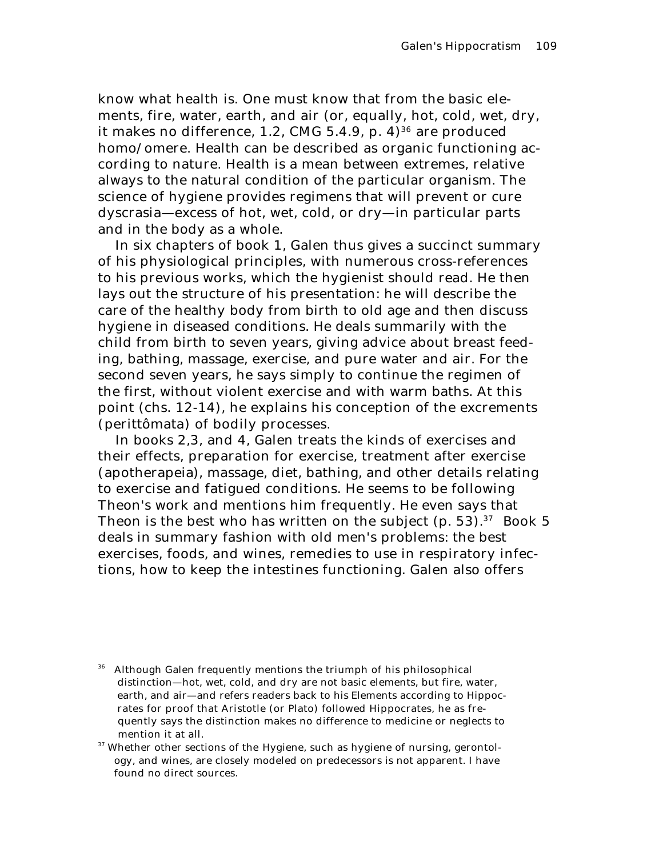know what health is. One must know that from the basic elements, fire, water, earth, and air (or, equally, hot, cold, wet, dry, it makes no difference, 1.2, CMG 5.4.9, p.  $4^{36}$  are produced homo/omere. Health can be described as organic functioning according to nature. Health is a mean between extremes, relative always to the natural condition of the particular organism. The science of hygiene provides regimens that will prevent or cure dyscrasia—excess of hot, wet, cold, or dry—in particular parts and in the body as a whole.

 In six chapters of book 1, Galen thus gives a succinct summary of his physiological principles, with numerous cross-references to his previous works, which the hygienist should read. He then lays out the structure of his presentation: he will describe the care of the healthy body from birth to old age and then discuss hygiene in diseased conditions. He deals summarily with the child from birth to seven years, giving advice about breast feeding, bathing, massage, exercise, and pure water and air. For the second seven years, he says simply to continue the regimen of the first, without violent exercise and with warm baths. At this point (chs. 12-14), he explains his conception of the excrements (*perittômata*) of bodily processes.

 In books 2,3, and 4, Galen treats the kinds of exercises and their effects, preparation for exercise, treatment after exercise (*apotherapeia*), massage, diet, bathing, and other details relating to exercise and fatigued conditions. He seems to be following Theon's work and mentions him frequently. He even says that Theon is the best who has written on the subject  $(p. 53).^{37}$  Book 5 deals in summary fashion with old men's problems: the best exercises, foods, and wines, remedies to use in respiratory infections, how to keep the intestines functioning. Galen also offers

<sup>36</sup> Although Galen frequently mentions the triumph of his philosophical distinction—hot, wet, cold, and dry are not basic elements, but fire, water, earth, and air—and refers readers back to his *Elements according to Hippoc rates* for proof that Aristotle (or Plato) followed Hippocrates, he as fre quently says the distinction makes no difference to medicine or neglects to mention it at all.

<sup>37</sup> Whether other sections of the *Hygiene*, such as hygiene of nursing, gerontol ogy, and wines, are closely modeled on predecessors is not apparent. I have found no direct sources.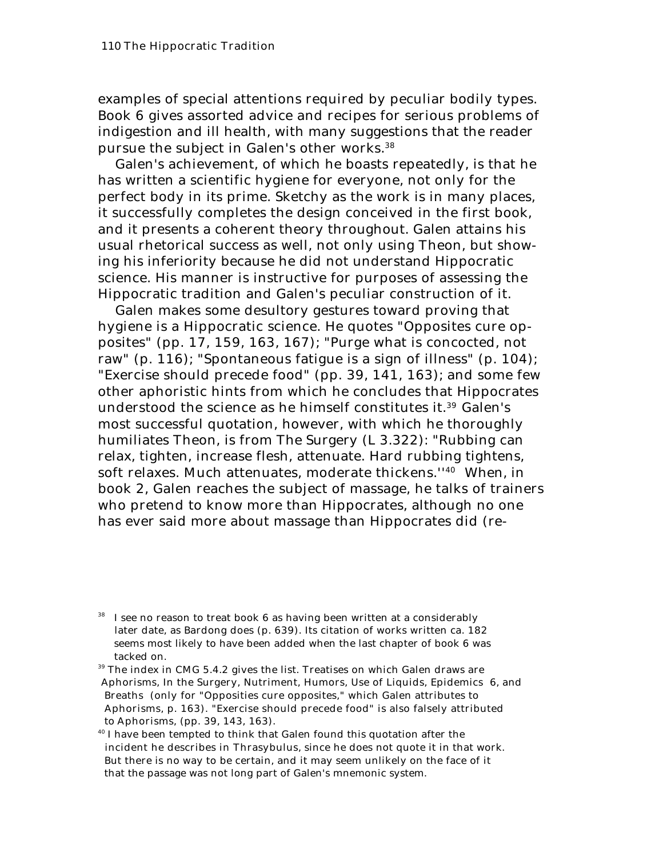examples of special attentions required by peculiar bodily types. Book 6 gives assorted advice and recipes for serious problems of indigestion and ill health, with many suggestions that the reader pursue the subject in Galen's other works.<sup>38</sup>

 Galen's achievement, of which he boasts repeatedly, is that he has written a scientific hygiene for everyone, not only for the perfect body in its prime. Sketchy as the work is in many places, it successfully completes the design conceived in the first book, and it presents a coherent theory throughout. Galen attains his usual rhetorical success as well, not only using Theon, but showing his inferiority because he did not understand Hippocratic science. His manner is instructive for purposes of assessing the Hippocratic tradition and Galen's peculiar construction of it.

 Galen makes some desultory gestures toward proving that hygiene is a Hippocratic science. He quotes "Opposites cure opposites" (pp. 17, 159, 163, 167); "Purge what is concocted, not raw" (p. 116); "Spontaneous fatigue is a sign of illness" (p. 104); "Exercise should precede food" (pp. 39, 141, 163); and some few other aphoristic hints from which he concludes that Hippocrates understood the science as he himself constitutes it.<sup>39</sup> Galen's most successful quotation, however, with which he thoroughly humiliates Theon, is from *The Surgery* (L 3.322): "Rubbing can relax, tighten, increase flesh, attenuate. Hard rubbing tightens, soft relaxes. Much attenuates, moderate thickens.''40 When, in book 2, Galen reaches the subject of massage, he talks of trainers who pretend to know more than Hippocrates, although no one has ever said more about massage than Hippocrates did (re-

<sup>&</sup>lt;sup>38</sup> I see no reason to treat book  $6$  as having been written at a considerably later date, as Bardong does (p. 639). Its citation of works written ca. 182 seems most likely to have been added when the last chapter of book 6 was tacked on.

 $39$  The index in CMG 5.4.2 gives the list. Treatises on which Galen draws are *Aphorisms, In the Surgery, Nutriment, Humors, Use of Liquids, Epidemics* 6, and *Breaths* (only for "Opposities cure opposites," which Galen attributes to *Aphorisms*, p. 163). "Exercise should precede food" is also falsely attributed to *Aphorisms*, (pp. 39, 143, 163).

 $40$  I have been tempted to think that Galen found this quotation after the incident he describes in *Thrasybulus*, since he does not quote it in that work. But there is no way to be certain, and it may seem unlikely on the face of it that the passage was not long part of Galen's mnemonic system.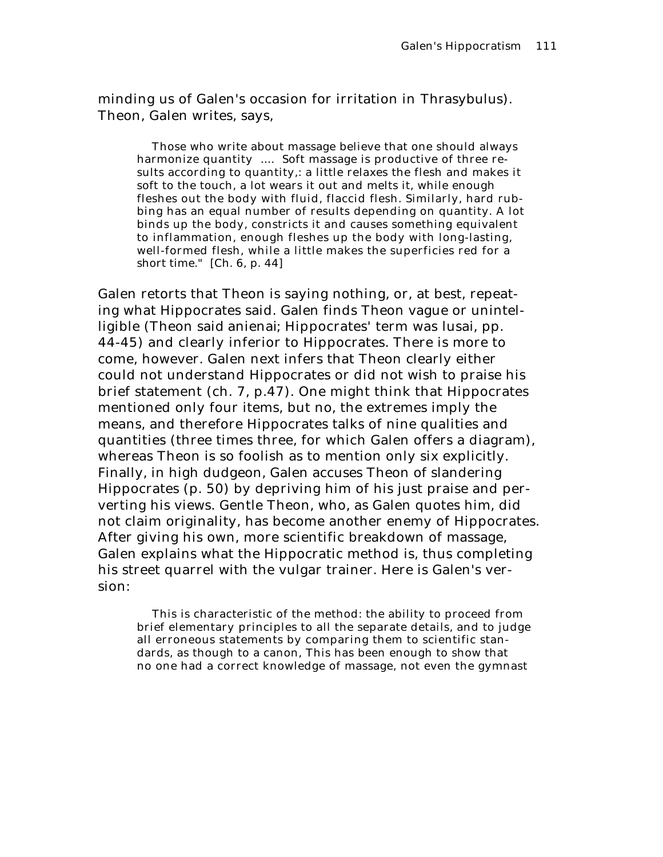minding us of Galen's occasion for irritation in *Thrasybulus*). Theon, Galen writes, says,

 Those who write about massage believe that one should always harmonize quantity .... Soft massage is productive of three results according to quantity,: a little relaxes the flesh and makes it soft to the touch, a lot wears it out and melts it, while enough fleshes out the body with fluid, flaccid flesh. Similarly, hard rubbing has an equal number of results depending on quantity. A lot binds up the body, constricts it and causes something equivalent to inflammation, enough fleshes up the body with long-lasting, well-formed flesh, while a little makes the superficies red for a short time." [Ch. 6, p. 44]

Galen retorts that Theon is saying nothing, or, at best, repeating what Hippocrates said. Galen finds Theon vague or unintelligible (Theon said *anienai*; Hippocrates' term was *lusai*, pp. 44-45) and clearly inferior to Hippocrates. There is more to come, however. Galen next infers that Theon clearly either could not understand Hippocrates or did not wish to praise his brief statement (ch. 7, p.47). One might think that Hippocrates mentioned only four items, but no, the extremes imply the means, and therefore Hippocrates talks of nine qualities and quantities (three times three, for which Galen offers a diagram), whereas Theon is so foolish as to mention only six explicitly. Finally, in high dudgeon, Galen accuses Theon of slandering Hippocrates (p. 50) by depriving him of his just praise and perverting his views. Gentle Theon, who, as Galen quotes him, did not claim originality, has become another enemy of Hippocrates. After giving his own, more scientific breakdown of massage, Galen explains what the Hippocratic method is, thus completing his street quarrel with the vulgar trainer. Here is Galen's version:

 This is characteristic of the method: the ability to proceed from brief elementary principles to all the separate details, and to judge all erroneous statements by comparing them to scientific standards, as though to a canon, This has been enough to show that no one had a correct knowledge of massage, not even the gymnast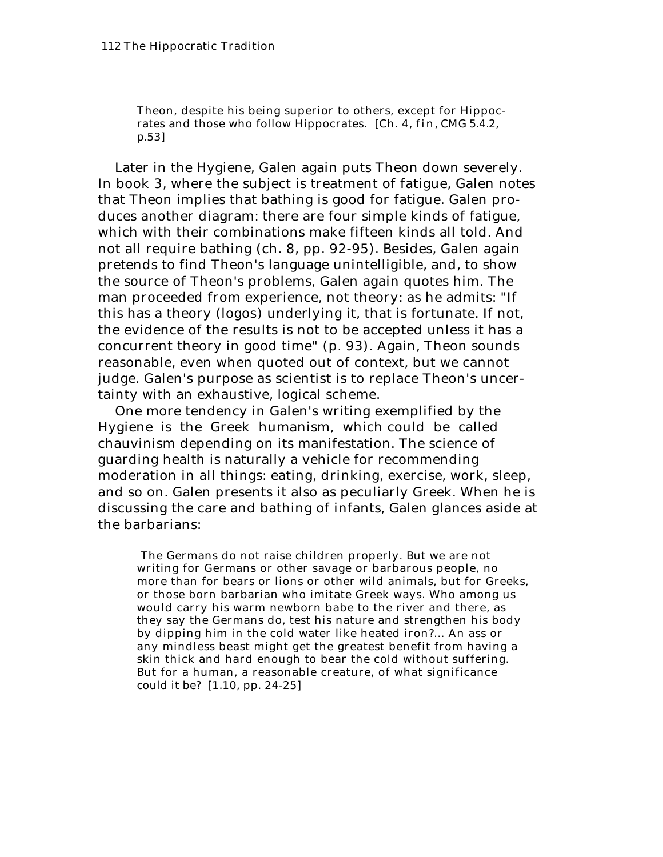Theon, despite his being superior to others, except for Hippocrates and those who follow Hippocrates. [Ch. 4, *fin*, CMG 5.4.2, p.53]

 Later in the Hygiene, Galen again puts Theon down severely. In book 3, where the subject is treatment of fatigue, Galen notes that Theon implies that bathing is good for fatigue. Galen produces another diagram: there are four simple kinds of fatigue, which with their combinations make fifteen kinds all told. And not all require bathing (ch. 8, pp. 92-95). Besides, Galen again pretends to find Theon's language unintelligible, and, to show the source of Theon's problems, Galen again quotes him. The man proceeded from experience, not theory: as he admits: "If this has a theory (*logos*) underlying it, that is fortunate. If not, the evidence of the results is not to be accepted unless it has a concurrent theory in good time" (p. 93). Again, Theon sounds reasonable, even when quoted out of context, but we cannot judge. Galen's purpose as scientist is to replace Theon's uncertainty with an exhaustive, logical scheme.

 One more tendency in Galen's writing exemplified by the *Hygiene* is the Greek humanism, which could be called chauvinism depending on its manifestation. The science of guarding health is naturally a vehicle for recommending moderation in all things: eating, drinking, exercise, work, sleep, and so on. Galen presents it also as peculiarly Greek. When he is discussing the care and bathing of infants, Galen glances aside at the barbarians:

 The Germans do not raise children properly. But we are not writing for Germans or other savage or barbarous people, no more than for bears or lions or other wild animals, but for Greeks, or those born barbarian who imitate Greek ways. Who among us would carry his warm newborn babe to the river and there, as they say the Germans do, test his nature and strengthen his body by dipping him in the cold water like heated iron?... An ass or any mindless beast might get the greatest benefit from having a skin thick and hard enough to bear the cold without suffering. But for a human, a reasonable creature, of what significance could it be? [1.10, pp. 24-25]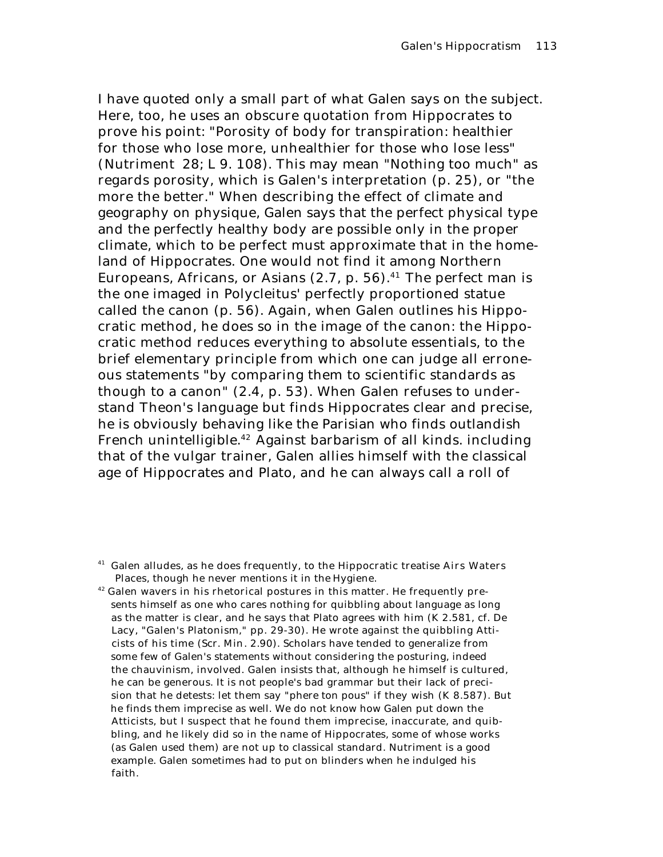I have quoted only a small part of what Galen says on the subject. Here, too, he uses an obscure quotation from Hippocrates to prove his point: "Porosity of body for transpiration: healthier for those who lose more, unhealthier for those who lose less" (*Nutriment* 28; L 9. 108). This may mean "Nothing too much" as regards porosity, which is Galen's interpretation (p. 25), or "the more the better." When describing the effect of climate and geography on physique, Galen says that the perfect physical type and the perfectly healthy body are possible only in the proper climate, which to be perfect must approximate that in the homeland of Hippocrates. One would not find it among Northern Europeans, Africans, or Asians  $(2.7, p. 56)$ .<sup>41</sup> The perfect man is the one imaged in Polycleitus' perfectly proportioned statue called the canon (p. 56). Again, when Galen outlines his Hippocratic method, he does so in the image of the canon: the Hippocratic method reduces everything to absolute essentials, to the brief elementary principle from which one can judge all erroneous statements "by comparing them to scientific standards as though to a canon" (2.4, p. 53). When Galen refuses to understand Theon's language but finds Hippocrates clear and precise, he is obviously behaving like the Parisian who finds outlandish French unintelligible.<sup>42</sup> Against barbarism of all kinds. including that of the vulgar trainer, Galen allies himself with the classical age of Hippocrates and Plato, and he can always call a roll of

 $42$  Galen wavers in his rhetorical postures in this matter. He frequently pre sents himself as one who cares nothing for quibbling about language as long as the matter is clear, and he says that Plato agrees with him (K 2.581, cf. De Lacy, "Galen's Platonism," pp. 29-30). He wrote against the quibbling Atti cists of his time (*Scr. Min*. 2.90). Scholars have tended to generalize from some few of Galen's statements without considering the posturing, indeed the chauvinism, involved. Galen insists that, although he himself is cultured, he can be generous. It is not people's bad grammar but their lack of preci sion that he detests: let them say "*phere ton pous*" if they wish (K 8.587). But he finds them imprecise as well. We do not know how Galen put down the Atticists, but I suspect that he found them imprecise, inaccurate, and quib bling, and he likely did so in the name of Hippocrates, some of whose works (as Galen used them) are not up to classical standard. *Nutriment* is a good example. Galen sometimes had to put on blinders when he indulged his faith.

<sup>41</sup> Galen alludes, as he does frequently, to the Hippocratic treatise *Airs Waters Places*, though he never mentions it in the *Hygiene*.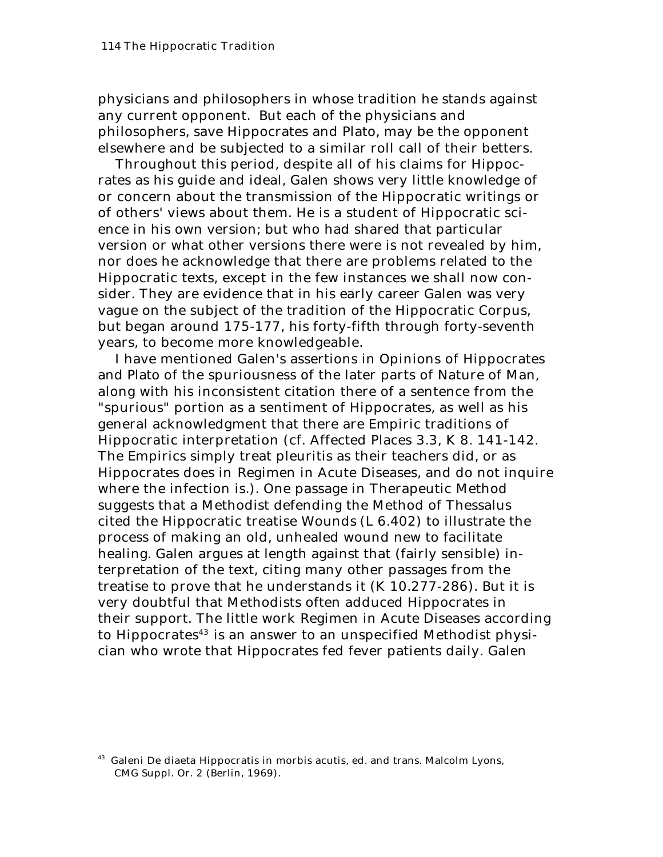physicians and philosophers in whose tradition he stands against any current opponent. But each of the physicians and philosophers, save Hippocrates and Plato, may be the opponent elsewhere and be subjected to a similar roll call of their betters.

 Throughout this period, despite all of his claims for Hippocrates as his guide and ideal, Galen shows very little knowledge of or concern about the transmission of the Hippocratic writings or of others' views about them. He is a student of Hippocratic science in his own version; but who had shared that particular version or what other versions there were is not revealed by him, nor does he acknowledge that there are problems related to the Hippocratic texts, except in the few instances we shall now consider. They are evidence that in his early career Galen was very vague on the subject of the tradition of the Hippocratic Corpus, but began around 175-177, his forty-fifth through forty-seventh years, to become more knowledgeable.

 I have mentioned Galen's assertions in *Opinions of Hippocrates and Plato* of the spuriousness of the later parts of *Nature of Man*, along with his inconsistent citation there of a sentence from the "spurious" portion as a sentiment of Hippocrates, as well as his general acknowledgment that there are Empiric traditions of Hippocratic interpretation (cf. *Affected Places* 3.3, K 8. 141-142. The Empirics simply treat pleuritis as their teachers did, or as Hippocrates does in *Regimen in Acute Diseases*, and do not inquire where the infection is.). One passage in *Therapeutic Method* suggests that a Methodist defending the Method of Thessalus cited the Hippocratic treatise *Wounds* (L 6.402) to illustrate the process of making an old, unhealed wound new to facilitate healing. Galen argues at length against that (fairly sensible) interpretation of the text, citing many other passages from the treatise to prove that he understands it (K 10.277-286). But it is very doubtful that Methodists often adduced Hippocrates in their support. The little work *Regimen in Acute Diseases according to Hippocrates*43 is an answer to an unspecified Methodist physician who wrote that Hippocrates fed fever patients daily. Galen

43 *Galeni De diaeta Hippocratis in morbis acutis*, ed. and trans. Malcolm Lyons, CMG Suppl. Or. 2 (Berlin, 1969).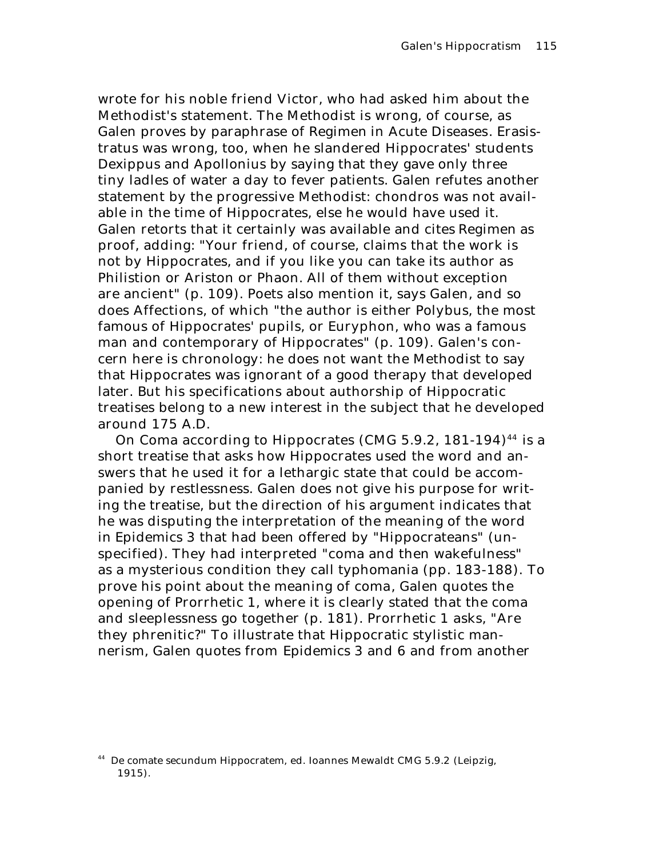wrote for his noble friend Victor, who had asked him about the Methodist's statement. The Methodist is wrong, of course, as Galen proves by paraphrase of *Regimen in Acute Diseases*. Erasistratus was wrong, too, when he slandered Hippocrates' students Dexippus and Apollonius by saying that they gave only three tiny ladles of water a day to fever patients. Galen refutes another statement by the progressive Methodist: *chondros* was not available in the time of Hippocrates, else he would have used it. Galen retorts that it certainly was available and cites *Regimen* as proof, adding: "Your friend, of course, claims that the work is not by Hippocrates, and if you like you can take its author as Philistion or Ariston or Phaon. All of them without exception are ancient" (p. 109). Poets also mention it, says Galen, and so does *Affections*, of which "the author is either Polybus, the most famous of Hippocrates' pupils, or Euryphon, who was a famous man and contemporary of Hippocrates" (p. 109). Galen's concern here is chronology: he does not want the Methodist to say that Hippocrates was ignorant of a good therapy that developed later. But his specifications about authorship of Hippocratic treatises belong to a new interest in the subject that he developed around 175 A.D.

On Coma according to Hippocrates (CMG 5.9.2, 181-194)<sup>44</sup> is a short treatise that asks how Hippocrates used the word and answers that he used it for a lethargic state that could be accompanied by restlessness. Galen does not give his purpose for writing the treatise, but the direction of his argument indicates that he was disputing the interpretation of the meaning of the word in *Epidemics* 3 that had been offered by "Hippocrateans" (unspecified). They had interpreted "coma and then wakefulness" as a mysterious condition they call *typhomania* (pp. 183-188). To prove his point about the meaning of *coma*, Galen quotes the opening of *Prorrhetic* 1, where it is clearly stated that the coma and sleeplessness go together (p. 181). *Prorrhetic* 1 asks, "Are they phrenitic?" To illustrate that Hippocratic stylistic mannerism, Galen quotes from *Epidemics* 3 and 6 and from another

<sup>44</sup> *De comate secundum Hippocratem*, ed. Ioannes Mewaldt CMG 5.9.2 (Leipzig, 1915).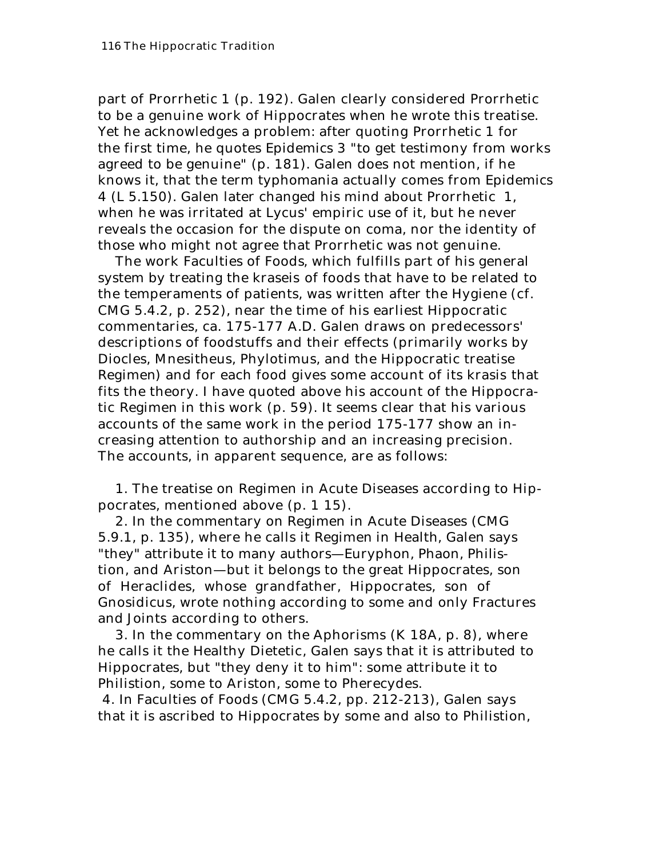part of *Prorrhetic* 1 (p. 192). Galen clearly considered *Prorrhetic* to be a genuine work of Hippocrates when he wrote this treatise. Yet he acknowledges a problem: after quoting *Prorrhetic* 1 for the first time, he quotes *Epidemics* 3 "to get testimony from works agreed to be genuine" (p. 181). Galen does not mention, if he knows it, that the term *typhomania* actually comes from *Epidemics* 4 (L 5.150). Galen later changed his mind about *Prorrhetic* 1, when he was irritated at Lycus' empiric use of it, but he never reveals the occasion for the dispute on coma, nor the identity of those who might not agree that *Prorrhetic* was not genuine.

 The work *Faculties of Foods*, which fulfills part of his general system by treating the *kraseis* of foods that have to be related to the temperaments of patients, was written after the *Hygiene* (cf. CMG 5.4.2, p. 252), near the time of his earliest Hippocratic commentaries, ca. 175-177 A.D. Galen draws on predecessors' descriptions of foodstuffs and their effects (primarily works by Diocles, Mnesitheus, Phylotimus, and the Hippocratic treatise *Regimen*) and for each food gives some account of its *krasis* that fits the theory. I have quoted above his account of the Hippocratic *Regimen* in this work (p. 59). It seems clear that his various accounts of the same work in the period 175-177 show an increasing attention to authorship and an increasing precision. The accounts, in apparent sequence, are as follows:

 1. The treatise on *Regimen in Acute Diseases* according to Hippocrates, mentioned above (p. 1 15).

 2. In the commentary on *Regimen in Acute Diseases* (CMG 5.9.1, p. 135), where he calls it *Regimen in Health*, Galen says "they" attribute it to many authors—Euryphon, Phaon, Philistion, and Ariston—but it belongs to the great Hippocrates, son of Heraclides, whose grandfather, Hippocrates, son of Gnosidicus, wrote nothing according to some and only *Fractures* and *Joints* according to others.

 3. In the commentary on the *Aphorisms* (K 18A, p. 8), where he calls it the *Healthy Dietetic*, Galen says that it is attributed to Hippocrates, but "they deny it to him": some attribute it to Philistion, some to Ariston, some to Pherecydes.

 4. In *Faculties of Foods* (CMG 5.4.2, pp. 212-213), Galen says that it is ascribed to Hippocrates by some and also to Philistion,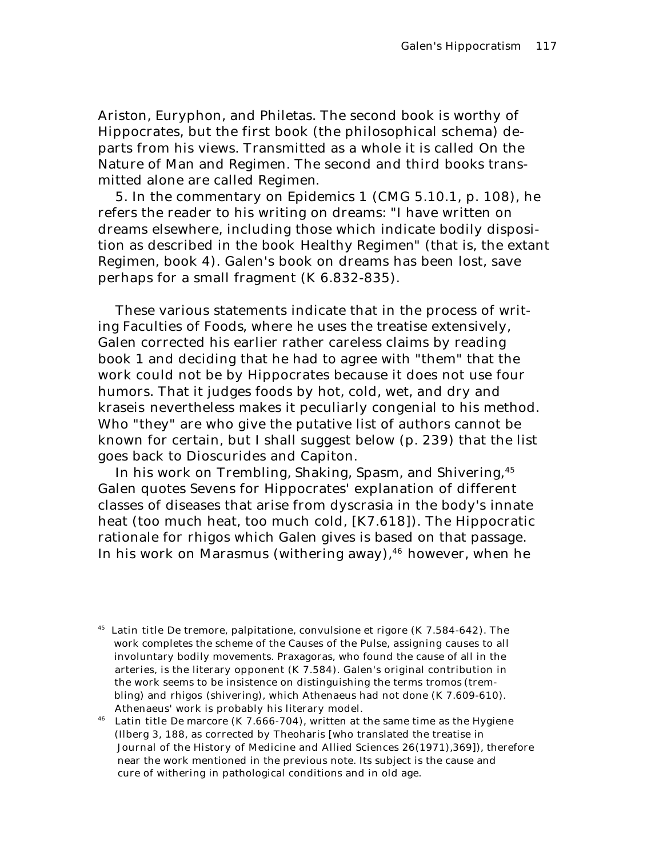Ariston, Euryphon, and Philetas. The second book is worthy of Hippocrates, but the first book (the philosophical schema) departs from his views. Transmitted as a whole it is called *On the Nature of Man and Regimen*. The second and third books transmitted alone are called *Regimen*.

 5. In the commentary on *Epidemics* 1 (CMG 5.10.1, p. 108), he refers the reader to his writing on dreams: "I have written on dreams elsewhere, including those which indicate bodily disposition as described in the book *Healthy Regimen*" (that is, the extant *Regimen*, book 4). Galen's book on dreams has been lost, save perhaps for a small fragment (K 6.832-835).

 These various statements indicate that in the process of writing *Faculties of Foods*, where he uses the treatise extensively, Galen corrected his earlier rather careless claims by reading book 1 and deciding that he had to agree with "them" that the work could not be by Hippocrates because it does not use four humors. That it judges foods by hot, cold, wet, and dry and *kraseis* nevertheless makes it peculiarly congenial to his method. Who "they" are who give the putative list of authors cannot be known for certain, but I shall suggest below (p. 239) that the list goes back to Dioscurides and Capiton.

 In his work on Trembling, *Shaking, Spasm, and Shivering*, 45 Galen quotes *Sevens* for Hippocrates' explanation of different classes of diseases that arise from dyscrasia in the body's innate heat (too much heat, too much cold, [K7.618]). The Hippocratic rationale for *rhigos* which Galen gives is based on that passage. In his work on *Marasmus* (withering away),<sup>46</sup> however, when he

<sup>45</sup> Latin title *De tremore, palpitatione, convulsione et rigore* (K 7.584-642). The work completes the scheme of the *Causes of the Pulse*, assigning causes to all involuntary bodily movements. Praxagoras, who found the cause of all in the arteries, is the literary opponent (K 7.584). Galen's original contribution in the work seems to be insistence on distinguishing the terms *tromos* (trem bling) and *rhigos* (shivering), which Athenaeus had not done (K 7.609-610). Athenaeus' work is probably his literary model.

<sup>46</sup> Latin title *De marcore* (K 7.666-704), written at the same time as the *Hygiene* (Ilberg 3, 188, as corrected by Theoharis [who translated the treatise in *Journal of the History of Medicine and Allied Sciences* 26(1971),369]), therefore near the work mentioned in the previous note. Its subject is the cause and cure of withering in pathological conditions and in old age.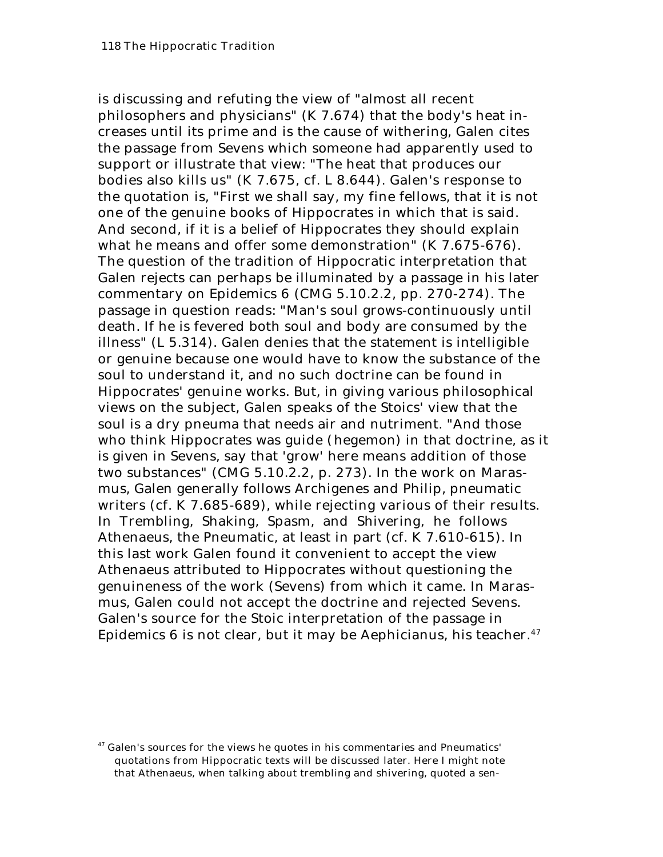is discussing and refuting the view of "almost all recent philosophers and physicians" (K 7.674) that the body's heat increases until its prime and is the cause of withering, Galen cites the passage from *Sevens* which someone had apparently used to support or illustrate that view: "The heat that produces our bodies also kills us" (K 7.675, cf. L 8.644). Galen's response to the quotation is, "First we shall say, my fine fellows, that it is not one of the genuine books of Hippocrates in which that is said. And second, if it is a belief of Hippocrates they should explain what he means and offer some demonstration" (K 7.675-676). The question of the tradition of Hippocratic interpretation that Galen rejects can perhaps be illuminated by a passage in his later commentary on *Epidemics* 6 (CMG 5.10.2.2, pp. 270-274). The passage in question reads: "Man's soul grows-continuously until death. If he is fevered both soul and body are consumed by the illness" (L 5.314). Galen denies that the statement is intelligible or genuine because one would have to know the substance of the soul to understand it, and no such doctrine can be found in Hippocrates' genuine works. But, in giving various philosophical views on the subject, Galen speaks of the Stoics' view that the soul is a dry pneuma that needs air and nutriment. "And those who think Hippocrates was guide (*hegemon*) in that doctrine, as it is given in *Sevens*, say that 'grow' here means addition of those two substances" (CMG 5.10.2.2, p. 273). In the work on *Marasmus*, Galen generally follows Archigenes and Philip, pneumatic writers (cf. K 7.685-689), while rejecting various of their results. In *Trembling, Shaking, Spasm, and Shivering*, he follows Athenaeus, the Pneumatic, at least in part (cf. K 7.610-615). In this last work Galen found it convenient to accept the view Athenaeus attributed to Hippocrates without questioning the genuineness of the work (*Sevens*) from which it came. In *Marasmus*, Galen could not accept the doctrine and rejected *Sevens*. Galen's source for the Stoic interpretation of the passage in *Epidemics* 6 is not clear, but it may be Aephicianus, his teacher.<sup>47</sup>

<sup>&</sup>lt;sup>47</sup> Galen's sources for the views he quotes in his commentaries and Pneumatics' quotations from Hippocratic texts will be discussed later. Here I might note that Athenaeus, when talking about trembling and shivering, quoted a sen-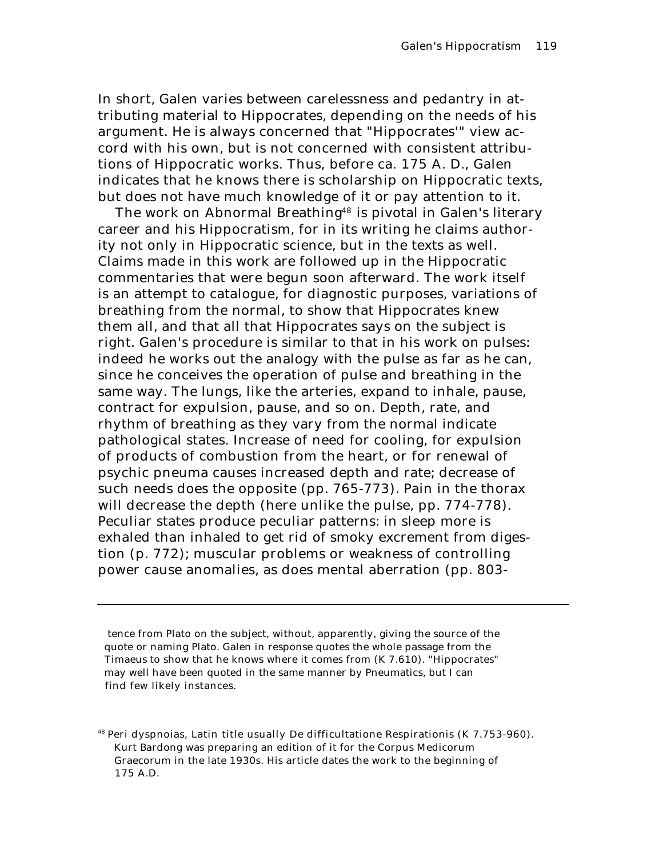In short, Galen varies between carelessness and pedantry in attributing material to Hippocrates, depending on the needs of his argument. He is always concerned that "Hippocrates'" view accord with his own, but is not concerned with consistent attributions of Hippocratic works. Thus, before ca. 175 A. D., Galen indicates that he knows there is scholarship on Hippocratic texts, but does not have much knowledge of it or pay attention to it.

 The work on *Abnormal Breathing*48 is pivotal in Galen's literary career and his Hippocratism, for in its writing he claims authority not only in Hippocratic science, but in the texts as well. Claims made in this work are followed up in the Hippocratic commentaries that were begun soon afterward. The work itself is an attempt to catalogue, for diagnostic purposes, variations of breathing from the normal, to show that Hippocrates knew them all, and that all that Hippocrates says on the subject is right. Galen's procedure is similar to that in his work on pulses: indeed he works out the analogy with the pulse as far as he can, since he conceives the operation of pulse and breathing in the same way. The lungs, like the arteries, expand to inhale, pause, contract for expulsion, pause, and so on. Depth, rate, and rhythm of breathing as they vary from the normal indicate pathological states. Increase of need for cooling, for expulsion of products of combustion from the heart, or for renewal of psychic pneuma causes increased depth and rate; decrease of such needs does the opposite (pp. 765-773). Pain in the thorax will decrease the depth (here unlike the pulse, pp. 774-778). Peculiar states produce peculiar patterns: in sleep more is exhaled than inhaled to get rid of smoky excrement from digestion (p. 772); muscular problems or weakness of controlling power cause anomalies, as does mental aberration (pp. 803-

 $\overline{a}$ 

tence from Plato on the subject, without, apparently, giving the source of the quote or naming Plato. Galen in response quotes the whole passage from the *Timaeus* to show that he knows where it comes from (K 7.610). "Hippocrates" may well have been quoted in the same manner by Pneumatics, but I can find few likely instances.

<sup>48</sup> *Peri dyspnoias*, Latin title usually *De difficultatione Respirationis* (K 7.753-960). Kurt Bardong was preparing an edition of it for the Corpus Medicorum Graecorum in the late 1930s. His article dates the work to the beginning of 175 A.D.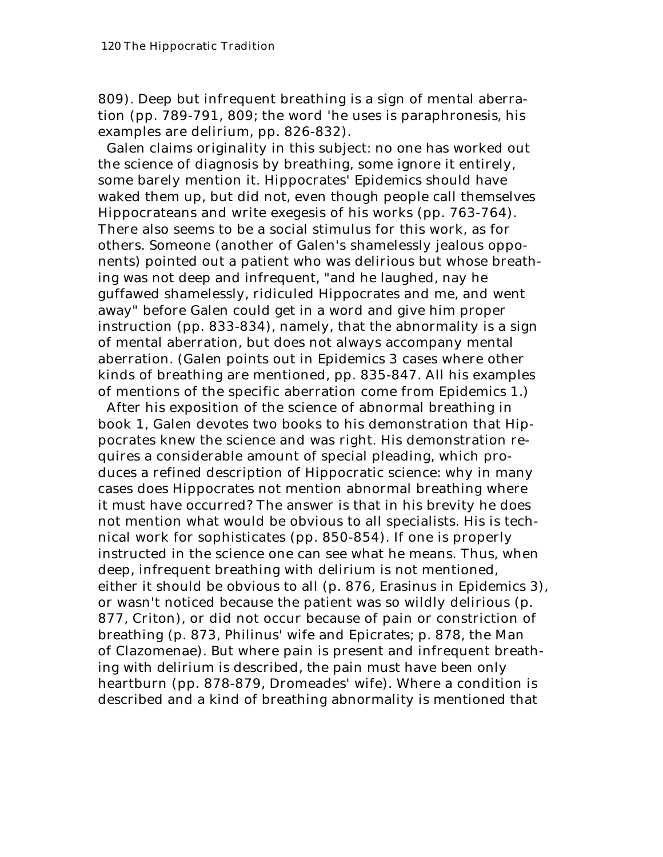809). Deep but infrequent breathing is a sign of mental aberration (pp. 789-791, 809; the word 'he uses is *paraphronesis*, his examples are delirium, pp. 826-832).

 Galen claims originality in this subject: no one has worked out the science of diagnosis by breathing, some ignore it entirely, some barely mention it. Hippocrates' *Epidemics* should have waked them up, but did not, even though people call themselves Hippocrateans and write exegesis of his works (pp. 763-764). There also seems to be a social stimulus for this work, as for others. Someone (another of Galen's shamelessly jealous opponents) pointed out a patient who was delirious but whose breathing was not deep and infrequent, "and he laughed, nay he guffawed shamelessly, ridiculed Hippocrates and me, and went away" before Galen could get in a word and give him proper instruction (pp. 833-834), namely, that the abnormality is a sign of mental aberration, but does not always accompany mental aberration. (Galen points out in *Epidemics* 3 cases where other kinds of breathing are mentioned, pp. 835-847. All his examples of mentions of the specific aberration come from *Epidemics* 1.)

 After his exposition of the science of abnormal breathing in book 1, Galen devotes two books to his demonstration that Hippocrates knew the science and was right. His demonstration requires a considerable amount of special pleading, which produces a refined description of Hippocratic science: why in many cases does Hippocrates not mention abnormal breathing where it must have occurred? The answer is that in his brevity he does not mention what would be obvious to all specialists. His is technical work for sophisticates (pp. 850-854). If one is properly instructed in the science one can see what he means. Thus, when deep, infrequent breathing with delirium is not mentioned, either it should be obvious to all (p. 876, Erasinus in *Epidemics* 3), or wasn't noticed because the patient was so wildly delirious (p. 877, Criton), or did not occur because of pain or constriction of breathing (p. 873, Philinus' wife and Epicrates; p. 878, the Man of Clazomenae). But where pain is present and infrequent breathing with delirium is described, the pain must have been only heartburn (pp. 878-879, Dromeades' wife). Where a condition is described and a kind of breathing abnormality is mentioned that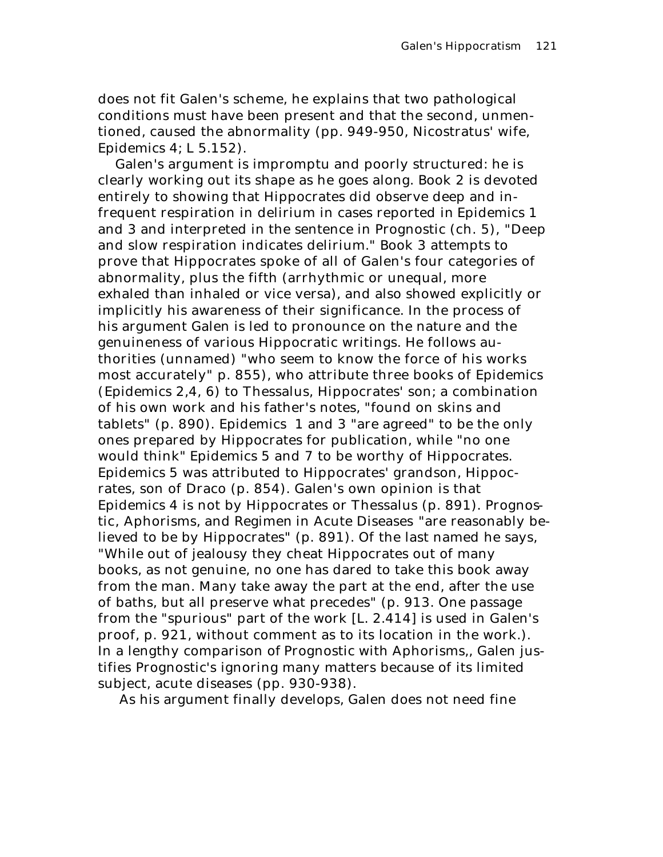does not fit Galen's scheme, he explains that two pathological conditions must have been present and that the second, unmentioned, caused the abnormality (pp. 949-950, Nicostratus' wife, *Epidemics* 4; L 5.152).

 Galen's argument is impromptu and poorly structured: he is clearly working out its shape as he goes along. Book 2 is devoted entirely to showing that Hippocrates did observe deep and infrequent respiration in delirium in cases reported in *Epidemics* 1 and 3 and interpreted in the sentence in *Prognostic* (ch. 5), "Deep and slow respiration indicates delirium." Book 3 attempts to prove that Hippocrates spoke of all of Galen's four categories of abnormality, plus the fifth (arrhythmic or unequal, more exhaled than inhaled or vice versa), and also showed explicitly or implicitly his awareness of their significance. In the process of his argument Galen is led to pronounce on the nature and the genuineness of various Hippocratic writings. He follows authorities (unnamed) "who seem to know the force of his works most accurately" p. 855), who attribute three books of *Epidemics* (*Epidemics* 2,4, 6) to Thessalus, Hippocrates' son; a combination of his own work and his father's notes, "found on skins and tablets" (p. 890). *Epidemics* 1 and 3 "are agreed" to be the only ones prepared by Hippocrates for publication, while "no one would think" *Epidemics* 5 and 7 to be worthy of Hippocrates. *Epidemics* 5 was attributed to Hippocrates' grandson, Hippocrates, son of Draco (p. 854). Galen's own opinion is that *Epidemics* 4 is not by Hippocrates or Thessalus (p. 891). *Prognostic*, *Aphorisms*, and *Regimen in Acute Diseases* "are reasonably believed to be by Hippocrates" (p. 891). Of the last named he says, "While out of jealousy they cheat Hippocrates out of many books, as not genuine, no one has dared to take this book away from the man. Many take away the part at the end, after the use of baths, but all preserve what precedes" (p. 913. One passage from the "spurious" part of the work [L. 2.414] is used in Galen's proof, p. 921, without comment as to its location in the work.). In a lengthy comparison of *Prognostic* with *Aphorisms*,, Galen justifies *Prognostic*'s ignoring many matters because of its limited subject, acute diseases (pp. 930-938).

As his argument finally develops, Galen does not need fine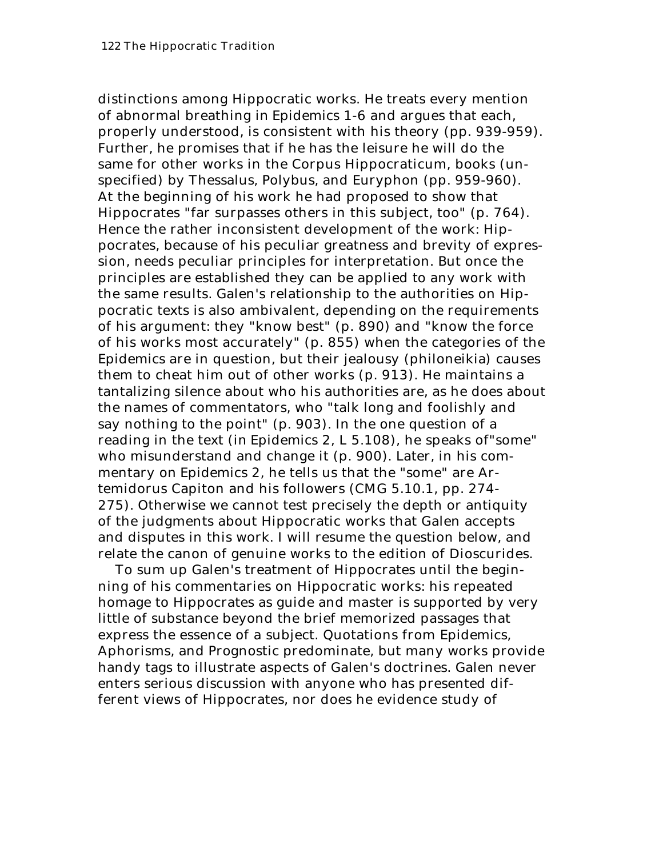distinctions among Hippocratic works. He treats every mention of abnormal breathing in *Epidemics* 1-6 and argues that each, properly understood, is consistent with his theory (pp. 939-959). Further, he promises that if he has the leisure he will do the same for other works in the Corpus Hippocraticum, books (unspecified) by Thessalus, Polybus, and Euryphon (pp. 959-960). At the beginning of his work he had proposed to show that Hippocrates "far surpasses others in this subject, too" (p. 764). Hence the rather inconsistent development of the work: Hippocrates, because of his peculiar greatness and brevity of expression, needs peculiar principles for interpretation. But once the principles are established they can be applied to any work with the same results. Galen's relationship to the authorities on Hippocratic texts is also ambivalent, depending on the requirements of his argument: they "know best" (p. 890) and "know the force of his works most accurately" (p. 855) when the categories of the *Epidemics* are in question, but their jealousy (*philoneikia*) causes them to cheat him out of other works (p. 913). He maintains a tantalizing silence about who his authorities are, as he does about the names of commentators, who "talk long and foolishly and say nothing to the point" (p. 903). In the one question of a reading in the text (in *Epidemics* 2, L 5.108), he speaks of"some" who misunderstand and change it (p. 900). Later, in his commentary on *Epidemics* 2, he tells us that the "some" are Artemidorus Capiton and his followers (CMG 5.10.1, pp. 274- 275). Otherwise we cannot test precisely the depth or antiquity of the judgments about Hippocratic works that Galen accepts and disputes in this work. I will resume the question below, and relate the canon of genuine works to the edition of Dioscurides.

 To sum up Galen's treatment of Hippocrates until the beginning of his commentaries on Hippocratic works: his repeated homage to Hippocrates as guide and master is supported by very little of substance beyond the brief memorized passages that express the essence of a subject. Quotations from *Epidemics*, *Aphorisms*, and *Prognostic* predominate, but many works provide handy tags to illustrate aspects of Galen's doctrines. Galen never enters serious discussion with anyone who has presented different views of Hippocrates, nor does he evidence study of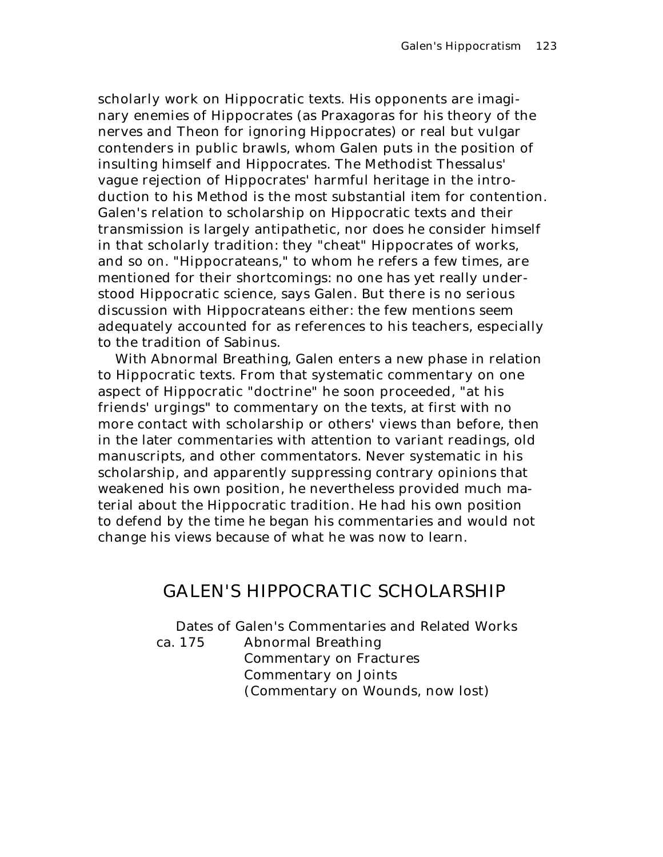scholarly work on Hippocratic texts. His opponents are imaginary enemies of Hippocrates (as Praxagoras for his theory of the nerves and Theon for ignoring Hippocrates) or real but vulgar contenders in public brawls, whom Galen puts in the position of insulting himself and Hippocrates. The Methodist Thessalus' vague rejection of Hippocrates' harmful heritage in the introduction to his Method is the most substantial item for contention. Galen's relation to scholarship on Hippocratic texts and their transmission is largely antipathetic, nor does he consider himself in that scholarly tradition: they "cheat" Hippocrates of works, and so on. "Hippocrateans," to whom he refers a few times, are mentioned for their shortcomings: no one has yet really understood Hippocratic science, says Galen. But there is no serious discussion with Hippocrateans either: the few mentions seem adequately accounted for as references to his teachers, especially to the tradition of Sabinus.

 With *Abnormal Breathing*, Galen enters a new phase in relation to Hippocratic texts. From that systematic commentary on one aspect of Hippocratic "doctrine" he soon proceeded, "at his friends' urgings" to commentary on the texts, at first with no more contact with scholarship or others' views than before, then in the later commentaries with attention to variant readings, old manuscripts, and other commentators. Never systematic in his scholarship, and apparently suppressing contrary opinions that weakened his own position, he nevertheless provided much material about the Hippocratic tradition. He had his own position to defend by the time he began his commentaries and would not change his views because of what he was now to learn.

## GALEN'S HIPPOCRATIC SCHOLARSHIP

 Dates of Galen's Commentaries and Related Works ca. 175 *Abnormal Breathing Commentary on Fractures Commentary on Joints* (*Commentary on Wounds*, now lost)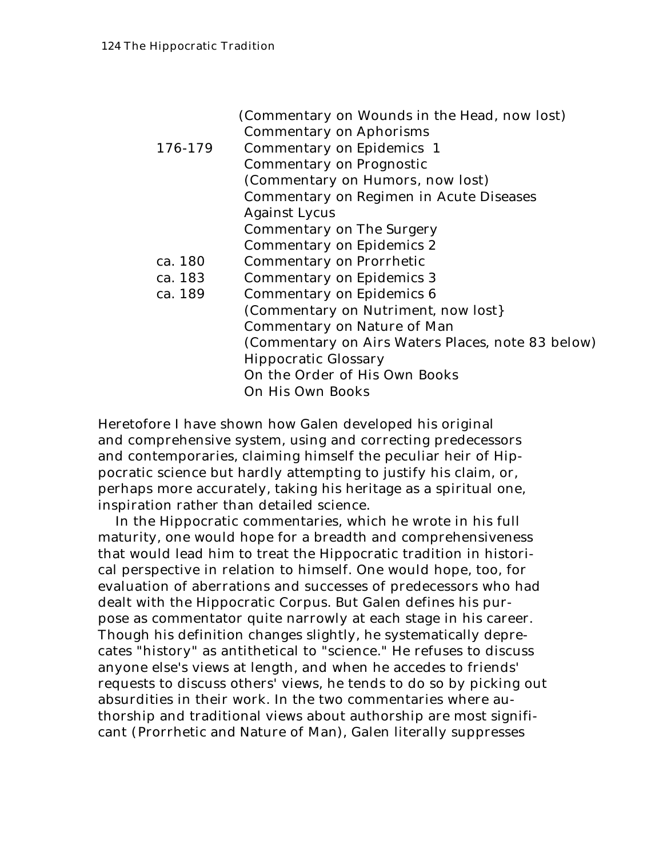|         | (Commentary on Wounds in the Head, now lost)      |
|---------|---------------------------------------------------|
|         | <b>Commentary on Aphorisms</b>                    |
| 176-179 | Commentary on Epidemics 1                         |
|         | Commentary on Prognostic                          |
|         | (Commentary on Humors, now lost)                  |
|         | Commentary on Regimen in Acute Diseases           |
|         | <b>Against Lycus</b>                              |
|         | Commentary on The Surgery                         |
|         | Commentary on Epidemics 2                         |
| ca. 180 | <b>Commentary on Prorrhetic</b>                   |
| ca. 183 | Commentary on Epidemics 3                         |
| ca. 189 | Commentary on Epidemics 6                         |
|         | (Commentary on Nutriment, now lost)               |
|         | Commentary on Nature of Man                       |
|         | (Commentary on Airs Waters Places, note 83 below) |
|         | <b>Hippocratic Glossary</b>                       |
|         | On the Order of His Own Books                     |
|         | On His Own Books                                  |
|         |                                                   |

Heretofore I have shown how Galen developed his original and comprehensive system, using and correcting predecessors and contemporaries, claiming himself the peculiar heir of Hippocratic science but hardly attempting to justify his claim, or, perhaps more accurately, taking his heritage as a spiritual one, inspiration rather than detailed science.

 In the Hippocratic commentaries, which he wrote in his full maturity, one would hope for a breadth and comprehensiveness that would lead him to treat the Hippocratic tradition in historical perspective in relation to himself. One would hope, too, for evaluation of aberrations and successes of predecessors who had dealt with the Hippocratic Corpus. But Galen defines his purpose as commentator quite narrowly at each stage in his career. Though his definition changes slightly, he systematically deprecates "history" as antithetical to "science." He refuses to discuss anyone else's views at length, and when he accedes to friends' requests to discuss others' views, he tends to do so by picking out absurdities in their work. In the two commentaries where authorship and traditional views about authorship are most significant (*Prorrhetic* and *Nature of Man*), Galen literally suppresses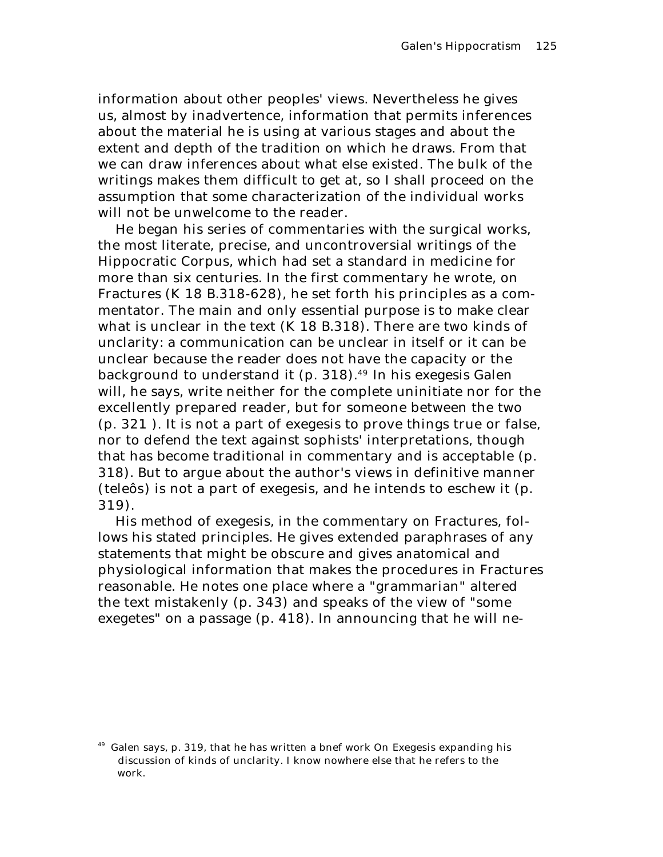information about other peoples' views. Nevertheless he gives us, almost by inadvertence, information that permits inferences about the material he is using at various stages and about the extent and depth of the tradition on which he draws. From that we can draw inferences about what else existed. The bulk of the writings makes them difficult to get at, so I shall proceed on the assumption that some characterization of the individual works will not be unwelcome to the reader.

 He began his series of commentaries with the surgical works, the most literate, precise, and uncontroversial writings of the Hippocratic Corpus, which had set a standard in medicine for more than six centuries. In the first commentary he wrote, on *Fractures* (K 18 B.318-628), he set forth his principles as a commentator. The main and only essential purpose is to make clear what is unclear in the text (K 18 B.318). There are two kinds of unclarity: a communication can be unclear in itself or it can be unclear because the reader does not have the capacity or the background to understand it (p. 318).<sup>49</sup> In his exegesis Galen will, he says, write neither for the complete uninitiate nor for the excellently prepared reader, but for someone between the two (p. 321 ). It is not a part of exegesis to prove things true or false, nor to defend the text against sophists' interpretations, though that has become traditional in commentary and is acceptable (p. 318). But to argue about the author's views in definitive manner (*teleôs*) is not a part of exegesis, and he intends to eschew it (p. 319).

 His method of exegesis, in the commentary on *Fractures*, follows his stated principles. He gives extended paraphrases of any statements that might be obscure and gives anatomical and physiological information that makes the procedures in *Fractures* reasonable. He notes one place where a "grammarian" altered the text mistakenly (p. 343) and speaks of the view of "some exegetes" on a passage (p. 418). In announcing that he will ne-

<sup>49</sup> Galen says, p. 319, that he has written a bnef work *On Exegesis* expanding his discussion of kinds of unclarity. I know nowhere else that he refers to the work.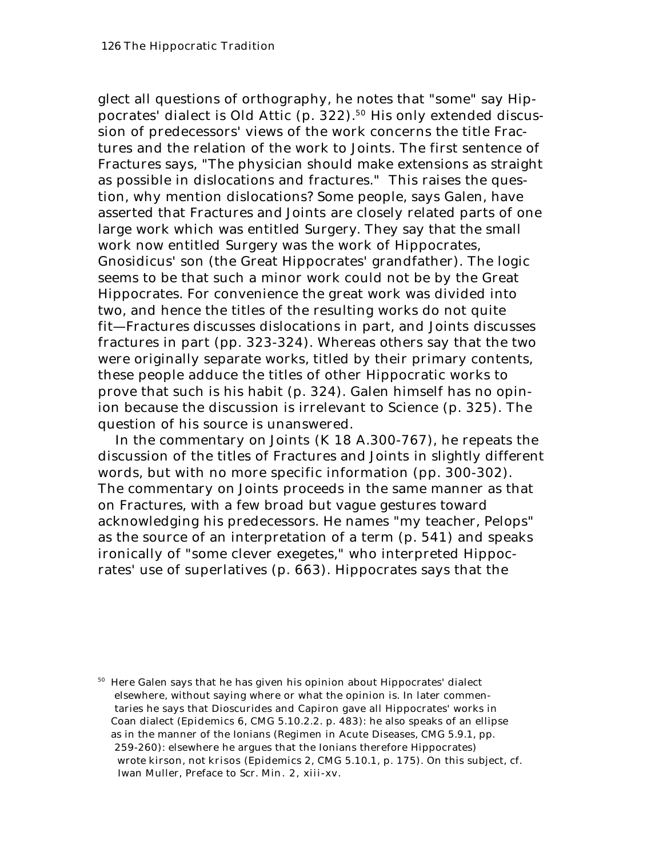glect all questions of orthography, he notes that "some" say Hippocrates' dialect is Old Attic (p. 322).<sup>50</sup> His only extended discussion of predecessors' views of the work concerns the title *Fractures* and the relation of the work to *Joints*. The first sentence of *Fractures* says, "The physician should make extensions as straight as possible in dislocations and fractures." This raises the question, why mention dislocations? Some people, says Galen, have asserted that *Fractures* and *Joints* are closely related parts of one large work which was entitled *Surgery*. They say that the small work now entitled *Surgery* was the work of Hippocrates, Gnosidicus' son (the Great Hippocrates' grandfather). The logic seems to be that such a minor work could not be by the Great Hippocrates. For convenience the great work was divided into two, and hence the titles of the resulting works do not quite fit—*Fractures* discusses dislocations in part, and *Joints* discusses fractures in part (pp. 323-324). Whereas others say that the two were originally separate works, titled by their primary contents, these people adduce the titles of other Hippocratic works to prove that such is his habit (p. 324). Galen himself has no opinion because the discussion is irrelevant to Science (p. 325). The question of his source is unanswered.

 In the commentary on *Joints* (K 18 A.300-767), he repeats the discussion of the titles of *Fractures* and *Joints* in slightly different words, but with no more specific information (pp. 300-302). The commentary on *Joints* proceeds in the same manner as that on *Fractures*, with a few broad but vague gestures toward acknowledging his predecessors. He names "my teacher, Pelops" as the source of an interpretation of a term (p. 541) and speaks ironically of "some clever exegetes," who interpreted Hippocrates' use of superlatives (p. 663). Hippocrates says that the

 $50$  Here Galen says that he has given his opinion about Hippocrates' dialect elsewhere, without saying where or what the opinion is. In later commen taries he says that Dioscurides and Capiron gave all Hippocrates' works in Coan dialect (*Epidemics* 6, CMG 5.10.2.2. p. 483): he also speaks of an ellipse as in the manner of the Ionians (*Regimen in Acute Diseases*, CMG 5.9.1, pp. 259-260): elsewhere he argues that the Ionians therefore Hippocrates) wrote *kirson*, not *krisos* (*Epidemics* 2, CMG 5.10.1, p. 175). On this subject, cf. Iwan Muller, Preface to *Scr. Min*. 2, xiii-xv.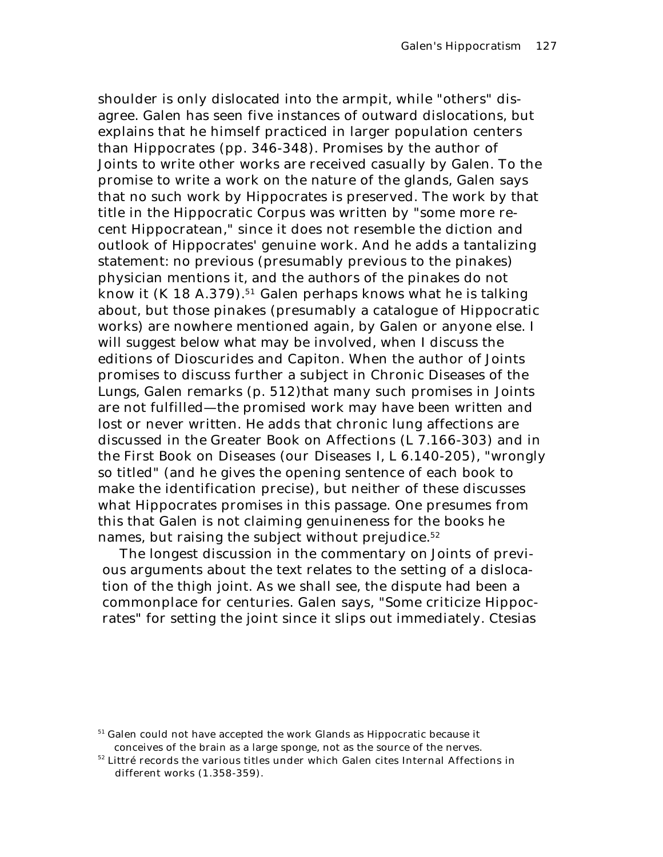shoulder is only dislocated into the armpit, while "others" disagree. Galen has seen five instances of outward dislocations, but explains that he himself practiced in larger population centers than Hippocrates (pp. 346-348). Promises by the author of *Joints* to write other works are received casually by Galen. To the promise to write a work on the nature of the glands, Galen says that no such work by Hippocrates is preserved. The work by that title in the Hippocratic Corpus was written by "some more recent Hippocratean," since it does not resemble the diction and outlook of Hippocrates' genuine work. And he adds a tantalizing statement: no previous (presumably previous to the *pinakes*) physician mentions it, and the authors of the *pinakes* do not know it (K 18 A.379).<sup>51</sup> Galen perhaps knows what he is talking about, but those pinakes (presumably a catalogue of Hippocratic works) are nowhere mentioned again, by Galen or anyone else. I will suggest below what may be involved, when I discuss the editions of Dioscurides and Capiton. When the author of *Joints* promises to discuss further a subject in *Chronic Diseases of the Lungs*, Galen remarks (p. 512)that many such promises in *Joints* are not fulfilled—the promised work may have been written and lost or never written. He adds that chronic lung affections are discussed in the *Greater Book on Affections* (L 7.166-303) and in the *First Book on Diseases* (our *Diseases* I, L 6.140-205), "wrongly so titled" (and he gives the opening sentence of each book to make the identification precise), but neither of these discusses what Hippocrates promises in this passage. One presumes from this that Galen is not claiming genuineness for the books he names, but raising the subject without prejudice.<sup>52</sup>

 The longest discussion in the commentary on *Joints* of previ ous arguments about the text relates to the setting of a disloca tion of the thigh joint. As we shall see, the dispute had been a commonplace for centuries. Galen says, "Some criticize Hippoc rates" for setting the joint since it slips out immediately. Ctesias

 $51$  Galen could not have accepted the work Glands as Hippocratic because it conceives of the brain as a large sponge, not as the source of the nerves.

<sup>52</sup> Littré records the various titles under which Galen cites *Internal Affections* in different works (1.358-359).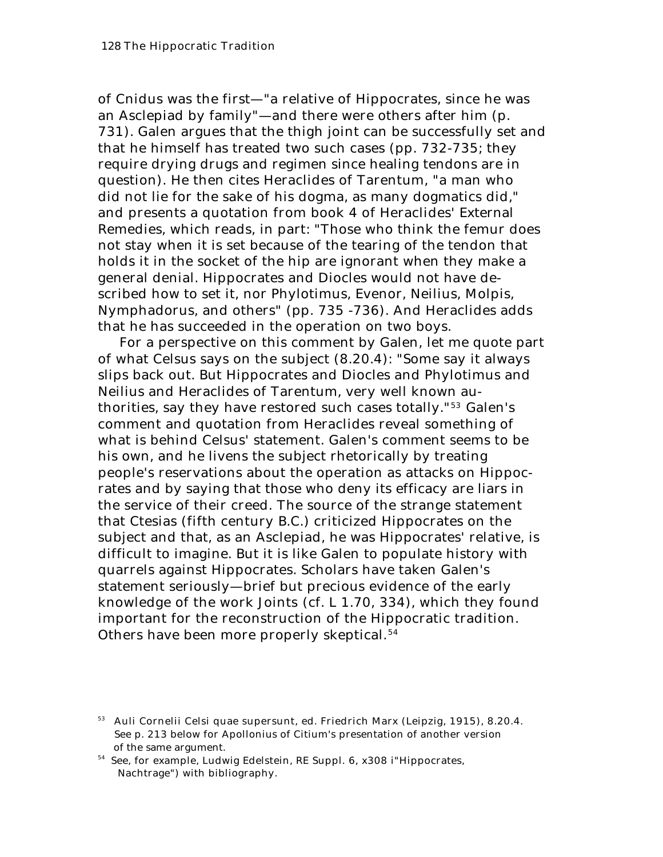of Cnidus was the first—"a relative of Hippocrates, since he was an Asclepiad by family"—and there were others after him (p. 731). Galen argues that the thigh joint can be successfully set and that he himself has treated two such cases (pp. 732-735; they require drying drugs and regimen since healing tendons are in question). He then cites Heraclides of Tarentum, "a man who did not lie for the sake of his dogma, as many dogmatics did," and presents a quotation from book 4 of Heraclides' *External Remedies*, which reads, in part: "Those who think the femur does not stay when it is set because of the tearing of the tendon that holds it in the socket of the hip are ignorant when they make a general denial. Hippocrates and Diocles would not have described how to set it, nor Phylotimus, Evenor, Neilius, Molpis, Nymphadorus, and others" (pp. 735 -736). And Heraclides adds that he has succeeded in the operation on two boys.

 For a perspective on this comment by Galen, let me quote part of what Celsus says on the subject (8.20.4): "Some say it always slips back out. But Hippocrates and Diocles and Phylotimus and Neilius and Heraclides of Tarentum, very well known authorities, say they have restored such cases totally."53 Galen's comment and quotation from Heraclides reveal something of what is behind Celsus' statement. Galen's comment seems to be his own, and he livens the subject rhetorically by treating people's reservations about the operation as attacks on Hippocrates and by saying that those who deny its efficacy are liars in the service of their creed. The source of the strange statement that Ctesias (fifth century B.C.) criticized Hippocrates on the subject and that, as an Asclepiad, he was Hippocrates' relative, is difficult to imagine. But it is like Galen to populate history with quarrels against Hippocrates. Scholars have taken Galen's statement seriously—brief but precious evidence of the early knowledge of the work *Joints* (cf. L 1.70, 334), which they found important for the reconstruction of the Hippocratic tradition. Others have been more properly skeptical.<sup>54</sup>

<sup>53</sup> *Auli Cornelii Celsi quae supersunt*, ed. Friedrich Marx (Leipzig, 1915), 8.20.4. See p. 213 below for Apollonius of Citium's presentation of another version of the same argument.

<sup>&</sup>lt;sup>54</sup> See, for example, Ludwig Edelstein, *RE* Suppl. 6, x308 i"Hippocrates, Nachtrage") with bibliography.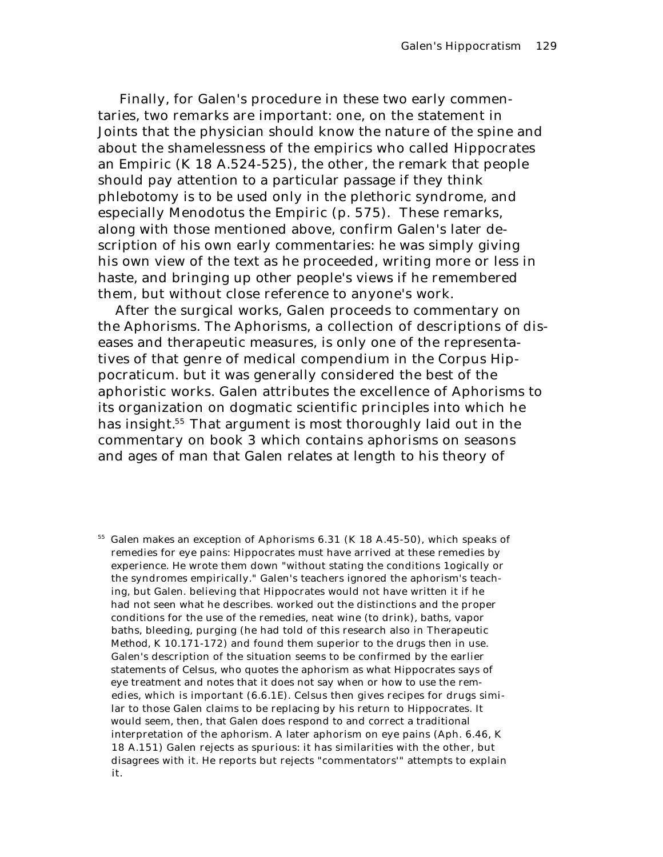Finally, for Galen's procedure in these two early commentaries, two remarks are important: one, on the statement in *Joints* that the physician should know the nature of the spine and about the shamelessness of the empirics who called Hippocrates an Empiric (K 18 A.524-525), the other, the remark that people should pay attention to a particular passage if they think phlebotomy is to be used only in the plethoric syndrome, and especially Menodotus the Empiric (p. 575). These remarks, along with those mentioned above, confirm Galen's later description of his own early commentaries: he was simply giving his own view of the text as he proceeded, writing more or less in haste, and bringing up other people's views if he remembered them, but without close reference to anyone's work.

 After the surgical works, Galen proceeds to commentary on the *Aphorisms*. The *Aphorisms*, a collection of descriptions of diseases and therapeutic measures, is only one of the representatives of that genre of medical compendium in the Corpus Hippocraticum. but it was generally considered the best of the aphoristic works. Galen attributes the excellence of *Aphorisms* to its organization on dogmatic scientific principles into which he has insight.<sup>55</sup> That argument is most thoroughly laid out in the commentary on book 3 which contains aphorisms on seasons and ages of man that Galen relates at length to his theory of

<sup>55</sup> Galen makes an exception of *Aphorisms* 6.31 (K 18 A.45-50), which speaks of remedies for eye pains: Hippocrates must have arrived at these remedies by experience. He wrote them down "without stating the conditions 1ogically or the syndromes empirically." Galen's teachers ignored the aphorism's teach ing, but Galen. believing that Hippocrates would not have written it if he had not seen what he describes. worked out the distinctions and the proper conditions for the use of the remedies, neat wine (to drink), baths, vapor baths, bleeding, purging (he had told of this research also in *Therapeutic Method*, K 10.171-172) and found them superior to the drugs then in use. Galen's description of the situation seems to be confirmed by the earlier statements of Celsus, who quotes the aphorism as what Hippocrates says of eye treatment and notes that it does not say when or how to use the rem edies, which is important (6.6.1E). Celsus then gives recipes for drugs simi lar to those Galen claims to be replacing by his return to Hippocrates. It would seem, then, that Galen does respond to and correct a traditional interpretation of the aphorism. A later aphorism on eye pains (Aph. 6.46, K 18 A.151) Galen rejects as spurious: it has similarities with the other, but disagrees with it. He reports but rejects "commentators'" attempts to explain it.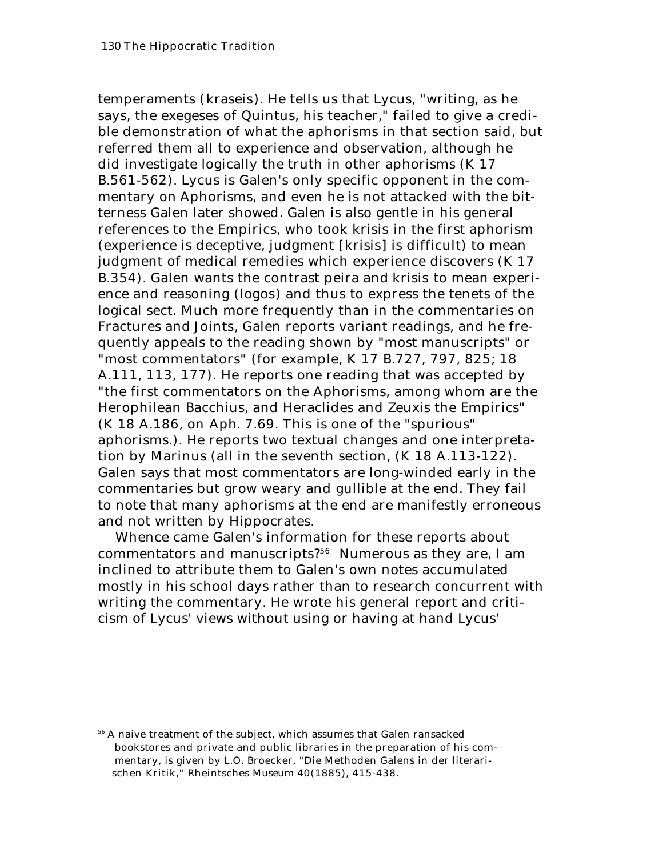temperaments (*kraseis*). He tells us that Lycus, "writing, as he says, the exegeses of Quintus, his teacher," failed to give a credible demonstration of what the aphorisms in that section said, but referred them all to experience and observation, although he did investigate logically the truth in other aphorisms (K 17 B.561-562). Lycus is Galen's only specific opponent in the commentary on *Aphorisms*, and even he is not attacked with the bitterness Galen later showed. Galen is also gentle in his general references to the Empirics, who took *krisis* in the first aphorism (experience is deceptive, judgment [*krisis*] is difficult) to mean judgment of medical remedies which experience discovers (K 17 B.354). Galen wants the contrast *peira* and *krisis* to mean experience and reasoning (*logos*) and thus to express the tenets of the logical sect. Much more frequently than in the commentaries on *Fractures* and *Joints*, Galen reports variant readings, and he frequently appeals to the reading shown by "most manuscripts" or "most commentators" (for example, K 17 B.727, 797, 825; 18 A.111, 113, 177). He reports one reading that was accepted by "the first commentators on the *Aphorisms*, among whom are the Herophilean Bacchius, and Heraclides and Zeuxis the Empirics" (K 18 A.186, on *Aph*. 7.69. This is one of the "spurious" aphorisms.). He reports two textual changes and one interpretation by Marinus (all in the seventh section, (K 18 A.113-122). Galen says that most commentators are long-winded early in the commentaries but grow weary and gullible at the end. They fail to note that many aphorisms at the end are manifestly erroneous and not written by Hippocrates.

 Whence came Galen's information for these reports about commentators and manuscripts?<sup>56</sup> Numerous as they are, I am inclined to attribute them to Galen's own notes accumulated mostly in his school days rather than to research concurrent with writing the commentary. He wrote his general report and criticism of Lycus' views without using or having at hand Lycus'

<sup>&</sup>lt;sup>56</sup> A naive treatment of the subject, which assumes that Galen ransacked bookstores and private and public libraries in the preparation of his com mentary, is given by L.O. Broecker, "Die Methoden Galens in der literari schen Kritik," *Rheintsches Museum* 40(1885), 415-438.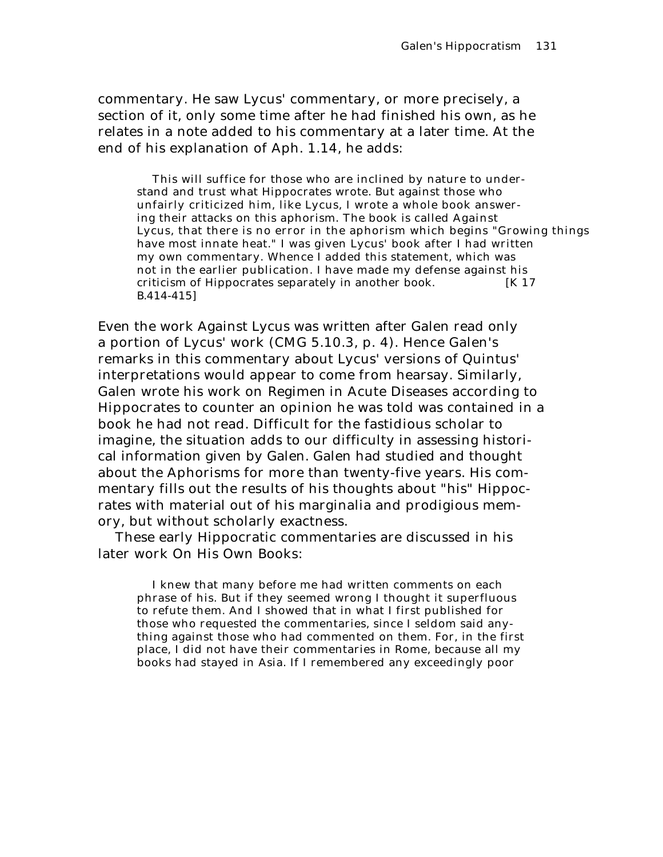commentary. He saw Lycus' commentary, or more precisely, a section of it, only some time after he had finished his own, as he relates in a note added to his commentary at a later time. At the end of his explanation of Aph. 1.14, he adds:

 This will suffice for those who are inclined by nature to understand and trust what Hippocrates wrote. But against those who unfairly criticized him, like Lycus, I wrote a whole book answering their attacks on this aphorism. The book is called *Against Lycus, that there is no error in the aphorism which begins "Growing things have most innate heat.*" I was given Lycus' book after I had written my own commentary. Whence I added this statement, which was not in the earlier publication. I have made my defense against his criticism of Hippocrates separately in another book. [K 17 B.414-415]

Even the work Against Lycus was written after Galen read only a portion of Lycus' work (CMG 5.10.3, p. 4). Hence Galen's remarks in this commentary about Lycus' versions of Quintus' interpretations would appear to come from hearsay. Similarly, Galen wrote his work on *Regimen in Acute Diseases according to Hippocrates* to counter an opinion he was told was contained in a book he had not read. Difficult for the fastidious scholar to imagine, the situation adds to our difficulty in assessing historical information given by Galen. Galen had studied and thought about the *Aphorisms* for more than twenty-five years. His commentary fills out the results of his thoughts about "his" Hippocrates with material out of his marginalia and prodigious memory, but without scholarly exactness.

 These early Hippocratic commentaries are discussed in his later work *On His Own Books*:

 I knew that many before me had written comments on each phrase of his. But if they seemed wrong I thought it superfluous to refute them. And I showed that in what I first published for those who requested the commentaries, since I seldom said anything against those who had commented on them. For, in the first place, I did not have their commentaries in Rome, because all my books had stayed in Asia. If I remembered any exceedingly poor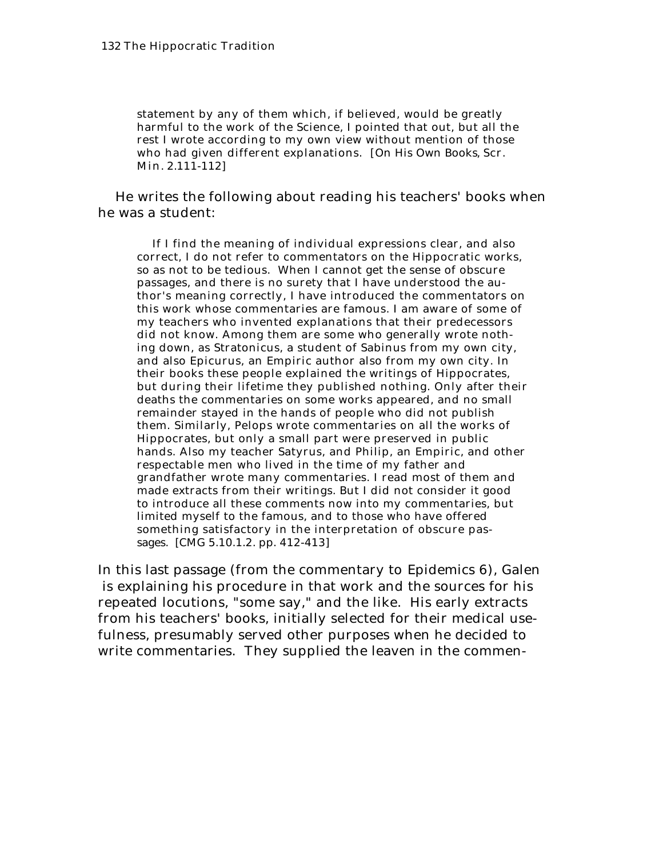statement by any of them which, if believed, would be greatly harmful to the work of the Science, I pointed that out, but all the rest I wrote according to my own view without mention of those who had given different explanations. [*On His Own Books*, *Scr. Min*. 2.111-112]

 He writes the following about reading his teachers' books when he was a student:

 If I find the meaning of individual expressions clear, and also correct, I do not refer to commentators on the Hippocratic works, so as not to be tedious. When I cannot get the sense of obscure passages, and there is no surety that I have understood the author's meaning correctly, I have introduced the commentators on this work whose commentaries are famous. I am aware of some of my teachers who invented explanations that their predecessors did not know. Among them are some who generally wrote nothing down, as Stratonicus, a student of Sabinus from my own city, and also Epicurus, an Empiric author also from my own city. In their books these people explained the writings of Hippocrates, but during their lifetime they published nothing. Only after their deaths the commentaries on some works appeared, and no small remainder stayed in the hands of people who did not publish them. Similarly, Pelops wrote commentaries on all the works of Hippocrates, but only a small part were preserved in public hands. Also my teacher Satyrus, and Philip, an Empiric, and other respectable men who lived in the time of my father and grandfather wrote many commentaries. I read most of them and made extracts from their writings. But I did not consider it good to introduce all these comments now into my commentaries, but limited myself to the famous, and to those who have offered something satisfactory in the interpretation of obscure passages. [CMG 5.10.1.2. pp. 412-413]

In this last passage (from the commentary to *Epidemics* 6), Galen is explaining his procedure in that work and the sources for his repeated locutions, "some say," and the like. His early extracts from his teachers' books, initially selected for their medical usefulness, presumably served other purposes when he decided to write commentaries. They supplied the leaven in the commen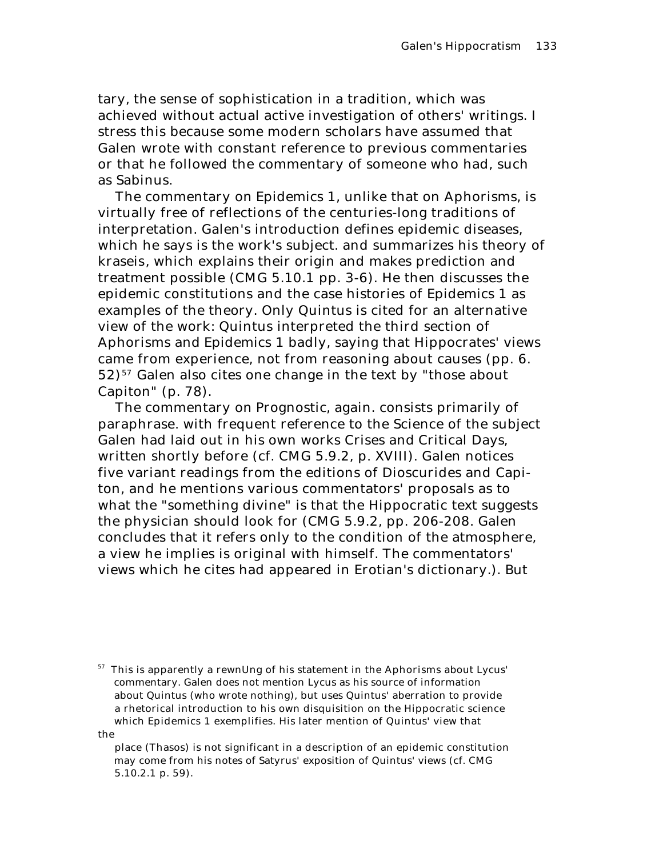tary, the sense of sophistication in a tradition, which was achieved without actual active investigation of others' writings. I stress this because some modern scholars have assumed that Galen wrote with constant reference to previous commentaries or that he followed the commentary of someone who had, such as Sabinus.

 The commentary on *Epidemics* 1, unlike that on *Aphorisms*, is virtually free of reflections of the centuries-long traditions of interpretation. Galen's introduction defines epidemic diseases, which he says is the work's subject. and summarizes his theory of *kraseis*, which explains their origin and makes prediction and treatment possible (CMG 5.10.1 pp. 3-6). He then discusses the epidemic constitutions and the case histories of *Epidemics* 1 as examples of the theory. Only Quintus is cited for an alternative view of the work: Quintus interpreted the third section of *Aphorisms* and *Epidemics* 1 badly, saying that Hippocrates' views came from experience, not from reasoning about causes (pp. 6.  $52$ <sup>57</sup> Galen also cites one change in the text by "those about Capiton" (p. 78).

 The commentary on *Prognostic*, again. consists primarily of paraphrase. with frequent reference to the Science of the subject Galen had laid out in his own works *Crises* and *Critical Days*, written shortly before (cf. CMG 5.9.2, p. XVIII). Galen notices five variant readings from the editions of Dioscurides and Capiton, and he mentions various commentators' proposals as to what the "something divine" is that the Hippocratic text suggests the physician should look for (CMG 5.9.2, pp. 206-208. Galen concludes that it refers only to the condition of the atmosphere, a view he implies is original with himself. The commentators' views which he cites had appeared in Erotian's dictionary.). But

<sup>57</sup> This is apparently a rewnUng of his statement in the *Aphorisms* about Lycus' commentary. Galen does not mention Lycus as his source of information about Quintus (who wrote nothing), but uses Quintus' aberration to provide a rhetorical introduction to his own disquisition on the Hippocratic science which *Epidemics* 1 exemplifies. His later mention of Quintus' view that the

 place (Thasos) is not significant in a description of an epidemic constitution may come from his notes of Satyrus' exposition of Quintus' views (cf. CMG 5.10.2.1 p. 59).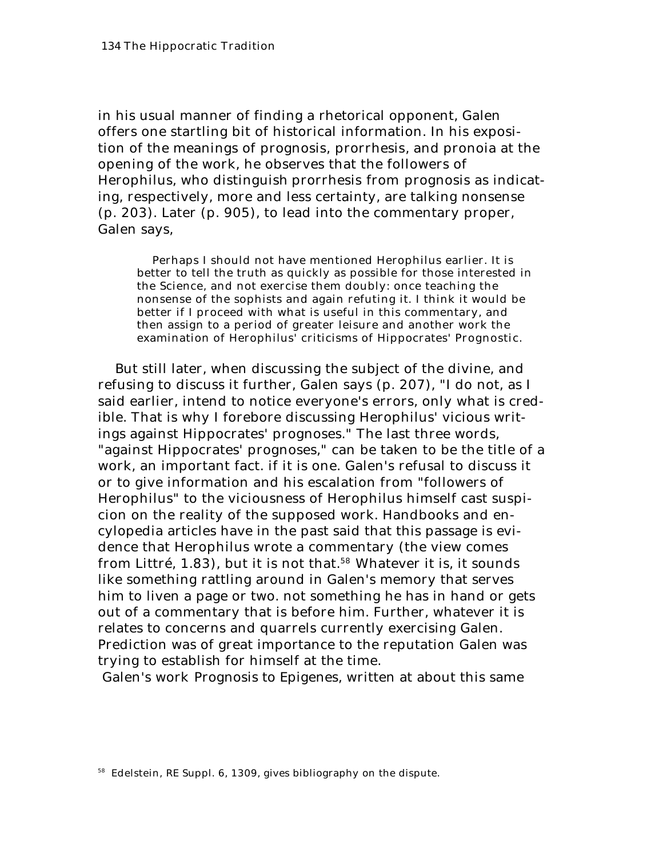in his usual manner of finding a rhetorical opponent, Galen offers one startling bit of historical information. In his exposition of the meanings of *prognosis*, *prorrhesis*, and *pronoia* at the opening of the work, he observes that the followers of Herophilus, who distinguish *prorrhesis* from *prognosis* as indicating, respectively, more and less certainty, are talking nonsense (p. 203). Later (p. 905), to lead into the commentary proper, Galen says,

 Perhaps I should not have mentioned Herophilus earlier. It is better to tell the truth as quickly as possible for those interested in the Science, and not exercise them doubly: once teaching the nonsense of the sophists and again refuting it. I think it would be better if I proceed with what is useful in this commentary, and then assign to a period of greater leisure and another work the examination of Herophilus' criticisms of Hippocrates' *Prognostic*.

 But still later, when discussing the subject of the divine, and refusing to discuss it further, Galen says (p. 207), "I do not, as I said earlier, intend to notice everyone's errors, only what is credible. That is why I forebore discussing Herophilus' vicious writings against Hippocrates' prognoses." The last three words, "against Hippocrates' prognoses," can be taken to be the title of a work, an important fact. if it is one. Galen's refusal to discuss it or to give information and his escalation from "followers of Herophilus" to the viciousness of Herophilus himself cast suspicion on the reality of the supposed work. Handbooks and encylopedia articles have in the past said that this passage is evidence that Herophilus wrote a commentary (the view comes from Littré,  $1.83$ ), but it is not that.<sup>58</sup> Whatever it is, it sounds like something rattling around in Galen's memory that serves him to liven a page or two. not something he has in hand or gets out of a commentary that is before him. Further, whatever it is relates to concerns and quarrels currently exercising Galen. Prediction was of great importance to the reputation Galen was trying to establish for himself at the time.

Galen's work *Prognosis to Epigenes*, written at about this same

<sup>58</sup> Edelstein, *RE* Suppl. 6, 1309, gives bibliography on the dispute.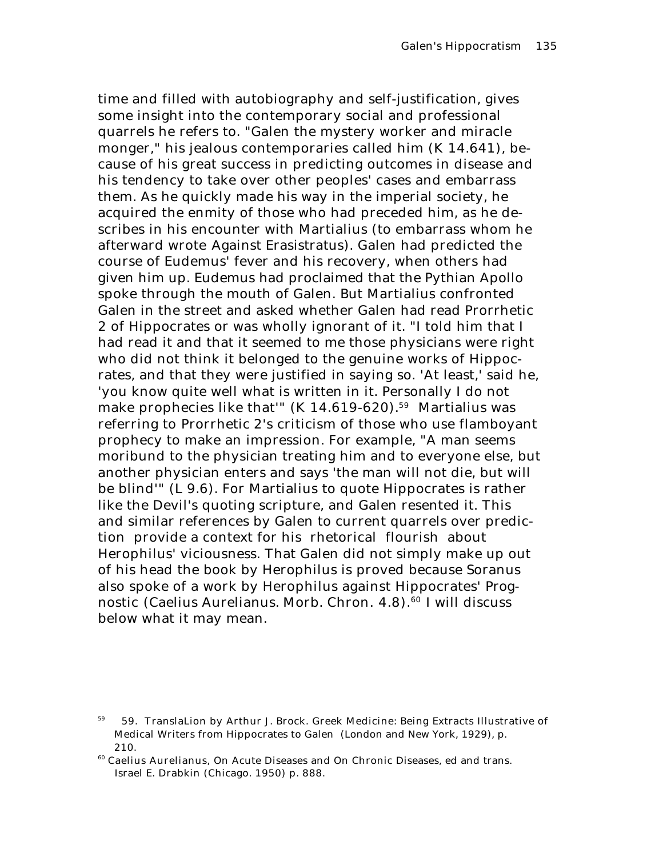time and filled with autobiography and self-justification, gives some insight into the contemporary social and professional quarrels he refers to. "Galen the mystery worker and miracle monger," his jealous contemporaries called him (K 14.641), because of his great success in predicting outcomes in disease and his tendency to take over other peoples' cases and embarrass them. As he quickly made his way in the imperial society, he acquired the enmity of those who had preceded him, as he describes in his encounter with Martialius (to embarrass whom he afterward wrote *Against Erasistratus*). Galen had predicted the course of Eudemus' fever and his recovery, when others had given him up. Eudemus had proclaimed that the Pythian Apollo spoke through the mouth of Galen. But Martialius confronted Galen in the street and asked whether Galen had read *Prorrhetic* 2 of Hippocrates or was wholly ignorant of it. "I told him that I had read it and that it seemed to me those physicians were right who did not think it belonged to the genuine works of Hippocrates, and that they were justified in saying so. 'At least,' said he, 'you know quite well what is written in it. Personally I do not make prophecies like that'" (K 14.619-620).59 Martialius was referring to *Prorrhetic* 2's criticism of those who use flamboyant prophecy to make an impression. For example, "A man seems moribund to the physician treating him and to everyone else, but another physician enters and says 'the man will not die, but will be blind'" (L 9.6). For Martialius to quote Hippocrates is rather like the Devil's quoting scripture, and Galen resented it. This and similar references by Galen to current quarrels over prediction provide a context for his rhetorical flourish about Herophilus' viciousness. That Galen did not simply make up out of his head the book by Herophilus is proved because Soranus also spoke of a work by Herophilus against Hippocrates' *Prognostic* (Caelius Aurelianus. *Morb. Chron*. 4.8).60 I will discuss below what it may mean.

<sup>59</sup> 59. TranslaLion by Arthur J. Brock. *Greek Medicine: Being Extracts Illustrative of Medical Writers from Hippocrates to Galen* (London and New York, 1929), p. 210.

<sup>60</sup> Caelius Aurelianus, *On Acute Diseases and On Chronic Diseases*, ed and trans. Israel E. Drabkin (Chicago. 1950) p. 888.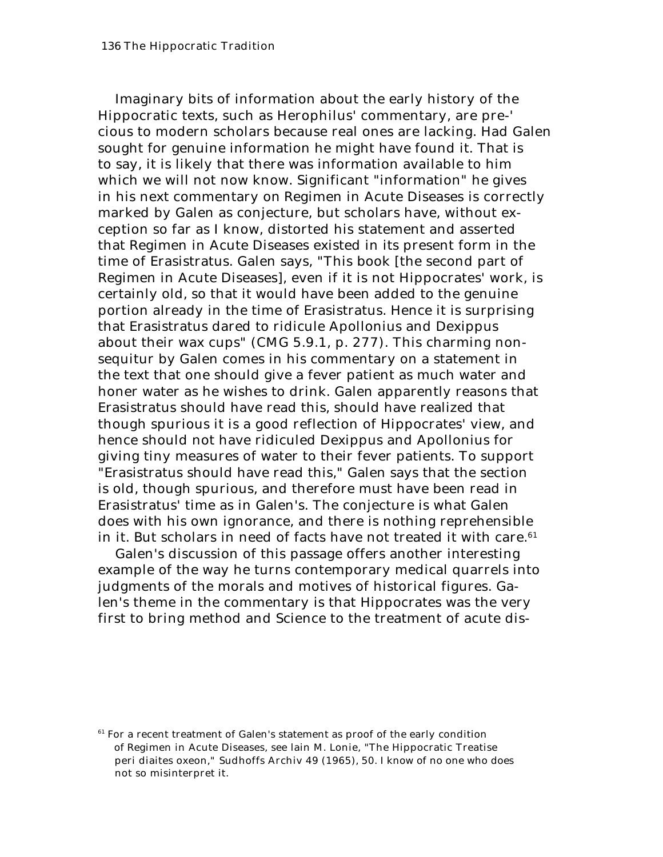Imaginary bits of information about the early history of the Hippocratic texts, such as Herophilus' commentary, are pre-' cious to modern scholars because real ones are lacking. Had Galen sought for genuine information he might have found it. That is to say, it is likely that there was information available to him which we will not now know. Significant "information" he gives in his next commentary on *Regimen in Acute Diseases* is correctly marked by Galen as conjecture, but scholars have, without exception so far as I know, distorted his statement and asserted that *Regimen in Acute Diseases* existed in its present form in the time of Erasistratus. Galen says, "This book [the second part of *Regimen in Acute Diseases*], even if it is not Hippocrates' work, is certainly old, so that it would have been added to the genuine portion already in the time of Erasistratus. Hence it is surprising that Erasistratus dared to ridicule Apollonius and Dexippus about their wax cups" (CMG 5.9.1, p. 277). This charming nonsequitur by Galen comes in his commentary on a statement in the text that one should give a fever patient as much water and honer water as he wishes to drink. Galen apparently reasons that Erasistratus should have read this, should have realized that though spurious it is a good reflection of Hippocrates' view, and hence should not have ridiculed Dexippus and Apollonius for giving tiny measures of water to their fever patients. To support "Erasistratus should have read this," Galen says that the section is old, though spurious, and therefore must have been read in Erasistratus' time as in Galen's. The conjecture is what Galen does with his own ignorance, and there is nothing reprehensible in it. But scholars in need of facts have not treated it with care.<sup>61</sup>

 Galen's discussion of this passage offers another interesting example of the way he turns contemporary medical quarrels into judgments of the morals and motives of historical figures. Galen's theme in the commentary is that Hippocrates was the very first to bring method and Science to the treatment of acute dis-

 $61$  For a recent treatment of Galen's statement as proof of the early condition of *Regimen in Acute Diseases*, see lain M. Lonie, "The Hippocratic Treatise  *peri diaites oxeon*," *Sudhoffs Archiv* 49 (1965), 50. I know of no one who does not so misinterpret it.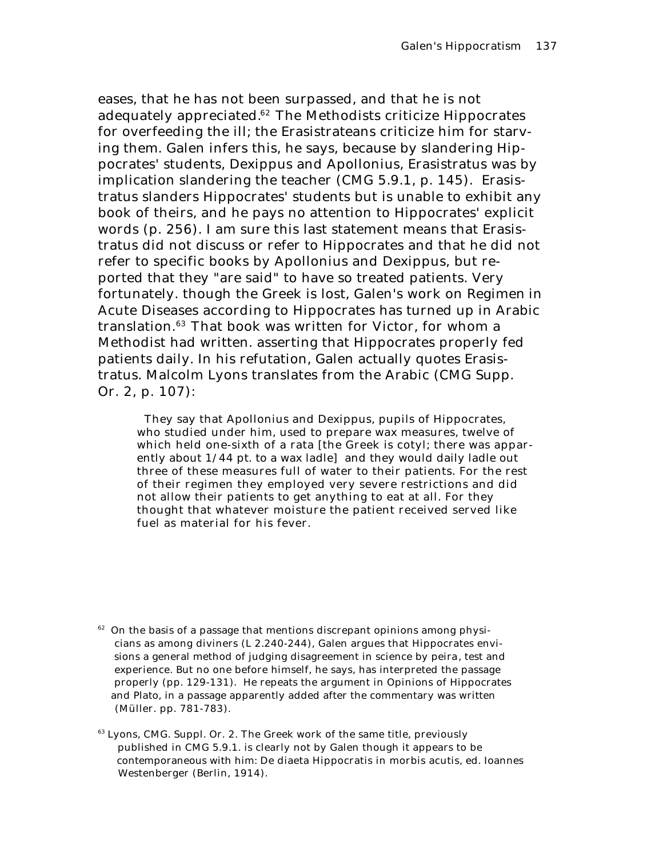eases, that he has not been surpassed, and that he is not adequately appreciated.62 The Methodists criticize Hippocrates for overfeeding the ill; the Erasistrateans criticize him for starving them. Galen infers this, he says, because by slandering Hippocrates' students, Dexippus and Apollonius, Erasistratus was by implication slandering the teacher (CMG 5.9.1, p. 145). Erasistratus slanders Hippocrates' students but is unable to exhibit any book of theirs, and he pays no attention to Hippocrates' explicit words (p. 256). I am sure this last statement means that Erasistratus did not discuss or refer to Hippocrates and that he did not refer to specific books by Apollonius and Dexippus, but reported that they "are said" to have so treated patients. Very fortunately. though the Greek is lost, Galen's work on *Regimen in Acute Diseases according to Hippocrates* has turned up in Arabic translation.63 That book was written for Victor, for whom a Methodist had written. asserting that Hippocrates properly fed patients daily. In his refutation, Galen actually quotes Erasistratus. Malcolm Lyons translates from the Arabic (CMG Supp. Or. 2, p. 107):

 They say that Apollonius and Dexippus, pupils of Hippocrates, who studied under him, used to prepare wax measures, twelve of which held one-sixth of a rata [the Greek is cotyl; there was apparently about 1/44 pt. to a wax ladle] and they would daily ladle out three of these measures full of water to their patients. For the rest of their regimen they employed very severe restrictions and did not allow their patients to get anything to eat at all. For they thought that whatever moisture the patient received served like fuel as material for his fever.

- $62$  On the basis of a passage that mentions discrepant opinions among physi cians as among diviners (L 2.240-244), Galen argues that Hippocrates envi sions a general method of judging disagreement in science by *peira*, test and experience. But no one before himself, he says, has interpreted the passage properly (pp. 129-131). He repeats the argument in *Opinions of Hippocrates and Plato*, in a passage apparently added after the commentary was written (Müller. pp. 781-783).
- $63$  Lyons, CMG. Suppl. Or. 2. The Greek work of the same title, previously published in CMG 5.9.1. is clearly not by Galen though it appears to be contemporaneous with him: *De diaeta Hippocratis in morbis acutis*, ed. Ioannes Westenberger (Berlin, 1914).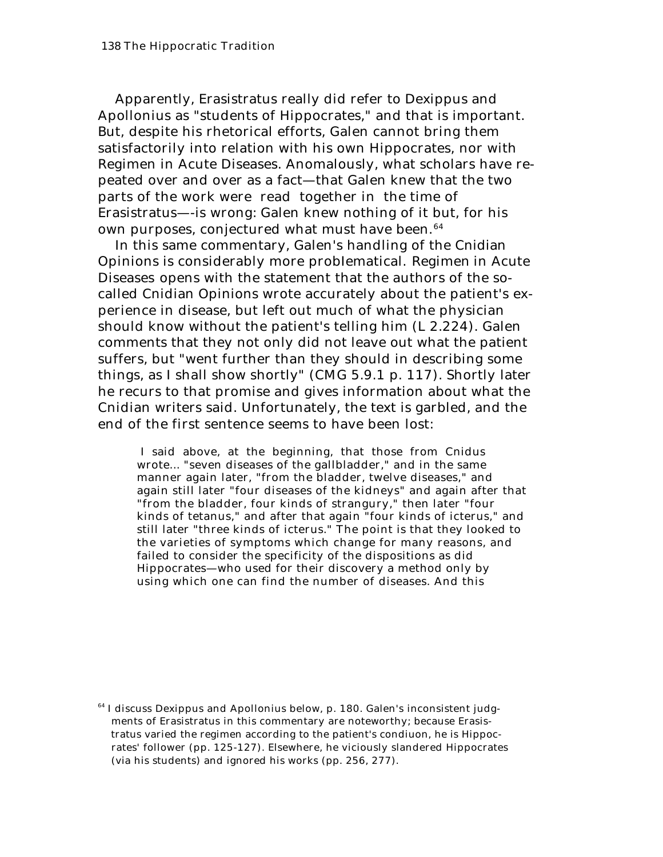Apparently, Erasistratus really did refer to Dexippus and Apollonius as "students of Hippocrates," and that is important. But, despite his rhetorical efforts, Galen cannot bring them satisfactorily into relation with his own Hippocrates, nor with *Regimen in Acute Diseases*. Anomalously, what scholars have repeated over and over as a fact—that Galen knew that the two parts of the work were read together in the time of Erasistratus—-is wrong: Galen knew nothing of it but, for his own purposes, conjectured what must have been.<sup>64</sup>

 In this same commentary, Galen's handling of the *Cnidian Opinions* is considerably more probIematical. *Regimen in Acute Diseases* opens with the statement that the authors of the socalled *Cnidian Opinions* wrote accurately about the patient's experience in disease, but left out much of what the physician should know without the patient's telling him (L 2.224). Galen comments that they not only did not leave out what the patient suffers, but "went further than they should in describing some things, as I shall show shortly" (CMG 5.9.1 p. 117). Shortly later he recurs to that promise and gives information about what the Cnidian writers said. Unfortunately, the text is garbled, and the end of the first sentence seems to have been lost:

 I said above, at the beginning, that those from Cnidus wrote... "seven diseases of the gallbladder," and in the same manner again later, "from the bladder, twelve diseases," and again still later "four diseases of the kidneys" and again after that "from the bladder, four kinds of strangury," then later "four kinds of tetanus," and after that again "four kinds of icterus," and still later "three kinds of icterus." The point is that they looked to the varieties of symptoms which change for many reasons, and failed to consider the specificity of the dispositions as did Hippocrates—who used for their discovery a method only by using which one can find the number of diseases. And this

 $64$  I discuss Dexippus and Apollonius below, p. 180. Galen's inconsistent judg ments of Erasistratus in this commentary are noteworthy; because Erasis tratus varied the regimen according to the patient's condiuon, he is Hippoc rates' follower (pp. 125-127). Elsewhere, he viciously slandered Hippocrates (via his students) and ignored his works (pp. 256, 277).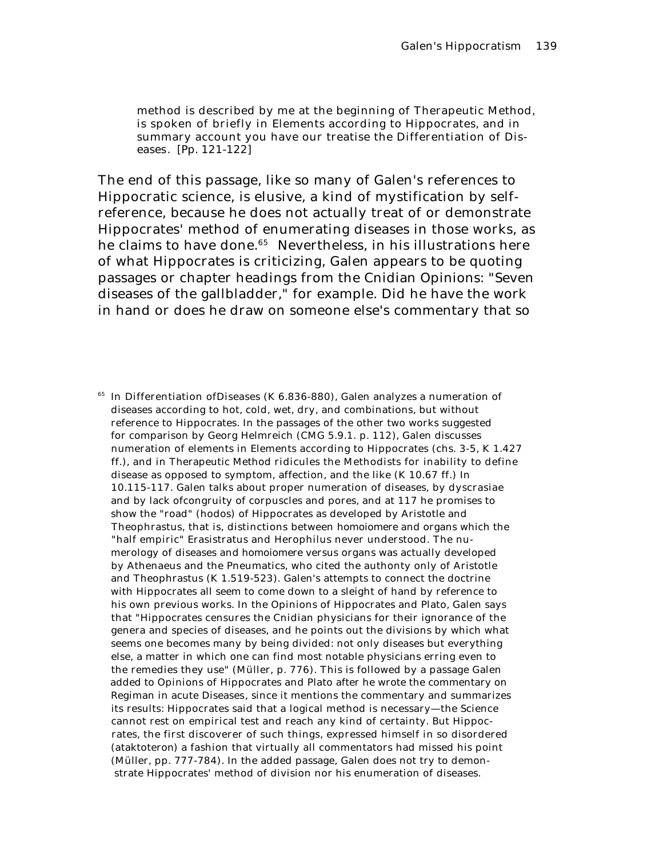method is described by me at the beginning of *Therapeutic Method*, is spoken of briefly in *Elements according to Hippocrates*, and in summary account you have our treatise the *Differentiation of Diseases*. [Pp. 121-122]

The end of this passage, like so many of Galen's references to Hippocratic science, is elusive, a kind of mystification by selfreference, because he does not actually treat of or demonstrate Hippocrates' method of enumerating diseases in those works, as he claims to have done.<sup>65</sup> Nevertheless, in his illustrations here of what Hippocrates is criticizing, Galen appears to be quoting passages or chapter headings from the *Cnidian Opinions*: "Seven diseases of the gallbladder," for example. Did he have the work in hand or does he draw on someone else's commentary that so

<sup>65</sup> In *Differentiation ofDiseases* (K 6.836-880), Galen analyzes a numeration of diseases according to hot, cold, wet, dry, and combinations, but without reference to Hippocrates. In the passages of the other two works suggested for comparison by Georg Helmreich (CMG 5.9.1. p. 112), Galen discusses numeration of elements in Elements according to Hippocrates (chs. 3-5, K 1.427 ff.), and in *Therapeutic Method* ridicules the Methodists for inability to define disease as opposed to symptom, affection, and the like (K 10.67 ff.) In 10.115-117. Galen talks about proper numeration of diseases, by *dyscrasiae* and by lack ofcongruity of corpuscles and pores, and at 117 he promises to show the "road" (hodos) of Hippocrates as developed by Aristotle and Theophrastus, that is, distinctions between *homoiomere* and organs which the "half empiric" Erasistratus and Herophilus never understood. The nu merology of diseases and *homoiomere* versus organs was actually developed by Athenaeus and the Pneumatics, who cited the authonty only of Aristotle and Theophrastus (K 1.519-523). Galen's attempts to connect the doctrine with Hippocrates all seem to come down to a sleight of hand by reference to his own previous works. In the *Opinions of Hippocrates and Plato*, Galen says that "Hippocrates censures the Cnidian physicians for their ignorance of the genera and species of diseases, and he points out the divisions by which what seems one becomes many by being divided: not only diseases but everything else, a matter in which one can find most notable physicians erring even to the remedies they use" (Müller, p. 776). This is followed by a passage Galen added to *Opinions of Hippocrates and Plato* after he wrote the commentary on *Regiman in acute Diseases*, since it mentions the commentary and summarizes its results: Hippocrates said that a logical method is necessary—the Science cannot rest on empirical test and reach any kind of certainty. But Hippoc rates, the first discoverer of such things, expressed himself in so disordered (*ataktoteron*) a fashion that virtually all commentators had missed his point (Müller, pp. 777-784). In the added passage, Galen does not try to demon strate Hippocrates' method of division nor his enumeration of diseases.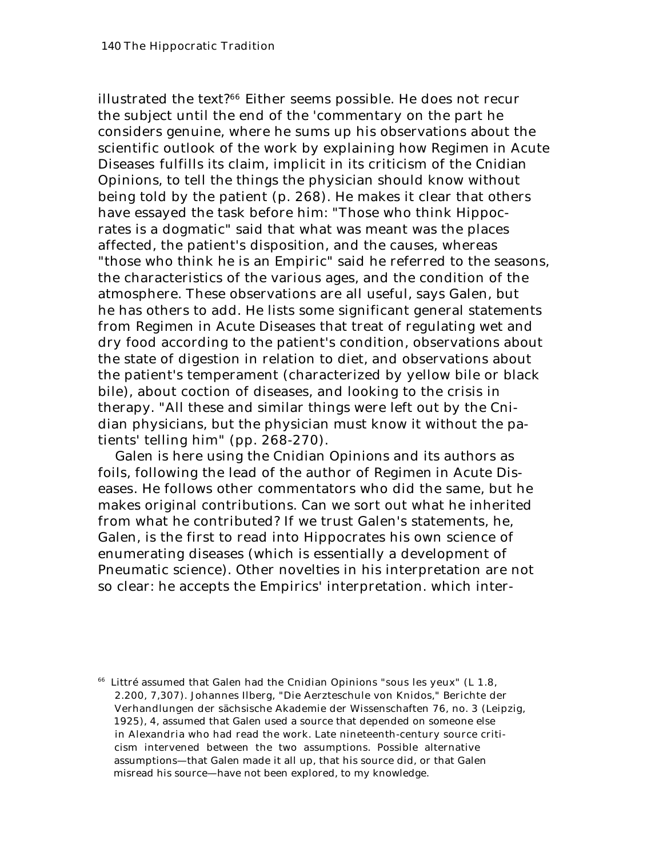illustrated the text?66 Either seems possible. He does not recur the subject until the end of the 'commentary on the part he considers genuine, where he sums up his observations about the scientific outlook of the work by explaining how *Regimen in Acute Diseases* fulfills its claim, implicit in its criticism of the *Cnidian Opinions*, to tell the things the physician should know without being told by the patient (p. 268). He makes it clear that others have essayed the task before him: "Those who think Hippocrates is a dogmatic" said that what was meant was the places affected, the patient's disposition, and the causes, whereas "those who think he is an Empiric" said he referred to the seasons, the characteristics of the various ages, and the condition of the atmosphere. These observations are all useful, says Galen, but he has others to add. He lists some significant general statements from *Regimen in Acute Diseases* that treat of regulating wet and dry food according to the patient's condition, observations about the state of digestion in relation to diet, and observations about the patient's temperament (characterized by yellow bile or black bile), about coction of diseases, and looking to the crisis in therapy. "All these and similar things were left out by the Cnidian physicians, but the physician must know it without the patients' telling him" (pp. 268-270).

 Galen is here using the *Cnidian Opinions* and its authors as foils, following the lead of the author of *Regimen in Acute Diseases*. He follows other commentators who did the same, but he makes original contributions. Can we sort out what he inherited from what he contributed? If we trust Galen's statements, he, Galen, is the first to read into Hippocrates his own science of enumerating diseases (which is essentially a development of Pneumatic science). Other novelties in his interpretation are not so clear: he accepts the Empirics' interpretation. which inter-

<sup>66</sup> Littré assumed that Galen had the *Cnidian Opinions* "sous les yeux" (L 1.8, 2.200, 7,307). Johannes Ilberg, "Die Aerzteschule von Knidos," *Berichte der Verhandlungen der sächsische Akademie der Wissenschaften* 76, no. 3 (Leipzig, 1925), 4, assumed that Galen used a source that depended on someone else in Alexandria who had read the work. Late nineteenth-century source criti cism intervened between the two assumptions. Possible alternative assumptions—that Galen made it all up, that his source did, or that Galen misread his source—have not been explored, to my knowledge.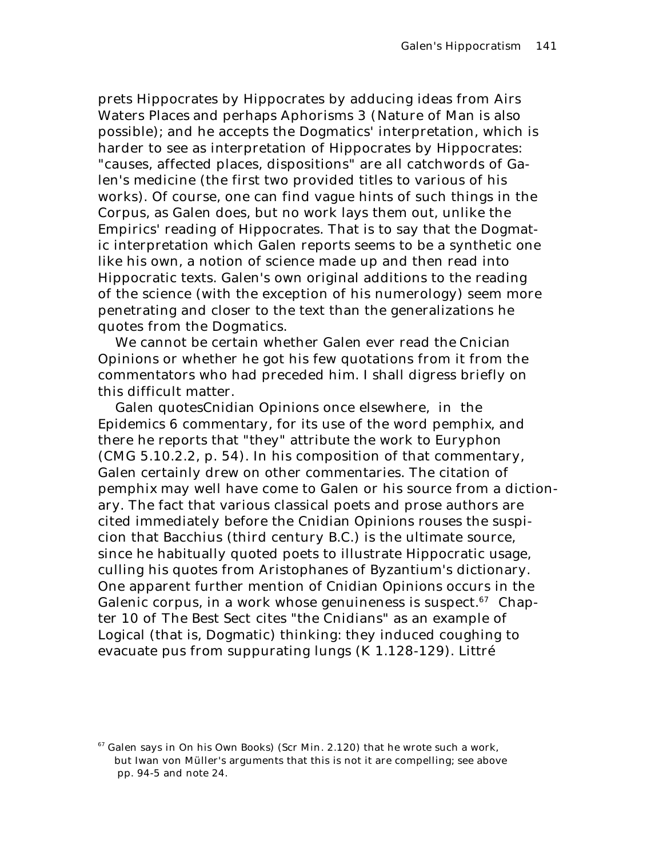prets Hippocrates by Hippocrates by adducing ideas from *Airs Waters Places* and perhaps *Aphorisms* 3 (*Nature of Man* is also possible); and he accepts the Dogmatics' interpretation, which is harder to see as interpretation of Hippocrates by Hippocrates: "causes, affected places, dispositions" are all catchwords of Galen's medicine (the first two provided titles to various of his works). Of course, one can find vague hints of such things in the Corpus, as Galen does, but no work lays them out, unlike the Empirics' reading of Hippocrates. That is to say that the Dogmatic interpretation which Galen reports seems to be a synthetic one like his own, a notion of science made up and then read into Hippocratic texts. Galen's own original additions to the reading of the science (with the exception of his numerology) seem more penetrating and closer to the text than the generalizations he quotes from the Dogmatics.

 We cannot be certain whether Galen ever read the *Cnician Opinions* or whether he got his few quotations from it from the commentators who had preceded him. I shall digress briefly on this difficult matter.

 Galen quotes*Cnidian Opinions* once elsewhere, in the *Epidemics* 6 commentary, for its use of the word *pemphix*, and there he reports that "they" attribute the work to Euryphon (CMG 5.10.2.2, p. 54). In his composition of that commentary, Galen certainly drew on other commentaries. The citation of *pemphix* may well have come to Galen or his source from a dictionary. The fact that various classical poets and prose authors are cited immediately before the *Cnidian Opinions* rouses the suspicion that Bacchius (third century B.C.) is the ultimate source, since he habitually quoted poets to illustrate Hippocratic usage, culling his quotes from Aristophanes of Byzantium's dictionary. One apparent further mention of *Cnidian Opinions* occurs in the Galenic corpus, in a work whose genuineness is suspect. $67$  Chapter 10 of *The Best Sect* cites "the Cnidians" as an example of Logical (that is, Dogmatic) thinking: they induced coughing to evacuate pus from suppurating lungs (K 1.128-129). Littré

<sup>67</sup> Galen says in *On his Own Books*) (*Scr Min*. 2.120) that he wrote such a work, but Iwan von Müller's arguments that this is not it are compelling; see above pp. 94-5 and note 24.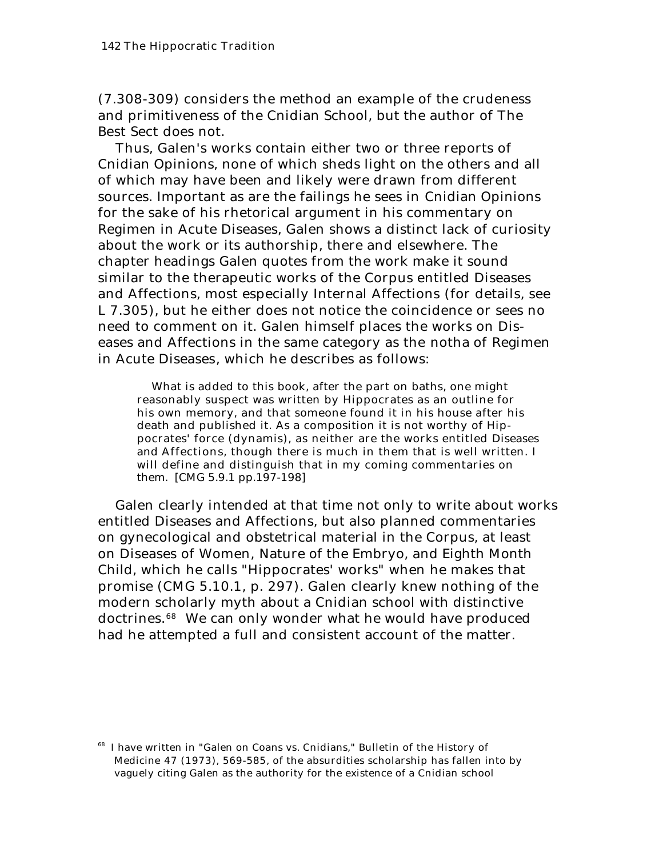(7.308-309) considers the method an example of the crudeness and primitiveness of the Cnidian School, but the author of *The Best Sect* does not.

 Thus, Galen's works contain either two or three reports of *Cnidian Opinions*, none of which sheds light on the others and all of which may have been and likely were drawn from different sources. Important as are the failings he sees in *Cnidian Opinions* for the sake of his rhetorical argument in his commentary on *Regimen in Acute Diseases*, Galen shows a distinct lack of curiosity about the work or its authorship, there and elsewhere. The chapter headings Galen quotes from the work make it sound similar to the therapeutic works of the Corpus entitled Diseases and Affections, most especially *Internal Affections* (for details, see L 7.305), but he either does not notice the coincidence or sees no need to comment on it. Galen himself places the works on Diseases and Affections in the same category as the *notha* of *Regimen in Acute Diseases*, which he describes as follows:

 What is added to this book, after the part on baths, one might reasonably suspect was written by Hippocrates as an outline for his own memory, and that someone found it in his house after his death and published it. As a composition it is not worthy of Hippocrates' force (*dynamis*), as neither are the works entitled *Diseases* and *Affections*, though there is much in them that is well written. I will define and distinguish that in my coming commentaries on them. [CMG 5.9.1 pp.197-198]

 Galen clearly intended at that time not only to write about works entitled Diseases and Affections, but also planned commentaries on gynecological and obstetrical material in the Corpus, at least on *Diseases of Women*, *Nature of the Embryo*, and *Eighth Month Child*, which he calls "Hippocrates' works" when he makes that promise (CMG 5.10.1, p. 297). Galen clearly knew nothing of the modern scholarly myth about a Cnidian school with distinctive doctrines.<sup>68</sup> We can only wonder what he would have produced had he attempted a full and consistent account of the matter.

<sup>68</sup> I have written in "Galen on Coans vs. Cnidians," *Bulletin of the History of Medicine* 47 (1973), 569-585, of the absurdities scholarship has fallen into by vaguely citing Galen as the authority for the existence of a Cnidian school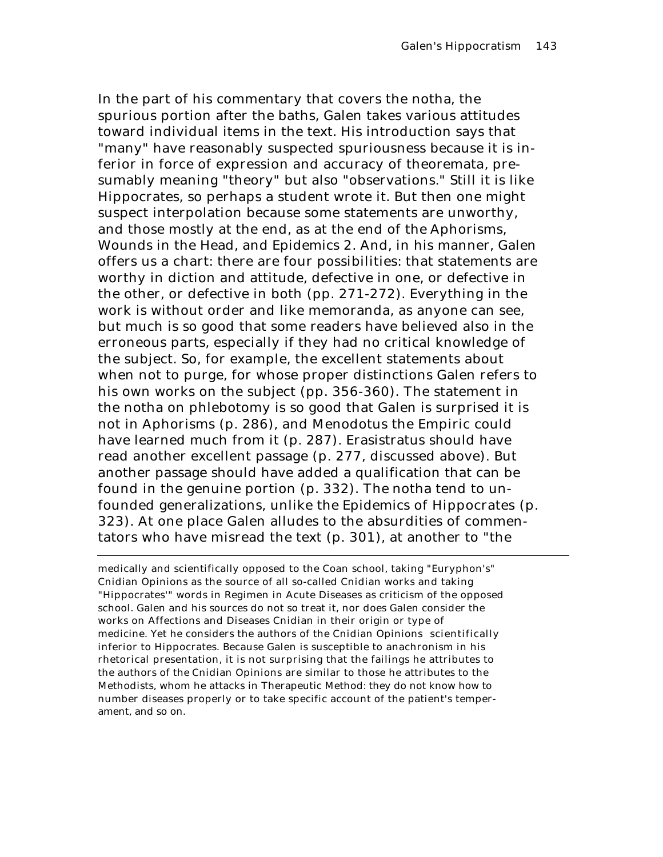In the part of his commentary that covers the *notha*, the spurious portion after the baths, Galen takes various attitudes toward individual items in the text. His introduction says that "many" have reasonably suspected spuriousness because it is inferior in force of expression and accuracy of *theoremata*, presumably meaning "theory" but also "observations." Still it is like Hippocrates, so perhaps a student wrote it. But then one might suspect interpolation because some statements are unworthy, and those mostly at the end, as at the end of the *Aphorisms*, *Wounds in the Head*, and *Epidemics* 2. And, in his manner, Galen offers us a chart: there are four possibilities: that statements are worthy in diction and attitude, defective in one, or defective in the other, or defective in both (pp. 271-272). Everything in the work is without order and like memoranda, as anyone can see, but much is so good that some readers have believed also in the erroneous parts, especially if they had no critical knowledge of the subject. So, for example, the excellent statements about when not to purge, for whose proper distinctions Galen refers to his own works on the subject (pp. 356-360). The statement in the notha on phlebotomy is so good that Galen is surprised it is not in *Aphorisms* (p. 286), and Menodotus the Empiric could have learned much from it (p. 287). Erasistratus should have read another excellent passage (p. 277, discussed above). But another passage should have added a qualification that can be found in the genuine portion (p. 332). The *notha* tend to unfounded generalizations, unlike the *Epidemics* of Hippocrates (p. 323). At one place Galen alludes to the absurdities of commentators who have misread the text (p. 301), at another to "the

medically and scientifically opposed to the Coan school, taking "Euryphon's" *Cnidian Opinions* as the source of all so-called Cnidian works and taking "Hippocrates'" words in *Regimen in Acute Diseases* as criticism of the opposed school. Galen and his sources do not so treat it, nor does Galen consider the works on Affections and Diseases Cnidian in their origin or type of medicine. Yet he considers the authors of the *Cnidian Opinions* scientifically inferior to Hippocrates. Because Galen is susceptible to anachronism in his rhetorical presentation, it is not surprising that the failings he attributes to the authors of the *Cnidian Opinions* are similar to those he attributes to the Methodists, whom he attacks in *Therapeutic Method*: they do not know how to number diseases properly or to take specific account of the patient's temperament, and so on.

 $\overline{a}$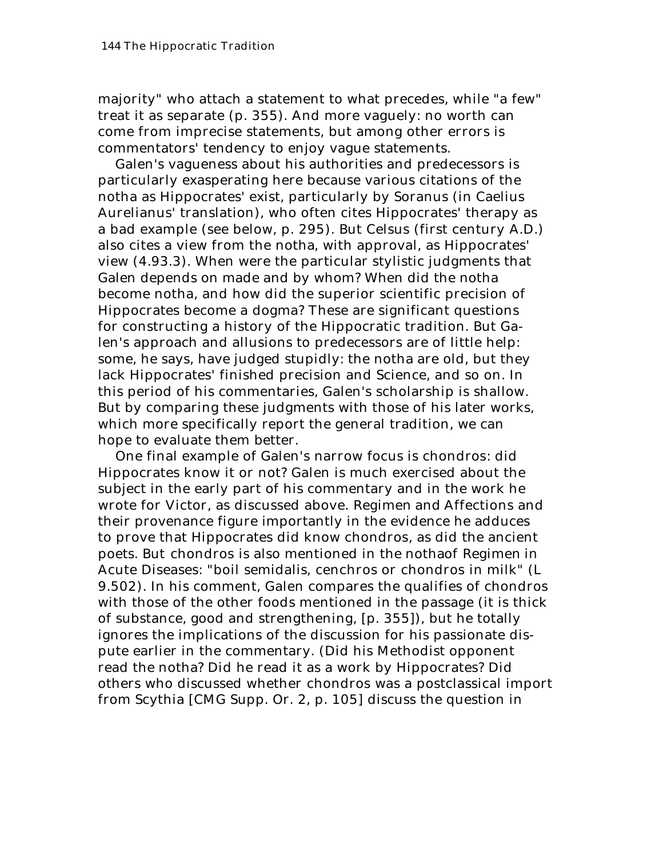majority" who attach a statement to what precedes, while "a few" treat it as separate (p. 355). And more vaguely: no worth can come from imprecise statements, but among other errors is commentators' tendency to enjoy vague statements.

 Galen's vagueness about his authorities and predecessors is particularly exasperating here because various citations of the notha as Hippocrates' exist, particularly by Soranus (in Caelius Aurelianus' translation), who often cites Hippocrates' therapy as a bad example (see below, p. 295). But Celsus (first century A.D.) also cites a view from the *notha*, with approval, as Hippocrates' view (4.93.3). When were the particular stylistic judgments that Galen depends on made and by whom? When did the notha become notha, and how did the superior scientific precision of Hippocrates become a dogma? These are significant questions for constructing a history of the Hippocratic tradition. But Galen's approach and allusions to predecessors are of little help: some, he says, have judged stupidly: the *notha* are old, but they lack Hippocrates' finished precision and Science, and so on. In this period of his commentaries, Galen's scholarship is shallow. But by comparing these judgments with those of his later works, which more specifically report the general tradition, we can hope to evaluate them better.

 One final example of Galen's narrow focus is *chondros*: did Hippocrates know it or not? Galen is much exercised about the subject in the early part of his commentary and in the work he wrote for Victor, as discussed above. *Regimen* and *Affections* and their provenance figure importantly in the evidence he adduces to prove that Hippocrates did know *chondros*, as did the ancient poets. But *chondros* is also mentioned in the *notha*of *Regimen* in Acute Diseases: "boil *semidalis*, *cenchros* or *chondros* in milk" (L 9.502). In his comment, Galen compares the qualifies of *chondros* with those of the other foods mentioned in the passage (it is thick of substance, good and strengthening, [p. 355]), but he totally ignores the implications of the discussion for his passionate dispute earlier in the commentary. (Did his Methodist opponent read the *notha*? Did he read it as a work by Hippocrates? Did others who discussed whether *chondros* was a postclassical import from Scythia [CMG Supp. Or. 2, p. 105] discuss the question in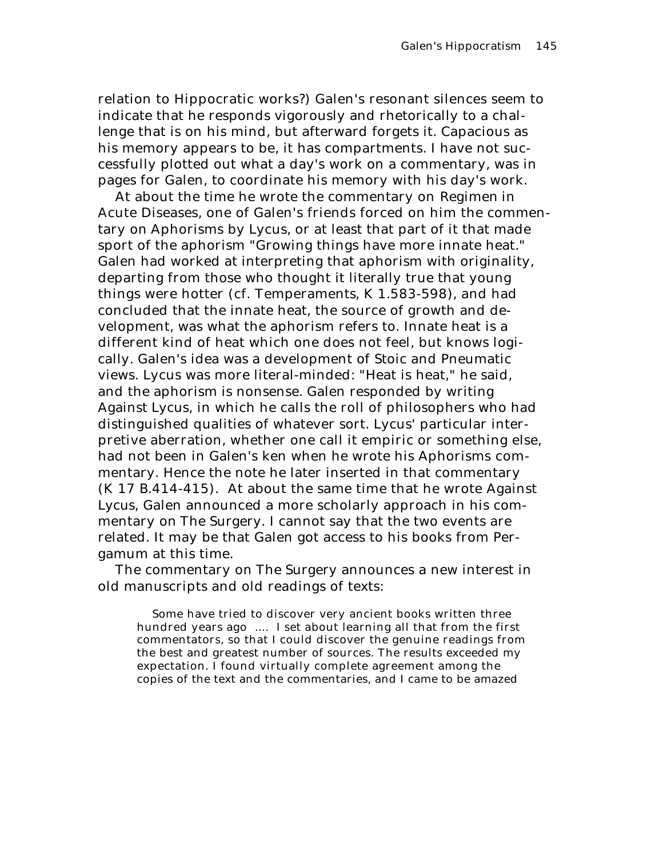relation to Hippocratic works?) Galen's resonant silences seem to indicate that he responds vigorously and rhetorically to a challenge that is on his mind, but afterward forgets it. Capacious as his memory appears to be, it has compartments. I have not successfully plotted out what a day's work on a commentary, was in pages for Galen, to coordinate his memory with his day's work.

 At about the time he wrote the commentary on *Regimen* in Acute Diseases, one of Galen's friends forced on him the commentary on *Aphorisms* by Lycus, or at least that part of it that made sport of the aphorism "Growing things have more innate heat." Galen had worked at interpreting that aphorism with originality, departing from those who thought it literally true that young things were hotter (cf. *Temperaments*, K 1.583-598), and had concluded that the innate heat, the source of growth and development, was what the aphorism refers to. Innate heat is a different kind of heat which one does not feel, but knows logically. Galen's idea was a development of Stoic and Pneumatic views. Lycus was more literal-minded: "Heat is heat," he said, and the aphorism is nonsense. Galen responded by writing *Against Lycus*, in which he calls the roll of philosophers who had distinguished qualities of whatever sort. Lycus' particular interpretive aberration, whether one call it empiric or something else, had not been in Galen's ken when he wrote his *Aphorisms* commentary. Hence the note he later inserted in that commentary (K 17 B.414-415). At about the same time that he wrote *Against Lycus*, Galen announced a more scholarly approach in his commentary on *The Surgery*. I cannot say that the two events are related. It may be that Galen got access to his books from Pergamum at this time.

 The commentary on *The Surgery* announces a new interest in old manuscripts and old readings of texts:

 Some have tried to discover very ancient books written three hundred years ago .... I set about learning all that from the first commentators, so that I could discover the genuine readings from the best and greatest number of sources. The results exceeded my expectation. I found virtually complete agreement among the copies of the text and the commentaries, and I came to be amazed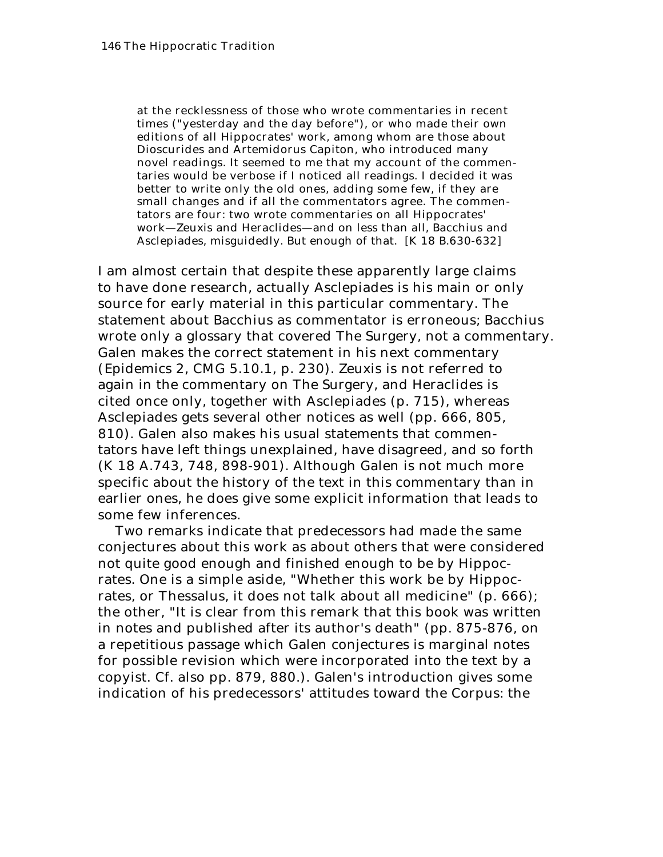at the recklessness of those who wrote commentaries in recent times ("yesterday and the day before"), or who made their own editions of all Hippocrates' work, among whom are those about Dioscurides and Artemidorus Capiton, who introduced many novel readings. It seemed to me that my account of the commentaries would be verbose if I noticed all readings. I decided it was better to write only the old ones, adding some few, if they are small changes and if all the commentators agree. The commentators are four: two wrote commentaries on all Hippocrates' work—Zeuxis and Heraclides—and on less than all, Bacchius and Asclepiades, misguidedly. But enough of that. [K 18 B.630-632]

I am almost certain that despite these apparently large claims to have done research, actually Asclepiades is his main or only source for early material in this particular commentary. The statement about Bacchius as commentator is erroneous; Bacchius wrote only a glossary that covered *The Surgery*, not a commentary. Galen makes the correct statement in his next commentary (*Epidemics* 2, CMG 5.10.1, p. 230). Zeuxis is not referred to again in the commentary on *The Surgery*, and Heraclides is cited once only, together with Asclepiades (p. 715), whereas Asclepiades gets several other notices as well (pp. 666, 805, 810). Galen also makes his usual statements that commentators have left things unexplained, have disagreed, and so forth (K 18 A.743, 748, 898-901). Although Galen is not much more specific about the history of the text in this commentary than in earlier ones, he does give some explicit information that leads to some few inferences.

 Two remarks indicate that predecessors had made the same conjectures about this work as about others that were considered not quite good enough and finished enough to be by Hippocrates. One is a simple aside, "Whether this work be by Hippocrates, or Thessalus, it does not talk about all medicine" (p. 666); the other, "It is clear from this remark that this book was written in notes and published after its author's death" (pp. 875-876, on a repetitious passage which Galen conjectures is marginal notes for possible revision which were incorporated into the text by a copyist. Cf. also pp. 879, 880.). Galen's introduction gives some indication of his predecessors' attitudes toward the Corpus: the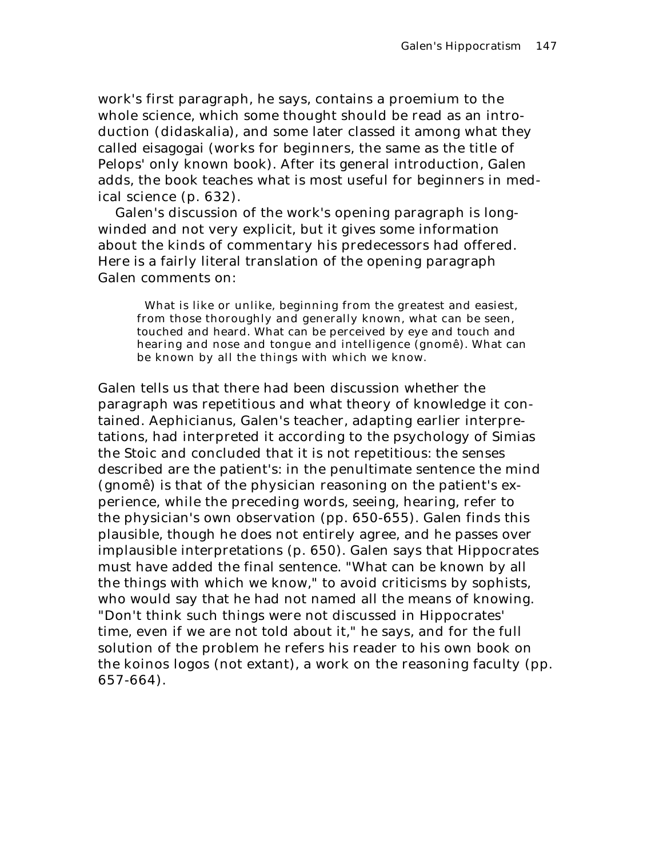work's first paragraph, he says, contains a proemium to the whole science, which some thought should be read as an introduction (*didaskalia*), and some later classed it among what they called *eisagogai* (works for beginners, the same as the title of Pelops' only known book). After its general introduction, Galen adds, the book teaches what is most useful for beginners in medical science (p. 632).

 Galen's discussion of the work's opening paragraph is longwinded and not very explicit, but it gives some information about the kinds of commentary his predecessors had offered. Here is a fairly literal translation of the opening paragraph Galen comments on:

 What is like or unlike, beginning from the greatest and easiest, from those thoroughly and generally known, what can be seen, touched and heard. What can be perceived by eye and touch and hearing and nose and tongue and intelligence (*gnomê*). What can be known by all the things with which we know.

Galen tells us that there had been discussion whether the paragraph was repetitious and what theory of knowledge it contained. Aephicianus, Galen's teacher, adapting earlier interpretations, had interpreted it according to the psychology of Simias the Stoic and concluded that it is not repetitious: the senses described are the patient's: in the penultimate sentence the mind (*gnomê*) is that of the physician reasoning on the patient's experience, while the preceding words, seeing, hearing, refer to the physician's own observation (pp. 650-655). Galen finds this plausible, though he does not entirely agree, and he passes over implausible interpretations (p. 650). Galen says that Hippocrates must have added the final sentence. "What can be known by all the things with which we know," to avoid criticisms by sophists, who would say that he had not named all the means of knowing. "Don't think such things were not discussed in Hippocrates' time, even if we are not told about it," he says, and for the full solution of the problem he refers his reader to his own book on the *koinos logos* (not extant), a work on the reasoning faculty (pp. 657-664).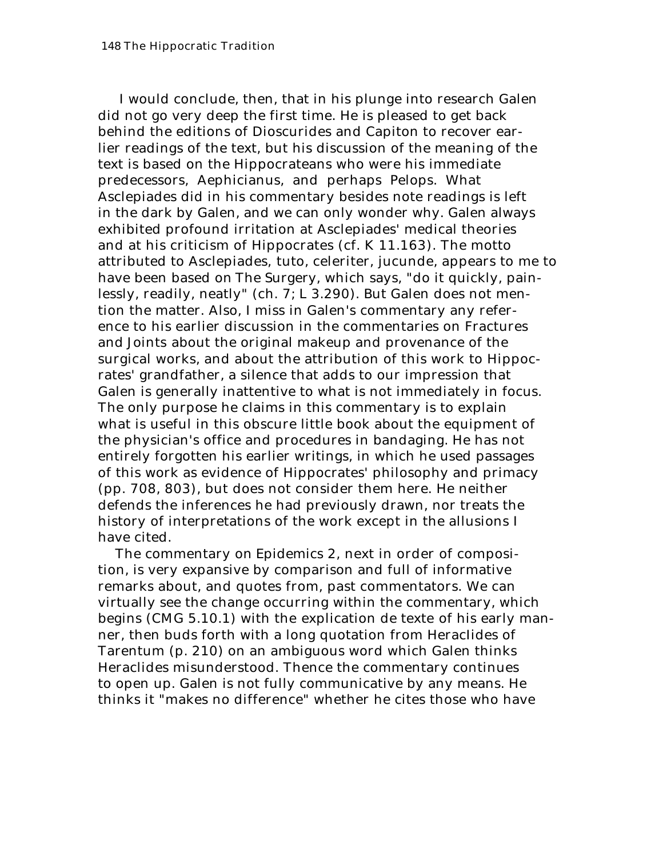I would conclude, then, that in his plunge into research Galen did not go very deep the first time. He is pleased to get back behind the editions of Dioscurides and Capiton to recover earlier readings of the text, but his discussion of the meaning of the text is based on the Hippocrateans who were his immediate predecessors, Aephicianus, and perhaps Pelops. What Asclepiades did in his commentary besides note readings is left in the dark by Galen, and we can only wonder why. Galen always exhibited profound irritation at Asclepiades' medical theories and at his criticism of Hippocrates (cf. K 11.163). The motto attributed to Asclepiades, *tuto, celeriter, jucunde*, appears to me to have been based on *The Surgery*, which says, "do it quickly, painlessly, readily, neatly" (ch. 7; L 3.290). But Galen does not mention the matter. Also, I miss in Galen's commentary any reference to his earlier discussion in the commentaries on *Fractures* and *Joints* about the original makeup and provenance of the surgical works, and about the attribution of this work to Hippocrates' grandfather, a silence that adds to our impression that Galen is generally inattentive to what is not immediately in focus. The only purpose he claims in this commentary is to explain what is useful in this obscure little book about the equipment of the physician's office and procedures in bandaging. He has not entirely forgotten his earlier writings, in which he used passages of this work as evidence of Hippocrates' philosophy and primacy (pp. 708, 803), but does not consider them here. He neither defends the inferences he had previously drawn, nor treats the history of interpretations of the work except in the allusions I have cited.

 The commentary on *Epidemics* 2, next in order of composition, is very expansive by comparison and full of informative remarks about, and quotes from, past commentators. We can virtually see the change occurring within the commentary, which begins (CMG 5.10.1) with the *explication de texte* of his early manner, then buds forth with a long quotation from HeracIides of Tarentum (p. 210) on an ambiguous word which Galen thinks Heraclides misunderstood. Thence the commentary continues to open up. Galen is not fully communicative by any means. He thinks it "makes no difference" whether he cites those who have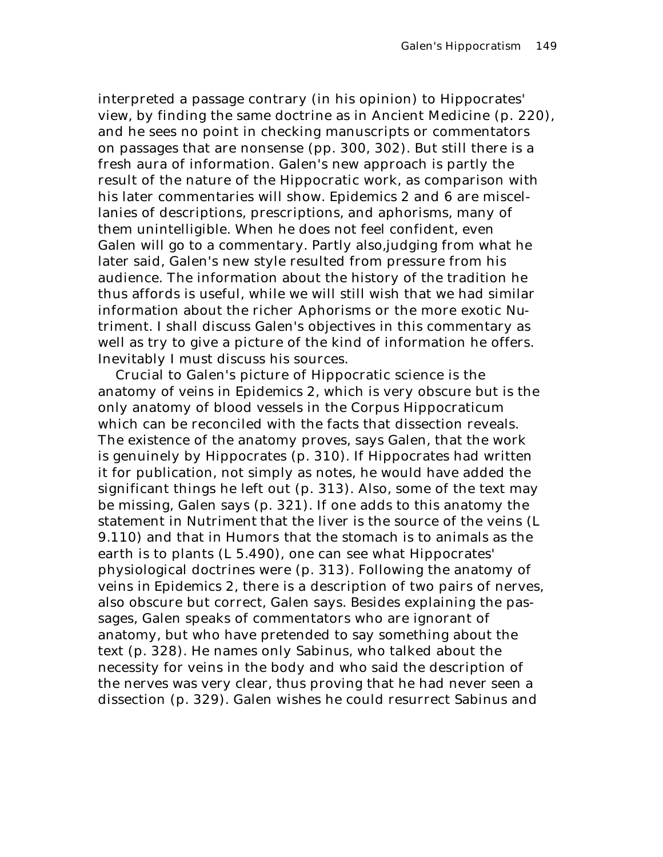interpreted a passage contrary (in his opinion) to Hippocrates' view, by finding the same doctrine as in *Ancient Medicine* (p. 220), and he sees no point in checking manuscripts or commentators on passages that are nonsense (pp. 300, 302). But still there is a fresh aura of information. Galen's new approach is partly the result of the nature of the Hippocratic work, as comparison with his later commentaries will show. *Epidemics* 2 and 6 are miscellanies of descriptions, prescriptions, and aphorisms, many of them unintelligible. When he does not feel confident, even Galen will go to a commentary. Partly also,judging from what he later said, Galen's new style resulted from pressure from his audience. The information about the history of the tradition he thus affords is useful, while we will still wish that we had similar information about the richer *Aphorisms* or the more exotic *Nutriment*. I shall discuss Galen's objectives in this commentary as well as try to give a picture of the kind of information he offers. Inevitably I must discuss his sources.

 Crucial to Galen's picture of Hippocratic science is the anatomy of veins in *Epidemics* 2, which is very obscure but is the only anatomy of blood vessels in the Corpus Hippocraticum which can be reconciled with the facts that dissection reveals. The existence of the anatomy proves, says Galen, that the work is genuinely by Hippocrates (p. 310). If Hippocrates had written it for publication, not simply as notes, he would have added the significant things he left out (p. 313). Also, some of the text may be missing, Galen says (p. 321). If one adds to this anatomy the statement in *Nutriment* that the liver is the source of the veins (L 9.110) and that in *Humors* that the stomach is to animals as the earth is to plants (L 5.490), one can see what Hippocrates' physiological doctrines were (p. 313). Following the anatomy of veins in *Epidemics* 2, there is a description of two pairs of nerves, also obscure but correct, Galen says. Besides explaining the passages, Galen speaks of commentators who are ignorant of anatomy, but who have pretended to say something about the text (p. 328). He names only Sabinus, who talked about the necessity for veins in the body and who said the description of the nerves was very clear, thus proving that he had never seen a dissection (p. 329). Galen wishes he could resurrect Sabinus and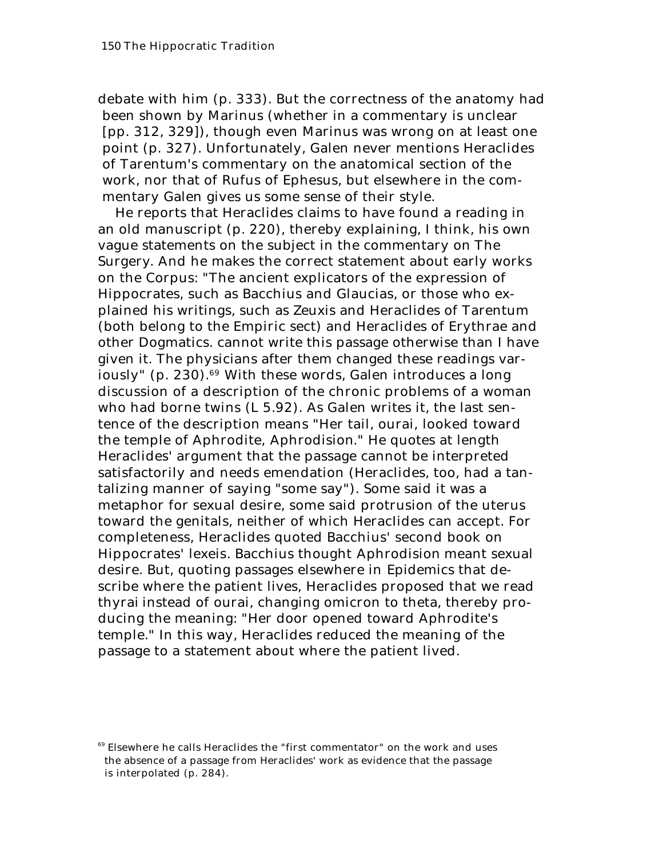debate with him (p. 333). But the correctness of the anatomy had been shown by Marinus (whether in a commentary is unclear [pp. 312, 329]), though even Marinus was wrong on at least one point (p. 327). Unfortunately, Galen never mentions Heraclides of Tarentum's commentary on the anatomical section of the work, nor that of Rufus of Ephesus, but elsewhere in the com mentary Galen gives us some sense of their style.

 He reports that Heraclides claims to have found a reading in an old manuscript (p. 220), thereby explaining, I think, his own vague statements on the subject in the commentary on *The Surgery*. And he makes the correct statement about early works on the Corpus: "The ancient explicators of the expression of Hippocrates, such as Bacchius and Glaucias, or those who explained his writings, such as Zeuxis and Heraclides of Tarentum (both belong to the Empiric sect) and Heraclides of Erythrae and other Dogmatics. cannot write this passage otherwise than I have given it. The physicians after them changed these readings variously" (p. 230). $69$  With these words, Galen introduces a long discussion of a description of the chronic problems of a woman who had borne twins (L 5.92). As Galen writes it, the last sentence of the description means "Her tail, *ourai*, looked toward the temple of Aphrodite, *Aphrodision*." He quotes at length Heraclides' argument that the passage cannot be interpreted satisfactorily and needs emendation (Heraclides, too, had a tantalizing manner of saying "some say"). Some said it was a metaphor for sexual desire, some said protrusion of the uterus toward the genitals, neither of which HeracIides can accept. For completeness, Heraclides quoted Bacchius' second book on Hippocrates' *lexeis*. Bacchius thought *Aphrodision* meant sexual desire. But, quoting passages elsewhere in *Epidemics* that describe where the patient lives, Heraclides proposed that we read *thyrai* instead of *ourai*, changing omicron to theta, thereby producing the meaning: "Her door opened toward Aphrodite's temple." In this way, Heraclides reduced the meaning of the passage to a statement about where the patient lived.

 $69$  Elsewhere he calls Heraclides the "first commentator" on the work and uses the absence of a passage from Heraclides' work as evidence that the passage is interpolated (p. 284).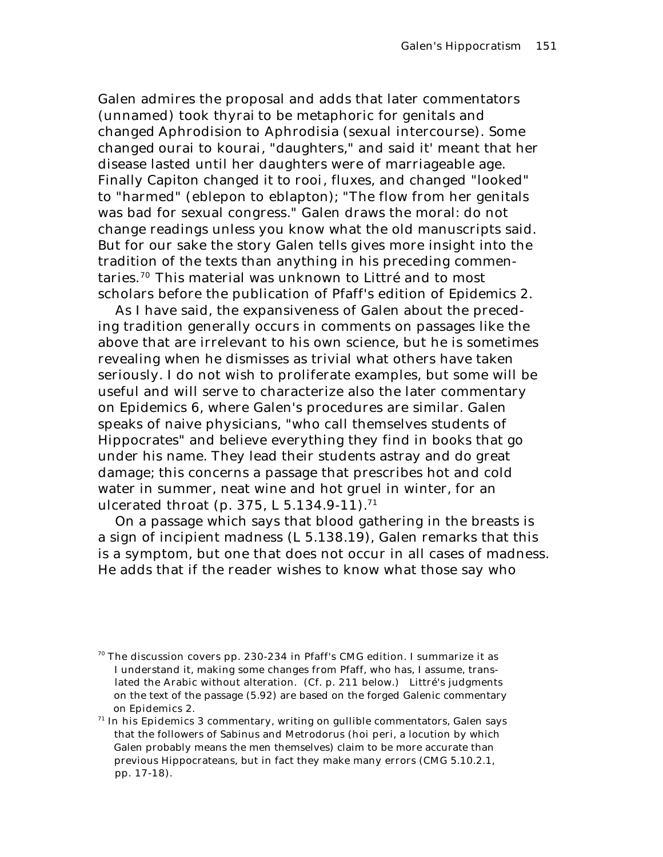Galen admires the proposal and adds that later commentators (unnamed) took *thyrai* to be metaphoric for genitals and changed *Aphrodision* to *Aphrodisia* (sexual intercourse). Some changed *ourai* to *kourai*, "daughters," and said it' meant that her disease lasted until her daughters were of marriageable age. Finally Capiton changed it to *rooi*, fluxes, and changed "looked" to "harmed" (*eblepon* to *eblapton*); "The flow from her genitals was bad for sexual congress." Galen draws the moral: do not change readings unless you know what the old manuscripts said. But for our sake the story Galen tells gives more insight into the tradition of the texts than anything in his preceding commentaries.70 This material was unknown to Littré and to most scholars before the publication of Pfaff's edition of *Epidemics* 2.

 As I have said, the expansiveness of Galen about the preceding tradition generally occurs in comments on passages like the above that are irrelevant to his own science, but he is sometimes revealing when he dismisses as trivial what others have taken seriously. I do not wish to proliferate examples, but some will be useful and will serve to characterize also the later commentary on *Epidemics* 6, where Galen's procedures are similar. Galen speaks of naive physicians, "who call themselves students of Hippocrates" and believe everything they find in books that go under his name. They lead their students astray and do great damage; this concerns a passage that prescribes hot and cold water in summer, neat wine and hot gruel in winter, for an ulcerated throat (p. 375, L 5.134.9-11).<sup>71</sup>

 On a passage which says that blood gathering in the breasts is a sign of incipient madness (L 5.138.19), Galen remarks that this is a symptom, but one that does not occur in all cases of madness. He adds that if the reader wishes to know what those say who

<sup>&</sup>lt;sup>70</sup> The discussion covers pp. 230-234 in Pfaff's CMG edition. I summarize it as I understand it, making some changes from Pfaff, who has, I assume, trans lated the Arabic without alteration. (Cf. p. 211 below.) Littré's judgments on the text of the passage (5.92) are based on the forged Galenic commentary on *Epidemics* 2.

<sup>71</sup> In his *Epidemics* 3 commentary, writing on gullible commentators, Galen says that the followers of Sabinus and Metrodorus (*hoi peri*, a locution by which Galen probably means the men themselves) claim to be more accurate than previous Hippocrateans, but in fact they make many errors (CMG 5.10.2.1, pp. 17-18).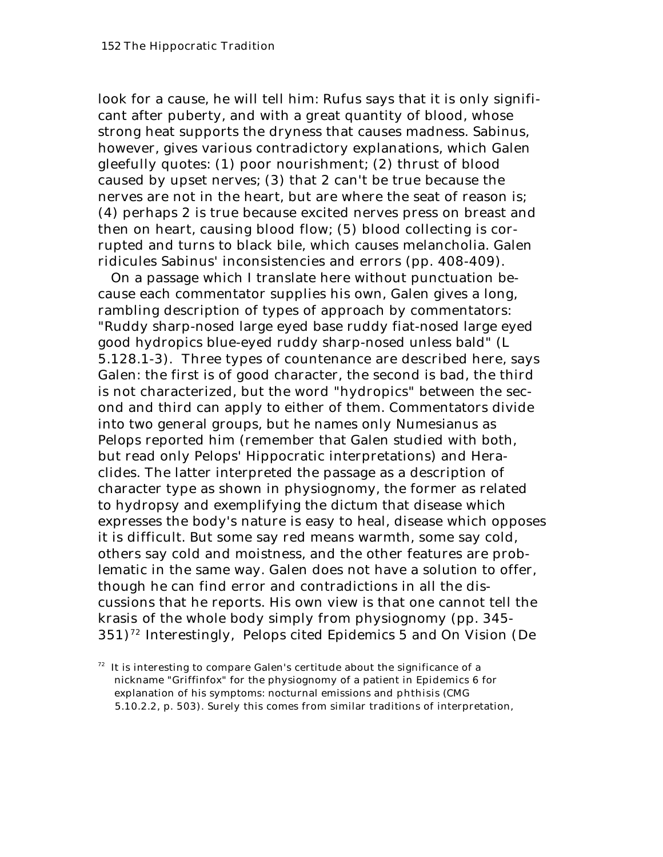look for a cause, he will tell him: Rufus says that it is only significant after puberty, and with a great quantity of blood, whose strong heat supports the dryness that causes madness. Sabinus, however, gives various contradictory explanations, which Galen gleefully quotes: (1) poor nourishment; (2) thrust of blood caused by upset nerves; (3) that 2 can't be true because the nerves are not in the heart, but are where the seat of reason is; (4) perhaps 2 is true because excited nerves press on breast and then on heart, causing blood flow; (5) blood collecting is corrupted and turns to black bile, which causes melancholia. Galen ridicules Sabinus' inconsistencies and errors (pp. 408-409).

 On a passage which I translate here without punctuation because each commentator supplies his own, Galen gives a long, rambling description of types of approach by commentators: "Ruddy sharp-nosed large eyed base ruddy fiat-nosed large eyed good hydropics blue-eyed ruddy sharp-nosed unless bald" (L 5.128.1-3). Three types of countenance are described here, says Galen: the first is of good character, the second is bad, the third is not characterized, but the word "hydropics" between the second and third can apply to either of them. Commentators divide into two general groups, but he names only Numesianus as Pelops reported him (remember that Galen studied with both, but read only Pelops' Hippocratic interpretations) and Heraclides. The latter interpreted the passage as a description of character type as shown in physiognomy, the former as related to hydropsy and exemplifying the dictum that disease which expresses the body's nature is easy to heal, disease which opposes it is difficult. But some say red means warmth, some say cold, others say cold and moistness, and the other features are problematic in the same way. Galen does not have a solution to offer, though he can find error and contradictions in all the discussions that he reports. His own view is that one cannot tell the *krasis* of the whole body simply from physiognomy (pp. 345- 351)72 Interestingly, Pelops cited *Epidemics* 5 and *On Vision* (*De*

 $72$  It is interesting to compare Galen's certitude about the significance of a nickname "Griffinfox" for the physiognomy of a patient in *Epidemics* 6 for explanation of his symptoms: nocturnal emissions and *phthisis* (CMG 5.10.2.2, p. 503). Surely this comes from similar traditions of interpretation,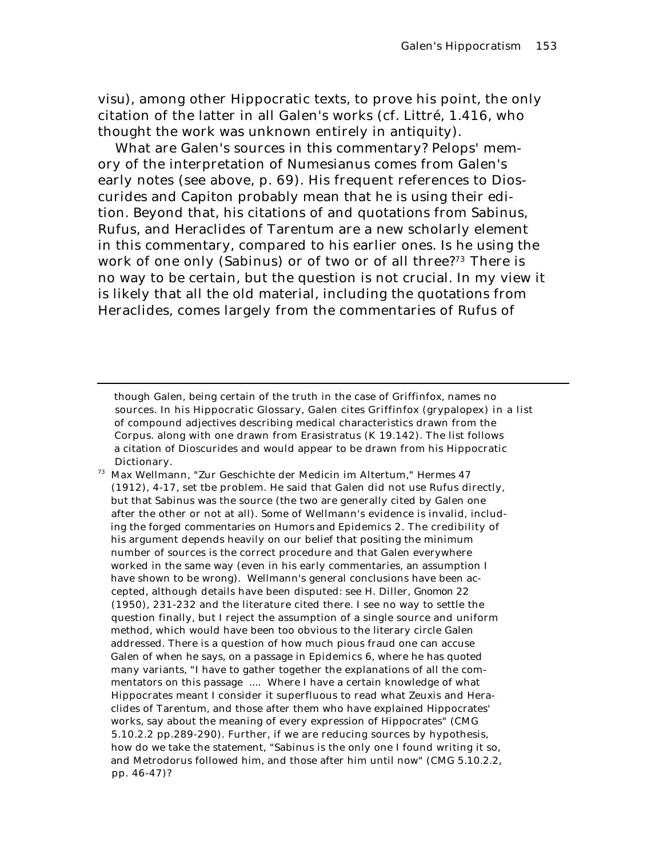*visu*), among other Hippocratic texts, to prove his point, the only citation of the latter in all Galen's works (cf. Littré, 1.416, who thought the work was unknown entirely in antiquity).

 What are Galen's sources in this commentary? Pelops' memory of the interpretation of Numesianus comes from Galen's early notes (see above, p. 69). His frequent references to Dioscurides and Capiton probably mean that he is using their edition. Beyond that, his citations of and quotations from Sabinus, Rufus, and Heraclides of Tarentum are a new scholarly element in this commentary, compared to his earlier ones. Is he using the work of one only (Sabinus) or of two or of all three?<sup>73</sup> There is no way to be certain, but the question is not crucial. In my view it is likely that all the old material, including the quotations from Heraclides, comes largely from the commentaries of Rufus of

 $\overline{a}$ 

though Galen, being certain of the truth in the case of Griffinfox, names no sources. In his *Hippocratic Glossary*, Galen cites Griffinfox (*grypalopex*) in a list of compound adjectives describing medical characteristics drawn from the Corpus. along with one drawn from Erasistratus (K 19.142). The list follows a citation of Dioscurides and would appear to be drawn from his *Hippocratic* Dictionary.

<sup>73</sup> Max Wellmann, "Zur Geschichte der Medicin im Altertum," *Hermes* 47 (1912), 4-17, set tbe problem. He said that Galen did not use Rufus directly, but that Sabinus was the source (the two are generally cited by Galen one after the other or not at all). Some of Wellmann's evidence is invalid, includ ing the forged commentaries on *Humors* and *Epidemics* 2. The credibility of his argument depends heavily on our belief that positing the minimum number of sources is the correct procedure and that Galen everywhere worked in the same way (even in his early commentaries, an assumption I have shown to be wrong). Wellmann's general conclusions have been ac cepted, although details have been disputed: see H. Diller, *Gnomon* 22 (1950), 231-232 and the literature cited there. I see no way to settle the question finally, but I reject the assumption of a single source and uniform method, which would have been too obvious to the literary circle Galen addressed. There is a question of how much pious fraud one can accuse Galen of when he says, on a passage in *Epidemics* 6, where he has quoted many variants, "I have to gather together the explanations of all the com mentators on this passage .... Where I have a certain knowledge of what Hippocrates meant I consider it superfluous to read what Zeuxis and Hera clides of Tarentum, and those after them who have explained Hippocrates' works, say about the meaning of every expression of Hippocrates" (CMG 5.10.2.2 pp.289-290). Further, if we are reducing sources by hypothesis, how do we take the statement, "Sabinus is the only one I found writing it so, and Metrodorus followed him, and those after him until now" (CMG 5.10.2.2, pp. 46-47)?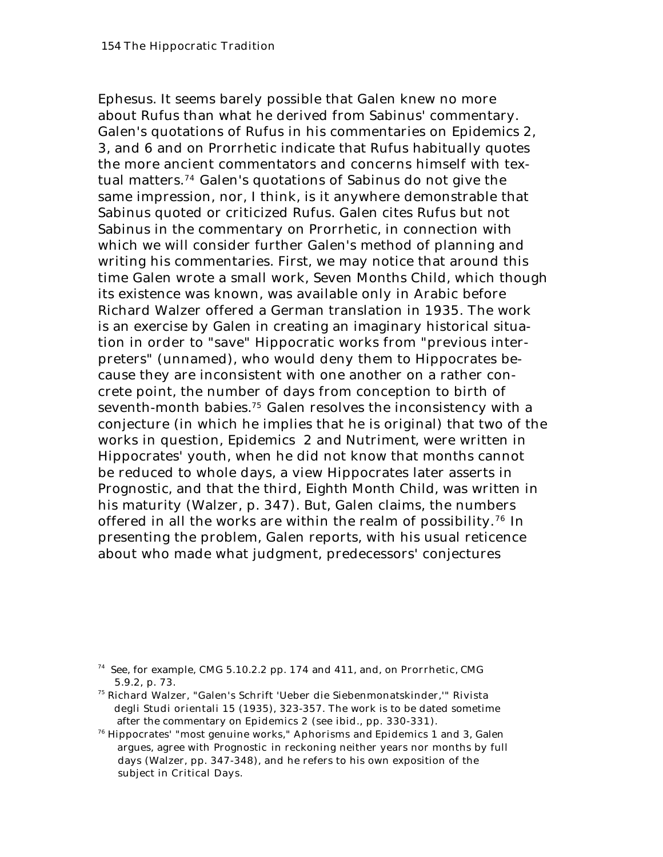Ephesus. It seems barely possible that Galen knew no more about Rufus than what he derived from Sabinus' commentary. Galen's quotations of Rufus in his commentaries on *Epidemics* 2, 3, and 6 and on *Prorrhetic* indicate that Rufus habitually quotes the more ancient commentators and concerns himself with textual matters.74 Galen's quotations of Sabinus do not give the same impression, nor, I think, is it anywhere demonstrable that Sabinus quoted or criticized Rufus. Galen cites Rufus but not Sabinus in the commentary on *Prorrhetic*, in connection with which we will consider further Galen's method of planning and writing his commentaries. First, we may notice that around this time Galen wrote a small work, *Seven Months Child*, which though its existence was known, was available only in Arabic before Richard Walzer offered a German translation in 1935. The work is an exercise by Galen in creating an imaginary historical situation in order to "save" Hippocratic works from "previous interpreters" (unnamed), who would deny them to Hippocrates because they are inconsistent with one another on a rather concrete point, the number of days from conception to birth of seventh-month babies.<sup>75</sup> Galen resolves the inconsistency with a conjecture (in which he implies that he is original) that two of the works in question, *Epidemics* 2 and *Nutriment*, were written in Hippocrates' youth, when he did not know that months cannot be reduced to whole days, a view Hippocrates later asserts in *Prognostic*, and that the third, *Eighth Month Child*, was written in his maturity (Walzer, p. 347). But, Galen claims, the numbers offered in all the works are within the realm of possibility.<sup>76</sup> In presenting the problem, Galen reports, with his usual reticence about who made what judgment, predecessors' conjectures

<sup>74</sup> See, for example, CMG 5.10.2.2 pp. 174 and 411, and, on *Prorrhetic*, CMG 5.9.2, p. 73.

<sup>75</sup> Richard Walzer, "Galen's Schrift 'Ueber die Siebenmonatskinder,'" *Rivista degli Studi orientali* 15 (1935), 323-357. The work is to be dated sometime after the commentary on *Epidemics* 2 (see ibid., pp. 330-331).

<sup>76</sup> Hippocrates' "most genuine works," *Aphorisms* and *Epidemics* 1 and 3, Galen argues, agree with *Prognostic* in reckoning neither years nor months by full days (Walzer, pp. 347-348), and he refers to his own exposition of the subject in *Critical Days*.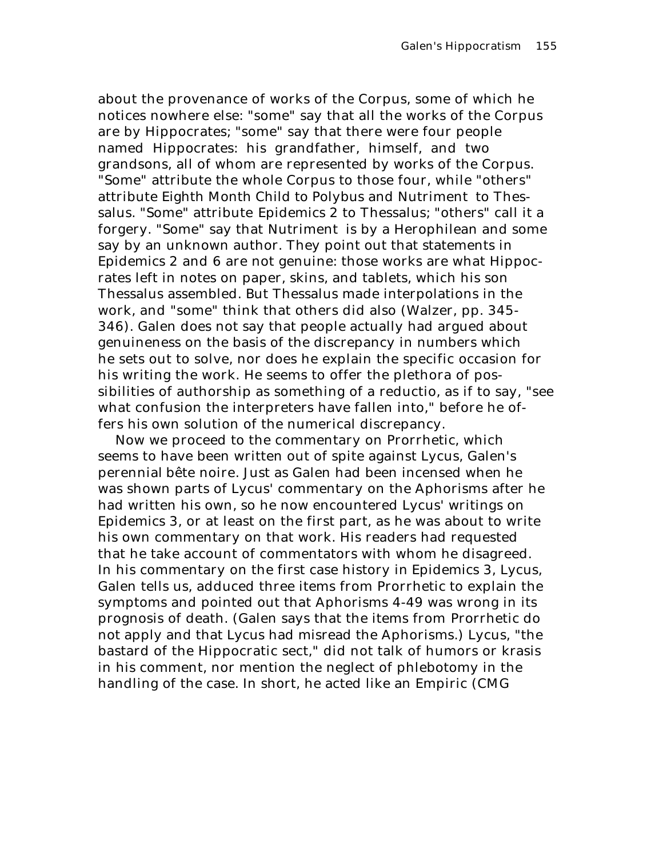about the provenance of works of the Corpus, some of which he notices nowhere else: "some" say that all the works of the Corpus are by Hippocrates; "some" say that there were four people named Hippocrates: his grandfather, himself, and two grandsons, all of whom are represented by works of the Corpus. "Some" attribute the whole Corpus to those four, while "others" attribute *Eighth Month Child* to Polybus and *Nutriment* to Thessalus. "Some" attribute *Epidemics* 2 to Thessalus; "others" call it a forgery. "Some" say that *Nutriment* is by a Herophilean and some say by an unknown author. They point out that statements in *Epidemics* 2 and 6 are not genuine: those works are what Hippocrates left in notes on paper, skins, and tablets, which his son Thessalus assembled. But Thessalus made interpolations in the work, and "some" think that others did also (Walzer, pp. 345- 346). Galen does not say that people actually had argued about genuineness on the basis of the discrepancy in numbers which he sets out to solve, nor does he explain the specific occasion for his writing the work. He seems to offer the plethora of possibilities of authorship as something of a reductio, as if to say, "see what confusion the interpreters have fallen into," before he offers his own solution of the numerical discrepancy.

 Now we proceed to the commentary on *Prorrhetic*, which seems to have been written out of spite against Lycus, Galen's perennial *bête noire*. Just as Galen had been incensed when he was shown parts of Lycus' commentary on the *Aphorisms* after he had written his own, so he now encountered Lycus' writings on *Epidemics* 3, or at least on the first part, as he was about to write his own commentary on that work. His readers had requested that he take account of commentators with whom he disagreed. In his commentary on the first case history in *Epidemics* 3, Lycus, Galen tells us, adduced three items from *Prorrhetic* to explain the symptoms and pointed out that *Aphorisms* 4-49 was wrong in its prognosis of death. (Galen says that the items from *Prorrhetic* do not apply and that Lycus had misread the *Aphorisms*.) Lycus, "the bastard of the Hippocratic sect," did not talk of humors or *krasis* in his comment, nor mention the neglect of phlebotomy in the handling of the case. In short, he acted like an Empiric (CMG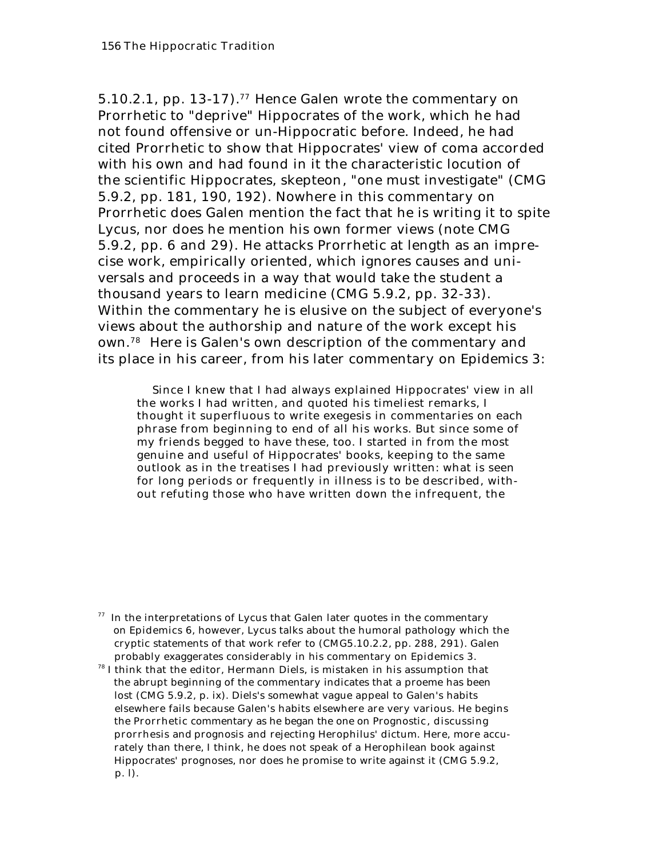5.10.2.1, pp. 13-17).77 Hence Galen wrote the commentary on *Prorrhetic* to "deprive" Hippocrates of the work, which he had not found offensive or un-Hippocratic before. Indeed, he had cited *Prorrhetic* to show that Hippocrates' view of coma accorded with his own and had found in it the characteristic locution of the scientific Hippocrates, *skepteon*, "one must investigate" (CMG 5.9.2, pp. 181, 190, 192). Nowhere in this commentary on *Prorrhetic* does Galen mention the fact that he is writing it to spite Lycus, nor does he mention his own former views (note CMG 5.9.2, pp. 6 and 29). He attacks *Prorrhetic* at length as an imprecise work, empirically oriented, which ignores causes and universals and proceeds in a way that would take the student a thousand years to learn medicine (CMG 5.9.2, pp. 32-33). Within the commentary he is elusive on the subject of everyone's views about the authorship and nature of the work except his own.78 Here is Galen's own description of the commentary and its place in his career, from his later commentary on *Epidemics* 3:

 Since I knew that I had always explained Hippocrates' view in all the works I had written, and quoted his timeliest remarks, I thought it superfluous to write exegesis in commentaries on each phrase from beginning to end of all his works. But since some of my friends begged to have these, too. I started in from the most genuine and useful of Hippocrates' books, keeping to the same outlook as in the treatises I had previously written: what is seen for long periods or frequently in illness is to be described, without refuting those who have written down the infrequent, the

 $77$  In the interpretations of Lycus that Galen later quotes in the commentary on *Epidemics* 6, however, Lycus talks about the humoral pathology which the cryptic statements of that work refer to (CMG5.10.2.2, pp. 288, 291). Galen probably exaggerates considerably in his commentary on *Epidemics* 3.

 $78$  I think that the editor, Hermann Diels, is mistaken in his assumption that the abrupt beginning of the commentary indicates that a proeme has been lost (CMG 5.9.2, p. ix). Diels's somewhat vague appeal to Galen's habits elsewhere fails because Galen's habits elsewhere are very various. He begins the *Prorrhetic* commentary as he began the one on *Prognostic*, discussing *prorrhesis* and *prognosis* and rejecting Herophilus' dictum. Here, more accu rately than there, I think, he does not speak of a Herophilean book against Hippocrates' prognoses, nor does he promise to write against it (CMG 5.9.2, p. l).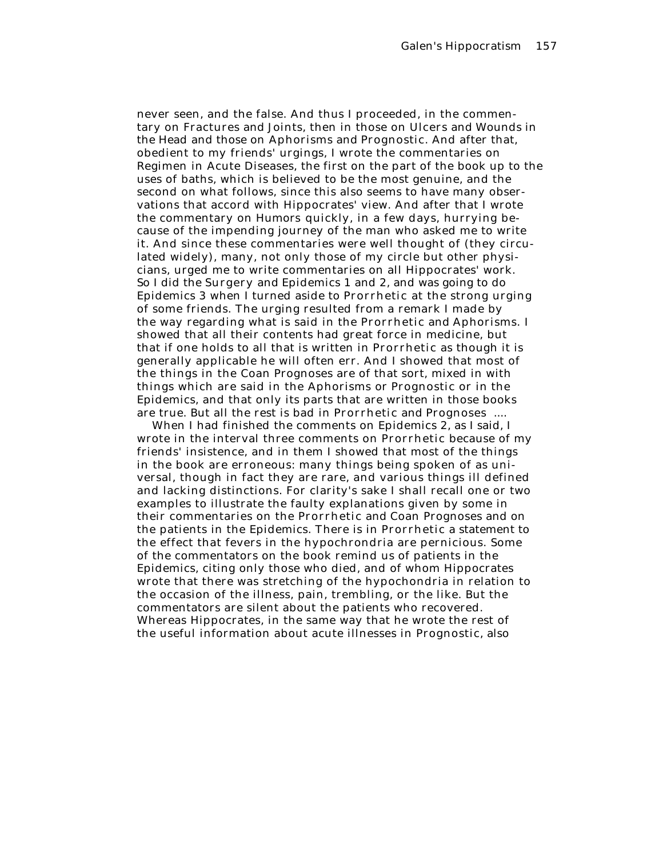never seen, and the false. And thus I proceeded, in the commentary on *Fractures* and *Joints*, then in those on *Ulcers* and *Wounds in the Head* and those on *Aphorisms* and *Prognostic*. And after that, obedient to my friends' urgings, I wrote the commentaries on *Regimen in Acute Diseases*, the first on the part of the book up to the uses of baths, which is believed to be the most genuine, and the second on what follows, since this also seems to have many observations that accord with Hippocrates' view. And after that I wrote the commentary on *Humors* quickly, in a few days, hurrying because of the impending journey of the man who asked me to write it. And since these commentaries were well thought of (they circulated widely), many, not only those of my circle but other physicians, urged me to write commentaries on all Hippocrates' work. So I did the *Surgery* and *Epidemics* 1 and 2, and was going to do *Epidemics* 3 when I turned aside to *Prorrhetic* at the strong urging of some friends. The urging resulted from a remark I made by the way regarding what is said in the *Prorrhetic* and *Aphorisms*. I showed that all their contents had great force in medicine, but that if one holds to all that is written in *Prorrhetic* as though it is generally applicable he will often err. And I showed that most of the things in the *Coan Prognoses* are of that sort, mixed in with things which are said in the *Aphorisms* or *Prognostic* or in the *Epidemics*, and that only its parts that are written in those books are true. But all the rest is bad in *Prorrhetic* and *Prognoses* ....

 When I had finished the comments on *Epidemics* 2, as I said, I wrote in the interval three comments on *Prorrhetic* because of my friends' insistence, and in them I showed that most of the things in the book are erroneous: many things being spoken of as universal, though in fact they are rare, and various things ill defined and lacking distinctions. For clarity's sake I shall recall one or two examples to illustrate the faulty explanations given by some in their commentaries on the *Prorrhetic* and *Coan Prognoses* and on the patients in the *Epidemics*. There is in *Prorrhetic* a statement to the effect that fevers in the hypochrondria are pernicious. Some of the commentators on the book remind us of patients in the *Epidemics*, citing only those who died, and of whom Hippocrates wrote that there was stretching of the hypochondria in relation to the occasion of the illness, pain, trembling, or the like. But the commentators are silent about the patients who recovered. Whereas Hippocrates, in the same way that he wrote the rest of the useful information about acute illnesses in *Prognostic*, also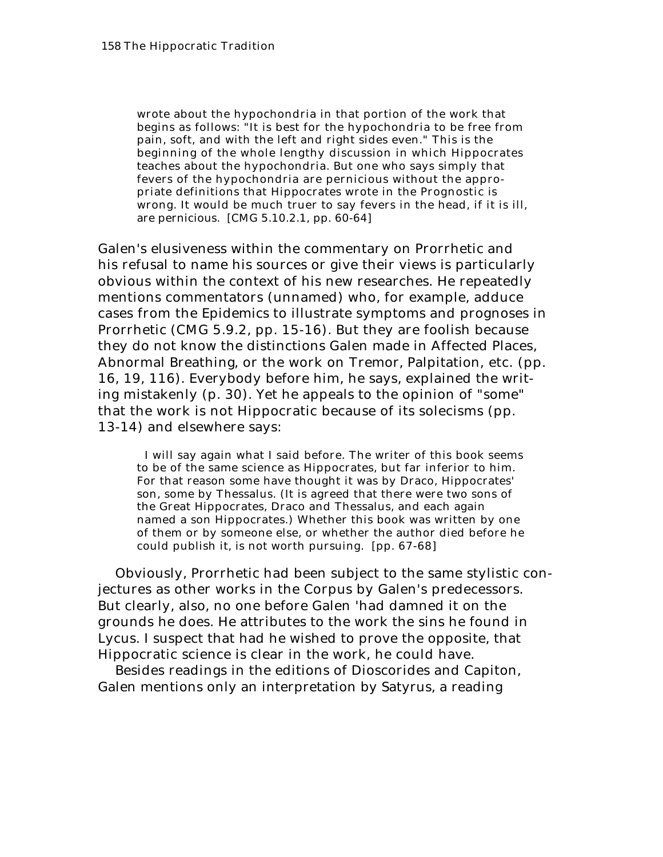wrote about the hypochondria in that portion of the work that begins as follows: "It is best for the hypochondria to be free from pain, soft, and with the left and right sides even." This is the beginning of the whole lengthy discussion in which Hippocrates teaches about the hypochondria. But one who says simply that fevers of the hypochondria are pernicious without the appropriate definitions that Hippocrates wrote in the *Prognostic* is wrong. It would be much truer to say fevers in the head, if it is ill, are pernicious. [CMG 5.10.2.1, pp. 60-64]

Galen's elusiveness within the commentary on *Prorrhetic* and his refusal to name his sources or give their views is particularly obvious within the context of his new researches. He repeatedly mentions commentators (unnamed) who, for example, adduce cases from the *Epidemics* to illustrate symptoms and prognoses in *Prorrhetic* (CMG 5.9.2, pp. 15-16). But they are foolish because they do not know the distinctions Galen made in *Affected Places*, *Abnormal Breathing*, or the work on *Tremor, Palpitation*, etc. (pp. 16, 19, 116). Everybody before him, he says, explained the writing mistakenly (p. 30). Yet he appeals to the opinion of "some" that the work is not Hippocratic because of its solecisms (pp. 13-14) and elsewhere says:

 I will say again what I said before. The writer of this book seems to be of the same science as Hippocrates, but far inferior to him. For that reason some have thought it was by Draco, Hippocrates' son, some by Thessalus. (It is agreed that there were two sons of the Great Hippocrates, Draco and Thessalus, and each again named a son Hippocrates.) Whether this book was written by one of them or by someone else, or whether the author died before he could publish it, is not worth pursuing. [pp. 67-68]

 Obviously, *Prorrhetic* had been subject to the same stylistic conjectures as other works in the Corpus by Galen's predecessors. But clearly, also, no one before Galen 'had damned it on the grounds he does. He attributes to the work the sins he found in Lycus. I suspect that had he wished to prove the opposite, that Hippocratic science is clear in the work, he could have.

 Besides readings in the editions of Dioscorides and Capiton, Galen mentions only an interpretation by Satyrus, a reading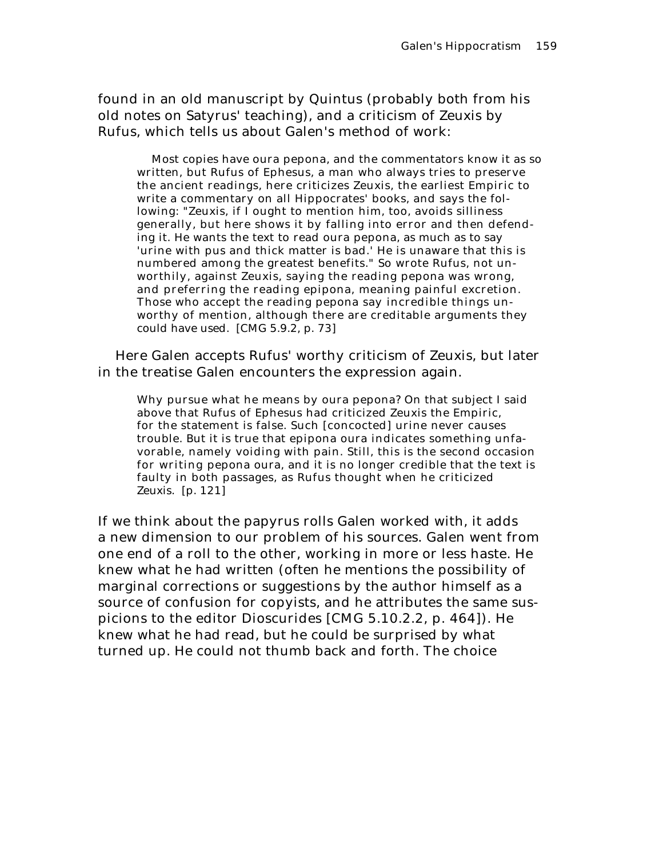found in an old manuscript by Quintus (probably both from his old notes on Satyrus' teaching), and a criticism of Zeuxis by Rufus, which tells us about Galen's method of work:

 Most copies have *oura pepona*, and the commentators know it as so written, but Rufus of Ephesus, a man who always tries to preserve the ancient readings, here criticizes Zeuxis, the earliest Empiric to write a commentary on all Hippocrates' books, and says the following: "Zeuxis, if I ought to mention him, too, avoids silliness generally, but here shows it by falling into error and then defending it. He wants the text to read *oura pepona*, as much as to say 'urine with pus and thick matter is bad.' He is unaware that this is numbered among the greatest benefits." So wrote Rufus, not unworthily, against Zeuxis, saying the reading *pepona* was wrong, and preferring the reading *epipona*, meaning painful excretion. Those who accept the reading *pepona* say incredible things unworthy of mention, although there are creditable arguments they could have used. [CMG 5.9.2, p. 73]

 Here Galen accepts Rufus' worthy criticism of Zeuxis, but later in the treatise Galen encounters the expression again.

Why pursue what he means by *oura pepona*? On that subject I said above that Rufus of Ephesus had criticized Zeuxis the Empiric, for the statement is false. Such [concocted] urine never causes trouble. But it is true that *epipona oura* indicates something unfavorable, namely voiding with pain. Still, this is the second occasion for writing *pepona oura*, and it is no longer credible that the text is faulty in both passages, as Rufus thought when he criticized Zeuxis. [p. 121]

If we think about the papyrus rolls Galen worked with, it adds a new dimension to our problem of his sources. Galen went from one end of a roll to the other, working in more or less haste. He knew what he had written (often he mentions the possibility of marginal corrections or suggestions by the author himself as a source of confusion for copyists, and he attributes the same suspicions to the editor Dioscurides [CMG 5.10.2.2, p. 464]). He knew what he had read, but he could be surprised by what turned up. He could not thumb back and forth. The choice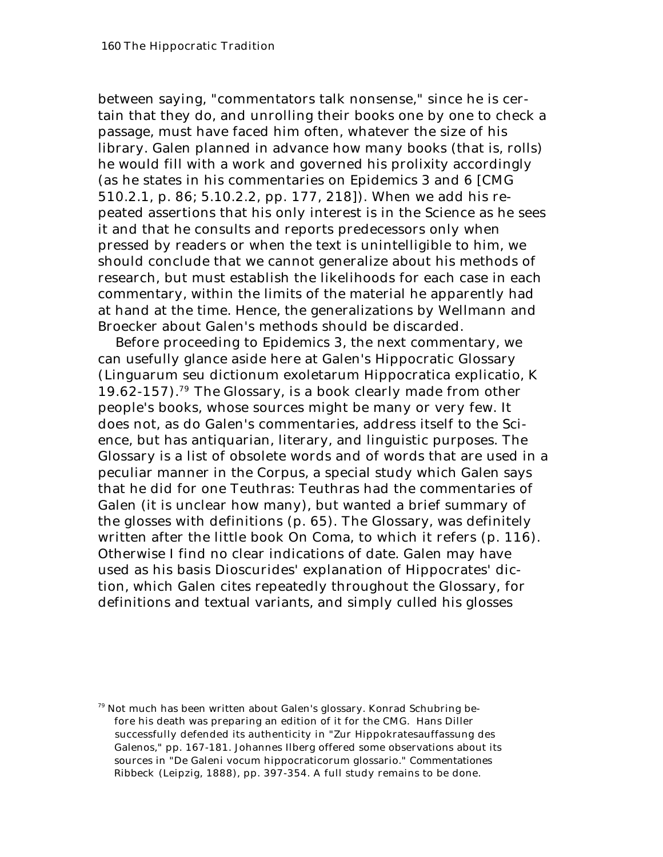between saying, "commentators talk nonsense," since he is certain that they do, and unrolling their books one by one to check a passage, must have faced him often, whatever the size of his library. Galen planned in advance how many books (that is, rolls) he would fill with a work and governed his prolixity accordingly (as he states in his commentaries on *Epidemics* 3 and 6 [CMG 510.2.1, p. 86; 5.10.2.2, pp. 177, 218]). When we add his repeated assertions that his only interest is in the Science as he sees it and that he consults and reports predecessors only when pressed by readers or when the text is unintelligible to him, we should conclude that we cannot generalize about his methods of research, but must establish the likelihoods for each case in each commentary, within the limits of the material he apparently had at hand at the time. Hence, the generalizations by Wellmann and Broecker about Galen's methods should be discarded.

 Before proceeding to *Epidemics* 3, the next commentary, we can usefully glance aside here at Galen's *Hippocratic Glossary* (*Linguarum seu dictionum exoletarum Hippocratica explicatio*, K 19.62-157).79 The *Glossary*, is a book clearly made from other people's books, whose sources might be many or very few. It does not, as do Galen's commentaries, address itself to the Science, but has antiquarian, literary, and linguistic purposes. The *Glossary* is a list of obsolete words and of words that are used in a peculiar manner in the Corpus, a special study which Galen says that he did for one Teuthras: Teuthras had the commentaries of Galen (it is unclear how many), but wanted a brief summary of the glosses with definitions (p. 65). The *Glossary*, was definitely written after the little book *On Coma*, to which it refers (p. 116). Otherwise I find no clear indications of date. Galen may have used as his basis Dioscurides' explanation of Hippocrates' diction, which Galen cites repeatedly throughout the *Glossary*, for definitions and textual variants, and simply culled his glosses

 $79$  Not much has been written about Galen's glossary. Konrad Schubring be fore his death was preparing an edition of it for the CMG. Hans Diller successfully defended its authenticity in "Zur Hippokratesauffassung des Galenos," pp. 167-181. Johannes Ilberg offered some observations about its sources in "De Galeni vocum hippocraticorum glossario." *Commentationes Ribbeck* (Leipzig, 1888), pp. 397-354. A full study remains to be done.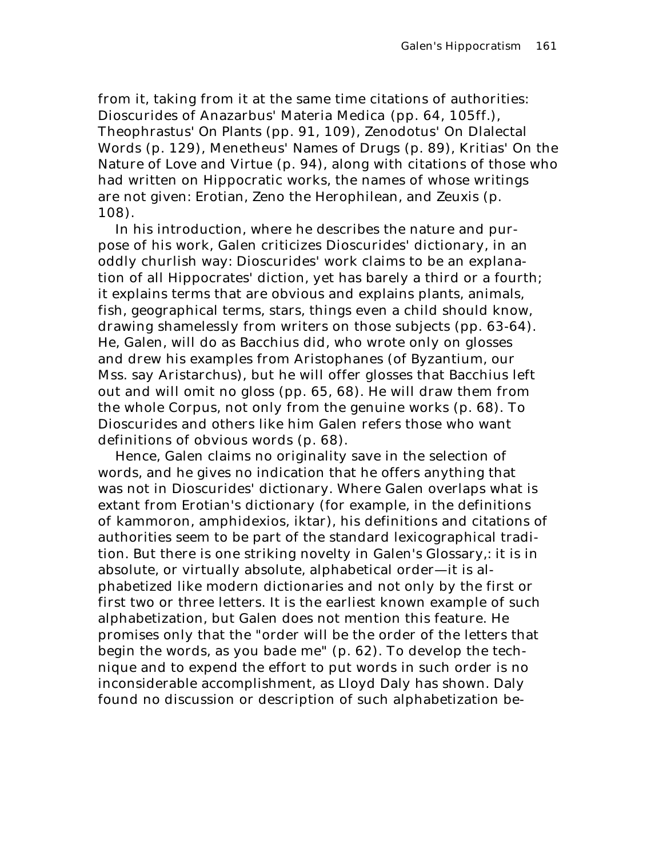from it, taking from it at the same time citations of authorities: Dioscurides of Anazarbus' *Materia Medica* (pp. 64, 105ff.), Theophrastus' *On Plants* (pp. 91, 109), Zenodotus' *On Dlalectal Words* (p. 129), Menetheus' *Names of Drugs* (p. 89), Kritias' *On the Nature of Love and Virtue* (p. 94), along with citations of those who had written on Hippocratic works, the names of whose writings are not given: Erotian, Zeno the Herophilean, and Zeuxis (p. 108).

 In his introduction, where he describes the nature and purpose of his work, Galen criticizes Dioscurides' dictionary, in an oddly churlish way: Dioscurides' work claims to be an explanation of all Hippocrates' diction, yet has barely a third or a fourth; it explains terms that are obvious and explains plants, animals, fish, geographical terms, stars, things even a child should know, drawing shamelessly from writers on those subjects (pp. 63-64). He, Galen, will do as Bacchius did, who wrote only on glosses and drew his examples from Aristophanes (of Byzantium, our Mss. say Aristarchus), but he will offer glosses that Bacchius left out and will omit no gloss (pp. 65, 68). He will draw them from the whole Corpus, not only from the genuine works (p. 68). To Dioscurides and others like him Galen refers those who want definitions of obvious words (p. 68).

 Hence, Galen claims no originality save in the selection of words, and he gives no indication that he offers anything that was not in Dioscurides' dictionary. Where Galen overlaps what is extant from Erotian's dictionary (for example, in the definitions of *kammoron, amphidexios, iktar*), his definitions and citations of authorities seem to be part of the standard lexicographical tradition. But there is one striking novelty in Galen's *Glossary*,: it is in absolute, or virtually absolute, alphabetical order—it is alphabetized like modern dictionaries and not only by the first or first two or three letters. It is the earliest known example of such alphabetization, but Galen does not mention this feature. He promises only that the "order will be the order of the letters that begin the words, as you bade me" (p. 62). To develop the technique and to expend the effort to put words in such order is no inconsiderable accomplishment, as Lloyd Daly has shown. Daly found no discussion or description of such alphabetization be-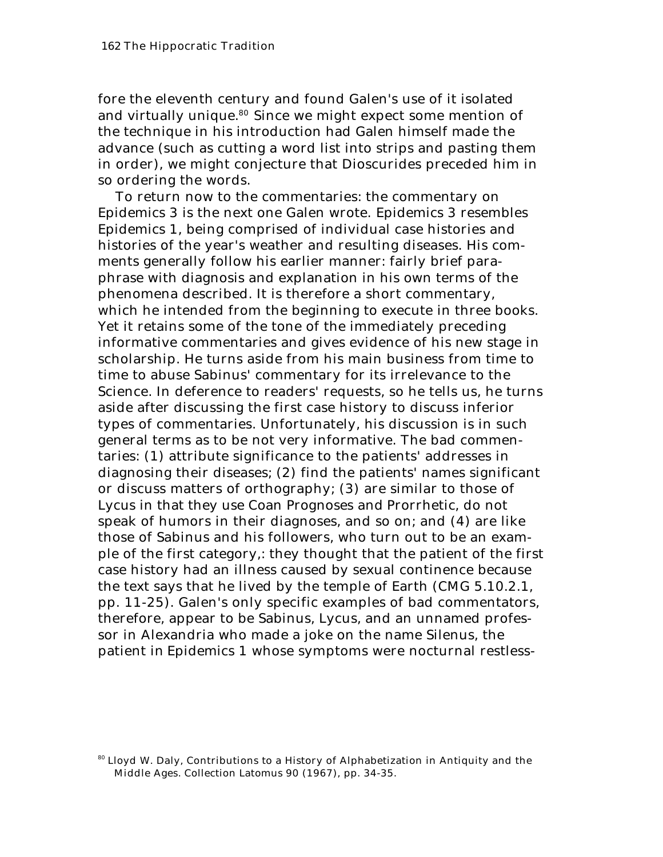fore the eleventh century and found Galen's use of it isolated and virtually unique.<sup>80</sup> Since we might expect some mention of the technique in his introduction had Galen himself made the advance (such as cutting a word list into strips and pasting them in order), we might conjecture that Dioscurides preceded him in so ordering the words.

 To return now to the commentaries: the commentary on *Epidemics* 3 is the next one Galen wrote. *Epidemics* 3 resembles *Epidemics* 1, being comprised of individual case histories and histories of the year's weather and resulting diseases. His comments generally follow his earlier manner: fairly brief paraphrase with diagnosis and explanation in his own terms of the phenomena described. It is therefore a short commentary, which he intended from the beginning to execute in three books. Yet it retains some of the tone of the immediately preceding informative commentaries and gives evidence of his new stage in scholarship. He turns aside from his main business from time to time to abuse Sabinus' commentary for its irrelevance to the Science. In deference to readers' requests, so he tells us, he turns aside after discussing the first case history to discuss inferior types of commentaries. Unfortunately, his discussion is in such general terms as to be not very informative. The bad commentaries: (1) attribute significance to the patients' addresses in diagnosing their diseases; (2) find the patients' names significant or discuss matters of orthography; (3) are similar to those of Lycus in that they use *Coan Prognoses* and *Prorrhetic*, do not speak of humors in their diagnoses, and so on; and (4) are like those of Sabinus and his followers, who turn out to be an example of the first category,: they thought that the patient of the first case history had an illness caused by sexual continence because the text says that he lived by the temple of Earth (CMG 5.10.2.1, pp. 11-25). Galen's only specific examples of bad commentators, therefore, appear to be Sabinus, Lycus, and an unnamed professor in Alexandria who made a joke on the name Silenus, the patient in *Epidemics* 1 whose symptoms were nocturnal restless-

<sup>80</sup> Lloyd W. Daly, *Contributions to a History of Alphabetization in Antiquity and the Middle Ages*. Collection Latomus 90 (1967), pp. 34-35.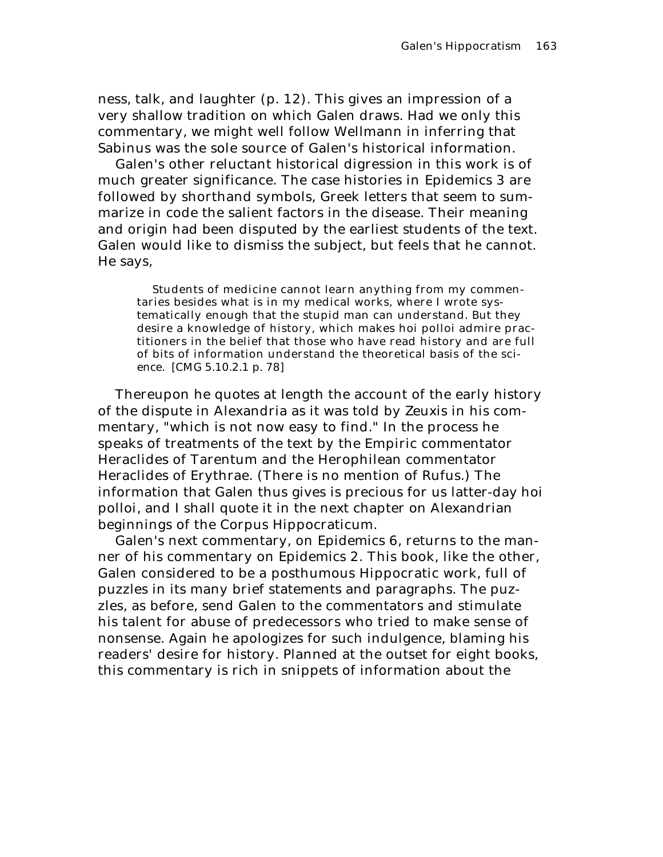ness, talk, and laughter (p. 12). This gives an impression of a very shallow tradition on which Galen draws. Had we only this commentary, we might well follow Wellmann in inferring that Sabinus was the sole source of Galen's historical information.

 Galen's other reluctant historical digression in this work is of much greater significance. The case histories in *Epidemics* 3 are followed by shorthand symbols, Greek letters that seem to summarize in code the salient factors in the disease. Their meaning and origin had been disputed by the earliest students of the text. Galen would like to dismiss the subject, but feels that he cannot. He says,

 Students of medicine cannot learn anything from my commentaries besides what is in my medical works, where I wrote systematically enough that the stupid man can understand. But they desire a knowledge of history, which makes *hoi polloi* admire practitioners in the belief that those who have read history and are full of bits of information understand the theoretical basis of the science. [CMG 5.10.2.1 p. 78]

 Thereupon he quotes at length the account of the early history of the dispute in Alexandria as it was told by Zeuxis in his commentary, "which is not now easy to find." In the process he speaks of treatments of the text by the Empiric commentator Heraclides of Tarentum and the Herophilean commentator Heraclides of Erythrae. (There is no mention of Rufus.) The information that Galen thus gives is precious for us latter-day *hoi polloi*, and I shall quote it in the next chapter on Alexandrian beginnings of the Corpus Hippocraticum.

 Galen's next commentary, on *Epidemics* 6, returns to the manner of his commentary on *Epidemics* 2. This book, like the other, Galen considered to be a posthumous Hippocratic work, full of puzzles in its many brief statements and paragraphs. The puzzles, as before, send Galen to the commentators and stimulate his talent for abuse of predecessors who tried to make sense of nonsense. Again he apologizes for such indulgence, blaming his readers' desire for history. Planned at the outset for eight books, this commentary is rich in snippets of information about the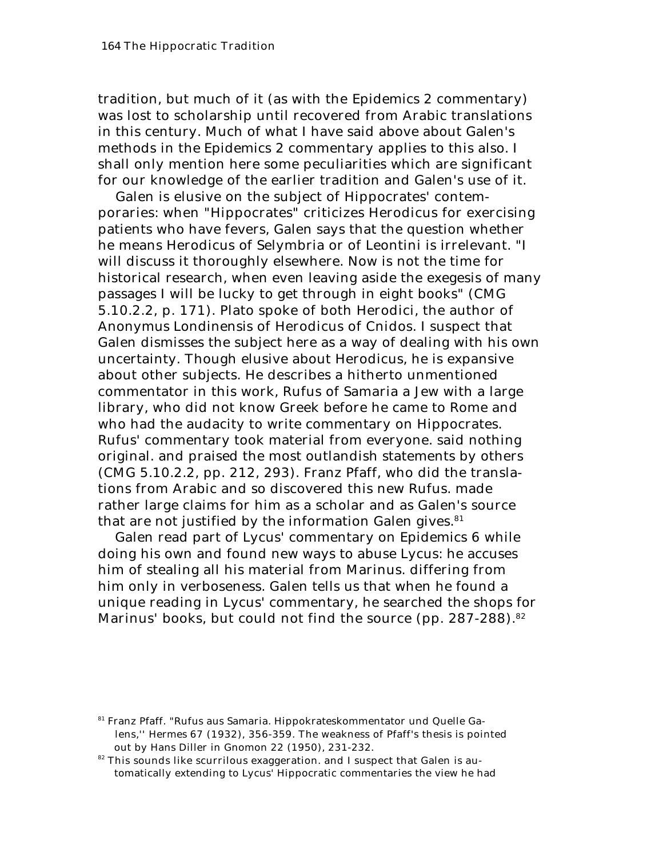tradition, but much of it (as with the *Epidemics* 2 commentary) was lost to scholarship until recovered from Arabic translations in this century. Much of what I have said above about Galen's methods in the *Epidemics* 2 commentary applies to this also. I shall only mention here some peculiarities which are significant for our knowledge of the earlier tradition and Galen's use of it.

 Galen is elusive on the subject of Hippocrates' contemporaries: when "Hippocrates" criticizes Herodicus for exercising patients who have fevers, Galen says that the question whether he means Herodicus of Selymbria or of Leontini is irrelevant. "I will discuss it thoroughly elsewhere. Now is not the time for historical research, when even leaving aside the exegesis of many passages I will be lucky to get through in eight books" (CMG 5.10.2.2, p. 171). Plato spoke of both Herodici, the author of *Anonymus Londinensis* of Herodicus of Cnidos. I suspect that Galen dismisses the subject here as a way of dealing with his own uncertainty. Though elusive about Herodicus, he is expansive about other subjects. He describes a hitherto unmentioned commentator in this work, Rufus of Samaria a Jew with a large library, who did not know Greek before he came to Rome and who had the audacity to write commentary on Hippocrates. Rufus' commentary took material from everyone. said nothing original. and praised the most outlandish statements by others (CMG 5.10.2.2, pp. 212, 293). Franz Pfaff, who did the translations from Arabic and so discovered this new Rufus. made rather large claims for him as a scholar and as Galen's source that are not justified by the information Galen gives. $81$ 

 Galen read part of Lycus' commentary on *Epidemics* 6 while doing his own and found new ways to abuse Lycus: he accuses him of stealing all his material from Marinus. differing from him only in verboseness. Galen tells us that when he found a unique reading in Lycus' commentary, he searched the shops for Marinus' books, but could not find the source (pp. 287-288).<sup>82</sup>

<sup>81</sup> Franz Pfaff. "Rufus aus Samaria. Hippokrateskommentator und Quelle Ga lens,'' *Hermes* 67 (1932), 356-359. The weakness of Pfaff's thesis is pointed out by Hans Diller in Gnomon 22 (1950), 231-232.

 $82$  This sounds like scurrilous exaggeration. and I suspect that Galen is automatically extending to Lycus' Hippocratic commentaries the view he had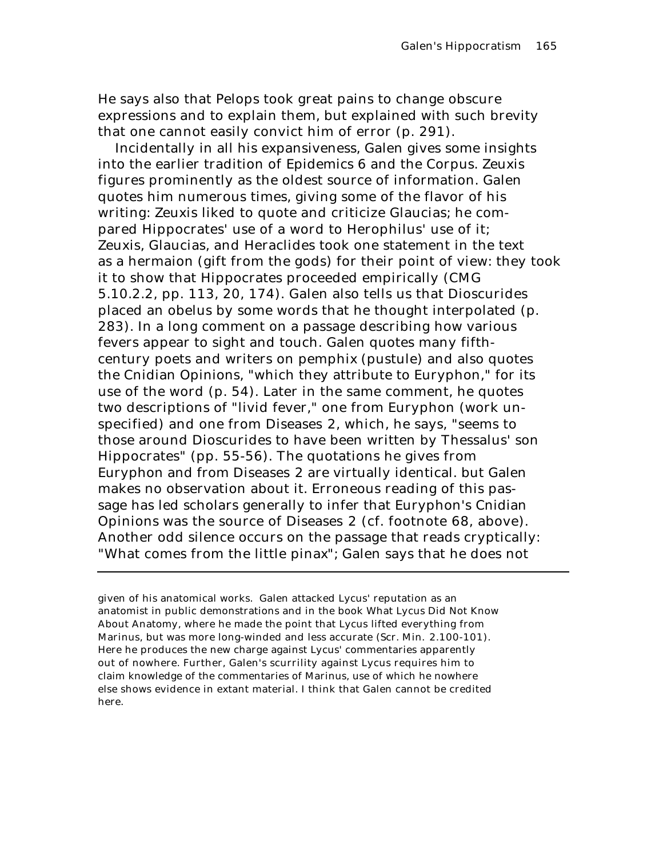He says also that Pelops took great pains to change obscure expressions and to explain them, but explained with such brevity that one cannot easily convict him of error (p. 291).

 Incidentally in all his expansiveness, Galen gives some insights into the earlier tradition of *Epidemics* 6 and the Corpus. Zeuxis figures prominently as the oldest source of information. Galen quotes him numerous times, giving some of the flavor of his writing: Zeuxis liked to quote and criticize Glaucias; he compared Hippocrates' use of a word to Herophilus' use of it; Zeuxis, Glaucias, and Heraclides took one statement in the text as a *hermaion* (gift from the gods) for their point of view: they took it to show that Hippocrates proceeded empirically (CMG 5.10.2.2, pp. 113, 20, 174). Galen also tells us that Dioscurides placed an obelus by some words that he thought interpolated (p. 283). In a long comment on a passage describing how various fevers appear to sight and touch. Galen quotes many fifthcentury poets and writers on *pemphix* (pustule) and also quotes the *Cnidian Opinions*, "which they attribute to Euryphon," for its use of the word (p. 54). Later in the same comment, he quotes two descriptions of "livid fever," one from Euryphon (work unspecified) and one from *Diseases* 2, which, he says, "seems to those around Dioscurides to have been written by Thessalus' son Hippocrates" (pp. 55-56). The quotations he gives from Euryphon and from *Diseases* 2 are virtually identical. but Galen makes no observation about it. Erroneous reading of this passage has led scholars generally to infer that Euryphon's *Cnidian Opinions* was the source of *Diseases* 2 (cf. footnote 68, above). Another odd silence occurs on the passage that reads cryptically: "What comes from the little *pinax*"; Galen says that he does not

given of his anatomical works. Galen attacked Lycus' reputation as an anatomist in public demonstrations and in the book *What Lycus Did Not Know About Anatomy*, where he made the point that Lycus lifted everything from Marinus, but was more long-winded and less accurate (*Scr. Min.* 2.100-101). Here he produces the new charge against Lycus' commentaries apparently out of nowhere. Further, Galen's scurrility against Lycus requires him to claim knowledge of the commentaries of Marinus, use of which he nowhere else shows evidence in extant material. I think that Galen cannot be credited here.

 $\overline{a}$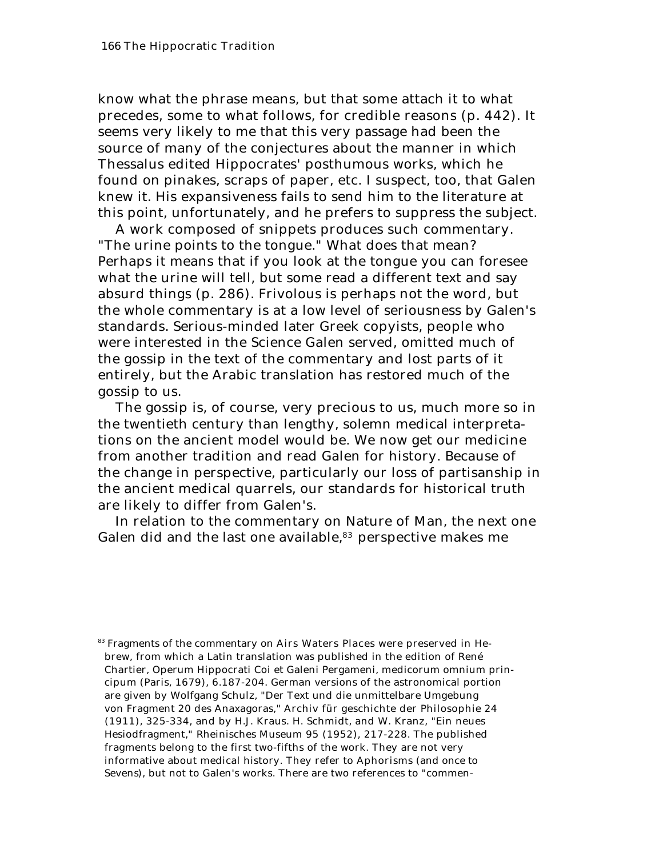know what the phrase means, but that some attach it to what precedes, some to what follows, for credible reasons (p. 442). It seems very likely to me that this very passage had been the source of many of the conjectures about the manner in which Thessalus edited Hippocrates' posthumous works, which he found on *pinakes*, scraps of paper, etc. I suspect, too, that Galen knew it. His expansiveness fails to send him to the literature at this point, unfortunately, and he prefers to suppress the subject.

 A work composed of snippets produces such commentary. "The urine points to the tongue." What does that mean? Perhaps it means that if you look at the tongue you can foresee what the urine will tell, but some read a different text and say absurd things (p. 286). Frivolous is perhaps not the word, but the whole commentary is at a low level of seriousness by Galen's standards. Serious-minded later Greek copyists, people who were interested in the Science Galen served, omitted much of the gossip in the text of the commentary and lost parts of it entirely, but the Arabic translation has restored much of the gossip to us.

 The gossip is, of course, very precious to us, much more so in the twentieth century than lengthy, solemn medical interpretations on the ancient model would be. We now get our medicine from another tradition and read Galen for history. Because of the change in perspective, particularly our loss of partisanship in the ancient medical quarrels, our standards for historical truth are likely to differ from Galen's.

 In relation to the commentary on *Nature of Man*, the next one Galen did and the last one available,<sup>83</sup> perspective makes me

<sup>83</sup> Fragments of the commentary on *Airs Waters Places* were preserved in He brew, from which a Latin translation was published in the edition of René Chartier, Operum Hippocrati Coi et Galeni Pergameni, medicorum omnium prin cipum (Paris, 1679), 6.187-204. German versions of the astronomical portion are given by Wolfgang Schulz, "Der Text und die unmittelbare Umgebung von Fragment 20 des Anaxagoras," *Archiv für geschichte der Philosophie* 24 (1911), 325-334, and by H.J. Kraus. H. Schmidt, and W. Kranz, "Ein neues Hesiodfragment," *Rheinisches Museum* 95 (1952), 217-228. The published fragments belong to the first two-fifths of the work. They are not very informative about medical history. They refer to *Aphorisms* (and once to *Sevens*), but not to Galen's works. There are two references to "commen-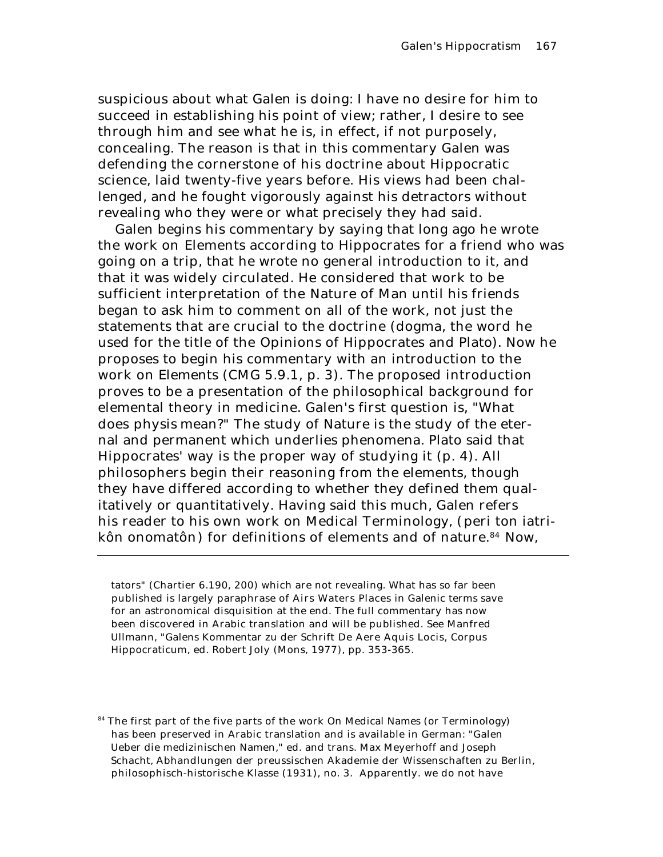suspicious about what Galen is doing: I have no desire for him to succeed in establishing his point of view; rather, I desire to see through him and see what he is, in effect, if not purposely, concealing. The reason is that in this commentary Galen was defending the cornerstone of his doctrine about Hippocratic science, laid twenty-five years before. His views had been challenged, and he fought vigorously against his detractors without revealing who they were or what precisely they had said.

 Galen begins his commentary by saying that long ago he wrote the work on *Elements according to Hippocrates* for a friend who was going on a trip, that he wrote no general introduction to it, and that it was widely circulated. He considered that work to be sufficient interpretation of the *Nature of Man* until his friends began to ask him to comment on all of the work, not just the statements that are crucial to the doctrine (dogma, the word he used for the title of the *Opinions of Hippocrates and Plato*). Now he proposes to begin his commentary with an introduction to the work on *Elements* (CMG 5.9.1, p. 3). The proposed introduction proves to be a presentation of the philosophical background for elemental theory in medicine. Galen's first question is, "What does *physis* mean?" The study of Nature is the study of the eternal and permanent which underlies phenomena. Plato said that Hippocrates' way is the proper way of studying it (p. 4). All philosophers begin their reasoning from the elements, though they have differed according to whether they defined them qualitatively or quantitatively. Having said this much, Galen refers his reader to his own work on *Medical Terminology*, (*peri ton iatrikôn onomatôn*) for definitions of elements and of nature.<sup>84</sup> Now,

 tators" (Chartier 6.190, 200) which are not revealing. What has so far been published is largely paraphrase of *Airs Waters Places* in Galenic terms save for an astronomical disquisition at the end. The full commentary has now been discovered in Arabic translation and will be published. See Manfred Ullmann, "Galens Kommentar zu der Schrift *De Aere Aquis Locis,* Corpus Hippocraticum, ed. Robert JoIy (Mons, 1977), pp. 353-365.

 $\overline{a}$ 

<sup>84</sup> The first part of the five parts of the work *On Medical Names* (or *Terminology*) has been preserved in Arabic translation and is available in German: "Galen *Ueber die medizinischen Namen*," ed. and trans. Max Meyerhoff and Joseph Schacht, *Abhandlungen der preussischen Akademie der Wissenschaften zu Berlin*, philosophisch-historische Klasse (1931), no. 3. Apparently. we do not have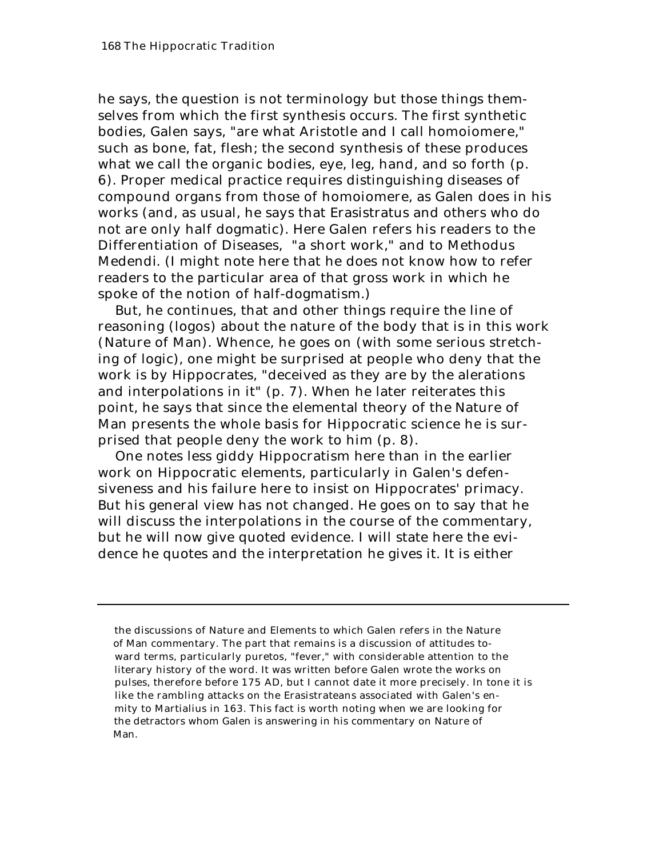$\overline{a}$ 

he says, the question is not terminology but those things themselves from which the first synthesis occurs. The first synthetic bodies, Galen says, "are what Aristotle and I call *homoiomere*," such as bone, fat, flesh; the second synthesis of these produces what we call the organic bodies, eye, leg, hand, and so forth (p. 6). Proper medical practice requires distinguishing diseases of compound organs from those of *homoiomere*, as Galen does in his works (and, as usual, he says that Erasistratus and others who do not are only half dogmatic). Here Galen refers his readers to the *Differentiation of Diseases*, "a short work," and to *Methodus Medendi*. (I might note here that he does not know how to refer readers to the particular area of that gross work in which he spoke of the notion of half-dogmatism.)

 But, he continues, that and other things require the line of reasoning (*logos*) about the nature of the body that is in this work (*Nature of Man*). Whence, he goes on (with some serious stretching of logic), one might be surprised at people who deny that the work is by Hippocrates, "deceived as they are by the alerations and interpolations in it" (p. 7). When he later reiterates this point, he says that since the elemental theory of the *Nature of Man* presents the whole basis for Hippocratic science he is surprised that people deny the work to him (p. 8).

 One notes less giddy Hippocratism here than in the earlier work on Hippocratic elements, particularly in Galen's defensiveness and his failure here to insist on Hippocrates' primacy. But his general view has not changed. He goes on to say that he will discuss the interpolations in the course of the commentary, but he will now give quoted evidence. I will state here the evidence he quotes and the interpretation he gives it. It is either

the discussions of Nature and Elements to which Galen refers in the *Nature of Man* commentary. The part that remains is a discussion of attitudes to ward terms, particularly *puretos*, "fever," with considerable attention to the literary history of the word. It was written before Galen wrote the works on pulses, therefore before 175 AD, but I cannot date it more precisely. In tone it is like the rambling attacks on the Erasistrateans associated with Galen's en mity to Martialius in 163. This fact is worth noting when we are looking for the detractors whom Galen is answering in his commentary on *Nature of Man*.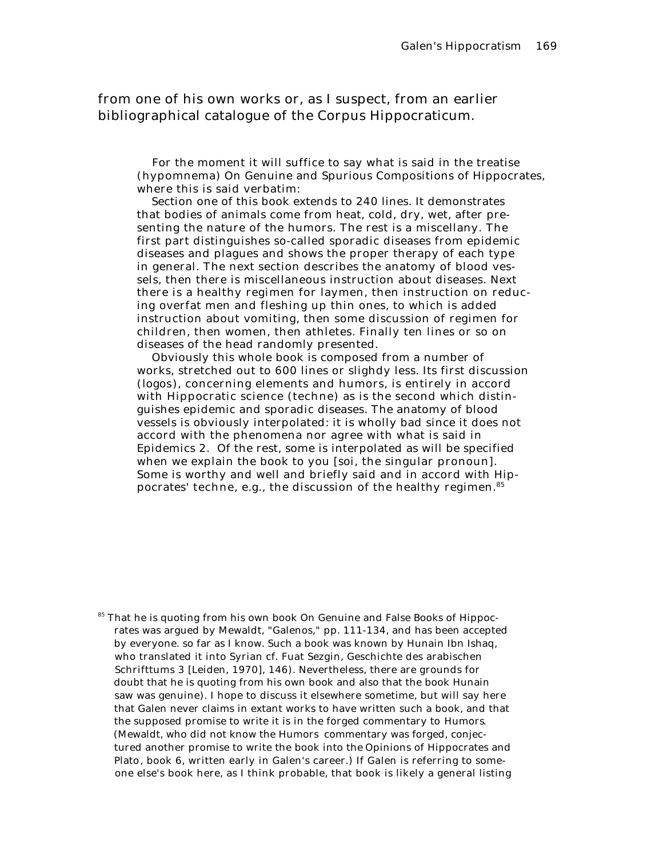from one of his own works or, as I suspect, from an earlier bibliographical catalogue of the Corpus Hippocraticum.

 For the moment it will suffice to say what is said in the treatise (*hypomnema*) *On Genuine and Spurious Compositions of Hippocrates*, where this is said verbatim:

 Section one of this book extends to 240 lines. It demonstrates that bodies of animals come from heat, cold, dry, wet, after presenting the nature of the humors. The rest is a miscellany. The first part distinguishes so-called sporadic diseases from epidemic diseases and plagues and shows the proper therapy of each type in general. The next section describes the anatomy of blood vessels, then there is miscellaneous instruction about diseases. Next there is a healthy regimen for laymen, then instruction on reducing overfat men and fleshing up thin ones, to which is added instruction about vomiting, then some discussion of regimen for children, then women, then athletes. Finally ten lines or so on diseases of the head randomly presented.

 Obviously this whole book is composed from a number of works, stretched out to 600 lines or slighdy less. Its first discussion (*logos*), concerning elements and humors, is entirely in accord with Hippocratic science (*techne*) as is the second which distinguishes epidemic and sporadic diseases. The anatomy of blood vessels is obviously interpolated: it is wholly bad since it does not accord with the phenomena nor agree with what is said in *Epidemics* 2. Of the rest, some is interpolated as will be specified when we explain the book to you [*soi*, the singular pronoun]. Some is worthy and well and briefly said and in accord with Hippocrates' *techne*, e.g., the discussion of the healthy regimen.<sup>85</sup>

<sup>85</sup> That he is quoting from his own book *On Genuine and False Books of Hippoc* rates was argued by Mewaldt, "Galenos," pp. 111-134, and has been accepted by everyone. so far as I know. Such a book was known by Hunain Ibn Ishaq, who translated it into Syrian cf. Fuat Sezgin, *Geschichte des arabischen Schrifttums* 3 [Leiden, 1970], 146). Nevertheless, there are grounds for doubt that he is quoting from his own book and also that the book Hunain saw was genuine). I hope to discuss it elsewhere sometime, but will say here that Galen never claims in extant works to have written such a book, and that the supposed promise to write it is in the forged commentary to *Humors*. (Mewaldt, who did not know the *Humors* commentary was forged, conjec tured another promise to write the book into the *Opinions of Hippocrates and Plato*, book 6, written early in Galen's career.) If Galen is referring to some one else's book here, as I think probable, that book is likely a general listing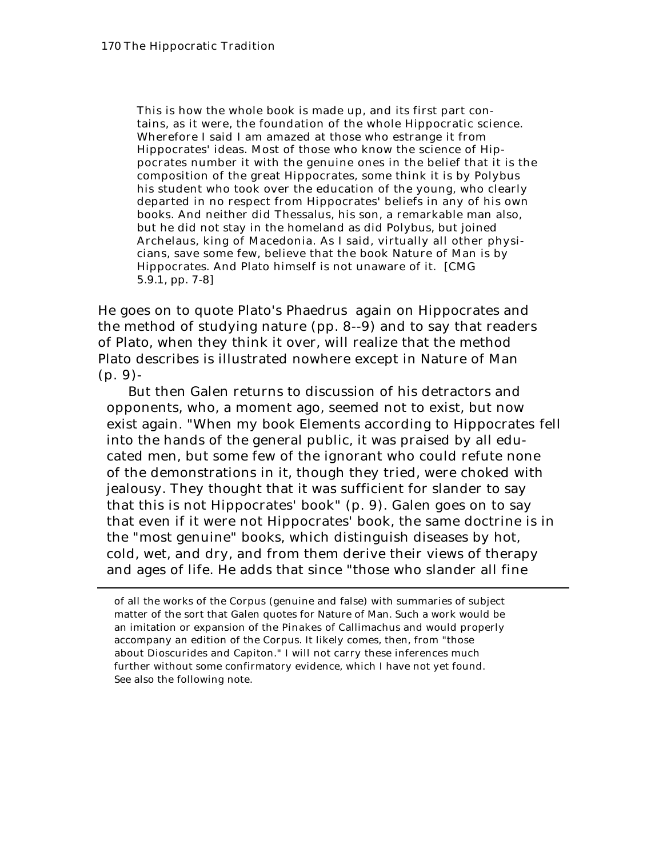$\overline{a}$ 

This is how the whole book is made up, and its first part contains, as it were, the foundation of the whole Hippocratic science. Wherefore I said I am amazed at those who estrange it from Hippocrates' ideas. Most of those who know the science of Hippocrates number it with the genuine ones in the belief that it is the composition of the great Hippocrates, some think it is by Polybus his student who took over the education of the young, who clearly departed in no respect from Hippocrates' beliefs in any of his own books. And neither did Thessalus, his son, a remarkable man also, but he did not stay in the homeland as did Polybus, but joined Archelaus, king of Macedonia. As I said, virtually all other physicians, save some few, believe that the book *Nature of Man* is by Hippocrates. And Plato himself is not unaware of it. [CMG 5.9.1, pp. 7-8]

He goes on to quote Plato's *Phaedrus* again on Hippocrates and the method of studying nature (pp. 8--9) and to say that readers of Plato, when they think it over, will realize that the method Plato describes is illustrated nowhere except in *Nature of Man* (p. 9)-

 But then Galen returns to discussion of his detractors and opponents, who, a moment ago, seemed not to exist, but now exist again. "When my book *Elements according to Hippocrates* fell into the hands of the general public, it was praised by all edu cated men, but some few of the ignorant who could refute none of the demonstrations in it, though they tried, were choked with jealousy. They thought that it was sufficient for slander to say that this is not Hippocrates' book" (p. 9). Galen goes on to say that even if it were not Hippocrates' book, the same doctrine is in the "most genuine" books, which distinguish diseases by hot, cold, wet, and dry, and from them derive their views of therapy and ages of life. He adds that since "those who slander all fine

of all the works of the Corpus (genuine and false) with summaries of subject matter of the sort that Galen quotes for *Nature of Man*. Such a work would be an imitation or expansion of the *Pinakes* of Callimachus and would properly accompany an edition of the Corpus. It likely comes, then, from "those about Dioscurides and Capiton." I will not carry these inferences much further without some confirmatory evidence, which I have not yet found. See also the following note.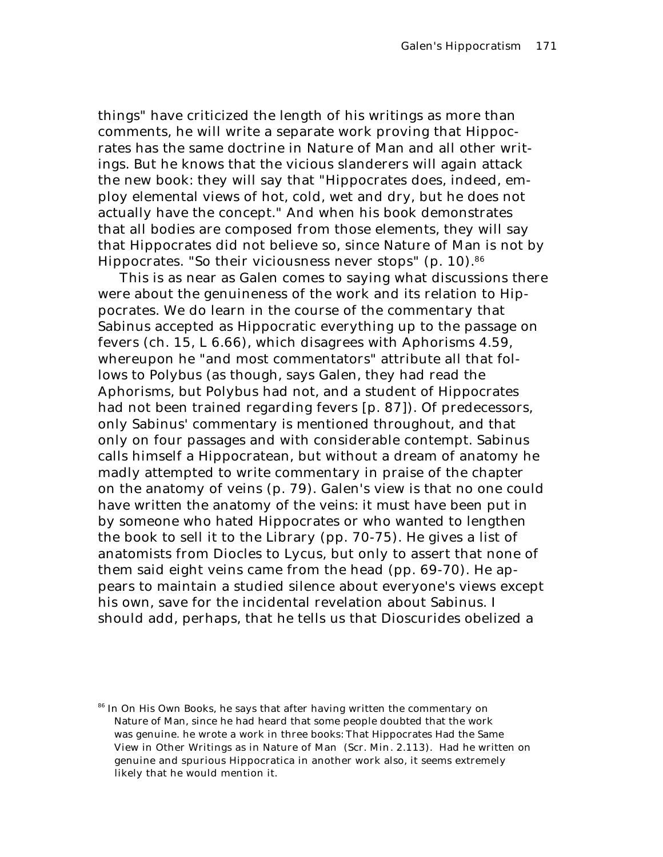things" have criticized the length of his writings as more than comments, he will write a separate work proving that Hippocrates has the same doctrine in *Nature of Man* and all other writings. But he knows that the vicious slanderers will again attack the new book: they will say that "Hippocrates does, indeed, employ elemental views of hot, cold, wet and dry, but he does not actually have the concept." And when his book demonstrates that all bodies are composed from those elements, they will say that Hippocrates did not believe so, since *Nature of Man* is not by Hippocrates. "So their viciousness never stops" (p. 10).<sup>86</sup>

 This is as near as Galen comes to saying what discussions there were about the genuineness of the work and its relation to Hippocrates. We do learn in the course of the commentary that Sabinus accepted as Hippocratic everything up to the passage on fevers (ch. 15, L 6.66), which disagrees with *Aphorisms* 4.59, whereupon he "and most commentators" attribute all that follows to Polybus (as though, says Galen, they had read the *Aphorisms*, but Polybus had not, and a student of Hippocrates had not been trained regarding fevers [p. 87]). Of predecessors, only Sabinus' commentary is mentioned throughout, and that only on four passages and with considerable contempt. Sabinus calls himself a Hippocratean, but without a dream of anatomy he madly attempted to write commentary in praise of the chapter on the anatomy of veins (p. 79). Galen's view is that no one could have written the anatomy of the veins: it must have been put in by someone who hated Hippocrates or who wanted to lengthen the book to sell it to the Library (pp. 70-75). He gives a list of anatomists from Diocles to Lycus, but only to assert that none of them said eight veins came from the head (pp. 69-70). He appears to maintain a studied silence about everyone's views except his own, save for the incidental revelation about Sabinus. I should add, perhaps, that he tells us that Dioscurides obelized a

<sup>&</sup>lt;sup>86</sup> In On His Own Books, he says that after having written the commentary on *Nature of Man*, since he had heard that some people doubted that the work was genuine. he wrote a work in three books: *That Hippocrates Had the Same View in Other Writings as in Nature of Man* (*Scr. Min*. 2.113). Had he written on genuine and spurious Hippocratica in another work also, it seems extremely likely that he would mention it.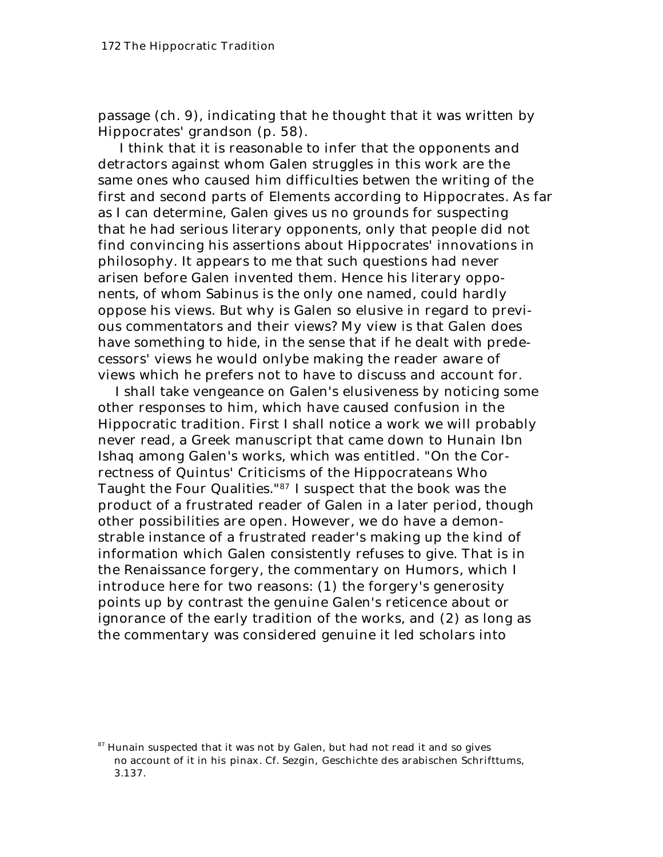passage (ch. 9), indicating that he thought that it was written by Hippocrates' grandson (p. 58).

 I think that it is reasonable to infer that the opponents and detractors against whom Galen struggles in this work are the same ones who caused him difficulties betwen the writing of the first and second parts of *Elements according to Hippocrates*. As far as I can determine, Galen gives us no grounds for suspecting that he had serious literary opponents, only that people did not find convincing his assertions about Hippocrates' innovations in philosophy. It appears to me that such questions had never arisen before Galen invented them. Hence his literary opponents, of whom Sabinus is the only one named, could hardly oppose his views. But why is Galen so elusive in regard to previous commentators and their views? My view is that Galen does have something to hide, in the sense that if he dealt with predecessors' views he would onlybe making the reader aware of views which he prefers not to have to discuss and account for.

 I shall take vengeance on Galen's elusiveness by noticing some other responses to him, which have caused confusion in the Hippocratic tradition. First I shall notice a work we will probably never read, a Greek manuscript that came down to Hunain Ibn Ishaq among Galen's works, which was entitled. "On the Correctness of Quintus' Criticisms of the Hippocrateans Who Taught the Four Qualities."87 I suspect that the book was the product of a frustrated reader of Galen in a later period, though other possibilities are open. However, we do have a demonstrable instance of a frustrated reader's making up the kind of information which Galen consistently refuses to give. That is in the Renaissance forgery, the commentary on *Humors*, which I introduce here for two reasons: (1) the forgery's generosity points up by contrast the genuine Galen's reticence about or ignorance of the early tradition of the works, and (2) as long as the commentary was considered genuine it led scholars into

 $87$  Hunain suspected that it was not by Galen, but had not read it and so gives no account of it in his *pinax*. Cf. Sezgin, *Geschichte des arabischen Schrifttums*, 3.137.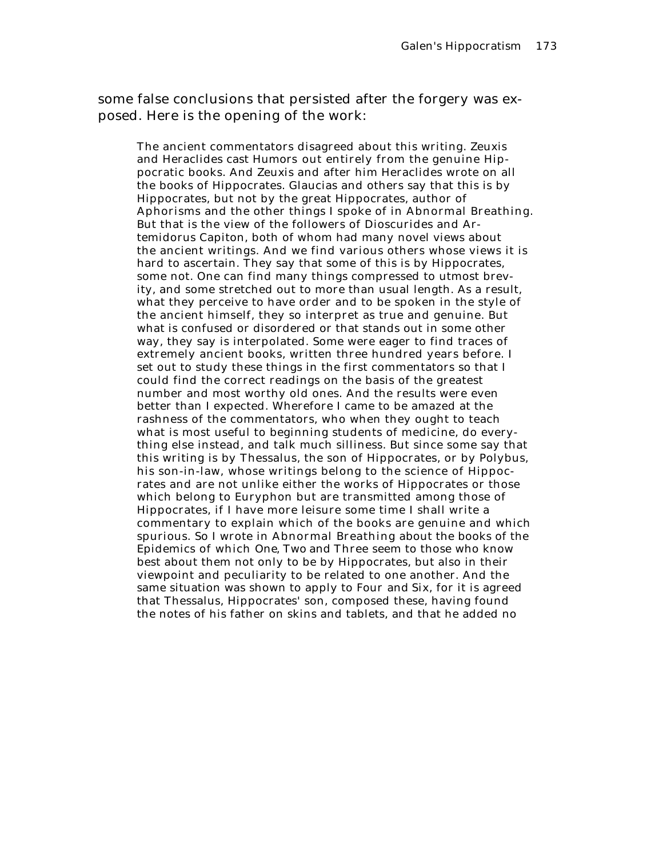some false conclusions that persisted after the forgery was exposed. Here is the opening of the work:

The ancient commentators disagreed about this writing. Zeuxis and Heraclides cast *Humors* out entirely from the genuine Hippocratic books. And Zeuxis and after him Heraclides wrote on all the books of Hippocrates. Glaucias and others say that this is by Hippocrates, but not by the great Hippocrates, author of *Aphorisms* and the other things I spoke of in *Abnormal Breathing*. But that is the view of the followers of Dioscurides and Artemidorus Capiton, both of whom had many novel views about the ancient writings. And we find various others whose views it is hard to ascertain. They say that some of this is by Hippocrates, some not. One can find many things compressed to utmost brevity, and some stretched out to more than usual length. As a result, what they perceive to have order and to be spoken in the style of the ancient himself, they so interpret as true and genuine. But what is confused or disordered or that stands out in some other way, they say is interpolated. Some were eager to find traces of extremely ancient books, written three hundred years before. I set out to study these things in the first commentators so that I could find the correct readings on the basis of the greatest number and most worthy old ones. And the results were even better than I expected. Wherefore I came to be amazed at the rashness of the commentators, who when they ought to teach what is most useful to beginning students of medicine, do everything else instead, and talk much silliness. But since some say that this writing is by Thessalus, the son of Hippocrates, or by Polybus, his son-in-law, whose writings belong to the science of Hippocrates and are not unlike either the works of Hippocrates or those which belong to Euryphon but are transmitted among those of Hippocrates, if I have more leisure some time I shall write a commentary to explain which of the books are genuine and which spurious. So I wrote in *Abnormal Breathing* about the books of the *Epidemics* of which *One*, *Two* and *Three* seem to those who know best about them not only to be by Hippocrates, but also in their viewpoint and peculiarity to be related to one another. And the same situation was shown to apply to *Four* and *Six*, for it is agreed that Thessalus, Hippocrates' son, composed these, having found the notes of his father on skins and tablets, and that he added no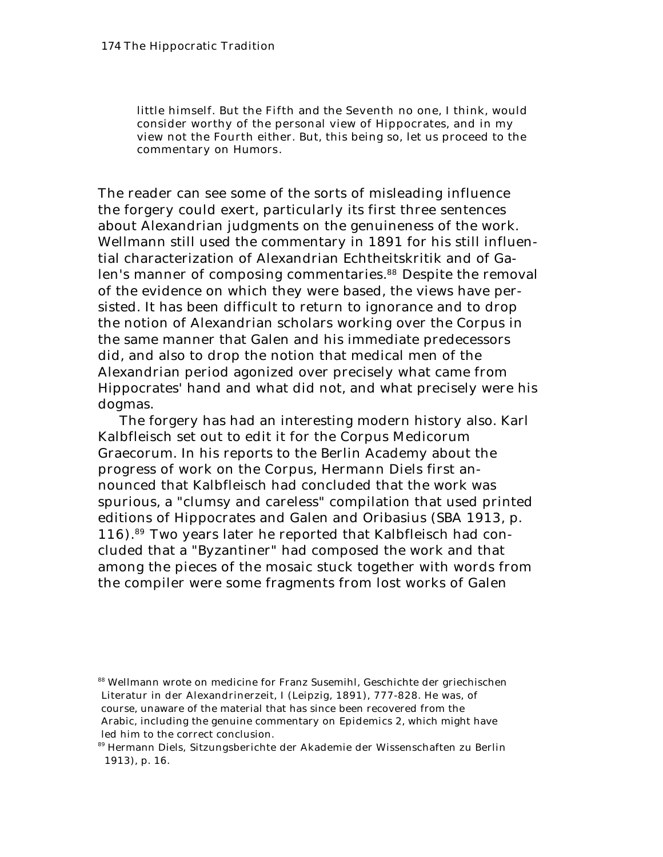little himself. But the *Fifth* and the *Seventh* no one, I think, would consider worthy of the personal view of Hippocrates, and in my view not the *Fourth* either. But, this being so, let us proceed to the commentary on *Humors*.

The reader can see some of the sorts of misleading influence the forgery could exert, particularly its first three sentences about Alexandrian judgments on the genuineness of the work. Wellmann still used the commentary in 1891 for his still influential characterization of Alexandrian Echtheitskritik and of Galen's manner of composing commentaries.<sup>88</sup> Despite the removal of the evidence on which they were based, the views have persisted. It has been difficult to return to ignorance and to drop the notion of Alexandrian scholars working over the Corpus in the same manner that Galen and his immediate predecessors did, and also to drop the notion that medical men of the Alexandrian period agonized over precisely what came from Hippocrates' hand and what did not, and what precisely were his dogmas.

 The forgery has had an interesting modern history also. Karl Kalbfleisch set out to edit it for the Corpus Medicorum Graecorum. In his reports to the Berlin Academy about the progress of work on the Corpus, Hermann Diels first announced that Kalbfleisch had concluded that the work was spurious, a "clumsy and careless" compilation that used printed editions of Hippocrates and Galen and Oribasius (SBA 1913, p. 116).89 Two years later he reported that Kalbfleisch had concluded that a "Byzantiner" had composed the work and that among the pieces of the mosaic stuck together with words from the compiler were some fragments from lost works of Galen

<sup>88</sup> Wellmann wrote on medicine for Franz Susemihl, Geschichte der griechischen Literatur in der Alexandrinerzeit, I (Leipzig, 1891), 777-828. He was, of course, unaware of the material that has since been recovered from the Arabic, including the genuine commentary on *Epidemics* 2, which might have led him to the correct conclusion.

<sup>89</sup> Hermann Diels, *Sitzungsberichte der Akademie der Wissenschaften zu Berlin* 1913), p. 16.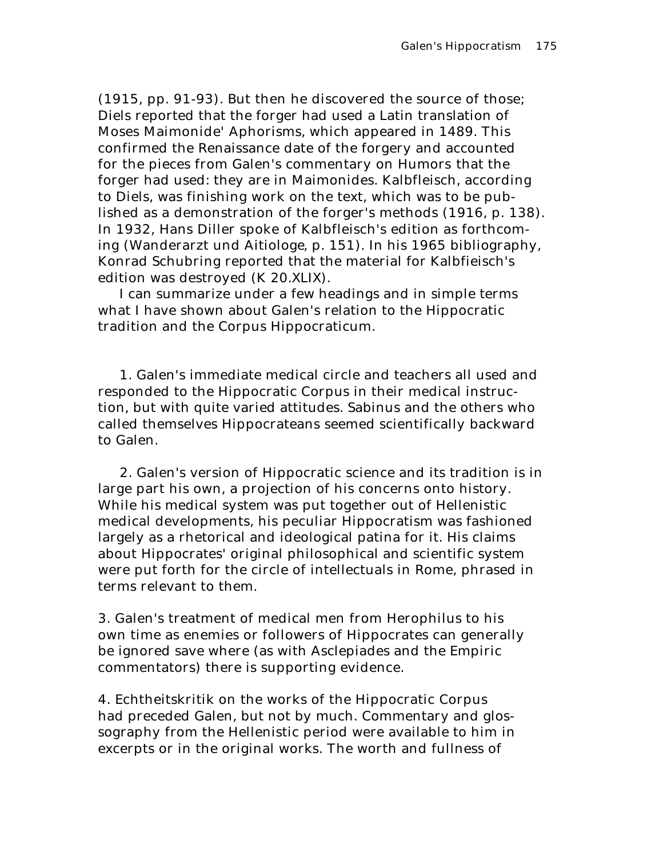(1915, pp. 91-93). But then he discovered the source of those; Diels reported that the forger had used a Latin translation of Moses Maimonide' *Aphorisms*, which appeared in 1489. This confirmed the Renaissance date of the forgery and accounted for the pieces from Galen's commentary on *Humors* that the forger had used: they are in Maimonides. Kalbfleisch, according to Diels, was finishing work on the text, which was to be published as a demonstration of the forger's methods (1916, p. 138). In 1932, Hans Diller spoke of Kalbfleisch's edition as forthcoming (*Wanderarzt und Aitiologe*, p. 151). In his 1965 bibliography, Konrad Schubring reported that the material for Kalbfieisch's edition was destroyed (K 20.XLIX).

 I can summarize under a few headings and in simple terms what I have shown about Galen's relation to the Hippocratic tradition and the Corpus Hippocraticum.

 1. Galen's immediate medical circle and teachers all used and responded to the Hippocratic Corpus in their medical instruction, but with quite varied attitudes. Sabinus and the others who called themselves Hippocrateans seemed scientifically backward to Galen.

 2. Galen's version of Hippocratic science and its tradition is in large part his own, a projection of his concerns onto history. While his medical system was put together out of Hellenistic medical developments, his peculiar Hippocratism was fashioned largely as a rhetorical and ideological patina for it. His claims about Hippocrates' original philosophical and scientific system were put forth for the circle of intellectuals in Rome, phrased in terms relevant to them.

3. Galen's treatment of medical men from Herophilus to his own time as enemies or followers of Hippocrates can generally be ignored save where (as with Asclepiades and the Empiric commentators) there is supporting evidence.

4. Echtheitskritik on the works of the Hippocratic Corpus had preceded Galen, but not by much. Commentary and glossography from the Hellenistic period were available to him in excerpts or in the original works. The worth and fullness of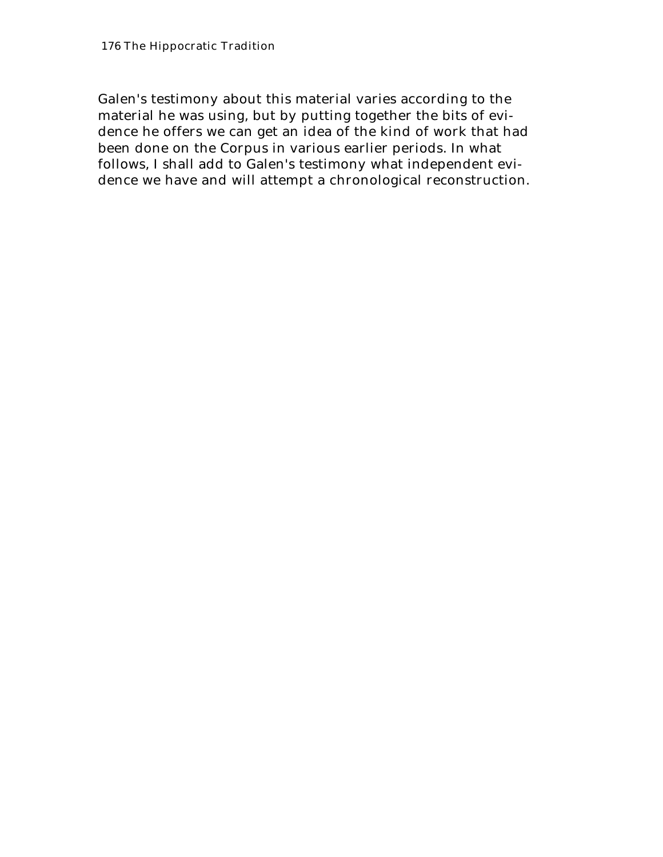Galen's testimony about this material varies according to the material he was using, but by putting together the bits of evidence he offers we can get an idea of the kind of work that had been done on the Corpus in various earlier periods. In what follows, I shall add to Galen's testimony what independent evidence we have and will attempt a chronological reconstruction.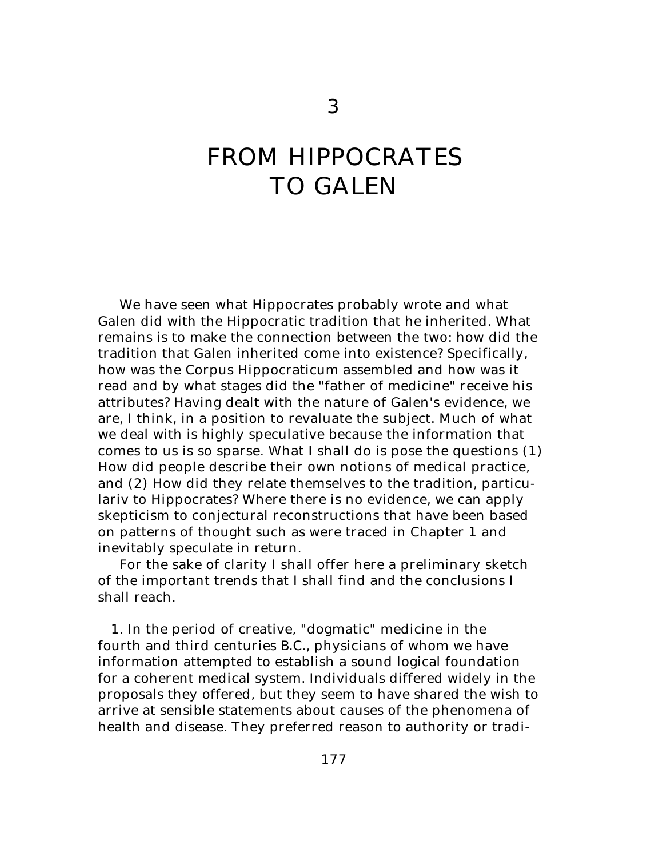## FROM HIPPOCRATES TO GALEN

 We have seen what Hippocrates probably wrote and what Galen did with the Hippocratic tradition that he inherited. What remains is to make the connection between the two: how did the tradition that Galen inherited come into existence? Specifically, how was the Corpus Hippocraticum assembled and how was it read and by what stages did the "father of medicine" receive his attributes? Having dealt with the nature of Galen's evidence, we are, I think, in a position to revaluate the subject. Much of what we deal with is highly speculative because the information that comes to us is so sparse. What I shall do is pose the questions (1) How did people describe their own notions of medical practice, and (2) How did they relate themselves to the tradition, particulariv to Hippocrates? Where there is no evidence, we can apply skepticism to conjectural reconstructions that have been based on patterns of thought such as were traced in Chapter 1 and inevitably speculate in return.

 For the sake of clarity I shall offer here a preliminary sketch of the important trends that I shall find and the conclusions I shall reach.

 1. In the period of creative, "dogmatic" medicine in the fourth and third centuries B.C., physicians of whom we have information attempted to establish a sound logical foundation for a coherent medical system. Individuals differed widely in the proposals they offered, but they seem to have shared the wish to arrive at sensible statements about causes of the phenomena of health and disease. They preferred reason to authority or tradi-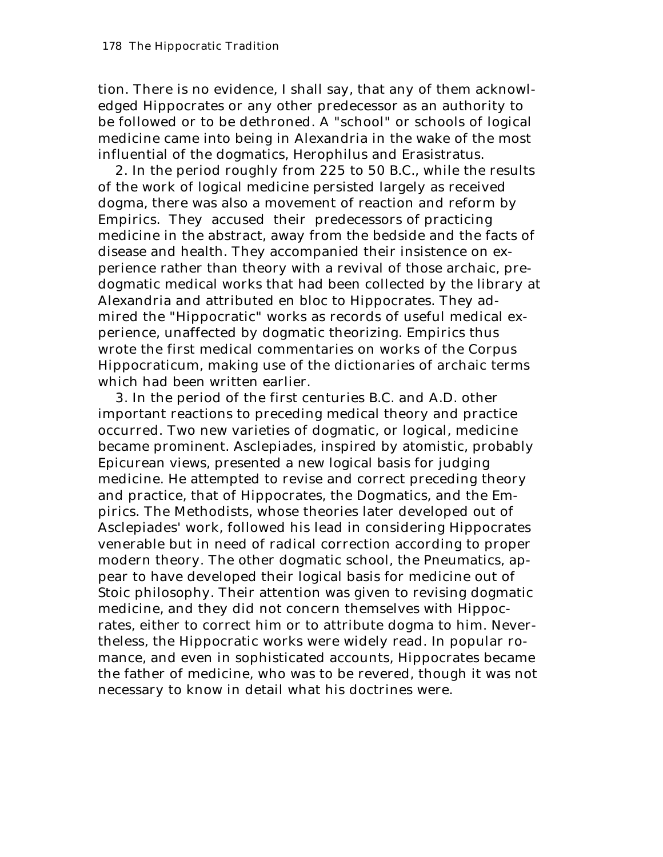tion. There is no evidence, I shall say, that any of them acknowledged Hippocrates or any other predecessor as an authority to be followed or to be dethroned. A "school" or schools of logical medicine came into being in Alexandria in the wake of the most influential of the dogmatics, Herophilus and Erasistratus.

 2. In the period roughly from 225 to 50 B.C., while the results of the work of logical medicine persisted largely as received dogma, there was also a movement of reaction and reform by Empirics. They accused their predecessors of practicing medicine in the abstract, away from the bedside and the facts of disease and health. They accompanied their insistence on experience rather than theory with a revival of those archaic, predogmatic medical works that had been collected by the library at Alexandria and attributed en bloc to Hippocrates. They admired the "Hippocratic" works as records of useful medical experience, unaffected by dogmatic theorizing. Empirics thus wrote the first medical commentaries on works of the Corpus Hippocraticum, making use of the dictionaries of archaic terms which had been written earlier.

 3. In the period of the first centuries B.C. and A.D. other important reactions to preceding medical theory and practice occurred. Two new varieties of dogmatic, or logical, medicine became prominent. Asclepiades, inspired by atomistic, probably Epicurean views, presented a new logical basis for judging medicine. He attempted to revise and correct preceding theory and practice, that of Hippocrates, the Dogmatics, and the Empirics. The Methodists, whose theories later developed out of Asclepiades' work, followed his lead in considering Hippocrates venerable but in need of radical correction according to proper modern theory. The other dogmatic school, the Pneumatics, appear to have developed their logical basis for medicine out of Stoic philosophy. Their attention was given to revising dogmatic medicine, and they did not concern themselves with Hippocrates, either to correct him or to attribute dogma to him. Nevertheless, the Hippocratic works were widely read. In popular romance, and even in sophisticated accounts, Hippocrates became the father of medicine, who was to be revered, though it was not necessary to know in detail what his doctrines were.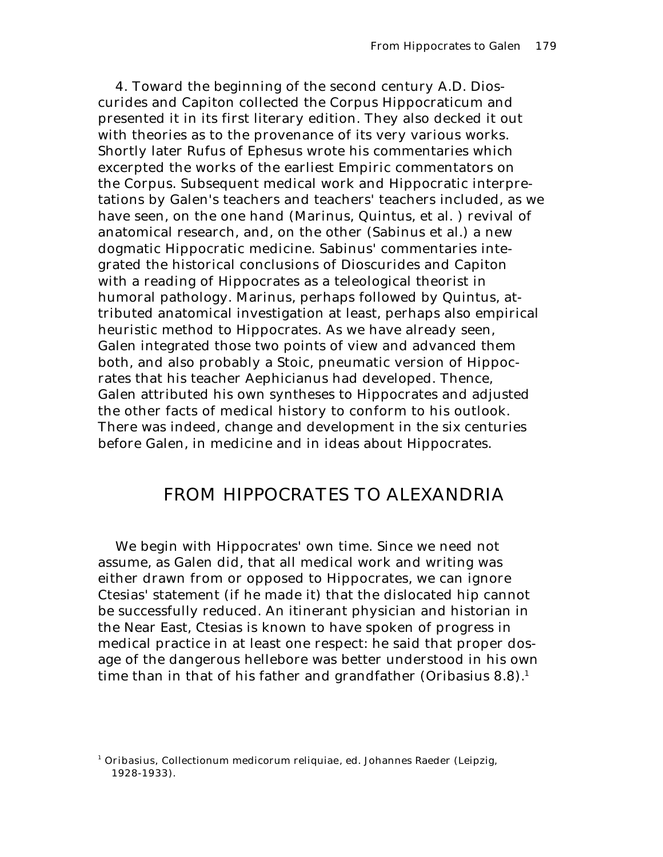4. Toward the beginning of the second century A.D. Dioscurides and Capiton collected the Corpus Hippocraticum and presented it in its first literary edition. They also decked it out with theories as to the provenance of its very various works. Shortly later Rufus of Ephesus wrote his commentaries which excerpted the works of the earliest Empiric commentators on the Corpus. Subsequent medical work and Hippocratic interpretations by Galen's teachers and teachers' teachers included, as we have seen, on the one hand (Marinus, Quintus, et al. ) revival of anatomical research, and, on the other (Sabinus et al.) a new dogmatic Hippocratic medicine. Sabinus' commentaries integrated the historical conclusions of Dioscurides and Capiton with a reading of Hippocrates as a teleological theorist in humoral pathology. Marinus, perhaps followed by Quintus, attributed anatomical investigation at least, perhaps also empirical heuristic method to Hippocrates. As we have already seen, Galen integrated those two points of view and advanced them both, and also probably a Stoic, pneumatic version of Hippocrates that his teacher Aephicianus had developed. Thence, Galen attributed his own syntheses to Hippocrates and adjusted the other facts of medical history to conform to his outlook. There was indeed, change and development in the six centuries before Galen, in medicine and in ideas about Hippocrates.

## FROM HIPPOCRATES TO ALEXANDRIA

 We begin with Hippocrates' own time. Since we need not assume, as Galen did, that all medical work and writing was either drawn from or opposed to Hippocrates, we can ignore Ctesias' statement (if he made it) that the dislocated hip cannot be successfully reduced. An itinerant physician and historian in the Near East, Ctesias is known to have spoken of progress in medical practice in at least one respect: he said that proper dosage of the dangerous hellebore was better understood in his own time than in that of his father and grandfather (Oribasius  $8.8$ ).<sup>1</sup>

1 Oribasius, *Collectionum medicorum reliquiae*, ed. Johannes Raeder (Leipzig, 1928-1933).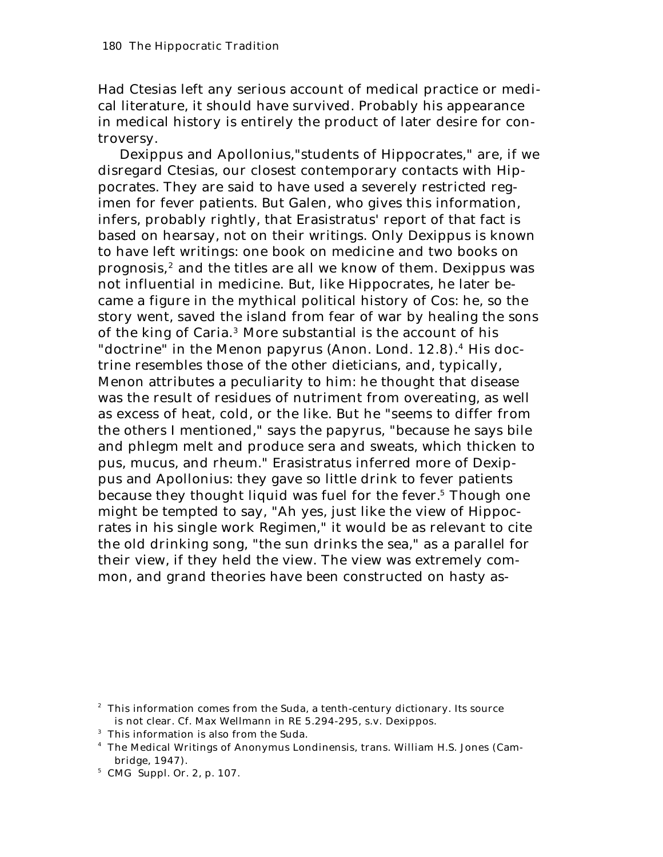Had Ctesias left any serious account of medical practice or medical literature, it should have survived. Probably his appearance in medical history is entirely the product of later desire for controversy.

 Dexippus and Apollonius,"students of Hippocrates," are, if we disregard Ctesias, our closest contemporary contacts with Hippocrates. They are said to have used a severely restricted regimen for fever patients. But Galen, who gives this information, infers, probably rightly, that Erasistratus' report of that fact is based on hearsay, not on their writings. Only Dexippus is known to have left writings: one book on medicine and two books on prognosis,<sup>2</sup> and the titles are all we know of them. Dexippus was not influential in medicine. But, like Hippocrates, he later became a figure in the mythical political history of Cos: he, so the story went, saved the island from fear of war by healing the sons of the king of Caria.<sup>3</sup> More substantial is the account of his "doctrine" in the Menon papyrus (Anon. Lond. 12.8).<sup>4</sup> His doctrine resembles those of the other dieticians, and, typically, Menon attributes a peculiarity to him: he thought that disease was the result of residues of nutriment from overeating, as well as excess of heat, cold, or the like. But he "seems to differ from the others I mentioned," says the papyrus, "because he says bile and phlegm melt and produce sera and sweats, which thicken to pus, mucus, and rheum." Erasistratus inferred more of Dexippus and Apollonius: they gave so little drink to fever patients because they thought liquid was fuel for the fever.<sup>5</sup> Though one might be tempted to say, "Ah yes, just like the view of Hippocrates in his single work *Regimen*," it would be as relevant to cite the old drinking song, "the sun drinks the sea," as a parallel for their view, if they held the view. The view was extremely common, and grand theories have been constructed on hasty as-

 $2^2$  This information comes from the Suda, a tenth-century dictionary. Its source is not clear. Cf. Max Wellmann in *RE* 5.294-295, s.v. Dexippos.

<sup>&</sup>lt;sup>3</sup> This information is also from the Suda.

<sup>4</sup> *The Medical Writings of Anonymus Londinensis*, trans. William H.S. Jones (Cam bridge, 1947).

<sup>5</sup> CMG Suppl. Or. 2, p. 107.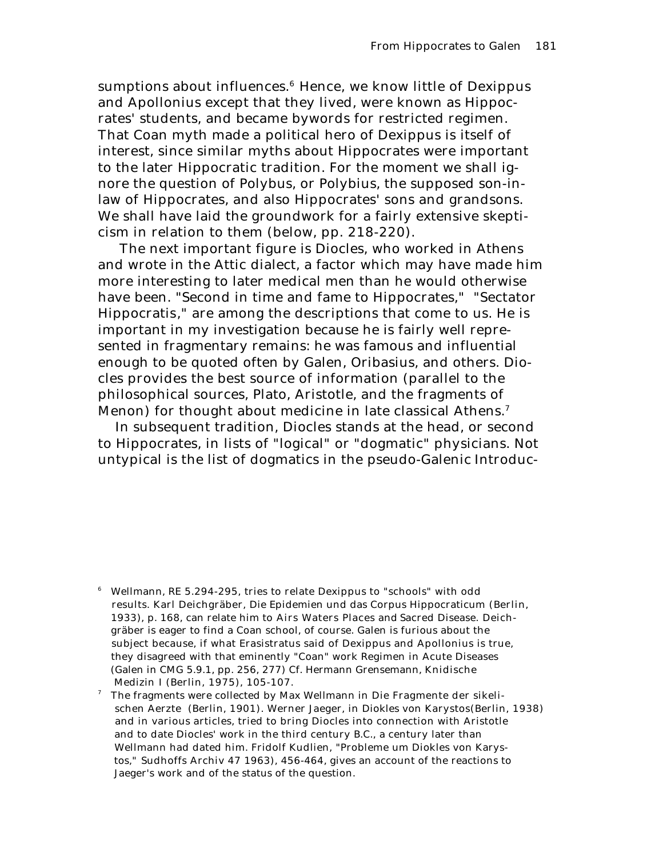sumptions about influences.<sup>6</sup> Hence, we know little of Dexippus and Apollonius except that they lived, were known as Hippocrates' students, and became bywords for restricted regimen. That Coan myth made a political hero of Dexippus is itself of interest, since similar myths about Hippocrates were important to the later Hippocratic tradition. For the moment we shall ignore the question of Polybus, or Polybius, the supposed son-inlaw of Hippocrates, and also Hippocrates' sons and grandsons. We shall have laid the groundwork for a fairly extensive skepticism in relation to them (below, pp. 218-220).

 The next important figure is Diocles, who worked in Athens and wrote in the Attic dialect, a factor which may have made him more interesting to later medical men than he would otherwise have been. "Second in time and fame to Hippocrates," "*Sectator Hippocratis*," are among the descriptions that come to us. He is important in my investigation because he is fairly well represented in fragmentary remains: he was famous and influential enough to be quoted often by Galen, Oribasius, and others. Diocles provides the best source of information (parallel to the philosophical sources, Plato, Aristotle, and the fragments of Menon) for thought about medicine in late classical Athens.<sup>7</sup>

 In subsequent tradition, Diocles stands at the head, or second to Hippocrates, in lists of "logical" or "dogmatic" physicians. Not untypical is the list of dogmatics in the pseudo-Galenic *Introduc*-

<sup>6</sup> Wellmann, *RE* 5.294-295, tries to relate Dexippus to "schools" with odd results. Karl Deichgräber, *Die Epidemien und das Corpus Hippocraticum* (Berlin, 1933), p. 168, can relate him to *Airs Waters Places* and *Sacred Disease*. Deich gräber is eager to find a Coan school, of course. Galen is furious about the subject because, if what Erasistratus said of Dexippus and Apollonius is true, they disagreed with that eminently "Coan" work *Regimen in Acute Diseases* (Galen in CMG 5.9.1, pp. 256, 277) Cf. Hermann Grensemann, *Knidische Medizin* I (Berlin, 1975), 105-107.

<sup>7</sup> The fragments were collected by Max Wellmann in *Die Fragmente der sikeli schen Aerzte* (Berlin, 1901). Werner Jaeger, in *Diokles von Karystos*(Berlin, 1938) and in various articles, tried to bring Diocles into connection with Aristotle and to date Diocles' work in the third century B.C., a century later than Wellmann had dated him. Fridolf Kudlien, "Probleme um Diokles von Karys tos," *Sudhoffs Archiv* 47 1963), 456-464, gives an account of the reactions to Jaeger's work and of the status of the question.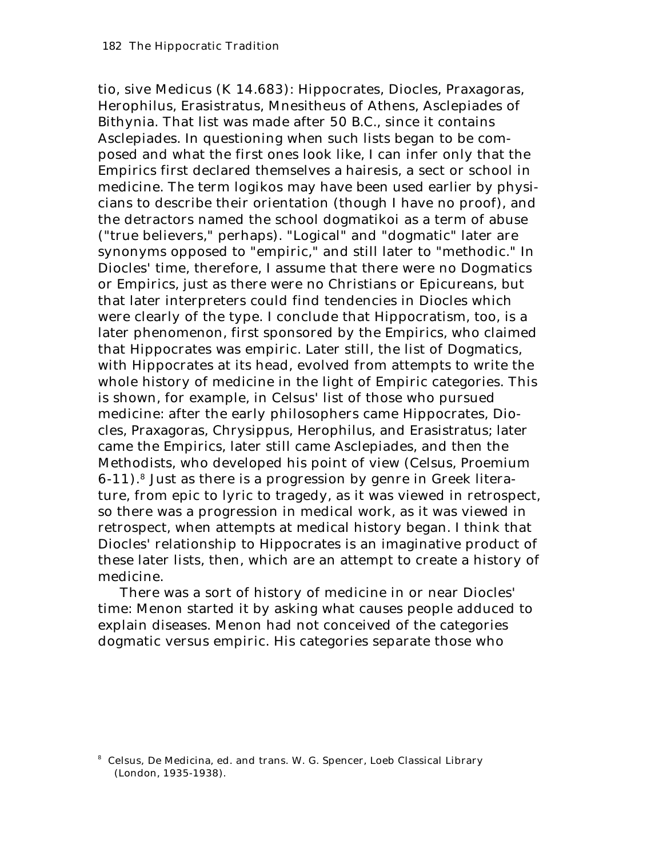*tio, sive Medicus* (K 14.683): Hippocrates, Diocles, Praxagoras, Herophilus, Erasistratus, Mnesitheus of Athens, Asclepiades of Bithynia. That list was made after 50 B.C., since it contains Asclepiades. In questioning when such lists began to be composed and what the first ones look like, I can infer only that the Empirics first declared themselves a *hairesis*, a sect or school in medicine. The term *logikos* may have been used earlier by physicians to describe their orientation (though I have no proof), and the detractors named the school *dogmatikoi* as a term of abuse ("true believers," perhaps). "Logical" and "dogmatic" later are synonyms opposed to "empiric," and still later to "methodic." In Diocles' time, therefore, I assume that there were no Dogmatics or Empirics, just as there were no Christians or Epicureans, but that later interpreters could find tendencies in Diocles which were clearly of the type. I conclude that Hippocratism, too, is a later phenomenon, first sponsored by the Empirics, who claimed that Hippocrates was empiric. Later still, the list of Dogmatics, with Hippocrates at its head, evolved from attempts to write the whole history of medicine in the light of Empiric categories. This is shown, for example, in Celsus' list of those who pursued medicine: after the early philosophers came Hippocrates, Diocles, Praxagoras, Chrysippus, Herophilus, and Erasistratus; later came the Empirics, later still came Asclepiades, and then the Methodists, who developed his point of view (Celsus, Proemium 6-11).<sup>8</sup> Just as there is a progression by genre in Greek literature, from epic to lyric to tragedy, as it was viewed in retrospect, so there was a progression in medical work, as it was viewed in retrospect, when attempts at medical history began. I think that Diocles' relationship to Hippocrates is an imaginative product of these later lists, then, which are an attempt to create a history of medicine.

 There was a sort of history of medicine in or near Diocles' time: Menon started it by asking what causes people adduced to explain diseases. Menon had not conceived of the categories dogmatic versus empiric. His categories separate those who

<sup>8</sup> Celsus, *De Medicina*, ed. and trans. W. G. Spencer, Loeb Classical Library (London, 1935-1938).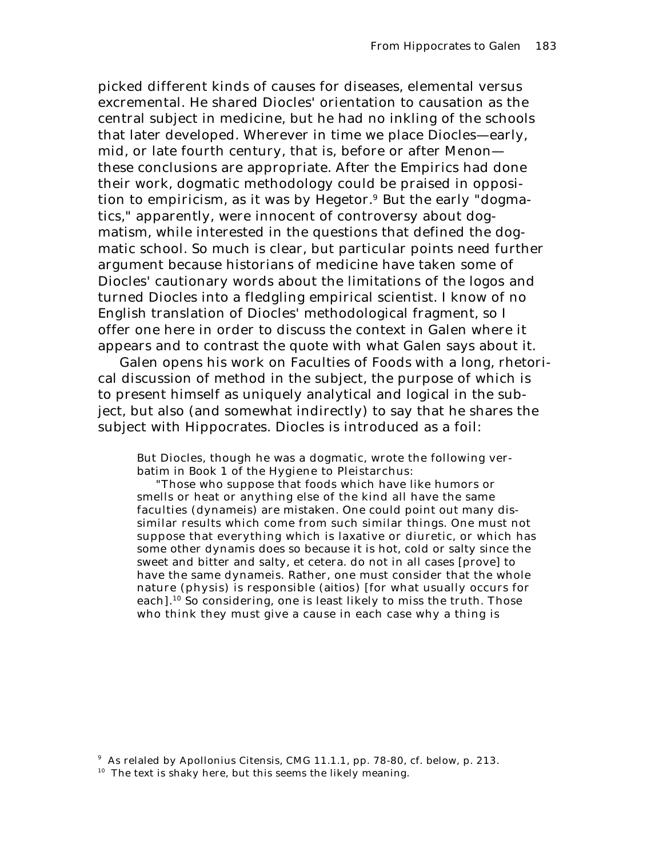picked different kinds of causes for diseases, elemental versus excremental. He shared Diocles' orientation to causation as the central subject in medicine, but he had no inkling of the schools that later developed. Wherever in time we place Diocles—early, mid, or late fourth century, that is, before or after Menon these conclusions are appropriate. After the Empirics had done their work, dogmatic methodology could be praised in opposition to empiricism, as it was by Hegetor.<sup>9</sup> But the early "dogmatics," apparently, were innocent of controversy about dogmatism, while interested in the questions that defined the dogmatic school. So much is clear, but particular points need further argument because historians of medicine have taken some of Diocles' cautionary words about the limitations of the *logos* and turned Diocles into a fledgling empirical scientist. I know of no English translation of Diocles' methodological fragment, so I offer one here in order to discuss the context in Galen where it appears and to contrast the quote with what Galen says about it.

 Galen opens his work on *Faculties of Foods* with a long, rhetorical discussion of method in the subject, the purpose of which is to present himself as uniquely analytical and logical in the subject, but also (and somewhat indirectly) to say that he shares the subject with Hippocrates. Diocles is introduced as a foil:

But Diocles, though he was a dogmatic, wrote the following verbatim in Book 1 of the *Hygiene to Pleistarchus*:

 "Those who suppose that foods which have like humors or smells or heat or anything else of the kind all have the same faculties (*dynameis*) are mistaken. One could point out many dissimilar results which come from such similar things. One must not suppose that everything which is laxative or diuretic, or which has some other *dynamis* does so because it is hot, cold or salty since the sweet and bitter and salty, et cetera. do not in all cases [prove] to have the same *dynameis*. Rather, one must consider that the whole nature (*physis*) is responsible (*aitios*) [for what usually occurs for each].<sup>10</sup> So considering, one is least likely to miss the truth. Those who think they must give a cause in each case why a thing is

<sup>9</sup> As relaled by Apollonius Citensis, CMG 11.1.1, pp. 78-80, cf. below, p. 213.

 $10$  The text is shaky here, but this seems the likely meaning.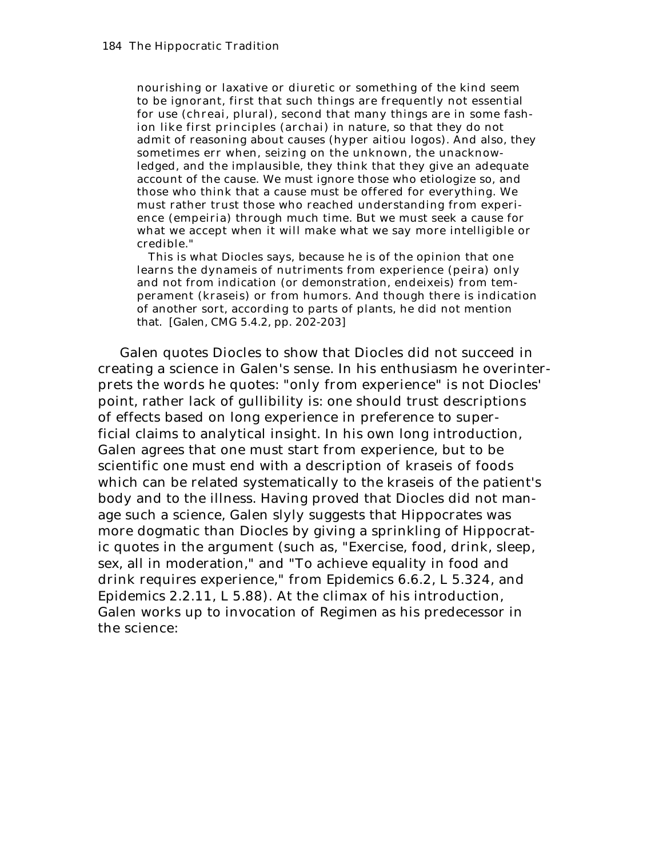nourishing or laxative or diuretic or something of the kind seem to be ignorant, first that such things are frequently not essential for use (*chreai*, plural), second that many things are in some fashion like first principles (*archai*) in nature, so that they do not admit of reasoning about causes (*hyper aitiou logos*). And also, they sometimes err when, seizing on the unknown, the unacknowledged, and the implausible, they think that they give an adequate account of the cause. We must ignore those who etiologize so, and those who think that a cause must be offered for everything. We must rather trust those who reached understanding from experience (*empeiria*) through much time. But we must seek a cause for what we accept when it will make what we say more intelligible or credible."

 This is what Diocles says, because he is of the opinion that one learns the *dynameis* of nutriments from experience (*peira*) only and not from indication (or demonstration, *endeixeis*) from temperament (*kraseis*) or from humors. And though there is indication of another sort, according to parts of plants, he did not mention that. [Galen, CMG 5.4.2, pp. 202-203]

 Galen quotes Diocles to show that Diocles did not succeed in creating a science in Galen's sense. In his enthusiasm he overinterprets the words he quotes: "only from experience" is not Diocles' point, rather lack of gullibility is: one should trust descriptions of effects based on long experience in preference to superficial claims to analytical insight. In his own long introduction, Galen agrees that one must start from experience, but to be scientific one must end with a description of *kraseis* of foods which can be related systematically to the *kraseis* of the patient's body and to the illness. Having proved that Diocles did not manage such a science, Galen slyly suggests that Hippocrates was more dogmatic than Diocles by giving a sprinkling of Hippocratic quotes in the argument (such as, "Exercise, food, drink, sleep, sex, all in moderation," and "To achieve equality in food and drink requires experience," from *Epidemics* 6.6.2, L 5.324, and *Epidemics* 2.2.11, L 5.88). At the climax of his introduction, Galen works up to invocation of *Regimen* as his predecessor in the science: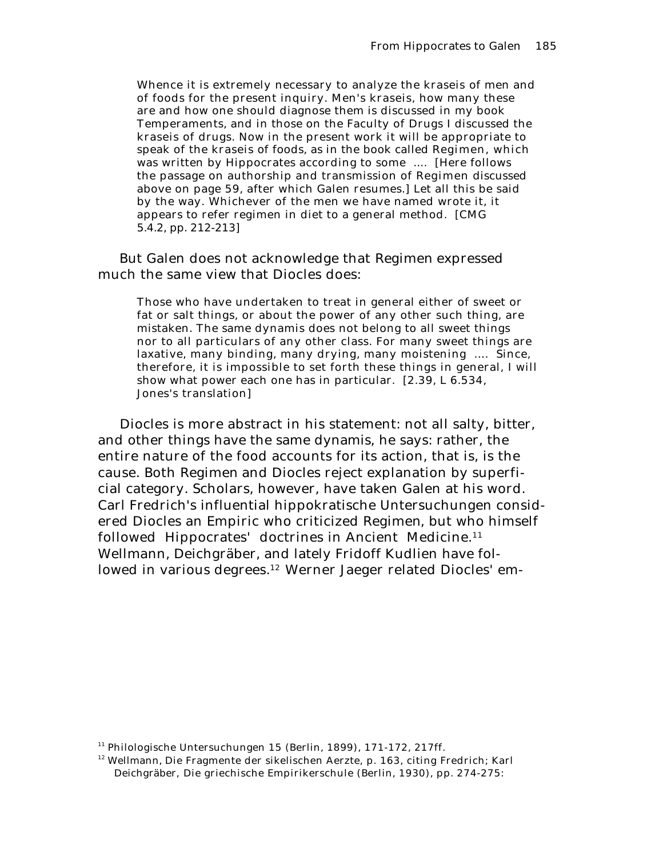Whence it is extremely necessary to analyze the *kraseis* of men and of foods for the present inquiry. Men's *kraseis*, how many these are and how one should diagnose them is discussed in my book *Temperaments*, and in those on the *Faculty of Drugs* I discussed the *kraseis* of drugs. Now in the present work it will be appropriate to speak of the *kraseis* of foods, as in the book called *Regimen*, which was written by Hippocrates according to some .... [Here follows the passage on authorship and transmission of *Regimen* discussed above on page 59, after which Galen resumes.] Let all this be said by the way. Whichever of the men we have named wrote it, it appears to refer regimen in diet to a general method. [CMG 5.4.2, pp. 212-213]

 But Galen does not acknowledge that *Regimen* expressed much the same view that Diocles does:

Those who have undertaken to treat in general either of sweet or fat or salt things, or about the power of any other such thing, are mistaken. The same *dynamis* does not belong to all sweet things nor to all particulars of any other class. For many sweet things are laxative, many binding, many drying, many moistening .... Since, therefore, it is impossible to set forth these things in general, I will show what power each one has in particular. [2.39, L 6.534, Jones's translation]

 Diocles is more abstract in his statement: not all salty, bitter, and other things have the same *dynamis*, he says: rather, the entire nature of the food accounts for its action, that is, is the cause. Both *Regimen* and Diocles reject explanation by superficial category. Scholars, however, have taken Galen at his word. Carl Fredrich's influential *hippokratische Untersuchungen* considered Diocles an Empiric who criticized *Regimen*, but who himself followed Hippocrates' doctrines in *Ancient Medicine*. 11 Wellmann, Deichgräber, and lately Fridoff Kudlien have followed in various degrees.<sup>12</sup> Werner Jaeger related Diocles' em-

 $11$  Philologische Untersuchungen 15 (Berlin, 1899), 171-172, 217ff.

<sup>12</sup> Wellmann, *Die Fragmente der sikelischen Aerzte*, p. 163, citing Fredrich; Karl Deichgräber, *Die griechische Empirikerschule* (Berlin, 1930), pp. 274-275: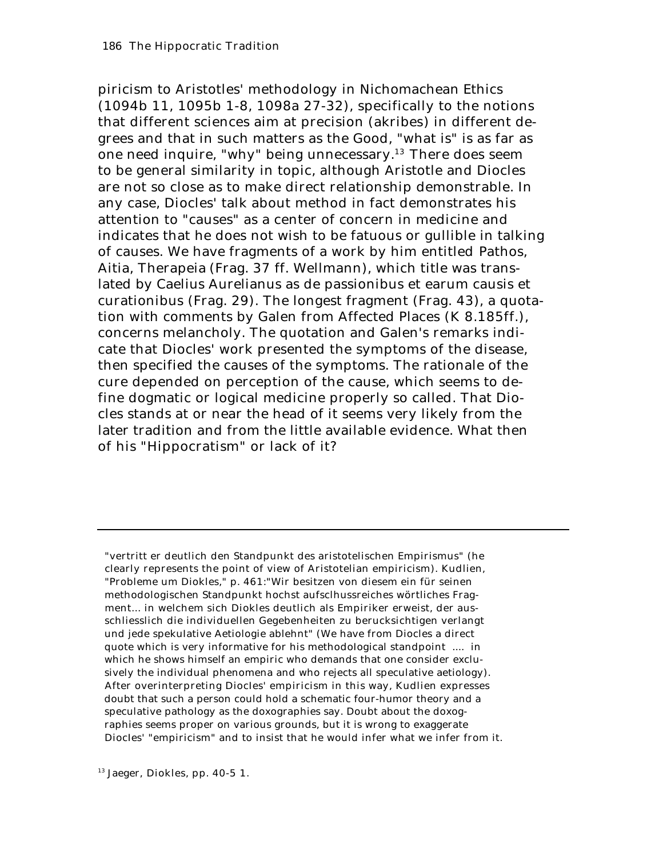piricism to Aristotles' methodology in *Nichomachean Ethics* (1094b 11, 1095b 1-8, 1098a 27-32), specifically to the notions that different sciences aim at precision (*akribes*) in different degrees and that in such matters as the Good, "what is" is as far as one need inquire, "why" being unnecessary.13 There does seem to be general similarity in topic, although Aristotle and Diocles are not so close as to make direct relationship demonstrable. In any case, Diocles' talk about method in fact demonstrates his attention to "causes" as a center of concern in medicine and indicates that he does not wish to be fatuous or gullible in talking of causes. We have fragments of a work by him entitled *Pathos, Aitia, Therapeia* (Frag. 37 ff. Wellmann), which title was translated by Caelius Aurelianus as *de passionibus et earum causis et curationibus* (Frag. 29). The longest fragment (Frag. 43), a quotation with comments by Galen from *Affected Places* (K 8.185ff.), concerns melancholy. The quotation and Galen's remarks indicate that Diocles' work presented the symptoms of the disease, then specified the causes of the symptoms. The rationale of the cure depended on perception of the cause, which seems to define dogmatic or logical medicine properly so called. That Diocles stands at or near the head of it seems very likely from the later tradition and from the little available evidence. What then of his "Hippocratism" or lack of it?

 $\overline{a}$ 

 <sup>&</sup>quot;vertritt er deutlich den Standpunkt des aristotelischen Empirismus" (he clearly represents the point of view of Aristotelian empiricism). Kudlien, "Probleme um Diokles," p. 461:"Wir besitzen von diesem ein für seinen methodologischen Standpunkt hochst aufsclhussreiches wörtliches Frag ment... in welchem sich Diokles deutlich als Empiriker erweist, der aus schliesslich die individuellen Gegebenheiten zu berucksichtigen verlangt und jede spekuIative Aetiologie ablehnt" (We have from Diocles a direct quote which is very informative for his methodological standpoint .... in which he shows himself an empiric who demands that one consider exclu sively the individual phenomena and who rejects all speculative aetiology). After overinterpreting DiocIes' empiricism in this way, Kudlien expresses doubt that such a person could hold a schematic four-humor theory and a speculative pathology as the doxographies say. Doubt about the doxog raphies seems proper on various grounds, but it is wrong to exaggerate DiocIes' "empiricism" and to insist that he would infer what we infer from it.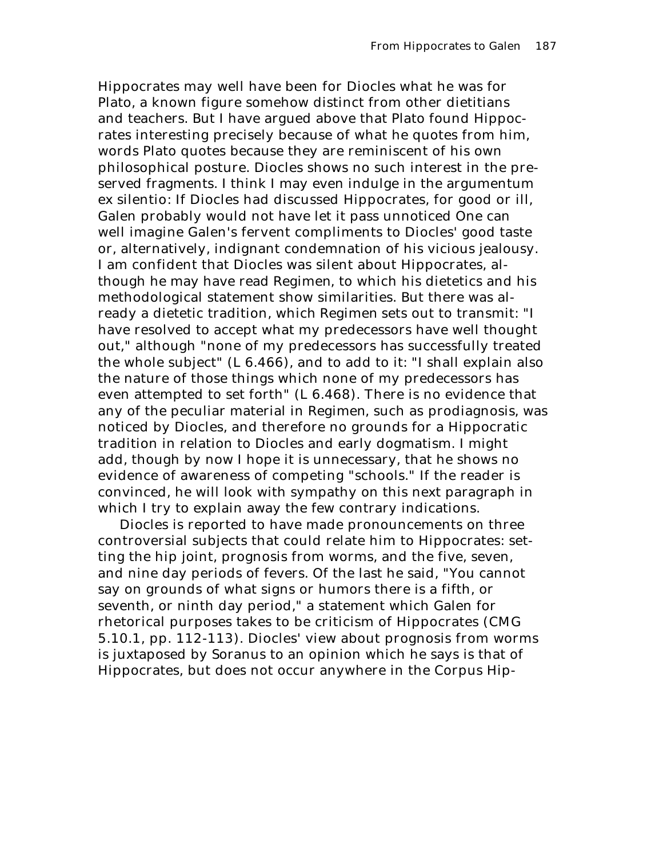Hippocrates may well have been for Diocles what he was for Plato, a known figure somehow distinct from other dietitians and teachers. But I have argued above that Plato found Hippocrates interesting precisely because of what he quotes from him, words Plato quotes because they are reminiscent of his own philosophical posture. Diocles shows no such interest in the preserved fragments. I think I may even indulge in the *argumentum ex silentio*: If Diocles had discussed Hippocrates, for good or ill, Galen probably would not have let it pass unnoticed One can well imagine Galen's fervent compliments to Diocles' good taste or, alternatively, indignant condemnation of his vicious jealousy. I am confident that Diocles was silent about Hippocrates, although he may have read *Regimen*, to which his dietetics and his methodological statement show similarities. But there was already a dietetic tradition, which *Regimen* sets out to transmit: "I have resolved to accept what my predecessors have well thought out," although "none of my predecessors has successfully treated the whole subject" (L 6.466), and to add to it: "I shall explain also the nature of those things which none of my predecessors has even attempted to set forth" (L 6.468). There is no evidence that any of the peculiar material in *Regimen*, such as *prodiagnosis*, was noticed by Diocles, and therefore no grounds for a Hippocratic tradition in relation to Diocles and early dogmatism. I might add, though by now I hope it is unnecessary, that he shows no evidence of awareness of competing "schools." If the reader is convinced, he will look with sympathy on this next paragraph in which I try to explain away the few contrary indications.

 Diocles is reported to have made pronouncements on three controversial subjects that could relate him to Hippocrates: setting the hip joint, prognosis from worms, and the five, seven, and nine day periods of fevers. Of the last he said, "You cannot say on grounds of what signs or humors there is a fifth, or seventh, or ninth day period," a statement which Galen for rhetorical purposes takes to be criticism of Hippocrates (CMG 5.10.1, pp. 112-113). Diocles' view about prognosis from worms is juxtaposed by Soranus to an opinion which he says is that of Hippocrates, but does not occur anywhere in the Corpus Hip-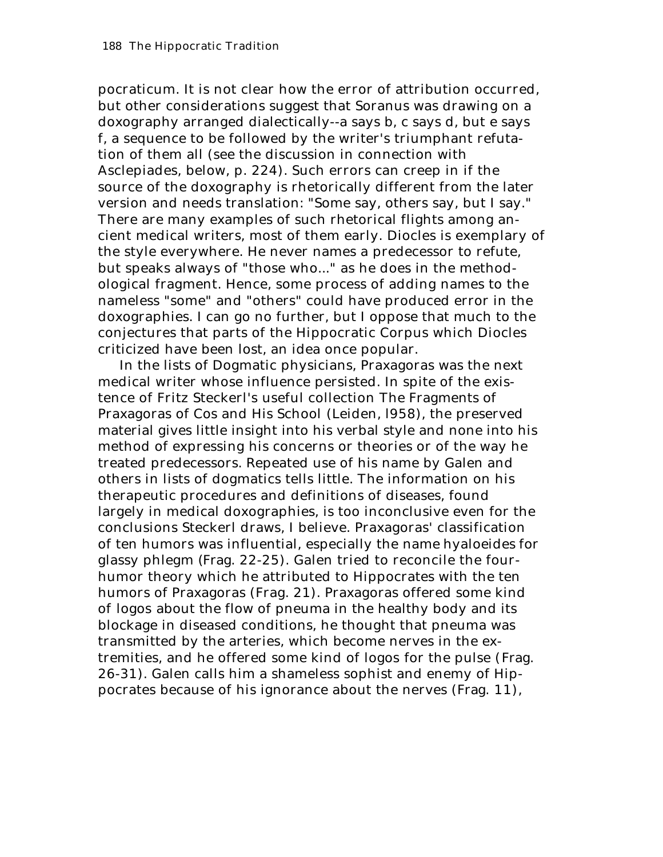pocraticum. It is not clear how the error of attribution occurred, but other considerations suggest that Soranus was drawing on a doxography arranged dialectically--a says b, c says d, but e says f, a sequence to be followed by the writer's triumphant refutation of them all (see the discussion in connection with Asclepiades, below, p. 224). Such errors can creep in if the source of the doxography is rhetorically different from the later version and needs translation: "Some say, others say, but I say." There are many examples of such rhetorical flights among ancient medical writers, most of them early. Diocles is exemplary of the style everywhere. He never names a predecessor to refute, but speaks always of "those who..." as he does in the methodological fragment. Hence, some process of adding names to the nameless "some" and "others" could have produced error in the doxographies. I can go no further, but I oppose that much to the conjectures that parts of the Hippocratic Corpus which Diocles criticized have been lost, an idea once popular.

 In the lists of Dogmatic physicians, Praxagoras was the next medical writer whose influence persisted. In spite of the existence of Fritz Steckerl's useful collection *The Fragments of Praxagoras of Cos and His School* (Leiden, l958), the preserved material gives little insight into his verbal style and none into his method of expressing his concerns or theories or of the way he treated predecessors. Repeated use of his name by Galen and others in lists of dogmatics tells little. The information on his therapeutic procedures and definitions of diseases, found largely in medical doxographies, is too inconclusive even for the conclusions Steckerl draws, I believe. Praxagoras' classification of ten humors was influential, especially the name *hyaloeides* for glassy phlegm (*Frag*. 22-25). Galen tried to reconcile the fourhumor theory which he attributed to Hippocrates with the ten humors of Praxagoras (Frag. 21). Praxagoras offered some kind of *logos* about the flow of pneuma in the healthy body and its blockage in diseased conditions, he thought that pneuma was transmitted by the arteries, which become nerves in the extremities, and he offered some kind of *logos* for the pulse (*Frag*. 26-31). Galen calls him a shameless sophist and enemy of Hippocrates because of his ignorance about the nerves (*Frag*. 11),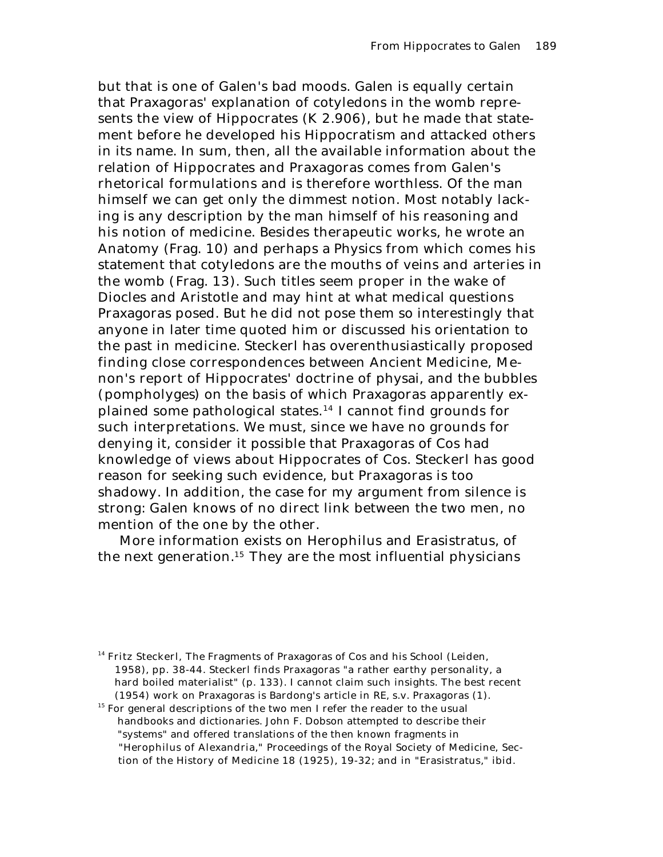but that is one of Galen's bad moods. Galen is equally certain that Praxagoras' explanation of cotyledons in the womb represents the view of Hippocrates (K 2.906), but he made that statement before he developed his Hippocratism and attacked others in its name. In sum, then, all the available information about the relation of Hippocrates and Praxagoras comes from Galen's rhetorical formulations and is therefore worthless. Of the man himself we can get only the dimmest notion. Most notably lacking is any description by the man himself of his reasoning and his notion of medicine. Besides therapeutic works, he wrote an Anatomy (*Frag*. 10) and perhaps a *Physics* from which comes his statement that cotyledons are the mouths of veins and arteries in the womb (*Frag*. 13). Such titles seem proper in the wake of Diocles and Aristotle and may hint at what medical questions Praxagoras posed. But he did not pose them so interestingly that anyone in later time quoted him or discussed his orientation to the past in medicine. Steckerl has overenthusiastically proposed finding close correspondences between *Ancient Medicine*, Menon's report of Hippocrates' doctrine of *physai*, and the bubbles (*pompholyges*) on the basis of which Praxagoras apparently explained some pathological states.14 I cannot find grounds for such interpretations. We must, since we have no grounds for denying it, consider it possible that Praxagoras of Cos had knowledge of views about Hippocrates of Cos. Steckerl has good reason for seeking such evidence, but Praxagoras is too shadowy. In addition, the case for my argument from silence is strong: Galen knows of no direct link between the two men, no mention of the one by the other.

 More information exists on Herophilus and Erasistratus, of the next generation.15 They are the most influential physicians

<sup>14</sup> Fritz Steckerl, *The Fragments of Praxagoras of Cos and his School* (Leiden, 1958), pp. 38-44. Steckerl finds Praxagoras "a rather earthy personality, a hard boiled materialist" (p. 133). I cannot claim such insights. The best recent (1954) work on Praxagoras is Bardong's article in RE, s.v. Praxagoras (1).

 $15$  For general descriptions of the two men I refer the reader to the usual handbooks and dictionaries. John F. Dobson attempted to describe their "systems" and offered translations of the then known fragments in "Herophilus of Alexandria," *Proceedings of the Royal Society of Medicine*, Sec tion of the History of Medicine 18 (1925), 19-32; and in "Erasistratus," ibid.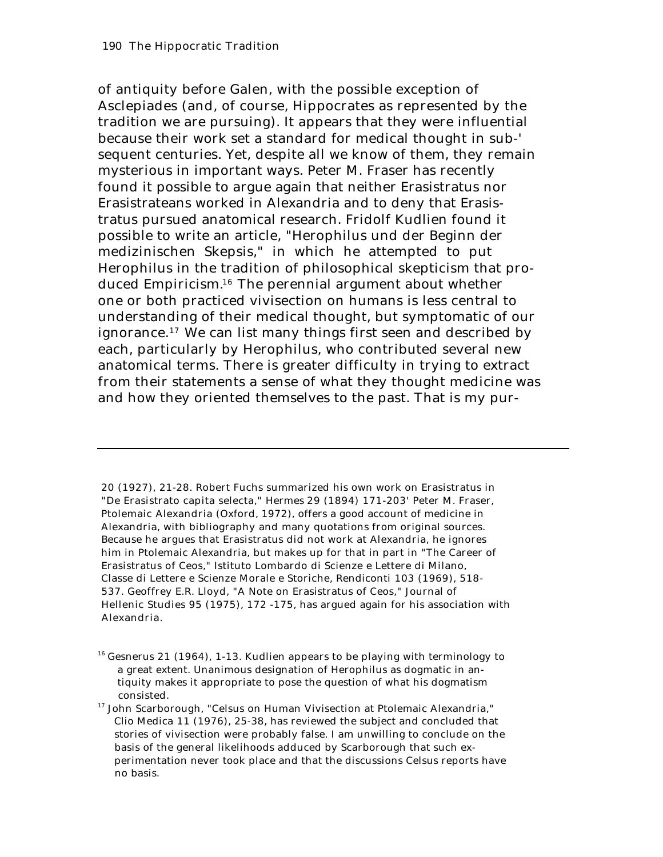$\overline{a}$ 

of antiquity before Galen, with the possible exception of Asclepiades (and, of course, Hippocrates as represented by the tradition we are pursuing). It appears that they were influential because their work set a standard for medical thought in sub-' sequent centuries. Yet, despite all we know of them, they remain mysterious in important ways. Peter M. Fraser has recently found it possible to argue again that neither Erasistratus nor Erasistrateans worked in Alexandria and to deny that Erasistratus pursued anatomical research. Fridolf Kudlien found it possible to write an article, "Herophilus und der Beginn der medizinischen Skepsis," in which he attempted to put Herophilus in the tradition of philosophical skepticism that produced Empiricism.16 The perennial argument about whether one or both practiced vivisection on humans is less central to understanding of their medical thought, but symptomatic of our ignorance.<sup>17</sup> We can list many things first seen and described by each, particularly by Herophilus, who contributed several new anatomical terms. There is greater difficulty in trying to extract from their statements a sense of what they thought medicine was and how they oriented themselves to the past. That is my pur-

 20 (1927), 21-28. Robert Fuchs summarized his own work on Erasistratus in "De Erasistrato capita selecta," *Hermes* 29 (1894) 171-203' Peter M. Fraser, *Ptolemaic Alexandria* (Oxford, 1972), offers a good account of medicine in Alexandria, with bibliography and many quotations from original sources. Because he argues that Erasistratus did not work at Alexandria, he ignores him in Ptolemaic Alexandria, but makes up for that in part in "The Career of Erasistratus of Ceos," Istituto Lombardo di Scienze e Lettere di Milano, Classe di Lettere e Scienze Morale e Storiche, *Rendiconti* 103 (1969), 518- 537. Geoffrey E.R. Lloyd, "A Note on Erasistratus of Ceos," *Journal of Hellenic Studies* 95 (1975), 172 -175, has argued again for his association with Alexandria.

- <sup>16</sup> *Gesnerus* 21 (1964), 1-13. Kudlien appears to be playing with terminology to a great extent. Unanimous designation of Herophilus as dogmatic in an tiquity makes it appropriate to pose the question of what his dogmatism consisted.
- <sup>17</sup> John Scarborough, "Celsus on Human Vivisection at Ptolemaic Alexandria,"  *Clio Medica* 11 (1976), 25-38, has reviewed the subject and concluded that stories of vivisection were probably false. I am unwilling to conclude on the basis of the general likelihoods adduced by Scarborough that such ex perimentation never took place and that the discussions Celsus reports have no basis.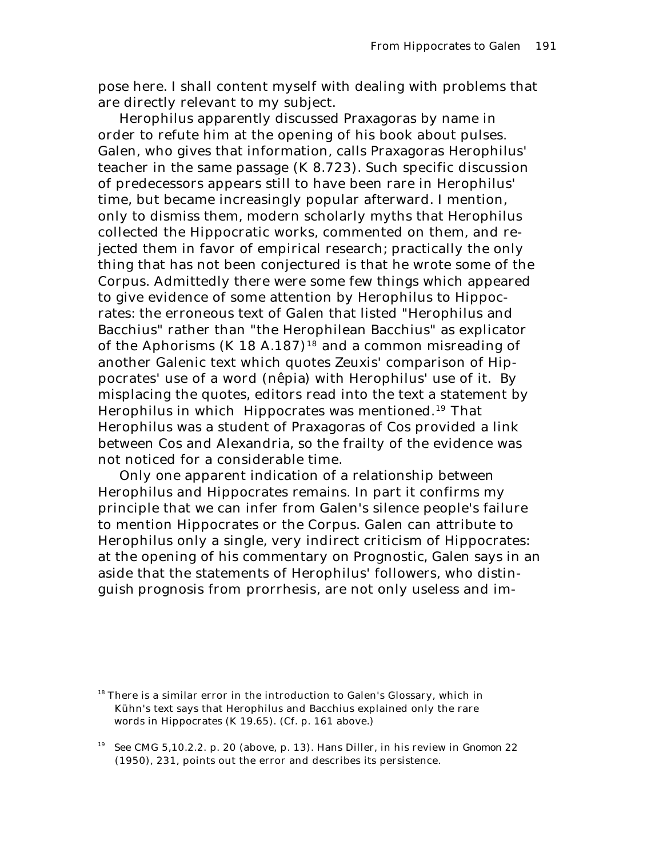pose here. I shall content myself with dealing with problems that are directly relevant to my subject.

 Herophilus apparently discussed Praxagoras by name in order to refute him at the opening of his book about pulses. Galen, who gives that information, calls Praxagoras Herophilus' teacher in the same passage (K 8.723). Such specific discussion of predecessors appears still to have been rare in Herophilus' time, but became increasingly popular afterward. I mention, only to dismiss them, modern scholarly myths that Herophilus collected the Hippocratic works, commented on them, and rejected them in favor of empirical research; practically the only thing that has not been conjectured is that he wrote some of the Corpus. Admittedly there were some few things which appeared to give evidence of some attention by Herophilus to Hippocrates: the erroneous text of Galen that listed "Herophilus and Bacchius" rather than "the Herophilean Bacchius" as explicator of the *Aphorisms* (K 18 A.187)<sup>18</sup> and a common misreading of another Galenic text which quotes Zeuxis' comparison of Hippocrates' use of a word (*nêpia*) with Herophilus' use of it. By misplacing the quotes, editors read into the text a statement by Herophilus in which Hippocrates was mentioned.<sup>19</sup> That Herophilus was a student of Praxagoras of Cos provided a link between Cos and Alexandria, so the frailty of the evidence was not noticed for a considerable time.

 Only one apparent indication of a relationship between Herophilus and Hippocrates remains. In part it confirms my principle that we can infer from Galen's silence people's failure to mention Hippocrates or the Corpus. Galen can attribute to Herophilus only a single, very indirect criticism of Hippocrates: at the opening of his commentary on *Prognostic*, Galen says in an aside that the statements of Herophilus' followers, who distinguish *prognosis* from *prorrhesis*, are not only useless and im-

<sup>18</sup> There is a similar error in the introduction to Galen's *Glossary*, which in Kühn's text says that Herophilus and Bacchius explained only the rare words in Hippocrates (K 19.65). (Cf. p. 161 above.)

<sup>19</sup> See CMG 5,10.2.2. p. 20 (above, p. 13). Hans Diller, in his review in *Gnomon* 22 (1950), 231, points out the error and describes its persistence.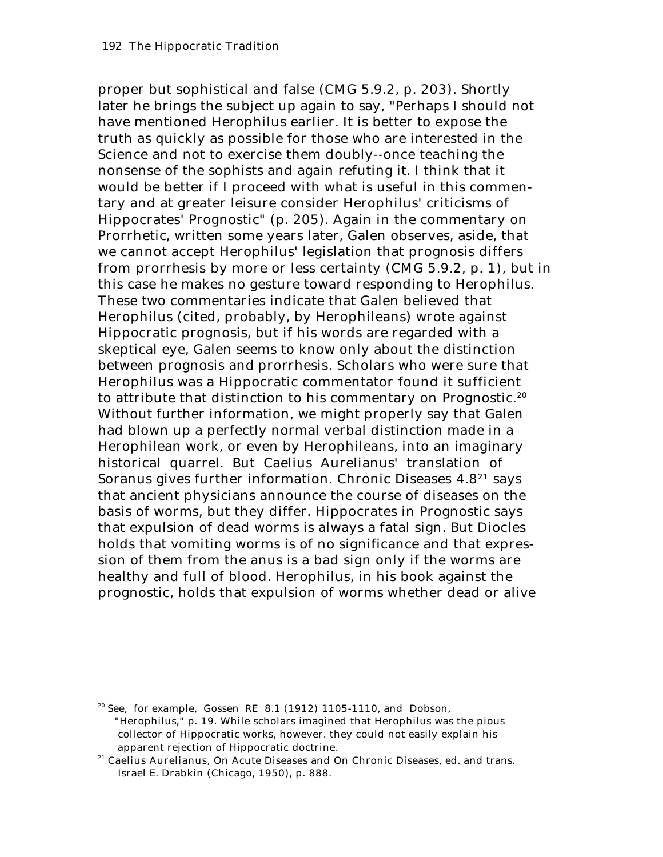proper but sophistical and false (CMG 5.9.2, p. 203). Shortly later he brings the subject up again to say, "Perhaps I should not have mentioned Herophilus earlier. It is better to expose the truth as quickly as possible for those who are interested in the Science and not to exercise them doubly--once teaching the nonsense of the sophists and again refuting it. I think that it would be better if I proceed with what is useful in this commentary and at greater leisure consider Herophilus' criticisms of Hippocrates' *Prognostic*" (p. 205). Again in the commentary on *Prorrhetic*, written some years later, Galen observes, aside, that we cannot accept Herophilus' legislation that *prognosis* differs from *prorrhesis* by more or less certainty (CMG 5.9.2, p. 1), but in this case he makes no gesture toward responding to Herophilus. These two commentaries indicate that Galen believed that Herophilus (cited, probably, by Herophileans) wrote against Hippocratic prognosis, but if his words are regarded with a skeptical eye, Galen seems to know only about the distinction between *prognosis* and *prorrhesis*. Scholars who were sure that HerophiIus was a Hippocratic commentator found it sufficient to attribute that distinction to his commentary on *Prognostic*. 20 Without further information, we might properly say that Galen had blown up a perfectly normal verbal distinction made in a Herophilean work, or even by Herophileans, into an imaginary historical quarrel. But Caelius Aurelianus' translation of Soranus gives further information. *Chronic Diseases* 4.821 says that ancient physicians announce the course of diseases on the basis of worms, but they differ. Hippocrates in *Prognostic* says that expulsion of dead worms is always a fatal sign. But Diocles holds that vomiting worms is of no significance and that expression of them from the anus is a bad sign only if the worms are healthy and full of blood. Herophilus, in his book against the prognostic, holds that expulsion of worms whether dead or alive

<sup>20</sup> See, for example, Gossen *RE* 8.1 (1912) 1105-1110, and Dobson, "Herophilus," p. 19. While scholars imagined that Herophilus was the pious collector of Hippocratic works, however. they could not easily explain his apparent rejection of Hippocratic doctrine.

<sup>21</sup> Caelius Aurelianus, *On Acute Diseases and On Chronic Diseases*, ed. and trans. Israel E. Drabkin (Chicago, 1950), p. 888.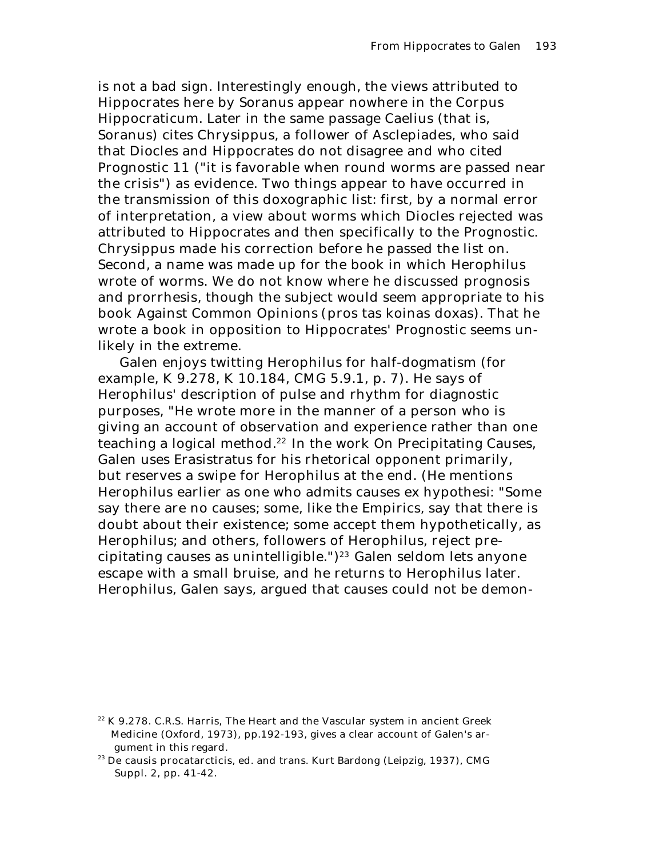is not a bad sign. Interestingly enough, the views attributed to Hippocrates here by Soranus appear nowhere in the Corpus Hippocraticum. Later in the same passage Caelius (that is, Soranus) cites Chrysippus, a follower of Asclepiades, who said that Diocles and Hippocrates do not disagree and who cited *Prognostic* 11 ("it is favorable when round worms are passed near the crisis") as evidence. Two things appear to have occurred in the transmission of this doxographic list: first, by a normal error of interpretation, a view about worms which Diocles rejected was attributed to Hippocrates and then specifically to the *Prognostic*. Chrysippus made his correction before he passed the list on. Second, a name was made up for the book in which Herophilus wrote of worms. We do not know where he discussed *prognosis* and *prorrhesis*, though the subject would seem appropriate to his book *Against Common Opinions* (*pros tas koinas doxas*). That he wrote a book in opposition to Hippocrates' *Prognostic* seems unlikely in the extreme.

 Galen enjoys twitting Herophilus for half-dogmatism (for example, K 9.278, K 10.184, CMG 5.9.1, p. 7). He says of Herophilus' description of pulse and rhythm for diagnostic purposes, "He wrote more in the manner of a person who is giving an account of observation and experience rather than one teaching a logical method.22 In the work *On Precipitating Causes*, Galen uses Erasistratus for his rhetorical opponent primarily, but reserves a swipe for Herophilus at the end. (He mentions Herophilus earlier as one who admits causes *ex hypothesi*: "Some say there are no causes; some, like the Empirics, say that there is doubt about their existence; some accept them hypothetically, as Herophilus; and others, followers of Herophilus, reject precipitating causes as unintelligible.")<sup>23</sup> Galen seldom lets anyone escape with a small bruise, and he returns to Herophilus later. Herophilus, Galen says, argued that causes could not be demon-

<sup>22</sup> K 9.278. C.R.S. Harris, *The Heart and the Vascular system in ancient Greek Medicine* (Oxford, 1973), pp.192-193, gives a clear account of Galen's ar gument in this regard.

<sup>23</sup> *De causis procatarcticis*, ed. and trans. Kurt Bardong (Leipzig, 1937), CMG Suppl. 2, pp. 41-42.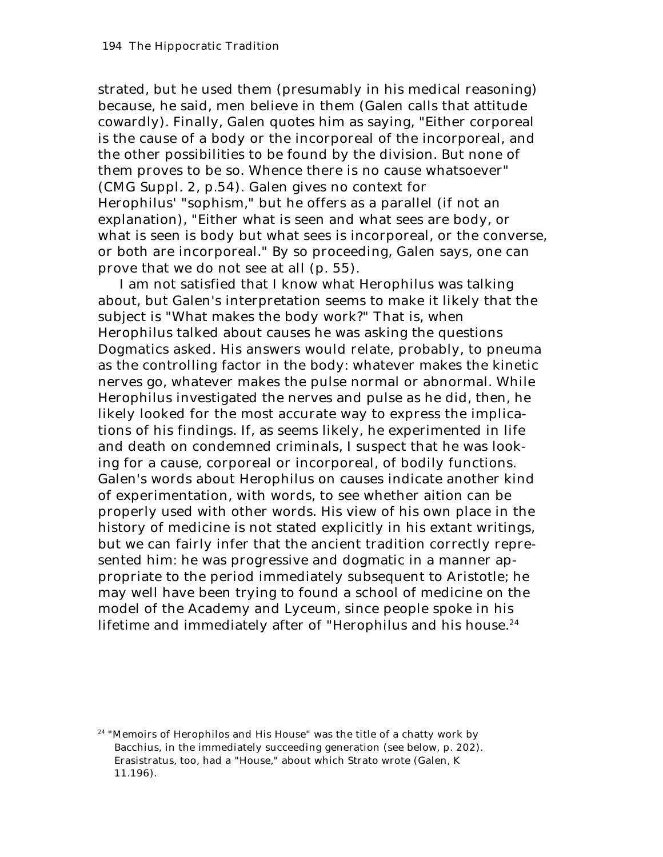strated, but he used them (presumably in his medical reasoning) because, he said, men believe in them (Galen calls that attitude cowardly). Finally, Galen quotes him as saying, "Either corporeal is the cause of a body or the incorporeal of the incorporeal, and the other possibilities to be found by the division. But none of them proves to be so. Whence there is no cause whatsoever" (CMG Suppl. 2, p.54). Galen gives no context for Herophilus' "sophism," but he offers as a parallel (if not an explanation), "Either what is seen and what sees are body, or what is seen is body but what sees is incorporeal, or the converse, or both are incorporeal." By so proceeding, Galen says, one can prove that we do not see at all (p. 55).

 I am not satisfied that I know what Herophilus was talking about, but Galen's interpretation seems to make it likely that the subject is "What makes the body work?" That is, when Herophilus talked about causes he was asking the questions Dogmatics asked. His answers would relate, probably, to *pneuma* as the controlling factor in the body: whatever makes the kinetic nerves go, whatever makes the pulse normal or abnormal. While Herophilus investigated the nerves and pulse as he did, then, he likely looked for the most accurate way to express the implications of his findings. If, as seems likely, he experimented in life and death on condemned criminals, I suspect that he was looking for a cause, corporeal or incorporeal, of bodily functions. Galen's words about Herophilus on causes indicate another kind of experimentation, with words, to see whether *aition* can be properly used with other words. His view of his own place in the history of medicine is not stated explicitly in his extant writings, but we can fairly infer that the ancient tradition correctly represented him: he was progressive and dogmatic in a manner appropriate to the period immediately subsequent to Aristotle; he may well have been trying to found a school of medicine on the model of the Academy and Lyceum, since people spoke in his lifetime and immediately after of "Herophilus and his house.<sup>24</sup>

 $24$  "Memoirs of Herophilos and His House" was the title of a chatty work by Bacchius, in the immediately succeeding generation (see below, p. 202). Erasistratus, too, had a "House," about which Strato wrote (Galen, K 11.196).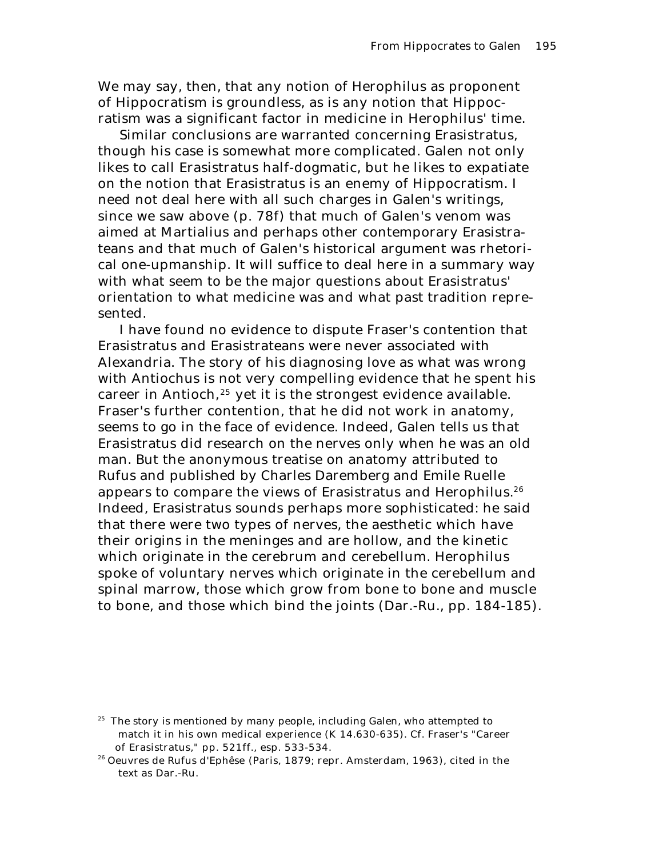We may say, then, that any notion of Herophilus as proponent of Hippocratism is groundless, as is any notion that Hippocratism was a significant factor in medicine in Herophilus' time.

 Similar conclusions are warranted concerning Erasistratus, though his case is somewhat more complicated. Galen not only likes to call Erasistratus half-dogmatic, but he likes to expatiate on the notion that Erasistratus is an enemy of Hippocratism. I need not deal here with all such charges in Galen's writings, since we saw above (p. 78f) that much of Galen's venom was aimed at Martialius and perhaps other contemporary Erasistrateans and that much of Galen's historical argument was rhetorical one-upmanship. It will suffice to deal here in a summary way with what seem to be the major questions about Erasistratus' orientation to what medicine was and what past tradition represented.

 I have found no evidence to dispute Fraser's contention that Erasistratus and Erasistrateans were never associated with Alexandria. The story of his diagnosing love as what was wrong with Antiochus is not very compelling evidence that he spent his career in Antioch,<sup>25</sup> yet it is the strongest evidence available. Fraser's further contention, that he did not work in anatomy, seems to go in the face of evidence. Indeed, Galen tells us that Erasistratus did research on the nerves only when he was an old man. But the anonymous treatise on anatomy attributed to Rufus and published by Charles Daremberg and Emile Ruelle appears to compare the views of Erasistratus and Herophilus.<sup>26</sup> Indeed, Erasistratus sounds perhaps more sophisticated: he said that there were two types of nerves, the aesthetic which have their origins in the meninges and are hollow, and the kinetic which originate in the cerebrum and cerebellum. Herophilus spoke of voluntary nerves which originate in the cerebellum and spinal marrow, those which grow from bone to bone and muscle to bone, and those which bind the joints (Dar.-Ru., pp. 184-185).

 $25$  The story is mentioned by many people, including Galen, who attempted to match it in his own medical experience (K 14.630-635). Cf. Fraser's "Career of Erasistratus," pp. 521ff., esp. 533-534.

<sup>26</sup> *Oeuvres de Rufus d'Ephêse* (Paris, 1879; repr. Amsterdam, 1963), cited in the text as Dar.-Ru.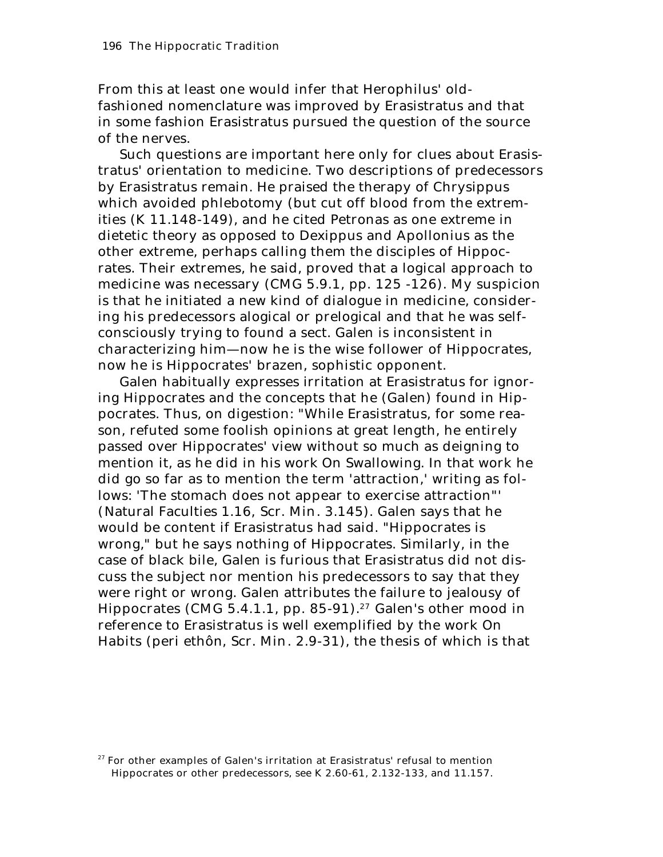From this at least one would infer that Herophilus' oldfashioned nomenclature was improved by Erasistratus and that in some fashion Erasistratus pursued the question of the source of the nerves.

 Such questions are important here only for clues about Erasistratus' orientation to medicine. Two descriptions of predecessors by Erasistratus remain. He praised the therapy of Chrysippus which avoided phlebotomy (but cut off blood from the extremities (K 11.148-149), and he cited Petronas as one extreme in dietetic theory as opposed to Dexippus and Apollonius as the other extreme, perhaps calling them the disciples of Hippocrates. Their extremes, he said, proved that a logical approach to medicine was necessary (CMG 5.9.1, pp. 125 -126). My suspicion is that he initiated a new kind of dialogue in medicine, considering his predecessors alogical or prelogical and that he was selfconsciously trying to found a sect. Galen is inconsistent in characterizing him—now he is the wise follower of Hippocrates, now he is Hippocrates' brazen, sophistic opponent.

 Galen habitually expresses irritation at Erasistratus for ignoring Hippocrates and the concepts that he (Galen) found in Hippocrates. Thus, on digestion: "While Erasistratus, for some reason, refuted some foolish opinions at great length, he entirely passed over Hippocrates' view without so much as deigning to mention it, as he did in his work *On Swallowing*. In that work he did go so far as to mention the term 'attraction,' writing as follows: 'The stomach does not appear to exercise attraction"' (*Natural Faculties* 1.16, *Scr. Min*. 3.145). Galen says that he would be content if Erasistratus had said. "Hippocrates is wrong," but he says nothing of Hippocrates. Similarly, in the case of black bile, Galen is furious that Erasistratus did not discuss the subject nor mention his predecessors to say that they were right or wrong. Galen attributes the failure to jealousy of Hippocrates (CMG 5.4.1.1, pp. 85-91).<sup>27</sup> Galen's other mood in reference to Erasistratus is well exemplified by the work On Habits (*peri ethôn*, *Scr. Min*. 2.9-31), the thesis of which is that

 $27$  For other examples of Galen's irritation at Erasistratus' refusal to mention Hippocrates or other predecessors, see K 2.60-61, 2.132-133, and 11.157.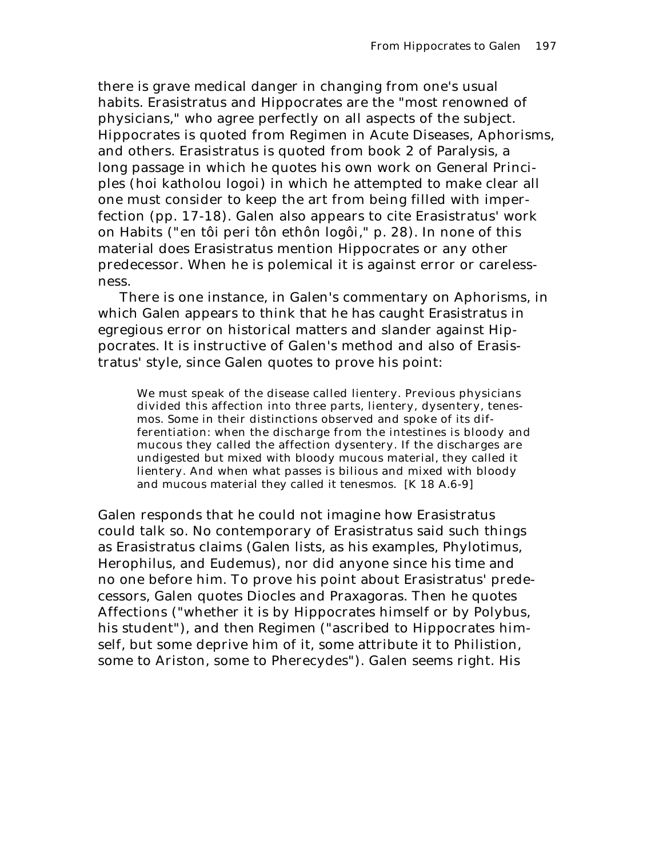there is grave medical danger in changing from one's usual habits. Erasistratus and Hippocrates are the "most renowned of physicians," who agree perfectly on all aspects of the subject. Hippocrates is quoted from *Regimen in Acute Diseases*, *Aphorisms*, and others. Erasistratus is quoted from book 2 of *Paralysis*, a long passage in which he quotes his own work on *General Principles* (*hoi katholou logoi*) in which he attempted to make clear all one must consider to keep the art from being filled with imperfection (pp. 17-18). Galen also appears to cite Erasistratus' work on *Habits* ("*en tôi peri tôn ethôn logôi*," p. 28). In none of this material does Erasistratus mention Hippocrates or any other predecessor. When he is polemical it is against error or carelessness.

 There is one instance, in Galen's commentary on *Aphorisms*, in which Galen appears to think that he has caught Erasistratus in egregious error on historical matters and slander against Hippocrates. It is instructive of Galen's method and also of Erasistratus' style, since Galen quotes to prove his point:

We must speak of the disease called lientery. Previous physicians divided this affection into three parts, lientery, dysentery, tenesmos. Some in their distinctions observed and spoke of its differentiation: when the discharge from the intestines is bloody and mucous they called the affection dysentery. If the discharges are undigested but mixed with bloody mucous material, they called it lientery. And when what passes is bilious and mixed with bloody and mucous material they called it tenesmos. [K 18 A.6-9]

Galen responds that he could not imagine how Erasistratus could talk so. No contemporary of Erasistratus said such things as Erasistratus claims (Galen lists, as his examples, Phylotimus, Herophilus, and Eudemus), nor did anyone since his time and no one before him. To prove his point about Erasistratus' predecessors, Galen quotes Diocles and Praxagoras. Then he quotes *Affections* ("whether it is by Hippocrates himself or by Polybus, his student"), and then *Regimen* ("ascribed to Hippocrates himself, but some deprive him of it, some attribute it to Philistion, some to Ariston, some to Pherecydes"). Galen seems right. His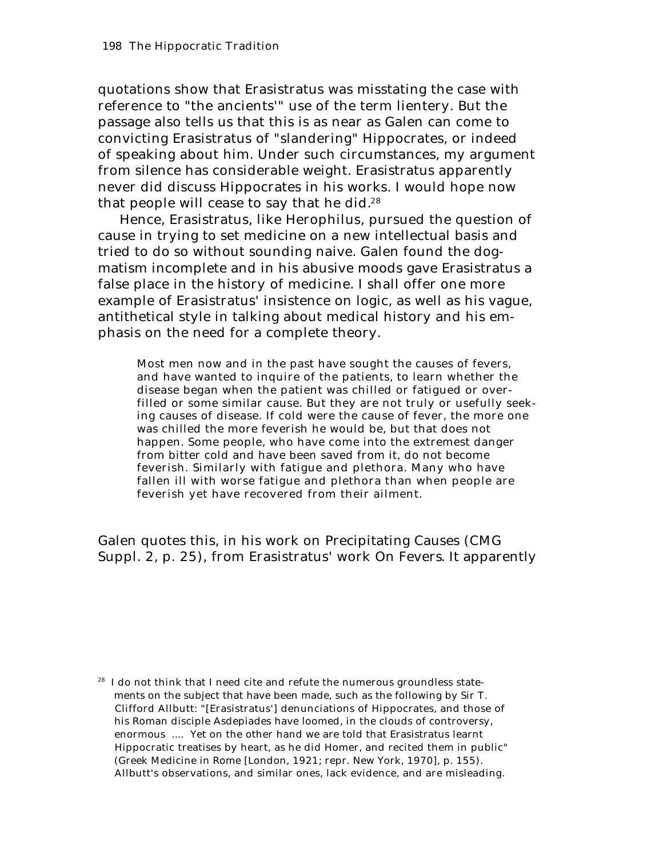quotations show that Erasistratus was misstating the case with reference to "the ancients'" use of the term lientery. But the passage also tells us that this is as near as Galen can come to convicting Erasistratus of "slandering" Hippocrates, or indeed of speaking about him. Under such circumstances, my argument from silence has considerable weight. Erasistratus apparently never did discuss Hippocrates in his works. I would hope now that people will cease to say that he did.<sup>28</sup>

 Hence, Erasistratus, like Herophilus, pursued the question of cause in trying to set medicine on a new intellectual basis and tried to do so without sounding naive. Galen found the dogmatism incomplete and in his abusive moods gave Erasistratus a false place in the history of medicine. I shall offer one more example of Erasistratus' insistence on logic, as well as his vague, antithetical style in talking about medical history and his emphasis on the need for a complete theory.

Most men now and in the past have sought the causes of fevers, and have wanted to inquire of the patients, to learn whether the disease began when the patient was chilled or fatigued or overfilled or some similar cause. But they are not truly or usefully seeking causes of disease. If cold were the cause of fever, the more one was chilled the more feverish he would be, but that does not happen. Some people, who have come into the extremest danger from bitter cold and have been saved from it, do not become feverish. Similarly with fatigue and plethora. Many who have fallen ill with worse fatigue and plethora than when people are feverish yet have recovered from their ailment.

Galen quotes this, in his work on *Precipitating Causes* (CMG Suppl. 2, p. 25), from Erasistratus' work *On Fevers*. It apparently

 $28$  I do not think that I need cite and refute the numerous groundless state ments on the subject that have been made, such as the following by Sir T. Clifford Allbutt: "[Erasistratus'] denunciations of Hippocrates, and those of his Roman disciple Asdepiades have loomed, in the clouds of controversy, enormous .... Yet on the other hand we are told that Erasistratus learnt Hippocratic treatises by heart, as he did Homer, and recited them in public" (*Greek Medicine in Rome* [London, 1921; repr. New York, 1970], p. 155). Allbutt's observations, and similar ones, lack evidence, and are misleading.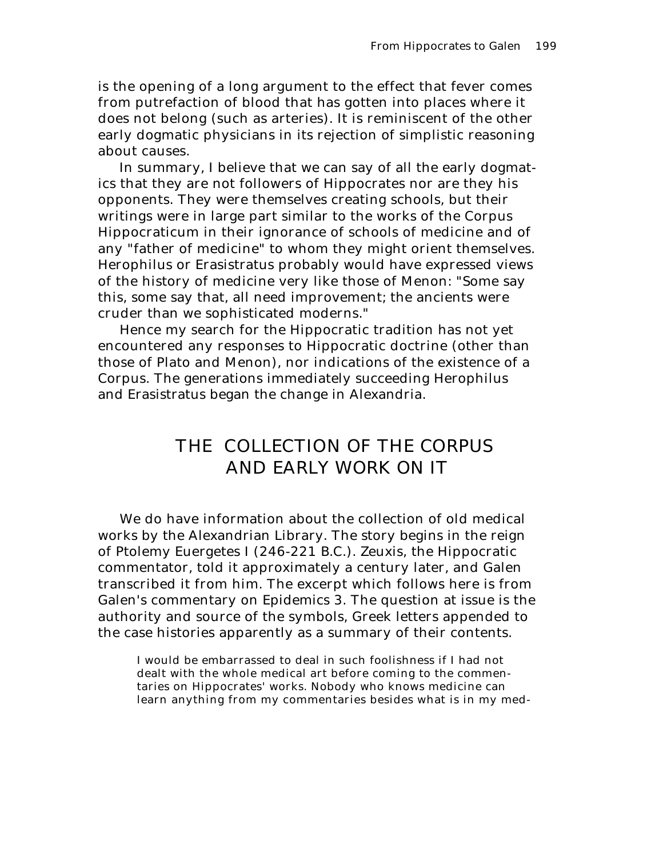is the opening of a long argument to the effect that fever comes from putrefaction of blood that has gotten into places where it does not belong (such as arteries). It is reminiscent of the other early dogmatic physicians in its rejection of simplistic reasoning about causes.

 In summary, I believe that we can say of all the early dogmatics that they are not followers of Hippocrates nor are they his opponents. They were themselves creating schools, but their writings were in large part similar to the works of the Corpus Hippocraticum in their ignorance of schools of medicine and of any "father of medicine" to whom they might orient themselves. Herophilus or Erasistratus probably would have expressed views of the history of medicine very like those of Menon: "Some say this, some say that, all need improvement; the ancients were cruder than we sophisticated moderns."

 Hence my search for the Hippocratic tradition has not yet encountered any responses to Hippocratic doctrine (other than those of Plato and Menon), nor indications of the existence of a Corpus. The generations immediately succeeding Herophilus and Erasistratus began the change in Alexandria.

## THE COLLECTION OF THE CORPUS AND EARLY WORK ON IT

 We do have information about the collection of old medical works by the Alexandrian Library. The story begins in the reign of Ptolemy Euergetes I (246-221 B.C.). Zeuxis, the Hippocratic commentator, told it approximately a century later, and Galen transcribed it from him. The excerpt which follows here is from Galen's commentary on *Epidemics* 3. The question at issue is the authority and source of the symbols, Greek letters appended to the case histories apparently as a summary of their contents.

I would be embarrassed to deal in such foolishness if I had not dealt with the whole medical art before coming to the commentaries on Hippocrates' works. Nobody who knows medicine can learn anything from my commentaries besides what is in my med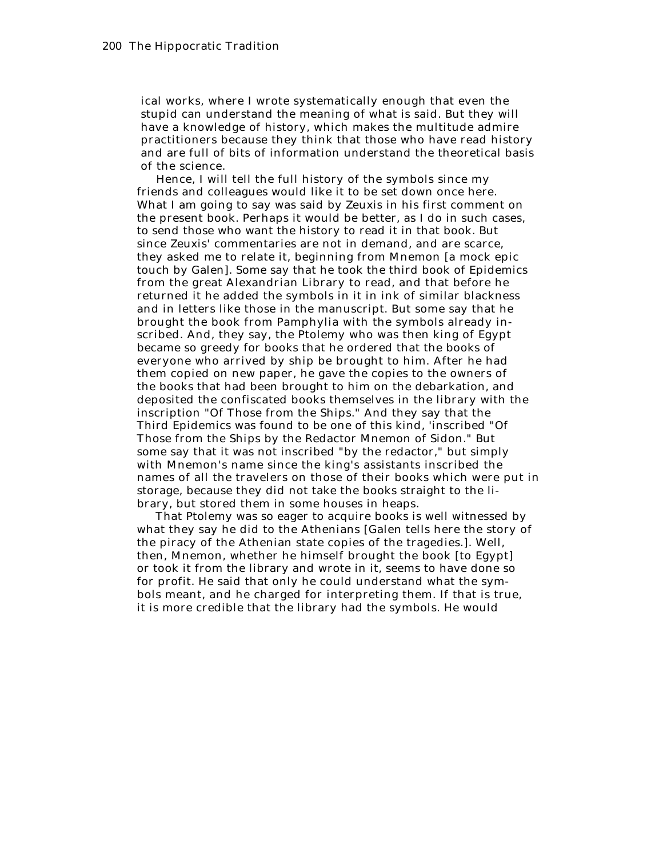ical works, where I wrote systematically enough that even the stupid can understand the meaning of what is said. But they will have a knowledge of history, which makes the multitude admire practitioners because they think that those who have read history and are full of bits of information understand the theoretical basis of the science.

 Hence, I will tell the full history of the symbols since my friends and colleagues would like it to be set down once here. What I am going to say was said by Zeuxis in his first comment on the present book. Perhaps it would be better, as I do in such cases, to send those who want the history to read it in that book. But since Zeuxis' commentaries are not in demand, and are scarce, they asked me to relate it, beginning from Mnemon [a mock epic touch by Galen]. Some say that he took the third book of *Epidemics* from the great Alexandrian Library to read, and that before he returned it he added the symbols in it in ink of similar blackness and in letters like those in the manuscript. But some say that he brought the book from Pamphylia with the symbols already inscribed. And, they say, the Ptolemy who was then king of Egypt became so greedy for books that he ordered that the books of everyone who arrived by ship be brought to him. After he had them copied on new paper, he gave the copies to the owners of the books that had been brought to him on the debarkation, and deposited the confiscated books themselves in the library with the inscription "Of Those from the Ships." And they say that the *Third Epidemics* was found to be one of this kind, 'inscribed "Of Those from the Ships by the Redactor Mnemon of Sidon." But some say that it was not inscribed "by the redactor," but simply with Mnemon's name since the king's assistants inscribed the names of all the travelers on those of their books which were put in storage, because they did not take the books straight to the library, but stored them in some houses in heaps.

 That Ptolemy was so eager to acquire books is well witnessed by what they say he did to the Athenians [Galen tells here the story of the piracy of the Athenian state copies of the tragedies.]. Well, then, Mnemon, whether he himself brought the book [to Egypt] or took it from the library and wrote in it, seems to have done so for profit. He said that only he could understand what the symbols meant, and he charged for interpreting them. If that is true, it is more credible that the library had the symbols. He would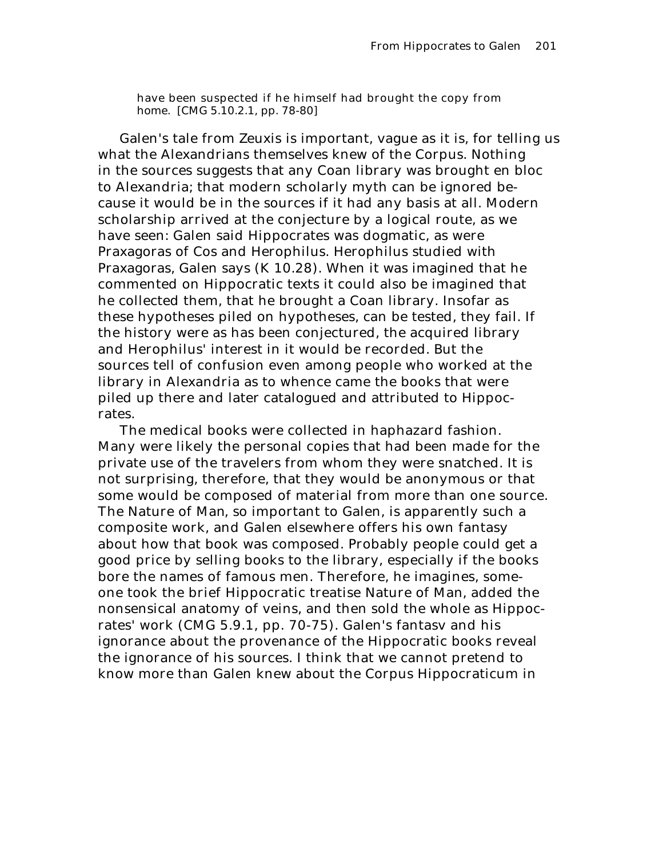have been suspected if he himself had brought the copy from home. [CMG 5.10.2.1, pp. 78-80]

 Galen's tale from Zeuxis is important, vague as it is, for telling us what the Alexandrians themselves knew of the Corpus. Nothing in the sources suggests that any Coan library was brought en bloc to Alexandria; that modern scholarly myth can be ignored because it would be in the sources if it had any basis at all. Modern scholarship arrived at the conjecture by a logical route, as we have seen: Galen said Hippocrates was dogmatic, as were Praxagoras of Cos and Herophilus. Herophilus studied with Praxagoras, Galen says (K 10.28). When it was imagined that he commented on Hippocratic texts it could also be imagined that he collected them, that he brought a Coan library. Insofar as these hypotheses piled on hypotheses, can be tested, they fail. If the history were as has been conjectured, the acquired library and Herophilus' interest in it would be recorded. But the sources tell of confusion even among people who worked at the library in Alexandria as to whence came the books that were piled up there and later catalogued and attributed to Hippocrates.

 The medical books were collected in haphazard fashion. Many were likely the personal copies that had been made for the private use of the travelers from whom they were snatched. It is not surprising, therefore, that they would be anonymous or that some would be composed of material from more than one source. *The Nature of Man*, so important to Galen, is apparently such a composite work, and Galen elsewhere offers his own fantasy about how that book was composed. Probably people could get a good price by selling books to the library, especially if the books bore the names of famous men. Therefore, he imagines, someone took the brief Hippocratic treatise *Nature of Man*, added the nonsensical anatomy of veins, and then sold the whole as Hippocrates' work (CMG 5.9.1, pp. 70-75). Galen's fantasv and his ignorance about the provenance of the Hippocratic books reveal the ignorance of his sources. I think that we cannot pretend to know more than Galen knew about the Corpus Hippocraticum in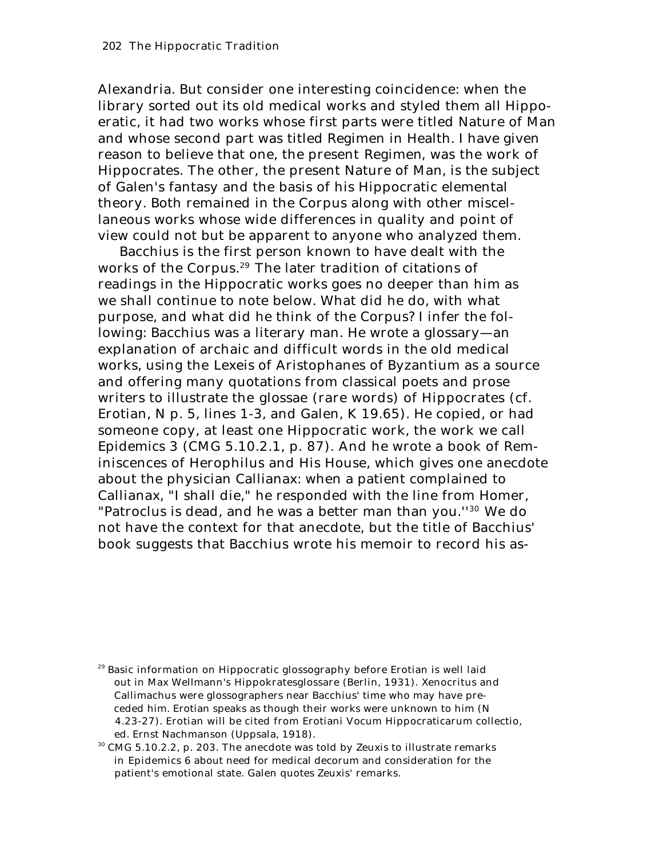Alexandria. But consider one interesting coincidence: when the library sorted out its old medical works and styled them all Hippoeratic, it had two works whose first parts were titled *Nature of Man* and whose second part was titled *Regimen in Health*. I have given reason to believe that one, the present *Regimen*, was the work of Hippocrates. The other, the present *Nature of Man*, is the subject of Galen's fantasy and the basis of his Hippocratic elemental theory. Both remained in the Corpus along with other miscellaneous works whose wide differences in quality and point of view could not but be apparent to anyone who analyzed them.

 Bacchius is the first person known to have dealt with the works of the Corpus.29 The later tradition of citations of readings in the Hippocratic works goes no deeper than him as we shall continue to note below. What did he do, with what purpose, and what did he think of the Corpus? I infer the following: Bacchius was a literary man. He wrote a glossary—an explanation of archaic and difficult words in the old medical works, using the *Lexeis* of Aristophanes of Byzantium as a source and offering many quotations from classical poets and prose writers to illustrate the *glossae* (rare words) of Hippocrates (cf. Erotian, N p. 5, lines 1-3, and Galen, K 19.65). He copied, or had someone copy, at least one Hippocratic work, the work we call *Epidemics* 3 (CMG 5.10.2.1, p. 87). And he wrote a book of *Reminiscences of Herophilus and His House*, which gives one anecdote about the physician Callianax: when a patient complained to Callianax, "I shall die," he responded with the line from Homer, "Patroclus is dead, and he was a better man than you."<sup>30</sup> We do not have the context for that anecdote, but the title of Bacchius' book suggests that Bacchius wrote his memoir to record his as-

 $29$  Basic information on Hippocratic glossography before Erotian is well laid out in Max Wellmann's *Hippokratesglossare* (Berlin, 1931). Xenocritus and Callimachus were glossographers near Bacchius' time who may have pre ceded him. Erotian speaks as though their works were unknown to him (N 4.23-27). Erotian will be cited from *Erotiani Vocum Hippocraticarum collectio*, ed. Ernst Nachmanson (Uppsala, 1918).

 $30$  CMG 5.10.2.2, p. 203. The anecdote was told by Zeuxis to illustrate remarks in *Epidemics* 6 about need for medical decorum and consideration for the patient's emotional state. Galen quotes Zeuxis' remarks.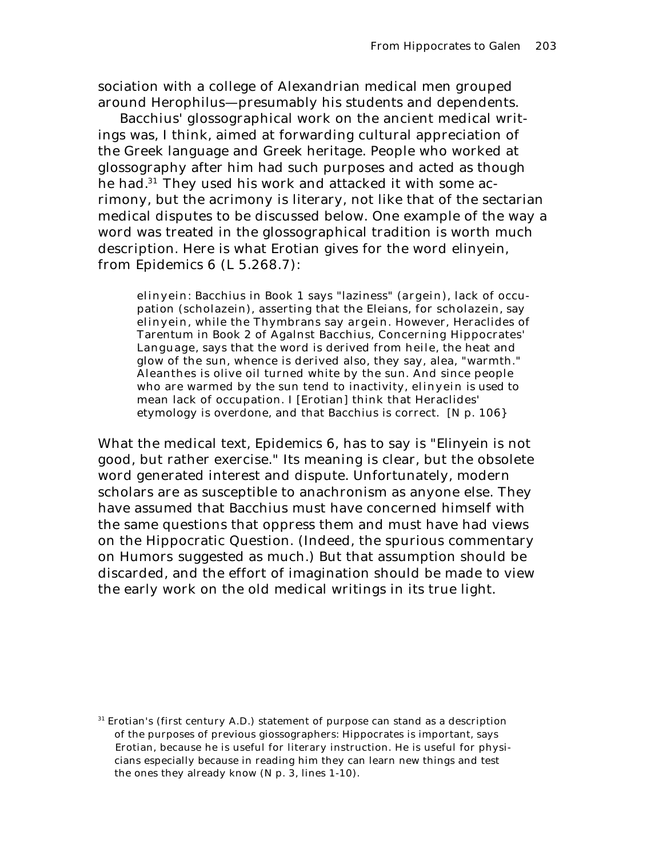sociation with a college of Alexandrian medical men grouped around Herophilus—presumably his students and dependents.

 Bacchius' glossographical work on the ancient medical writings was, I think, aimed at forwarding cultural appreciation of the Greek language and Greek heritage. People who worked at glossography after him had such purposes and acted as though he had.<sup>31</sup> They used his work and attacked it with some acrimony, but the acrimony is literary, not like that of the sectarian medical disputes to be discussed below. One example of the way a word was treated in the glossographical tradition is worth much description. Here is what Erotian gives for the word *elinyein*, from *Epidemics* 6 (L 5.268.7):

*elinyein*: Bacchius in Book 1 says "laziness" (*argein*), lack of occupation (*scholazein*), asserting that the Eleians, for *scholazein*, say *elinyein*, while the Thymbrans say *argein*. However, Heraclides of Tarentum in Book 2 of *Agalnst Bacchius, Concerning Hippocrates' Language*, says that the word is derived from *heile*, the heat and glow of the sun, whence is derived also, they say, *alea*, "warmth." *Aleanthes* is olive oil turned white by the sun. And since people who are warmed by the sun tend to inactivity, *elinyein* is used to mean lack of occupation. I [Erotian] think that Heraclides' etymology is overdone, and that Bacchius is correct. [N p. 106}

What the medical text, *Epidemics* 6, has to say is "*Elinyein* is not good, but rather exercise." Its meaning is clear, but the obsolete word generated interest and dispute. Unfortunately, modern scholars are as susceptible to anachronism as anyone else. They have assumed that Bacchius must have concerned himself with the same questions that oppress them and must have had views on the Hippocratic Question. (Indeed, the spurious commentary on *Humors* suggested as much.) But that assumption should be discarded, and the effort of imagination should be made to view the early work on the old medical writings in its true light.

 $31$  Erotian's (first century A.D.) statement of purpose can stand as a description of the purposes of previous giossographers: Hippocrates is important, says Erotian, because he is useful for literary instruction. He is useful for physi cians especially because in reading him they can learn new things and test the ones they already know (N p. 3, lines 1-10).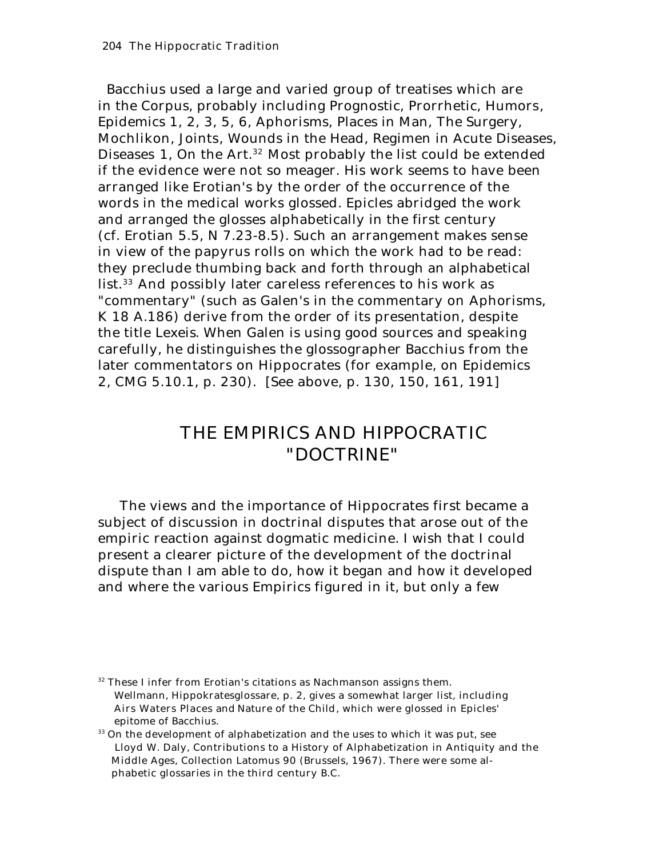Bacchius used a large and varied group of treatises which are in the Corpus, probably including *Prognostic*, *Prorrhetic*, *Humors*, *Epidemics* 1, 2, 3, 5, 6, *Aphorisms*, *Places in Man*, *The Surgery*, *Mochlikon*, *Joints*, *Wounds in the Head*, *Regimen in Acute Diseases*, *Diseases* 1, *On the Art*. <sup>32</sup> Most probably the list could be extended if the evidence were not so meager. His work seems to have been arranged like Erotian's by the order of the occurrence of the words in the medical works glossed. Epicles abridged the work and arranged the glosses alphabetically in the first century (cf. Erotian 5.5, N 7.23-8.5). Such an arrangement makes sense in view of the papyrus rolls on which the work had to be read: they preclude thumbing back and forth through an alphabetical list.<sup>33</sup> And possibly later careless references to his work as "commentary" (such as Galen's in the commentary on *Aphorisms*, K 18 A.186) derive from the order of its presentation, despite the title *Lexeis*. When Galen is using good sources and speaking carefully, he distinguishes the glossographer Bacchius from the later commentators on Hippocrates (for example, on *Epidemics* 2, CMG 5.10.1, p. 230). [See above, p. 130, 150, 161, 191]

## THE EMPIRICS AND HIPPOCRATIC "DOCTRINE"

 The views and the importance of Hippocrates first became a subject of discussion in doctrinal disputes that arose out of the empiric reaction against dogmatic medicine. I wish that I could present a clearer picture of the development of the doctrinal dispute than I am able to do, how it began and how it developed and where the various Empirics figured in it, but only a few

 $32$  These I infer from Erotian's citations as Nachmanson assigns them. Wellmann, *Hippokratesglossare*, p. 2, gives a somewhat larger list, including *Airs Waters Places* and *Nature of the Child*, which were glossed in Epicles' epitome of Bacchius.

<sup>&</sup>lt;sup>33</sup> On the development of alphabetization and the uses to which it was put, see Lloyd W. Daly, *Contributions to a History of Alphabetization in Antiquity and the Middle Ages*, Collection Latomus 90 (Brussels, 1967). There were some al phabetic glossaries in the third century B.C.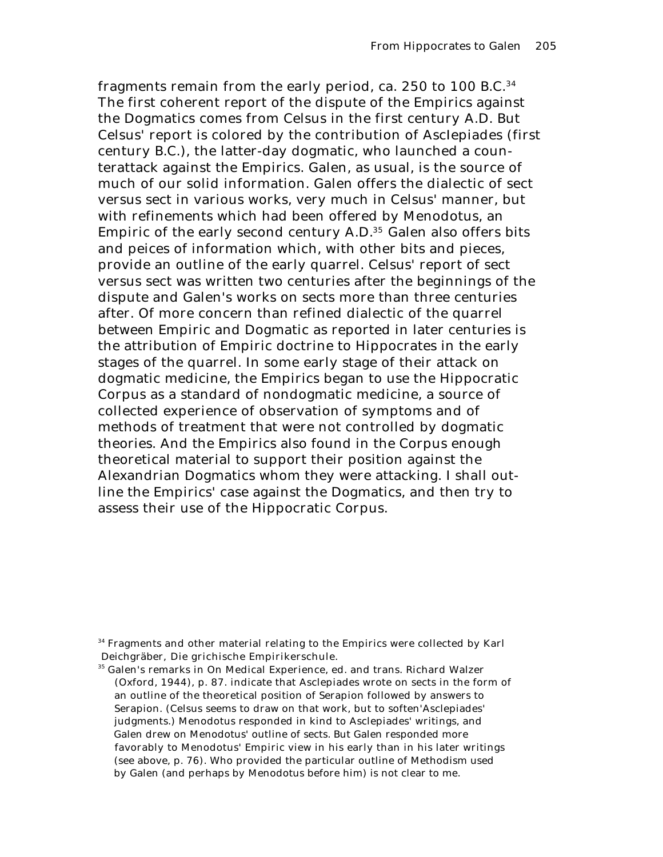fragments remain from the early period, ca. 250 to 100 B.C.<sup>34</sup> The first coherent report of the dispute of the Empirics against the Dogmatics comes from Celsus in the first century A.D. But Celsus' report is colored by the contribution of AscIepiades (first century B.C.), the latter-day dogmatic, who launched a counterattack against the Empirics. Galen, as usual, is the source of much of our solid information. Galen offers the dialectic of sect versus sect in various works, very much in Celsus' manner, but with refinements which had been offered by Menodotus, an Empiric of the early second century A.D.35 Galen also offers bits and peices of information which, with other bits and pieces, provide an outline of the early quarrel. Celsus' report of sect versus sect was written two centuries after the beginnings of the dispute and Galen's works on sects more than three centuries after. Of more concern than refined dialectic of the quarrel between Empiric and Dogmatic as reported in later centuries is the attribution of Empiric doctrine to Hippocrates in the early stages of the quarrel. In some early stage of their attack on dogmatic medicine, the Empirics began to use the Hippocratic Corpus as a standard of nondogmatic medicine, a source of collected experience of observation of symptoms and of methods of treatment that were not controlled by dogmatic theories. And the Empirics also found in the Corpus enough theoretical material to support their position against the Alexandrian Dogmatics whom they were attacking. I shall outline the Empirics' case against the Dogmatics, and then try to assess their use of the Hippocratic Corpus.

<sup>&</sup>lt;sup>34</sup> Fragments and other material relating to the Empirics were collected by Karl Deichgräber, *Die grichische Empirikerschule*.

<sup>35</sup> Galen's remarks in *On Medical Experience*, ed. and trans. Richard Walzer (Oxford, 1944), p. 87. indicate that Asclepiades wrote on sects in the form of an outline of the theoretical position of Serapion followed by answers to Serapion. (Celsus seems to draw on that work, but to soften'Asclepiades' judgments.) Menodotus responded in kind to Asclepiades' writings, and Galen drew on Menodotus' outline of sects. But Galen responded more favorably to Menodotus' Empiric view in his early than in his later writings (see above, p. 76). Who provided the particular outline of Methodism used by Galen (and perhaps by Menodotus before him) is not clear to me.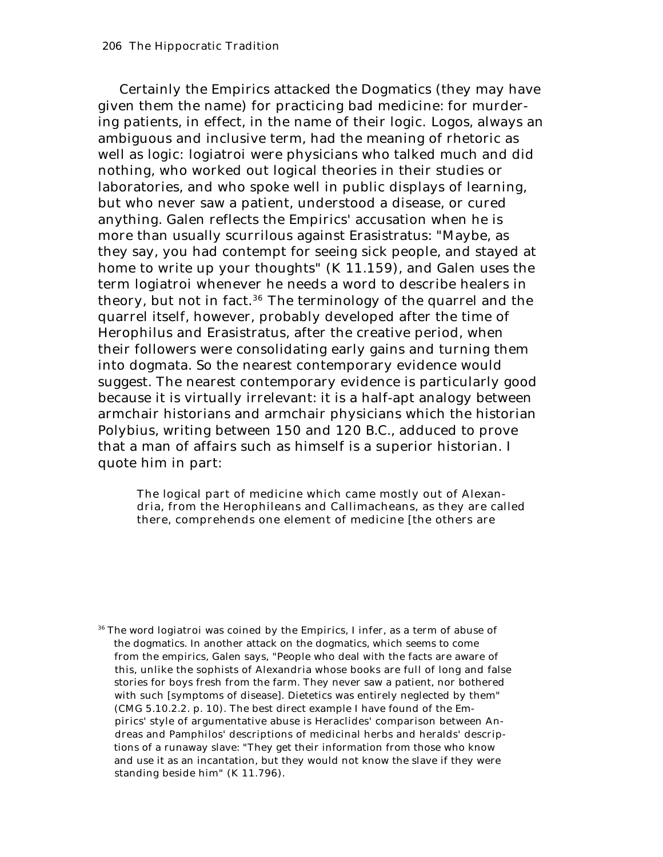Certainly the Empirics attacked the Dogmatics (they may have given them the name) for practicing bad medicine: for murdering patients, in effect, in the name of their logic. *Logos*, always an ambiguous and inclusive term, had the meaning of rhetoric as well as logic: *logiatroi* were physicians who talked much and did nothing, who worked out logical theories in their studies or laboratories, and who spoke well in public displays of learning, but who never saw a patient, understood a disease, or cured anything. Galen reflects the Empirics' accusation when he is more than usually scurrilous against Erasistratus: "Maybe, as they say, you had contempt for seeing sick people, and stayed at home to write up your thoughts" (K 11.159), and Galen uses the term *logiatroi* whenever he needs a word to describe healers in theory, but not in fact.<sup>36</sup> The terminology of the quarrel and the quarrel itself, however, probably developed after the time of Herophilus and Erasistratus, after the creative period, when their followers were consolidating early gains and turning them into dogmata. So the nearest contemporary evidence would suggest. The nearest contemporary evidence is particularly good because it is virtually irrelevant: it is a half-apt analogy between armchair historians and armchair physicians which the historian Polybius, writing between 150 and 120 B.C., adduced to prove that a man of affairs such as himself is a superior historian. I quote him in part:

The logical part of medicine which came mostly out of Alexandria, from the Herophileans and Callimacheans, as they are called there, comprehends one element of medicine [the others are

<sup>36</sup> The word *logiatroi* was coined by the Empirics, I infer, as a term of abuse of the dogmatics. In another attack on the dogmatics, which seems to come from the empirics, Galen says, "People who deal with the facts are aware of this, unlike the sophists of Alexandria whose books are full of long and false stories for boys fresh from the farm. They never saw a patient, nor bothered with such [symptoms of disease]. Dietetics was entirely neglected by them" (CMG 5.10.2.2. p. 10). The best direct example I have found of the Em pirics' style of argumentative abuse is Heraclides' comparison between An dreas and Pamphilos' descriptions of medicinal herbs and heralds' descrip tions of a runaway slave: "They get their information from those who know and use it as an incantation, but they would not know the slave if they were standing beside him" (K 11.796).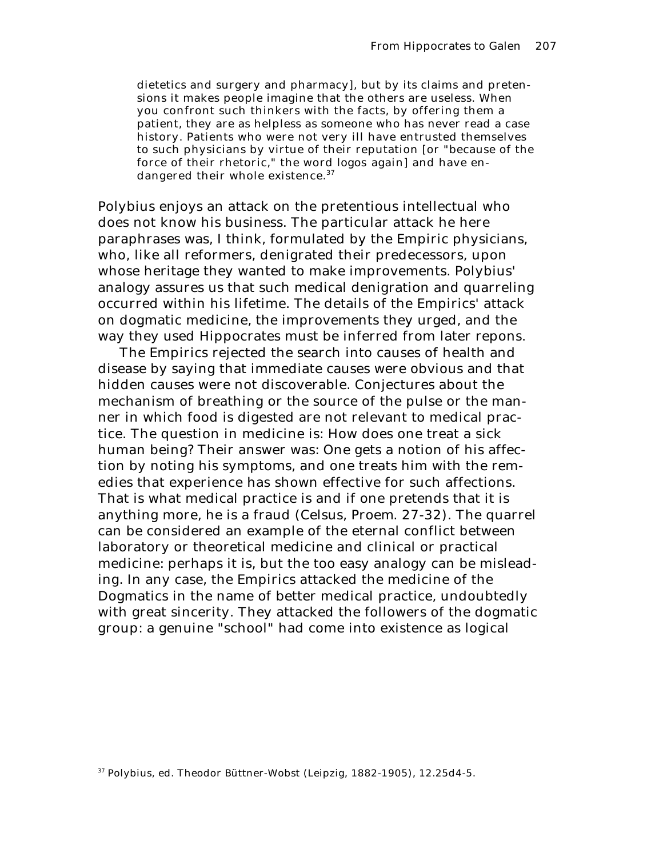dietetics and surgery and pharmacy], but by its claims and pretensions it makes people imagine that the others are useless. When you confront such thinkers with the facts, by offering them a patient, they are as helpless as someone who has never read a case history. Patients who were not very ill have entrusted themselves to such physicians by virtue of their reputation [or "because of the force of their rhetoric," the word *logos* again] and have endangered their whole existence.<sup>37</sup>

Polybius enjoys an attack on the pretentious intellectual who does not know his business. The particular attack he here paraphrases was, I think, formulated by the Empiric physicians, who, like all reformers, denigrated their predecessors, upon whose heritage they wanted to make improvements. Polybius' analogy assures us that such medical denigration and quarreling occurred within his lifetime. The details of the Empirics' attack on dogmatic medicine, the improvements they urged, and the way they used Hippocrates must be inferred from later repons.

 The Empirics rejected the search into causes of health and disease by saying that immediate causes were obvious and that hidden causes were not discoverable. Conjectures about the mechanism of breathing or the source of the pulse or the manner in which food is digested are not relevant to medical practice. The question in medicine is: How does one treat a sick human being? Their answer was: One gets a notion of his affection by noting his symptoms, and one treats him with the remedies that experience has shown effective for such affections. That is what medical practice is and if one pretends that it is anything more, he is a fraud (Celsus, *Proem*. 27-32). The quarrel can be considered an example of the eternal conflict between laboratory or theoretical medicine and clinical or practical medicine: perhaps it is, but the too easy analogy can be misleading. In any case, the Empirics attacked the medicine of the Dogmatics in the name of better medical practice, undoubtedly with great sincerity. They attacked the followers of the dogmatic group: a genuine "school" had come into existence as logical

<sup>37</sup> Polybius, ed. Theodor Büttner-Wobst (Leipzig, 1882-1905), 12.25d4-5.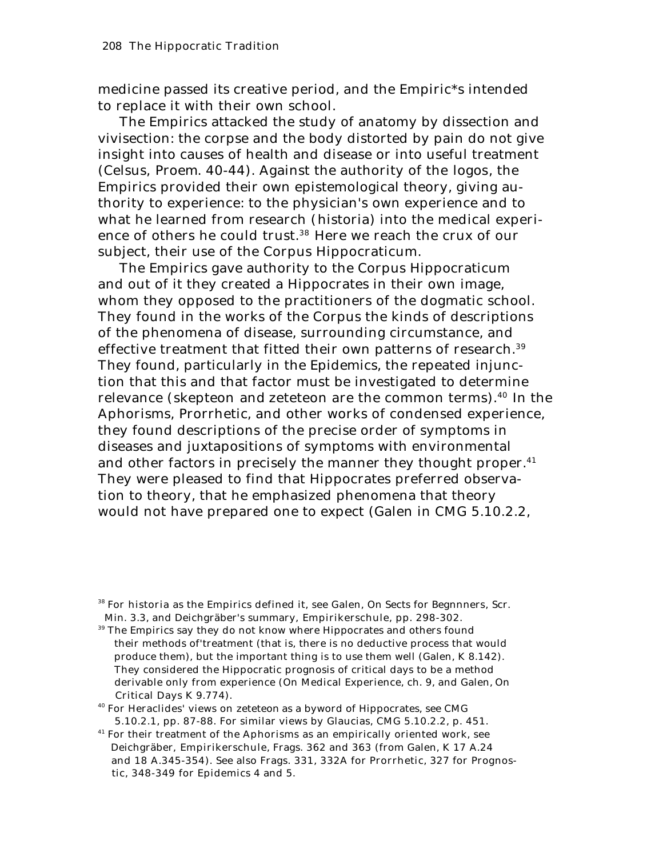medicine passed its creative period, and the Empiric\*s intended to replace it with their own school.

 The Empirics attacked the study of anatomy by dissection and vivisection: the corpse and the body distorted by pain do not give insight into causes of health and disease or into useful treatment (Celsus, *Proem*. 40-44). Against the authority of the *logos*, the Empirics provided their own epistemological theory, giving authority to experience: to the physician's own experience and to what he learned from research (*historia*) into the medical experience of others he could trust.<sup>38</sup> Here we reach the crux of our subject, their use of the Corpus Hippocraticum.

 The Empirics gave authority to the Corpus Hippocraticum and out of it they created a Hippocrates in their own image, whom they opposed to the practitioners of the dogmatic school. They found in the works of the Corpus the kinds of descriptions of the phenomena of disease, surrounding circumstance, and effective treatment that fitted their own patterns of research.<sup>39</sup> They found, particularly in the *Epidemics*, the repeated injunction that this and that factor must be investigated to determine relevance (*skepteon* and *zeteteon* are the common terms).40 In the *Aphorisms*, *Prorrhetic*, and other works of condensed experience, they found descriptions of the precise order of symptoms in diseases and juxtapositions of symptoms with environmental and other factors in precisely the manner they thought proper.<sup>41</sup> They were pleased to find that Hippocrates preferred observation to theory, that he emphasized phenomena that theory would not have prepared one to expect (Galen in CMG 5.10.2.2,

- <sup>39</sup> The Empirics say they do not know where Hippocrates and others found their methods of'treatment (that is, there is no deductive process that would produce them), but the important thing is to use them well (Galen, K 8.142). They considered the Hippocratic prognosis of critical days to be a method derivable only from experience (*On Medical Experience*, ch. 9, and Galen, *On Critical Days* K 9.774).
- <sup>40</sup> For Heraclides' views on *zeteteon* as a byword of Hippocrates, see CMG 5.10.2.1, pp. 87-88. For similar views by Glaucias, CMG 5.10.2.2, p. 451.
- <sup>41</sup> For their treatment of the *Aphorisms* as an empirically oriented work, see Deichgräber, *Empirikerschule*, Frags. 362 and 363 (from Galen, K 17 A.24 and 18 A.345-354). See also Frags. 331, 332A for *Prorrhetic*, 327 for *Prognos tic*, 348-349 for *Epidemics* 4 and 5.

<sup>38</sup> For *historia* as the Empirics defined it, see Galen, *On Sects for Begnnners*, *Scr. Min*. 3.3, and Deichgräber's summary, *Empirikerschule*, pp. 298-302.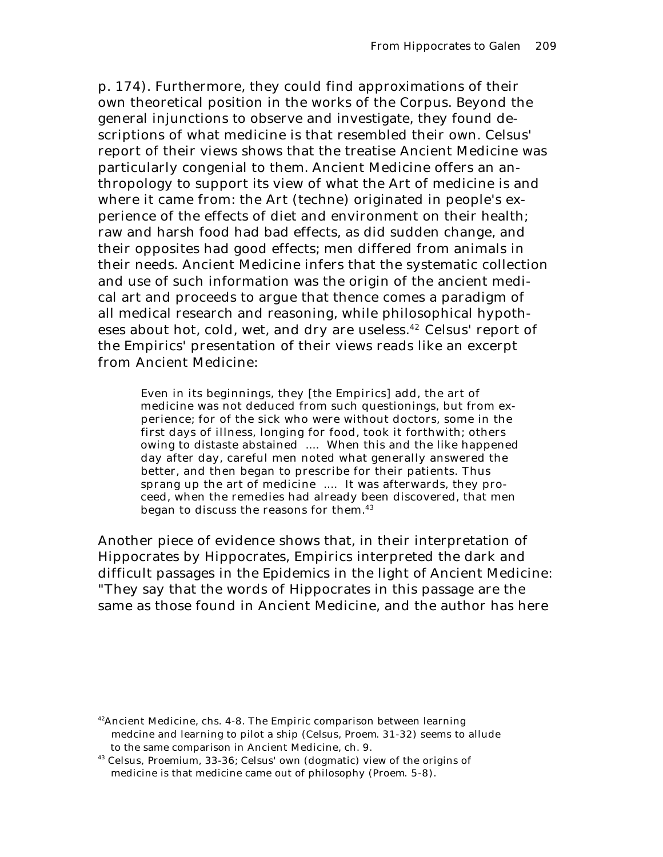p. 174). Furthermore, they could find approximations of their own theoretical position in the works of the Corpus. Beyond the general injunctions to observe and investigate, they found descriptions of what medicine is that resembled their own. Celsus' report of their views shows that the treatise *Ancient Medicine* was particularly congenial to them. *Ancient Medicine* offers an anthropology to support its view of what the Art of medicine is and where it came from: the Art (*techne*) originated in people's experience of the effects of diet and environment on their health; raw and harsh food had bad effects, as did sudden change, and their opposites had good effects; men differed from animals in their needs. *Ancient Medicine* infers that the systematic collection and use of such information was the origin of the ancient medical art and proceeds to argue that thence comes a paradigm of all medical research and reasoning, while philosophical hypotheses about hot, cold, wet, and dry are useless.<sup>42</sup> Celsus' report of the Empirics' presentation of their views reads like an excerpt from *Ancient Medicine*:

 Even in its beginnings, they [the Empirics] add, the art of medicine was not deduced from such questionings, but from ex perience; for of the sick who were without doctors, some in the first days of illness, longing for food, took it forthwith; others owing to distaste abstained .... When this and the like happened day after day, careful men noted what generally answered the better, and then began to prescribe for their patients. Thus sprang up the art of medicine .... It was afterwards, they pro ceed, when the remedies had already been discovered, that men began to discuss the reasons for them.<sup>43</sup>

Another piece of evidence shows that, in their interpretation of Hippocrates by Hippocrates, Empirics interpreted the dark and difficult passages in the *Epidemics* in the light of *Ancient Medicine*: "They say that the words of Hippocrates in this passage are the same as those found in *Ancient Medicine*, and the author has here

<sup>42</sup>*Ancient Medicine*, chs. 4-8. The Empiric comparison between learning medcine and learning to pilot a ship (Celsus, *Proem*. 31-32) seems to allude to the same comparison in *Ancient Medicine*, ch. 9.

<sup>43</sup> Celsus, *Proemium*, 33-36; Celsus' own (dogmatic) view of the origins of medicine is that medicine came out of philosophy (*Proem*. 5-8).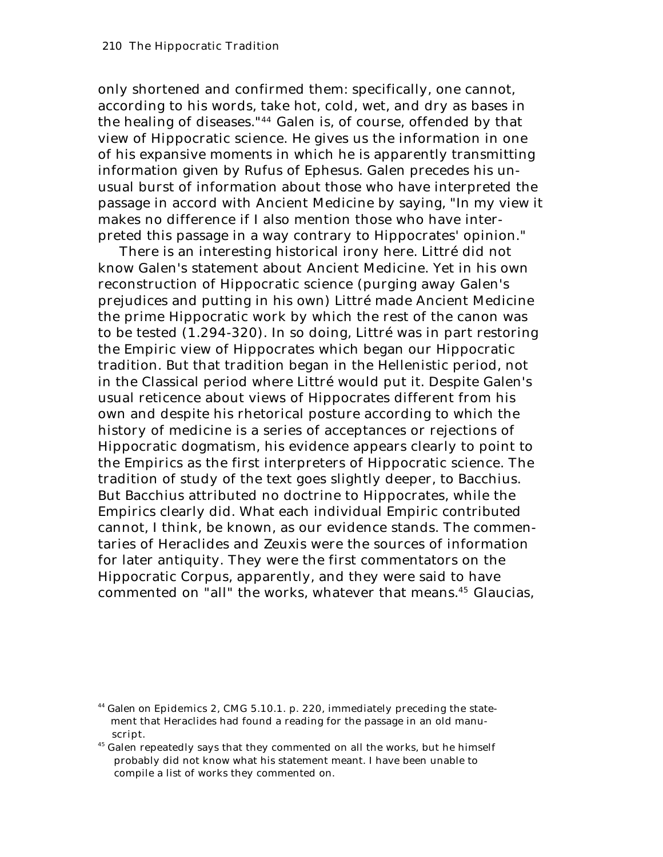only shortened and confirmed them: specifically, one cannot, according to his words, take hot, cold, wet, and dry as bases in the healing of diseases."44 Galen is, of course, offended by that view of Hippocratic science. He gives us the information in one of his expansive moments in which he is apparently transmitting information given by Rufus of Ephesus. Galen precedes his unusual burst of information about those who have interpreted the passage in accord with *Ancient Medicine* by saying, "In my view it makes no difference if I also mention those who have interpreted this passage in a way contrary to Hippocrates' opinion."

 There is an interesting historical irony here. Littré did not know Galen's statement about *Ancient Medicine*. Yet in his own reconstruction of Hippocratic science (purging away Galen's prejudices and putting in his own) Littré made *Ancient Medicine* the prime Hippocratic work by which the rest of the canon was to be tested (1.294-320). In so doing, Littré was in part restoring the Empiric view of Hippocrates which began our Hippocratic tradition. But that tradition began in the Hellenistic period, not in the Classical period where Littré would put it. Despite Galen's usual reticence about views of Hippocrates different from his own and despite his rhetorical posture according to which the history of medicine is a series of acceptances or rejections of Hippocratic dogmatism, his evidence appears clearly to point to the Empirics as the first interpreters of Hippocratic science. The tradition of study of the text goes slightly deeper, to Bacchius. But Bacchius attributed no doctrine to Hippocrates, while the Empirics clearly did. What each individual Empiric contributed cannot, I think, be known, as our evidence stands. The commentaries of Heraclides and Zeuxis were the sources of information for later antiquity. They were the first commentators on the Hippocratic Corpus, apparently, and they were said to have commented on "all" the works, whatever that means.<sup>45</sup> Glaucias,

<sup>44</sup> Galen on *Epidemics* 2, CMG 5.10.1. p. 220, immediately preceding the state ment that Heraclides had found a reading for the passage in an old manu script.

<sup>&</sup>lt;sup>45</sup> Galen repeatedly says that they commented on all the works, but he himself probably did not know what his statement meant. I have been unable to compile a list of works they commented on.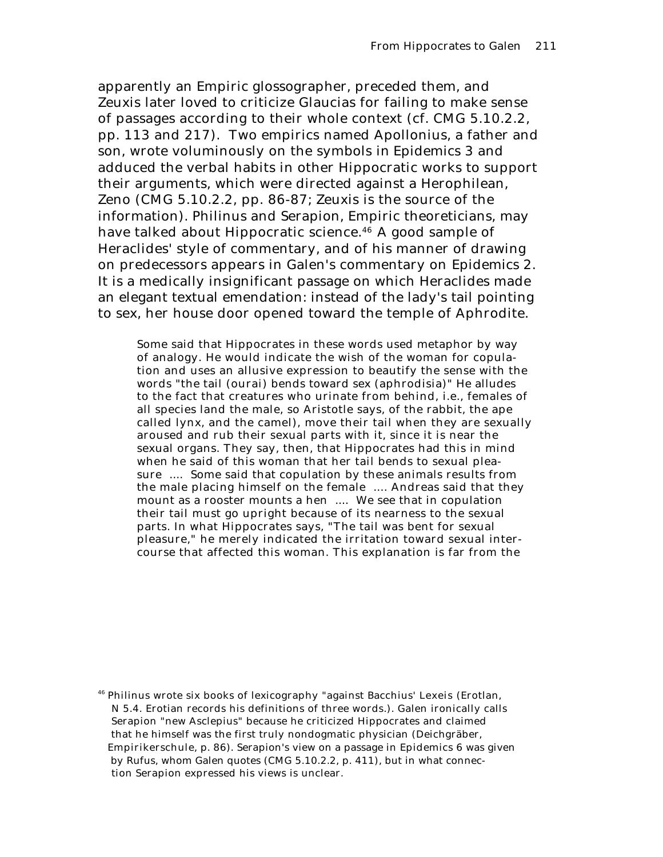apparently an Empiric glossographer, preceded them, and Zeuxis later loved to criticize Glaucias for failing to make sense of passages according to their whole context (cf. CMG 5.10.2.2, pp. 113 and 217). Two empirics named Apollonius, a father and son, wrote voluminously on the symbols in *Epidemics* 3 and adduced the verbal habits in other Hippocratic works to support their arguments, which were directed against a Herophilean, Zeno (CMG 5.10.2.2, pp. 86-87; Zeuxis is the source of the information). Philinus and Serapion, Empiric theoreticians, may have talked about Hippocratic science.<sup>46</sup> A good sample of Heraclides' style of commentary, and of his manner of drawing on predecessors appears in Galen's commentary on *Epidemics* 2. It is a medically insignificant passage on which Heraclides made an elegant textual emendation: instead of the lady's tail pointing to sex, her house door opened toward the temple of Aphrodite.

Some said that Hippocrates in these words used metaphor by way of analogy. He would indicate the wish of the woman for copulation and uses an allusive expression to beautify the sense with the words "the tail (*ourai*) bends toward sex (*aphrodisia*)" He alludes to the fact that creatures who urinate from behind, i.e., females of all species land the male, so Aristotle says, of the rabbit, the ape called lynx, and the camel), move their tail when they are sexually aroused and rub their sexual parts with it, since it is near the sexual organs. They say, then, that Hippocrates had this in mind when he said of this woman that her tail bends to sexual pleasure .... Some said that copulation by these animals results from the male placing himself on the female .... Andreas said that they mount as a rooster mounts a hen .... We see that in copulation their tail must go upright because of its nearness to the sexual parts. In what Hippocrates says, "The tail was bent for sexual pleasure," he merely indicated the irritation toward sexual intercourse that affected this woman. This explanation is far from the

<sup>46</sup> Philinus wrote six books of lexicography "against Bacchius' *Lexeis* (Erotlan, N 5.4. Erotian records his definitions of three words.). Galen ironically calls Serapion "new Asclepius" because he criticized Hippocrates and claimed that he himself was the first truly nondogmatic physician (Deichgräber, *Empirikerschule*, p. 86). Serapion's view on a passage in *Epidemics* 6 was given by Rufus, whom Galen quotes (CMG 5.10.2.2, p. 411), but in what connec tion Serapion expressed his views is unclear.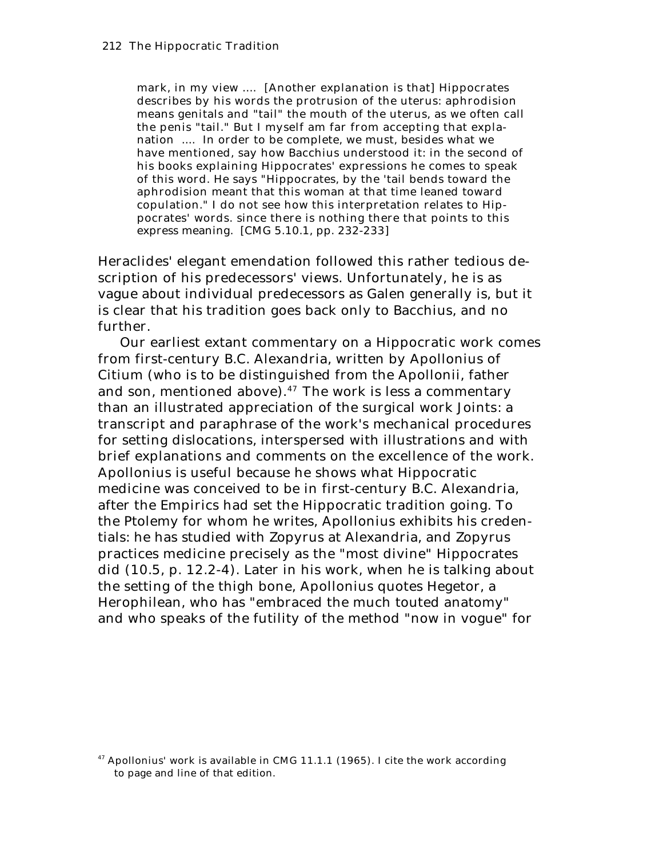mark, in my view .... [Another explanation is that] Hippocrates describes by his words the protrusion of the uterus: *aphrodision* means genitals and "tail" the mouth of the uterus, as we often call the penis "tail." But I myself am far from accepting that explanation .... In order to be complete, we must, besides what we have mentioned, say how Bacchius understood it: in the second of his books explaining Hippocrates' expressions he comes to speak of this word. He says "Hippocrates, by the 'tail bends toward the *aphrodision* meant that this woman at that time leaned toward copulation." I do not see how this interpretation relates to Hippocrates' words. since there is nothing there that points to this express meaning. [CMG 5.10.1, pp. 232-233]

Heraclides' elegant emendation followed this rather tedious description of his predecessors' views. Unfortunately, he is as vague about individual predecessors as Galen generally is, but it is clear that his tradition goes back only to Bacchius, and no further.

 Our earliest extant commentary on a Hippocratic work comes from first-century B.C. Alexandria, written by Apollonius of Citium (who is to be distinguished from the Apollonii, father and son, mentioned above).<sup>47</sup> The work is less a commentary than an illustrated appreciation of the surgical work *Joints*: a transcript and paraphrase of the work's mechanical procedures for setting dislocations, interspersed with illustrations and with brief explanations and comments on the excellence of the work. Apollonius is useful because he shows what Hippocratic medicine was conceived to be in first-century B.C. Alexandria, after the Empirics had set the Hippocratic tradition going. To the Ptolemy for whom he writes, Apollonius exhibits his credentials: he has studied with Zopyrus at Alexandria, and Zopyrus practices medicine precisely as the "most divine" Hippocrates did (10.5, p. 12.2-4). Later in his work, when he is talking about the setting of the thigh bone, Apollonius quotes Hegetor, a Herophilean, who has "embraced the much touted anatomy" and who speaks of the futility of the method "now in vogue" for

 $47$  Apollonius' work is available in CMG 11.1.1 (1965). I cite the work according to page and line of that edition.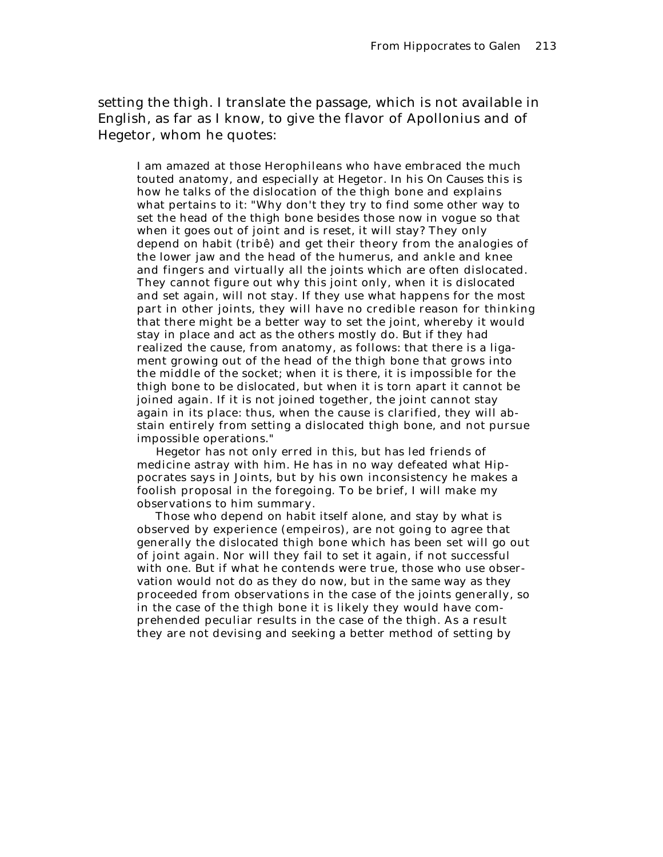setting the thigh. I translate the passage, which is not available in English, as far as I know, to give the flavor of Apollonius and of Hegetor, whom he quotes:

I am amazed at those Herophileans who have embraced the much touted anatomy, and especially at Hegetor. In his *On Causes* this is how he talks of the dislocation of the thigh bone and explains what pertains to it: "Why don't they try to find some other way to set the head of the thigh bone besides those now in vogue so that when it goes out of joint and is reset, it will stay? They only depend on habit (*tribê*) and get their theory from the analogies of the lower jaw and the head of the humerus, and ankle and knee and fingers and virtually all the joints which are often dislocated. They cannot figure out why this joint only, when it is dislocated and set again, will not stay. If they use what happens for the most part in other joints, they will have no credible reason for thinking that there might be a better way to set the joint, whereby it would stay in place and act as the others mostly do. But if they had realized the cause, from anatomy, as follows: that there is a ligament growing out of the head of the thigh bone that grows into the middle of the socket; when it is there, it is impossible for the thigh bone to be dislocated, but when it is torn apart it cannot be joined again. If it is not joined together, the joint cannot stay again in its place: thus, when the cause is clarified, they will abstain entirely from setting a dislocated thigh bone, and not pursue impossible operations."

 Hegetor has not only erred in this, but has led friends of medicine astray with him. He has in no way defeated what Hippocrates says in *Joints*, but by his own inconsistency he makes a foolish proposal in the foregoing. To be brief, I will make my observations to him summary.

 Those who depend on habit itself alone, and stay by what is observed by experience (*empeiros*), are not going to agree that generally the dislocated thigh bone which has been set will go out of joint again. Nor will they fail to set it again, if not successful with one. But if what he contends were true, those who use observation would not do as they do now, but in the same way as they proceeded from observations in the case of the joints generally, so in the case of the thigh bone it is likely they would have comprehended peculiar results in the case of the thigh. As a result they are not devising and seeking a better method of setting by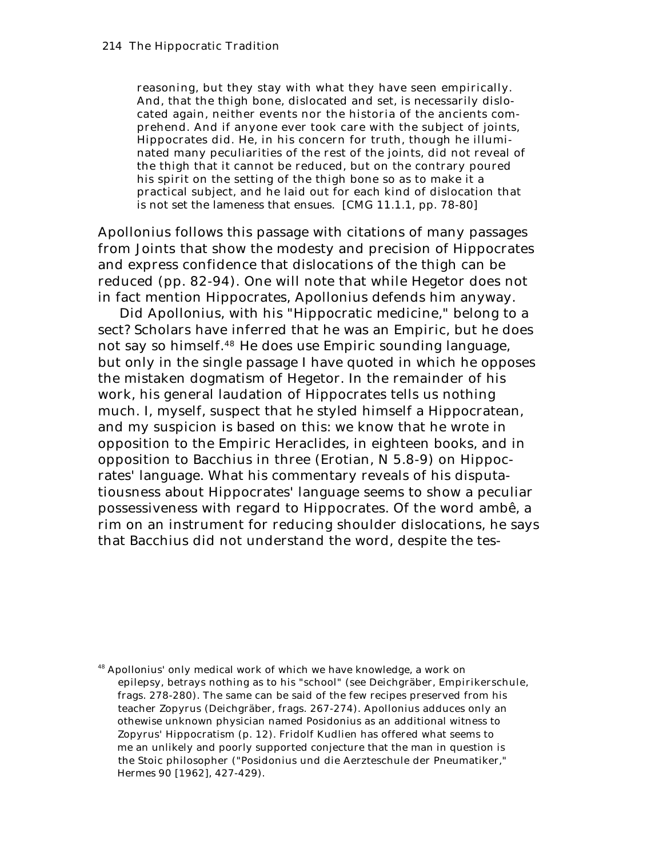reasoning, but they stay with what they have seen empirically. And, that the thigh bone, dislocated and set, is necessarily dislocated again, neither events nor the *historia* of the ancients comprehend. And if anyone ever took care with the subject of joints, Hippocrates did. He, in his concern for truth, though he illuminated many peculiarities of the rest of the joints, did not reveal of the thigh that it cannot be reduced, but on the contrary poured his spirit on the setting of the thigh bone so as to make it a practical subject, and he laid out for each kind of dislocation that is not set the lameness that ensues. [CMG 11.1.1, pp. 78-80]

Apollonius follows this passage with citations of many passages from *Joints* that show the modesty and precision of Hippocrates and express confidence that dislocations of the thigh can be reduced (pp. 82-94). One will note that while Hegetor does not in fact mention Hippocrates, Apollonius defends him anyway.

 Did Apollonius, with his "Hippocratic medicine," belong to a sect? Scholars have inferred that he was an Empiric, but he does not say so himself.48 He does use Empiric sounding language, but only in the single passage I have quoted in which he opposes the mistaken dogmatism of Hegetor. In the remainder of his work, his general laudation of Hippocrates tells us nothing much. I, myself, suspect that he styled himself a Hippocratean, and my suspicion is based on this: we know that he wrote in opposition to the Empiric Heraclides, in eighteen books, and in opposition to Bacchius in three (Erotian, N 5.8-9) on Hippocrates' language. What his commentary reveals of his disputatiousness about Hippocrates' language seems to show a peculiar possessiveness with regard to Hippocrates. Of the word *ambê*, a rim on an instrument for reducing shoulder dislocations, he says that Bacchius did not understand the word, despite the tes-

<sup>48</sup> Apollonius' only medical work of which we have knowledge, a work on epilepsy, betrays nothing as to his "school" (see Deichgräber, *Empirikerschule*, frags. 278-280). The same can be said of the few recipes preserved from his teacher Zopyrus (Deichgräber, frags. 267-274). Apollonius adduces only an othewise unknown physician named Posidonius as an additional witness to Zopyrus' Hippocratism (p. 12). Fridolf Kudlien has offered what seems to me an unlikely and poorly supported conjecture that the man in question is the Stoic philosopher ("Posidonius und die Aerzteschule der Pneumatiker," *Hermes* 90 [1962], 427-429).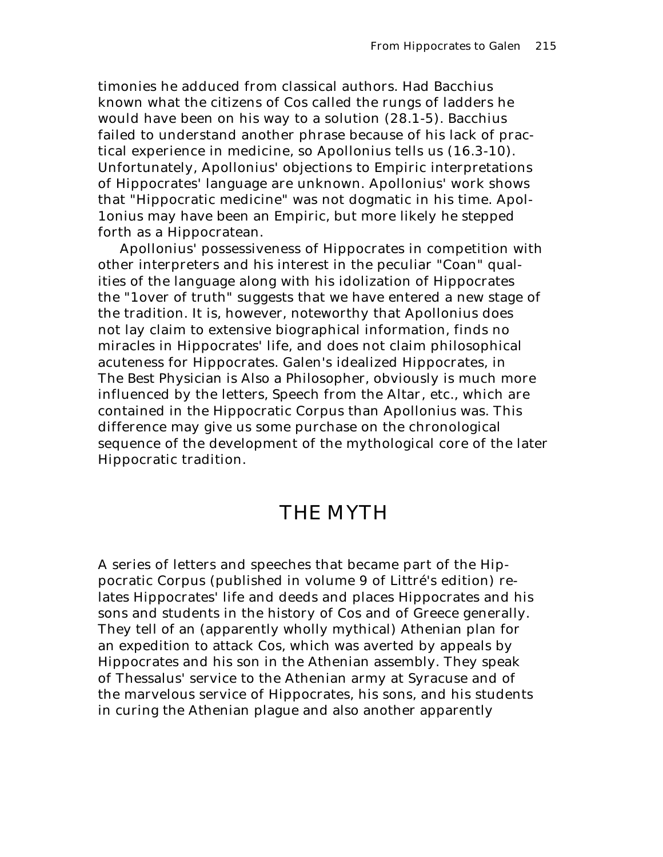timonies he adduced from classical authors. Had Bacchius known what the citizens of Cos called the rungs of ladders he would have been on his way to a solution (28.1-5). Bacchius failed to understand another phrase because of his lack of practical experience in medicine, so Apollonius tells us (16.3-10). Unfortunately, Apollonius' objections to Empiric interpretations of Hippocrates' language are unknown. Apollonius' work shows that "Hippocratic medicine" was not dogmatic in his time. Apol-1onius may have been an Empiric, but more likely he stepped forth as a Hippocratean.

 Apollonius' possessiveness of Hippocrates in competition with other interpreters and his interest in the peculiar "Coan" qualities of the language along with his idolization of Hippocrates the "1over of truth" suggests that we have entered a new stage of the tradition. It is, however, noteworthy that Apollonius does not lay claim to extensive biographical information, finds no miracles in Hippocrates' life, and does not claim philosophical acuteness for Hippocrates. Galen's idealized Hippocrates, in *The Best Physician is Also a Philosopher*, obviously is much more influenced by the letters, *Speech from the Altar*, etc., which are contained in the Hippocratic Corpus than Apollonius was. This difference may give us some purchase on the chronological sequence of the development of the mythological core of the later Hippocratic tradition.

## THE MYTH

A series of letters and speeches that became part of the Hippocratic Corpus (published in volume 9 of Littré's edition) relates Hippocrates' life and deeds and places Hippocrates and his sons and students in the history of Cos and of Greece generally. They tell of an (apparently wholly mythical) Athenian plan for an expedition to attack Cos, which was averted by appeals by Hippocrates and his son in the Athenian assembly. They speak of Thessalus' service to the Athenian army at Syracuse and of the marvelous service of Hippocrates, his sons, and his students in curing the Athenian plague and also another apparently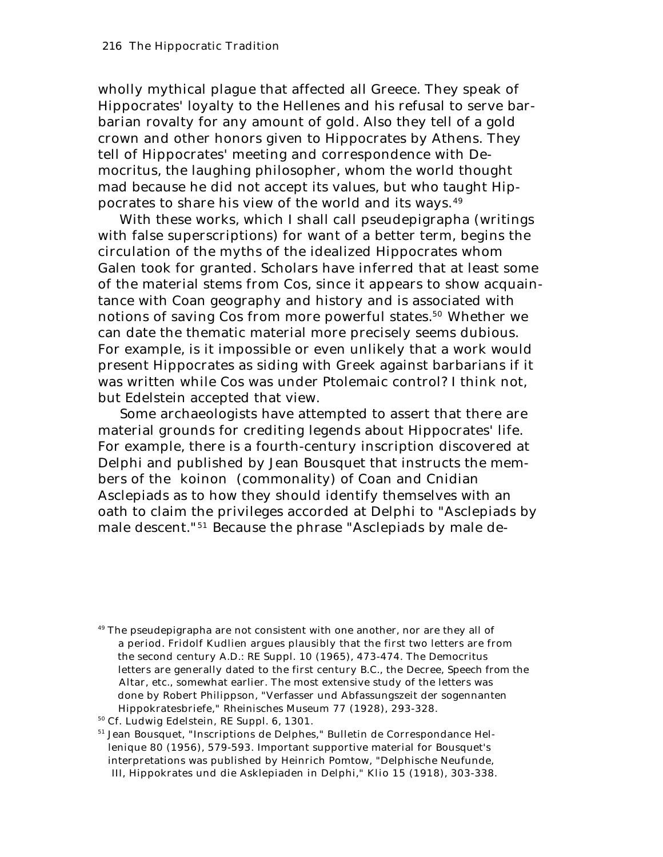wholly mythical plague that affected all Greece. They speak of Hippocrates' loyalty to the Hellenes and his refusal to serve barbarian rovalty for any amount of gold. Also they tell of a gold crown and other honors given to Hippocrates by Athens. They tell of Hippocrates' meeting and correspondence with Democritus, the laughing philosopher, whom the world thought mad because he did not accept its values, but who taught Hippocrates to share his view of the world and its ways.<sup>49</sup>

 With these works, which I shall call pseudepigrapha (writings with false superscriptions) for want of a better term, begins the circulation of the myths of the idealized Hippocrates whom Galen took for granted. Scholars have inferred that at least some of the material stems from Cos, since it appears to show acquaintance with Coan geography and history and is associated with notions of saving Cos from more powerful states.<sup>50</sup> Whether we can date the thematic material more precisely seems dubious. For example, is it impossible or even unlikely that a work would present Hippocrates as siding with Greek against barbarians if it was written while Cos was under Ptolemaic control? I think not, but Edelstein accepted that view.

 Some archaeologists have attempted to assert that there are material grounds for crediting legends about Hippocrates' life. For example, there is a fourth-century inscription discovered at Delphi and published by Jean Bousquet that instructs the members of the *koinon* (commonality) of Coan and Cnidian Asclepiads as to how they should identify themselves with an oath to claim the privileges accorded at Delphi to "Asclepiads by male descent."51 Because the phrase "Asclepiads by male de-

 $49$  The pseudepigrapha are not consistent with one another, nor are they all of a period. Fridolf Kudlien argues plausibly that the first two letters are from the second century A.D.: *RE* Suppl. 10 (1965), 473-474. The Democritus letters are generally dated to the first century B.C., the *Decree*, *Speech from the Altar*, etc., somewhat earlier. The most extensive study of the letters was done by Robert Philippson, "Verfasser und Abfassungszeit der sogennanten Hippokratesbriefe," *Rheinisches Museum* 77 (1928), 293-328.

<sup>51</sup> Jean Bousquet, "Inscriptions de Delphes," *Bulletin de Correspondance Hel lenique* 80 (1956), 579-593. Important supportive material for Bousquet's interpretations was published by Heinrich Pomtow, "Delphische Neufunde, III, Hippokrates und die Asklepiaden in Delphi," *Klio* 15 (1918), 303-338.

<sup>50</sup> Cf. Ludwig Edelstein, *RE* Suppl. 6, 1301.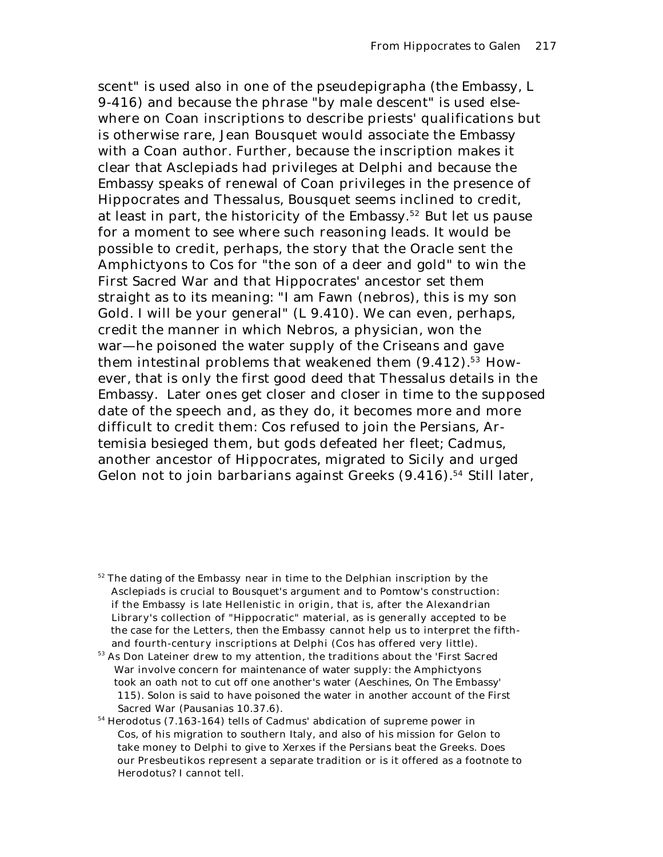scent" is used also in one of the pseudepigrapha (the *Embassy*, L 9-416) and because the phrase "by male descent" is used elsewhere on Coan inscriptions to describe priests' qualifications but is otherwise rare, Jean Bousquet would associate the *Embassy* with a Coan author. Further, because the inscription makes it clear that Asclepiads had privileges at Delphi and because the *Embassy* speaks of renewal of Coan privileges in the presence of Hippocrates and Thessalus, Bousquet seems inclined to credit, at least in part, the historicity of the *Embassy*. <sup>52</sup> But let us pause for a moment to see where such reasoning leads. It would be possible to credit, perhaps, the story that the Oracle sent the Amphictyons to Cos for "the son of a deer and gold" to win the First Sacred War and that Hippocrates' ancestor set them straight as to its meaning: "I am Fawn (nebros), this is my son Gold. I will be your general" (L 9.410). We can even, perhaps, credit the manner in which Nebros, a physician, won the war—he poisoned the water supply of the Criseans and gave them intestinal problems that weakened them  $(9.412).<sup>53</sup>$  However, that is only the first good deed that Thessalus details in the *Embassy*. Later ones get closer and closer in time to the supposed date of the speech and, as they do, it becomes more and more difficult to credit them: Cos refused to join the Persians, Artemisia besieged them, but gods defeated her fleet; Cadmus, another ancestor of Hippocrates, migrated to Sicily and urged Gelon not to join barbarians against Greeks (9.416).<sup>54</sup> Still later,

<sup>52</sup> The dating of the *Embassy* near in time to the Delphian inscription by the Asclepiads is crucial to Bousquet's argument and to Pomtow's construction: if the *Embassy* is late HeIlenistic in origin, that is, after the Alexandrian Library's collection of "Hippocratic" material, as is generally accepted to be the case for the *Letters*, then the *Embassy* cannot help us to interpret the fifth and fourth-century inscriptions at Delphi (Cos has offered very little).

<sup>53</sup> As Don Lateiner drew to my attention, the traditions about the 'First Sacred War involve concern for maintenance of water supply: the Amphictyons took an oath not to cut off one another's water (Aeschines, *On The Embassy*' 115). Solon is said to have poisoned the water in another account of the First Sacred War (Pausanias 10.37.6).

<sup>54</sup> Herodotus (7.163-164) tells of Cadmus' abdication of supreme power in Cos, of his migration to southern Italy, and also of his mission for Gelon to take money to Delphi to give to Xerxes if the Persians beat the Greeks. Does our *Presbeutikos* represent a separate tradition or is it offered as a footnote to Herodotus? I cannot tell.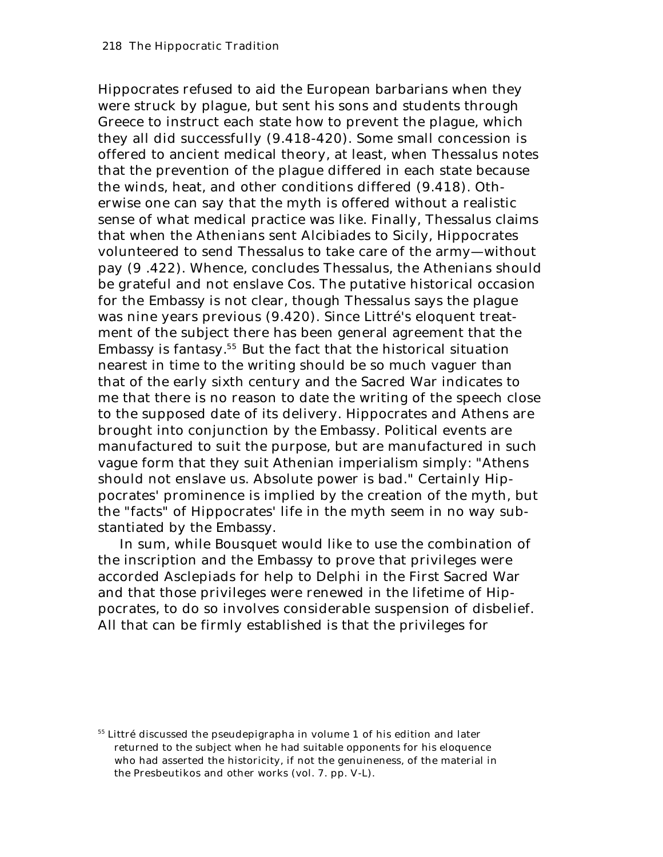Hippocrates refused to aid the European barbarians when they were struck by plague, but sent his sons and students through Greece to instruct each state how to prevent the plague, which they all did successfully (9.418-420). Some small concession is offered to ancient medical theory, at least, when Thessalus notes that the prevention of the plague differed in each state because the winds, heat, and other conditions differed (9.418). Otherwise one can say that the myth is offered without a realistic sense of what medical practice was like. Finally, Thessalus claims that when the Athenians sent Alcibiades to Sicily, Hippocrates volunteered to send Thessalus to take care of the army—without pay (9 .422). Whence, concludes Thessalus, the Athenians should be grateful and not enslave Cos. The putative historical occasion for the *Embassy* is not clear, though Thessalus says the plague was nine years previous (9.420). Since Littré's eloquent treatment of the subject there has been general agreement that the *Embassy* is fantasy.55 But the fact that the historical situation nearest in time to the writing should be so much vaguer than that of the early sixth century and the Sacred War indicates to me that there is no reason to date the writing of the speech close to the supposed date of its delivery. Hippocrates and Athens are brought into conjunction by the *Embassy*. Political events are manufactured to suit the purpose, but are manufactured in such vague form that they suit Athenian imperialism simply: "Athens should not enslave us. Absolute power is bad." Certainly Hippocrates' prominence is implied by the creation of the myth, but the "facts" of Hippocrates' life in the myth seem in no way substantiated by the *Embassy*.

 In sum, while Bousquet would like to use the combination of the inscription and the *Embassy* to prove that privileges were accorded Asclepiads for help to Delphi in the First Sacred War and that those privileges were renewed in the lifetime of Hippocrates, to do so involves considerable suspension of disbelief. All that can be firmly established is that the privileges for

 $55$  Littré discussed the pseudepigrapha in volume 1 of his edition and later returned to the subject when he had suitable opponents for his eloquence who had asserted the historicity, if not the genuineness, of the material in the *Presbeutikos* and other works (vol. 7. pp. V-L).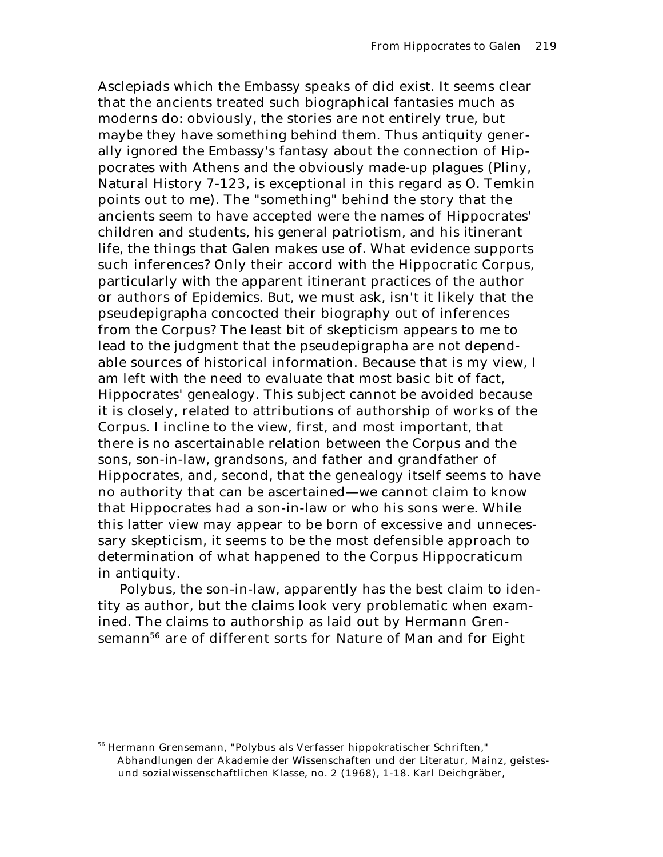Asclepiads which the *Embassy* speaks of did exist. It seems clear that the ancients treated such biographical fantasies much as moderns do: obviously, the stories are not entirely true, but maybe they have something behind them. Thus antiquity generally ignored the *Embassy*'s fantasy about the connection of Hippocrates with Athens and the obviously made-up plagues (Pliny, *Natural History* 7-123, is exceptional in this regard as O. Temkin points out to me). The "something" behind the story that the ancients seem to have accepted were the names of Hippocrates' children and students, his general patriotism, and his itinerant life, the things that Galen makes use of. What evidence supports such inferences? Only their accord with the Hippocratic Corpus, particularly with the apparent itinerant practices of the author or authors of *Epidemics*. But, we must ask, isn't it likely that the pseudepigrapha concocted their biography out of inferences from the Corpus? The least bit of skepticism appears to me to lead to the judgment that the pseudepigrapha are not dependable sources of historical information. Because that is my view, I am left with the need to evaluate that most basic bit of fact, Hippocrates' genealogy. This subject cannot be avoided because it is closely, related to attributions of authorship of works of the Corpus. I incline to the view, first, and most important, that there is no ascertainable relation between the Corpus and the sons, son-in-law, grandsons, and father and grandfather of Hippocrates, and, second, that the genealogy itself seems to have no authority that can be ascertained—we cannot claim to know that Hippocrates had a son-in-law or who his sons were. While this latter view may appear to be born of excessive and unnecessary skepticism, it seems to be the most defensible approach to determination of what happened to the Corpus Hippocraticum in antiquity.

 Polybus, the son-in-law, apparently has the best claim to identity as author, but the claims look very problematic when examined. The claims to authorship as laid out by Hermann Grensemann56 are of different sorts for *Nature of Man* and for *Eight*

<sup>&</sup>lt;sup>56</sup> Hermann Grensemann, "Polybus als Verfasser hippokratischer Schriften," *Abhandlungen der Akademie der Wissenschaften und der Literatur*, Mainz, geistes und sozialwissenschaftlichen Klasse, no. 2 (1968), 1-18. Karl Deichgräber,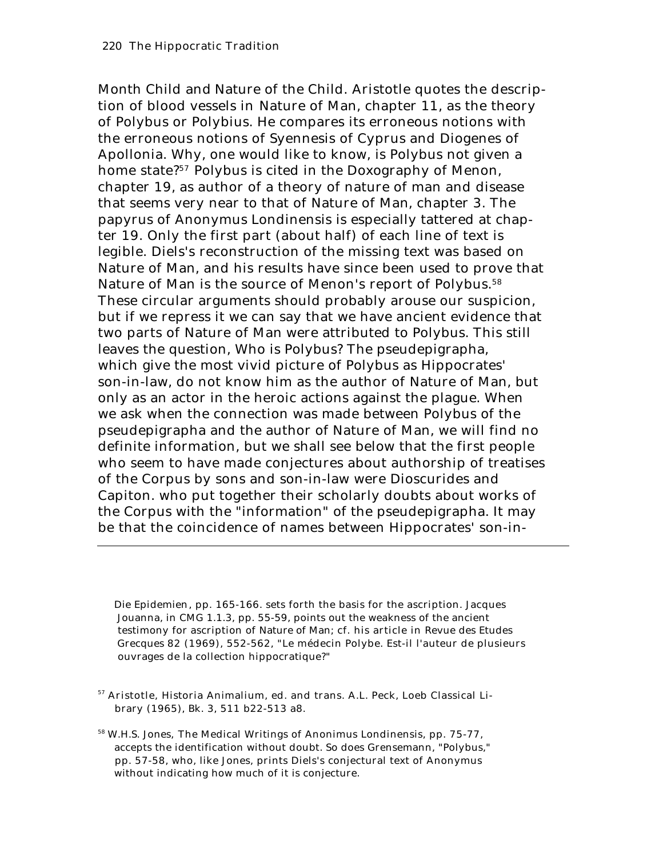$\overline{a}$ 

*Month Child* and *Nature of the Child*. Aristotle quotes the description of blood vessels in *Nature of Man*, chapter 11, as the theory of Polybus or Polybius. He compares its erroneous notions with the erroneous notions of Syennesis of Cyprus and Diogenes of Apollonia. Why, one would like to know, is Polybus not given a home state?<sup>57</sup> Polybus is cited in the Doxography of Menon, chapter 19, as author of a theory of nature of man and disease that seems very near to that of *Nature of Man*, chapter 3. The papyrus of Anonymus Londinensis is especially tattered at chapter 19. Only the first part (about half) of each line of text is legible. Diels's reconstruction of the missing text was based on *Nature of Man*, and his results have since been used to prove that *Nature of Man* is the source of Menon's report of Polybus.<sup>58</sup> These circular arguments should probably arouse our suspicion, but if we repress it we can say that we have ancient evidence that two parts of *Nature of Man* were attributed to Polybus. This still leaves the question, Who is Polybus? The pseudepigrapha, which give the most vivid picture of Polybus as Hippocrates' son-in-law, do not know him as the author of *Nature of Man*, but only as an actor in the heroic actions against the plague. When we ask when the connection was made between Polybus of the pseudepigrapha and the author of *Nature of Man*, we will find no definite information, but we shall see below that the first people who seem to have made conjectures about authorship of treatises of the Corpus by sons and son-in-law were Dioscurides and Capiton. who put together their scholarly doubts about works of the Corpus with the "information" of the pseudepigrapha. It may be that the coincidence of names between Hippocrates' son-in-

 *Die Epidemien*, pp. 165-166. sets forth the basis for the ascription. Jacques Jouanna, in CMG 1.1.3, pp. 55-59, points out the weakness of the ancient testimony for ascription of *Nature of Man*; cf. his article in *Revue des Etudes Grecques* 82 (1969), 552-562, "Le médecin Polybe. Est-il l'auteur de plusieurs ouvrages de la collection hippocratique?"

- <sup>57</sup> Aristotle, *Historia Animalium*, ed. and trans. A.L. Peck, Loeb Classical Li brary (1965), Bk. 3, 511 b22-513 a8.
- <sup>58</sup> W.H.S. Jones, *The Medical Writings of Anonimus Londinensis*, pp. 75-77, accepts the identification without doubt. So does Grensemann, "Polybus," pp. 57-58, who, like Jones, prints Diels's conjectural text of Anonymus without indicating how much of it is conjecture.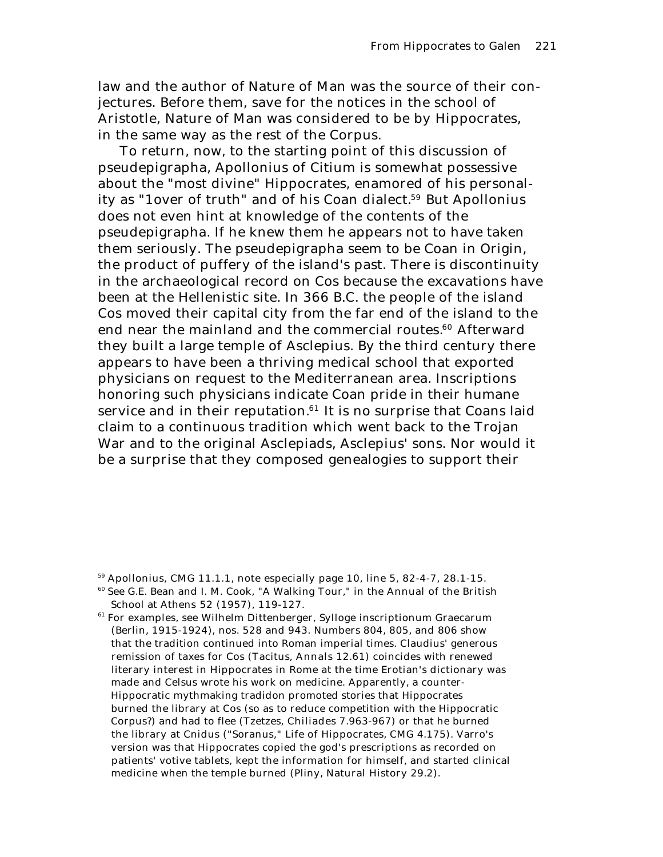law and the author of *Nature of Man* was the source of their conjectures. Before them, save for the notices in the school of Aristotle, *Nature of Man* was considered to be by Hippocrates, in the same way as the rest of the Corpus.

 To return, now, to the starting point of this discussion of pseudepigrapha, Apollonius of Citium is somewhat possessive about the "most divine" Hippocrates, enamored of his personality as "1over of truth" and of his Coan dialect.<sup>59</sup> But Apollonius does not even hint at knowledge of the contents of the pseudepigrapha. If he knew them he appears not to have taken them seriously. The pseudepigrapha seem to be Coan in Origin, the product of puffery of the island's past. There is discontinuity in the archaeological record on Cos because the excavations have been at the Hellenistic site. In 366 B.C. the people of the island Cos moved their capital city from the far end of the island to the end near the mainland and the commercial routes.<sup>60</sup> Afterward they built a large temple of Asclepius. By the third century there appears to have been a thriving medical school that exported physicians on request to the Mediterranean area. Inscriptions honoring such physicians indicate Coan pride in their humane service and in their reputation.<sup>61</sup> It is no surprise that Coans laid claim to a continuous tradition which went back to the Trojan War and to the original Asclepiads, Asclepius' sons. Nor would it be a surprise that they composed genealogies to support their

 $59$  Apollonius, CMG 11.1.1, note especially page 10, line 5, 82-4-7, 28.1-15.

<sup>60</sup> See G.E. Bean and I. M. Cook, "A Walking Tour," in the *Annual of the British School at Athens* 52 (1957), 119-127.

<sup>61</sup> For examples, see Wilhelm Dittenberger, Sylloge inscriptionum Graecarum (Berlin, 1915-1924), nos. 528 and 943. Numbers 804, 805, and 806 show that the tradition continued into Roman imperial times. Claudius' generous remission of taxes for Cos (Tacitus, *Annals* 12.61) coincides with renewed literary interest in Hippocrates in Rome at the time Erotian's dictionary was made and Celsus wrote his work on medicine. Apparently, a counter- Hippocratic mythmaking tradidon promoted stories that Hippocrates burned the library at Cos (so as to reduce competition with the Hippocratic Corpus?) and had to flee (Tzetzes, *Chiliades* 7.963-967) or that he burned the library at Cnidus ("Soranus," *Life of Hippocrates*, CMG 4.175). Varro's version was that Hippocrates copied the god's prescriptions as recorded on patients' votive tablets, kept the information for himself, and started clinical medicine when the temple burned (Pliny, *Natural History* 29.2).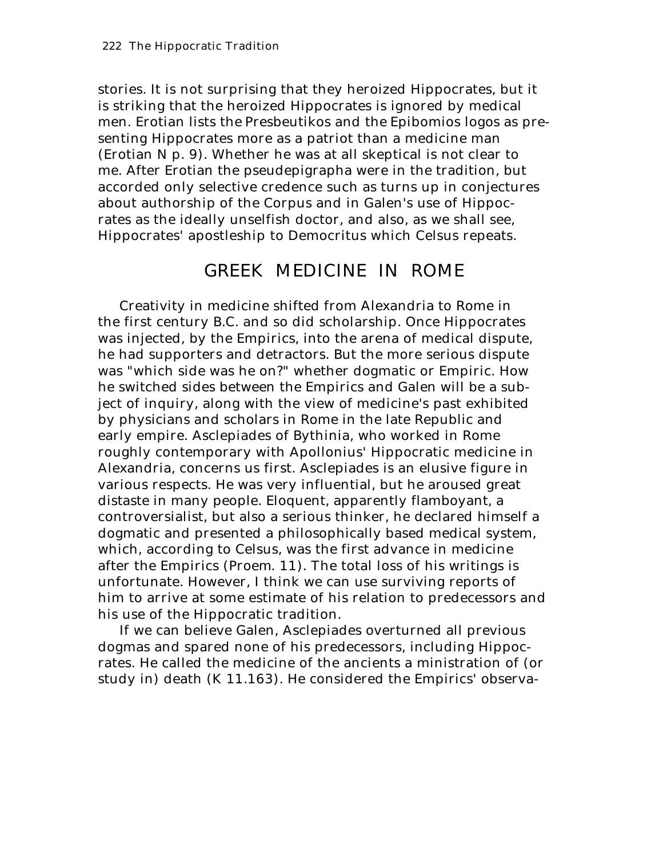stories. It is not surprising that they heroized Hippocrates, but it is striking that the heroized Hippocrates is ignored by medical men. Erotian lists the *Presbeutikos* and the *Epibomios logos* as presenting Hippocrates more as a patriot than a medicine man (Erotian N p. 9). Whether he was at all skeptical is not clear to me. After Erotian the pseudepigrapha were in the tradition, but accorded only selective credence such as turns up in conjectures about authorship of the Corpus and in Galen's use of Hippocrates as the ideally unselfish doctor, and also, as we shall see, Hippocrates' apostleship to Democritus which Celsus repeats.

## GREEK MEDICINE IN ROME

 Creativity in medicine shifted from Alexandria to Rome in the first century B.C. and so did scholarship. Once Hippocrates was injected, by the Empirics, into the arena of medical dispute, he had supporters and detractors. But the more serious dispute was "which side was he on?" whether dogmatic or Empiric. How he switched sides between the Empirics and Galen will be a subject of inquiry, along with the view of medicine's past exhibited by physicians and scholars in Rome in the late Republic and early empire. Asclepiades of Bythinia, who worked in Rome roughly contemporary with Apollonius' Hippocratic medicine in Alexandria, concerns us first. Asclepiades is an elusive figure in various respects. He was very influential, but he aroused great distaste in many people. Eloquent, apparently flamboyant, a controversialist, but also a serious thinker, he declared himself a dogmatic and presented a philosophically based medical system, which, according to Celsus, was the first advance in medicine after the Empirics (*Proem*. 11). The total loss of his writings is unfortunate. However, I think we can use surviving reports of him to arrive at some estimate of his relation to predecessors and his use of the Hippocratic tradition.

 If we can believe Galen, Asclepiades overturned all previous dogmas and spared none of his predecessors, including Hippocrates. He called the medicine of the ancients a ministration of (or study in) death (K 11.163). He considered the Empirics' observa-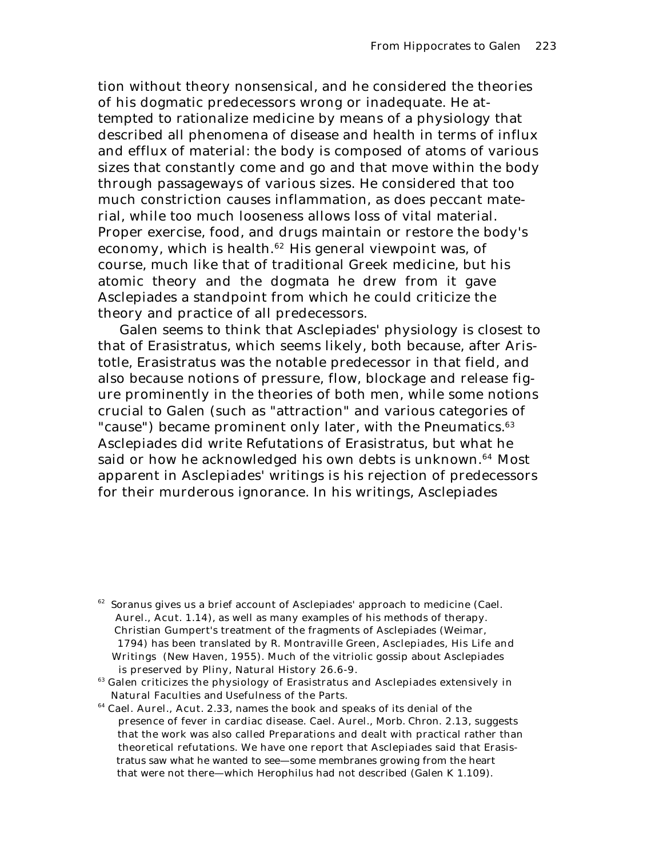tion without theory nonsensical, and he considered the theories of his dogmatic predecessors wrong or inadequate. He attempted to rationalize medicine by means of a physiology that described all phenomena of disease and health in terms of influx and efflux of material: the body is composed of atoms of various sizes that constantly come and go and that move within the body through passageways of various sizes. He considered that too much constriction causes inflammation, as does peccant material, while too much looseness allows loss of vital material. Proper exercise, food, and drugs maintain or restore the body's economy, which is health.<sup>62</sup> His general viewpoint was, of course, much like that of traditional Greek medicine, but his atomic theory and the dogmata he drew from it gave Asclepiades a standpoint from which he could criticize the theory and practice of all predecessors.

 Galen seems to think that Asclepiades' physiology is closest to that of Erasistratus, which seems likely, both because, after Aristotle, Erasistratus was the notable predecessor in that field, and also because notions of pressure, flow, blockage and release figure prominently in the theories of both men, while some notions crucial to Galen (such as "attraction" and various categories of "cause") became prominent only later, with the Pneumatics.<sup>63</sup> Asclepiades did write *Refutations* of Erasistratus, but what he said or how he acknowledged his own debts is unknown.<sup>64</sup> Most apparent in Asclepiades' writings is his rejection of predecessors for their murderous ignorance. In his writings, Asclepiades

 $62$  Soranus gives us a brief account of Asclepiades' approach to medicine (Cael. Aurel., *Acut*. 1.14), as well as many examples of his methods of therapy. Christian Gumpert's treatment of the fragments of Asclepiades (Weimar, 1794) has been translated by R. Montraville Green, *Asclepiades, His Life and Writings* (New Haven, 1955). Much of the vitriolic gossip about Asclepiades is preserved by Pliny, *Natural History* 26.6-9.

 $63$  Galen criticizes the physiology of Erasistratus and Asclepiades extensively in *Natural Faculties* and *Usefulness of the Parts*.

<sup>64</sup> Cael. Aurel., *Acut*. 2.33, names the book and speaks of its denial of the presence of fever in cardiac disease. Cael. Aurel., *Morb. Chron*. 2.13, suggests that the work was also called *Preparations* and dealt with practical rather than theoretical refutations. We have one report that Asclepiades said that Erasis tratus saw what he wanted to see—some membranes growing from the heart that were not there—which Herophilus had not described (Galen K 1.109).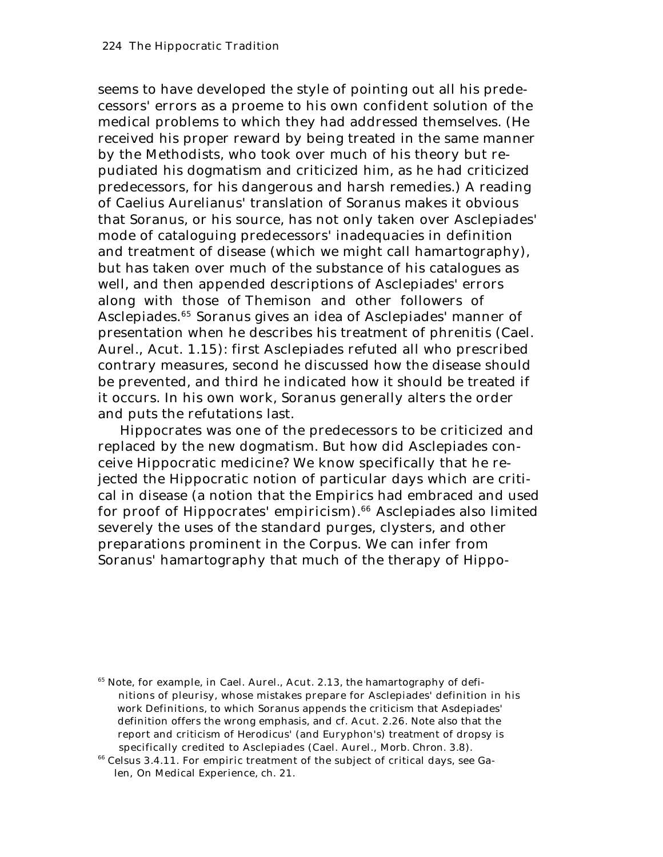seems to have developed the style of pointing out all his predecessors' errors as a proeme to his own confident solution of the medical problems to which they had addressed themselves. (He received his proper reward by being treated in the same manner by the Methodists, who took over much of his theory but repudiated his dogmatism and criticized him, as he had criticized predecessors, for his dangerous and harsh remedies.) A reading of Caelius Aurelianus' translation of Soranus makes it obvious that Soranus, or his source, has not only taken over Asclepiades' mode of cataloguing predecessors' inadequacies in definition and treatment of disease (which we might call hamartography), but has taken over much of the substance of his catalogues as well, and then appended descriptions of Asclepiades' errors along with those of Themison and other followers of Asclepiades.<sup>65</sup> Soranus gives an idea of Asclepiades' manner of presentation when he describes his treatment of phrenitis (Cael. Aurel., *Acut*. 1.15): first Asclepiades refuted all who prescribed contrary measures, second he discussed how the disease should be prevented, and third he indicated how it should be treated if it occurs. In his own work, Soranus generally alters the order and puts the refutations last.

 Hippocrates was one of the predecessors to be criticized and replaced by the new dogmatism. But how did Asclepiades conceive Hippocratic medicine? We know specifically that he rejected the Hippocratic notion of particular days which are critical in disease (a notion that the Empirics had embraced and used for proof of Hippocrates' empiricism).<sup>66</sup> Asclepiades also limited severely the uses of the standard purges, clysters, and other preparations prominent in the Corpus. We can infer from Soranus' hamartography that much of the therapy of Hippo-

<sup>65</sup> Note, for example, in Cael. Aurel., *Acut*. 2.13, the hamartography of defi nitions of pleurisy, whose mistakes prepare for Asclepiades' definition in his work *Definitions*, to which Soranus appends the criticism that Asdepiades' definition offers the wrong emphasis, and cf. *Acut*. 2.26. Note also that the report and criticism of Herodicus' (and Euryphon's) treatment of dropsy is specifically credited to Asclepiades (Cael. Aurel., *Morb. Chron*. 3.8).

 $66$  Celsus 3.4.11. For empiric treatment of the subject of critical days, see Galen, *On Medical Experience*, ch. 21.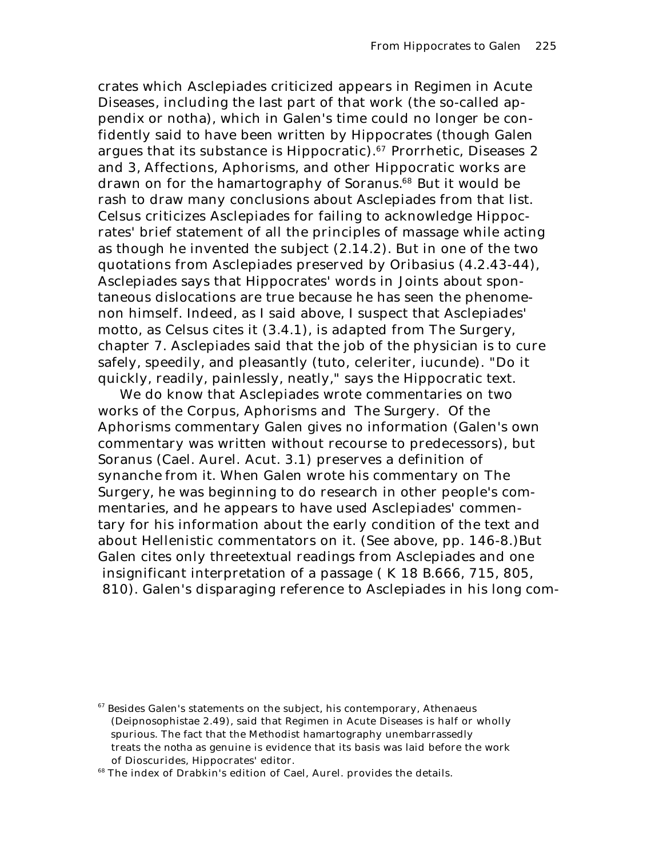crates which Asclepiades criticized appears in *Regimen in Acute Diseases*, including the last part of that work (the so-called appendix or *notha*), which in Galen's time could no longer be confidently said to have been written by Hippocrates (though Galen argues that its substance is Hippocratic).<sup>67</sup> *Prorrhetic*, *Diseases* 2 and 3, *Affections*, *Aphorisms*, and other Hippocratic works are drawn on for the hamartography of Soranus.<sup>68</sup> But it would be rash to draw many conclusions about Asclepiades from that list. Celsus criticizes Asclepiades for failing to acknowledge Hippocrates' brief statement of all the principles of massage while acting as though he invented the subject (2.14.2). But in one of the two quotations from Asclepiades preserved by Oribasius (4.2.43-44), Asclepiades says that Hippocrates' words in *Joints* about spontaneous dislocations are true because he has seen the phenomenon himself. Indeed, as I said above, I suspect that Asclepiades' motto, as Celsus cites it (3.4.1), is adapted from The *Surgery*, chapter 7. Asclepiades said that the job of the physician is to cure safely, speedily, and pleasantly (*tuto*, *celeriter*, *iucunde*). "Do it quickly, readily, painlessly, neatly," says the Hippocratic text.

 We do know that Asclepiades wrote commentaries on two works of the Corpus, *Aphorisms* and *The Surgery*. Of the *Aphorisms* commentary Galen gives no information (Galen's own commentary was written without recourse to predecessors), but Soranus (Cael. Aurel. *Acut*. 3.1) preserves a definition of *synanche* from it. When Galen wrote his commentary on *The Surgery*, he was beginning to do research in other people's commentaries, and he appears to have used Asclepiades' commentary for his information about the early condition of the text and about Hellenistic commentators on it. (See above, pp. 146-8.)But Galen cites only threetextual readings from Asclepiades and one insignificant interpretation of a passage ( K 18 B.666, 715, 805, 810). Galen's disparaging reference to Asclepiades in his long com-

 $67$  Besides Galen's statements on the subject, his contemporary, Athenaeus (*Deipnosophistae* 2.49), said that *Regimen in Acute Diseases* is half or wholly spurious. The fact that the Methodist hamartography unembarrassedly treats the *notha* as genuine is evidence that its basis was laid before the work of Dioscurides, Hippocrates' editor.

<sup>&</sup>lt;sup>68</sup> The index of Drabkin's edition of Cael, Aurel. provides the details.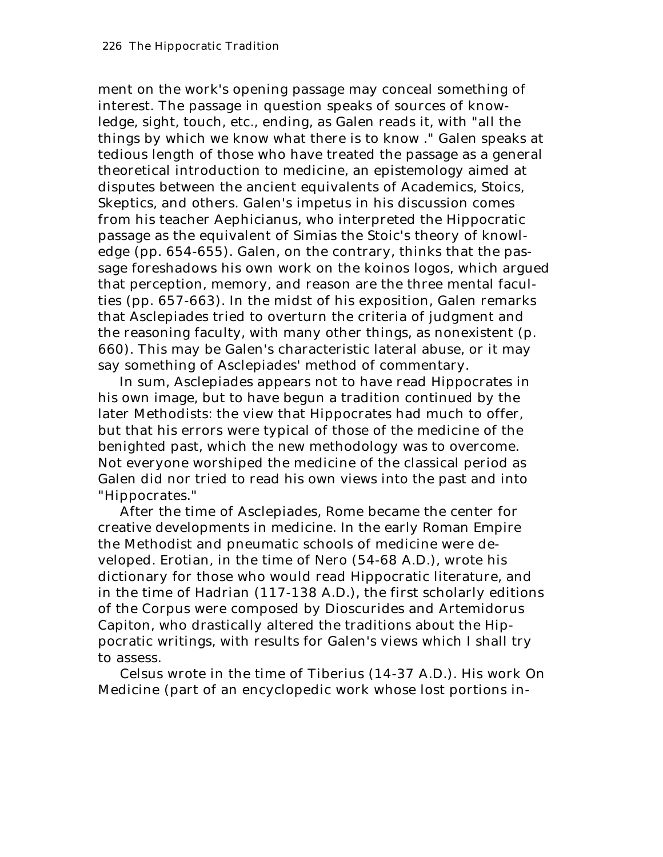ment on the work's opening passage may conceal something of interest. The passage in question speaks of sources of knowledge, sight, touch, etc., ending, as Galen reads it, with "all the things by which we know what there is to know ." Galen speaks at tedious length of those who have treated the passage as a general theoretical introduction to medicine, an epistemology aimed at disputes between the ancient equivalents of Academics, Stoics, Skeptics, and others. Galen's impetus in his discussion comes from his teacher Aephicianus, who interpreted the Hippocratic passage as the equivalent of Simias the Stoic's theory of knowledge (pp. 654-655). Galen, on the contrary, thinks that the passage foreshadows his own work on the *koinos logos*, which argued that perception, memory, and reason are the three mental faculties (pp. 657-663). In the midst of his exposition, Galen remarks that Asclepiades tried to overturn the criteria of judgment and the reasoning faculty, with many other things, as nonexistent (p. 660). This may be Galen's characteristic lateral abuse, or it may say something of Asclepiades' method of commentary.

 In sum, Asclepiades appears not to have read Hippocrates in his own image, but to have begun a tradition continued by the later Methodists: the view that Hippocrates had much to offer, but that his errors were typical of those of the medicine of the benighted past, which the new methodology was to overcome. Not everyone worshiped the medicine of the classical period as Galen did nor tried to read his own views into the past and into "Hippocrates."

 After the time of Asclepiades, Rome became the center for creative developments in medicine. In the early Roman Empire the Methodist and pneumatic schools of medicine were developed. Erotian, in the time of Nero (54-68 A.D.), wrote his dictionary for those who would read Hippocratic literature, and in the time of Hadrian (117-138 A.D.), the first scholarly editions of the Corpus were composed by Dioscurides and Artemidorus Capiton, who drastically altered the traditions about the Hippocratic writings, with results for Galen's views which I shall try to assess.

 Celsus wrote in the time of Tiberius (14-37 A.D.). His work *On Medicine* (part of an encyclopedic work whose lost portions in-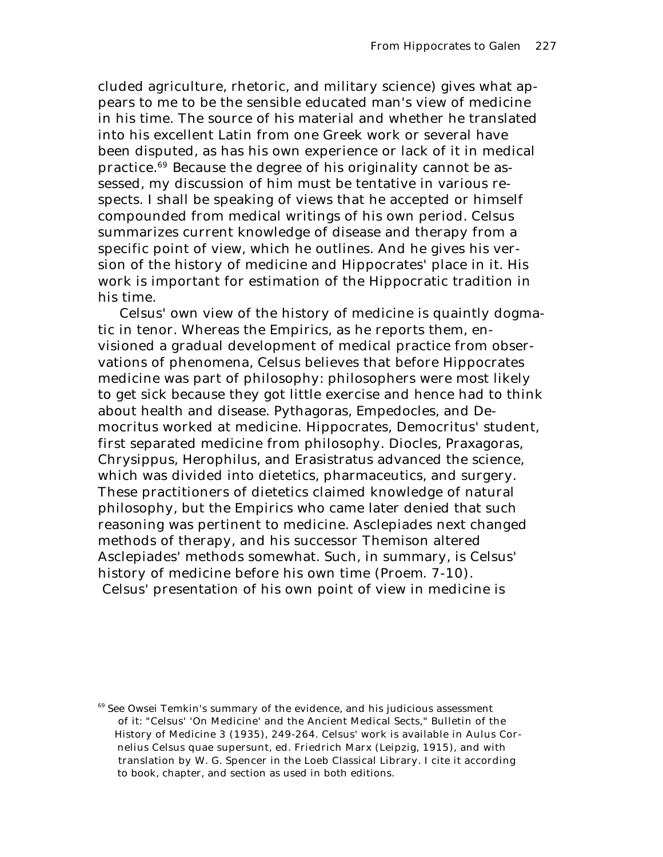cluded agriculture, rhetoric, and military science) gives what appears to me to be the sensible educated man's view of medicine in his time. The source of his material and whether he translated into his excellent Latin from one Greek work or several have been disputed, as has his own experience or lack of it in medical practice.69 Because the degree of his originality cannot be assessed, my discussion of him must be tentative in various respects. I shall be speaking of views that he accepted or himself compounded from medical writings of his own period. Celsus summarizes current knowledge of disease and therapy from a specific point of view, which he outlines. And he gives his version of the history of medicine and Hippocrates' place in it. His work is important for estimation of the Hippocratic tradition in his time.

 Celsus' own view of the history of medicine is quaintly dogmatic in tenor. Whereas the Empirics, as he reports them, envisioned a gradual development of medical practice from observations of phenomena, Celsus believes that before Hippocrates medicine was part of philosophy: philosophers were most likely to get sick because they got little exercise and hence had to think about health and disease. Pythagoras, Empedocles, and Democritus worked at medicine. Hippocrates, Democritus' student, first separated medicine from philosophy. Diocles, Praxagoras, Chrysippus, Herophilus, and Erasistratus advanced the science, which was divided into dietetics, pharmaceutics, and surgery. These practitioners of dietetics claimed knowledge of natural philosophy, but the Empirics who came later denied that such reasoning was pertinent to medicine. Asclepiades next changed methods of therapy, and his successor Themison altered Asclepiades' methods somewhat. Such, in summary, is Celsus' history of medicine before his own time (*Proem*. 7-10). Celsus' presentation of his own point of view in medicine is

 $69$  See Owsei Temkin's summary of the evidence, and his judicious assessment of it: "Celsus' 'On Medicine' and the Ancient Medical Sects," *Bulletin of the History of Medicine* 3 (1935), 249-264. Celsus' work is available in *Aulus Cor nelius Celsus quae supersunt*, ed. Friedrich Marx (Leipzig, 1915), and with translation by W. G. Spencer in the Loeb Classical Library. I cite it according to book, chapter, and section as used in both editions.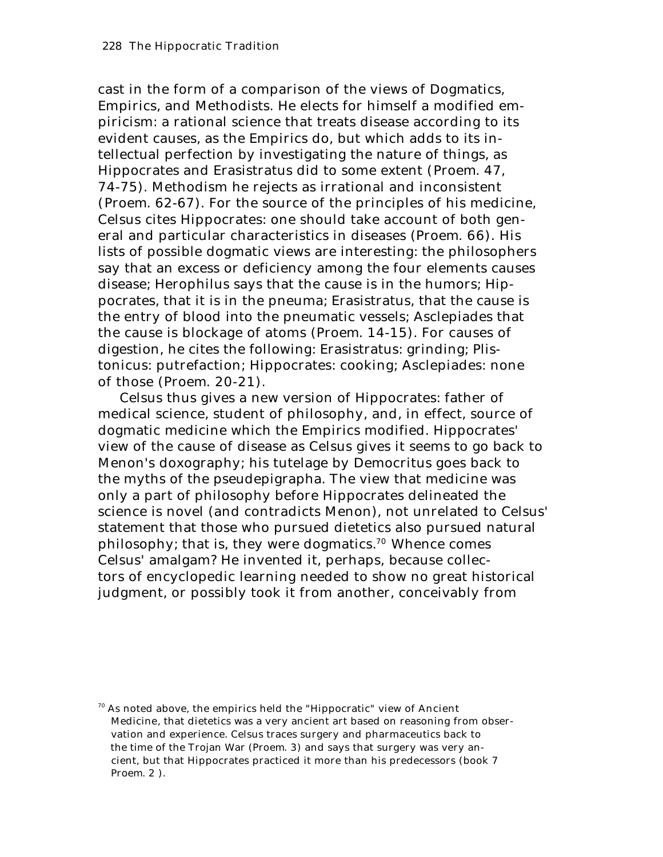cast in the form of a comparison of the views of Dogmatics, Empirics, and Methodists. He elects for himself a modified empiricism: a rational science that treats disease according to its evident causes, as the Empirics do, but which adds to its intellectual perfection by investigating the nature of things, as Hippocrates and Erasistratus did to some extent (*Proem*. 47, 74-75). Methodism he rejects as irrational and inconsistent (*Proem*. 62-67). For the source of the principles of his medicine, Celsus cites Hippocrates: one should take account of both general and particular characteristics in diseases (*Proem*. 66). His lists of possible dogmatic views are interesting: the philosophers say that an excess or deficiency among the four elements causes disease; Herophilus says that the cause is in the humors; Hippocrates, that it is in the pneuma; Erasistratus, that the cause is the entry of blood into the pneumatic vessels; Asclepiades that the cause is blockage of atoms (*Proem*. 14-15). For causes of digestion, he cites the following: Erasistratus: grinding; Plistonicus: putrefaction; Hippocrates: cooking; Asclepiades: none of those (*Proem*. 20-21).

 Celsus thus gives a new version of Hippocrates: father of medical science, student of philosophy, and, in effect, source of dogmatic medicine which the Empirics modified. Hippocrates' view of the cause of disease as Celsus gives it seems to go back to Menon's doxography; his tutelage by Democritus goes back to the myths of the pseudepigrapha. The view that medicine was only a part of philosophy before Hippocrates delineated the science is novel (and contradicts Menon), not unrelated to Celsus' statement that those who pursued dietetics also pursued natural philosophy; that is, they were dogmatics.70 Whence comes Celsus' amalgam? He invented it, perhaps, because collectors of encyclopedic learning needed to show no great historical judgment, or possibly took it from another, conceivably from

<sup>70</sup> As noted above, the empirics held the "Hippocratic" view of *Ancient Medicine*, that dietetics was a very ancient art based on reasoning from obser vation and experience. Celsus traces surgery and pharmaceutics back to the time of the Trojan War (*Proem*. 3) and says that surgery was very an cient, but that Hippocrates practiced it more than his predecessors (book 7 *Proem*. 2 ).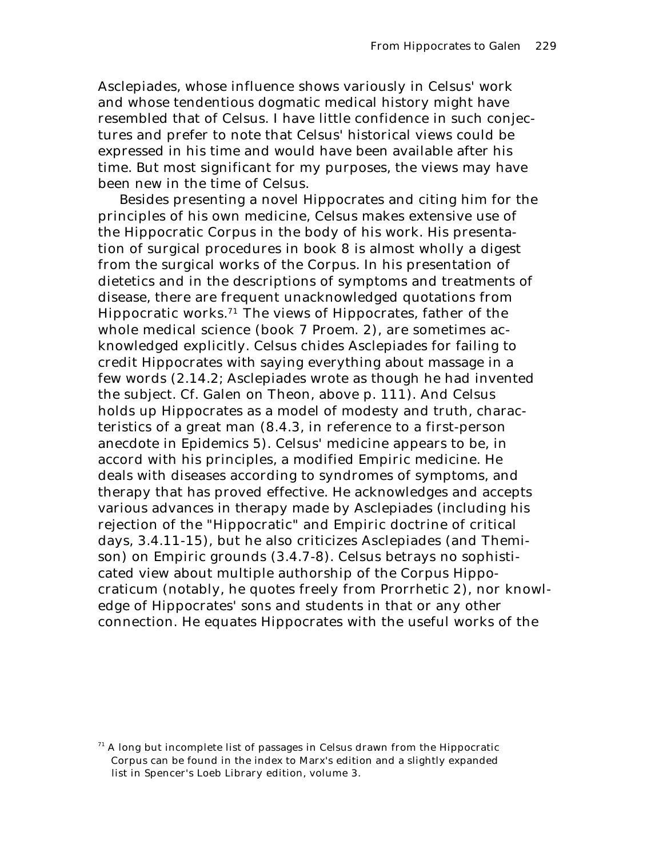Asclepiades, whose influence shows variously in Celsus' work and whose tendentious dogmatic medical history might have resembled that of Celsus. I have little confidence in such conjectures and prefer to note that Celsus' historical views could be expressed in his time and would have been available after his time. But most significant for my purposes, the views may have been new in the time of Celsus.

 Besides presenting a novel Hippocrates and citing him for the principles of his own medicine, Celsus makes extensive use of the Hippocratic Corpus in the body of his work. His presentation of surgical procedures in book 8 is almost wholly a digest from the surgical works of the Corpus. In his presentation of dietetics and in the descriptions of symptoms and treatments of disease, there are frequent unacknowledged quotations from Hippocratic works.<sup>71</sup> The views of Hippocrates, father of the whole medical science (book 7 *Proem*. 2), are sometimes acknowledged explicitly. Celsus chides Asclepiades for failing to credit Hippocrates with saying everything about massage in a few words (2.14.2; Asclepiades wrote as though he had invented the subject. Cf. Galen on Theon, above p. 111). And Celsus holds up Hippocrates as a model of modesty and truth, characteristics of a great man (8.4.3, in reference to a first-person anecdote in *Epidemics* 5). Celsus' medicine appears to be, in accord with his principles, a modified Empiric medicine. He deals with diseases according to syndromes of symptoms, and therapy that has proved effective. He acknowledges and accepts various advances in therapy made by Asclepiades (including his rejection of the "Hippocratic" and Empiric doctrine of critical days, 3.4.11-15), but he also criticizes Asclepiades (and Themison) on Empiric grounds (3.4.7-8). Celsus betrays no sophisticated view about multiple authorship of the Corpus Hippocraticum (notably, he quotes freely from *Prorrhetic* 2), nor knowledge of Hippocrates' sons and students in that or any other connection. He equates Hippocrates with the useful works of the

 $71$  A long but incomplete list of passages in Celsus drawn from the Hippocratic Corpus can be found in the index to Marx's edition and a slightly expanded list in Spencer's Loeb Library edition, volume 3.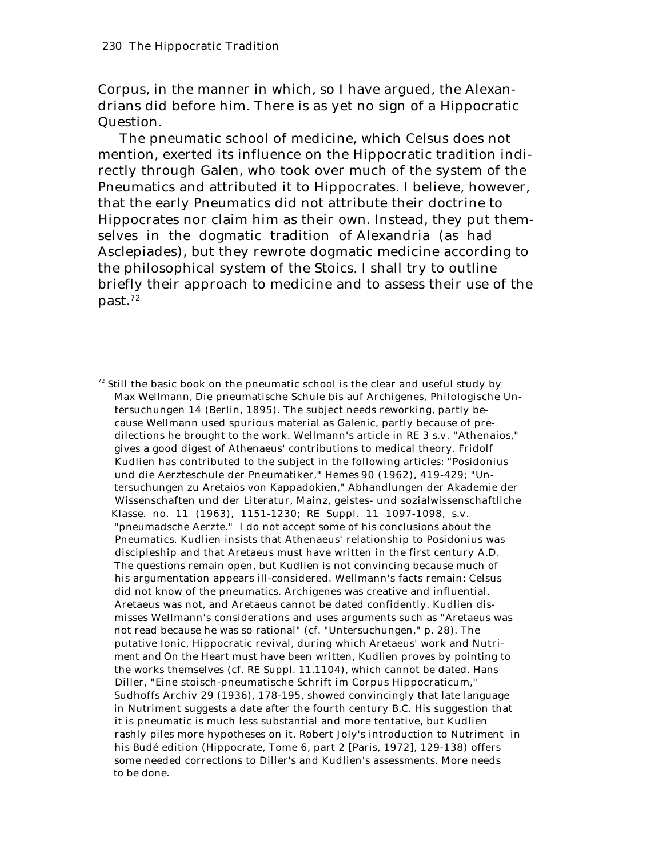Corpus, in the manner in which, so I have argued, the Alexandrians did before him. There is as yet no sign of a Hippocratic Question.

 The pneumatic school of medicine, which Celsus does not mention, exerted its influence on the Hippocratic tradition indirectly through Galen, who took over much of the system of the Pneumatics and attributed it to Hippocrates. I believe, however, that the early Pneumatics did not attribute their doctrine to Hippocrates nor claim him as their own. Instead, they put themselves in the dogmatic tradition of Alexandria (as had Asclepiades), but they rewrote dogmatic medicine according to the philosophical system of the Stoics. I shall try to outline briefly their approach to medicine and to assess their use of the past.<sup>72</sup>

 $72$  Still the basic book on the pneumatic school is the clear and useful study by Max Wellmann, *Die pneumatische Schule bis auf Archigenes*, Philologische Un tersuchungen 14 (Berlin, 1895). The subject needs reworking, partly be cause Wellmann used spurious material as Galenic, partly because of pre dilections he brought to the work. Wellmann's article in *RE* 3 *s.v*. "Athenaios," gives a good digest of Athenaeus' contributions to medical theory. Fridolf Kudlien has contributed to the subject in the following articles: "Posidonius und die Aerzteschule der Pneumatiker," *Hemes* 90 (1962), 419-429; "Un tersuchungen zu Aretaios von Kappadokien," Abhandlungen der Akademie der Wissenschaften und der Literatur, Mainz, geistes- und sozialwissenschaftliche Klasse. no. 11 (1963), 1151-1230; *RE* Suppl. 11 1097-1098, *s.v*. "pneumadsche Aerzte." I do not accept some of his conclusions about the Pneumatics. Kudlien insists that Athenaeus' relationship to Posidonius was discipleship and that Aretaeus must have written in the first century A.D. The questions remain open, but Kudlien is not convincing because much of his argumentation appears ill-considered. Wellmann's facts remain: Celsus did not know of the pneumatics. Archigenes was creative and influential. Aretaeus was not, and Aretaeus cannot be dated confidently. Kudlien dis misses Wellmann's considerations and uses arguments such as "Aretaeus was not read because he was so rational" (cf. "Untersuchungen," p. 28). The putative Ionic, Hippocratic revival, during which Aretaeus' work and *Nutri ment* and *On the Heart* must have been written, Kudlien proves by pointing to the works themselves (cf. *RE* Suppl. 11.1104), which cannot be dated. Hans Diller, "Eine stoisch-pneumatische Schrift im Corpus Hippocraticum," *Sudhoffs Archiv* 29 (1936), 178-195, showed convincingly that late language in *Nutriment* suggests a date after the fourth century B.C. His suggestion that it is pneumatic is much less substantial and more tentative, but Kudlien rashly piles more hypotheses on it. Robert Joly's introduction to *Nutriment* in his Budé edition (*Hippocrate*, Tome 6, part 2 [Paris, 1972], 129-138) offers some needed corrections to Diller's and Kudlien's assessments. More needs to be done.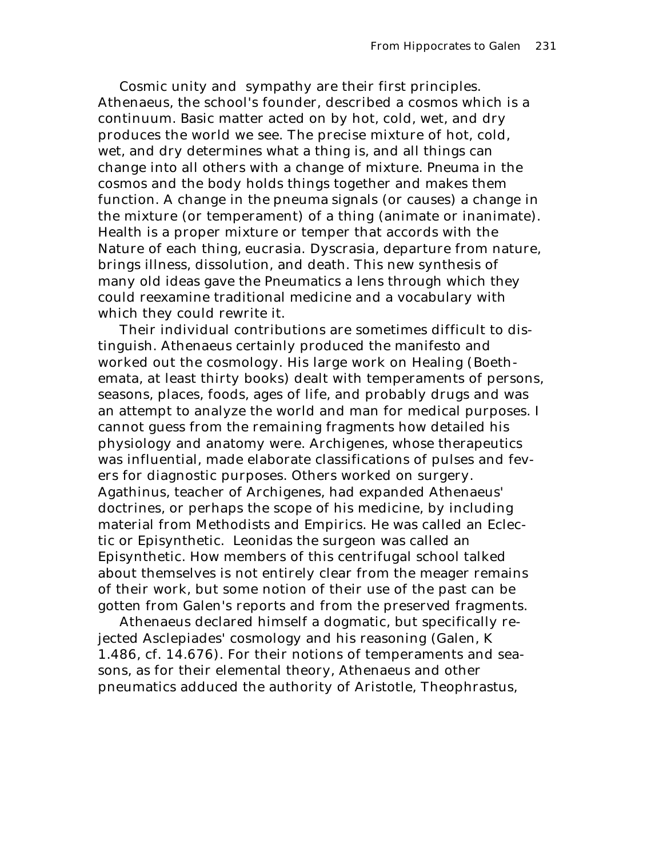Cosmic unity and sympathy are their first principles. Athenaeus, the school's founder, described a cosmos which is a continuum. Basic matter acted on by hot, cold, wet, and dry produces the world we see. The precise mixture of hot, cold, wet, and dry determines what a thing is, and all things can change into all others with a change of mixture. *Pneuma* in the cosmos and the body holds things together and makes them function. A change in the *pneuma* signals (or causes) a change in the mixture (or temperament) of a thing (animate or inanimate). Health is a proper mixture or temper that accords with the Nature of each thing, *eucrasia*. *Dyscrasia*, departure from nature, brings illness, dissolution, and death. This new synthesis of many old ideas gave the Pneumatics a lens through which they could reexamine traditional medicine and a vocabulary with which they could rewrite it.

 Their individual contributions are sometimes difficult to distinguish. Athenaeus certainly produced the manifesto and worked out the cosmology. His large work on *Healing* (*Boethemata*, at least thirty books) dealt with temperaments of persons, seasons, places, foods, ages of life, and probably drugs and was an attempt to analyze the world and man for medical purposes. I cannot guess from the remaining fragments how detailed his physiology and anatomy were. Archigenes, whose therapeutics was influential, made elaborate classifications of pulses and fevers for diagnostic purposes. Others worked on surgery. Agathinus, teacher of Archigenes, had expanded Athenaeus' doctrines, or perhaps the scope of his medicine, by including material from Methodists and Empirics. He was called an Eclectic or Episynthetic. Leonidas the surgeon was called an Episynthetic. How members of this centrifugal school talked about themselves is not entirely clear from the meager remains of their work, but some notion of their use of the past can be gotten from Galen's reports and from the preserved fragments.

 Athenaeus declared himself a dogmatic, but specifically rejected Asclepiades' cosmology and his reasoning (Galen, K 1.486, cf. 14.676). For their notions of temperaments and seasons, as for their elemental theory, Athenaeus and other pneumatics adduced the authority of Aristotle, Theophrastus,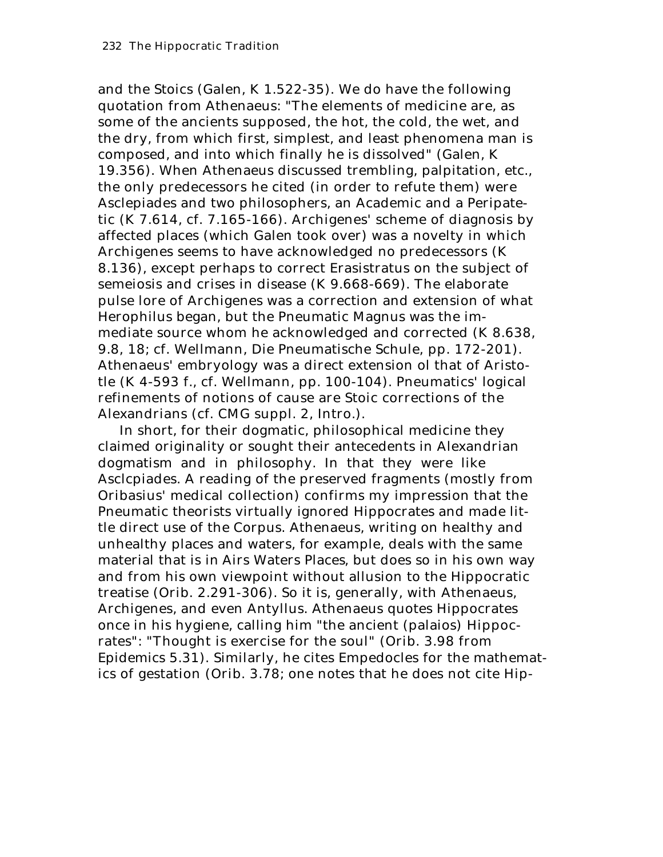and the Stoics (Galen, K 1.522-35). We do have the following quotation from Athenaeus: "The elements of medicine are, as some of the ancients supposed, the hot, the cold, the wet, and the dry, from which first, simplest, and least phenomena man is composed, and into which finally he is dissolved" (Galen, K 19.356). When Athenaeus discussed trembling, palpitation, etc., the only predecessors he cited (in order to refute them) were Asclepiades and two philosophers, an Academic and a Peripatetic (K 7.614, cf. 7.165-166). Archigenes' scheme of diagnosis by affected places (which Galen took over) was a novelty in which Archigenes seems to have acknowledged no predecessors (K 8.136), except perhaps to correct Erasistratus on the subject of semeiosis and crises in disease (K 9.668-669). The elaborate pulse lore of Archigenes was a correction and extension of what Herophilus began, but the Pneumatic Magnus was the immediate source whom he acknowledged and corrected (K 8.638, 9.8, 18; cf. Wellmann, *Die Pneumatische Schule*, pp. 172-201). Athenaeus' embryology was a direct extension ol that of Aristotle (K 4-593 f., cf. Wellmann, pp. 100-104). Pneumatics' logical refinements of notions of cause are Stoic corrections of the Alexandrians (cf. CMG suppl. 2, Intro.).

 In short, for their dogmatic, philosophical medicine they claimed originality or sought their antecedents in Alexandrian dogmatism and in philosophy. In that they were like Asclcpiades. A reading of the preserved fragments (mostly from Oribasius' medical collection) confirms my impression that the Pneumatic theorists virtually ignored Hippocrates and made little direct use of the Corpus. Athenaeus, writing on healthy and unhealthy places and waters, for example, deals with the same material that is in *Airs Waters Places*, but does so in his own way and from his own viewpoint without allusion to the Hippocratic treatise (Orib. 2.291-306). So it is, generally, with Athenaeus, Archigenes, and even Antyllus. Athenaeus quotes Hippocrates once in his hygiene, calling him "the ancient (*palaios*) Hippocrates": "Thought is exercise for the soul" (Orib. 3.98 from *Epidemics* 5.31). Similarly, he cites Empedocles for the mathematics of gestation (Orib. 3.78; one notes that he does not cite Hip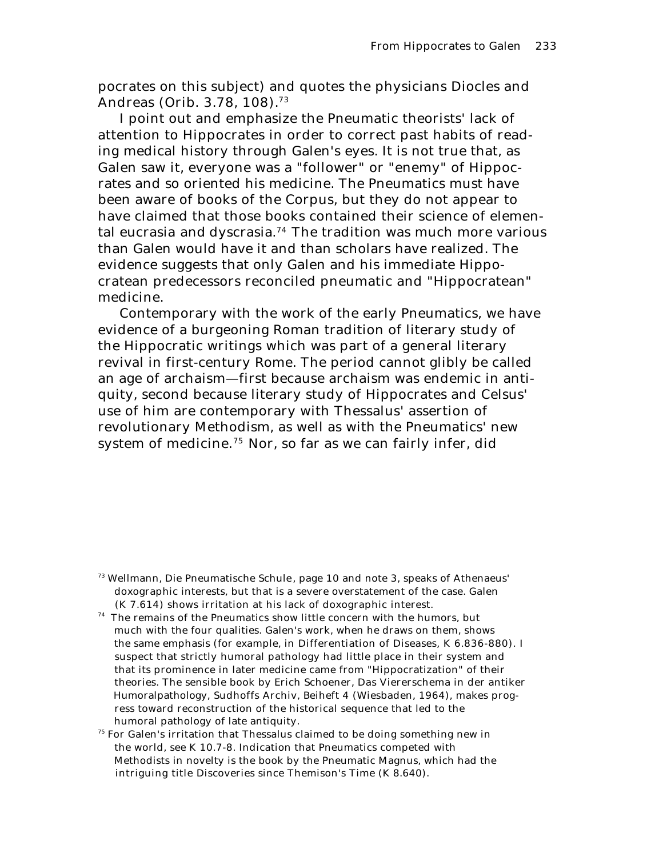pocrates on this subject) and quotes the physicians Diocles and Andreas (Orib. 3.78, 108).<sup>73</sup>

 I point out and emphasize the Pneumatic theorists' lack of attention to Hippocrates in order to correct past habits of reading medical history through Galen's eyes. It is not true that, as Galen saw it, everyone was a "follower" or "enemy" of Hippocrates and so oriented his medicine. The Pneumatics must have been aware of books of the Corpus, but they do not appear to have claimed that those books contained their science of elemental *eucrasia* and *dyscrasia*. <sup>74</sup> The tradition was much more various than Galen would have it and than scholars have realized. The evidence suggests that only Galen and his immediate Hippocratean predecessors reconciled pneumatic and "Hippocratean" medicine.

 Contemporary with the work of the early Pneumatics, we have evidence of a burgeoning Roman tradition of literary study of the Hippocratic writings which was part of a general literary revival in first-century Rome. The period cannot glibly be called an age of archaism—first because archaism was endemic in antiquity, second because literary study of Hippocrates and Celsus' use of him are contemporary with Thessalus' assertion of revolutionary Methodism, as well as with the Pneumatics' new system of medicine.<sup>75</sup> Nor, so far as we can fairly infer, did

<sup>73</sup> Wellmann, *Die Pneumatische Schule*, page 10 and note 3, speaks of Athenaeus' doxographic interests, but that is a severe overstatement of the case. Galen (K 7.614) shows irritation at his lack of doxographic interest.

 $74$  The remains of the Pneumatics show little concern with the humors, but much with the four qualities. Galen's work, when he draws on them, shows the same emphasis (for example, in *Differentiation of Diseases*, K 6.836-880). I suspect that strictly humoral pathology had little place in their system and that its prominence in later medicine came from "Hippocratization" of their theories. The sensible book by Erich Schoener, *Das Viererschema in der antiker Humoralpathology*, *Sudhoffs Archiv*, Beiheft 4 (Wiesbaden, 1964), makes prog ress toward reconstruction of the historical sequence that led to the humoral pathology of late antiquity.

 $75$  For Galen's irritation that Thessalus claimed to be doing something new in the world, see K 10.7-8. Indication that Pneumatics competed with Methodists in novelty is the book by the Pneumatic Magnus, which had the intriguing title *Discoveries since Themison's Time* (K 8.640).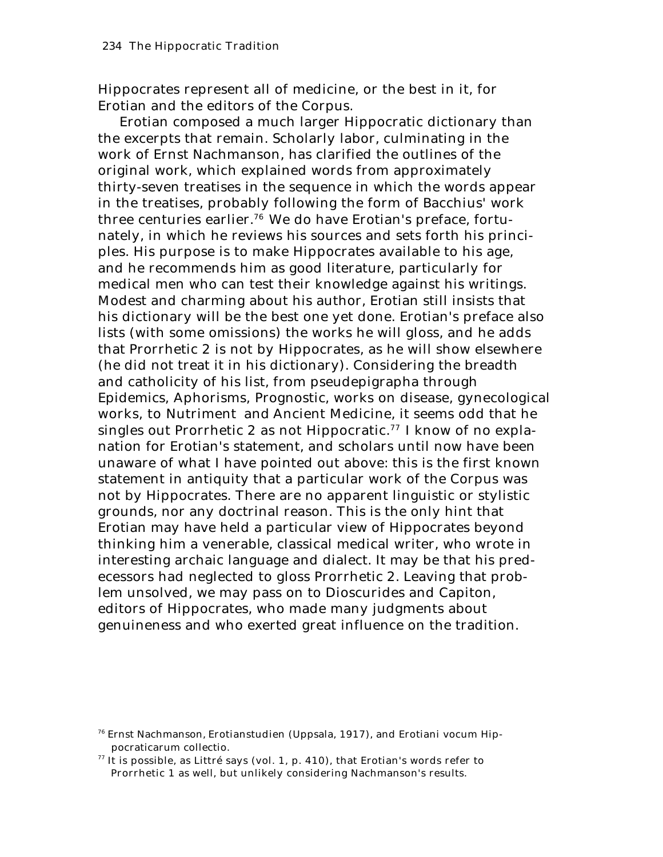Hippocrates represent all of medicine, or the best in it, for Erotian and the editors of the Corpus.

 Erotian composed a much larger Hippocratic dictionary than the excerpts that remain. Scholarly labor, culminating in the work of Ernst Nachmanson, has clarified the outlines of the original work, which explained words from approximately thirty-seven treatises in the sequence in which the words appear in the treatises, probably following the form of Bacchius' work three centuries earlier.76 We do have Erotian's preface, fortunately, in which he reviews his sources and sets forth his principles. His purpose is to make Hippocrates available to his age, and he recommends him as good literature, particularly for medical men who can test their knowledge against his writings. Modest and charming about his author, Erotian still insists that his dictionary will be the best one yet done. Erotian's preface also lists (with some omissions) the works he will gloss, and he adds that *Prorrhetic* 2 is not by Hippocrates, as he will show elsewhere (he did not treat it in his dictionary). Considering the breadth and catholicity of his list, from pseudepigrapha through *Epidemics*, *Aphorisms*, *Prognostic*, works on disease, gynecological works, to *Nutriment* and *Ancient Medicine*, it seems odd that he singles out *Prorrhetic* 2 as not Hippocratic.<sup>77</sup> I know of no explanation for Erotian's statement, and scholars until now have been unaware of what I have pointed out above: this is the first known statement in antiquity that a particular work of the Corpus was not by Hippocrates. There are no apparent linguistic or stylistic grounds, nor any doctrinal reason. This is the only hint that Erotian may have held a particular view of Hippocrates beyond thinking him a venerable, classical medical writer, who wrote in interesting archaic language and dialect. It may be that his predecessors had neglected to gloss *Prorrhetic* 2. Leaving that problem unsolved, we may pass on to Dioscurides and Capiton, editors of Hippocrates, who made many judgments about genuineness and who exerted great influence on the tradition.

<sup>76</sup> Ernst Nachmanson, *Erotianstudien* (Uppsala, 1917), and *Erotiani vocum Hip pocraticarum collectio*.

 $77$  It is possible, as Littré says (vol. 1, p. 410), that Erotian's words refer to *Prorrhetic* 1 as well, but unlikely considering Nachmanson's results.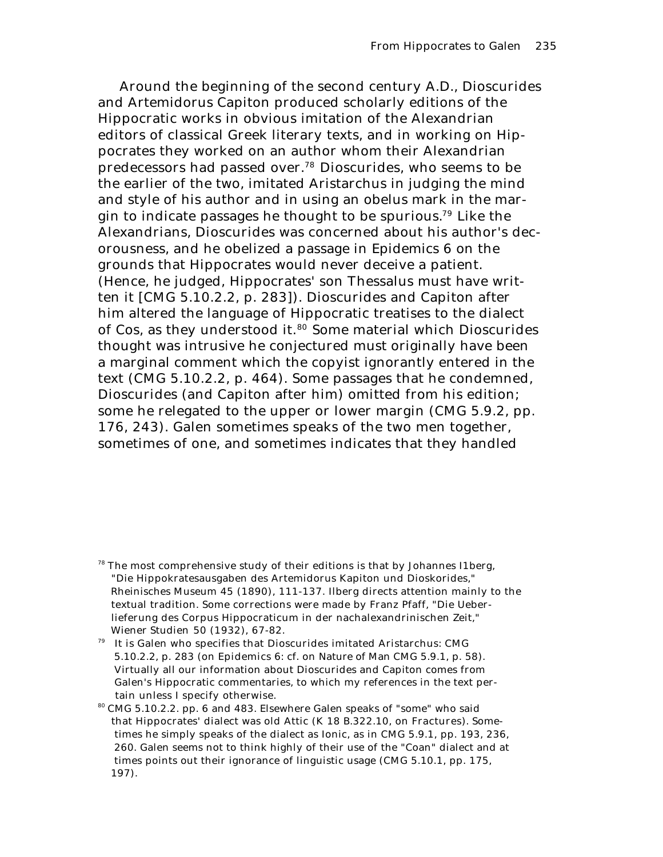Around the beginning of the second century A.D., Dioscurides and Artemidorus Capiton produced scholarly editions of the Hippocratic works in obvious imitation of the Alexandrian editors of classical Greek literary texts, and in working on Hippocrates they worked on an author whom their Alexandrian predecessors had passed over.78 Dioscurides, who seems to be the earlier of the two, imitated Aristarchus in judging the mind and style of his author and in using an obelus mark in the margin to indicate passages he thought to be spurious.<sup>79</sup> Like the Alexandrians, Dioscurides was concerned about his author's decorousness, and he obelized a passage in *Epidemics* 6 on the grounds that Hippocrates would never deceive a patient. (Hence, he judged, Hippocrates' son Thessalus must have written it [CMG 5.10.2.2, p. 283]). Dioscurides and Capiton after him altered the language of Hippocratic treatises to the dialect of Cos, as they understood it.<sup>80</sup> Some material which Dioscurides thought was intrusive he conjectured must originally have been a marginal comment which the copyist ignorantly entered in the text (CMG 5.10.2.2, p. 464). Some passages that he condemned, Dioscurides (and Capiton after him) omitted from his edition; some he relegated to the upper or lower margin (CMG 5.9.2, pp. 176, 243). Galen sometimes speaks of the two men together, sometimes of one, and sometimes indicates that they handled

 $78$  The most comprehensive study of their editions is that by Johannes I1berg, "Die Hippokratesausgaben des Artemidorus Kapiton und Dioskorides," *Rheinisches Museum* 45 (1890), 111-137. Ilberg directs attention mainly to the textual tradition. Some corrections were made by Franz Pfaff, "Die Ueber lieferung des Corpus Hippocraticum in der nachalexandrinischen Zeit," *Wiener Studien* 50 (1932), 67-82.

 $79$  It is Galen who specifies that Dioscurides imitated Aristarchus: CMG 5.10.2.2, p. 283 (on *Epidemics* 6: cf. on *Nature of Man* CMG 5.9.1, p. 58). Virtually all our information about Dioscurides and Capiton comes from Galen's Hippocratic commentaries, to which my references in the text per tain unless I specify otherwise.

<sup>80</sup> CMG 5.10.2.2. pp. 6 and 483. Elsewhere Galen speaks of "some" who said that Hippocrates' dialect was old Attic (K 18 B.322.10, on *Fractures*). Some times he simply speaks of the dialect as Ionic, as in CMG 5.9.1, pp. 193, 236, 260. Galen seems not to think highly of their use of the "Coan" dialect and at times points out their ignorance of linguistic usage (CMG 5.10.1, pp. 175, 197).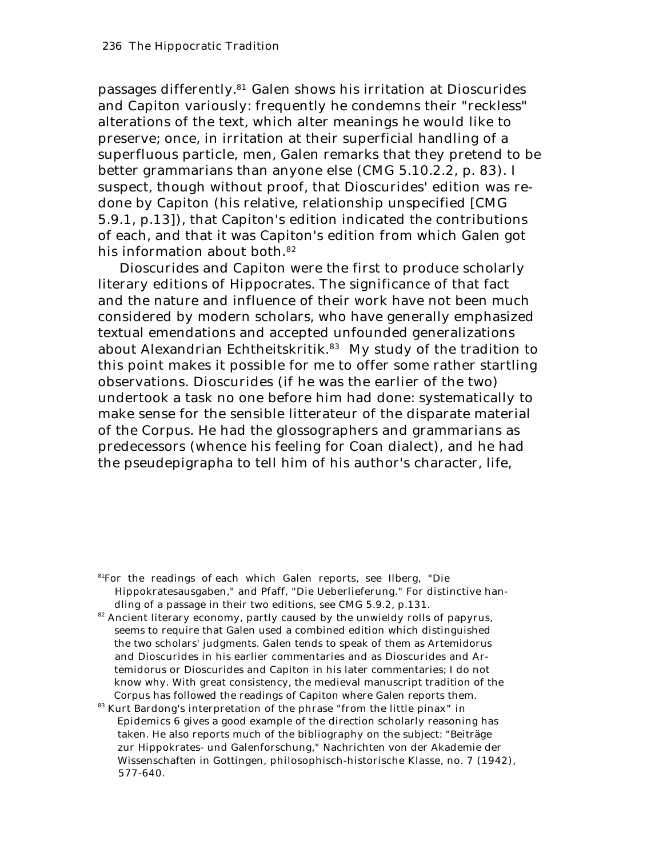passages differently.81 Galen shows his irritation at Dioscurides and Capiton variously: frequently he condemns their "reckless" alterations of the text, which alter meanings he would like to preserve; once, in irritation at their superficial handling of a superfluous particle, *men*, Galen remarks that they pretend to be better grammarians than anyone else (CMG 5.10.2.2, p. 83). I suspect, though without proof, that Dioscurides' edition was redone by Capiton (his relative, relationship unspecified [CMG 5.9.1, p.13]), that Capiton's edition indicated the contributions of each, and that it was Capiton's edition from which Galen got his information about both.<sup>82</sup>

 Dioscurides and Capiton were the first to produce scholarly literary editions of Hippocrates. The significance of that fact and the nature and influence of their work have not been much considered by modern scholars, who have generally emphasized textual emendations and accepted unfounded generalizations about Alexandrian *Echtheitskritik*. <sup>83</sup> My study of the tradition to this point makes it possible for me to offer some rather startling observations. Dioscurides (if he was the earlier of the two) undertook a task no one before him had done: systematically to make sense for the sensible litterateur of the disparate material of the Corpus. He had the glossographers and grammarians as predecessors (whence his feeling for Coan dialect), and he had the pseudepigrapha to tell him of his author's character, life,

- $82$  Ancient literary economy, partly caused by the unwieldy rolls of papyrus, seems to require that Galen used a combined edition which distinguished the two scholars' judgments. Galen tends to speak of them as Artemidorus and Dioscurides in his earlier commentaries and as Dioscurides and Ar temidorus or Dioscurides and Capiton in his later commentaries; I do not know why. With great consistency, the medieval manuscript tradition of the Corpus has followed the readings of Capiton where Galen reports them.
- <sup>83</sup> Kurt Bardong's interpretation of the phrase "from the little *pinax*" in *Epidemics* 6 gives a good example of the direction scholarly reasoning has taken. He also reports much of the bibliography on the subject: "Beiträge zur Hippokrates- und Galenforschung," *Nachrichten von der Akademie der Wissenschaften in Gottingen*, philosophisch-historische Klasse, no. 7 (1942), 577-640.

 ${}^{81}$ For the readings of each which Galen reports, see Ilberg, "Die Hippokratesausgaben," and Pfaff, "Die Ueberlieferung." For distinctive han dling of a passage in their two editions, see CMG 5.9.2, p.131.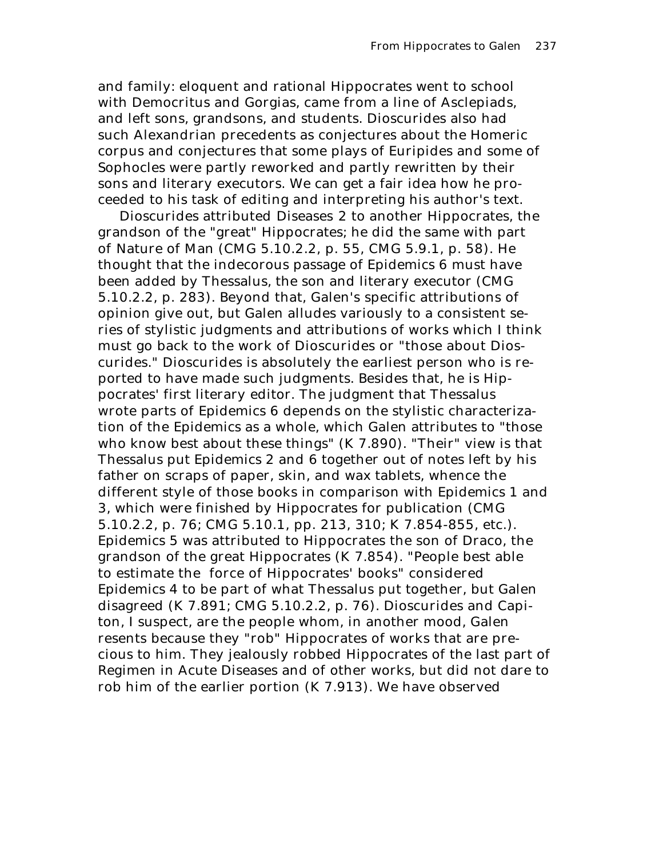and family: eloquent and rational Hippocrates went to school with Democritus and Gorgias, came from a line of Asclepiads, and left sons, grandsons, and students. Dioscurides also had such Alexandrian precedents as conjectures about the Homeric corpus and conjectures that some plays of Euripides and some of Sophocles were partly reworked and partly rewritten by their sons and literary executors. We can get a fair idea how he proceeded to his task of editing and interpreting his author's text.

 Dioscurides attributed *Diseases* 2 to another Hippocrates, the grandson of the "great" Hippocrates; he did the same with part of *Nature of Man* (CMG 5.10.2.2, p. 55, CMG 5.9.1, p. 58). He thought that the indecorous passage of *Epidemics* 6 must have been added by Thessalus, the son and literary executor (CMG 5.10.2.2, p. 283). Beyond that, Galen's specific attributions of opinion give out, but Galen alludes variously to a consistent series of stylistic judgments and attributions of works which I think must go back to the work of Dioscurides or "those about Dioscurides." Dioscurides is absolutely the earliest person who is reported to have made such judgments. Besides that, he is Hippocrates' first literary editor. The judgment that Thessalus wrote parts of *Epidemics* 6 depends on the stylistic characterization of the *Epidemics* as a whole, which Galen attributes to "those who know best about these things" (K 7.890). "Their" view is that Thessalus put *Epidemics* 2 and 6 together out of notes left by his father on scraps of paper, skin, and wax tablets, whence the different style of those books in comparison with *Epidemics* 1 and 3, which were finished by Hippocrates for publication (CMG 5.10.2.2, p. 76; CMG 5.10.1, pp. 213, 310; K 7.854-855, etc.). *Epidemics* 5 was attributed to Hippocrates the son of Draco, the grandson of the great Hippocrates (K 7.854). "People best able to estimate the force of Hippocrates' books" considered *Epidemics* 4 to be part of what Thessalus put together, but Galen disagreed (K 7.891; CMG 5.10.2.2, p. 76). Dioscurides and Capiton, I suspect, are the people whom, in another mood, Galen resents because they "rob" Hippocrates of works that are precious to him. They jealously robbed Hippocrates of the last part of *Regimen in Acute Diseases* and of other works, but did not dare to rob him of the earlier portion (K 7.913). We have observed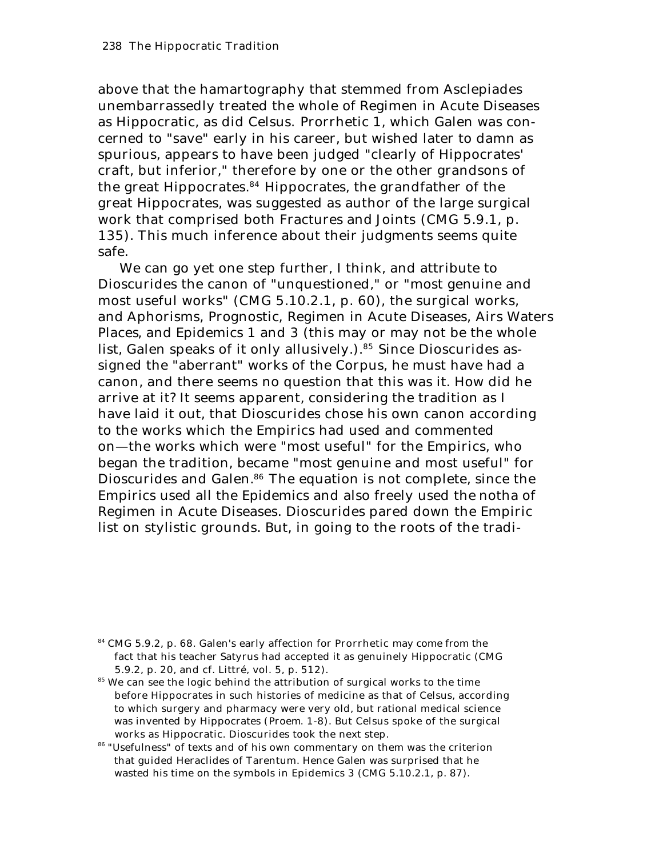above that the hamartography that stemmed from Asclepiades unembarrassedly treated the whole of *Regimen in Acute Diseases* as Hippocratic, as did Celsus. *Prorrhetic* 1, which Galen was concerned to "save" early in his career, but wished later to damn as spurious, appears to have been judged "clearly of Hippocrates' craft, but inferior," therefore by one or the other grandsons of the great Hippocrates.<sup>84</sup> Hippocrates, the grandfather of the great Hippocrates, was suggested as author of the large surgical work that comprised both *Fractures* and *Joints* (CMG 5.9.1, p. 135). This much inference about their judgments seems quite safe.

 We can go yet one step further, I think, and attribute to Dioscurides the canon of "unquestioned," or "most genuine and most useful works" (CMG 5.10.2.1, p. 60), the surgical works, and *Aphorisms*, *Prognostic*, *Regimen in Acute Diseases*, *Airs Waters Places*, and *Epidemics* 1 and 3 (this may or may not be the whole list, Galen speaks of it only allusively.).<sup>85</sup> Since Dioscurides assigned the "aberrant" works of the Corpus, he must have had a canon, and there seems no question that this was it. How did he arrive at it? It seems apparent, considering the tradition as I have laid it out, that Dioscurides chose his own canon according to the works which the Empirics had used and commented on—the works which were "most useful" for the Empirics, who began the tradition, became "most genuine and most useful" for Dioscurides and Galen.<sup>86</sup> The equation is not complete, since the Empirics used all the *Epidemics* and also freely used the *notha* of *Regimen in Acute Diseases*. Dioscurides pared down the Empiric list on stylistic grounds. But, in going to the roots of the tradi-

- <sup>84</sup> CMG 5.9.2, p. 68. Galen's early affection for *Prorrhetic* may come from the fact that his teacher Satyrus had accepted it as genuinely Hippocratic (CMG 5.9.2, p. 20, and cf. Littré, vol. 5, p. 512).
- <sup>85</sup> We can see the logic behind the attribution of surgical works to the time before Hippocrates in such histories of medicine as that of Celsus, according to which surgery and pharmacy were very old, but rational medical science was invented by Hippocrates (*Proem*. 1-8). But Celsus spoke of the surgical works as Hippocratic. Dioscurides took the next step.
- 86 "Usefulness" of texts and of his own commentary on them was the criterion that guided Heraclides of Tarentum. Hence Galen was surprised that he wasted his time on the symbols in *Epidemics* 3 (CMG 5.10.2.1, p. 87).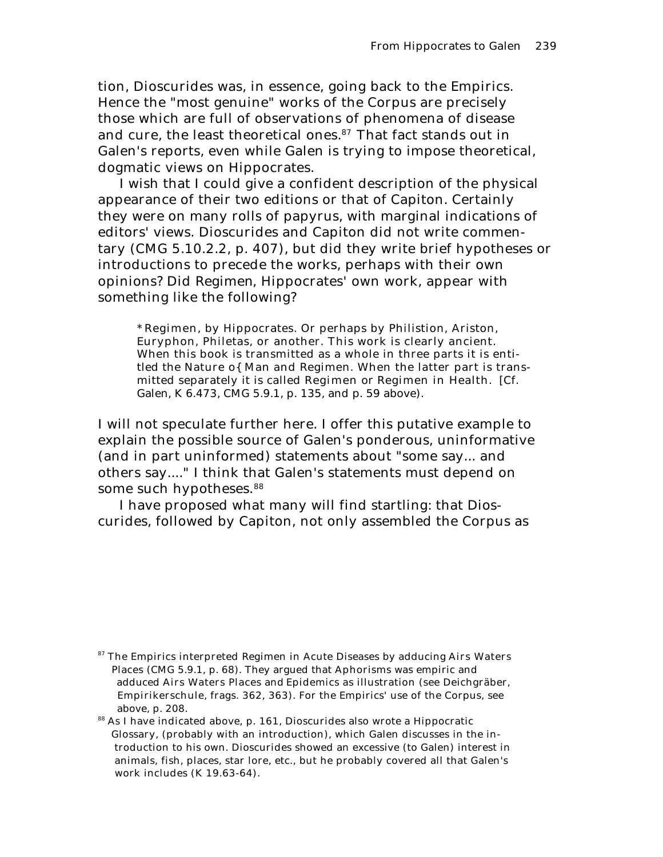tion, Dioscurides was, in essence, going back to the Empirics. Hence the "most genuine" works of the Corpus are precisely those which are full of observations of phenomena of disease and cure, the least theoretical ones.<sup>87</sup> That fact stands out in Galen's reports, even while Galen is trying to impose theoretical, dogmatic views on Hippocrates.

 I wish that I could give a confident description of the physical appearance of their two editions or that of Capiton. Certainly they were on many rolls of papyrus, with marginal indications of editors' views. Dioscurides and Capiton did not write commentary (CMG 5.10.2.2, p. 407), but did they write brief hypotheses or introductions to precede the works, perhaps with their own opinions? Did *Regimen*, Hippocrates' own work, appear with something like the following?

\* *Regimen*, by Hippocrates. Or perhaps by Philistion, Ariston, Euryphon, Philetas, or another. This work is clearly ancient. When this book is transmitted as a whole in three parts it is entitled the *Nature o{ Man and Regimen*. When the latter part is transmitted separately it is called *Regimen* or *Regimen in Health*. [Cf. Galen, K 6.473, CMG 5.9.1, p. 135, and p. 59 above).

I will not speculate further here. I offer this putative example to explain the possible source of Galen's ponderous, uninformative (and in part uninformed) statements about "some say... and others say...." I think that Galen's statements must depend on some such hypotheses.<sup>88</sup>

 I have proposed what many will find startling: that Dioscurides, followed by Capiton, not only assembled the Corpus as

<sup>87</sup> The Empirics interpreted *Regimen in Acute Diseases* by adducing *Airs Waters Places* (CMG 5.9.1, p. 68). They argued that *Aphorisms* was empiric and adduced *Airs Waters Places* and *Epidemics* as illustration (see Deichgräber, *Empirikerschule*, frags. 362, 363). For the Empirics' use of the Corpus, see above, p. 208.

<sup>&</sup>lt;sup>88</sup> As I have indicated above, p. 161, Dioscurides also wrote a Hippocratic Glossary, (probably with an introduction), which Galen discusses in the in troduction to his own. Dioscurides showed an excessive (to Galen) interest in animals, fish, places, star lore, etc., but he probably covered all that Galen's work includes (K 19.63-64).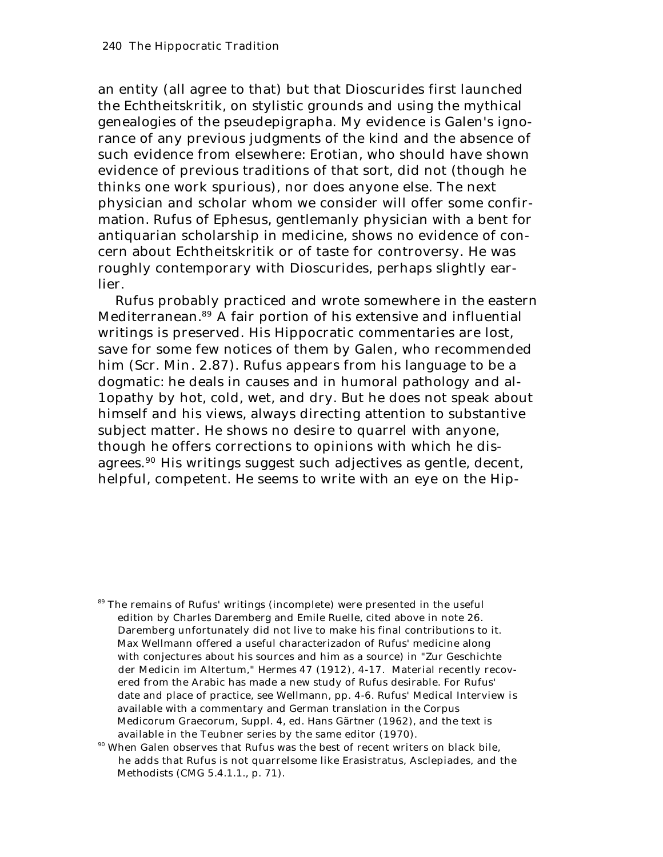an entity (all agree to that) but that Dioscurides first launched the *Echtheitskritik*, on stylistic grounds and using the mythical genealogies of the pseudepigrapha. My evidence is Galen's ignorance of any previous judgments of the kind and the absence of such evidence from elsewhere: Erotian, who should have shown evidence of previous traditions of that sort, did not (though he thinks one work spurious), nor does anyone else. The next physician and scholar whom we consider will offer some confirmation. Rufus of Ephesus, gentlemanly physician with a bent for antiquarian scholarship in medicine, shows no evidence of concern about *Echtheitskritik* or of taste for controversy. He was roughly contemporary with Dioscurides, perhaps slightly earlier.

 Rufus probably practiced and wrote somewhere in the eastern Mediterranean.89 A fair portion of his extensive and influential writings is preserved. His Hippocratic commentaries are lost, save for some few notices of them by Galen, who recommended him (*Scr. Min*. 2.87). Rufus appears from his language to be a dogmatic: he deals in causes and in humoral pathology and al-1opathy by hot, cold, wet, and dry. But he does not speak about himself and his views, always directing attention to substantive subject matter. He shows no desire to quarrel with anyone, though he offers corrections to opinions with which he disagrees.90 His writings suggest such adjectives as gentle, decent, helpful, competent. He seems to write with an eye on the Hip-

<sup>89</sup> The remains of Rufus' writings (incomplete) were presented in the useful edition by Charles Daremberg and Emile Ruelle, cited above in note 26. Daremberg unfortunately did not live to make his final contributions to it. Max Wellmann offered a useful characterizadon of Rufus' medicine along with conjectures about his sources and him as a source) in "Zur Geschichte der Medicin im Altertum," *Hermes* 47 (1912), 4-17. Material recently recov ered from the Arabic has made a new study of Rufus desirable. For Rufus' date and place of practice, see Wellmann, pp. 4-6. Rufus' *Medical Interview* is available with a commentary and German translation in the Corpus Medicorum Graecorum, Suppl. 4, ed. Hans Gärtner (1962), and the text is available in the Teubner series by the same editor (1970).

<sup>90</sup> When Galen observes that Rufus was the best of recent writers on black bile, he adds that Rufus is not quarrelsome like Erasistratus, Asclepiades, and the Methodists (CMG 5.4.1.1., p. 71).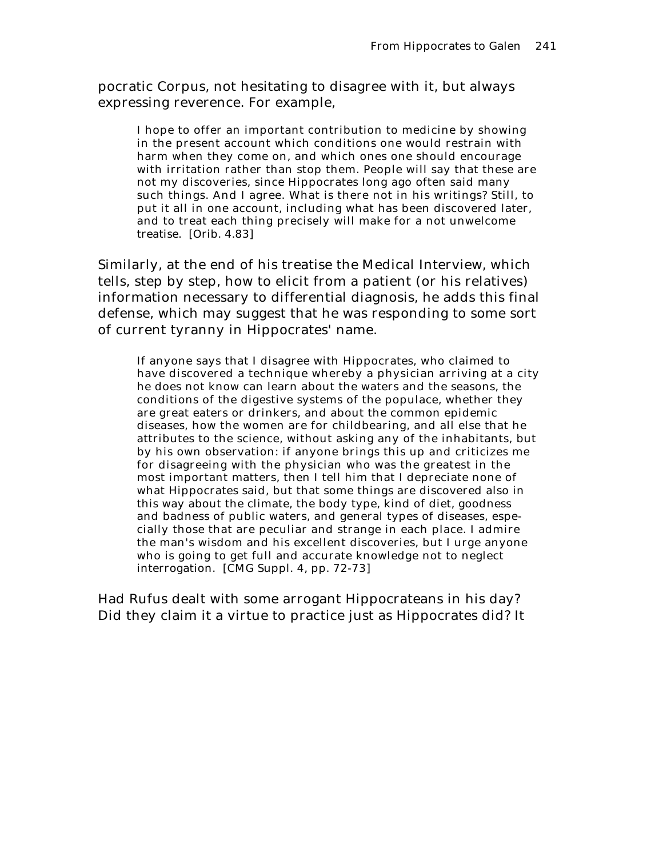pocratic Corpus, not hesitating to disagree with it, but always expressing reverence. For example,

I hope to offer an important contribution to medicine by showing in the present account which conditions one would restrain with harm when they come on, and which ones one should encourage with irritation rather than stop them. People will say that these are not my discoveries, since Hippocrates long ago often said many such things. And I agree. What is there not in his writings? Still, to put it all in one account, including what has been discovered later, and to treat each thing precisely will make for a not unwelcome treatise. [Orib. 4.83]

Similarly, at the end of his treatise the *Medical Interview*, which tells, step by step, how to elicit from a patient (or his relatives) information necessary to differential diagnosis, he adds this final defense, which may suggest that he was responding to some sort of current tyranny in Hippocrates' name.

If anyone says that I disagree with Hippocrates, who claimed to have discovered a technique whereby a physician arriving at a city he does not know can learn about the waters and the seasons, the conditions of the digestive systems of the populace, whether they are great eaters or drinkers, and about the common epidemic diseases, how the women are for childbearing, and all else that he attributes to the science, without asking any of the inhabitants, but by his own observation: if anyone brings this up and criticizes me for disagreeing with the physician who was the greatest in the most important matters, then I tell him that I depreciate none of what Hippocrates said, but that some things are discovered also in this way about the climate, the body type, kind of diet, goodness and badness of public waters, and general types of diseases, especially those that are peculiar and strange in each place. I admire the man's wisdom and his excellent discoveries, but I urge anyone who is going to get full and accurate knowledge not to neglect interrogation. [CMG Suppl. 4, pp. 72-73]

Had Rufus dealt with some arrogant Hippocrateans in his day? Did they claim it a virtue to practice just as Hippocrates did? It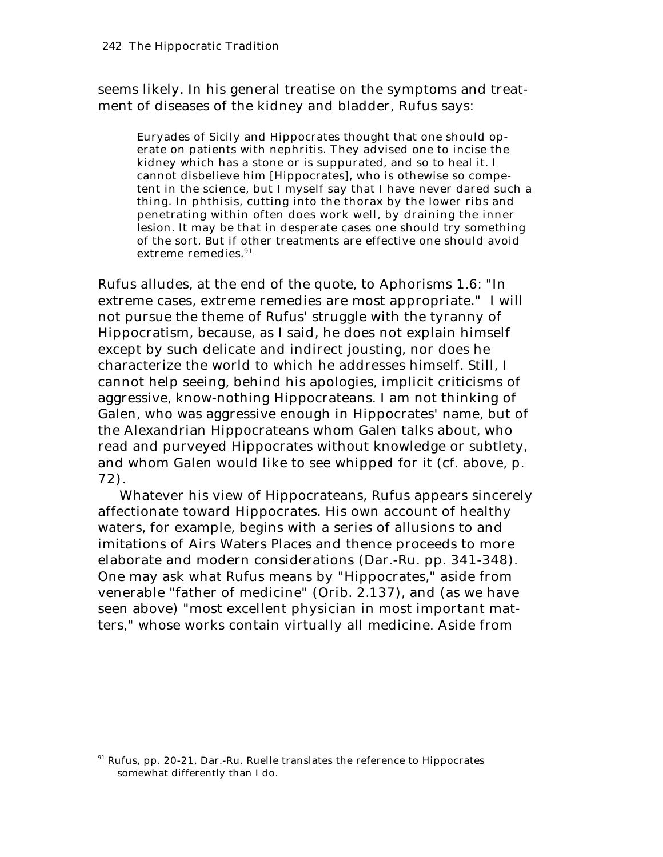seems likely. In his general treatise on the symptoms and treatment of diseases of the kidney and bladder, Rufus says:

Euryades of Sicily and Hippocrates thought that one should operate on patients with nephritis. They advised one to incise the kidney which has a stone or is suppurated, and so to heal it. I cannot disbelieve him [Hippocrates], who is othewise so competent in the science, but I myself say that I have never dared such a thing. In phthisis, cutting into the thorax by the lower ribs and penetrating within often does work well, by draining the inner lesion. It may be that in desperate cases one should try something of the sort. But if other treatments are effective one should avoid extreme remedies.<sup>91</sup>

Rufus alludes, at the end of the quote, to *Aphorisms* 1.6: "In extreme cases, extreme remedies are most appropriate." I will not pursue the theme of Rufus' struggle with the tyranny of Hippocratism, because, as I said, he does not explain himself except by such delicate and indirect jousting, nor does he characterize the world to which he addresses himself. Still, I cannot help seeing, behind his apologies, implicit criticisms of aggressive, know-nothing Hippocrateans. I am not thinking of Galen, who was aggressive enough in Hippocrates' name, but of the Alexandrian Hippocrateans whom Galen talks about, who read and purveyed Hippocrates without knowledge or subtlety, and whom Galen would like to see whipped for it (cf. above, p. 72).

 Whatever his view of Hippocrateans, Rufus appears sincerely affectionate toward Hippocrates. His own account of healthy waters, for example, begins with a series of allusions to and imitations of *Airs Waters Places* and thence proceeds to more elaborate and modern considerations (Dar.-Ru. pp. 341-348). One may ask what Rufus means by "Hippocrates," aside from venerable "father of medicine" (Orib. 2.137), and (as we have seen above) "most excellent physician in most important matters," whose works contain virtually all medicine. Aside from

 $91$  Rufus, pp. 20-21, Dar.-Ru. Ruelle translates the reference to Hippocrates somewhat differently than I do.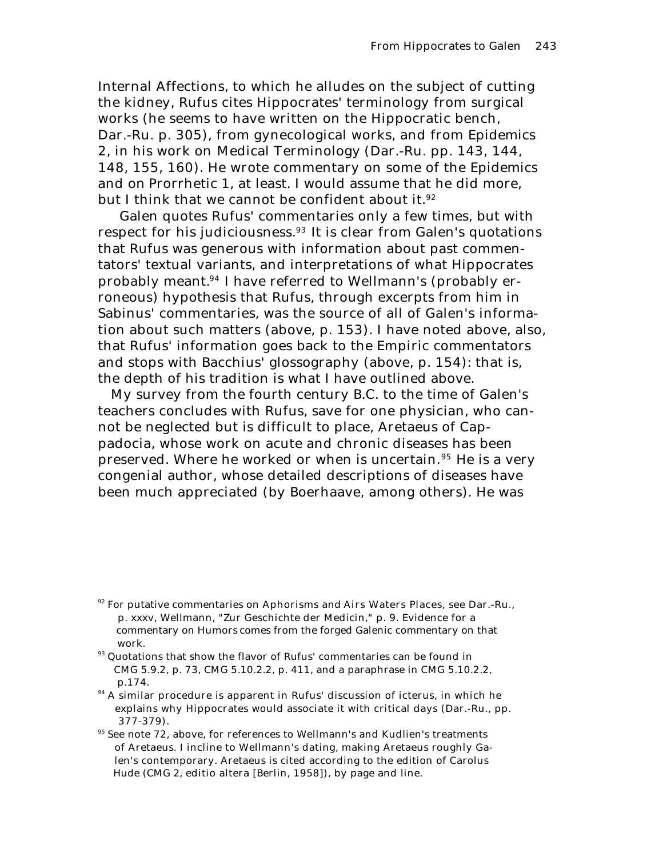*Internal Affections*, to which he alludes on the subject of cutting the kidney, Rufus cites Hippocrates' terminology from surgical works (he seems to have written on the Hippocratic bench, Dar.-Ru. p. 305), from gynecological works, and from *Epidemics* 2, in his work on *Medical Terminology* (Dar.-Ru. pp. 143, 144, 148, 155, 160). He wrote commentary on some of the *Epidemics* and on *Prorrhetic* 1, at least. I would assume that he did more, but I think that we cannot be confident about it.<sup>92</sup>

 Galen quotes Rufus' commentaries only a few times, but with respect for his judiciousness.93 It is clear from Galen's quotations that Rufus was generous with information about past commentators' textual variants, and interpretations of what Hippocrates probably meant.94 I have referred to Wellmann's (probably erroneous) hypothesis that Rufus, through excerpts from him in Sabinus' commentaries, was the source of all of Galen's information about such matters (above, p. 153). I have noted above, also, that Rufus' information goes back to the Empiric commentators and stops with Bacchius' glossography (above, p. 154): that is, the depth of his tradition is what I have outlined above.

 My survey from the fourth century B.C. to the time of Galen's teachers concludes with Rufus, save for one physician, who cannot be neglected but is difficult to place, Aretaeus of Cappadocia, whose work on acute and chronic diseases has been preserved. Where he worked or when is uncertain.95 He is a very congenial author, whose detailed descriptions of diseases have been much appreciated (by Boerhaave, among others). He was

- <sup>93</sup> Quotations that show the flavor of Rufus' commentaries can be found in CMG 5.9.2, p. 73, CMG 5.10.2.2, p. 411, and a paraphrase in CMG 5.10.2.2, p.174.
- $94$  A similar procedure is apparent in Rufus' discussion of icterus, in which he explains why Hippocrates would associate it with critical days (Dar.-Ru., pp. 377-379).
- <sup>95</sup> See note 72, above, for references to Wellmann's and Kudlien's treatments of Aretaeus. I incline to Wellmann's dating, making Aretaeus roughly Ga len's contemporary. Aretaeus is cited according to the edition of Carolus Hude (CMG 2, *editio altera* [Berlin, 1958]), by page and line.

<sup>92</sup> For putative commentaries on *Aphorisms* and *Airs Waters Places*, see Dar.-Ru., p. xxxv, Wellmann, "Zur Geschichte der Medicin," p. 9. Evidence for a commentary on *Humors* comes from the forged Galenic commentary on that work.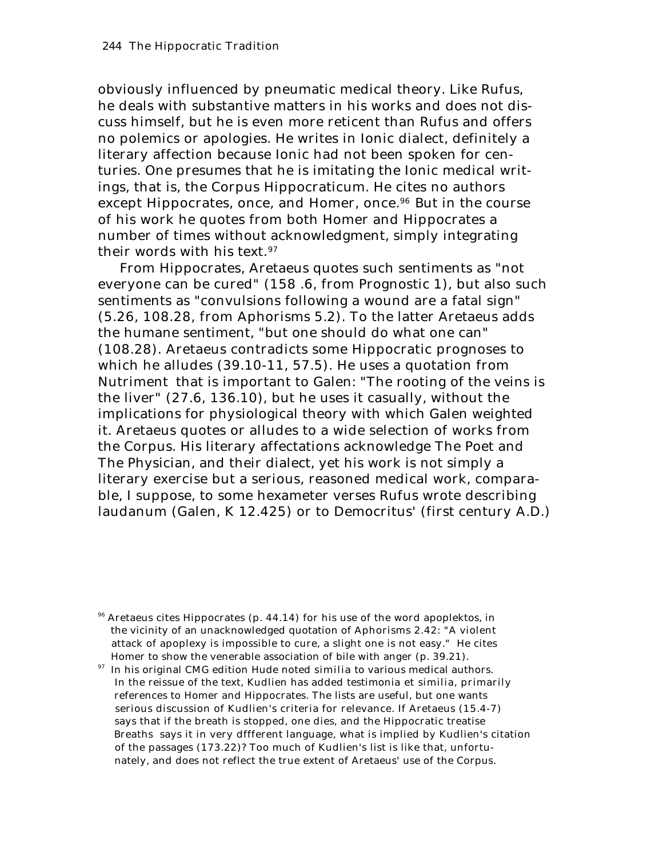obviously influenced by pneumatic medical theory. Like Rufus, he deals with substantive matters in his works and does not discuss himself, but he is even more reticent than Rufus and offers no polemics or apologies. He writes in Ionic dialect, definitely a literary affection because Ionic had not been spoken for centuries. One presumes that he is imitating the Ionic medical writings, that is, the Corpus Hippocraticum. He cites no authors except Hippocrates, once, and Homer, once.<sup>96</sup> But in the course of his work he quotes from both Homer and Hippocrates a number of times without acknowledgment, simply integrating their words with his text.<sup>97</sup>

 From Hippocrates, Aretaeus quotes such sentiments as "not everyone can be cured" (158 .6, from *Prognostic* 1), but also such sentiments as "convulsions following a wound are a fatal sign" (5.26, 108.28, from *Aphorisms* 5.2). To the latter Aretaeus adds the humane sentiment, "but one should do what one can" (108.28). Aretaeus contradicts some Hippocratic prognoses to which he alludes (39.10-11, 57.5). He uses a quotation from *Nutriment* that is important to Galen: "The rooting of the veins is the liver" (27.6, 136.10), but he uses it casually, without the implications for physiological theory with which Galen weighted it. Aretaeus quotes or alludes to a wide selection of works from the Corpus. His literary affectations acknowledge The Poet and The Physician, and their dialect, yet his work is not simply a literary exercise but a serious, reasoned medical work, comparable, I suppose, to some hexameter verses Rufus wrote describing laudanum (Galen, K 12.425) or to Democritus' (first century A.D.)

<sup>97</sup> In his original CMG edition Hude noted *similia* to various medical authors. In the reissue of the text, Kudlien has added *testimonia et similia*, primarily references to Homer and Hippocrates. The lists are useful, but one wants serious discussion of Kudlien's criteria for relevance. If Aretaeus (15.4-7) says that if the breath is stopped, one dies, and the Hippocratic treatise *Breaths* says it in very dffferent language, what is implied by Kudlien's citation of the passages (173.22)? Too much of Kudlien's list is like that, unfortu nately, and does not reflect the true extent of Aretaeus' use of the Corpus.

<sup>96</sup> Aretaeus cites Hippocrates (p. 44.14) for his use of the word *apoplektos*, in the vicinity of an unacknowledged quotation of *Aphorisms* 2.42: "A violent attack of apoplexy is impossible to cure, a slight one is not easy." He cites Homer to show the venerable association of bile with anger (p. 39.21).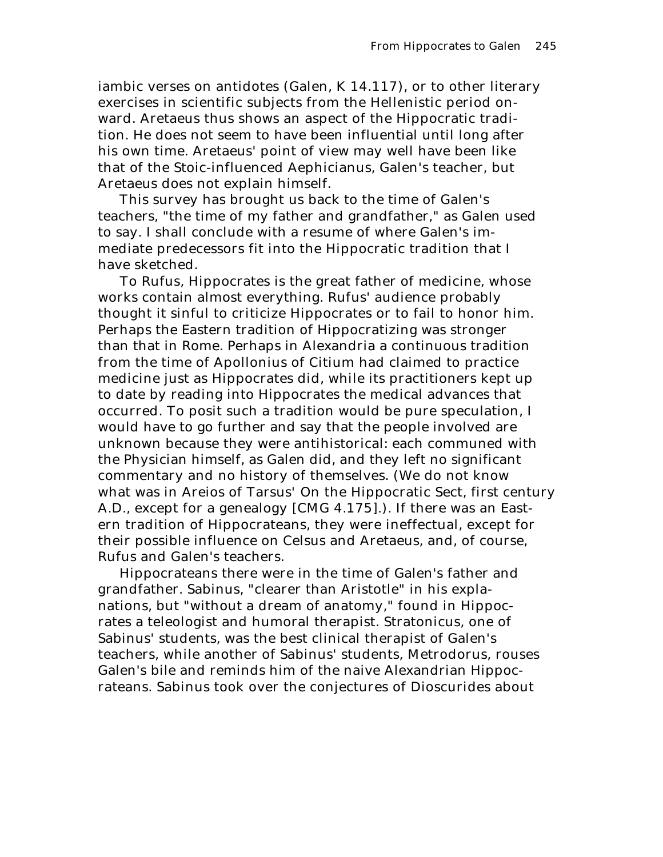iambic verses on antidotes (Galen, K 14.117), or to other literary exercises in scientific subjects from the Hellenistic period onward. Aretaeus thus shows an aspect of the Hippocratic tradition. He does not seem to have been influential until long after his own time. Aretaeus' point of view may well have been like that of the Stoic-influenced Aephicianus, Galen's teacher, but Aretaeus does not explain himself.

 This survey has brought us back to the time of Galen's teachers, "the time of my father and grandfather," as Galen used to say. I shall conclude with a resume of where Galen's immediate predecessors fit into the Hippocratic tradition that I have sketched.

 To Rufus, Hippocrates is the great father of medicine, whose works contain almost everything. Rufus' audience probably thought it sinful to criticize Hippocrates or to fail to honor him. Perhaps the Eastern tradition of Hippocratizing was stronger than that in Rome. Perhaps in Alexandria a continuous tradition from the time of Apollonius of Citium had claimed to practice medicine just as Hippocrates did, while its practitioners kept up to date by reading into Hippocrates the medical advances that occurred. To posit such a tradition would be pure speculation, I would have to go further and say that the people involved are unknown because they were antihistorical: each communed with the Physician himself, as Galen did, and they left no significant commentary and no history of themselves. (We do not know what was in Areios of Tarsus' *On the Hippocratic Sect*, first century A.D., except for a genealogy [CMG 4.175].). If there was an Eastern tradition of Hippocrateans, they were ineffectual, except for their possible influence on Celsus and Aretaeus, and, of course, Rufus and Galen's teachers.

 Hippocrateans there were in the time of Galen's father and grandfather. Sabinus, "clearer than Aristotle" in his explanations, but "without a dream of anatomy," found in Hippocrates a teleologist and humoral therapist. Stratonicus, one of Sabinus' students, was the best clinical therapist of Galen's teachers, while another of Sabinus' students, Metrodorus, rouses Galen's bile and reminds him of the naive Alexandrian Hippocrateans. Sabinus took over the conjectures of Dioscurides about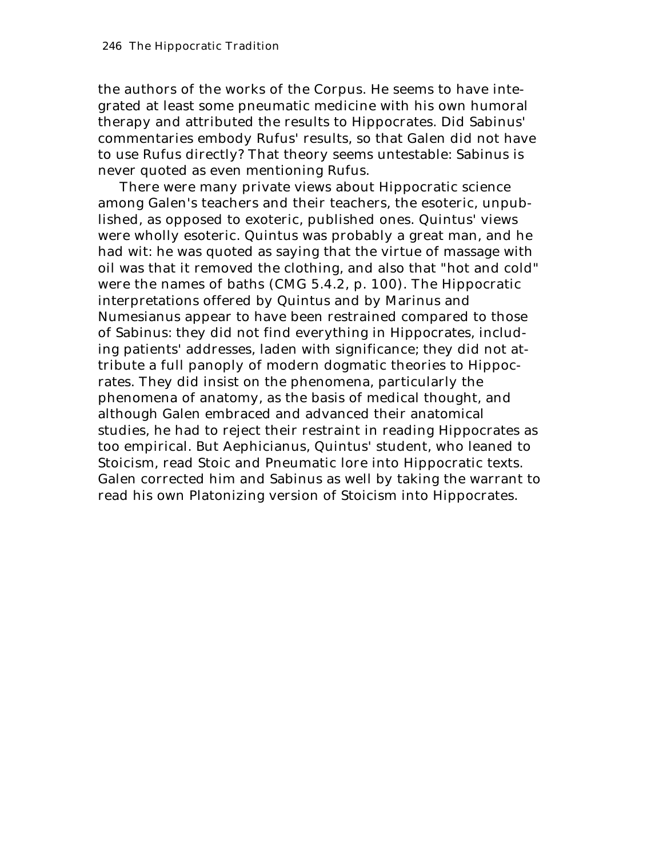the authors of the works of the Corpus. He seems to have integrated at least some pneumatic medicine with his own humoral therapy and attributed the results to Hippocrates. Did Sabinus' commentaries embody Rufus' results, so that Galen did not have to use Rufus directly? That theory seems untestable: Sabinus is never quoted as even mentioning Rufus.

 There were many private views about Hippocratic science among Galen's teachers and their teachers, the esoteric, unpublished, as opposed to exoteric, published ones. Quintus' views were wholly esoteric. Quintus was probably a great man, and he had wit: he was quoted as saying that the virtue of massage with oil was that it removed the clothing, and also that "hot and cold" were the names of baths (CMG 5.4.2, p. 100). The Hippocratic interpretations offered by Quintus and by Marinus and Numesianus appear to have been restrained compared to those of Sabinus: they did not find everything in Hippocrates, including patients' addresses, laden with significance; they did not attribute a full panoply of modern dogmatic theories to Hippocrates. They did insist on the phenomena, particularly the phenomena of anatomy, as the basis of medical thought, and although Galen embraced and advanced their anatomical studies, he had to reject their restraint in reading Hippocrates as too empirical. But Aephicianus, Quintus' student, who leaned to Stoicism, read Stoic and Pneumatic lore into Hippocratic texts. Galen corrected him and Sabinus as well by taking the warrant to read his own Platonizing version of Stoicism into Hippocrates.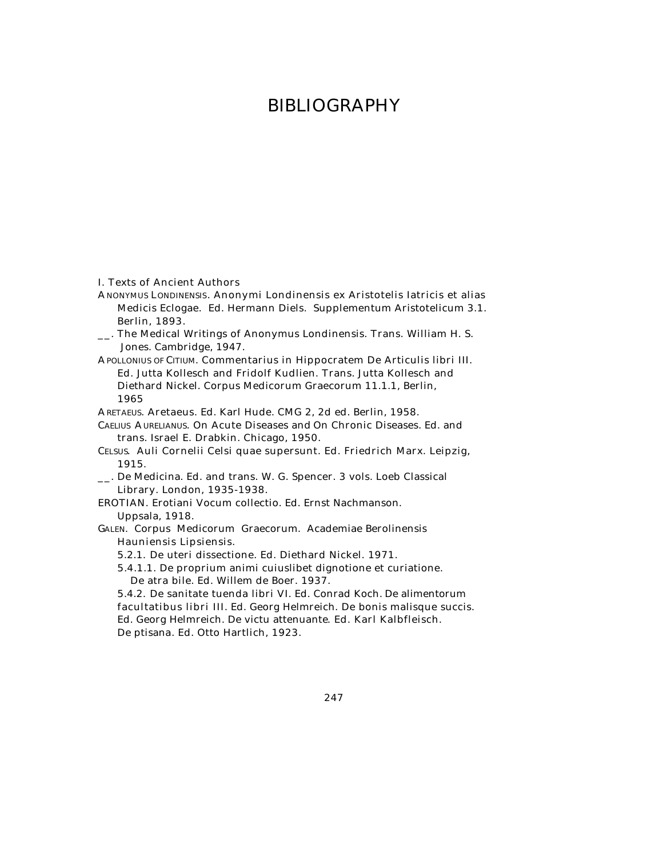## BIBLIOGRAPHY

## *I. Texts of Ancient Authors*

- A NONYMUS LONDINENSIS. *Anonymi Londinensis ex Aristotelis Iatricis et alias Medicis Eclogae.* Ed. Hermann Diels. Supplementum Aristotelicum 3.1. Berlin, 1893.
- \_\_. *The Medical Writings of Anonymus Londinensis*. Trans. William H. S. Jones. Cambridge, 1947.
- APOLLONIUS OF CITIUM. *Commentarius in Hippocratem De Articulis libri III.* Ed. Jutta Kollesch and Fridolf Kudlien. Trans. Jutta Kollesch and Diethard Nickel. Corpus Medicorum Graecorum 11.1.1, Berlin, 1965

ARETAEUS. *Aretaeus*. Ed. Karl Hude. CMG 2, 2d ed. Berlin, 1958.

- CAELIUS A URELIANUS. *On Acute Diseases* and *On Chronic Diseases*. Ed. and trans. Israel E. Drabkin. Chicago, 1950.
- CELSUS. *Auli Cornelii Celsi quae supersunt*. Ed. Friedrich Marx. Leipzig, 1915.
- \_\_. *De Medicina*. Ed. and trans. W. G. Spencer. 3 vols. Loeb Classical Library. London, 1935-1938.
- EROTIAN. *Erotiani Vocum collectio*. Ed. Ernst Nachmanson. Uppsala, 1918.
- GALEN. Corpus Medicorum Graecorum. Academiae Berolinensis Hauniensis Lipsiensis.
	- 5.2.1. *De uteri dissectione*. Ed. Diethard Nickel. 1971.
	- 5.4.1.1. *De proprium animi cuiuslibet dignotione et curiatione*. *De atra bile*. Ed. Willem de Boer. 1937.
	- 5.4.2. *De sanitate tuenda libri VI*. Ed. Conrad Koch. *De alimentorum facultatibus libri III*. Ed. Georg Helmreich. *De bonis malisque succis*. Ed. Georg Helmreich. *De victu attenuante*. Ed. Karl Kalbfleisch. *De ptisana*. Ed. Otto Hartlich, 1923.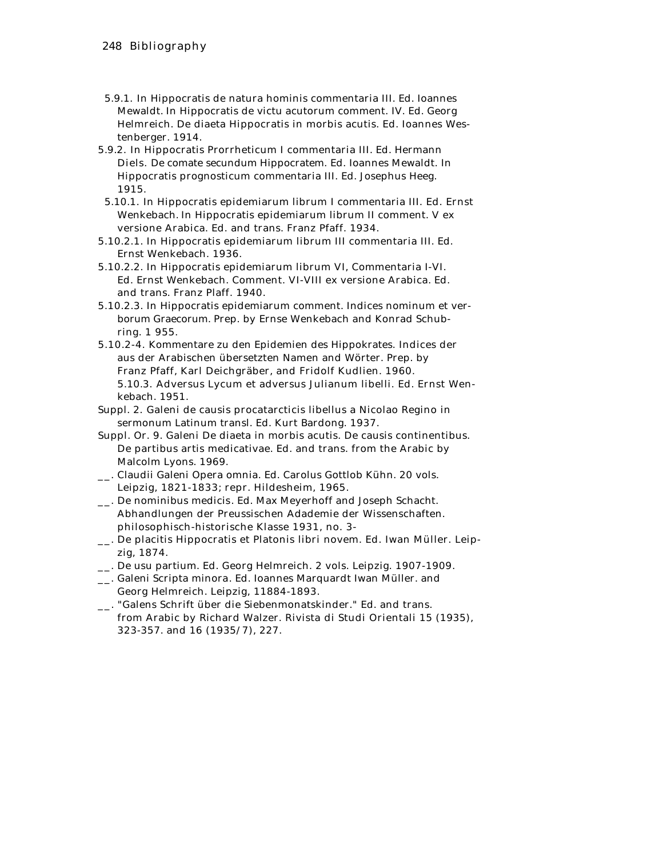- 5.9.1. *In Hippocratis de natura hominis commentaria III*. Ed. Ioannes Mewaldt. *In Hippocratis de victu acutorum comment. IV*. Ed. Georg Helmreich. *De diaeta Hippocratis in morbis acutis*. Ed. Ioannes Westenberger. 1914.
- 5.9.2. *In Hippocratis Prorrheticum I commentaria III*. Ed. Hermann Diels. *De comate secundum Hippocratem*. Ed. Ioannes Mewaldt. *In Hippocratis prognosticum commentaria III*. Ed. Josephus Heeg. 1915.
- 5.10.1. *In Hippocratis epidemiarum librum I commentaria III*. Ed. Ernst Wenkebach. *In Hippocratis epidemiarum librum II comment. V ex versione Arabica*. Ed. and trans. Franz Pfaff. 1934.
- 5.10.2.1. *In Hippocratis epidemiarum librum III commentaria III*. Ed. Ernst Wenkebach. 1936.
- 5.10.2.2. *In Hippocratis epidemiarum librum VI, Commentaria I-VI*. Ed. Ernst Wenkebach. *Comment. VI-VIII ex versione Arabica*. Ed. and trans. Franz Plaff. 1940.
- 5.10.2.3. *In Hippocratis epidemiarum comment. Indices nominum et verborum Graecorum.* Prep. by Ernse Wenkebach and Konrad Schubring. 1 955.
- 5.10.2-4. *Kommentare zu den Epidemien des Hippokrates*. Indices der aus der Arabischen übersetzten Namen and Wörter. Prep. by Franz Pfaff, Karl Deichgräber, and Fridolf Kudlien. 1960. 5.10.3. *Adversus Lycum et adversus Julianum libelli*. Ed. Ernst Wenkebach. 1951.
- Suppl. 2. *Galeni de causis procatarcticis libellus a Nicolao Regino in sermonum Latinum transl*. Ed. Kurt Bardong. 1937.
- Suppl. Or. 9. *Galeni De diaeta in morbis acutis. De causis continentibus*. *De partibus artis medicativae*. Ed. and trans. from the Arabic by Malcolm Lyons. 1969.
- \_\_. *Claudii Galeni Opera omnia*. Ed. Carolus Gottlob Kühn. 20 vols. Leipzig, 1821-1833; repr. Hildesheim, 1965.
- \_\_. *De nominibus medicis*. Ed. Max Meyerhoff and Joseph Schacht. *Abhandlungen der Preussischen Adademie der Wissenschaften*. philosophisch-historische Klasse 1931, no. 3-
- \_\_. *De placitis Hippocratis et Platonis libri novem*. Ed. Iwan Müller. Leipzig, 1874.
- \_\_. *De usu partium*. Ed. Georg Helmreich. 2 vols. Leipzig. 1907-1909.
- \_\_. *Galeni Scripta minora*. Ed. Ioannes Marquardt Iwan Müller. and Georg Helmreich. Leipzig, 11884-1893.
- \_\_. "Galens Schrift über die Siebenmonatskinder." Ed. and trans. from Arabic by Richard Walzer. *Rivista di Studi Orientali* 15 (1935), 323-357. and 16 (1935/7), 227.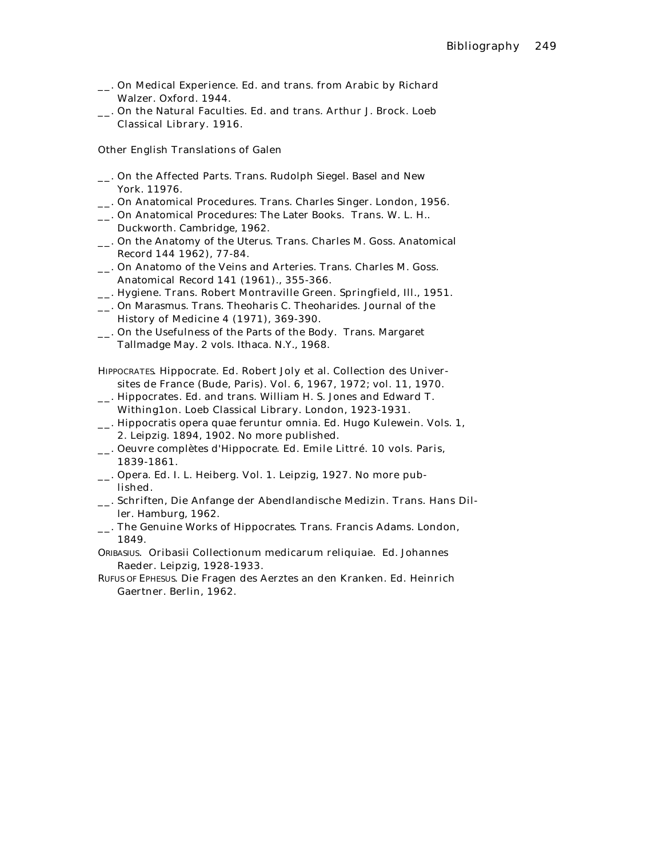- \_\_. *On Medical Experience*. Ed. and trans. from Arabic by Richard Walzer. Oxford. 1944.
- \_\_. *On the Natural Faculties*. Ed. and trans. Arthur J. Brock. Loeb Classical Library. 1916.

*Other English Translations of Galen*

- \_\_. *On the Affected Parts*. Trans. Rudolph Siegel. Basel and New York. 11976.
- \_\_. *On Anatomical Procedures*. Trans. Charles Singer. London, 1956.
- \_\_. *On Anatomical Procedures: The Later Books*. Trans. W. L. H.. Duckworth. Cambridge, 1962.
- \_\_. *On the Anatomy of the Uterus*. Trans. Charles M. Goss. *Anatomical Record* 144 1962), 77-84.
- \_\_. *On Anatomo of the Veins and Arteries*. Trans. Charles M. Goss. *Anatomical Record* 141 (1961)., 355-366.
- \_\_. *Hygiene*. Trans. Robert Montraville Green. Springfield, Ill., 1951.
- \_\_. *On Marasmus*. Trans. Theoharis C. Theoharides. *Journal of the History of Medicine* 4 (1971), 369-390.
- \_\_. *On the Usefulness of the Parts of the Body*. Trans. Margaret Tallmadge May. 2 vols. Ithaca. N.Y., 1968.
- HIPPOCRATES. *Hippocrate*. Ed. Robert Joly et al. Collection des Universites de France (Bude, Paris). Vol. 6, 1967, 1972; vol. 11, 1970.
- \_\_. *Hippocrates*. Ed. and trans. William H. S. Jones and Edward T. Withing1on. Loeb Classical Library. London, 1923-1931.
- \_\_. *Hippocratis opera quae feruntur omnia*. Ed. Hugo Kulewein. Vols. 1, 2. Leipzig. 1894, 1902. No more published.
- \_\_. *Oeuvre complètes d'Hippocrate*. Ed. Emile Littré. 10 vols. Paris, 1839-1861.
- \_\_. *Opera*. Ed. I. L. Heiberg. Vol. 1. Leipzig, 1927. No more published.
- \_\_. *Schriften, Die Anfange der Abendlandische Medizin*. Trans. Hans Diller. Hamburg, 1962.
- \_\_. *The Genuine Works of Hippocrates*. Trans. Francis Adams. London, 1849.
- ORIBASIUS. *Oribasii Collectionum medicarum reliquiae*. Ed. Johannes Raeder. Leipzig, 1928-1933.
- RUFUS OF EPHESUS. *Die Fragen des Aerztes an den Kranken*. Ed. Heinrich Gaertner. Berlin, 1962.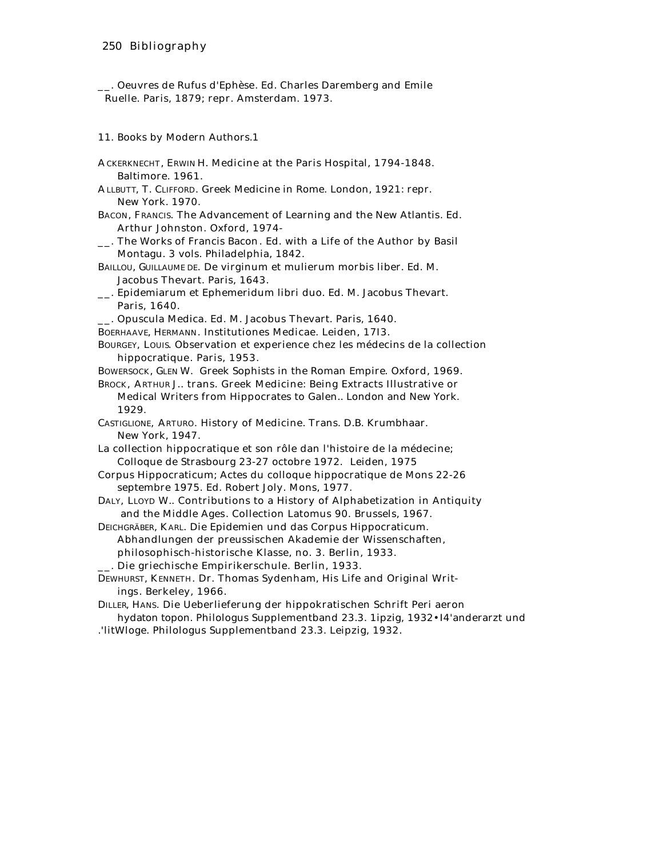\_\_. *Oeuvres de Rufus d'Ephèse*. Ed. Charles Daremberg and Emile Ruelle. Paris, 1879; repr. Amsterdam. 1973.

## 11. *Books by Modern Authors*.1

- ACKERKNECHT, ERWIN H. *Medicine at the Paris Hospital,* 1794-1848. Baltimore. 1961.
- ALLBUTT, T. CLIFFORD. *Greek Medicine in Rome*. London, 1921: repr. New York. 1970.
- BACON, FRANCIS. *The Advancement of Learning and the New Atlantis*. Ed. Arthur Johnston. Oxford, 1974-
- \_\_. *The Works of Francis Bacon*. Ed. with a Life of the Author by Basil Montagu. 3 vols. Philadelphia, 1842.
- BAILLOU, GUILLAUME DE. *De virginum et mulierum morbis liber*. Ed. M. Jacobus Thevart. Paris, 1643.
- \_\_. *Epidemiarum et Ephemeridum libri duo*. Ed. M. Jacobus Thevart. Paris, 1640.
- \_\_. *Opuscula Medica*. Ed. M. Jacobus Thevart. Paris, 1640.
- BOERHAAVE, HERMANN. *Institutiones Medicae*. Leiden, 17I3.
- BOURGEY, LOUIS. *Observation et experience chez les médecins de la collection hippocratique*. Paris, 1953.

BOWERSOCK, GLEN W. *Greek Sophists in the Roman Empire*. Oxford, 1969.

BROCK, ARTHUR J.. trans. *Greek Medicine: Being Extracts Illustrative or Medical Writers from Hippocrates to Galen.*. London and New York. 1929.

CASTIGLIONE, ARTURO. *History of Medicine*. Trans. D.B. Krumbhaar. New York, 1947.

*La collection hippocratique et son rôle dan l'histoire de la médecine; Colloque de Strasbourg 23-27 octobre 1972.* Leiden, 1975

- *Corpus Hippocraticum; Actes du colloque hippocratique de Mons 22-26 septembre 1975.* Ed. Robert Joly. Mons, 1977.
- DALY, LLOYD W.. *Contributions to a History of Alphabetization in Antiquity and the Middle Ages*. Collection Latomus 90. Brussels, 1967.
- DEICHGRÄBER, KARL. *Die Epidemien und das Corpus Hippocraticum. Abhandlungen der preussischen Akademie der Wissenschaften,* philosophisch-historische Klasse, no. 3. Berlin, 1933.
- \_\_. *Die griechische Empirikerschule*. Berlin, 1933.

DEWHURST, KENNETH. *Dr. Thomas Sydenham, His Life and Original Writings*. Berkeley, 1966.

DILLER, HANS. *Die Ueberlieferung der hippokratischen Schrift Peri aeron hydaton topon*. Philologus Supplementband 23.3. 1ipzig, 1932•I4'anderarzt und

.'litWloge. Philologus Supplementband 23.3. Leipzig, 1932.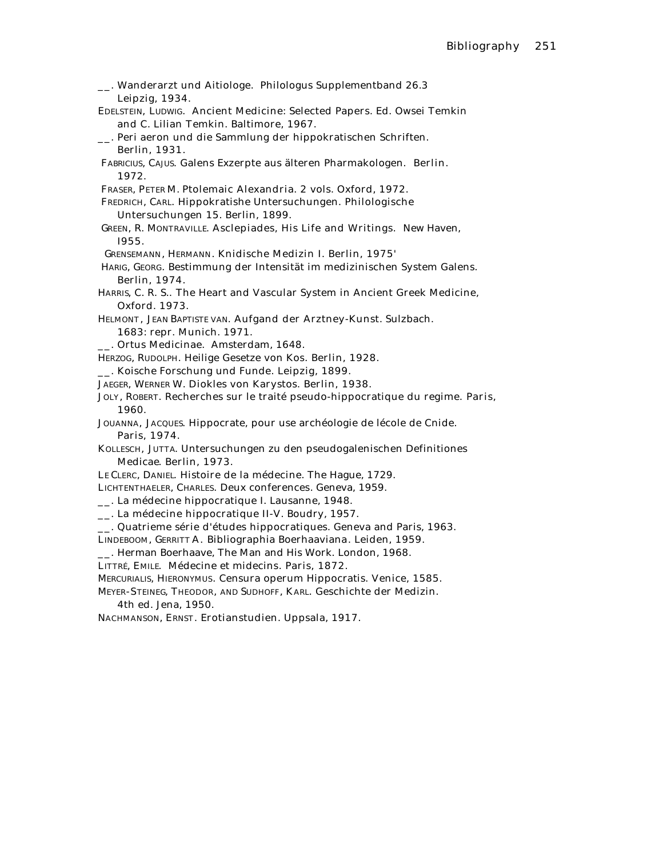- \_\_. *Wanderarzt und Aitiologe.* Philologus Supplementband 26.3 Leipzig, 1934. EDELSTEIN, LUDWIG. *Ancient Medicine: Selected Papers*. Ed. Owsei Temkin and C. Lilian Temkin. Baltimore, 1967. \_\_. *Peri aeron und die Sammlung der hippokratischen Schriften*. Berlin, 1931. FABRICIUS, CAJUS. *Galens Exzerpte aus älteren Pharmakologen*. Berlin. 1972. FRASER, PETER M. *Ptolemaic Alexandria*. 2 vols. Oxford, 1972. FREDRICH, CARL. *Hippokratishe Untersuchungen*. Philologische Untersuchungen 15. Berlin, 1899. GREEN, R. MONTRAVILLE. *Asclepiades, His Life and Writings.* New Haven, I955. GRENSEMANN, HERMANN. *Knidische Medizin* I. Berlin, 1975' HARIG, GEORG. *Bestimmung der Intensität im medizinischen System Galens*. Berlin, 1974. HARRIS, C. R. S.. *The Heart and Vascular System in Ancient Greek Medicine,* Oxford. 1973. HELMONT, JEAN BAPTISTE VAN. *Aufgand der Arztney-Kunst*. Sulzbach. 1683: repr. Munich. 1971. \_\_. *Ortus Medicinae*. Amsterdam, 1648. HERZOG, RUDOLPH. *Heilige Gesetze von Kos*. Berlin, 1928. \_\_. *Koische Forschung und Funde*. Leipzig, 1899. JAEGER, WERNER W. *Diokles von Karystos*. Berlin, 1938. JOLY, ROBERT. *Recherches sur le traité pseudo-hippocratique du regime*. Paris, 1960. JOUANNA, JACQUES. *Hippocrate, pour use archéologie de lécole de Cnide.* Paris, 1974. KOLLESCH, JUTTA. *Untersuchungen zu den pseudogalenischen Definitiones Medicae*. Berlin, 1973. LE CLERC, DANIEL. *Histoire de la médecine*. The Hague, 1729. LICHTENTHAELER, CHARLES. *Deux conferences*. Geneva, 1959. \_\_. *La médecine hippocratique I*. Lausanne, 1948. \_\_. *La médecine hippocratique II-V*. Boudry, 1957. \_\_. *Quatrieme série d'études hippocratiques*. Geneva and Paris, 1963. LINDEBOOM, GERRITT A. *Bibliographia Boerhaaviana*. Leiden, 1959. \_\_. *Herman Boerhaave, The Man and His Work*. London, 1968. LITTRÉ, EMILE. *Médecine et midecins*. Paris, 1872. MERCURIALIS, HIERONYMUS. *Censura operum Hippocratis*. Venice, 1585. MEYER-STEINEG, THEODOR, AND SUDHOFF, KARL. *Geschichte der Medizin*. 4th ed. Jena, 1950.
- NACHMANSON, ERNST. *Erotianstudien*. Uppsala, 1917.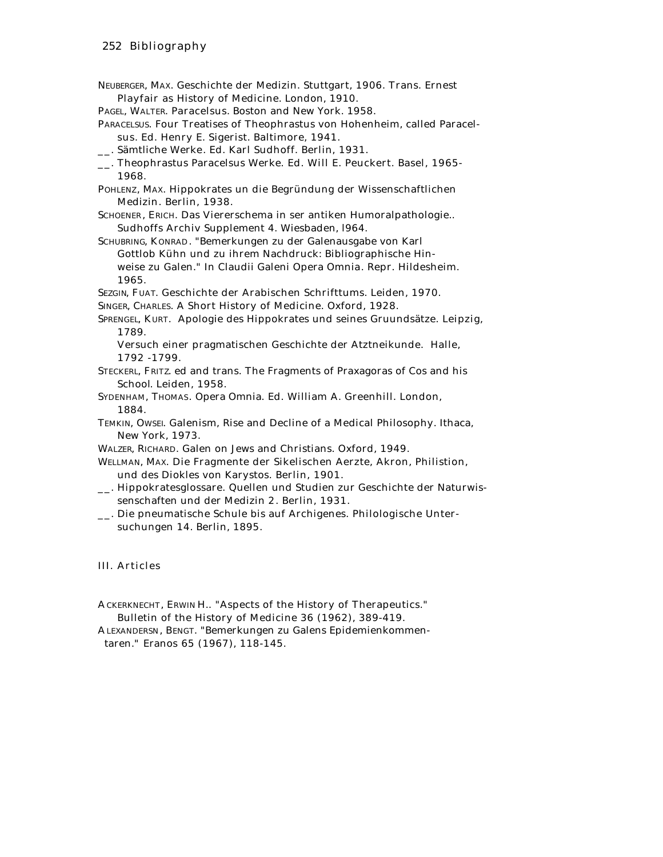- NEUBERGER, MAX. *Geschichte der Medizin*. Stuttgart, 1906. Trans. Ernest Playfair as *History of Medicine*. London, 1910.
- PAGEL, WALTER. *Paracelsus*. Boston and New York. 1958.
- PARACELSUS. *Four Treatises of Theophrastus von Hohenheim, called Paracelsus*. Ed. Henry E. Sigerist. Baltimore, 1941.
- \_\_. *Sämtliche Werke*. Ed. Karl Sudhoff. Berlin, 1931.
- \_\_. *Theophrastus Paracelsus Werke*. Ed. Will E. Peuckert. Basel, 1965- 1968.
- POHLENZ, MAX. *Hippokrates un die Begründung der Wissenschaftlichen Medizin*. Berlin, 1938.
- SCHOENER, ERICH. *Das Viererschema in ser antiken Humoralpathologie.*. *Sudhoffs Archiv* Supplement 4. Wiesbaden, l964.
- SCHUBRING, KONRAD. "Bemerkungen zu der Galenausgabe von Karl Gottlob Kühn und zu ihrem Nachdruck: Bibliographische Hinweise zu Galen." In *Claudii Galeni Opera Omnia*. Repr. Hildesheim. 1965.
- SEZGIN, FUAT. *Geschichte der Arabischen Schrifttums*. Leiden, 1970.
- SINGER, CHARLES. *A Short History of Medicine*. Oxford, 1928.
- SPRENGEL, KURT. *Apologie des Hippokrates und seines Gruundsätze*. Leipzig, 1789.

*Versuch einer pragmatischen Geschichte der Atztneikunde*. Halle, 1792 -1799.

- STECKERL, FRITZ. ed and trans. *The Fragments of Praxagoras of Cos and his School*. Leiden, 1958.
- SYDENHAM, THOMAS. *Opera Omnia*. Ed. William A. Greenhill. London, 1884.
- TEMKIN, OWSEI. *Galenism, Rise and Decline of a Medical Philosophy*. Ithaca, New York, 1973.
- WALZER, RICHARD. *Galen on Jews and Christians*. Oxford, 1949.
- WELLMAN, MAX. *Die Fragmente der Sikelischen Aerzte, Akron, Philistion, und des Diokles von Karystos*. Berlin, 1901.
- \_\_. *Hippokratesglossare*. *Quellen und Studien zur Geschichte der Naturwissenschaften und der Medizin 2*. Berlin, 1931.
- \_\_. *Die pneumatische Schule bis auf Archigenes*. Philologische Untersuchungen 14. Berlin, 1895.

III. *Articles*

- ACKERKNECHT, ERWIN H.. "Aspects of the History of Therapeutics." *Bulletin of the History of Medicine* 36 (1962), 389-419.
- ALEXANDERSN, BENGT. "Bemerkungen zu Galens Epidemienkommen taren." *Eranos* 65 (1967), 118-145.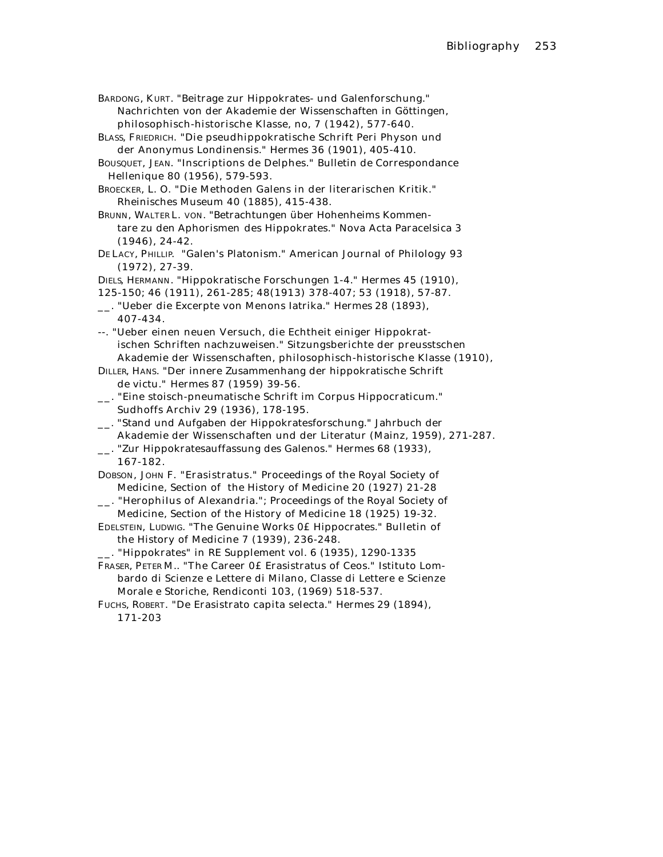- BARDONG, KURT. "Beitrage zur Hippokrates- und Galenforschung." *Nachrichten von der Akademie der Wissenschaften in Göttingen*, philosophisch-historische Klasse, no, 7 (1942), 577-640.
- BLASS, FRIEDRICH. "Die pseudhippokratische Schrift *Peri Physon* und der Anonymus Londinensis." *Hermes* 36 (1901), 405-410.
- BOUSQUET, JEAN. "Inscriptions de Delphes." *Bulletin de Correspondance Hellenique* 80 (1956), 579-593.
- BROECKER, L. O. "Die Methoden Galens in der literarischen Kritik." *Rheinisches Museum* 40 (1885), 415-438.
- BRUNN, WALTER L. VON. "Betrachtungen über Hohenheims Kommentare zu den *Aphorismen* des Hippokrates." *Nova Acta Paracelsica* 3 (1946), 24-42.
- DE LACY, PHILLIP. "Galen's Platonism." *American Journal of Philology* 93 (1972), 27-39.
- DIELS, HERMANN. "Hippokratische Forschungen 1-4." Hermes 45 (1910),
- 125-150; 46 (1911), 261-285; 48(1913) 378-407; 53 (1918), 57-87.
- \_\_. "Ueber die Excerpte von Menons Iatrika." *Hermes* 28 (1893), 407-434.
- --. "Ueber einen neuen Versuch, die Echtheit einiger Hippokratischen Schriften nachzuweisen." *Sitzungsberichte der preusstschen Akademie der Wissenschaften*, philosophisch-historische Klasse (1910),

DILLER, HANS. "Der innere Zusammenhang der hippokratische Schrift *de victu*." *Hermes* 87 (1959) 39-56.

- \_\_. "Eine stoisch-pneumatische Schrift im Corpus Hippocraticum." *Sudhoffs Archiv* 29 (1936), 178-195.
- \_\_. "Stand und Aufgaben der Hippokratesforschung." *Jahrbuch der Akademie der Wissenschaften und der Literatur* (Mainz, 1959), 271-287.
- \_\_. "Zur Hippokratesauffassung des Galenos." *Hermes* 68 (1933), 167-182.
- DOBSON, JOHN F. "Erasistratus." *Proceedings of the Royal Society of Medicine*, Section of the History of Medicine 20 (1927) 21-28
- \_\_. "HerophiIus of Alexandria."; *Proceedings of the Royal Society of Medicine*, Section of the History of Medicine 18 (1925) 19-32.
- EDELSTEIN, LUDWIG. "The Genuine Works 0£ Hippocrates." *Bulletin of the History of Medicine* 7 (1939), 236-248.

\_\_. "Hippokrates" in *RE* Supplement vol. 6 (1935), 1290-1335

- FRASER, PETER M.. "The Career 0£ Erasistratus of Ceos." Istituto Lombardo di Scienze e Lettere di Milano, Classe di Lettere e Scienze Morale e Storiche, *Rendiconti* 103, (1969) 518-537.
- FUCHS, ROBERT. "De Erasistrato capita seIecta." *Hermes* 29 (1894), 171-203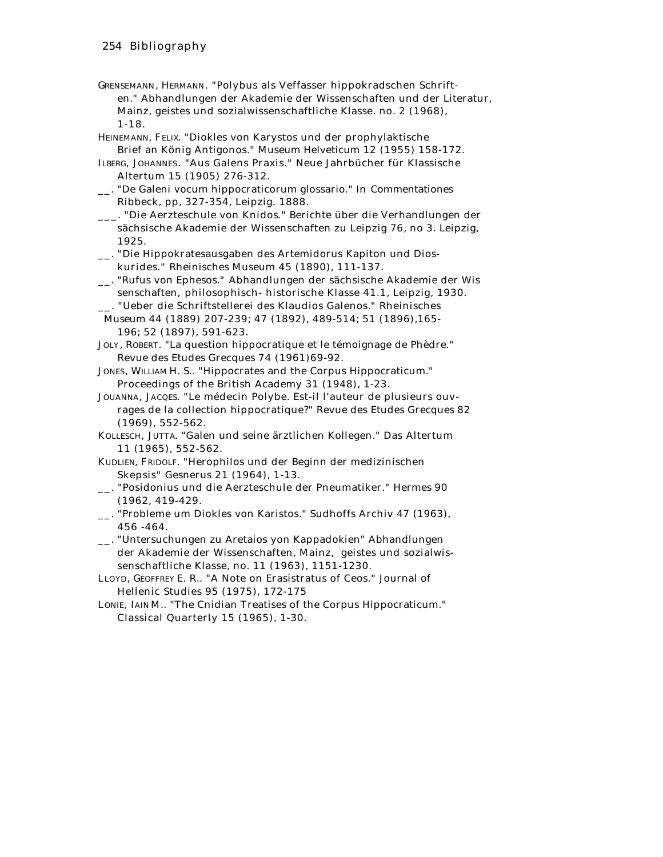- GRENSEMANN, HERMANN. "Polybus als Veffasser hippokradschen Schriften." *Abhandlungen der Akademie der Wissenschaften und der Literatur,* Mainz, geistes und sozialwissenschaftliche Klasse. no. 2 (1968), 1-18.
- HEINEMANN, FELIX. "Diokles von Karystos und der prophylaktische Brief an König Antigonos." *Museum Helveticum* 12 (1955) 158-172.
- ILBERG, JOHANNES. "Aus Galens Praxis." *Neue Jahrbücher für Klassische Altertum* 15 (1905) 276-312.
- \_\_. "De Galeni vocum hippocraticorum glossario." In *Commentationes Ribbeck, pp, 327-354*, Leipzig. 1888.
- \_\_\_. "Die Aerzteschule von Knidos." *Berichte über die Verhandlungen der sächsische Akademie der Wissenschaften zu Leipzig* 76, no 3. Leipzig, 1925.
- \_\_. "Die Hippokratesausgaben des Artemidorus Kapiton und Dioskurides." *Rheinisches Museum* 45 (1890), 111-137.
- \_\_. "Rufus von Ephesos." *Abhandlungen der sächsische Akademie der Wis senschaften,* philosophisch- historische Klasse 41.1, Leipzig, 1930. \_\_. "Ueber die Schriftstellerei des Klaudios Galenos." *Rheinisches*
- *Museum* 44 (1889) 207-239; 47 (1892), 489-514; 51 (1896),165- 196; 52 (1897), 591-623.
- JOLY, ROBERT. "La question hippocratique et le témoignage de Phèdre." *Revue des Etudes Grecques* 74 (1961)69-92.
- JONES, WILLIAM H. S.. "Hippocrates and the Corpus Hippocraticum." *Proceedings of the British* Academy 31 (1948), 1-23.
- JOUANNA, JACQES. "Le médecin Polybe. Est-il l'auteur de plusieurs ouvrages de la collection hippocratique?" *Revue des Etudes Grecques* 82 (1969), 552-562.
- KOLLESCH, JUTTA. "Galen und seine ärztlichen Kollegen." *Das Altertum* 11 (1965), 552-562.
- KUDLIEN, FRIDOLF. "Herophilos und der Beginn der medizinischen Skepsis" *Gesnerus* 21 (1964), 1-13.
- \_\_. "Posidonius und die Aerzteschule der Pneumatiker." *Hermes* 90 (1962, 419-429.
- \_\_. "Probleme um Diokles von Karistos." *Sudhoffs Archiv* 47 (1963), 456 -464.
- \_\_. "Untersuchungen zu Aretaios yon Kappadokien" *Abhandlungen der Akademie der Wissenschaften,* Mainz, geistes und sozialwissenschaftliche Klasse, no. 11 (1963), 1151-1230.
- LLOYD, GEOFFREY E. R.. "A Note on Erasistratus of Ceos." *Journal of Hellenic Studies* 95 (1975), 172-175
- LONIE, IAIN M.. "The Cnidian Treatises of the Corpus Hippocraticum." *Classical Quarterly* 15 (1965), 1-30.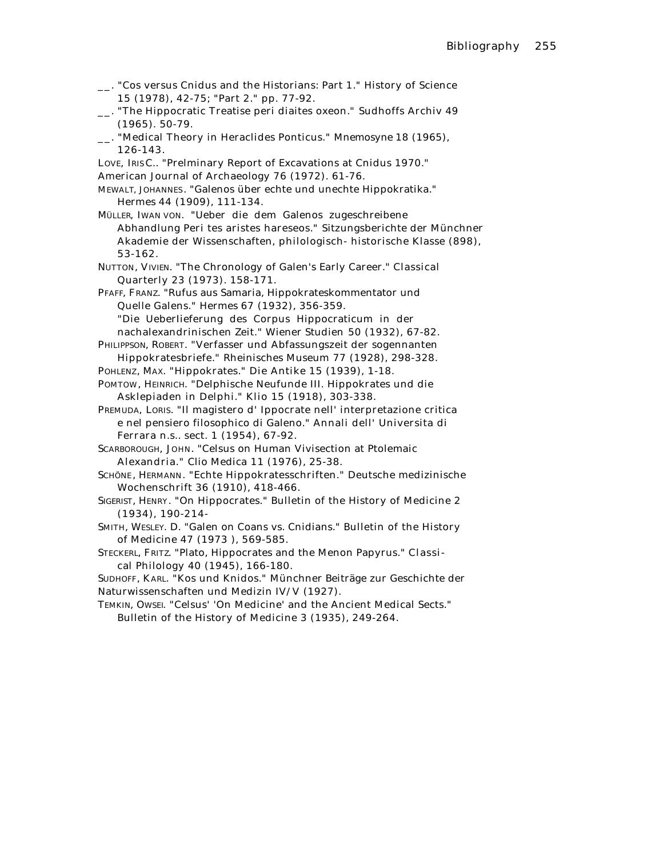- \_\_. "Cos versus Cnidus and the Historians: Part 1." *History of Science* 15 (1978), 42-75; "Part 2." pp. 77-92.
- \_\_. "The Hippocratic Treatise *peri diaites oxeon*." *Sudhoffs Archiv* 49 (1965). 50-79.
- \_\_. "Medical Theory in Heraclides Ponticus." *Mnemosyne* 18 (1965), 126-143.

LOVE, IRIS C.. "Prelminary Report of Excavations at Cnidus 1970."

*American Journal of Archaeology* 76 (1972). 61-76.

- MEWALT, JOHANNES. "Galenos über echte und unechte Hippokratika." *Hermes* 44 (1909), 111-134.
- MÜLLER, IWAN VON. "Ueber die dem Galenos zugeschreibene Abhandlung *Peri tes aristes hareseos*." *Sitzungsberichte der Münchner Akademie der Wissenschaften*, philologisch- historische Klasse (898), 53-162.
- NUTTON, VIVIEN. "The Chronology of Galen's Early Career." *Classical Quarterly* 23 (1973). 158-171.
- PFAFF, FRANZ. "Rufus aus Samaria, Hippokrateskommentator und Quelle Galens." *Hermes* 67 (1932), 356-359. "Die UeberIieferung des Corpus Hippocraticum in der nachalexandrinischen Zeit." *Wiener Studien* 50 (1932), 67-82.

PHILIPPSON, ROBERT. "Verfasser und Abfassungszeit der sogennanten Hippokratesbriefe." *Rheinisches Museum* 77 (1928), 298-328.

POHLENZ, MAX. "Hippokrates." *Die Antike* 15 (1939), 1-18.

POMTOW, HEINRICH. "Delphische Neufunde III. Hippokrates und die Asklepiaden in Delphi." *Klio* 15 (1918), 303-338.

PREMUDA, LORIS. "Il magistero d' Ippocrate nell' interpretazione critica e nel pensiero filosophico di Galeno." *Annali dell' Universita di Ferrara* n.s.. sect. 1 (1954), 67-92.

SCARBOROUGH, JOHN. "Celsus on Human Vivisection at Ptolemaic Alexandria." *Clio Medica* 11 (1976), 25-38.

SCHÖNE, HERMANN. "Echte Hippokratesschriften." *Deutsche medizinische Wochenschrift* 36 (1910), 418-466.

- SIGERIST, HENRY. "On Hippocrates." *Bulletin of the History of Medicine* 2 (1934), 190-214-
- SMITH, WESLEY. D. "Galen on Coans vs. Cnidians." *Bulletin of the History of Medicine* 47 (1973 ), 569-585.
- STECKERL, FRITZ. "Plato, Hippocrates and the Menon Papyrus." *Classical Philology* 40 (1945), 166-180.

SUDHOFF, KARL. "Kos und Knidos." *Münchner Beiträge zur Geschichte der Naturwissenschaften und Medizin* IV/V (1927).

TEMKIN, OWSEI. "Celsus' 'On Medicine' and the Ancient Medical Sects." *Bulletin of the History of Medicine* 3 (1935), 249-264.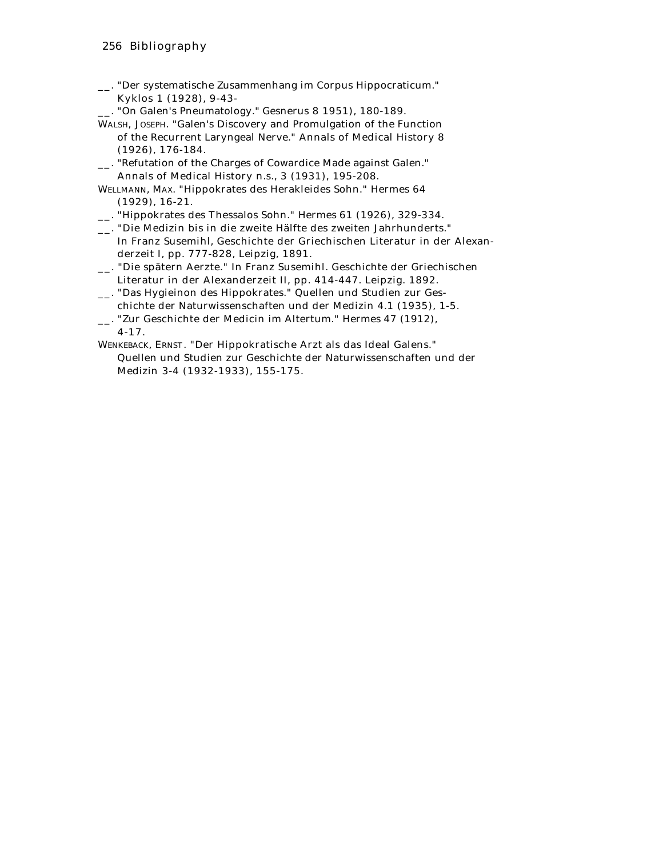- \_\_. "Der systematische Zusammenhang im Corpus Hippocraticum." *Kyklos* 1 (1928), 9-43-
- \_\_. "On Galen's Pneumatology." *Gesnerus* 8 1951), 180-189.
- WALSH, JOSEPH. "Galen's Discovery and Promulgation of the Function of the Recurrent Laryngeal Nerve." *Annals of Medical History* 8 (1926), 176-184.
- \_\_. "Refutation of the Charges of Cowardice Made against Galen." *Annals of Medical History* n.s., 3 (1931), 195-208.
- WELLMANN, MAX. "Hippokrates des Herakleides Sohn." Hermes 64 (1929), 16-21.
- \_\_. "Hippokrates des Thessalos Sohn." *Hermes* 61 (1926), 329-334.
- \_\_. "Die Medizin bis in die zweite Hälfte des zweiten Jahrhunderts." In Franz Susemihl, *Geschichte der Griechischen Literatur in der Alexanderzeit* I, pp. 777-828, Leipzig, 1891.
- \_\_. "Die spätern Aerzte." In Franz Susemihl. *Geschichte der Griechischen Literatur in der Alexanderzeit* II, pp. 414-447. Leipzig. 1892.
- \_\_. "Das Hygieinon des Hippokrates." *Quellen und Studien zur Geschichte der Naturwissenschaften und der Medizin* 4.1 (1935), 1-5.
- \_\_. "Zur Geschichte der Medicin im Altertum." *Hermes* 47 (1912), 4-17.
- WENKEBACK, ERNST. "Der Hippokratische Arzt als das Ideal Galens." *Quellen und Studien zur Geschichte der Naturwissenschaften und der Medizin* 3-4 (1932-1933), 155-175.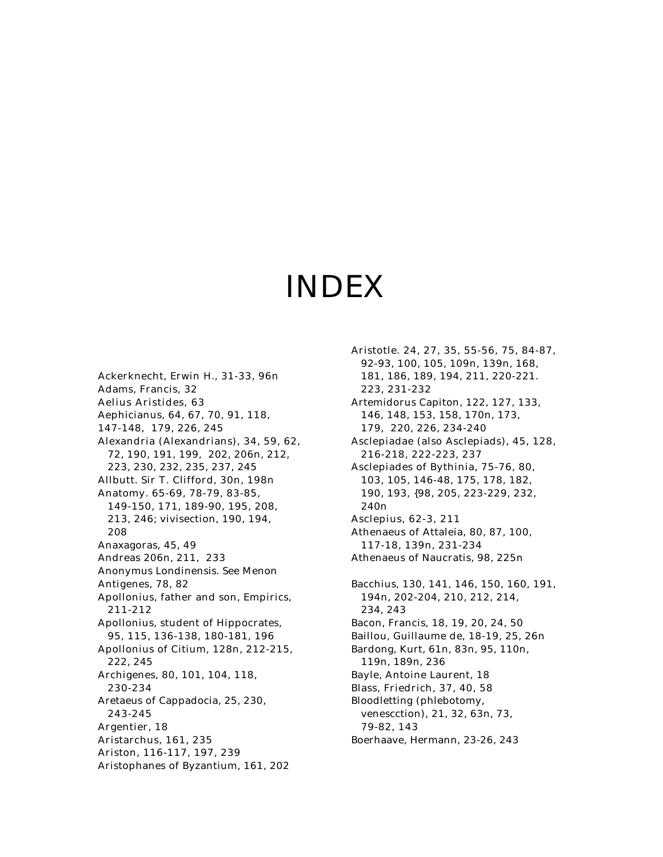## INDEX

Ackerknecht, Erwin H., 31-33, 96n Adams, Francis, 32 Aelius Aristides, 63 Aephicianus, 64, 67, 70, 91, 118, 147-148, 179, 226, 245 Alexandria (Alexandrians), 34, 59, 62, 72, 190, 191, 199, 202, 206n, 212, 223, 230, 232, 235, 237, 245 Allbutt. Sir T. Clifford, 30n, 198n Anatomy. 65-69, 78-79, 83-85, 149-150, 171, 189-90, 195, 208, 213, 246; vivisection, 190, 194, 208 Anaxagoras, 45, 49 Andreas 206n, 211, 233 Anonymus Londinensis. See Menon Antigenes, 78, 82 Apollonius, father and son, Empirics, 211-212 Apollonius, student of Hippocrates, 95, 115, 136-138, 180-181, 196 Apollonius of Citium, 128n, 212-215, 222, 245 Archigenes, 80, 101, 104, 118, 230-234 Aretaeus of Cappadocia, 25, 230, 243-245 Argentier, 18 Aristarchus, 161, 235 Ariston, 116-117, 197, 239 Aristophanes of Byzantium, 161, 202

Aristotle. 24, 27, 35, 55-56, 75, 84-87, 92-93, 100, 105, 109n, 139n, 168, 181, 186, 189, 194, 211, 220-221. 223, 231-232 Artemidorus Capiton, 122, 127, 133, 146, 148, 153, 158, 170n, 173, 179, 220, 226, 234-240 Asclepiadae (also Asclepiads), 45, 128, 216-218, 222-223, 237 Asclepiades of Bythinia, 75-76, 80, 103, 105, 146-48, 175, 178, 182, 190, 193, {98, 205, 223-229, 232, 240n Asclepius, 62-3, 211 Athenaeus of Attaleia, 80, 87, 100, 117-18, 139n, 231-234 Athenaeus of Naucratis, 98, 225n Bacchius, 130, 141, 146, 150, 160, 191, 194n, 202-204, 210, 212, 214, 234, 243 Bacon, Francis, 18, 19, 20, 24, 50 Baillou, Guillaume de, 18-19, 25, 26n Bardong, Kurt, 61n, 83n, 95, 110n, 119n, 189n, 236 Bayle, Antoine Laurent, 18 Blass, Friedrich, 37, 40, 58 Bloodletting (phlebotomy, venescction), 21, 32, 63n, 73, 79-82, 143 Boerhaave, Hermann, 23-26, 243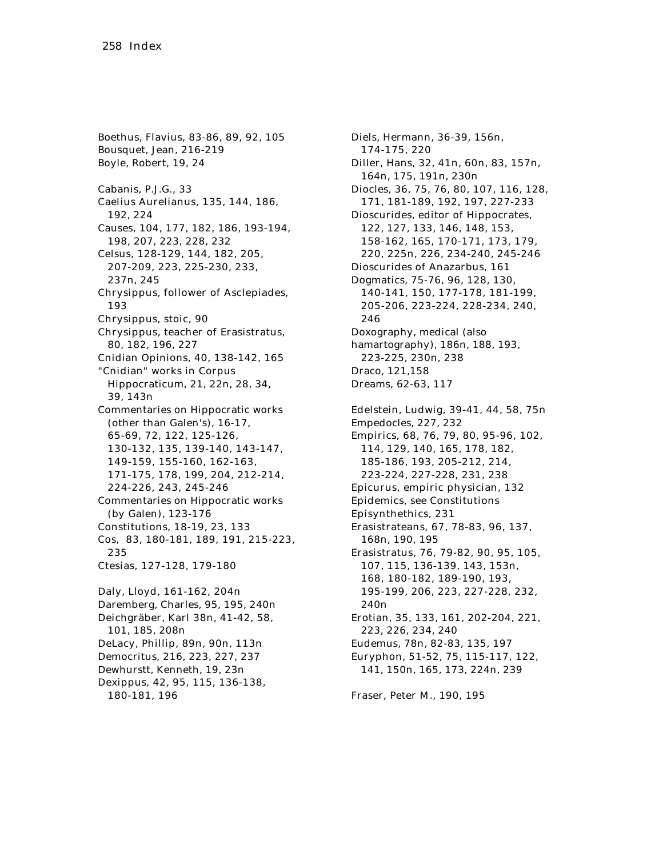Boethus, Flavius, 83-86, 89, 92, 105 Bousquet, Jean, 216-219 Boyle, Robert, 19, 24 Cabanis, P.J.G., 33 Caelius Aurelianus, 135, 144, 186, 192, 224 Causes, 104, 177, 182, 186, 193-194, 198, 207, 223, 228, 232 Celsus, 128-129, 144, 182, 205, 207-209, 223, 225-230, 233, 237n, 245 Chrysippus, follower of Asclepiades, 193 Chrysippus, stoic, 90 Chrysippus, teacher of Erasistratus, 80, 182, 196, 227 *Cnidian Opinions*, 40, 138-142, 165 "Cnidian" works in Corpus Hippocraticum, 21, 22n, 28, 34, 39, 143n Commentaries on Hippocratic works (other than Galen's), 16-17, 65-69, 72, 122, 125-126, 130-132, 135, 139-140, 143-147, 149-159, 155-160, 162-163, 171-175, 178, 199, 204, 212-214, 224-226, 243, 245-246 Commentaries on Hippocratic works (by Galen), 123-176 Constitutions, 18-19, 23, 133 Cos, 83, 180-181, 189, 191, 215-223, 235 Ctesias, 127-128, 179-180 Daly, Lloyd, 161-162, 204n Daremberg, Charles, 95, 195, 240n Deichgräber, Karl 38n, 41-42, 58, 101, 185, 208n DeLacy, Phillip, 89n, 90n, 113n Democritus, 216, 223, 227, 237 Dewhurstt, Kenneth, 19, 23n Dexippus, 42, 95, 115, 136-138,

180-181, 196

Diels, Hermann, 36-39, 156n, 174-175, 220 Diller, Hans, 32, 41n, 60n, 83, 157n, 164n, 175, 191n, 230n Diocles, 36, 75, 76, 80, 107, 116, 128, 171, 181-189, 192, 197, 227-233 Dioscurides, editor of Hippocrates, 122, 127, 133, 146, 148, 153, 158-162, 165, 170-171, 173, 179, 220, 225n, 226, 234-240, 245-246 Dioscurides of Anazarbus, 161 Dogmatics, 75-76, 96, 128, 130, 140-141, 150, 177-178, 181-199, 205-206, 223-224, 228-234, 240, 246 Doxography, medical (also hamartography), 186n, 188, 193, 223-225, 230n, 238 Draco, 121,158 Dreams, 62-63, 117 Edelstein, Ludwig, 39-41, 44, 58, 75n Empedocles, 227, 232 Empirics, 68, 76, 79, 80, 95-96, 102, 114, 129, 140, 165, 178, 182, 185-186, 193, 205-212, 214, 223-224, 227-228, 231, 238 Epicurus, empiric physician, 132 Epidemics, see Constitutions Episynthethics, 231 Erasistrateans, 67, 78-83, 96, 137, 168n, 190, 195 Erasistratus, 76, 79-82, 90, 95, 105, 107, 115, 136-139, 143, 153n, 168, 180-182, 189-190, 193, 195-199, 206, 223, 227-228, 232, 240n Erotian, 35, 133, 161, 202-204, 221, 223, 226, 234, 240 Eudemus, 78n, 82-83, 135, 197 Euryphon, 51-52, 75, 115-117, 122, 141, 150n, 165, 173, 224n, 239 Fraser, Peter M., 190, 195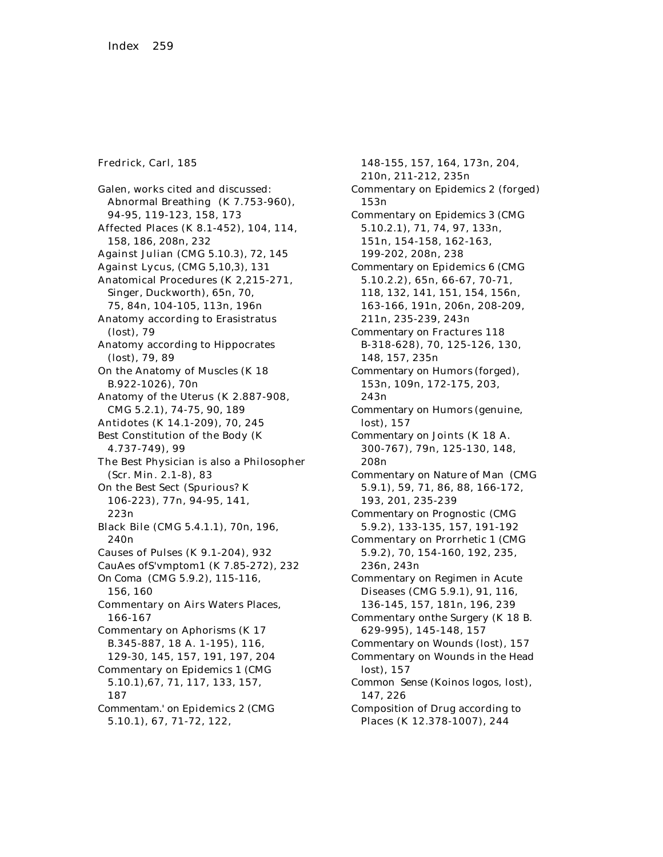Fredrick, Carl, 185

Galen, works cited and discussed: *Abnormal Breathing* (K 7.753-960), 94-95, 119-123, 158, 173 *Affected Places* (K 8.1-452), 104, 114, 158, 186, 208n, 232 *Against Julian* (CMG 5.10.3), 72, 145 *Against Lycus*, (CMG 5,10,3), 131 *Anatomical Procedures* (K 2,215-271, Singer, Duckworth), 65n, 70, 75, 84n, 104-105, 113n, 196n *Anatomy according to Erasistratus* (lost), 79 *Anatomy according to Hippocrates* (lost), 79, 89 *On the Anatomy of Muscles* (K 18 B.922-1026), 70n *Anatomy of the Uterus* (K 2.887-908, CMG 5.2.1), 74-75, 90, 189 *Antidotes* (K 14.1-209), 70, 245 *Best Constitution of the* Body (K 4.737-749), 99 *The Best Physician is also a Philosopher* (*Scr. Min*. 2.1-8), 83 *On the Best Sect* (Spurious? K 106-223), 77n, 94-95, 141, 223n *Black Bile* (CMG 5.4.1.1), 70n, 196, 240n *Causes of Pulses* (K 9.1-204), 932 CauAes ofS'vmptom1 (K 7.85-272), 232 *On Coma* (CMG 5.9.2), 115-116, 156, 160 *Commentary on Airs Waters Places,* 166-167 *Commentary on Aphorisms* (K 17 B.345-887, 18 A. 1-195), 116, 129-30, 145, 157, 191, 197, 204 *Commentary on Epidemics* 1 (CMG 5.10.1),67, 71, 117, 133, 157, 187 Commentam.' on *Epidemics* 2 (CMG 5.10.1), 67, 71-72, 122,

148-155, 157, 164, 173n, 204, 210n, 211-212, 235n *Commentary on Epidemics* 2 (forged) 153n *Commentary on Epidemics* 3 (CMG 5.10.2.1), 71, 74, 97, 133n, 151n, 154-158, 162-163, 199-202, 208n, 238 *Commentary on Epidemics* 6 (CMG 5.10.2.2), 65n, 66-67, 70-71, 118, 132, 141, 151, 154, 156n, 163-166, 191n, 206n, 208-209, 211n, 235-239, 243n *Commentary on Fractures* 118 B-318-628), 70, 125-126, 130, 148, 157, 235n *Commentary on Humors* (forged), 153n, 109n, 172-175, 203, 243n *Commentary on Humors* (genuine, lost), 157 *Commentary on Joints* (K 18 A. 300-767), 79n, 125-130, 148, 208n *Commentary on Nature of Man* (CMG 5.9.1), 59, 71, 86, 88, 166-172, 193, 201, 235-239 *Commentary on Prognostic* (CMG 5.9.2), 133-135, 157, 191-192 *Commentary on Prorrhetic* 1 (CMG 5.9.2), 70, 154-160, 192, 235, 236n, 243n *Commentary on Regimen in Acute Diseases* (CMG 5.9.1), 91, 116, 136-145, 157, 181n, 196, 239 *Commentary onthe Surgery* (K 18 B. 629-995), 145-148, 157 *Commentary on Wounds* (lost), 157 *Commentary on Wounds in the Head* lost), 157 *Common Sense* (*Koinos logos*, lost), 147, 226 *Composition of Drug according to Places* (K 12.378-1007), 244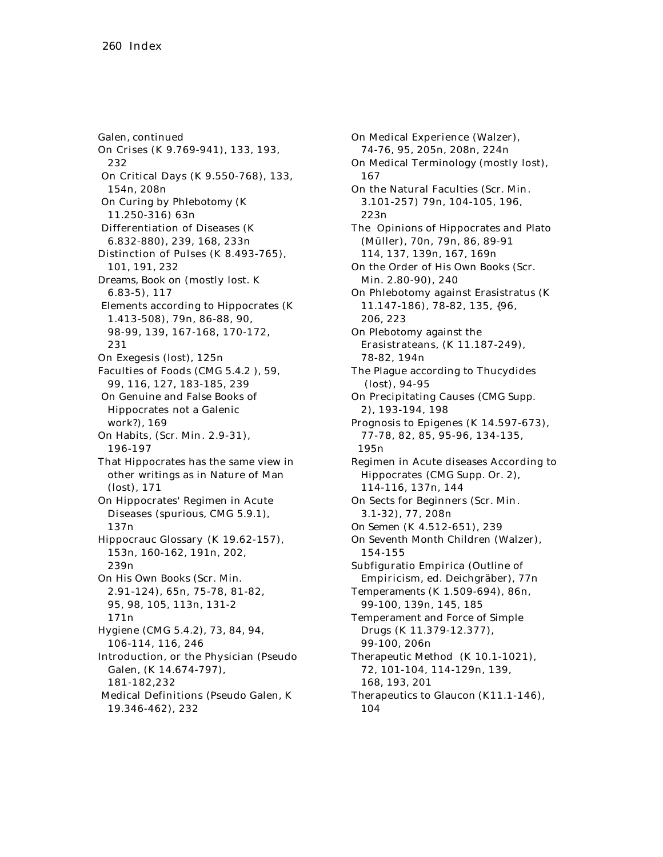Galen, *continued On Crises* (K 9.769-941), 133, 193, 232  *On Critical Days* (K 9.550-768), 133, 154n, 208n *On Curing by Phlebotomy* (K 11.250-316) 63n  *Differentiation of Diseases* (K 6.832-880), 239, 168, 233n *Distinction of Pulses* (K 8.493-765), 101, 191, 232 *Dreams, Book on* (mostly lost. K 6.83-5), 117  *Elements according to Hippocrates* (K 1.413-508), 79n, 86-88, 90, 98-99, 139, 167-168, 170-172, 231 *On Exegesis* (lost), 125n *Faculties of Foods* (CMG 5.4.2 ), 59, 99, 116, 127, 183-185, 239 *On Genuine and False Books of Hippocrates* not a Galenic work?), 169 *On Habits*, (*Scr. Min*. 2.9-31), 196-197 *That Hippocrates has the same view in other writings as in Nature of Man* (lost), 171 *On Hippocrates' Regimen in Acute Diseases* (spurious, CMG 5.9.1), 137n *Hippocrauc Glossary* (K 19.62-157), 153n, 160-162, 191n, 202, 239n *On His Own Books* (*Scr. Min.* 2.91-124), 65n, 75-78, 81-82, 95, 98, 105, 113n, 131-2 171n *Hygiene* (CMG 5.4.2), 73, 84, 94, 106-114, 116, 246 *Introduction, or the Physician* (Pseudo Galen, (K 14.674-797), 181-182,232 *Medical Definitions* (Pseudo Galen, K 19.346-462), 232

*On Medical Experience* (Walzer), 74-76, 95, 205n, 208n, 224n *On Medical Terminology* (mostly lost), 167 *On the Natural Faculties* (*Scr. Min*. 3.101-257) 79n, 104-105, 196, 223n *The Opinions of Hippocrates and Plato* (Müller), 70n, 79n, 86, 89-91 114, 137, 139n, 167, 169n *On the Order of His Own Books* (*Scr. Min.* 2.80-90), 240 *On Phlebotomy against Erasistratus* (K 11.147-186), 78-82, 135, {96, 206, 223 *On Plebotomy against the Erasistrateans*, (K 11.187-249), 78-82, 194n *The Plague according to Thucydides* (lost), 94-95 *On Precipitating Causes* (CMG Supp. 2), 193-194, 198 *Prognosis to Epigenes* (K 14.597-673), 77-78, 82, 85, 95-96, 134-135, 195n *Regimen in Acute diseases According to Hippocrates* (CMG Supp. Or. 2), 114-116, 137n, 144 *On Sects for Beginners* (*Scr. Min*. 3.1-32), 77, 208n *On Semen* (K 4.512-651), 239 *On Seventh Month Children* (Walzer), 154-155 *Subfiguratio Empirica* (*Outline of Empiricism,* ed. Deichgräber), 77n *Temperaments* (K 1.509-694), 86n, 99-100, 139n, 145, 185 *Temperament and Force of Simple Drugs* (K 11.379-12.377), 99-100, 206n *Therapeutic Method* (K 10.1-1021), 72, 101-104, 114-129n, 139, 168, 193, 201 *Therapeutics to Glaucon* (K11.1-146), 104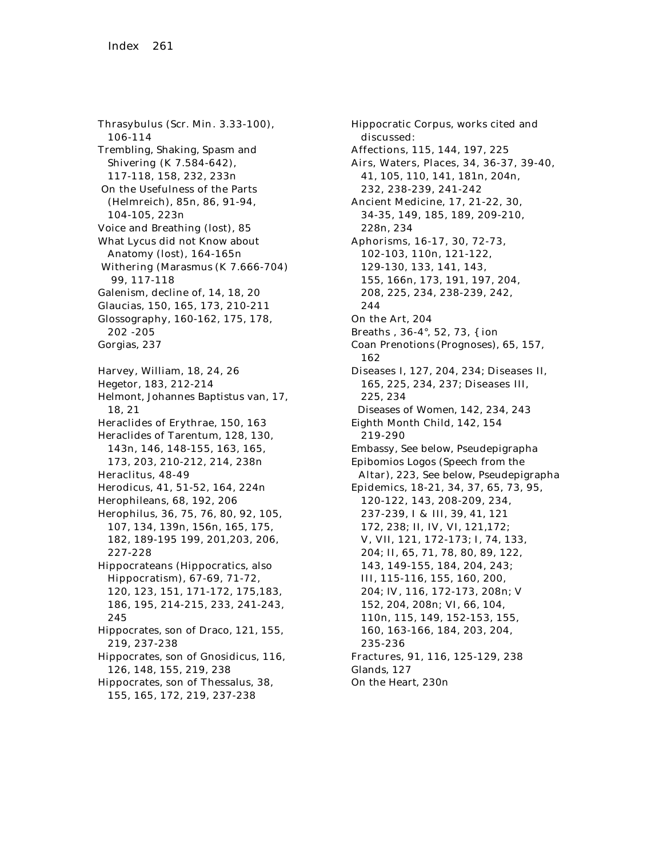Thrasybulus (*Scr. Min*. 3.33-100), 106-114 *Trembling, Shaking, Spasm and Shivering* (K 7.584-642), 117-118, 158, 232, 233n *On the Usefulness of the Parts* (Helmreich), 85n, 86, 91-94, 104-105, 223n *Voice and Breathing* (lost), 85 *What Lycus did not Know about Anatomy* (lost), 164-165n *Withering* (*Marasmus* (K 7.666-704) 99, 117-118 Galenism, decline of, 14, 18, 20 Glaucias, 150, 165, 173, 210-211 Glossography, 160-162, 175, 178, 202 -205 Gorgias, 237 Harvey, William, 18, 24, 26 Hegetor, 183, 212-214 Helmont, Johannes Baptistus van, 17, 18, 21 Heraclides of Erythrae, 150, 163 Heraclides of Tarentum, 128, 130, 143n, 146, 148-155, 163, 165, 173, 203, 210-212, 214, 238n Heraclitus, 48-49 Herodicus, 41, 51-52, 164, 224n Herophileans, 68, 192, 206 Herophilus, 36, 75, 76, 80, 92, 105, 107, 134, 139n, 156n, 165, 175, 182, 189-195 199, 201,203, 206, 227-228 Hippocrateans (Hippocratics, also Hippocratism), 67-69, 71-72, 120, 123, 151, 171-172, 175,183, 186, 195, 214-215, 233, 241-243, 245 Hippocrates, son of Draco, 121, 155, 219, 237-238 Hippocrates, son of Gnosidicus, 116, 126, 148, 155, 219, 238 Hippocrates, son of Thessalus, 38, 155, 165, 172, 219, 237-238

Hippocratic Corpus, works cited and discussed: *Affections*, 115, 144, 197, 225 *Airs, Waters, Places*, 34, 36-37, 39-40, 41, 105, 110, 141, 181n, 204n, 232, 238-239, 241-242 *Ancient Medicine*, 17, 21-22, 30, 34-35, 149, 185, 189, 209-210, 228n, 234 *Aphorisms*, 16-17, 30, 72-73, 102-103, 110n, 121-122, 129-130, 133, 141, 143, 155, 166n, 173, 191, 197, 204, 208, 225, 234, 238-239, 242, 244 *On the Art*, 204 *Breaths* , 36-4°, 52, 73, { ion *Coan Prenotions* (*Prognoses*), 65, 157, 162 *Diseases I*, 127, 204, 234; *Diseases II*, 165, 225, 234, 237; *Diseases III*, 225, 234  *Diseases of Women*, 142, 234, 243 *Eighth Month Child*, 142, 154 219-290 *Embassy, See below, Pseudepigrapha Epibomios Logos* (*Speech from the Altar*), 223, *See below, Pseudepigrapha Epidemics*, 18-21, 34, 37, 65, 73, 95, 120-122, 143, 208-209, 234, 237-239, *I & III*, 39, 41, 121 172, 238; *II, IV, VI*, 121,172; *V, VII*, 121, 172-173; *I*, 74, 133, 204; *II*, 65, 71, 78, 80, 89, 122, 143, 149-155, 184, 204, 243; *III*, 115-116, 155, 160, 200, 204; *IV*, 116, 172-173, 208n; *V* 152, 204, 208n; *VI*, 66, 104, 110n, 115, 149, 152-153, 155, 160, 163-166, 184, 203, 204, 235-236 *Fractures*, 91, 116, 125-129, 238 *Glands*, 127 *On the Heart*, 230n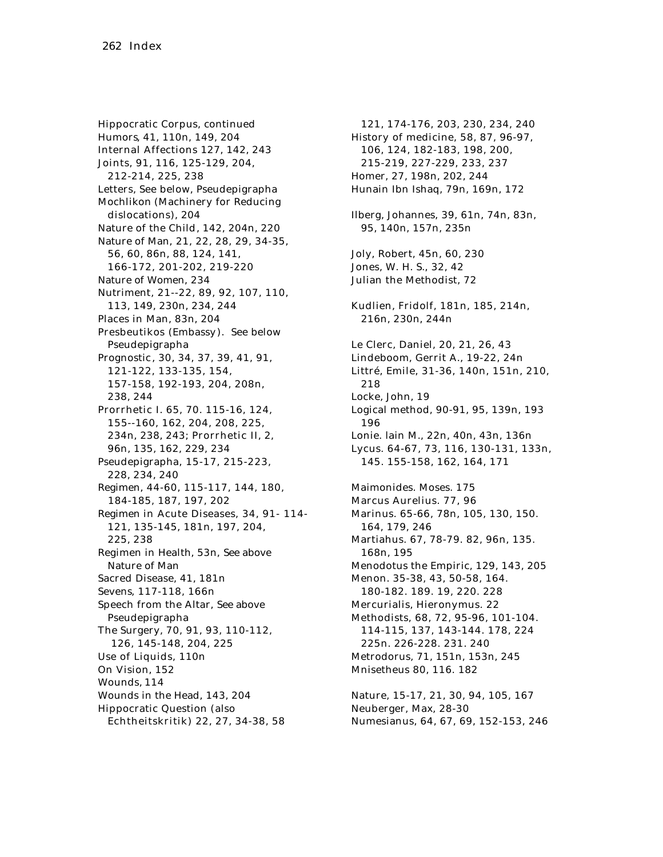Hippocratic Corpus, *continued Humors*, 41, 110n, 149, 204 *Internal Affections* 127, 142, 243 *Joints*, 91, 116, 125-129, 204, 212-214, 225, 238 Letters, See below, *Pseudepigrapha Mochlikon* (*Machinery for Reducing dislocations*), 204 *Nature of the Child*, 142, 204n, 220 *Nature of Man*, 21, 22, 28, 29, 34-35, 56, 60, 86n, 88, 124, 141, 166-172, 201-202, 219-220 *Nature of Women*, 234 *Nutriment*, 21--22, 89, 92, 107, 110, 113, 149, 230n, 234, 244 *Places in Man,* 83n, 204 *Presbeutikos* (*Embassy*). *See below Pseudepigrapha Prognostic*, 30, 34, 37, 39, 41, 91, 121-122, 133-135, 154, 157-158, 192-193, 204, 208n, 238, 244 *Prorrhetic I*. 65, 70. 115-16, 124, 155--160, 162, 204, 208, 225, 234n, 238, 243; *Prorrhetic II*, 2, 96n, 135, 162, 229, 234 *Pseudepigrapha*, 15-17, 215-223, 228, 234, 240 *Regimen*, 44-60, 115-117, 144, 180, 184-185, 187, 197, 202 *Regimen in Acute Diseases*, 34, 91- 114- 121, 135-145, 181n, 197, 204, 225, 238 *Regimen in Health*, 53n, *See above Nature of Man Sacred Disease*, 41, 181n *Sevens*, 117-118, 166n *Speech from the Altar*, *See above Pseudepigrapha The Surgery,* 70, 91, 93, 110-112, 126, 145-148, 204, 225 *Use of Liquids,* 110n *On Vision*, 152 *Wounds,* 114 *Wounds in the Head*, 143, 204 Hippocratic Question (also *Echtheitskritik*) 22, 27, 34-38, 58

121, 174-176, 203, 230, 234, 240 History of medicine, 58, 87, 96-97, 106, 124, 182-183, 198, 200, 215-219, 227-229, 233, 237 Homer, 27, 198n, 202, 244 Hunain Ibn Ishaq, 79n, 169n, 172 Ilberg, Johannes, 39, 61n, 74n, 83n, 95, 140n, 157n, 235n Joly, Robert, 45n, 60, 230 Jones, W. H. S., 32, 42 Julian the Methodist, 72 Kudlien, Fridolf, 181n, 185, 214n, 216n, 230n, 244n Le Clerc, Daniel, 20, 21, 26, 43 Lindeboom, Gerrit A., 19-22, 24n Littré, Emile, 31-36, 140n, 151n, 210, 218 Locke, John, 19 Logical method, 90-91, 95, 139n, 193 196 Lonie. lain M., 22n, 40n, 43n, 136n Lycus. 64-67, 73, 116, 130-131, 133n, 145. 155-158, 162, 164, 171 Maimonides. Moses. 175 Marcus Aurelius. 77, 96 Marinus. 65-66, 78n, 105, 130, 150. 164, 179, 246 Martiahus. 67, 78-79. 82, 96n, 135. 168n, 195 Menodotus the Empiric, 129, 143, 205 Menon. 35-38, 43, 50-58, 164. 180-182. 189. 19, 220. 228 Mercurialis, Hieronymus. 22 Methodists, 68, 72, 95-96, 101-104. 114-115, 137, 143-144. 178, 224 225n. 226-228. 231. 240 Metrodorus, 71, 151n, 153n, 245 Mnisetheus 80, 116. 182 Nature, 15-17, 21, 30, 94, 105, 167 Neuberger, Max, 28-30 Numesianus, 64, 67, 69, 152-153, 246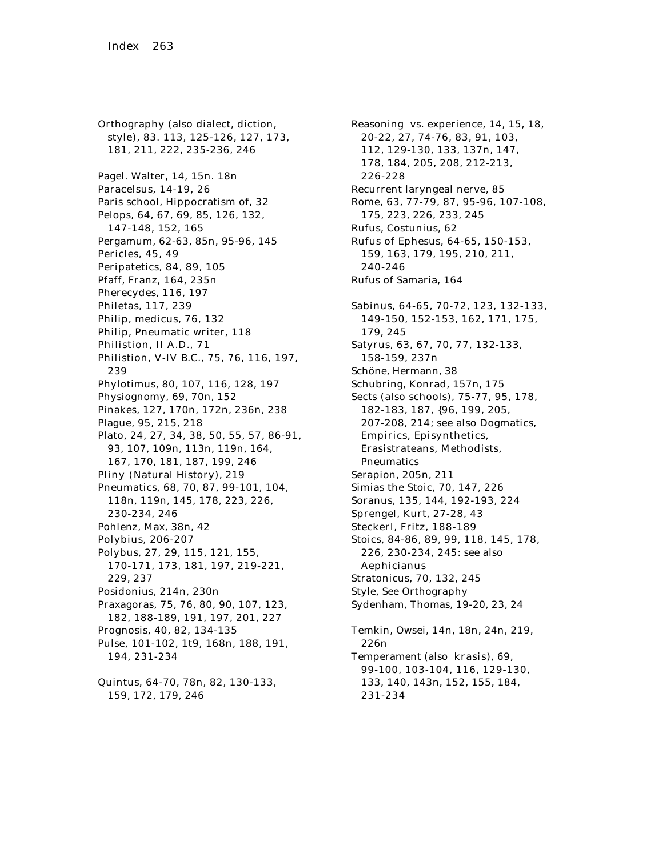Orthography (also dialect, diction, style), 83. 113, 125-126, 127, 173, 181, 211, 222, 235-236, 246 Pagel. Walter, 14, 15n. 18n Paracelsus, 14-19, 26 Paris school, Hippocratism of, 32 Pelops, 64, 67, 69, 85, 126, 132, 147-148, 152, 165 Pergamum, 62-63, 85n, 95-96, 145 Pericles, 45, 49 Peripatetics, 84, 89, 105 Pfaff, Franz, 164, 235n Pherecydes, 116, 197 Philetas, 117, 239 Philip, medicus, 76, 132 Philip, Pneumatic writer, 118 Philistion, II A.D., 71 Philistion, V-IV B.C., 75, 76, 116, 197, 239 Phylotimus, 80, 107, 116, 128, 197 Physiognomy, 69, 70n, 152 Pinakes, 127, 170n, 172n, 236n, 238 Plague, 95, 215, 218 Plato, 24, 27, 34, 38, 50, 55, 57, 86-91, 93, 107, 109n, 113n, 119n, 164, 167, 170, 181, 187, 199, 246 Pliny (*Natural History*), 219 Pneumatics, 68, 70, 87, 99-101, 104, 118n, 119n, 145, 178, 223, 226, 230-234, 246 Pohlenz, Max, 38n, 42 Polybius, 206-207 Polybus, 27, 29, 115, 121, 155, 170-171, 173, 181, 197, 219-221, 229, 237 Posidonius, 214n, 230n Praxagoras, 75, 76, 80, 90, 107, 123, 182, 188-189, 191, 197, 201, 227 Prognosis, 40, 82, 134-135 Pulse, 101-102, 1t9, 168n, 188, 191, 194, 231-234 Quintus, 64-70, 78n, 82, 130-133, 159, 172, 179, 246

Reasoning vs. experience, 14, 15, 18, 20-22, 27, 74-76, 83, 91, 103, 112, 129-130, 133, 137n, 147, 178, 184, 205, 208, 212-213, 226-228 Recurrent laryngeal nerve, 85 Rome, 63, 77-79, 87, 95-96, 107-108, 175, 223, 226, 233, 245 Rufus, Costunius, 62 Rufus of Ephesus, 64-65, 150-153, 159, 163, 179, 195, 210, 211, 240-246 Rufus of Samaria, 164 Sabinus, 64-65, 70-72, 123, 132-133, 149-150, 152-153, 162, 171, 175, 179, 245 Satyrus, 63, 67, 70, 77, 132-133, 158-159, 237n Schöne, Hermann, 38 Schubring, Konrad, 157n, 175 Sects (also schools), 75-77, 95, 178, 182-183, 187, {96, 199, 205, 207-208, 214; see also Dogmatics, Empirics, Episynthetics, Erasistrateans, Methodists, **Pneumatics** Serapion, 205n, 211 Simias the Stoic, 70, 147, 226 Soranus, 135, 144, 192-193, 224 Sprengel, Kurt, 27-28, 43 Steckerl, Fritz, 188-189 Stoics, 84-86, 89, 99, 118, 145, 178, 226, 230-234, 245: *see also* Aephicianus Stratonicus, 70, 132, 245 Style, See Orthography Sydenham, Thomas, 19-20, 23, 24 Temkin, Owsei, 14n, 18n, 24n, 219, 226n Temperament (also *krasis*), 69, 99-100, 103-104, 116, 129-130, 133, 140, 143n, 152, 155, 184, 231-234